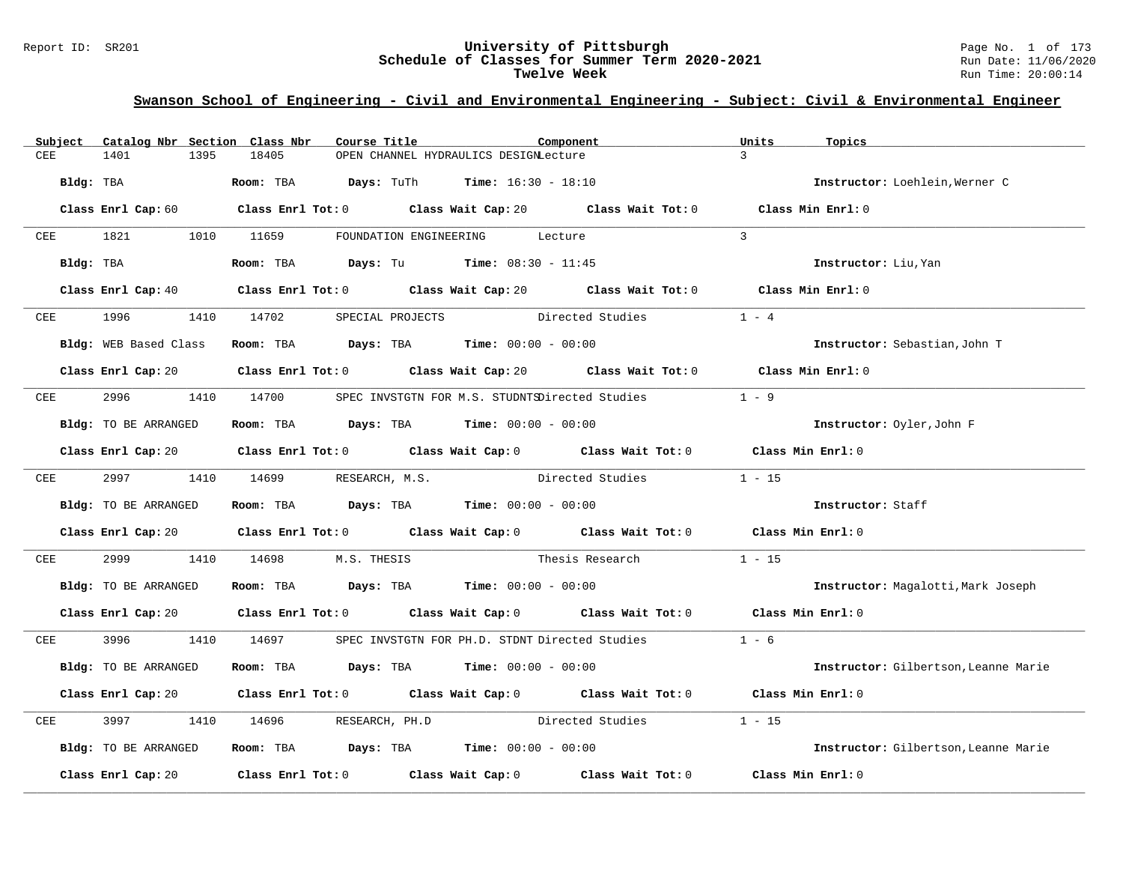# **Swanson School of Engineering - Civil and Environmental Engineering - Subject: Civil & Environmental Engineer**

| Catalog Nbr Section Class Nbr<br>Subject | Course Title                                                                                                                   | Component        | Units<br>Topics                      |
|------------------------------------------|--------------------------------------------------------------------------------------------------------------------------------|------------------|--------------------------------------|
| CEE<br>1401<br>1395                      | 18405<br>OPEN CHANNEL HYDRAULICS DESIGNLecture                                                                                 |                  | $\mathcal{L}$                        |
| Bldg: TBA                                | <b>Room:</b> TBA <b>Days:</b> TuTh <b>Time:</b> $16:30 - 18:10$                                                                |                  | Instructor: Loehlein, Werner C       |
|                                          | Class Enrl Cap: 60 Class Enrl Tot: 0 Class Wait Cap: 20 Class Wait Tot: 0 Class Min Enrl: 0                                    |                  |                                      |
| CEE 1821 1010 11659                      | FOUNDATION ENGINEERING Lecture                                                                                                 |                  | $\mathcal{L}$                        |
| Bldg: TBA                                | Room: TBA $Days: Tu$ Time: $08:30 - 11:45$                                                                                     |                  | Instructor: Liu, Yan                 |
|                                          | Class Enrl Cap: 40 Class Enrl Tot: 0 Class Wait Cap: 20 Class Wait Tot: 0 Class Min Enrl: 0                                    |                  |                                      |
| 1996<br>CEE                              | 1410 14702<br>SPECIAL PROJECTS                                                                                                 | Directed Studies | $1 - 4$                              |
|                                          | Bldg: WEB Based Class Room: TBA Days: TBA Time: 00:00 - 00:00                                                                  |                  | Instructor: Sebastian, John T        |
|                                          | Class Enrl Cap: 20 Class Enrl Tot: 0 Class Wait Cap: 20 Class Wait Tot: 0 Class Min Enrl: 0                                    |                  |                                      |
| CEE                                      | 2996 1410 14700 SPEC INVSTGTN FOR M.S. STUDNTSDirected Studies                                                                 |                  | $1 - 9$                              |
| Bldg: TO BE ARRANGED                     | Room: TBA $Days:$ TBA Time: $00:00 - 00:00$                                                                                    |                  | Instructor: Oyler, John F            |
|                                          | Class Enrl Cap: 20 Class Enrl Tot: 0 Class Wait Cap: 0 Class Wait Tot: 0 Class Min Enrl: 0                                     |                  |                                      |
|                                          | CEE 2997 1410 14699 RESEARCH, M.S. Directed Studies                                                                            |                  | $1 - 15$                             |
| Bldg: TO BE ARRANGED                     | Room: TBA $\rule{1em}{0.15mm}$ Days: TBA Time: $00:00 - 00:00$                                                                 |                  | Instructor: Staff                    |
|                                          | Class Enrl Cap: 20 Class Enrl Tot: 0 Class Wait Cap: 0 Class Wait Tot: 0 Class Min Enrl: 0                                     |                  |                                      |
| 2999<br>1410<br>CEE                      | M.S. THESIS Thesis Research<br>14698                                                                                           |                  | $1 - 15$                             |
| Bldg: TO BE ARRANGED                     | Room: TBA $Days:$ TBA $Time: 00:00 - 00:00$                                                                                    |                  | Instructor: Magalotti, Mark Joseph   |
|                                          | Class Enrl Cap: 20 $\qquad$ Class Enrl Tot: 0 $\qquad$ Class Wait Cap: 0 $\qquad$ Class Wait Tot: 0 $\qquad$ Class Min Enrl: 0 |                  |                                      |
| 3996 700<br>CEE                          | 1410 14697<br>SPEC INVSTGTN FOR PH.D. STDNT Directed Studies                                                                   |                  | $1 - 6$                              |
| Bldg: TO BE ARRANGED                     | Room: TBA $Days:$ TBA $Time: 00:00 - 00:00$                                                                                    |                  | Instructor: Gilbertson, Leanne Marie |
|                                          | Class Enrl Cap: 20 Class Enrl Tot: 0 Class Wait Cap: 0 Class Wait Tot: 0 Class Min Enrl: 0                                     |                  |                                      |
| 3997<br>1410<br>CEE                      | 14696 RESEARCH, PH.D Directed Studies                                                                                          |                  | $1 - 15$                             |
| Bldg: TO BE ARRANGED                     | Room: TBA $Days:$ TBA $Time: 00:00 - 00:00$                                                                                    |                  | Instructor: Gilbertson, Leanne Marie |
|                                          | Class Enrl Cap: 20 Class Enrl Tot: 0 Class Wait Cap: 0 Class Wait Tot: 0 Class Min Enrl: 0                                     |                  |                                      |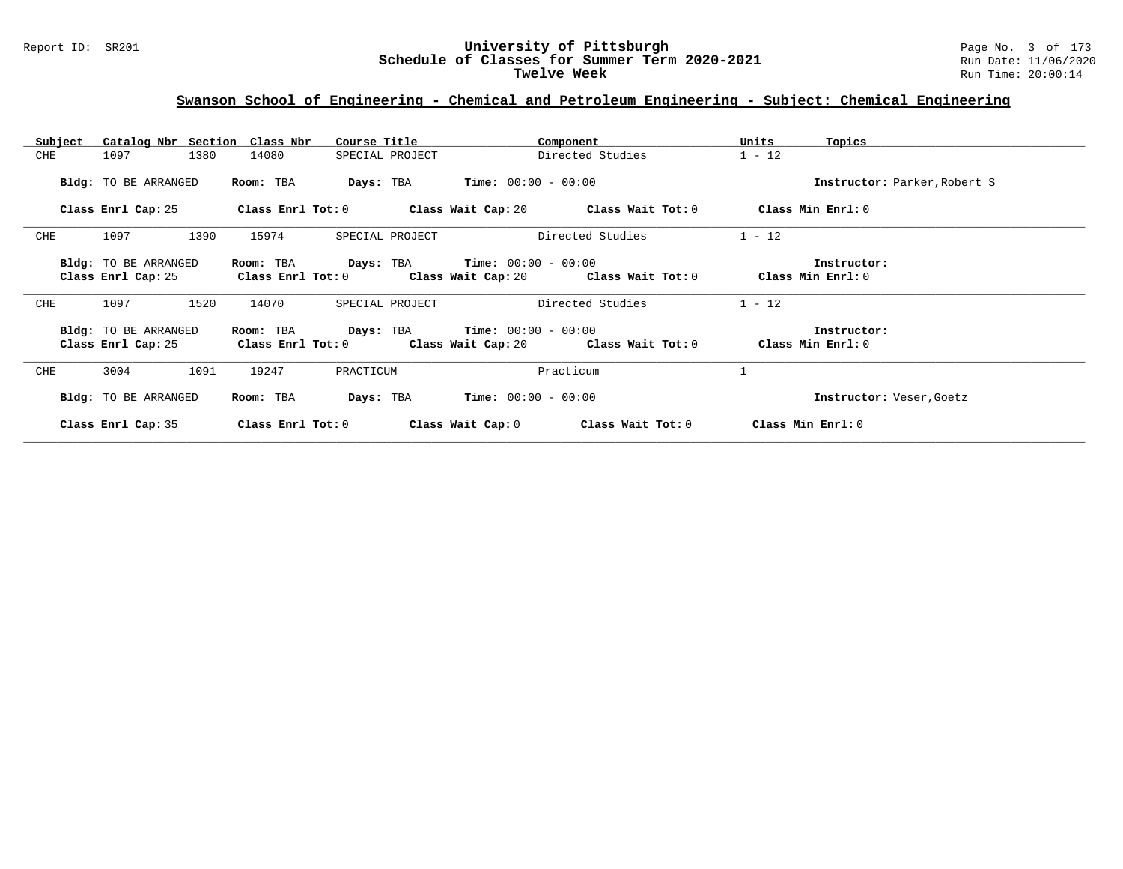#### Report ID: SR201 **University of Pittsburgh** Page No. 3 of 173 **Schedule of Classes for Summer Term 2020-2021** Run Date: 11/06/2020 **Twelve Week** Run Time: 20:00:14

### **Swanson School of Engineering - Chemical and Petroleum Engineering - Subject: Chemical Engineering**

| Catalog Nbr Section Class Nbr<br>Subject | Course Title             | Component                                | Units<br>Topics              |
|------------------------------------------|--------------------------|------------------------------------------|------------------------------|
| CHE<br>1097<br>1380                      | 14080<br>SPECIAL PROJECT | Directed Studies                         | $1 - 12$                     |
| Bldg: TO BE ARRANGED                     | Room: TBA<br>Days: TBA   | $Time: 00:00 - 00:00$                    | Instructor: Parker, Robert S |
| Class Enrl Cap: 25                       | Class Enrl Tot: 0        | Class Wait Cap: $20$ Class Wait Tot: $0$ | Class Min Enrl: 0            |
| CHE<br>1097<br>1390                      | 15974<br>SPECIAL PROJECT | Directed Studies                         | $1 - 12$                     |
| Bldg: TO BE ARRANGED                     | Room: TBA<br>Days: TBA   | $Time: 00:00 - 00:00$                    | Instructor:                  |
| Class Enrl Cap: 25                       | Class Enrl Tot: 0        | Class Wait Cap: 20 Class Wait Tot: 0     | Class Min Enrl: 0            |
| CHE<br>1097<br>1520                      | 14070<br>SPECIAL PROJECT | Directed Studies                         | $1 - 12$                     |
| Bldg: TO BE ARRANGED                     | Days: TBA<br>Room: TBA   | $Time: 00:00 - 00:00$                    | Instructor:                  |
| Class Enrl Cap: 25                       | Class Enrl Tot: 0        | Class Wait Cap: 20 Class Wait Tot: 0     | Class Min Enrl: 0            |
| CHE<br>3004<br>1091                      | 19247<br>PRACTICUM       | Practicum                                |                              |
| Bldg: TO BE ARRANGED                     | Room: TBA<br>Days: TBA   | $Time: 00:00 - 00:00$                    | Instructor: Veser, Goetz     |
| Class Enrl Cap: 35                       | Class Enrl Tot: 0        | Class Wait Cap: 0<br>Class Wait Tot: 0   | Class Min Enrl: 0            |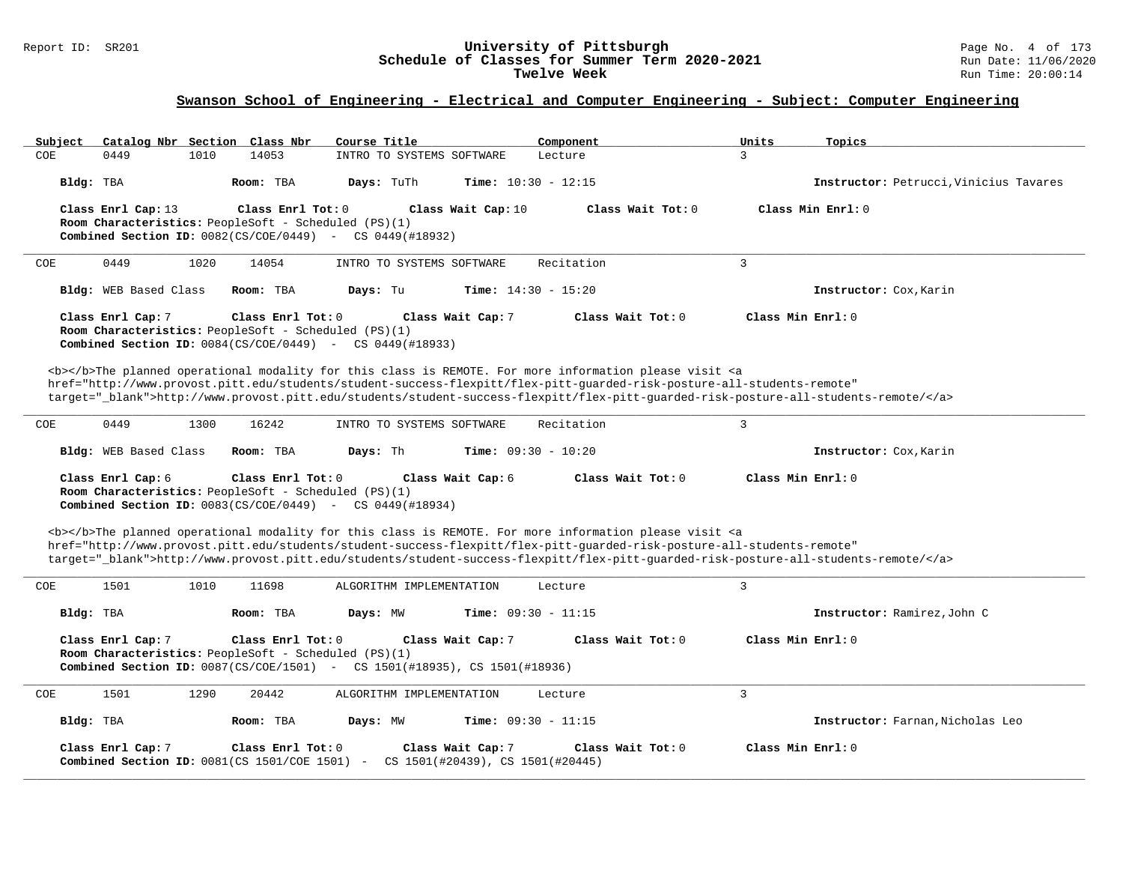# **Swanson School of Engineering - Electrical and Computer Engineering - Subject: Computer Engineering**

| Catalog Nbr Section Class Nbr<br>Subject                                                                                                                                                                                                                                                                                                                                           | Course Title                                                                                                                                                                                                                                                                                                                                                                       | Component                    | Units<br>Topics                        |  |  |  |
|------------------------------------------------------------------------------------------------------------------------------------------------------------------------------------------------------------------------------------------------------------------------------------------------------------------------------------------------------------------------------------|------------------------------------------------------------------------------------------------------------------------------------------------------------------------------------------------------------------------------------------------------------------------------------------------------------------------------------------------------------------------------------|------------------------------|----------------------------------------|--|--|--|
| 1010<br>COE<br>0449                                                                                                                                                                                                                                                                                                                                                                | 14053<br>INTRO TO SYSTEMS SOFTWARE                                                                                                                                                                                                                                                                                                                                                 | $\overline{3}$<br>Lecture    |                                        |  |  |  |
| Bldg: TBA                                                                                                                                                                                                                                                                                                                                                                          | Time: $10:30 - 12:15$<br>Room: TBA<br>Days: TuTh                                                                                                                                                                                                                                                                                                                                   |                              | Instructor: Petrucci, Vinicius Tavares |  |  |  |
| Class Enrl Cap: 13<br>Room Characteristics: PeopleSoft - Scheduled (PS)(1)                                                                                                                                                                                                                                                                                                         | Class Enrl Tot: $0$<br>Class Wait Cap: 10<br><b>Combined Section ID:</b> $0082(CS/COE/0449)$ - CS $0449(H18932)$                                                                                                                                                                                                                                                                   | Class Wait Tot: 0            | Class Min Enrl: 0                      |  |  |  |
| 0449<br>1020<br>COE                                                                                                                                                                                                                                                                                                                                                                | 14054<br>INTRO TO SYSTEMS SOFTWARE                                                                                                                                                                                                                                                                                                                                                 | $\overline{3}$<br>Recitation |                                        |  |  |  |
| Bldg: WEB Based Class                                                                                                                                                                                                                                                                                                                                                              | Room: TBA<br><b>Time:</b> $14:30 - 15:20$<br>Days: Tu                                                                                                                                                                                                                                                                                                                              |                              | Instructor: Cox, Karin                 |  |  |  |
| Class Enrl Cap: 7<br>Room Characteristics: PeopleSoft - Scheduled (PS)(1)                                                                                                                                                                                                                                                                                                          | Class Enrl Tot: 0<br>Class Wait Cap: 7<br><b>Combined Section ID:</b> $0084(CS/COE/0449)$ - CS $0449(H18933)$                                                                                                                                                                                                                                                                      | Class Wait Tot: 0            | Class Min Enrl: 0                      |  |  |  |
|                                                                                                                                                                                                                                                                                                                                                                                    | <b></b> The planned operational modality for this class is REMOTE. For more information please visit <a<br>href="http://www.provost.pitt.edu/students/student-success-flexpitt/flex-pitt-quarded-risk-posture-all-students-remote"<br/>target="_blank"&gt;http://www.provost.pitt.edu/students/student-success-flexpitt/flex-pitt-guarded-risk-posture-all-students-remote/</a<br> |                              |                                        |  |  |  |
| <b>COE</b><br>0449<br>1300                                                                                                                                                                                                                                                                                                                                                         | 16242<br>INTRO TO SYSTEMS SOFTWARE                                                                                                                                                                                                                                                                                                                                                 | 3<br>Recitation              |                                        |  |  |  |
| Bldg: WEB Based Class                                                                                                                                                                                                                                                                                                                                                              | Days: Th<br><b>Time:</b> $09:30 - 10:20$<br>Room: TBA                                                                                                                                                                                                                                                                                                                              |                              | Instructor: Cox, Karin                 |  |  |  |
| Class Enrl Cap: 6<br>Room Characteristics: PeopleSoft - Scheduled (PS)(1)                                                                                                                                                                                                                                                                                                          | Class Enrl Tot: $0$<br>Class Wait Cap: 6<br><b>Combined Section ID:</b> $0083(CS/COE/0449)$ - CS $0449(H18934)$                                                                                                                                                                                                                                                                    | Class Wait Tot: 0            | Class Min Enrl: 0                      |  |  |  |
| <b></b> The planned operational modality for this class is REMOTE. For more information please visit <a<br>href="http://www.provost.pitt.edu/students/student-success-flexpitt/flex-pitt-quarded-risk-posture-all-students-remote"<br/>target="_blank"&gt;http://www.provost.pitt.edu/students/student-success-flexpitt/flex-pitt-quarded-risk-posture-all-students-remote/</a<br> |                                                                                                                                                                                                                                                                                                                                                                                    |                              |                                        |  |  |  |
| 1501<br>1010<br>COE                                                                                                                                                                                                                                                                                                                                                                | 11698<br>ALGORITHM IMPLEMENTATION                                                                                                                                                                                                                                                                                                                                                  | $\overline{3}$<br>Lecture    |                                        |  |  |  |
| Bldg: TBA                                                                                                                                                                                                                                                                                                                                                                          | Room: TBA<br>Days: MW<br>Time: $09:30 - 11:15$                                                                                                                                                                                                                                                                                                                                     |                              | Instructor: Ramirez, John C            |  |  |  |
| Class Min Enrl: 0<br>Class Enrl Cap: 7<br>Class Enrl Tot: 0<br>Class Wait Cap: 7<br>Class Wait Tot: 0<br>Room Characteristics: PeopleSoft - Scheduled (PS)(1)<br><b>Combined Section ID:</b> 0087(CS/COE/1501) - CS 1501(#18935), CS 1501(#18936)                                                                                                                                  |                                                                                                                                                                                                                                                                                                                                                                                    |                              |                                        |  |  |  |
| 1501<br>1290<br>COE                                                                                                                                                                                                                                                                                                                                                                | 20442<br>ALGORITHM IMPLEMENTATION                                                                                                                                                                                                                                                                                                                                                  | 3<br>Lecture                 |                                        |  |  |  |
| Bldg: TBA                                                                                                                                                                                                                                                                                                                                                                          | <b>Time:</b> $09:30 - 11:15$<br>Room: TBA<br>Days: MW                                                                                                                                                                                                                                                                                                                              |                              | Instructor: Farnan, Nicholas Leo       |  |  |  |
| Class Enrl Cap: 7                                                                                                                                                                                                                                                                                                                                                                  | Class Wait Cap: 7<br>Class Enrl Tot: $0$<br><b>Combined Section ID:</b> 0081(CS 1501/COE 1501) - CS 1501(#20439), CS 1501(#20445)                                                                                                                                                                                                                                                  | Class Wait Tot: $0$          | Class Min Enrl: 0                      |  |  |  |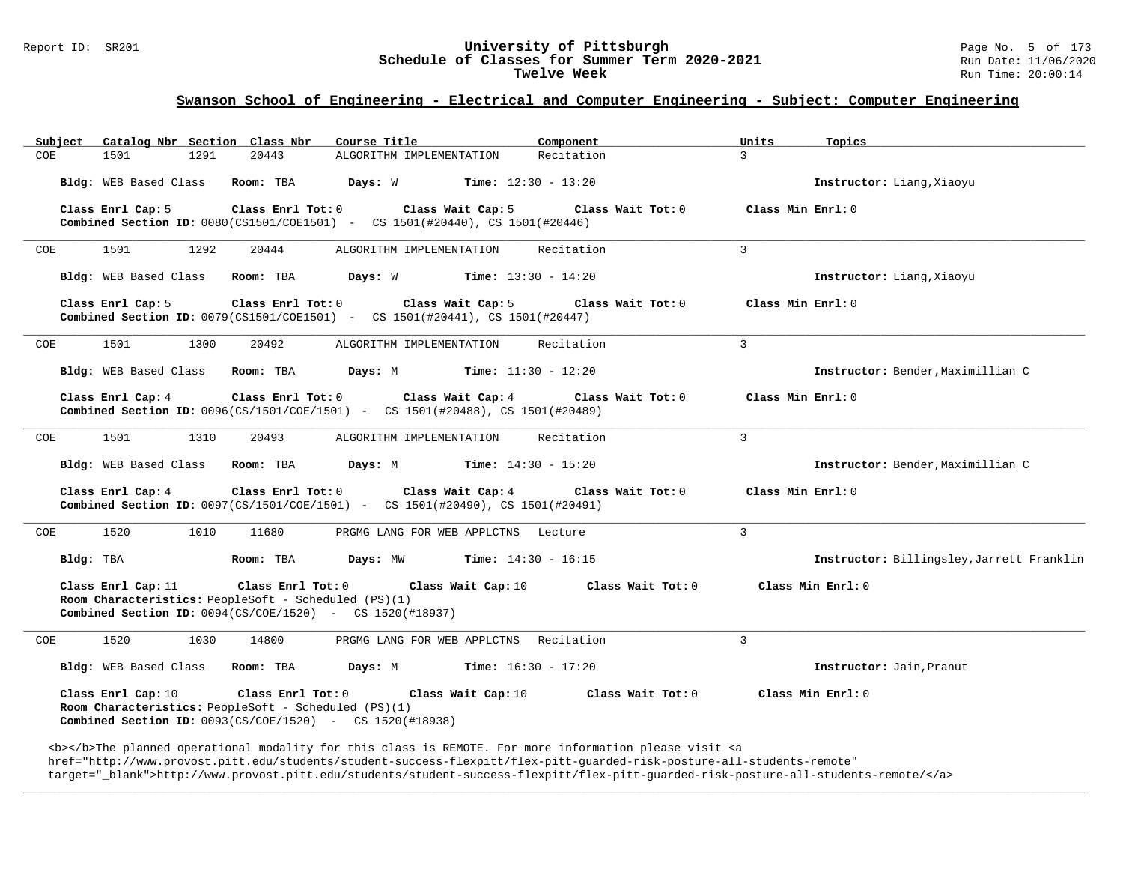# Report ID: SR201 **University of Pittsburgh University of Pittsburgh** Page No. 5 of 173<br>**Schedule of Classes for Summer Term 2020-2021** Run Date: 11/06/2020 Schedule of Classes for Summer Term 2020-2021<br>Twelve Week

### **Swanson School of Engineering - Electrical and Computer Engineering - Subject: Computer Engineering**

| Subject Catalog Nbr Section Class Nbr                                      | Course Title                                                                                                                                           | Component<br>Units                     | Topics                                    |
|----------------------------------------------------------------------------|--------------------------------------------------------------------------------------------------------------------------------------------------------|----------------------------------------|-------------------------------------------|
| COE<br>1501<br>1291                                                        | 20443<br>ALGORITHM IMPLEMENTATION                                                                                                                      | Recitation<br>$\mathcal{L}$            |                                           |
| Bldg: WEB Based Class Room: TBA                                            | <b>Days:</b> W <b>Time:</b> $12:30 - 13:20$                                                                                                            |                                        | Instructor: Liang, Xiaoyu                 |
| Class Enrl Cap: 5                                                          | Class Enrl Tot: 0 Class Wait Cap: 5<br><b>Combined Section ID:</b> 0080(CS1501/COE1501) - CS 1501(#20440), CS 1501(#20446)                             | Class Wait Tot: 0<br>Class Min Enrl: 0 |                                           |
| COE<br>1501<br>1292                                                        | 20444<br>ALGORITHM IMPLEMENTATION                                                                                                                      | $\overline{3}$<br>Recitation           |                                           |
| Bldg: WEB Based Class Room: TBA                                            | <b>Days:</b> W <b>Time:</b> $13:30 - 14:20$                                                                                                            |                                        | Instructor: Liang, Xiaoyu                 |
| Class Enrl Cap: 5                                                          | Class Enrl Tot: 0<br>Class Wait Cap: 5<br><b>Combined Section ID:</b> 0079(CS1501/COE1501) - CS 1501(#20441), CS 1501(#20447)                          | Class Min Enrl: 0<br>Class Wait Tot: 0 |                                           |
| 1501<br>1300<br>COE                                                        | 20492<br>ALGORITHM IMPLEMENTATION                                                                                                                      | 3<br>Recitation                        |                                           |
| Bldg: WEB Based Class                                                      | <b>Days:</b> M <b>Time:</b> $11:30 - 12:20$<br>Room: TBA                                                                                               |                                        | Instructor: Bender, Maximillian C         |
| Class Enrl Cap: 4                                                          | Class Enrl Tot: $0$ Class Wait Cap: $4$ Class Wait Tot: $0$<br><b>Combined Section ID:</b> $0096(CS/1501/C0E/1501)$ - CS 1501(#20488), CS 1501(#20489) | Class Min Enrl: 0                      |                                           |
| 1501<br>1310<br>COE                                                        | 20493<br>ALGORITHM IMPLEMENTATION                                                                                                                      | $\overline{3}$<br>Recitation           |                                           |
| Bldg: WEB Based Class Room: TBA                                            | <b>Days:</b> M <b>Time:</b> $14:30 - 15:20$                                                                                                            |                                        | Instructor: Bender, Maximillian C         |
| Class Enrl Cap: 4                                                          | Class Enrl Tot: 0<br>Class Wait Cap: 4<br><b>Combined Section ID:</b> 0097(CS/1501/COE/1501) - CS 1501(#20490), CS 1501(#20491)                        | Class Min Enrl: 0<br>Class Wait Tot: 0 |                                           |
| 1520<br>1010<br>COE                                                        | 11680<br>PRGMG LANG FOR WEB APPLCTNS Lecture                                                                                                           | $\overline{3}$                         |                                           |
| Bldg: TBA                                                                  | Room: TBA<br><b>Days:</b> MW <b>Time:</b> $14:30 - 16:15$                                                                                              |                                        | Instructor: Billingsley, Jarrett Franklin |
| Class Enrl Cap: 11<br>Room Characteristics: PeopleSoft - Scheduled (PS)(1) | Class Enrl Tot: 0 Class Wait Cap: 10<br><b>Combined Section ID:</b> $0094(CS/COE/1520)$ - CS $1520(\#18937)$                                           | Class Wait Tot: 0                      | Class Min Enrl: 0                         |
| 1520<br>1030<br>COE                                                        | 14800<br>PRGMG LANG FOR WEB APPLCTNS Recitation                                                                                                        | $\mathbf{3}$                           |                                           |
| Bldg: WEB Based Class Room: TBA                                            | <b>Days:</b> M <b>Time:</b> $16:30 - 17:20$                                                                                                            |                                        | Instructor: Jain, Pranut                  |
| Class Enrl Cap: 10<br>Room Characteristics: PeopleSoft - Scheduled (PS)(1) | Class Enrl Tot: 0<br>Class Wait Cap: 10<br><b>Combined Section ID:</b> $0093(CS/COE/1520)$ - CS $1520(H18938)$                                         | Class Wait Tot: 0                      | Class Min Enrl: 0                         |
|                                                                            | <b></b> The planned operational modality for this class is REMOTE. For more information please visit <a< td=""><td></td><td></td></a<>                 |                                        |                                           |

href="http://www.provost.pitt.edu/students/student-success-flexpitt/flex-pitt-guarded-risk-posture-all-students-remote"

target="\_blank">http://www.provost.pitt.edu/students/student-success-flexpitt/flex-pitt-guarded-risk-posture-all-students-remote/</a>

**\_\_\_\_\_\_\_\_\_\_\_\_\_\_\_\_\_\_\_\_\_\_\_\_\_\_\_\_\_\_\_\_\_\_\_\_\_\_\_\_\_\_\_\_\_\_\_\_\_\_\_\_\_\_\_\_\_\_\_\_\_\_\_\_\_\_\_\_\_\_\_\_\_\_\_\_\_\_\_\_\_\_\_\_\_\_\_\_\_\_\_\_\_\_\_\_\_\_\_\_\_\_\_\_\_\_\_\_\_\_\_\_\_\_\_\_\_\_\_\_\_\_\_\_\_\_\_\_\_\_\_\_\_\_\_\_\_\_\_\_\_\_\_\_\_\_\_\_\_\_\_\_\_\_\_\_**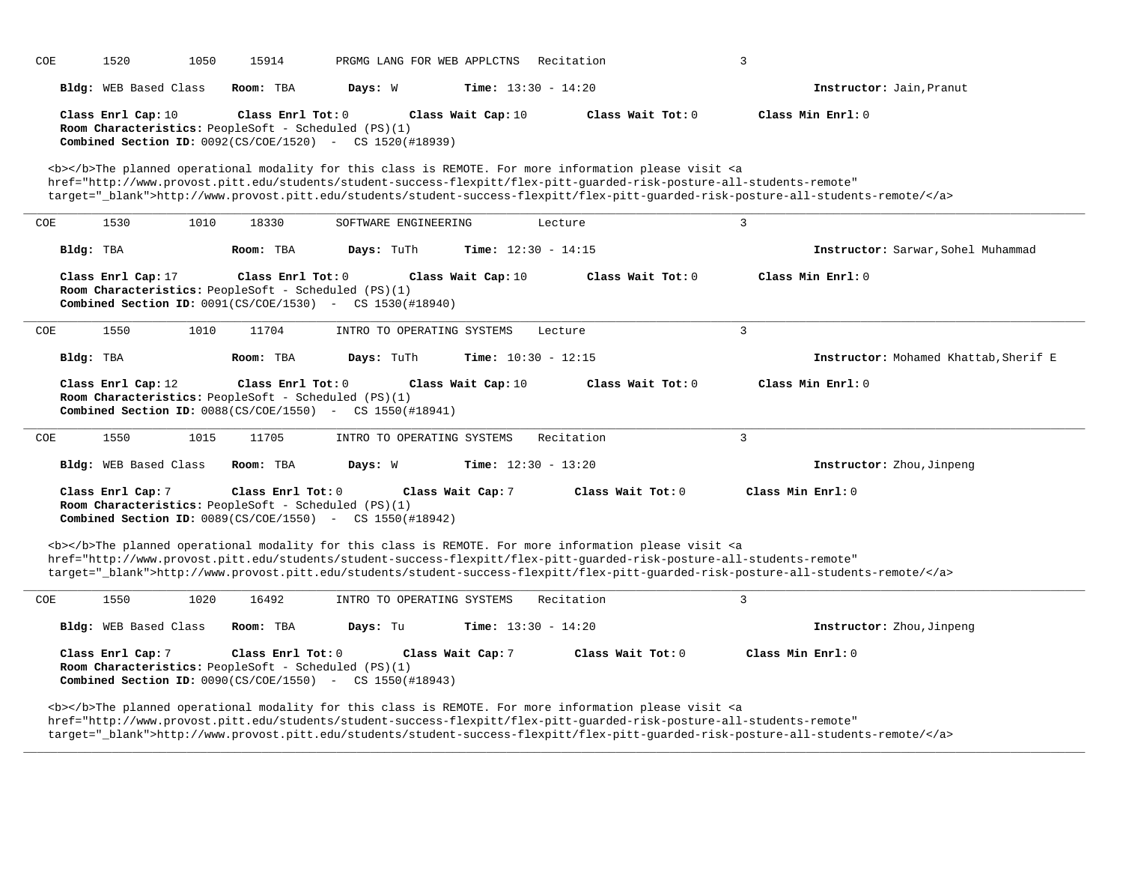| COE                                                                                                                                                                                                                                                                                                                                                                                | 1520                                                                                                                                                                                                                                                                                                                                                                               | 1050 | 15914             | PRGMG LANG FOR WEB APPLCTNS                                                                                                                                                                                                                                                                                                                                                                                              |                    | Recitation                   |                   | 3                                                                                                                                                                                                                                                            |
|------------------------------------------------------------------------------------------------------------------------------------------------------------------------------------------------------------------------------------------------------------------------------------------------------------------------------------------------------------------------------------|------------------------------------------------------------------------------------------------------------------------------------------------------------------------------------------------------------------------------------------------------------------------------------------------------------------------------------------------------------------------------------|------|-------------------|--------------------------------------------------------------------------------------------------------------------------------------------------------------------------------------------------------------------------------------------------------------------------------------------------------------------------------------------------------------------------------------------------------------------------|--------------------|------------------------------|-------------------|--------------------------------------------------------------------------------------------------------------------------------------------------------------------------------------------------------------------------------------------------------------|
|                                                                                                                                                                                                                                                                                                                                                                                    | Bldg: WEB Based Class                                                                                                                                                                                                                                                                                                                                                              |      | Room: TBA         | Days: W                                                                                                                                                                                                                                                                                                                                                                                                                  |                    | <b>Time:</b> $13:30 - 14:20$ |                   | Instructor: Jain, Pranut                                                                                                                                                                                                                                     |
|                                                                                                                                                                                                                                                                                                                                                                                    | Class Enrl Cap: 10                                                                                                                                                                                                                                                                                                                                                                 |      | Class Enrl Tot: 0 | Room Characteristics: PeopleSoft - Scheduled (PS)(1)<br><b>Combined Section ID:</b> $0092(CS/COE/1520)$ - CS $1520(H18939)$                                                                                                                                                                                                                                                                                              | Class Wait Cap: 10 |                              | Class Wait Tot: 0 | Class Min Enrl: 0                                                                                                                                                                                                                                            |
|                                                                                                                                                                                                                                                                                                                                                                                    |                                                                                                                                                                                                                                                                                                                                                                                    |      |                   | <b></b> The planned operational modality for this class is REMOTE. For more information please visit <a< td=""><td></td><td></td><td></td><td>href="http://www.provost.pitt.edu/students/student-success-flexpitt/flex-pitt-guarded-risk-posture-all-students-remote"<br/>target="_blank"&gt;http://www.provost.pitt.edu/students/student-success-flexpitt/flex-pitt-guarded-risk-posture-all-students-remote/</td></a<> |                    |                              |                   | href="http://www.provost.pitt.edu/students/student-success-flexpitt/flex-pitt-guarded-risk-posture-all-students-remote"<br>target="_blank">http://www.provost.pitt.edu/students/student-success-flexpitt/flex-pitt-guarded-risk-posture-all-students-remote/ |
| COE                                                                                                                                                                                                                                                                                                                                                                                | 1530                                                                                                                                                                                                                                                                                                                                                                               | 1010 | 18330             | SOFTWARE ENGINEERING                                                                                                                                                                                                                                                                                                                                                                                                     |                    | Lecture                      |                   | $\overline{3}$                                                                                                                                                                                                                                               |
|                                                                                                                                                                                                                                                                                                                                                                                    | Bldg: TBA                                                                                                                                                                                                                                                                                                                                                                          |      | Room: TBA         | Days: TuTh                                                                                                                                                                                                                                                                                                                                                                                                               |                    | Time: $12:30 - 14:15$        |                   | Instructor: Sarwar, Sohel Muhammad                                                                                                                                                                                                                           |
|                                                                                                                                                                                                                                                                                                                                                                                    | Class Enrl Cap: 17                                                                                                                                                                                                                                                                                                                                                                 |      | Class Enrl Tot: 0 | Room Characteristics: PeopleSoft - Scheduled (PS)(1)<br><b>Combined Section ID:</b> 0091(CS/COE/1530) - CS 1530(#18940)                                                                                                                                                                                                                                                                                                  | Class Wait Cap: 10 |                              | Class Wait Tot: 0 | Class Min Enrl: 0                                                                                                                                                                                                                                            |
| COE                                                                                                                                                                                                                                                                                                                                                                                | 1550                                                                                                                                                                                                                                                                                                                                                                               | 1010 | 11704             | INTRO TO OPERATING SYSTEMS                                                                                                                                                                                                                                                                                                                                                                                               |                    | Lecture                      |                   | $\overline{3}$                                                                                                                                                                                                                                               |
|                                                                                                                                                                                                                                                                                                                                                                                    | Bldg: TBA                                                                                                                                                                                                                                                                                                                                                                          |      | Room: TBA         | Days: TuTh                                                                                                                                                                                                                                                                                                                                                                                                               |                    | Time: $10:30 - 12:15$        |                   | Instructor: Mohamed Khattab, Sherif E                                                                                                                                                                                                                        |
|                                                                                                                                                                                                                                                                                                                                                                                    | Class Enrl Cap: 12                                                                                                                                                                                                                                                                                                                                                                 |      | Class Enrl Tot: 0 | Room Characteristics: PeopleSoft - Scheduled (PS)(1)<br>Combined Section ID: 0088(CS/COE/1550) - CS 1550(#18941)                                                                                                                                                                                                                                                                                                         | Class Wait Cap: 10 |                              | Class Wait Tot: 0 | Class Min Enrl: 0                                                                                                                                                                                                                                            |
| COE                                                                                                                                                                                                                                                                                                                                                                                | 1550                                                                                                                                                                                                                                                                                                                                                                               | 1015 | 11705             | INTRO TO OPERATING SYSTEMS                                                                                                                                                                                                                                                                                                                                                                                               |                    | Recitation                   |                   | 3                                                                                                                                                                                                                                                            |
|                                                                                                                                                                                                                                                                                                                                                                                    | Bldg: WEB Based Class                                                                                                                                                                                                                                                                                                                                                              |      | Room: TBA         | Days: W                                                                                                                                                                                                                                                                                                                                                                                                                  |                    | <b>Time:</b> $12:30 - 13:20$ |                   | Instructor: Zhou, Jinpeng                                                                                                                                                                                                                                    |
|                                                                                                                                                                                                                                                                                                                                                                                    | Class Enrl Cap: 7                                                                                                                                                                                                                                                                                                                                                                  |      | Class Enrl Tot: 0 | Room Characteristics: PeopleSoft - Scheduled (PS)(1)<br><b>Combined Section ID:</b> $0089(CS/COE/1550)$ - CS $1550(\#18942)$                                                                                                                                                                                                                                                                                             | Class Wait Cap: 7  | Class Wait Tot: 0            |                   | Class Min Enrl: 0                                                                                                                                                                                                                                            |
| <b></b> The planned operational modality for this class is REMOTE. For more information please visit <a<br>href="http://www.provost.pitt.edu/students/student-success-flexpitt/flex-pitt-quarded-risk-posture-all-students-remote"<br/>target="_blank"&gt;http://www.provost.pitt.edu/students/student-success-flexpitt/flex-pitt-quarded-risk-posture-all-students-remote/</a<br> |                                                                                                                                                                                                                                                                                                                                                                                    |      |                   |                                                                                                                                                                                                                                                                                                                                                                                                                          |                    |                              |                   |                                                                                                                                                                                                                                                              |
| COE                                                                                                                                                                                                                                                                                                                                                                                | 1550                                                                                                                                                                                                                                                                                                                                                                               | 1020 | 16492             | INTRO TO OPERATING SYSTEMS                                                                                                                                                                                                                                                                                                                                                                                               |                    | Recitation                   |                   | 3                                                                                                                                                                                                                                                            |
|                                                                                                                                                                                                                                                                                                                                                                                    | Bldg: WEB Based Class                                                                                                                                                                                                                                                                                                                                                              |      | Room: TBA         | Days: Tu                                                                                                                                                                                                                                                                                                                                                                                                                 |                    | Time: $13:30 - 14:20$        |                   | Instructor: Zhou, Jinpeng                                                                                                                                                                                                                                    |
|                                                                                                                                                                                                                                                                                                                                                                                    | Class Enrl Tot: 0<br>Class Min Enrl: 0<br>Class Enrl Cap: 7<br>Class Wait Cap: 7<br>Class Wait Tot: 0<br>Room Characteristics: PeopleSoft - Scheduled (PS)(1)<br><b>Combined Section ID:</b> $0090(CS/COE/1550)$ - CS $1550(H18943)$                                                                                                                                               |      |                   |                                                                                                                                                                                                                                                                                                                                                                                                                          |                    |                              |                   |                                                                                                                                                                                                                                                              |
|                                                                                                                                                                                                                                                                                                                                                                                    | <b></b> The planned operational modality for this class is REMOTE. For more information please visit <a<br>href="http://www.provost.pitt.edu/students/student-success-flexpitt/flex-pitt-quarded-risk-posture-all-students-remote"<br/>target="_blank"&gt;http://www.provost.pitt.edu/students/student-success-flexpitt/flex-pitt-quarded-risk-posture-all-students-remote/</a<br> |      |                   |                                                                                                                                                                                                                                                                                                                                                                                                                          |                    |                              |                   |                                                                                                                                                                                                                                                              |

**\_\_\_\_\_\_\_\_\_\_\_\_\_\_\_\_\_\_\_\_\_\_\_\_\_\_\_\_\_\_\_\_\_\_\_\_\_\_\_\_\_\_\_\_\_\_\_\_\_\_\_\_\_\_\_\_\_\_\_\_\_\_\_\_\_\_\_\_\_\_\_\_\_\_\_\_\_\_\_\_\_\_\_\_\_\_\_\_\_\_\_\_\_\_\_\_\_\_\_\_\_\_\_\_\_\_\_\_\_\_\_\_\_\_\_\_\_\_\_\_\_\_\_\_\_\_\_\_\_\_\_\_\_\_\_\_\_\_\_\_\_\_\_\_\_\_\_\_\_\_\_\_\_\_\_\_**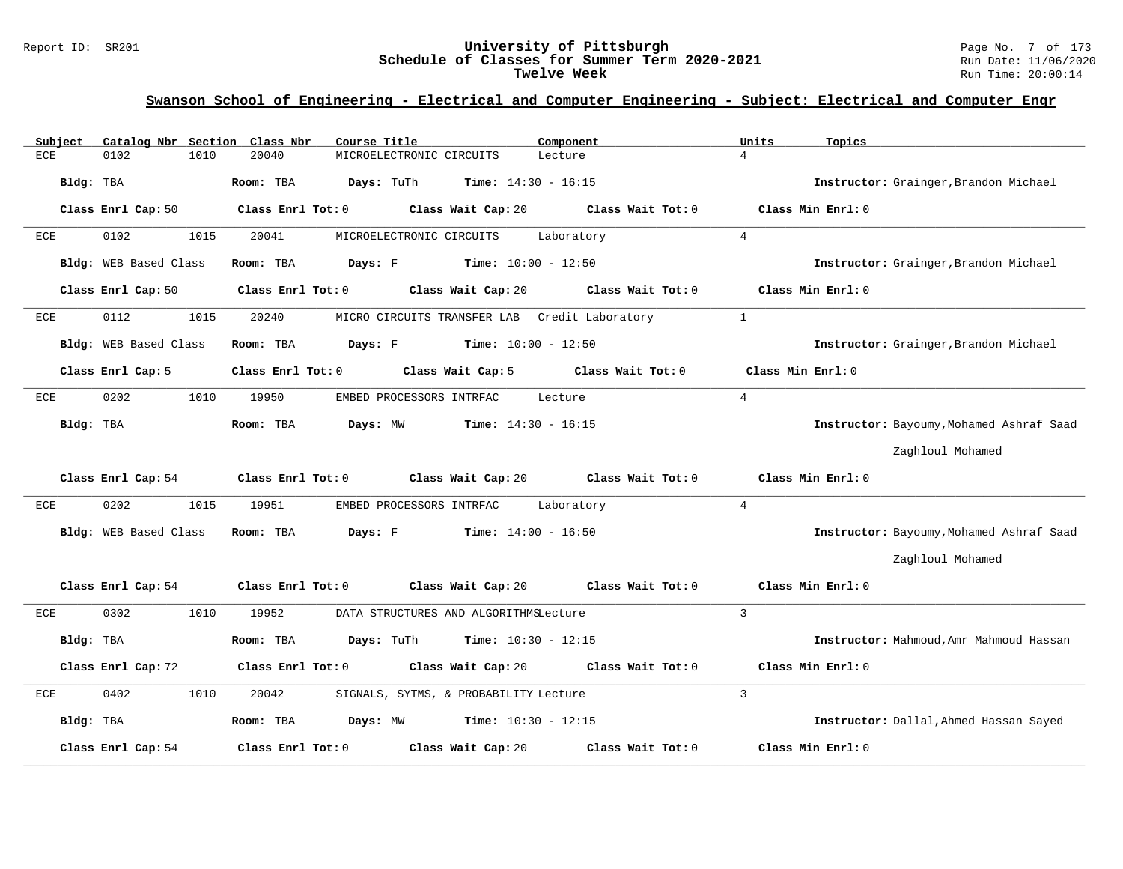#### Report ID: SR201 **University of Pittsburgh** Page No. 7 of 173 **Schedule of Classes for Summer Term 2020-2021** Run Date: 11/06/2020 **Twelve Week** Run Time: 20:00:14

# **Swanson School of Engineering - Electrical and Computer Engineering - Subject: Electrical and Computer Engr**

| Subject   | Catalog Nbr Section Class Nbr | Course Title                                                | Component                    | Units<br>Topics                          |  |
|-----------|-------------------------------|-------------------------------------------------------------|------------------------------|------------------------------------------|--|
| ECE       | 0102<br>1010                  | 20040<br>MICROELECTRONIC CIRCUITS                           | Lecture                      | $\overline{4}$                           |  |
| Bldg: TBA |                               | Room: TBA<br>Days: TuTh                                     | <b>Time:</b> $14:30 - 16:15$ | Instructor: Grainger, Brandon Michael    |  |
|           | Class Enrl Cap: 50            | Class Enrl Tot: 0 Class Wait Cap: 20 Class Wait Tot: 0      |                              | Class Min Enrl: 0                        |  |
| ECE       | 0102<br>1015                  | 20041<br>MICROELECTRONIC CIRCUITS                           | Laboratory                   | $\overline{4}$                           |  |
|           | Bldg: WEB Based Class         | <b>Days:</b> $F$ <b>Time:</b> $10:00 - 12:50$<br>Room: TBA  |                              | Instructor: Grainger, Brandon Michael    |  |
|           | Class Enrl Cap: 50            | Class Enrl Tot: 0 Class Wait Cap: 20                        | Class Wait Tot: 0            | Class Min Enrl: 0                        |  |
| ECE       | 0112<br>1015                  | 20240<br>MICRO CIRCUITS TRANSFER LAB Credit Laboratory      |                              | $\mathbf{1}$                             |  |
|           | Bldg: WEB Based Class         | <b>Days:</b> F Time: $10:00 - 12:50$<br>Room: TBA           |                              | Instructor: Grainger, Brandon Michael    |  |
|           | Class Enrl Cap: 5             | Class Wait Cap: 5<br>Class Enrl Tot: 0                      | Class Wait Tot: 0            | Class Min Enrl: 0                        |  |
| ECE       | 0202<br>1010                  | 19950<br>EMBED PROCESSORS INTRFAC                           | Lecture                      | $\overline{4}$                           |  |
| Bldg: TBA |                               | Room: TBA<br>Days: MW                                       | <b>Time:</b> $14:30 - 16:15$ | Instructor: Bayoumy, Mohamed Ashraf Saad |  |
|           |                               |                                                             |                              | Zaghloul Mohamed                         |  |
|           |                               | Class Enrl Cap: 54 Class Enrl Tot: 0 Class Wait Cap: 20     | Class Wait Tot: 0            | Class Min Enrl: 0                        |  |
| ECE       | 0202<br>1015                  | 19951<br>EMBED PROCESSORS INTRFAC                           | Laboratory                   | $\overline{4}$                           |  |
|           | Bldg: WEB Based Class         | Days: F<br><b>Time:</b> $14:00 - 16:50$<br>Room: TBA        |                              | Instructor: Bayoumy, Mohamed Ashraf Saad |  |
|           |                               |                                                             |                              | Zaghloul Mohamed                         |  |
|           | Class Enrl Cap: 54            | Class Wait Cap: 20<br>Class Enrl Tot: 0                     | Class Wait Tot: 0            | Class Min Enrl: 0                        |  |
| ECE       | 0302<br>1010                  | 19952<br>DATA STRUCTURES AND ALGORITHMSLecture              |                              | $\overline{3}$                           |  |
| Bldg: TBA |                               | <b>Days:</b> TuTh <b>Time:</b> $10:30 - 12:15$<br>Room: TBA |                              | Instructor: Mahmoud, Amr Mahmoud Hassan  |  |
|           | Class Enrl Cap: 72            | Class Enrl Tot: 0 Class Wait Cap: 20                        | Class Wait Tot: 0            | Class Min Enrl: 0                        |  |
| ECE       | 0402<br>1010                  | 20042<br>SIGNALS, SYTMS, & PROBABILITY Lecture              |                              | $\overline{3}$                           |  |
| Bldg: TBA |                               | <b>Days:</b> MW <b>Time:</b> $10:30 - 12:15$<br>Room: TBA   |                              | Instructor: Dallal, Ahmed Hassan Sayed   |  |
|           | Class Enrl Cap: 54            | Class Enrl Tot: 0<br>Class Wait Cap: 20                     | Class Wait Tot: 0            | Class Min Enrl: 0                        |  |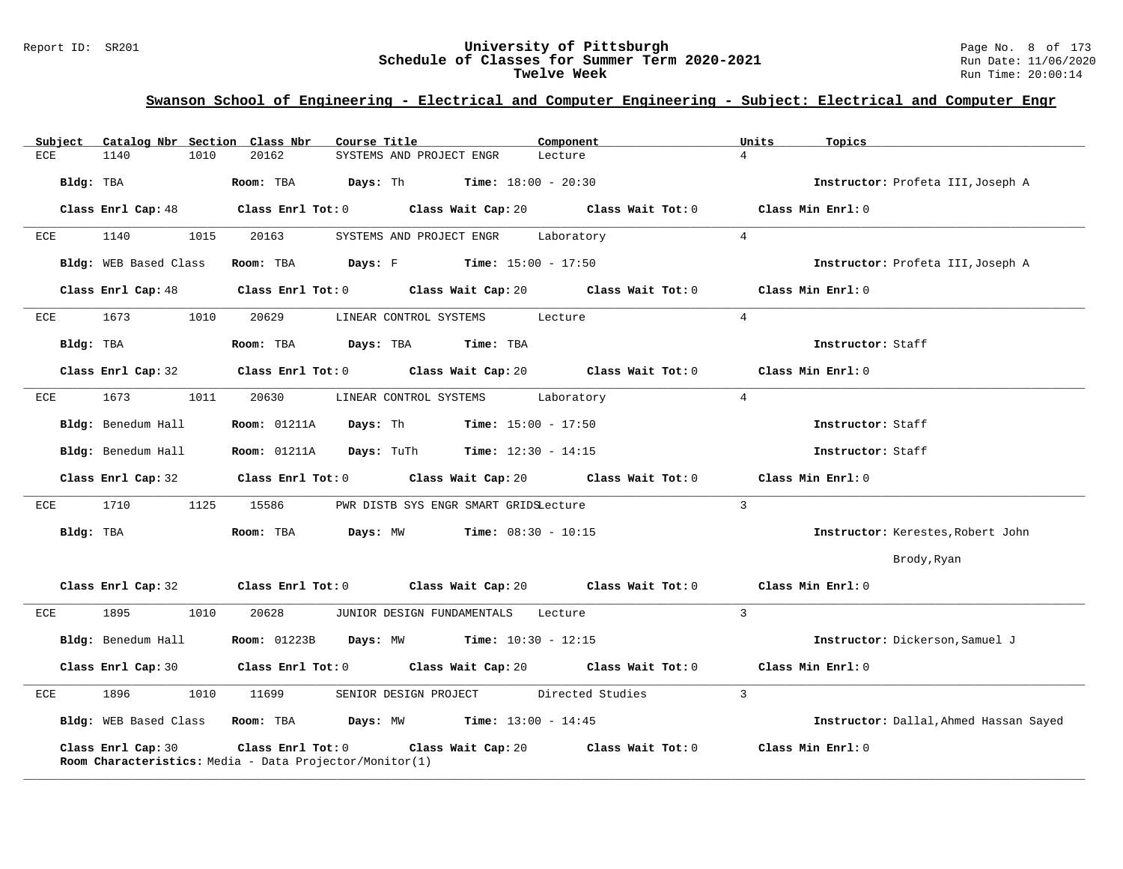#### Report ID: SR201 **University of Pittsburgh** Page No. 8 of 173 **Schedule of Classes for Summer Term 2020-2021** Run Date: 11/06/2020 **Twelve Week** Run Time: 20:00:14

# **Swanson School of Engineering - Electrical and Computer Engineering - Subject: Electrical and Computer Engr**

| Catalog Nbr Section Class Nbr<br>Subject | Course Title                                                                                       | Component                            | Units<br>Topics                        |
|------------------------------------------|----------------------------------------------------------------------------------------------------|--------------------------------------|----------------------------------------|
| ECE<br>1140<br>1010                      | 20162<br>SYSTEMS AND PROJECT ENGR                                                                  | Lecture                              | $\overline{4}$                         |
| Bldg: TBA                                | Room: TBA<br>Days: Th<br><b>Time:</b> $18:00 - 20:30$                                              |                                      | Instructor: Profeta III, Joseph A      |
| Class Enrl Cap: 48                       | Class Enrl Tot: 0                                                                                  | Class Wait Cap: 20 Class Wait Tot: 0 | Class Min Enrl: 0                      |
| 1140<br>1015<br>ECE                      | 20163<br>SYSTEMS AND PROJECT ENGR                                                                  | Laboratory                           | $\overline{4}$                         |
| Bldg: WEB Based Class                    | <b>Days:</b> F Time: $15:00 - 17:50$<br>Room: TBA                                                  |                                      | Instructor: Profeta III, Joseph A      |
| Class Enrl Cap: 48                       | Class Enrl Tot: $0$ Class Wait Cap: $20$ Class Wait Tot: $0$                                       |                                      | Class Min Enrl: 0                      |
| 1673<br>1010<br>ECE                      | 20629<br>LINEAR CONTROL SYSTEMS                                                                    | Lecture                              | $\overline{4}$                         |
| Bldg: TBA                                | Days: TBA<br>Time: TBA<br>Room: TBA                                                                |                                      | Instructor: Staff                      |
| Class Enrl Cap: 32                       | Class Enrl Tot: 0 Class Wait Cap: 20                                                               | Class Wait Tot: 0                    | Class Min Enrl: 0                      |
| 1673<br>1011<br>ECE                      | 20630<br>LINEAR CONTROL SYSTEMS                                                                    | Laboratory                           | $\overline{4}$                         |
| Bldg: Benedum Hall                       | Days: Th<br><b>Room:</b> 01211A<br><b>Time:</b> $15:00 - 17:50$                                    |                                      | Instructor: Staff                      |
| Bldg: Benedum Hall                       | <b>Room: 01211A</b><br><b>Days:</b> TuTh <b>Time:</b> $12:30 - 14:15$                              |                                      | Instructor: Staff                      |
| Class Enrl Cap: 32                       | Class Enrl Tot: 0 Class Wait Cap: 20                                                               | Class Wait Tot: 0                    | Class Min Enrl: 0                      |
| 1125<br>1710<br>ECE                      | 15586<br>PWR DISTB SYS ENGR SMART GRIDSLecture                                                     |                                      | $\overline{3}$                         |
| Bldg: TBA                                | Room: TBA<br>Days: MW<br><b>Time:</b> $08:30 - 10:15$                                              |                                      | Instructor: Kerestes, Robert John      |
|                                          |                                                                                                    |                                      | Brody, Ryan                            |
| Class Enrl Cap: 32                       | Class Enrl Tot: $0$ Class Wait Cap: $20$ Class Wait Tot: $0$ Class Min Enrl: $0$                   |                                      |                                        |
| 1895<br>1010<br>ECE                      | 20628<br>JUNIOR DESIGN FUNDAMENTALS Lecture                                                        |                                      | $\mathbf{3}$                           |
| Bldg: Benedum Hall                       | <b>Days:</b> MW <b>Time:</b> $10:30 - 12:15$<br><b>Room:</b> 01223B                                |                                      | Instructor: Dickerson, Samuel J        |
| Class Enrl Cap: 30                       | Class Enrl Tot: 0 Class Wait Cap: 20 Class Wait Tot: 0                                             |                                      | Class Min Enrl: 0                      |
| 1896<br>1010<br>ECE                      | SENIOR DESIGN PROJECT<br>11699                                                                     | Directed Studies                     | $\mathcal{L}$                          |
|                                          | Bldg: WEB Based Class Room: TBA Days: MW Time: 13:00 - 14:45                                       |                                      | Instructor: Dallal, Ahmed Hassan Sayed |
| Class Enrl Cap: 30                       | Class Enrl Tot: 0<br>Class Wait Cap: 20<br>Room Characteristics: Media - Data Projector/Monitor(1) | Class Wait Tot: 0                    | Class Min Enrl: 0                      |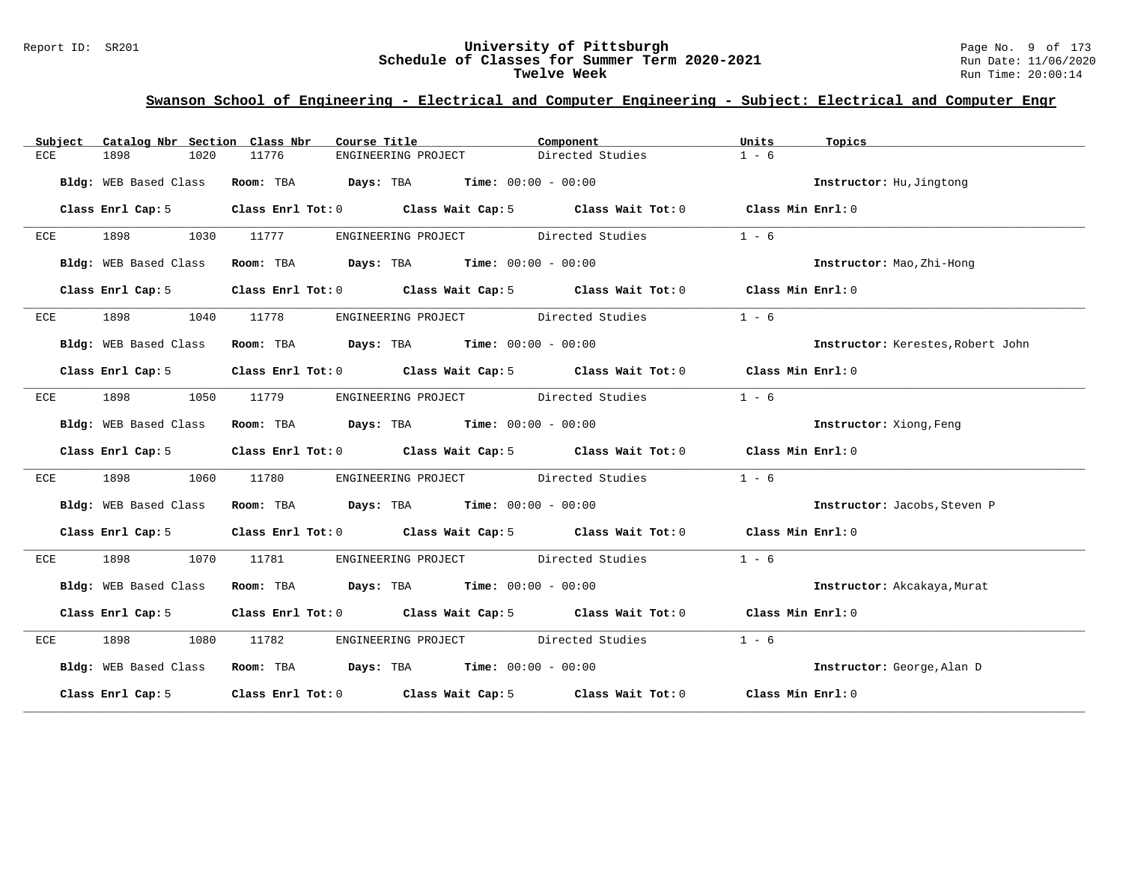#### Report ID: SR201 **University of Pittsburgh** Page No. 9 of 173 **Schedule of Classes for Summer Term 2020-2021** Run Date: 11/06/2020 **Twelve Week** Run Time: 20:00:14

# **Swanson School of Engineering - Electrical and Computer Engineering - Subject: Electrical and Computer Engr**

| Subject | Catalog Nbr Section Class Nbr |            | Course Title                                                                                       | Component        | Units   | Topics                            |
|---------|-------------------------------|------------|----------------------------------------------------------------------------------------------------|------------------|---------|-----------------------------------|
| ECE     | 1898<br>1020                  | 11776      | ENGINEERING PROJECT                                                                                | Directed Studies | $1 - 6$ |                                   |
|         | Bldg: WEB Based Class         |            | Room: TBA $Days:$ TBA $Time: 00:00 - 00:00$                                                        |                  |         | Instructor: Hu, Jingtong          |
|         | Class Enrl Cap: 5             |            | Class Enrl Tot: 0 Class Wait Cap: 5 Class Wait Tot: 0 Class Min Enrl: 0                            |                  |         |                                   |
| ECE     | 1898 1030 11777               |            | ENGINEERING PROJECT Directed Studies                                                               |                  | $1 - 6$ |                                   |
|         | Bldg: WEB Based Class         |            | Room: TBA $Days:$ TBA $Time: 00:00 - 00:00$                                                        |                  |         | Instructor: Mao, Zhi-Hong         |
|         | Class Enrl Cap: 5             |            | Class Enrl Tot: 0 Class Wait Cap: 5 Class Wait Tot: 0 Class Min Enrl: 0                            |                  |         |                                   |
| ECE     | 1898                          | 1040 11778 | ENGINEERING PROJECT Directed Studies                                                               |                  | $1 - 6$ |                                   |
|         | Bldg: WEB Based Class         |            | Room: TBA $\rule{1em}{0.15mm}$ Days: TBA $\rule{1.5mm}{0.15mm}$ Time: $00:00 - 00:00$              |                  |         | Instructor: Kerestes, Robert John |
|         | Class Enrl Cap: 5             |            | Class Enrl Tot: 0 Class Wait Cap: 5 Class Wait Tot: 0 Class Min Enrl: 0                            |                  |         |                                   |
| ECE     | 1898                          | 1050 11779 | ENGINEERING PROJECT Directed Studies                                                               |                  | $1 - 6$ |                                   |
|         | Bldg: WEB Based Class         |            | Room: TBA $Days:$ TBA $Time:$ $00:00 - 00:00$                                                      |                  |         | <b>Instructor:</b> Xiong, Feng    |
|         | Class Enrl Cap: 5             |            | Class Enrl Tot: 0 Class Wait Cap: 5 Class Wait Tot: 0 Class Min Enrl: 0                            |                  |         |                                   |
| ECE     | 1898<br>1060                  | 11780      | ENGINEERING PROJECT Directed Studies                                                               |                  | $1 - 6$ |                                   |
|         | Bldg: WEB Based Class         |            | Room: TBA $Days: TBA$ Time: $00:00 - 00:00$                                                        |                  |         | Instructor: Jacobs, Steven P      |
|         | Class Enrl Cap: 5             |            | Class Enrl Tot: 0 $\qquad$ Class Wait Cap: 5 $\qquad$ Class Wait Tot: 0 $\qquad$ Class Min Enrl: 0 |                  |         |                                   |
| ECE     | 1898<br>1070                  | 11781      | ENGINEERING PROJECT Directed Studies                                                               |                  | $1 - 6$ |                                   |
|         |                               |            | Bldg: WEB Based Class Room: TBA Days: TBA Time: 00:00 - 00:00                                      |                  |         | Instructor: Akcakaya, Murat       |
|         |                               |            | Class Enrl Cap: 5 Class Enrl Tot: 0 Class Wait Cap: 5 Class Wait Tot: 0 Class Min Enrl: 0          |                  |         |                                   |
| ECE     | 1898 1080                     | 11782      | ENGINEERING PROJECT Directed Studies                                                               |                  | $1 - 6$ |                                   |
|         | Bldg: WEB Based Class         |            | Room: TBA $Days: TBA$ Time: $00:00 - 00:00$                                                        |                  |         | Instructor: George, Alan D        |
|         | Class Enrl Cap: 5             |            | Class Enrl Tot: 0 Class Wait Cap: 5 Class Wait Tot: 0 Class Min Enrl: 0                            |                  |         |                                   |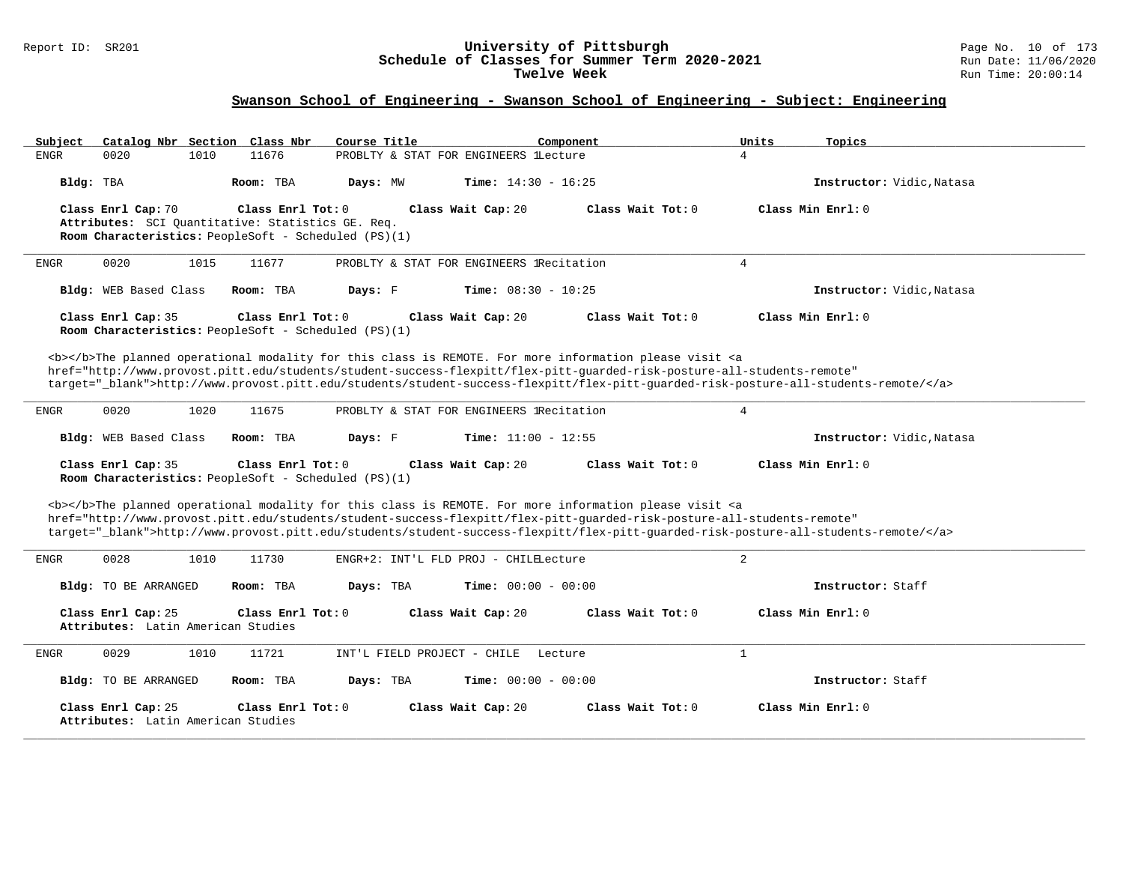#### Report ID: SR201 **University of Pittsburgh** Page No. 10 of 173 **Schedule of Classes for Summer Term 2020-2021** Run Date: 11/06/2020 **Twelve Week** Run Time: 20:00:14

| Subject     |                                    | Catalog Nbr Section Class Nbr                                                                             | Course Title                |                                          | Component                                                                                                                                                                                                                                 | Units<br>Topics                                                                                                                   |  |
|-------------|------------------------------------|-----------------------------------------------------------------------------------------------------------|-----------------------------|------------------------------------------|-------------------------------------------------------------------------------------------------------------------------------------------------------------------------------------------------------------------------------------------|-----------------------------------------------------------------------------------------------------------------------------------|--|
| ENGR        | 0020                               | 11676<br>1010                                                                                             |                             | PROBLTY & STAT FOR ENGINEERS lLecture    |                                                                                                                                                                                                                                           | $\overline{4}$                                                                                                                    |  |
| Bldg: TBA   |                                    | Room: TBA                                                                                                 | Days: MW                    | <b>Time:</b> $14:30 - 16:25$             |                                                                                                                                                                                                                                           | Instructor: Vidic, Natasa                                                                                                         |  |
|             | Class Enrl Cap: 70                 | Class Enrl Tot: 0                                                                                         |                             | Class Wait Cap: 20                       | Class Wait Tot: 0                                                                                                                                                                                                                         | Class Min Enrl: 0                                                                                                                 |  |
|             |                                    | Attributes: SCI Ouantitative: Statistics GE. Req.<br>Room Characteristics: PeopleSoft - Scheduled (PS)(1) |                             |                                          |                                                                                                                                                                                                                                           |                                                                                                                                   |  |
|             |                                    |                                                                                                           |                             |                                          |                                                                                                                                                                                                                                           |                                                                                                                                   |  |
| ENGR        | 0020                               | 1015<br>11677                                                                                             |                             | PROBLTY & STAT FOR ENGINEERS IRecitation |                                                                                                                                                                                                                                           | $\overline{4}$                                                                                                                    |  |
|             | Bldg: WEB Based Class              | Room: TBA                                                                                                 | Days: F                     | Time: $08:30 - 10:25$                    |                                                                                                                                                                                                                                           | Instructor: Vidic, Natasa                                                                                                         |  |
|             | Class Enrl Cap: 35                 | Class Enrl Tot: $0$<br>Room Characteristics: PeopleSoft - Scheduled (PS)(1)                               |                             | Class Wait Cap: 20                       | Class Wait Tot: 0                                                                                                                                                                                                                         | Class Min Enrl: 0                                                                                                                 |  |
|             |                                    |                                                                                                           |                             |                                          |                                                                                                                                                                                                                                           |                                                                                                                                   |  |
|             |                                    |                                                                                                           |                             |                                          | <b></b> The planned operational modality for this class is REMOTE. For more information please visit <a<br>href="http://www.provost.pitt.edu/students/student-success-flexpitt/flex-pitt-quarded-risk-posture-all-students-remote"</a<br> |                                                                                                                                   |  |
|             |                                    |                                                                                                           |                             |                                          |                                                                                                                                                                                                                                           | target="_blank">http://www.provost.pitt.edu/students/student-success-flexpitt/flex-pitt-guarded-risk-posture-all-students-remote/ |  |
| ENGR        | 0020                               | 1020<br>11675                                                                                             |                             | PROBLTY & STAT FOR ENGINEERS IRecitation |                                                                                                                                                                                                                                           | $\overline{4}$                                                                                                                    |  |
|             |                                    |                                                                                                           |                             |                                          |                                                                                                                                                                                                                                           |                                                                                                                                   |  |
|             | Bldg: WEB Based Class              | Room: TBA                                                                                                 | Days: F                     | <b>Time:</b> $11:00 - 12:55$             |                                                                                                                                                                                                                                           | Instructor: Vidic, Natasa                                                                                                         |  |
|             | Class Enrl Cap: 35                 | Class Enrl Tot: 0                                                                                         |                             | Class Wait Cap: 20                       | Class Wait Tot: 0                                                                                                                                                                                                                         | Class Min Enrl: 0                                                                                                                 |  |
|             |                                    | Room Characteristics: PeopleSoft - Scheduled (PS)(1)                                                      |                             |                                          |                                                                                                                                                                                                                                           |                                                                                                                                   |  |
|             |                                    |                                                                                                           |                             |                                          | <b></b> The planned operational modality for this class is REMOTE. For more information please visit <a< td=""><td></td><td></td></a<>                                                                                                    |                                                                                                                                   |  |
|             |                                    |                                                                                                           |                             |                                          | href="http://www.provost.pitt.edu/students/student-success-flexpitt/flex-pitt-quarded-risk-posture-all-students-remote"                                                                                                                   |                                                                                                                                   |  |
|             |                                    |                                                                                                           |                             |                                          |                                                                                                                                                                                                                                           | target="_blank">http://www.provost.pitt.edu/students/student-success-flexpitt/flex-pitt-quarded-risk-posture-all-students-remote/ |  |
| ENGR        | 0028                               | 1010<br>11730                                                                                             |                             | ENGR+2: INT'L FLD PROJ - CHILELecture    |                                                                                                                                                                                                                                           | 2                                                                                                                                 |  |
|             | Bldg: TO BE ARRANGED               | Room: TBA                                                                                                 | Days: TBA                   | <b>Time:</b> $00:00 - 00:00$             |                                                                                                                                                                                                                                           | Instructor: Staff                                                                                                                 |  |
|             | Class Enrl Cap: 25                 | Class Enrl Tot: 0                                                                                         |                             | Class Wait Cap: 20                       | Class Wait Tot: 0                                                                                                                                                                                                                         | Class Min Enrl: 0                                                                                                                 |  |
|             | Attributes: Latin American Studies |                                                                                                           |                             |                                          |                                                                                                                                                                                                                                           |                                                                                                                                   |  |
| <b>ENGR</b> | 0029                               | 1010<br>11721                                                                                             | INT'L FIELD PROJECT - CHILE | Lecture                                  |                                                                                                                                                                                                                                           | $\mathbf{1}$                                                                                                                      |  |
|             | Bldg: TO BE ARRANGED               | Room: TBA                                                                                                 | Days: TBA                   | <b>Time:</b> $00:00 - 00:00$             |                                                                                                                                                                                                                                           | Instructor: Staff                                                                                                                 |  |
|             | Class Enrl Cap: 25                 | Class Enrl Tot: $0$                                                                                       |                             | Class Wait Cap: 20                       | Class Wait Tot: $0$                                                                                                                                                                                                                       | Class Min Enrl: 0                                                                                                                 |  |
|             | Attributes: Latin American Studies |                                                                                                           |                             |                                          |                                                                                                                                                                                                                                           |                                                                                                                                   |  |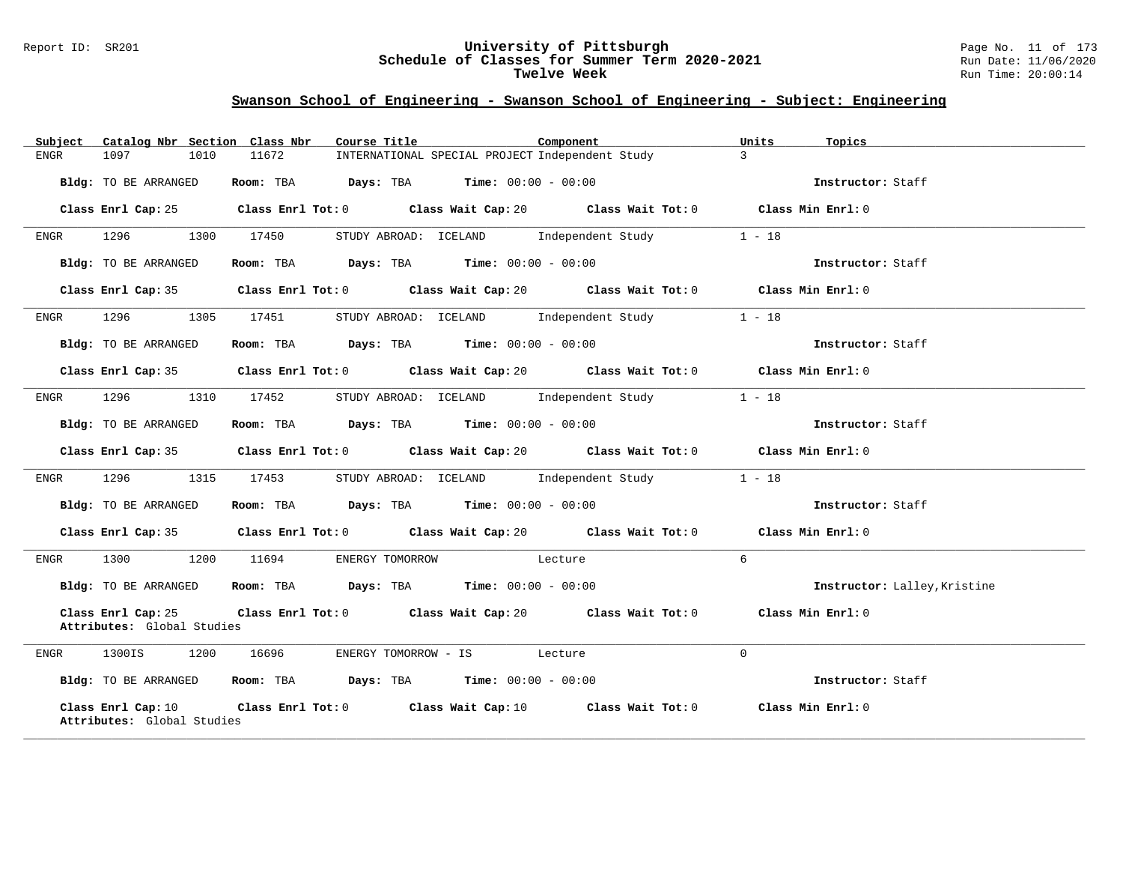#### Report ID: SR201 **University of Pittsburgh** Page No. 11 of 173 **Schedule of Classes for Summer Term 2020-2021** Run Date: 11/06/2020 **Twelve Week** Run Time: 20:00:14

| Catalog Nbr Section Class Nbr<br>Subject         | Course Title                                                                                        | Component     | Units<br>Topics              |
|--------------------------------------------------|-----------------------------------------------------------------------------------------------------|---------------|------------------------------|
| 1097<br>1010<br>ENGR                             | 11672<br>INTERNATIONAL SPECIAL PROJECT Independent Study                                            | $\mathcal{L}$ |                              |
| Bldg: TO BE ARRANGED                             | Room: TBA $\rule{1em}{0.15mm}$ Days: TBA $\rule{1.5mm}{0.15mm}$ Time: $00:00 - 00:00$               |               | Instructor: Staff            |
| Class Enrl Cap: 25                               | Class Enrl Tot: 0 Class Wait Cap: 20 Class Wait Tot: 0 Class Min Enrl: 0                            |               |                              |
| 1296<br>1300<br>ENGR                             | 17450<br>STUDY ABROAD: ICELAND Independent Study                                                    |               | $1 - 18$                     |
| Bldg: TO BE ARRANGED                             | Room: TBA $\rule{1em}{0.15mm}$ Days: TBA $\rule{1.5mm}{0.15mm}$ Time: $00:00 - 00:00$               |               | Instructor: Staff            |
|                                                  | Class Enrl Cap: 35 Class Enrl Tot: 0 Class Wait Cap: 20 Class Wait Tot: 0 Class Min Enrl: 0         |               |                              |
| 1296<br>1305<br>ENGR                             | STUDY ABROAD: ICELAND Independent Study<br>17451                                                    |               | $1 - 18$                     |
| Bldg: TO BE ARRANGED                             | Room: TBA $Days:$ TBA $Time: 00:00 - 00:00$                                                         |               | Instructor: Staff            |
|                                                  | Class Enrl Cap: 35 Class Enrl Tot: 0 Class Wait Cap: 20 Class Wait Tot: 0 Class Min Enrl: 0         |               |                              |
| 1296<br>1310<br>ENGR                             | STUDY ABROAD: ICELAND Independent Study<br>17452                                                    |               | $1 - 18$                     |
| Bldg: TO BE ARRANGED                             | Room: TBA $\rule{1em}{0.15mm}$ Days: TBA Time: $00:00 - 00:00$                                      |               | Instructor: Staff            |
|                                                  | Class Enrl Cap: 35 Class Enrl Tot: 0 Class Wait Cap: 20 Class Wait Tot: 0 Class Min Enrl: 0         |               |                              |
| 1296<br>1315<br>ENGR                             | STUDY ABROAD: ICELAND Independent Study<br>17453                                                    |               | $1 - 18$                     |
| Bldg: TO BE ARRANGED                             | Room: TBA $Days:$ TBA $Time:$ 00:00 - 00:00                                                         |               | Instructor: Staff            |
|                                                  | Class Enrl Cap: 35 Class Enrl Tot: 0 Class Wait Cap: 20 Class Wait Tot: 0 Class Min Enrl: 0         |               |                              |
| 1300<br>1200<br>ENGR                             | 11694<br>ENERGY TOMORROW Lecture                                                                    | 6             |                              |
| Bldg: TO BE ARRANGED                             | Room: TBA $Days:$ TBA $Time: 00:00 - 00:00$                                                         |               | Instructor: Lalley, Kristine |
| Class Enrl Cap: 25<br>Attributes: Global Studies | Class Enrl Tot: 0 Class Wait Cap: 20 Class Wait Tot: 0 Class Min Enrl: 0                            |               |                              |
| 1300IS 1200 16696<br>ENGR                        | ENERGY TOMORROW - IS Lecture                                                                        | $\Omega$      |                              |
| Bldg: TO BE ARRANGED                             | Room: TBA $Days:$ TBA $Time: 00:00 - 00:00$                                                         |               | Instructor: Staff            |
| Class Enrl Cap: 10<br>Attributes: Global Studies | Class Enrl Tot: 0 $\qquad$ Class Wait Cap: 10 $\qquad$ Class Wait Tot: 0 $\qquad$ Class Min Enrl: 0 |               |                              |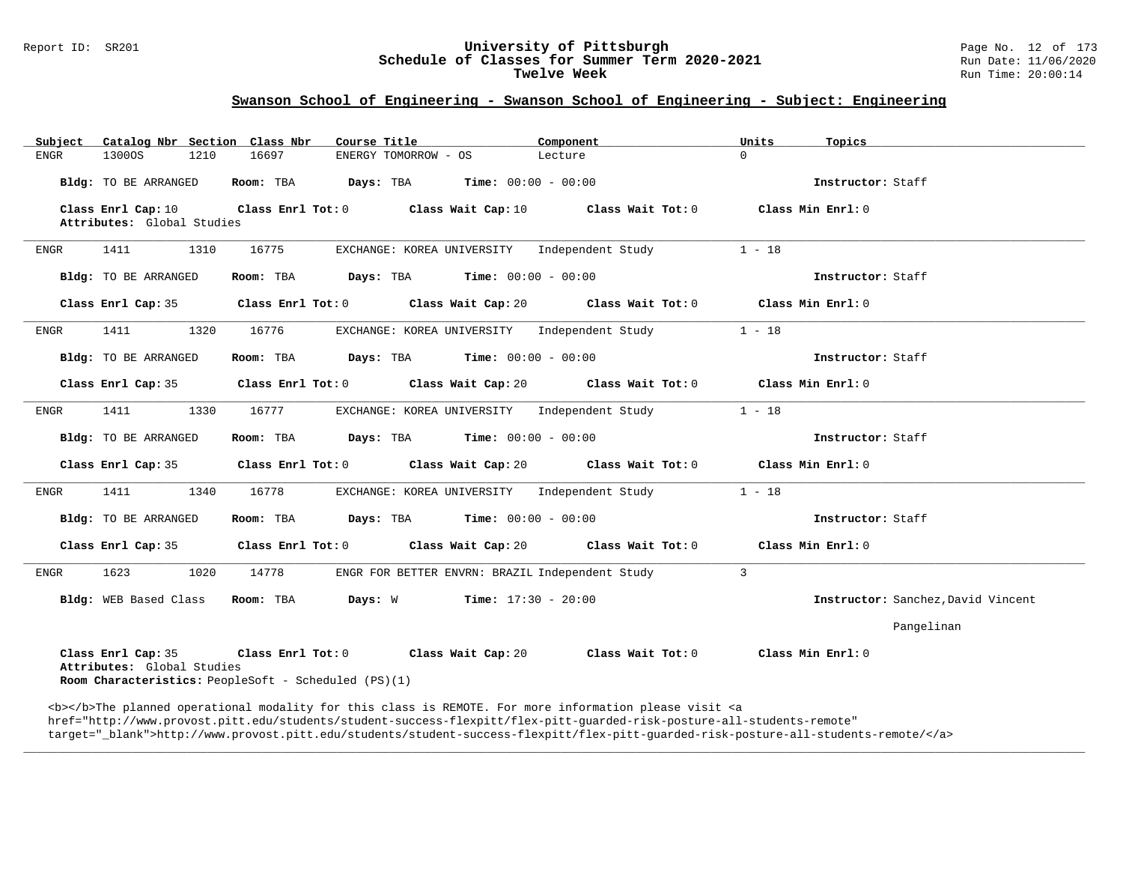# Report ID: SR201 **University of Pittsburgh University of Pittsburgh** Page No. 12 of 173<br>**Schedule of Classes for Summer Term 2020-2021** Run Date: 11/06/2020 Schedule of Classes for Summer Term 2020-2021<br>Twelve Week

### **Swanson School of Engineering - Swanson School of Engineering - Subject: Engineering**

| Subject                                                                                                                                                                                 | Catalog Nbr Section Class Nbr | Course Title                                                                     | Component | Units<br>Topics                    |  |  |
|-----------------------------------------------------------------------------------------------------------------------------------------------------------------------------------------|-------------------------------|----------------------------------------------------------------------------------|-----------|------------------------------------|--|--|
| 1300OS<br>ENGR                                                                                                                                                                          | 1210<br>16697                 | ENERGY TOMORROW - OS                                                             | Lecture   | $\Omega$                           |  |  |
| Bldg: TO BE ARRANGED                                                                                                                                                                    |                               | Room: TBA $Days:$ TBA $Time: 00:00 - 00:00$                                      |           | Instructor: Staff                  |  |  |
| Class Enrl Cap: 10<br>Attributes: Global Studies                                                                                                                                        |                               | Class Enrl Tot: 0 Class Wait Cap: 10 Class Wait Tot: 0                           |           | Class Min Enrl: 0                  |  |  |
| 1411<br>ENGR                                                                                                                                                                            | 16775<br>1310                 | EXCHANGE: KOREA UNIVERSITY Independent Study                                     |           | $1 - 18$                           |  |  |
| Bldg: TO BE ARRANGED                                                                                                                                                                    |                               | Room: TBA $Days:$ TBA $Time: 00:00 - 00:00$                                      |           | Instructor: Staff                  |  |  |
| Class Enrl Cap: 35                                                                                                                                                                      |                               | Class Enrl Tot: $0$ Class Wait Cap: $20$ Class Wait Tot: $0$ Class Min Enrl: $0$ |           |                                    |  |  |
| 1411<br>ENGR                                                                                                                                                                            | 16776<br>1320                 | EXCHANGE: KOREA UNIVERSITY Independent Study                                     |           | $1 - 18$                           |  |  |
| Bldg: TO BE ARRANGED                                                                                                                                                                    |                               | Room: TBA $Days:$ TBA $Time: 00:00 - 00:00$                                      |           | Instructor: Staff                  |  |  |
| Class Enrl Cap: 35                                                                                                                                                                      |                               | Class Enrl Tot: $0$ Class Wait Cap: $20$ Class Wait Tot: $0$ Class Min Enrl: $0$ |           |                                    |  |  |
| 1411<br>ENGR                                                                                                                                                                            | 1330<br>16777                 | EXCHANGE: KOREA UNIVERSITY Independent Study                                     |           | $1 - 18$                           |  |  |
| Bldg: TO BE ARRANGED                                                                                                                                                                    |                               | Room: TBA $Days:$ TBA $Time: 00:00 - 00:00$                                      |           | Instructor: Staff                  |  |  |
| Class Enrl Cap: 35                                                                                                                                                                      |                               | Class Enrl Tot: $0$ Class Wait Cap: $20$ Class Wait Tot: $0$ Class Min Enrl: $0$ |           |                                    |  |  |
| 1411<br>ENGR                                                                                                                                                                            | 16778<br>1340                 | EXCHANGE: KOREA UNIVERSITY Independent Study                                     |           | $1 - 18$                           |  |  |
| Bldg: TO BE ARRANGED                                                                                                                                                                    |                               | Room: TBA $Days: TBA$ Time: $00:00 - 00:00$                                      |           | Instructor: Staff                  |  |  |
| Class Enrl Cap: 35                                                                                                                                                                      |                               | Class Enrl Tot: $0$ Class Wait Cap: $20$ Class Wait Tot: $0$                     |           | Class Min Enrl: 0                  |  |  |
| 1623<br>ENGR                                                                                                                                                                            | 1020<br>14778                 | ENGR FOR BETTER ENVRN: BRAZIL Independent Study                                  |           | $\overline{3}$                     |  |  |
|                                                                                                                                                                                         |                               | Bldg: WEB Based Class Room: TBA Days: W Time: 17:30 - 20:00                      |           | Instructor: Sanchez, David Vincent |  |  |
|                                                                                                                                                                                         |                               |                                                                                  |           | Pangelinan                         |  |  |
| Class Enrl Cap: 35 Class Enrl Tot: 0 Class Wait Cap: 20<br>Class Wait Tot: 0<br>Class Min Enrl: 0<br>Attributes: Global Studies<br>Room Characteristics: PeopleSoft - Scheduled (PS)(1) |                               |                                                                                  |           |                                    |  |  |

<b></b>The planned operational modality for this class is REMOTE. For more information please visit <a href="http://www.provost.pitt.edu/students/student-success-flexpitt/flex-pitt-guarded-risk-posture-all-students-remote" target="\_blank">http://www.provost.pitt.edu/students/student-success-flexpitt/flex-pitt-guarded-risk-posture-all-students-remote/</a>

**\_\_\_\_\_\_\_\_\_\_\_\_\_\_\_\_\_\_\_\_\_\_\_\_\_\_\_\_\_\_\_\_\_\_\_\_\_\_\_\_\_\_\_\_\_\_\_\_\_\_\_\_\_\_\_\_\_\_\_\_\_\_\_\_\_\_\_\_\_\_\_\_\_\_\_\_\_\_\_\_\_\_\_\_\_\_\_\_\_\_\_\_\_\_\_\_\_\_\_\_\_\_\_\_\_\_\_\_\_\_\_\_\_\_\_\_\_\_\_\_\_\_\_\_\_\_\_\_\_\_\_\_\_\_\_\_\_\_\_\_\_\_\_\_\_\_\_\_\_\_\_\_\_\_\_\_**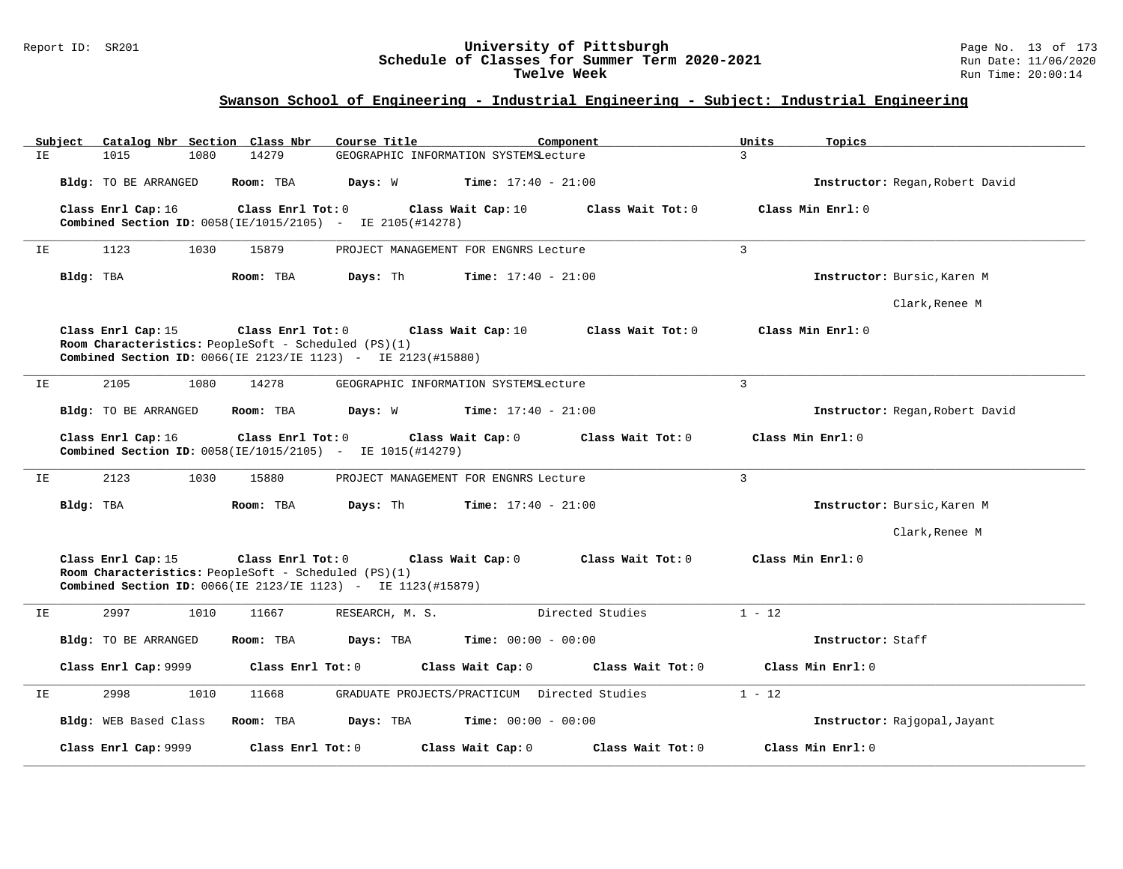#### Report ID: SR201 **University of Pittsburgh** Page No. 13 of 173 **Schedule of Classes for Summer Term 2020-2021** Run Date: 11/06/2020 **Twelve Week** Run Time: 20:00:14

# **Swanson School of Engineering - Industrial Engineering - Subject: Industrial Engineering**

|     | Subject<br>Catalog Nbr Section Class Nbr                                                                                                                               | Course Title                                 | Units<br>Component           | Topics                          |
|-----|------------------------------------------------------------------------------------------------------------------------------------------------------------------------|----------------------------------------------|------------------------------|---------------------------------|
| IE  | 1015<br>1080<br>14279                                                                                                                                                  | GEOGRAPHIC INFORMATION SYSTEMSLecture        | 3                            |                                 |
|     | Bldg: TO BE ARRANGED<br>Room: TBA                                                                                                                                      | Days: W<br><b>Time:</b> $17:40 - 21:00$      |                              | Instructor: Regan, Robert David |
|     | Class Enrl Cap: 16<br>Class Enrl Tot: 0<br>Combined Section ID: 0058(IE/1015/2105) - IE 2105(#14278)                                                                   | Class Wait Cap: 10                           | Class Wait Tot: 0            | Class Min Enrl: 0               |
| IΕ  | 1123<br>1030<br>15879                                                                                                                                                  | PROJECT MANAGEMENT FOR ENGNRS Lecture        | $\overline{3}$               |                                 |
|     | Bldg: TBA<br>Room: TBA                                                                                                                                                 | Days: Th<br><b>Time:</b> $17:40 - 21:00$     |                              | Instructor: Bursic, Karen M     |
|     |                                                                                                                                                                        |                                              |                              | Clark, Renee M                  |
|     | Class Enrl Cap: 15<br>Class Enrl Tot: 0<br>Room Characteristics: PeopleSoft - Scheduled (PS)(1)<br><b>Combined Section ID:</b> 0066(IE 2123/IE 1123) - IE 2123(#15880) | Class Wait Cap: $10$                         | Class Wait Tot: 0            | Class Min Enrl: 0               |
| ΙE  | 2105<br>1080<br>14278                                                                                                                                                  | GEOGRAPHIC INFORMATION SYSTEMSLecture        | $\overline{3}$               |                                 |
|     | Bldg: TO BE ARRANGED<br>Room: TBA                                                                                                                                      | Days: W<br><b>Time:</b> $17:40 - 21:00$      |                              | Instructor: Regan, Robert David |
|     | Class Enrl Cap: 16<br>Class Enrl Tot: 0<br>Combined Section ID: 0058(IE/1015/2105) - IE 1015(#14279)                                                                   | Class Wait Cap: 0                            | Class Wait Tot: 0            | Class Min Enrl: 0               |
| IE. | 2123<br>1030<br>15880                                                                                                                                                  | PROJECT MANAGEMENT FOR ENGNRS Lecture        | 3                            |                                 |
|     | Bldg: TBA<br>Room: TBA                                                                                                                                                 | Days: Th<br><b>Time:</b> $17:40 - 21:00$     |                              | Instructor: Bursic, Karen M     |
|     |                                                                                                                                                                        |                                              |                              | Clark, Renee M                  |
|     | Class Enrl Cap: 15<br>Class Enrl Tot: 0<br>Room Characteristics: PeopleSoft - Scheduled (PS)(1)<br><b>Combined Section ID:</b> 0066(IE 2123/IE 1123) - IE 1123(#15879) | Class Wait Cap: 0                            | Class Wait Tot: 0            | Class Min Enrl: 0               |
| IΕ  | 2997<br>1010<br>11667                                                                                                                                                  | RESEARCH, M. S.                              | $1 - 12$<br>Directed Studies |                                 |
|     | Room: TBA<br>Bldg: TO BE ARRANGED                                                                                                                                      | Days: TBA<br><b>Time:</b> $00:00 - 00:00$    |                              | Instructor: Staff               |
|     | Class Enrl Cap: 9999                                                                                                                                                   | Class Enrl Tot: 0<br>Class Wait Cap: 0       | Class Wait Tot: 0            | Class Min Enrl: 0               |
| IE  | 2998<br>1010<br>11668                                                                                                                                                  | GRADUATE PROJECTS/PRACTICUM Directed Studies | $1 - 12$                     |                                 |
|     | Bldg: WEB Based Class<br>Room: TBA                                                                                                                                     | <b>Time:</b> $00:00 - 00:00$<br>Days: TBA    |                              | Instructor: Rajgopal, Jayant    |
|     | Class Enrl Cap: 9999                                                                                                                                                   | Class Enrl Tot: $0$<br>Class Wait Cap: 0     | Class Wait Tot: 0            | Class Min Enrl: 0               |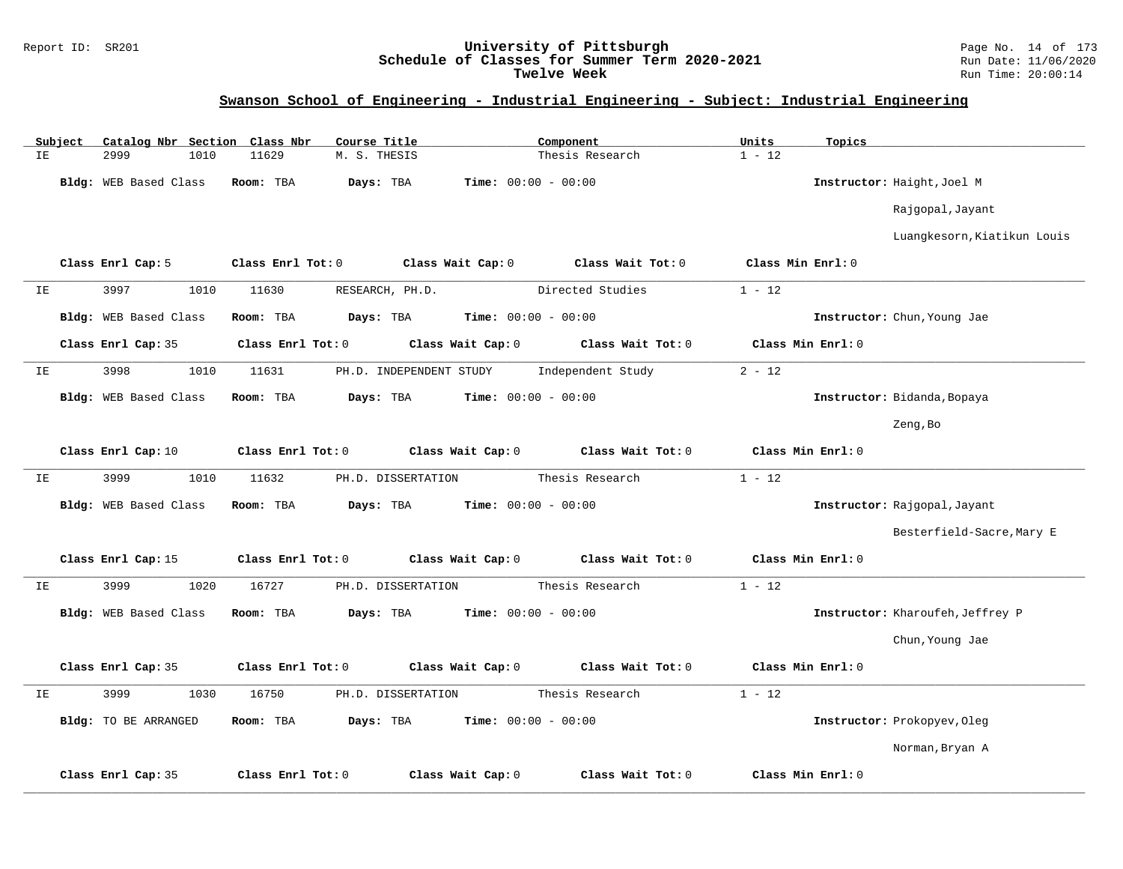#### Report ID: SR201 **University of Pittsburgh** Page No. 14 of 173 **Schedule of Classes for Summer Term 2020-2021** Run Date: 11/06/2020 **Twelve Week** Run Time: 20:00:14

# **Swanson School of Engineering - Industrial Engineering - Subject: Industrial Engineering**

|    | Subject |                       |      | Catalog Nbr Section Class Nbr | Course Title    |                         |                              | Component         | Units             | Topics            |                                  |
|----|---------|-----------------------|------|-------------------------------|-----------------|-------------------------|------------------------------|-------------------|-------------------|-------------------|----------------------------------|
| IE |         | 2999                  | 1010 | 11629                         | M. S. THESIS    |                         |                              | Thesis Research   | $1 - 12$          |                   |                                  |
|    |         | Bldg: WEB Based Class |      | Room: TBA                     | Days: TBA       |                         | <b>Time:</b> $00:00 - 00:00$ |                   |                   |                   | Instructor: Haight, Joel M       |
|    |         |                       |      |                               |                 |                         |                              |                   |                   |                   | Rajgopal, Jayant                 |
|    |         |                       |      |                               |                 |                         |                              |                   |                   |                   | Luangkesorn, Kiatikun Louis      |
|    |         | Class Enrl Cap: 5     |      | Class Enrl Tot: 0             |                 | Class Wait Cap: 0       |                              | Class Wait Tot: 0 | Class Min Enrl: 0 |                   |                                  |
| IΕ |         | 3997                  | 1010 | 11630                         | RESEARCH, PH.D. |                         |                              | Directed Studies  | $1 - 12$          |                   |                                  |
|    |         | Bldg: WEB Based Class |      | Room: TBA                     | Days: TBA       |                         | Time: $00:00 - 00:00$        |                   |                   |                   | Instructor: Chun, Young Jae      |
|    |         | Class Enrl Cap: 35    |      | Class Enrl Tot: 0             |                 | Class Wait Cap: 0       |                              | Class Wait Tot: 0 |                   | Class Min Enrl: 0 |                                  |
| IΕ |         | 3998                  | 1010 | 11631                         |                 | PH.D. INDEPENDENT STUDY |                              | Independent Study | $2 - 12$          |                   |                                  |
|    |         | Bldg: WEB Based Class |      | Room: TBA                     | Days: TBA       |                         | <b>Time:</b> $00:00 - 00:00$ |                   |                   |                   | Instructor: Bidanda, Bopaya      |
|    |         |                       |      |                               |                 |                         |                              |                   |                   |                   | Zeng, Bo                         |
|    |         | Class Enrl Cap: 10    |      | Class Enrl Tot: 0             |                 | Class Wait Cap: 0       |                              | Class Wait Tot: 0 |                   | Class Min Enrl: 0 |                                  |
| IE |         | 3999                  | 1010 | 11632                         |                 | PH.D. DISSERTATION      |                              | Thesis Research   | $1 - 12$          |                   |                                  |
|    |         | Bldg: WEB Based Class |      | Room: TBA                     | Days: TBA       |                         | <b>Time:</b> $00:00 - 00:00$ |                   |                   |                   | Instructor: Rajgopal, Jayant     |
|    |         |                       |      |                               |                 |                         |                              |                   |                   |                   | Besterfield-Sacre, Mary E        |
|    |         | Class Enrl Cap: 15    |      | Class Enrl Tot: 0             |                 | Class Wait Cap: 0       |                              | Class Wait Tot: 0 |                   | Class Min Enrl: 0 |                                  |
| ΙE |         | 3999                  | 1020 | 16727                         |                 | PH.D. DISSERTATION      |                              | Thesis Research   | $1 - 12$          |                   |                                  |
|    |         | Bldg: WEB Based Class |      | Room: TBA                     | Days: TBA       |                         | <b>Time:</b> $00:00 - 00:00$ |                   |                   |                   | Instructor: Kharoufeh, Jeffrey P |
|    |         |                       |      |                               |                 |                         |                              |                   |                   |                   | Chun, Young Jae                  |
|    |         | Class Enrl Cap: 35    |      | Class Enrl Tot: 0             |                 | Class Wait Cap: 0       |                              | Class Wait Tot: 0 |                   | Class Min Enrl: 0 |                                  |
| IE |         | 3999                  | 1030 | 16750                         |                 | PH.D. DISSERTATION      |                              | Thesis Research   | $1 - 12$          |                   |                                  |
|    |         | Bldg: TO BE ARRANGED  |      | Room: TBA                     | Days: TBA       |                         | <b>Time:</b> $00:00 - 00:00$ |                   |                   |                   | Instructor: Prokopyev, Oleg      |
|    |         |                       |      |                               |                 |                         |                              |                   |                   |                   | Norman, Bryan A                  |
|    |         | Class Enrl Cap: 35    |      | Class Enrl Tot: 0             |                 | Class Wait Cap: 0       |                              | Class Wait Tot: 0 |                   | Class Min Enrl: 0 |                                  |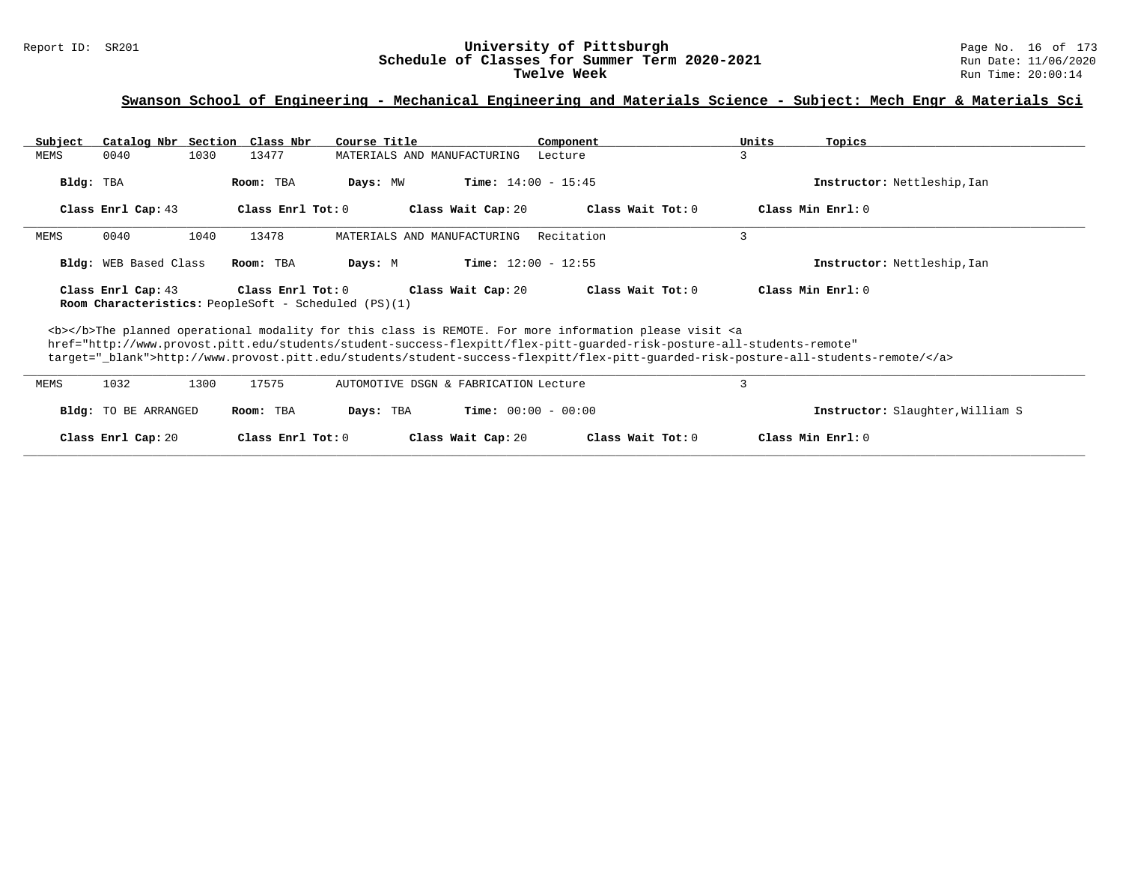# Report ID: SR201 **1988 Mage No. 16 of 173**<br>**Schedule of Classes for Summer Term 2020-2021** Page No. 16 of 173 Schedule of Classes for Summer Term 2020-2021<br>Twelve Week

### **Swanson School of Engineering - Mechanical Engineering and Materials Science - Subject: Mech Engr & Materials Sci**

| Subject                                                                                                                                                                                                                                                                                                                                                                            |                       |      | Catalog Nbr Section Class Nbr | Course Title                                         |                                       | Component  |                     | Units | Topics                           |  |
|------------------------------------------------------------------------------------------------------------------------------------------------------------------------------------------------------------------------------------------------------------------------------------------------------------------------------------------------------------------------------------|-----------------------|------|-------------------------------|------------------------------------------------------|---------------------------------------|------------|---------------------|-------|----------------------------------|--|
| MEMS                                                                                                                                                                                                                                                                                                                                                                               | 0040                  | 1030 | 13477                         |                                                      | MATERIALS AND MANUFACTURING           | Lecture    | 3                   |       |                                  |  |
| Bldg: TBA                                                                                                                                                                                                                                                                                                                                                                          |                       |      | Room: TBA                     | Days: MW                                             | <b>Time:</b> $14:00 - 15:45$          |            |                     |       | Instructor: Nettleship, Ian      |  |
|                                                                                                                                                                                                                                                                                                                                                                                    | Class Enrl Cap: 43    |      | Class Enrl Tot: 0             |                                                      | Class Wait Cap: 20                    |            | Class Wait Tot: 0   |       | Class Min Enrl: 0                |  |
| MEMS                                                                                                                                                                                                                                                                                                                                                                               | 0040                  | 1040 | 13478                         |                                                      | MATERIALS AND MANUFACTURING           | Recitation | 3                   |       |                                  |  |
|                                                                                                                                                                                                                                                                                                                                                                                    | Bldg: WEB Based Class |      | Room: TBA                     | Days: M                                              | <b>Time:</b> $12:00 - 12:55$          |            |                     |       | Instructor: Nettleship, Ian      |  |
|                                                                                                                                                                                                                                                                                                                                                                                    | Class Enrl Cap: 43    |      | Class Enrl Tot: $0$           | Room Characteristics: PeopleSoft - Scheduled (PS)(1) | Class Wait Cap: 20                    |            | Class Wait Tot: $0$ |       | Class Min Enrl: 0                |  |
| <b></b> The planned operational modality for this class is REMOTE. For more information please visit <a<br>href="http://www.provost.pitt.edu/students/student-success-flexpitt/flex-pitt-quarded-risk-posture-all-students-remote"<br/>target="_blank"&gt;http://www.provost.pitt.edu/students/student-success-flexpitt/flex-pitt-guarded-risk-posture-all-students-remote/</a<br> |                       |      |                               |                                                      |                                       |            |                     |       |                                  |  |
| MEMS                                                                                                                                                                                                                                                                                                                                                                               | 1032                  | 1300 | 17575                         |                                                      | AUTOMOTIVE DSGN & FABRICATION Lecture |            | 3                   |       |                                  |  |
|                                                                                                                                                                                                                                                                                                                                                                                    | Bldg: TO BE ARRANGED  |      | Room: TBA                     | Days: TBA                                            | <b>Time:</b> $00:00 - 00:00$          |            |                     |       | Instructor: Slaughter, William S |  |
|                                                                                                                                                                                                                                                                                                                                                                                    | Class Enrl Cap: 20    |      | Class Enrl Tot: 0             |                                                      | Class Wait Cap: 20                    |            | Class Wait Tot: $0$ |       | Class Min Enrl: 0                |  |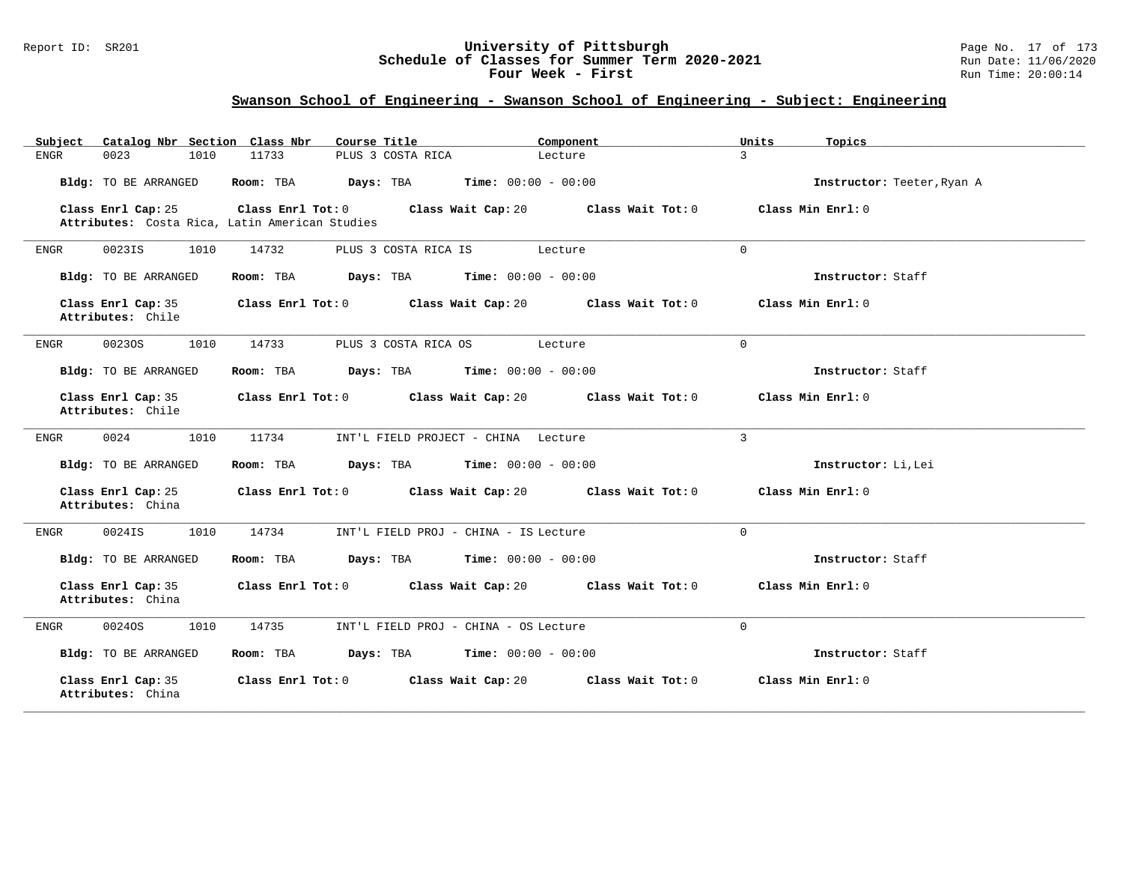### Report ID: SR201 **University of Pittsburgh** Page No. 17 of 173 **Schedule of Classes for Summer Term 2020-2021** Run Date: 11/06/2020 **Four Week - First Rundall Run Time: 20:00:14**

| Catalog Nbr Section Class Nbr<br>Subject                             | Course Title                                               | Component<br>Units           | Topics                     |
|----------------------------------------------------------------------|------------------------------------------------------------|------------------------------|----------------------------|
| 0023<br>1010<br>ENGR                                                 | 11733<br>PLUS 3 COSTA RICA                                 | $\mathbf{3}$<br>Lecture      |                            |
| Bldg: TO BE ARRANGED                                                 | Room: TBA<br><b>Days:</b> TBA <b>Time:</b> $00:00 - 00:00$ |                              | Instructor: Teeter, Ryan A |
| Class Enrl Cap: 25<br>Attributes: Costa Rica, Latin American Studies | Class Enrl Tot: 0<br>Class Wait Cap: 20                    | Class Wait Tot: 0            | Class Min Enrl: 0          |
| 0023IS<br>1010<br>ENGR                                               | PLUS 3 COSTA RICA IS<br>14732                              | $\Omega$<br>Lecture          |                            |
| Bldg: TO BE ARRANGED                                                 | <b>Days:</b> TBA <b>Time:</b> $00:00 - 00:00$<br>Room: TBA |                              | Instructor: Staff          |
| Class Enrl Cap: 35<br>Attributes: Chile                              | Class Enrl Tot: 0<br>Class Wait Cap: 20                    | Class Wait Tot: 0            | Class Min $Enr1:0$         |
| 00230S<br>1010<br>ENGR                                               | PLUS 3 COSTA RICA OS<br>14733                              | $\Omega$<br>Lecture          |                            |
| Bldg: TO BE ARRANGED                                                 | <b>Days:</b> TBA <b>Time:</b> $00:00 - 00:00$<br>Room: TBA |                              | Instructor: Staff          |
| Class Enrl Cap: 35<br>Attributes: Chile                              | Class Enrl Tot: 0<br>Class Wait Cap: 20                    | Class Wait Tot: 0            | Class Min Enrl: 0          |
| 0024<br>1010<br>ENGR                                                 | 11734<br>INT'L FIELD PROJECT - CHINA Lecture               | 3                            |                            |
| Bldg: TO BE ARRANGED                                                 | Days: TBA<br>Room: TBA                                     | <b>Time:</b> $00:00 - 00:00$ | Instructor: Li, Lei        |
| Class Enrl Cap: 25<br>Attributes: China                              | Class Enrl Tot: 0<br>Class Wait Cap: 20                    | Class Wait Tot: 0            | Class Min Enrl: 0          |
| 0024IS<br>1010<br>ENGR                                               | 14734<br>INT'L FIELD PROJ - CHINA - IS Lecture             | $\Omega$                     |                            |
| <b>Bldg:</b> TO BE ARRANGED                                          | Days: TBA<br>Room: TBA                                     | <b>Time:</b> $00:00 - 00:00$ | Instructor: Staff          |
| Class Enrl Cap: 35<br>Attributes: China                              | Class Enrl Tot: 0<br>Class Wait Cap: 20                    | Class Wait Tot: 0            | Class Min Enrl: 0          |
| 00240S<br>1010<br>ENGR                                               | 14735<br>INT'L FIELD PROJ - CHINA - OS Lecture             | $\mathbf 0$                  |                            |
| Bldg: TO BE ARRANGED                                                 | Room: TBA<br>Days: TBA                                     | <b>Time:</b> $00:00 - 00:00$ | Instructor: Staff          |
| Class Enrl Cap: 35<br>Attributes: China                              | Class Enrl Tot: 0<br>Class Wait Cap: 20                    | Class Wait Tot: 0            | Class Min Enrl: 0          |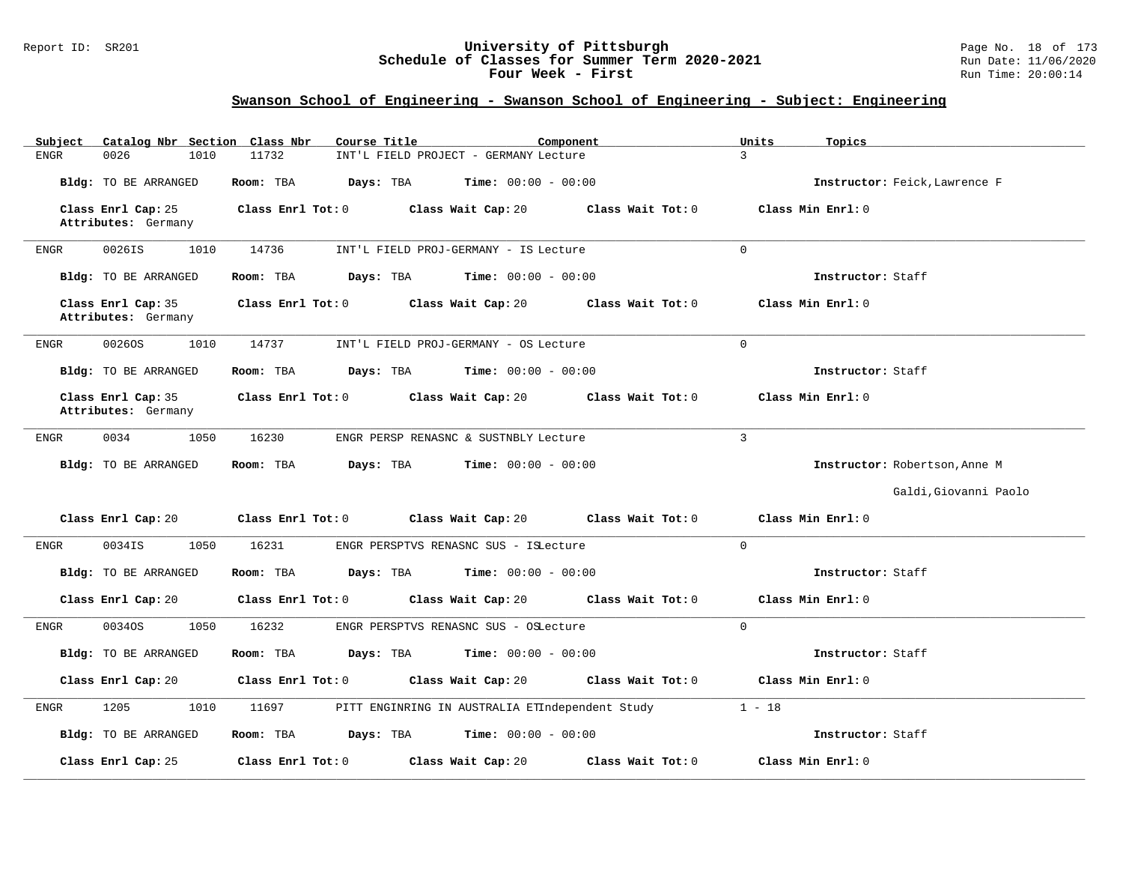### Report ID: SR201 **University of Pittsburgh** Page No. 18 of 173 **Schedule of Classes for Summer Term 2020-2021** Run Date: 11/06/2020 **Four Week - First Rundall Run Time: 20:00:14**

| Catalog Nbr Section Class Nbr<br>Subject  | Course Title<br>Component                                    | Units<br>Topics               |
|-------------------------------------------|--------------------------------------------------------------|-------------------------------|
| 0026<br><b>ENGR</b><br>1010               | 11732<br>INT'L FIELD PROJECT - GERMANY Lecture               | $\overline{3}$                |
| Bldg: TO BE ARRANGED                      | Room: TBA<br>Days: TBA<br><b>Time:</b> $00:00 - 00:00$       | Instructor: Feick, Lawrence F |
| Class Enrl Cap: 25<br>Attributes: Germany | Class Wait Tot: 0<br>Class Enrl Tot: 0<br>Class Wait Cap: 20 | Class Min Enrl: 0             |
| 0026IS<br>1010<br><b>ENGR</b>             | 14736<br>INT'L FIELD PROJ-GERMANY - IS Lecture               | $\mathbf 0$                   |
| <b>Bldg:</b> TO BE ARRANGED               | Room: TBA<br>Days: TBA<br>$Time: 00:00 - 00:00$              | Instructor: Staff             |
| Class Enrl Cap: 35<br>Attributes: Germany | Class Enrl Tot: 0<br>Class Wait Cap: 20<br>Class Wait Tot: 0 | Class Min Enrl: 0             |
| 00260S<br>1010<br>ENGR                    | 14737<br>INT'L FIELD PROJ-GERMANY - OS Lecture               | $\Omega$                      |
| <b>Bldg:</b> TO BE ARRANGED               | Room: TBA<br>Days: TBA<br><b>Time:</b> $00:00 - 00:00$       | Instructor: Staff             |
| Class Enrl Cap: 35<br>Attributes: Germany | Class Enrl Tot: 0<br>Class Wait Cap: 20<br>Class Wait Tot: 0 | Class Min Enrl: 0             |
| 0034<br><b>ENGR</b><br>1050               | 16230<br>ENGR PERSP RENASNC & SUSTNBLY Lecture               | $\mathbf{3}$                  |
| <b>Bldg:</b> TO BE ARRANGED               | Room: TBA<br>Days: TBA<br><b>Time:</b> $00:00 - 00:00$       | Instructor: Robertson, Anne M |
|                                           |                                                              | Galdi, Giovanni Paolo         |
| Class Enrl Cap: 20                        | Class Wait Cap: 20<br>Class Wait Tot: 0<br>Class Enrl Tot: 0 | Class Min Enrl: 0             |
| 1050<br>ENGR<br>0034IS                    | 16231<br>ENGR PERSPTVS RENASNC SUS - ISLecture               | $\Omega$                      |
| Bldg: TO BE ARRANGED                      | Days: TBA<br><b>Time:</b> $00:00 - 00:00$<br>Room: TBA       | Instructor: Staff             |
| Class Enrl Cap: 20                        | Class Wait Cap: 20<br>Class Enrl Tot: 0<br>Class Wait Tot: 0 | Class Min Enrl: 0             |
| 1050<br>00340S<br>ENGR                    | 16232<br>ENGR PERSPTVS RENASNC SUS - OSLecture               | $\Omega$                      |
| Bldg: TO BE ARRANGED                      | Room: TBA<br>Days: TBA<br><b>Time:</b> $00:00 - 00:00$       | Instructor: Staff             |
| Class Enrl Cap: 20                        | Class Enrl Tot: 0<br>Class Wait Cap: 20<br>Class Wait Tot: 0 | Class Min Enrl: 0             |
| 1205<br>1010<br>ENGR                      | 11697<br>PITT ENGINRING IN AUSTRALIA ETIndependent Study     | $1 - 18$                      |
| <b>Bldg:</b> TO BE ARRANGED               | Room: TBA<br>Days: TBA<br><b>Time:</b> $00:00 - 00:00$       | Instructor: Staff             |
| Class Enrl Cap: 25                        | Class Enrl Tot: 0<br>Class Wait Cap: 20<br>Class Wait Tot: 0 | Class Min Enrl: 0             |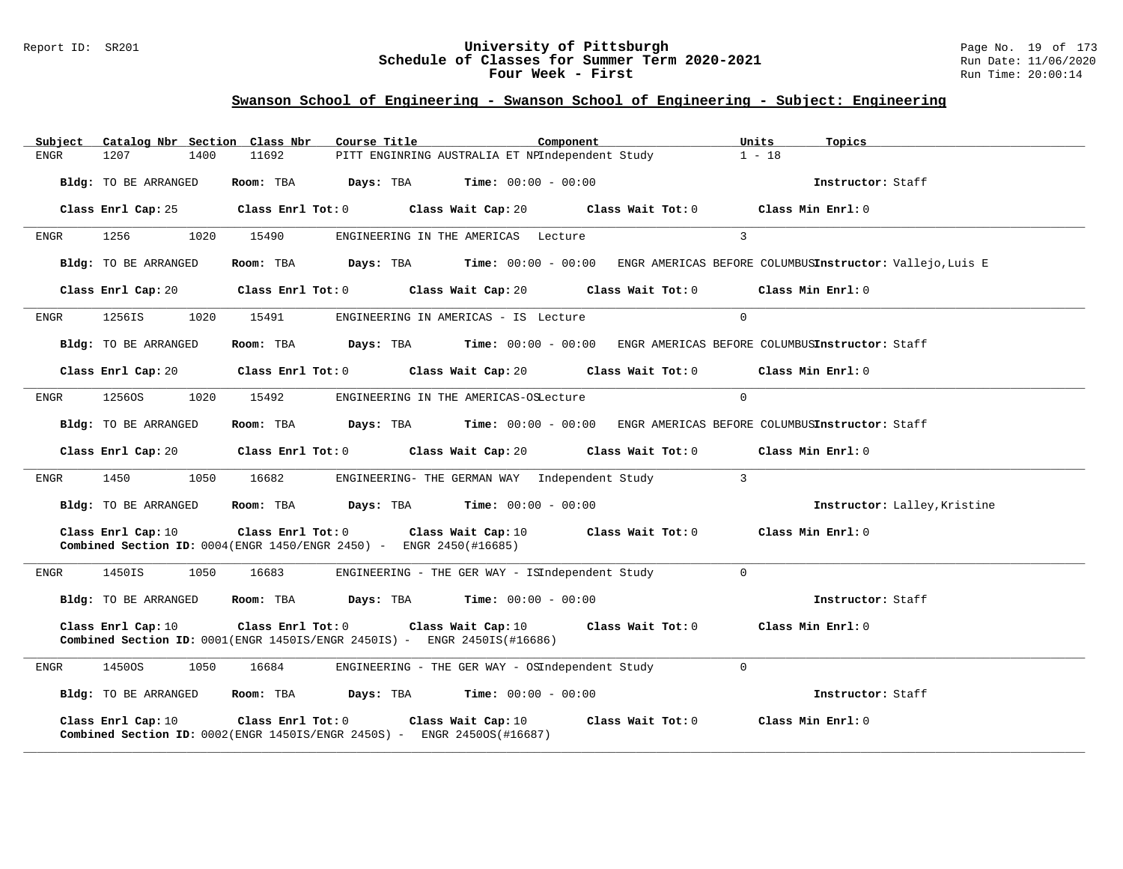### Report ID: SR201 **University of Pittsburgh** Page No. 19 of 173 **Schedule of Classes for Summer Term 2020-2021** Run Date: 11/06/2020 **Four Week - First Rundall Run Time: 20:00:14**

| Subject | Catalog Nbr Section Class Nbr                                                                               |      |                   | Course Title |                                                                                                          | Component |                   |                | Units<br>Topics                                                                        |                              |
|---------|-------------------------------------------------------------------------------------------------------------|------|-------------------|--------------|----------------------------------------------------------------------------------------------------------|-----------|-------------------|----------------|----------------------------------------------------------------------------------------|------------------------------|
| ENGR    | 1207                                                                                                        | 1400 | 11692             |              | PITT ENGINRING AUSTRALIA ET NPIndependent Study                                                          |           |                   |                | $1 - 18$                                                                               |                              |
|         | Bldg: TO BE ARRANGED                                                                                        |      | Room: TBA         | Days: TBA    | Time: $00:00 - 00:00$                                                                                    |           |                   |                | Instructor: Staff                                                                      |                              |
|         | Class Enrl Cap: 25                                                                                          |      |                   |              | Class Enrl Tot: $0$ Class Wait Cap: $20$ Class Wait Tot: $0$                                             |           |                   |                | Class Min Enrl: 0                                                                      |                              |
| ENGR    | 1256                                                                                                        | 1020 | 15490             |              | ENGINEERING IN THE AMERICAS Lecture                                                                      |           |                   | $\overline{3}$ |                                                                                        |                              |
|         | Bldg: TO BE ARRANGED                                                                                        |      | Room: TBA         | Days: TBA    | <b>Time:</b> $00:00 - 00:00$                                                                             |           |                   |                | ENGR AMERICAS BEFORE COLUMBUSInstructor: Vallejo, Luis E                               |                              |
|         | Class Enrl Cap: 20                                                                                          |      |                   |              | Class Enrl Tot: $0$ Class Wait Cap: $20$ Class Wait Tot: $0$                                             |           |                   |                | Class Min Enrl: 0                                                                      |                              |
| ENGR    | 1256IS                                                                                                      | 1020 | 15491             |              | ENGINEERING IN AMERICAS - IS Lecture                                                                     |           |                   | $\Omega$       |                                                                                        |                              |
|         | Bldg: TO BE ARRANGED                                                                                        |      | Room: TBA         | Days: TBA    | $Time: 00:00 - 00:00$                                                                                    |           |                   |                | ENGR AMERICAS BEFORE COLUMBUSInstructor: Staff                                         |                              |
|         | Class Enrl Cap: 20                                                                                          |      |                   |              |                                                                                                          |           |                   |                | Class Enrl Tot: $0$ Class Wait Cap: $20$ Class Wait Tot: $0$ Class Min Enrl: $0$       |                              |
| ENGR    | 12560S                                                                                                      | 1020 | 15492             |              | ENGINEERING IN THE AMERICAS-OSLecture                                                                    |           |                   | $\Omega$       |                                                                                        |                              |
|         | Bldg: TO BE ARRANGED                                                                                        |      |                   |              |                                                                                                          |           |                   |                | Room: TBA Days: TBA Time: 00:00 - 00:00 ENGR AMERICAS BEFORE COLUMBUSInstructor: Staff |                              |
|         | Class Enrl Cap: 20                                                                                          |      |                   |              | Class Enrl Tot: 0 Class Wait Cap: 20                                                                     |           | Class Wait Tot: 0 |                | Class Min Enrl: 0                                                                      |                              |
| ENGR    | 1450                                                                                                        | 1050 | 16682             |              | ENGINEERING- THE GERMAN WAY Independent Study                                                            |           |                   | $\sim$ 3       |                                                                                        |                              |
|         | Bldg: TO BE ARRANGED                                                                                        |      |                   |              | Room: TBA $Days:$ TBA $Time: 00:00 - 00:00$                                                              |           |                   |                |                                                                                        | Instructor: Lalley, Kristine |
|         | Class Enrl Cap: 10<br><b>Combined Section ID:</b> $0004$ (ENGR $1450$ /ENGR $2450$ ) - ENGR $2450$ (#16685) |      |                   |              | Class Enrl Tot: 0 Class Wait Cap: 10                                                                     |           | Class Wait Tot: 0 |                | Class Min Enrl: 0                                                                      |                              |
| ENGR    | 1450IS                                                                                                      | 1050 | 16683             |              | ENGINEERING - THE GER WAY - ISIndependent Study                                                          |           |                   | $\Omega$       |                                                                                        |                              |
|         | Bldg: TO BE ARRANGED                                                                                        |      |                   |              | Room: TBA $Days: TBA$ Time: $00:00 - 00:00$                                                              |           |                   |                | Instructor: Staff                                                                      |                              |
|         | Class Enrl Cap: 10                                                                                          |      | Class Enrl Tot: 0 |              | Class Wait Cap: 10<br>Combined Section ID: 0001(ENGR 1450IS/ENGR 2450IS) - ENGR 2450IS(#16686)           |           | Class Wait Tot: 0 |                | Class Min Enrl: 0                                                                      |                              |
| ENGR    | 1450OS                                                                                                      | 1050 | 16684             |              | ENGINEERING - THE GER WAY - OSIndependent Study                                                          |           |                   | $\mathbf 0$    |                                                                                        |                              |
|         | Bldg: TO BE ARRANGED                                                                                        |      |                   |              | Room: TBA $Days: TBA$ Time: $00:00 - 00:00$                                                              |           |                   |                | Instructor: Staff                                                                      |                              |
|         | Class Enrl Cap: 10                                                                                          |      | Class Enrl Tot: 0 |              | Class Wait Cap: 10<br><b>Combined Section ID:</b> $0002$ (ENGR 1450IS/ENGR 2450S) - ENGR 24500S (#16687) |           | Class Wait Tot: 0 |                | Class Min Enrl: 0                                                                      |                              |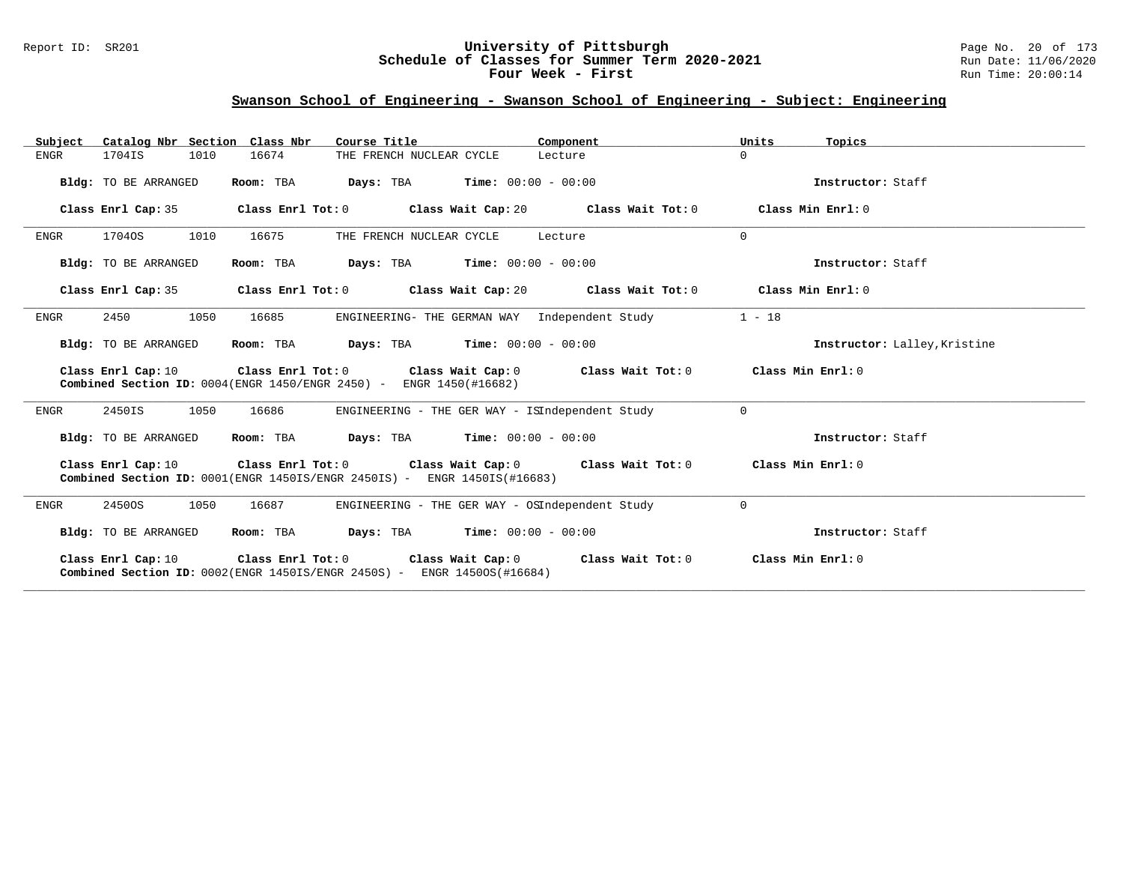### Report ID: SR201 **University of Pittsburgh** Page No. 20 of 173 **Schedule of Classes for Summer Term 2020-2021** Run Date: 11/06/2020 **Four Week - First Rundall Run Time: 20:00:14**

| Catalog Nbr Section Class Nbr<br>Subject | Course Title                                                                                                                                                                                       | Component                                                   | Units<br>Topics              |
|------------------------------------------|----------------------------------------------------------------------------------------------------------------------------------------------------------------------------------------------------|-------------------------------------------------------------|------------------------------|
| <b>ENGR</b><br>1704IS<br>1010            | 16674<br>THE FRENCH NUCLEAR CYCLE                                                                                                                                                                  | Lecture                                                     | $\Omega$                     |
| Bldg: TO BE ARRANGED                     | <b>Days:</b> TBA <b>Time:</b> $00:00 - 00:00$<br>Room: TBA                                                                                                                                         |                                                             | Instructor: Staff            |
| Class Enrl Cap: 35                       | Class Enrl Tot: $0$ Class Wait Cap: $20$ Class Wait Tot: $0$                                                                                                                                       |                                                             | Class Min $Enr1: 0$          |
| 17040S<br>1010<br><b>ENGR</b>            | 16675<br>THE FRENCH NUCLEAR CYCLE                                                                                                                                                                  | Lecture                                                     | $\Omega$                     |
| Bldg: TO BE ARRANGED                     | <b>Days:</b> TBA <b>Time:</b> $00:00 - 00:00$<br>Room: TBA                                                                                                                                         |                                                             | Instructor: Staff            |
| Class Enrl Cap: 35                       | Class Enrl Tot: $0$ Class Wait Cap: $20$ Class Wait Tot: $0$                                                                                                                                       |                                                             | Class Min Enrl: 0            |
| 2450<br>1050<br>ENGR                     | ENGINEERING- THE GERMAN WAY Independent Study<br>16685                                                                                                                                             |                                                             | $1 - 18$                     |
| Bldg: TO BE ARRANGED                     | $\texttt{Davis:}$ TBA $\texttt{Time:}$ 00:00 - 00:00<br>Room: TBA                                                                                                                                  |                                                             | Instructor: Lalley, Kristine |
| Class Enrl Cap: 10                       | Class Wait Cap: 0<br>Class Enrl Tot: 0<br><b>Combined Section ID:</b> $0004$ (ENGR 1450/ENGR 2450) - ENGR 1450(#16682)                                                                             | Class Wait Tot: 0 Class Min Enrl: 0                         |                              |
| 1050<br>2450IS<br>ENGR                   | 16686<br>ENGINEERING - THE GER WAY - ISIndependent Study                                                                                                                                           |                                                             | $\Omega$                     |
| Bldg: TO BE ARRANGED                     | <b>Days:</b> TBA <b>Time:</b> $00:00 - 00:00$<br>Room: TBA                                                                                                                                         |                                                             | Instructor: Staff            |
|                                          | Class Enrl Cap: 10 $\qquad$ Class Enrl Tot: 0 $\qquad$ Class Wait Cap: 0 $\qquad$ Class Wait Tot: 0<br><b>Combined Section ID:</b> $0001$ (ENGR $1450IS$ /ENGR $2450IS$ ) - ENGR $1450IS$ (#16683) |                                                             | Class Min Enrl: 0            |
| 1050<br>ENGR<br>24500S                   | 16687<br>ENGINEERING - THE GER WAY - OSIndependent Study                                                                                                                                           |                                                             | $\Omega$                     |
| Bldg: TO BE ARRANGED                     | $\texttt{Days:}$ TBA $\texttt{Time:}$ 00:00 - 00:00<br>Room: TBA                                                                                                                                   |                                                             | Instructor: Staff            |
| Class Enrl Cap: 10                       | Class Enrl Tot: 0<br><b>Combined Section ID:</b> $0002$ (ENGR 1450IS/ENGR 2450S) - ENGR 14500S (#16684)                                                                                            | Class Wait Cap: $0$ Class Wait Tot: $0$ Class Min Enrl: $0$ |                              |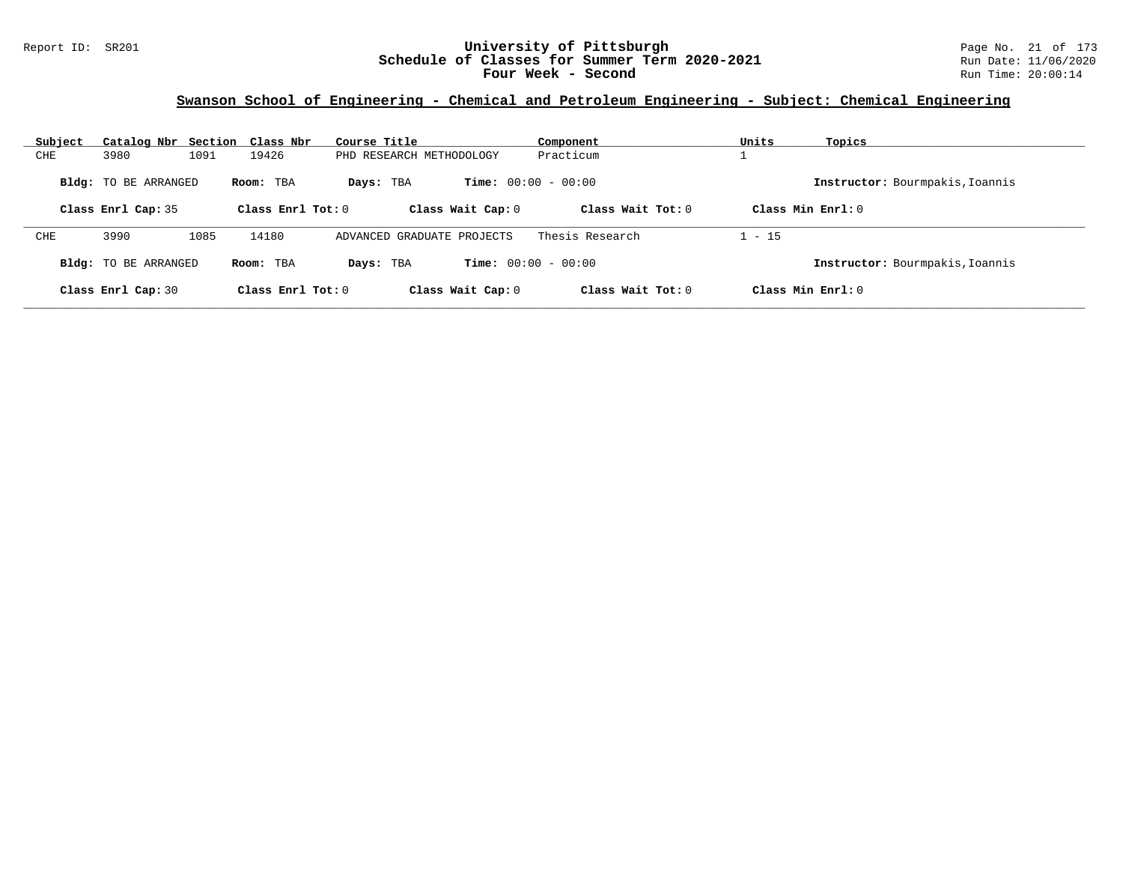#### Report ID: SR201 **University of Pittsburgh** Page No. 21 of 173 **Schedule of Classes for Summer Term 2020-2021** Run Date: 11/06/2020 **Four Week - Second Run Time: 20:00:14**

### **Swanson School of Engineering - Chemical and Petroleum Engineering - Subject: Chemical Engineering**

| Subject     | Catalog Nbr Section Class Nbr                     |      |                                  | Course Title                   | Component                                           | Units    | Topics                                                 |
|-------------|---------------------------------------------------|------|----------------------------------|--------------------------------|-----------------------------------------------------|----------|--------------------------------------------------------|
| ${\rm CHE}$ | 3980                                              | 1091 | 19426                            | PHD RESEARCH METHODOLOGY       | Practicum                                           |          |                                                        |
|             | <b>Bldg:</b> TO BE ARRANGED<br>Class Enrl Cap: 35 |      | Room: TBA<br>Class Enrl Tot: $0$ | Days: TBA<br>Class Wait Cap: 0 | <b>Time:</b> $00:00 - 00:00$<br>Class Wait $Tot: 0$ |          | Instructor: Bourmpakis, Ioannis<br>Class Min $Enrl: 0$ |
|             |                                                   |      |                                  |                                |                                                     |          |                                                        |
| CHE         | 3990                                              | 1085 | 14180                            | ADVANCED GRADUATE PROJECTS     | Thesis Research                                     | $1 - 15$ |                                                        |
|             | <b>Bldg:</b> TO BE ARRANGED                       |      | Room: TBA                        | Days: TBA                      | <b>Time:</b> $00:00 - 00:00$                        |          | Instructor: Bourmpakis, Ioannis                        |
|             | Class Enrl Cap: 30                                |      | Class Enrl Tot: $0$              | Class Wait Cap: 0              | Class Wait $Tot: 0$                                 |          | Class Min $Enrl: 0$                                    |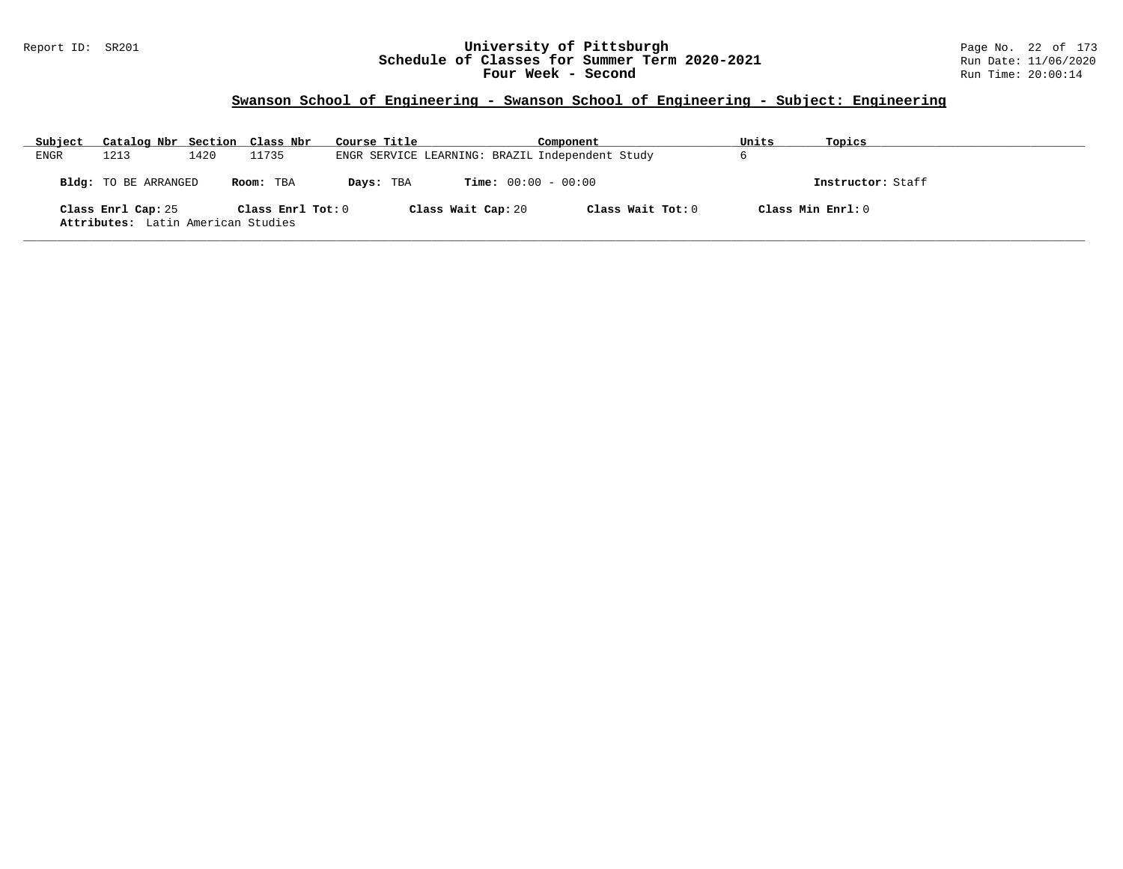### Report ID: SR201 **University of Pittsburgh** Page No. 22 of 173 **Schedule of Classes for Summer Term 2020-2021** Run Date: 11/06/2020 **Four Week - Second Run Time: 20:00:14**

| Subject | Catalog Nbr Section Class Nbr                            |      |                   | Course Title                                    |                    | Component                    |                   | Units | Topics            |
|---------|----------------------------------------------------------|------|-------------------|-------------------------------------------------|--------------------|------------------------------|-------------------|-------|-------------------|
| ENGR    | 1213                                                     | 1420 | 11735             | ENGR SERVICE LEARNING: BRAZIL Independent Study |                    |                              |                   | b     |                   |
|         | Bldg: TO BE ARRANGED                                     |      | Room: TBA         | Days: TBA                                       |                    | <b>Time:</b> $00:00 - 00:00$ |                   |       | Instructor: Staff |
|         | Class Enrl Cap: 25<br>Attributes: Latin American Studies |      | Class Enrl Tot: 0 |                                                 | Class Wait Cap: 20 |                              | Class Wait Tot: 0 |       | Class Min Enrl: 0 |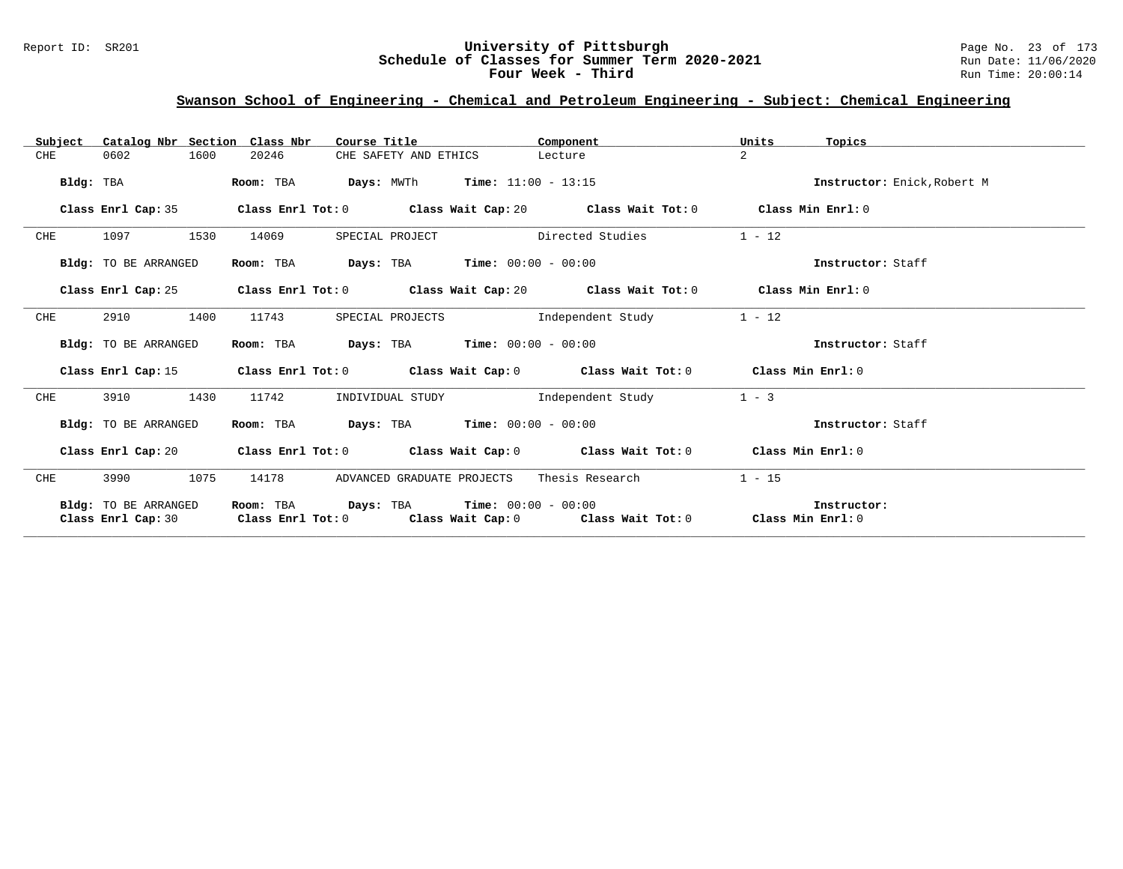### Report ID: SR201 **University of Pittsburgh** Page No. 23 of 173 **Schedule of Classes for Summer Term 2020-2021** Run Date: 11/06/2020 **Four Week - Third Run Time: 20:00:14**

### **Swanson School of Engineering - Chemical and Petroleum Engineering - Subject: Chemical Engineering**

| Subject   | Catalog Nbr Section Class Nbr              | Course Title              |                                                                                                                                  | Component         | Units<br>Topics             |  |
|-----------|--------------------------------------------|---------------------------|----------------------------------------------------------------------------------------------------------------------------------|-------------------|-----------------------------|--|
| CHE       | 0602<br>1600                               | 20246                     | CHE SAFETY AND ETHICS<br>Lecture                                                                                                 |                   | $\overline{2}$              |  |
| Bldg: TBA |                                            | Room: TBA                 | <b>Days:</b> MWTh <b>Time:</b> $11:00 - 13:15$                                                                                   |                   | Instructor: Enick, Robert M |  |
|           | Class Enrl Cap: 35                         |                           | Class Enrl Tot: $0$ Class Wait Cap: $20$ Class Wait Tot: $0$ Class Min Enrl: $0$                                                 |                   |                             |  |
| CHE       | 1530<br>1097                               | 14069<br>SPECIAL PROJECT  | Directed Studies                                                                                                                 |                   | $1 - 12$                    |  |
|           | Bldg: TO BE ARRANGED                       | Room: TBA                 | $Days: TBA$ $Time: 00:00 - 00:00$                                                                                                |                   | Instructor: Staff           |  |
|           | Class Enrl Cap: 25                         |                           | Class Enrl Tot: $0$ Class Wait Cap: $20$ Class Wait Tot: $0$ Class Min Enrl: $0$                                                 |                   |                             |  |
| CHE       | 2910<br>1400                               | 11743                     | SPECIAL PROJECTS and independent Study                                                                                           |                   | $1 - 12$                    |  |
|           | Bldg: TO BE ARRANGED                       | Room: TBA                 | <b>Days:</b> TBA <b>Time:</b> $00:00 - 00:00$                                                                                    |                   | Instructor: Staff           |  |
|           | Class Enrl Cap: 15                         |                           | Class Enrl Tot: $0$ Class Wait Cap: $0$ Class Wait Tot: $0$ Class Min Enrl: $0$                                                  |                   |                             |  |
| CHE       | 3910<br>1430                               | 11742<br>INDIVIDUAL STUDY |                                                                                                                                  | Independent Study | $1 - 3$                     |  |
|           | Bldg: TO BE ARRANGED                       |                           | Room: TBA $Days: TBA$ Time: $00:00 - 00:00$                                                                                      |                   | Instructor: Staff           |  |
|           | Class Enrl Cap: 20                         |                           | Class Enrl Tot: $0$ Class Wait Cap: $0$ Class Wait Tot: $0$ Class Min Enrl: $0$                                                  |                   |                             |  |
| CHE       | 1075<br>3990                               | 14178                     | ADVANCED GRADUATE PROJECTS                                                                                                       | Thesis Research   | $1 - 15$                    |  |
|           | Bldg: TO BE ARRANGED<br>Class Enrl Cap: 30 | Room: TBA                 | <b>Days:</b> TBA <b>Time:</b> $00:00 - 00:00$<br>Class Enrl Tot: $0$ Class Wait Cap: $0$ Class Wait Tot: $0$ Class Min Enrl: $0$ |                   | Instructor:                 |  |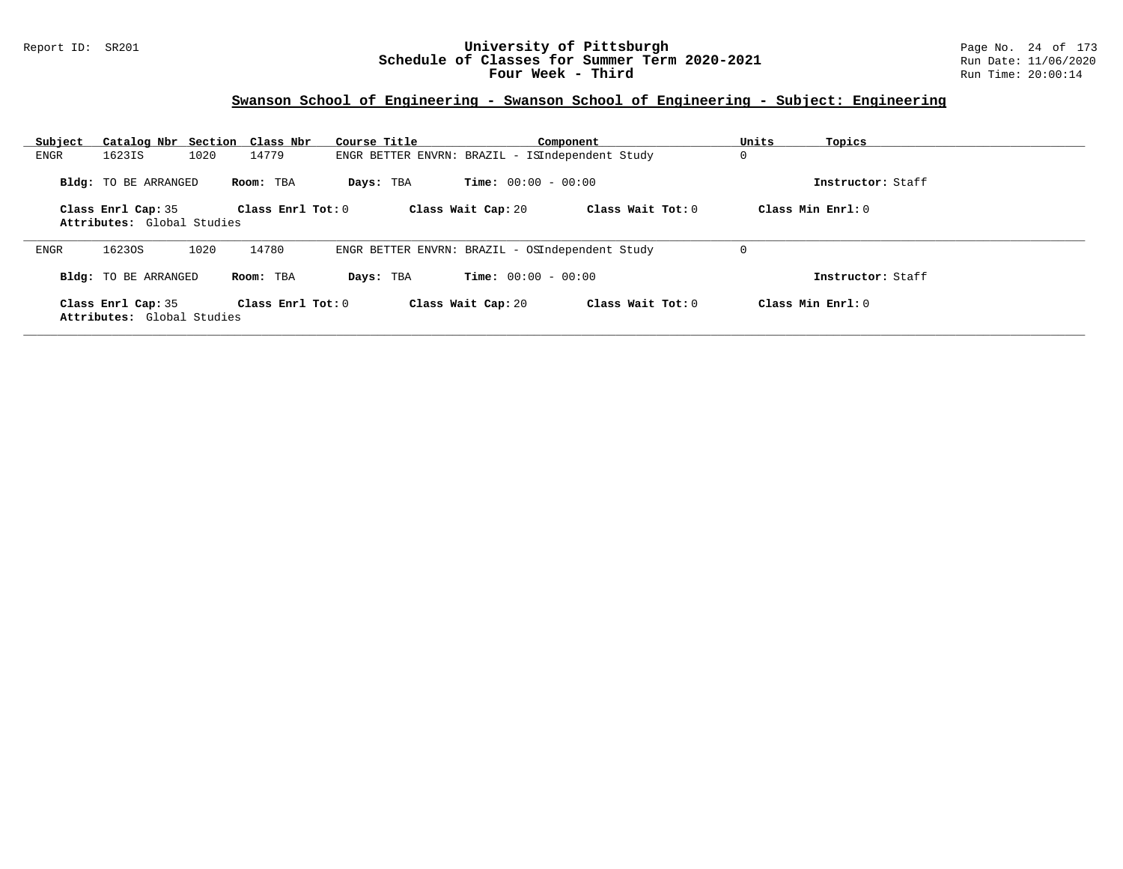### Report ID: SR201 **University of Pittsburgh** Page No. 24 of 173 **Schedule of Classes for Summer Term 2020-2021** Run Date: 11/06/2020 **Four Week - Third Run Time: 20:00:14**

| Subject     | Catalog Nbr Section Class Nbr                    |                     | Course Title                                    |                              | Component         | Units | Topics              |
|-------------|--------------------------------------------------|---------------------|-------------------------------------------------|------------------------------|-------------------|-------|---------------------|
| <b>ENGR</b> | 1623IS<br>1020                                   | 14779               | ENGR BETTER ENVRN: BRAZIL - ISIndependent Study |                              |                   | 0     |                     |
|             | Bldg: TO BE ARRANGED                             | Room: TBA           | Days: TBA                                       | <b>Time:</b> $00:00 - 00:00$ |                   |       | Instructor: Staff   |
|             | Class Enrl Cap: 35<br>Attributes: Global Studies | Class Enrl Tot: 0   |                                                 | Class Wait Cap: 20           | Class Wait Tot: 0 |       | Class Min Enrl: 0   |
| <b>ENGR</b> | 16230S<br>1020                                   | 14780               | ENGR BETTER ENVRN: BRAZIL - OSIndependent Study |                              |                   |       |                     |
|             | Bldg: TO BE ARRANGED                             | Room: TBA           | Days: TBA                                       | <b>Time:</b> $00:00 - 00:00$ |                   |       | Instructor: Staff   |
|             | Class Enrl Cap: 35<br>Attributes: Global Studies | Class Enrl Tot: $0$ |                                                 | Class Wait Cap: 20           | Class Wait Tot: 0 |       | Class Min Enrl: $0$ |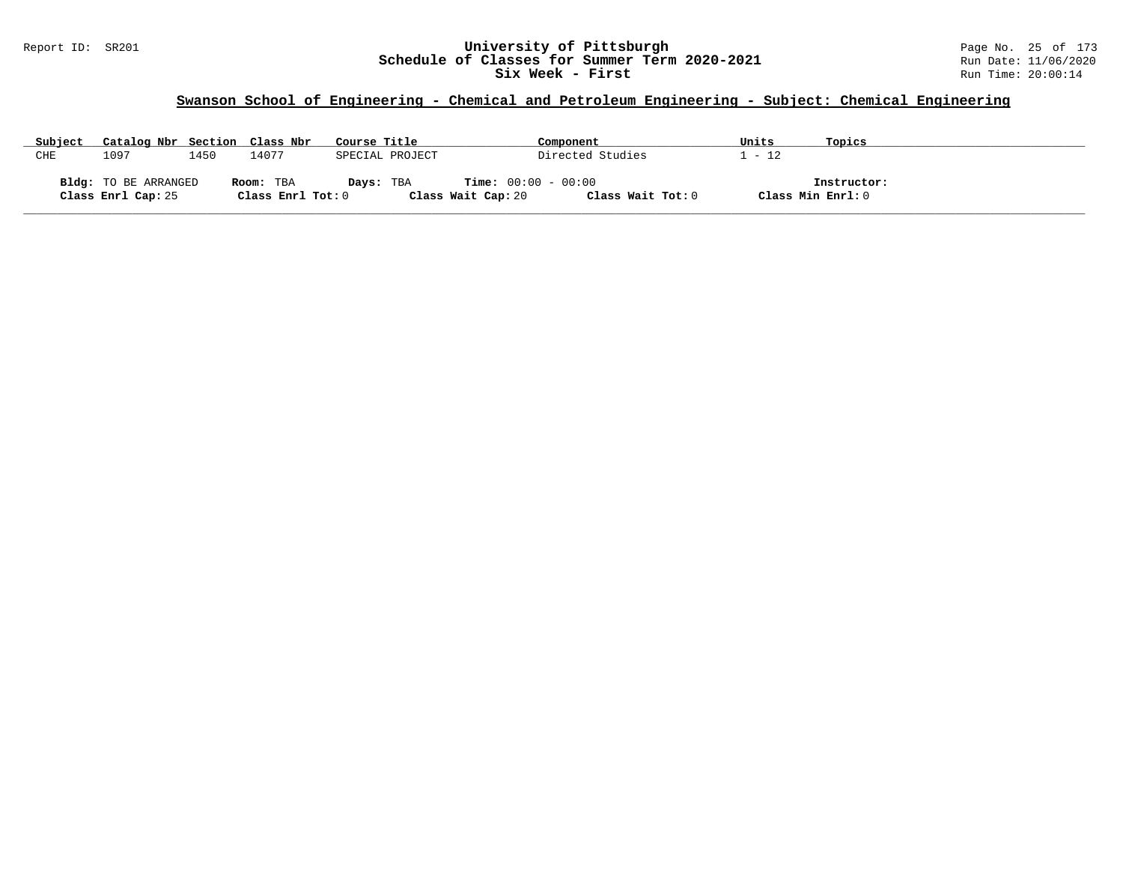#### Report ID: SR201 **University of Pittsburgh** Page No. 25 of 173 **Schedule of Classes for Summer Term 2020-2021** Run Date: 11/06/2020 **Six Week - First Run Time: 20:00:14**

# **Swanson School of Engineering - Chemical and Petroleum Engineering - Subject: Chemical Engineering**

| Subject | Catalog Nbr Section Class Nbr |      |                   | Course Title    | Component             | Units             | Topics            |  |
|---------|-------------------------------|------|-------------------|-----------------|-----------------------|-------------------|-------------------|--|
| CHE     | 1097                          | 1450 | 14077             | SPECIAL PROJECT | Directed Studies      | $_{+}$ - 12       |                   |  |
|         |                               |      |                   |                 |                       |                   |                   |  |
|         | <b>Bldg:</b> TO BE ARRANGED   |      | Room: TBA         | Days: TBA       | $Time: 00:00 - 00:00$ |                   | Instructor:       |  |
|         | Class Enrl Cap: 25            |      | Class Enrl Tot: 0 |                 | Class Wait Cap: 20    | Class Wait Tot: 0 | Class Min Enrl: 0 |  |

**\_\_\_\_\_\_\_\_\_\_\_\_\_\_\_\_\_\_\_\_\_\_\_\_\_\_\_\_\_\_\_\_\_\_\_\_\_\_\_\_\_\_\_\_\_\_\_\_\_\_\_\_\_\_\_\_\_\_\_\_\_\_\_\_\_\_\_\_\_\_\_\_\_\_\_\_\_\_\_\_\_\_\_\_\_\_\_\_\_\_\_\_\_\_\_\_\_\_\_\_\_\_\_\_\_\_\_\_\_\_\_\_\_\_\_\_\_\_\_\_\_\_\_\_\_\_\_\_\_\_\_\_\_\_\_\_\_\_\_\_\_\_\_\_\_\_\_\_\_\_\_\_\_\_\_\_**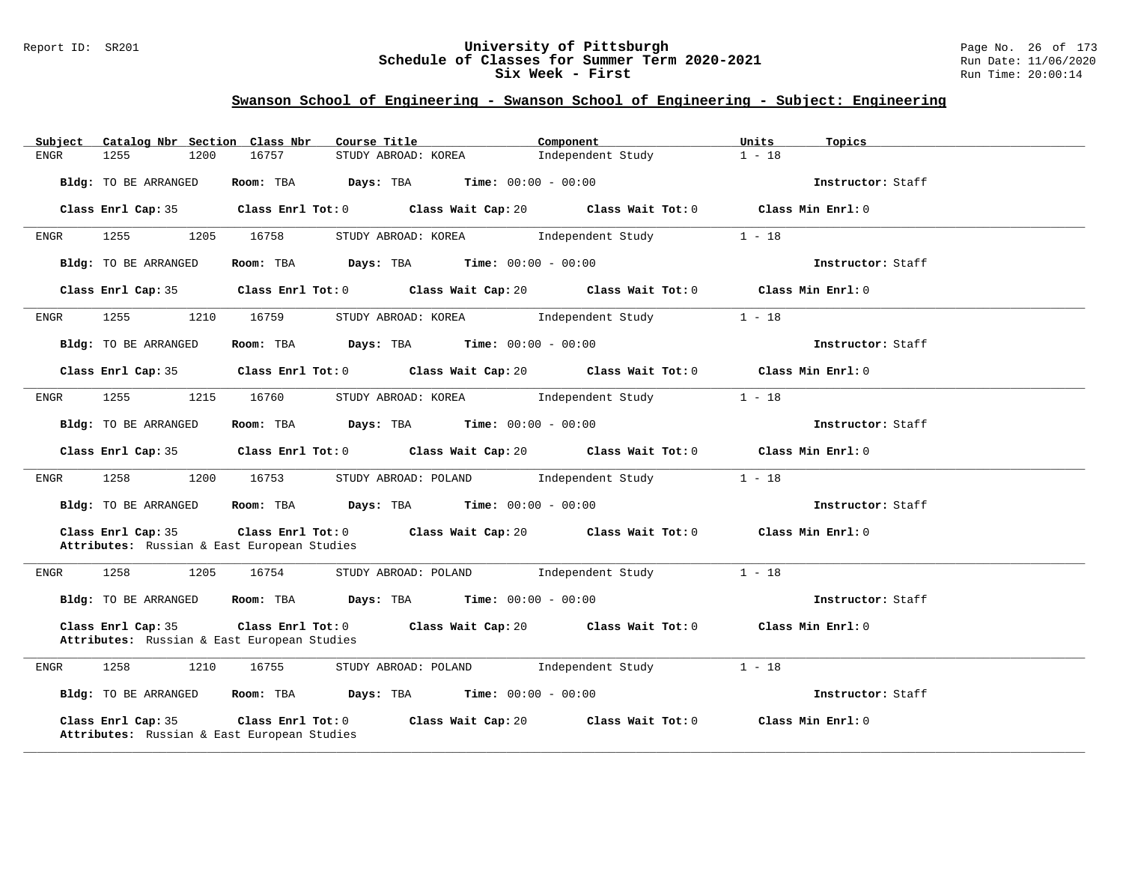### Report ID: SR201 **University of Pittsburgh** Page No. 26 of 173 **Schedule of Classes for Summer Term 2020-2021** Run Date: 11/06/2020 **Six Week - First Run Time: 20:00:14**

| Subject              | Catalog Nbr Section Class Nbr               | Course Title                                                                               | Component                                                                                           | Units<br>Topics   |  |
|----------------------|---------------------------------------------|--------------------------------------------------------------------------------------------|-----------------------------------------------------------------------------------------------------|-------------------|--|
| 1255<br><b>ENGR</b>  | 1200<br>16757                               | STUDY ABROAD: KOREA                                                                        | Independent Study                                                                                   | $1 - 18$          |  |
| Bldg: TO BE ARRANGED |                                             | Room: TBA $Days:$ TBA $Time: 00:00 - 00:00$                                                |                                                                                                     | Instructor: Staff |  |
|                      |                                             |                                                                                            | Class Enrl Cap: 35 Class Enrl Tot: 0 Class Wait Cap: 20 Class Wait Tot: 0 Class Min Enrl: 0         |                   |  |
| 1255<br>ENGR         | 1205<br>16758                               | STUDY ABROAD: KOREA Independent Study                                                      |                                                                                                     | $1 - 18$          |  |
| Bldg: TO BE ARRANGED |                                             | Room: TBA $Days:$ TBA $Time: 00:00 - 00:00$                                                |                                                                                                     | Instructor: Staff |  |
|                      |                                             |                                                                                            | Class Enrl Cap: 35 Class Enrl Tot: 0 Class Wait Cap: 20 Class Wait Tot: 0 Class Min Enrl: 0         |                   |  |
| 1255<br>ENGR         | 1210 16759                                  |                                                                                            | STUDY ABROAD: KOREA Independent Study                                                               | $1 - 18$          |  |
| Bldg: TO BE ARRANGED |                                             | Room: TBA $Days:$ TBA $Time: 00:00 - 00:00$                                                |                                                                                                     | Instructor: Staff |  |
|                      |                                             |                                                                                            | Class Enrl Cap: 35 Class Enrl Tot: 0 Class Wait Cap: 20 Class Wait Tot: 0 Class Min Enrl: 0         |                   |  |
| 1255<br>ENGR         | 1215 16760                                  |                                                                                            | STUDY ABROAD: KOREA Independent Study                                                               | $1 - 18$          |  |
| Bldg: TO BE ARRANGED |                                             | Room: TBA $Days:$ TBA $Time: 00:00 - 00:00$                                                |                                                                                                     | Instructor: Staff |  |
|                      |                                             |                                                                                            | Class Enrl Cap: 35 Class Enrl Tot: 0 Class Wait Cap: 20 Class Wait Tot: 0 Class Min Enrl: 0         |                   |  |
| 1258<br>ENGR         | 1200<br>16753                               | STUDY ABROAD: POLAND Independent Study                                                     |                                                                                                     | $1 - 18$          |  |
| Bldg: TO BE ARRANGED |                                             | Room: TBA $Days:$ TBA $Time: 00:00 - 00:00$                                                |                                                                                                     | Instructor: Staff |  |
| Class Enrl Cap: 35   | Attributes: Russian & East European Studies |                                                                                            | Class Enrl Tot: 0 $\qquad$ Class Wait Cap: 20 $\qquad$ Class Wait Tot: 0 $\qquad$ Class Min Enrl: 0 |                   |  |
| 1258<br>ENGR         | 1205<br>16754                               | STUDY ABROAD: POLAND Independent Study                                                     |                                                                                                     | $1 - 18$          |  |
|                      |                                             | <b>Bldg:</b> TO BE ARRANGED <b>ROOM:</b> TBA <b>Days:</b> TBA <b>Time:</b> $00:00 - 00:00$ |                                                                                                     | Instructor: Staff |  |
| Class Enrl Cap: 35   | Attributes: Russian & East European Studies |                                                                                            | Class Enrl Tot: $0$ Class Wait Cap: $20$ Class Wait Tot: $0$                                        | Class Min Enrl: 0 |  |
| 1258<br>ENGR         | 1210<br>16755                               |                                                                                            | STUDY ABROAD: POLAND Independent Study                                                              | $1 - 18$          |  |
| Bldg: TO BE ARRANGED |                                             | Room: TBA $Days:$ TBA Time: $00:00 - 00:00$                                                |                                                                                                     | Instructor: Staff |  |
| Class Enrl Cap: 35   | Attributes: Russian & East European Studies |                                                                                            | Class Enrl Tot: $0$ Class Wait Cap: $20$ Class Wait Tot: $0$                                        | Class Min Enrl: 0 |  |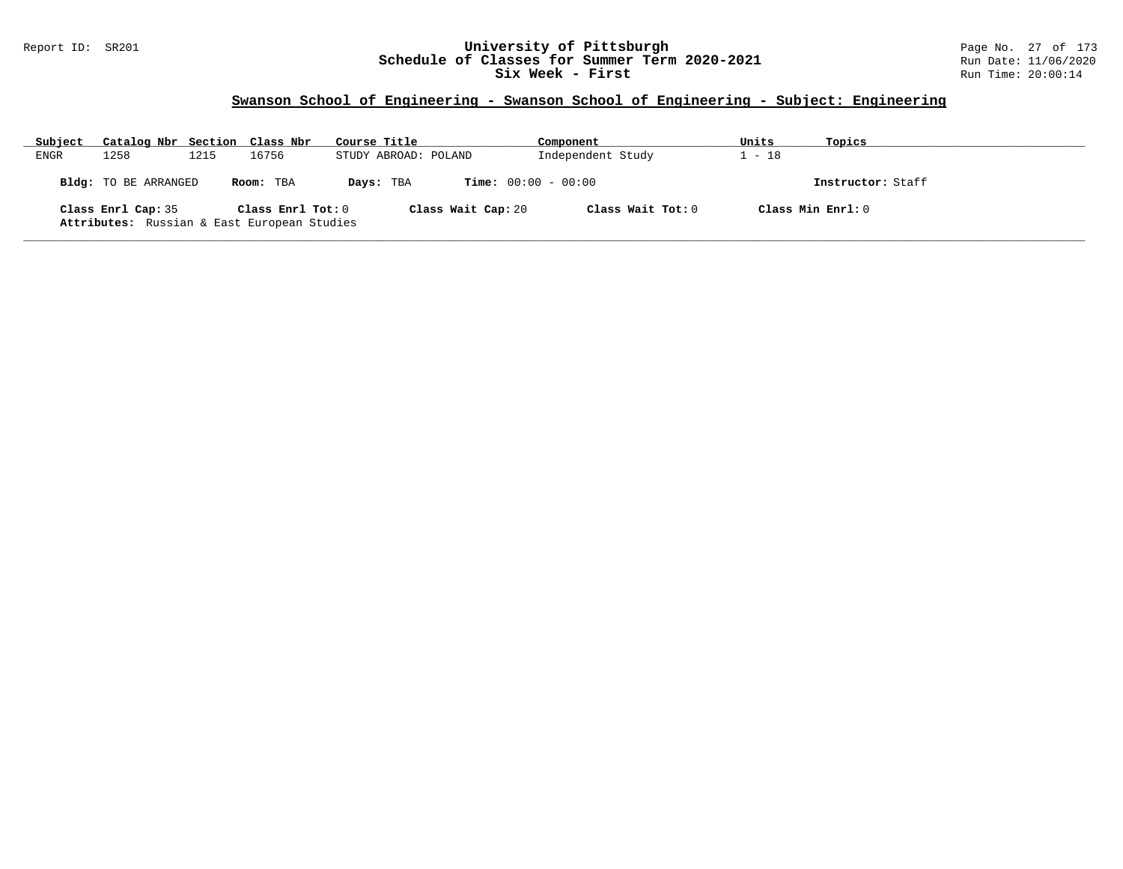### Report ID: SR201 **University of Pittsburgh** Page No. 27 of 173 **Schedule of Classes for Summer Term 2020-2021** Run Date: 11/06/2020 **Six Week - First Run Time: 20:00:14**

| Subject | Catalog Nbr Section Class Nbr                                     |      |                   | Course Title         |                    | Component                    | Units | Topics              |
|---------|-------------------------------------------------------------------|------|-------------------|----------------------|--------------------|------------------------------|-------|---------------------|
| ENGR    | 1258                                                              | 1215 | 16756             | STUDY ABROAD: POLAND |                    | Independent Study            | $-18$ |                     |
|         | <b>Bldg:</b> TO BE ARRANGED                                       |      | Room: TBA         | Days: TBA            |                    | <b>Time:</b> $00:00 - 00:00$ |       | Instructor: Staff   |
|         | Class Enrl Cap: 35<br>Attributes: Russian & East European Studies |      | Class Enrl Tot: 0 |                      | Class Wait Cap: 20 | Class Wait Tot: 0            |       | Class Min $Enrl: 0$ |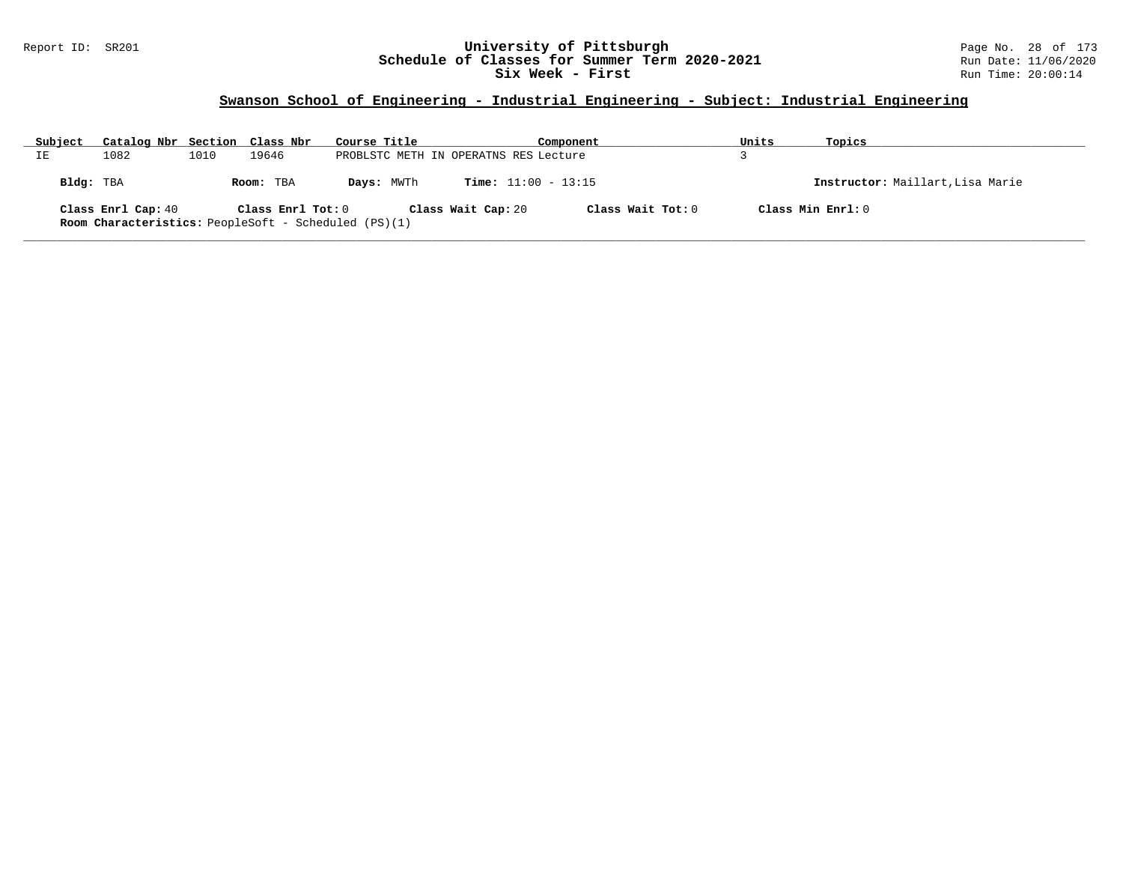### Report ID: SR201 **University of Pittsburgh** Page No. 28 of 173 **Schedule of Classes for Summer Term 2020-2021** Run Date: 11/06/2020 **Six Week - First Run Time: 20:00:14**

### **Swanson School of Engineering - Industrial Engineering - Subject: Industrial Engineering**

| Subject   | Catalog Nbr Section Class Nbr |      |                   | Course Title                                                |                    | Component                    | Units | Topics                           |
|-----------|-------------------------------|------|-------------------|-------------------------------------------------------------|--------------------|------------------------------|-------|----------------------------------|
| IΕ        | 1082                          | 1010 | 19646             | PROBLSTC METH IN OPERATNS RES Lecture                       |                    |                              |       |                                  |
| Bldg: TBA |                               |      | Room: TBA         | Days: MWTh                                                  |                    | <b>Time:</b> $11:00 - 13:15$ |       | Instructor: Maillart, Lisa Marie |
|           | Class Enrl Cap: 40            |      | Class Enrl Tot: 0 | <b>Room Characteristics:</b> PeopleSoft - Scheduled (PS)(1) | Class Wait Cap: 20 | Class Wait Tot: 0            |       | Class Min Enrl: 0                |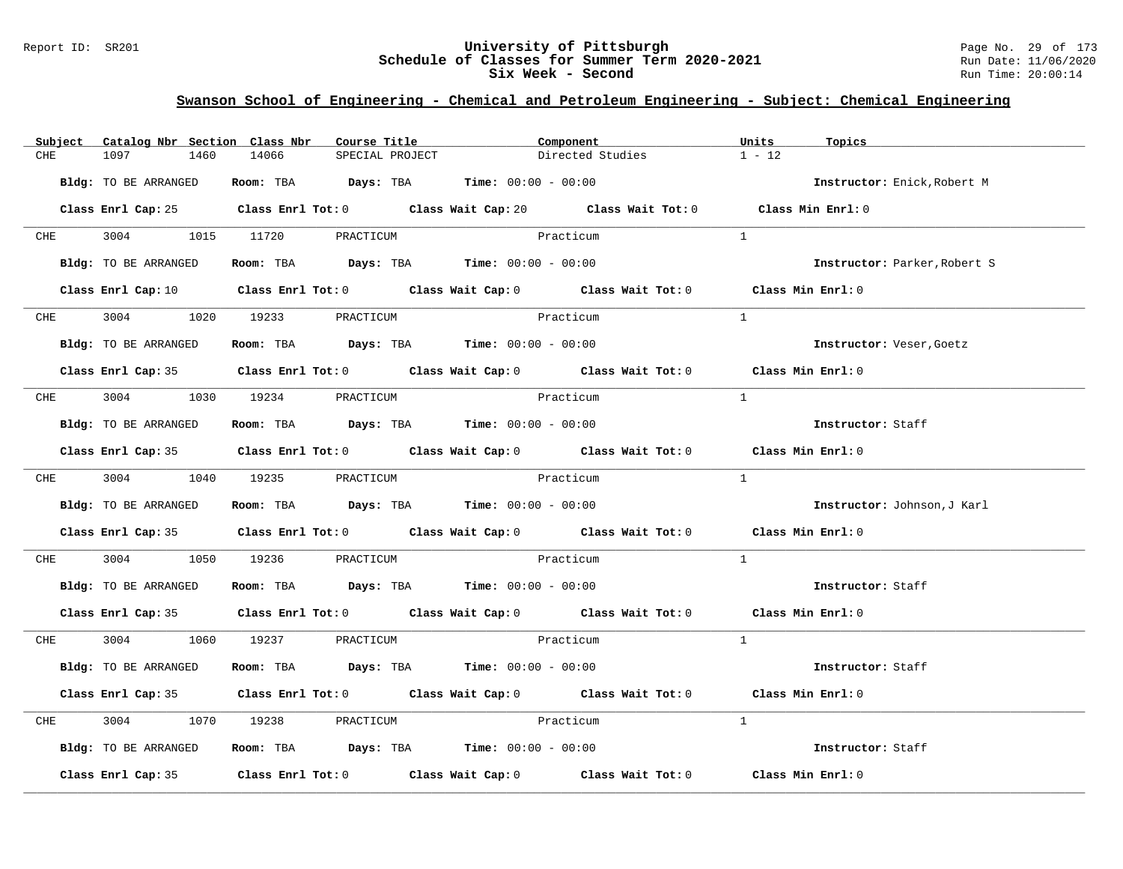### Report ID: SR201 **University of Pittsburgh** Page No. 29 of 173 **Schedule of Classes for Summer Term 2020-2021** Run Date: 11/06/2020 **Six Week - Second Run Time: 20:00:14**

### **Swanson School of Engineering - Chemical and Petroleum Engineering - Subject: Chemical Engineering**

| Subject    | Catalog Nbr Section Class Nbr | Course Title                                                   | Component                                                                                                                      | Units<br>Topics              |
|------------|-------------------------------|----------------------------------------------------------------|--------------------------------------------------------------------------------------------------------------------------------|------------------------------|
| CHE        | 1097<br>1460                  | 14066<br>SPECIAL PROJECT                                       | Directed Studies                                                                                                               | $1 - 12$                     |
|            | Bldg: TO BE ARRANGED          | Room: TBA $Days:$ TBA $Time: 00:00 - 00:00$                    |                                                                                                                                | Instructor: Enick, Robert M  |
|            |                               |                                                                | Class Enrl Cap: 25 Class Enrl Tot: 0 Class Wait Cap: 20 Class Wait Tot: 0 Class Min Enrl: 0                                    |                              |
|            |                               | CHE 3004 1015 11720 PRACTICUM                                  | Practicum                                                                                                                      | $\mathbf{1}$                 |
|            | Bldg: TO BE ARRANGED          | Room: TBA $Days:$ TBA $Time: 00:00 - 00:00$                    |                                                                                                                                | Instructor: Parker, Robert S |
|            |                               |                                                                | Class Enrl Cap: 10 $\qquad$ Class Enrl Tot: 0 $\qquad$ Class Wait Cap: 0 $\qquad$ Class Wait Tot: 0 $\qquad$ Class Min Enrl: 0 |                              |
|            |                               | CHE 3004 1020 19233 PRACTICUM                                  | Practicum                                                                                                                      | $\overline{1}$               |
|            | Bldg: TO BE ARRANGED          | Room: TBA $Days:$ TBA $Time:$ 00:00 - 00:00                    |                                                                                                                                | Instructor: Veser, Goetz     |
|            |                               |                                                                | Class Enrl Cap: 35 Class Enrl Tot: 0 Class Wait Cap: 0 Class Wait Tot: 0 Class Min Enrl: 0                                     |                              |
| <b>CHE</b> |                               | 3004 1030 19234 PRACTICUM                                      | Practicum                                                                                                                      | $\mathbf{1}$                 |
|            | Bldg: TO BE ARRANGED          | Room: TBA $\rule{1em}{0.15mm}$ Days: TBA Time: $00:00 - 00:00$ |                                                                                                                                | Instructor: Staff            |
|            |                               |                                                                | Class Enrl Cap: 35 Class Enrl Tot: 0 Class Wait Cap: 0 Class Wait Tot: 0 Class Min Enrl: 0                                     |                              |
|            |                               | CHE 3004 1040 19235 PRACTICUM                                  | Practicum                                                                                                                      | $\mathbf{1}$                 |
|            | Bldg: TO BE ARRANGED          | Room: TBA $Days:$ TBA $Time: 00:00 - 00:00$                    |                                                                                                                                | Instructor: Johnson, J Karl  |
|            |                               |                                                                | Class Enrl Cap: 35 Class Enrl Tot: 0 Class Wait Cap: 0 Class Wait Tot: 0 Class Min Enrl: 0                                     |                              |
| CHE        | 3004                          | 1050 19236<br>PRACTICUM                                        | Practicum                                                                                                                      | $\mathbf{1}$                 |
|            | Bldg: TO BE ARRANGED          | Room: TBA $Days:$ TBA $Time: 00:00 - 00:00$                    |                                                                                                                                | Instructor: Staff            |
|            |                               |                                                                | Class Enrl Cap: 35 Class Enrl Tot: 0 Class Wait Cap: 0 Class Wait Tot: 0 Class Min Enrl: 0                                     |                              |
|            |                               | CHE 3004 1060 19237 PRACTICUM                                  | Practicum                                                                                                                      | $\mathbf{1}$                 |
|            | Bldg: TO BE ARRANGED          | Room: TBA $Days:$ TBA $Time: 00:00 - 00:00$                    |                                                                                                                                | Instructor: Staff            |
|            |                               |                                                                | Class Enrl Cap: 35 Class Enrl Tot: 0 Class Wait Cap: 0 Class Wait Tot: 0 Class Min Enrl: 0                                     |                              |
| CHE        | 3004                          | 1070 19238 PRACTICUM                                           | Practicum                                                                                                                      | $\mathbf{1}$                 |
|            | Bldg: TO BE ARRANGED          | Room: TBA $\rule{1em}{0.15mm}$ Days: TBA Time: $00:00 - 00:00$ |                                                                                                                                | Instructor: Staff            |
|            |                               |                                                                | Class Enrl Cap: 35 Class Enrl Tot: 0 Class Wait Cap: 0 Class Wait Tot: 0 Class Min Enrl: 0                                     |                              |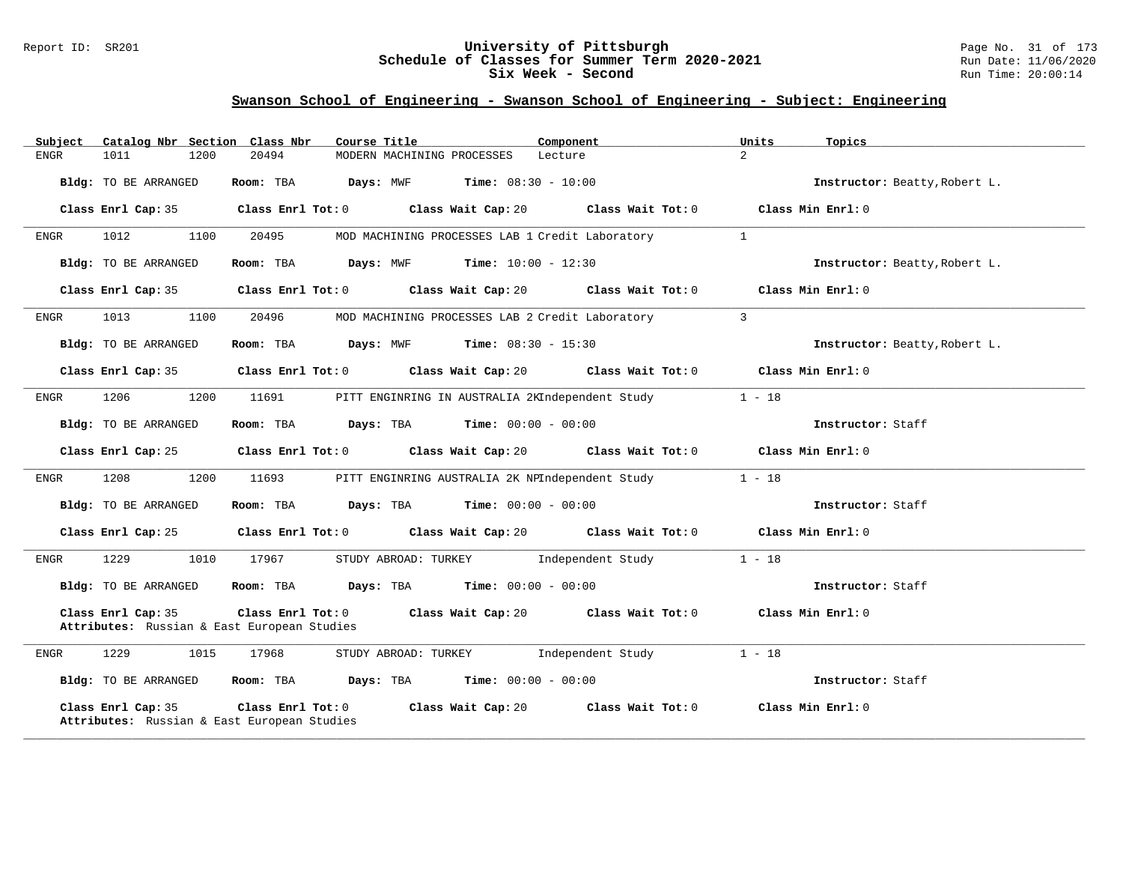### Report ID: SR201 **University of Pittsburgh** Page No. 31 of 173 **Schedule of Classes for Summer Term 2020-2021** Run Date: 11/06/2020 **Six Week - Second Run Time: 20:00:14**

| Catalog Nbr Section Class Nbr<br>Subject                          | Course Title<br>Component                                                                     | Units<br>Topics               |
|-------------------------------------------------------------------|-----------------------------------------------------------------------------------------------|-------------------------------|
| 1011<br>1200<br>ENGR                                              | 20494<br>MODERN MACHINING PROCESSES<br>Lecture                                                | $\overline{2}$                |
| Bldg: TO BE ARRANGED                                              | <b>Days:</b> MWF <b>Time:</b> $08:30 - 10:00$<br>Room: TBA                                    | Instructor: Beatty, Robert L. |
| Class Enrl Cap: 35                                                | $Class$ $Enr1$ $Tot: 0$<br>Class Wait Cap: 20 Class Wait Tot: 0                               | Class Min Enrl: 0             |
| 1012<br>1100<br>ENGR                                              | 20495<br>MOD MACHINING PROCESSES LAB 1 Credit Laboratory                                      | $\mathbf{1}$                  |
| Bldg: TO BE ARRANGED                                              | <b>Days:</b> MWF <b>Time:</b> $10:00 - 12:30$<br>Room: TBA                                    | Instructor: Beatty, Robert L. |
| Class Enrl Cap: 35                                                | Class Enrl Tot: 0 Class Wait Cap: 20 Class Wait Tot: 0                                        | Class Min Enrl: 0             |
| 1013<br>1100<br>ENGR                                              | 20496<br>MOD MACHINING PROCESSES LAB 2 Credit Laboratory                                      | $\overline{3}$                |
| Bldg: TO BE ARRANGED                                              | <b>Days:</b> MWF <b>Time:</b> $08:30 - 15:30$<br>Room: TBA                                    | Instructor: Beatty, Robert L. |
| Class Enrl Cap: 35                                                | Class Enrl Tot: 0 Class Wait Cap: 20 Class Wait Tot: 0                                        | Class Min Enrl: 0             |
| 1206<br>1200<br>ENGR                                              | 11691<br>PITT ENGINRING IN AUSTRALIA 2KIndependent Study                                      | $1 - 18$                      |
| Bldg: TO BE ARRANGED                                              | Room: TBA<br><b>Days:</b> TBA <b>Time:</b> $00:00 - 00:00$                                    | Instructor: Staff             |
| Class Enrl Cap: 25                                                | Class Enrl Tot: $0$ Class Wait Cap: $20$ Class Wait Tot: $0$ Class Min Enrl: $0$              |                               |
| 1208<br>1200<br>ENGR                                              | 11693<br>PITT ENGINRING AUSTRALIA 2K NPIndependent Study                                      | $1 - 18$                      |
| Bldg: TO BE ARRANGED                                              | <b>Days:</b> TBA <b>Time:</b> $00:00 - 00:00$<br>Room: TBA                                    | Instructor: Staff             |
| Class Enrl Cap: 25                                                | Class Enrl Tot: $0$ Class Wait Cap: $20$ Class Wait Tot: $0$ Class Min Enrl: $0$              |                               |
| 1229<br>1010<br>ENGR                                              | 17967<br>STUDY ABROAD: TURKEY<br>Independent Study                                            | $1 - 18$                      |
| Bldg: TO BE ARRANGED                                              | <b>Days:</b> TBA <b>Time:</b> $00:00 - 00:00$<br>Room: TBA                                    | Instructor: Staff             |
| Class Enrl Cap: 35<br>Attributes: Russian & East European Studies | Class Wait Cap: 20 $\qquad$ Class Wait Tot: 0 $\qquad$ Class Min Enrl: 0<br>Class Enrl Tot: 0 |                               |
| 1229<br>1015<br>ENGR                                              | 17968<br>STUDY ABROAD: TURKEY Independent Study                                               | $1 - 18$                      |
| Bldg: TO BE ARRANGED                                              | Room: TBA $Days:$ TBA $Time: 00:00 - 00:00$                                                   | Instructor: Staff             |
| Class Enrl Cap: 35<br>Attributes: Russian & East European Studies | Class Enrl Tot: 0<br>Class Wait Cap: 20<br>Class Wait Tot: 0                                  | Class Min Enrl: 0             |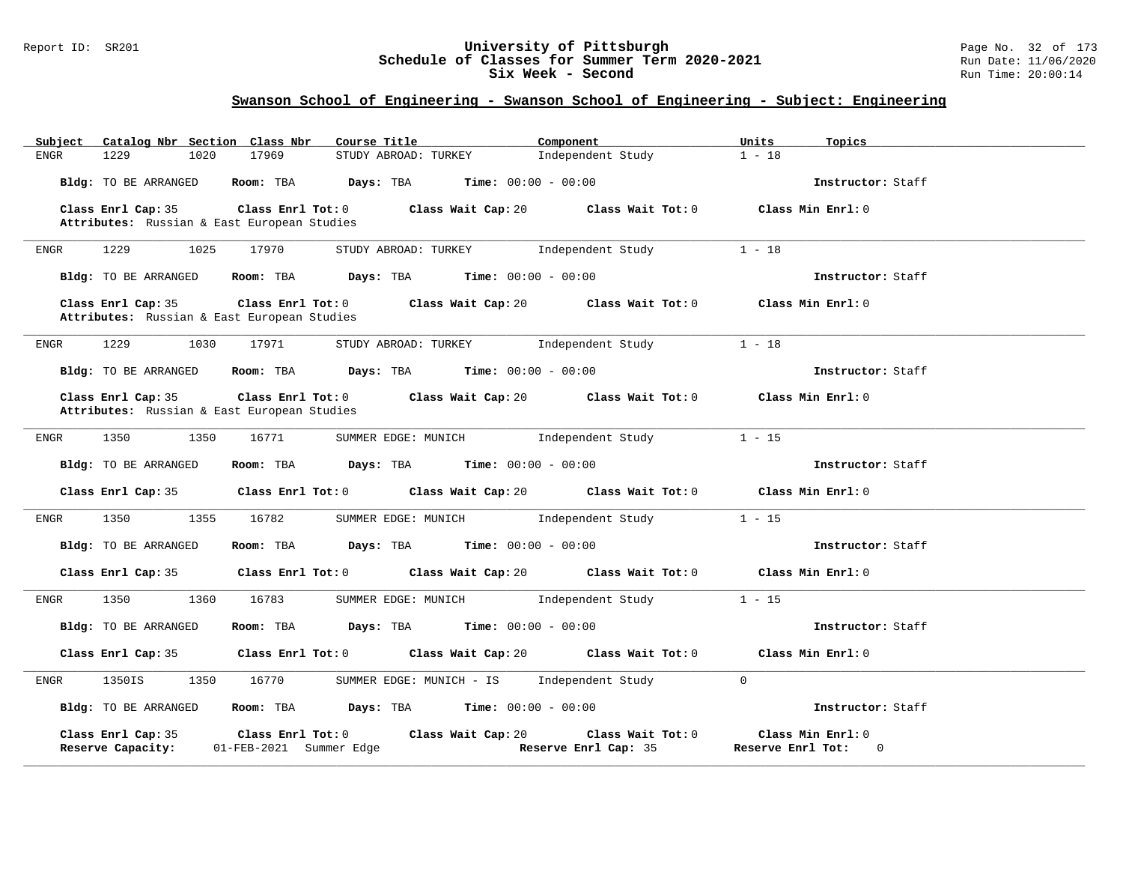### Report ID: SR201 **University of Pittsburgh** Page No. 32 of 173 **Schedule of Classes for Summer Term 2020-2021** Run Date: 11/06/2020 **Six Week - Second Run Time: 20:00:14**

| Catalog Nbr Section Class Nbr<br>Subject                          | Course Title                                                                                | Component<br>Units                        | Topics                                   |
|-------------------------------------------------------------------|---------------------------------------------------------------------------------------------|-------------------------------------------|------------------------------------------|
| 1229<br>1020<br>ENGR                                              | 17969<br>STUDY ABROAD: TURKEY                                                               | $1 - 18$<br>Independent Study             |                                          |
| Bldg: TO BE ARRANGED                                              | Room: TBA $Days: TBA$ Time: $00:00 - 00:00$                                                 |                                           | Instructor: Staff                        |
| Class Enrl Cap: 35                                                | Class Enrl Tot: 0 Class Wait Cap: 20 Class Wait Tot: 0                                      |                                           | Class Min Enrl: 0                        |
| Attributes: Russian & East European Studies                       |                                                                                             |                                           |                                          |
| ENGR<br>1229<br>1025                                              | 17970<br>STUDY ABROAD: TURKEY Independent Study                                             | $1 - 18$                                  |                                          |
| Bldg: TO BE ARRANGED                                              | Room: TBA $\rule{1em}{0.15mm}$ Days: TBA $\rule{1.15mm}]{0.15mm}$ Time: $00:00 - 00:00$     |                                           | Instructor: Staff                        |
| Class Enrl Cap: 35<br>Attributes: Russian & East European Studies | Class Enrl Tot: 0 Class Wait Cap: 20 Class Wait Tot: 0 Class Min Enrl: 0                    |                                           |                                          |
| 1229<br>1030<br>ENGR                                              | 17971<br>STUDY ABROAD: TURKEY                                                               | $1 - 18$<br>Independent Study             |                                          |
| Bldg: TO BE ARRANGED                                              | Room: TBA $Days:$ TBA $Time: 00:00 - 00:00$                                                 |                                           | Instructor: Staff                        |
| Class Enrl Cap: 35<br>Attributes: Russian & East European Studies | Class Enrl Tot: $0$ Class Wait Cap: $20$ Class Wait Tot: $0$ Class Min Enrl: $0$            |                                           |                                          |
| 1350<br>1350<br>ENGR                                              | SUMMER EDGE: MUNICH Independent Study<br>16771                                              | $1 - 15$                                  |                                          |
| <b>Bldg:</b> TO BE ARRANGED                                       | Room: TBA $\rule{1em}{0.15mm}$ Days: TBA $\rule{1.5mm}{0.15mm}$ Time: $00:00 - 00:00$       |                                           | Instructor: Staff                        |
|                                                                   | Class Enrl Cap: 35 Class Enrl Tot: 0 Class Wait Cap: 20 Class Wait Tot: 0 Class Min Enrl: 0 |                                           |                                          |
| 1350<br>1355<br>ENGR                                              | 16782<br>SUMMER EDGE: MUNICH FRIED STREEP Independent Study                                 | $1 - 15$                                  |                                          |
| Bldg: TO BE ARRANGED                                              | <b>Days:</b> TBA <b>Time:</b> $00:00 - 00:00$<br>Room: TBA                                  |                                           | Instructor: Staff                        |
| Class Enrl Cap: 35                                                | Class Enrl Tot: 0 Class Wait Cap: 20 Class Wait Tot: 0 Class Min Enrl: 0                    |                                           |                                          |
| 1350<br>1360<br>ENGR                                              | 16783<br>SUMMER EDGE: MUNICH                                                                | $1 - 15$<br>Independent Study             |                                          |
| Bldg: TO BE ARRANGED                                              | Room: TBA $Days:$ TBA $Time: 00:00 - 00:00$                                                 |                                           | Instructor: Staff                        |
| Class Enrl Cap: 35                                                | Class Enrl Tot: 0 Class Wait Cap: 20 Class Wait Tot: 0                                      |                                           | Class Min Enrl: 0                        |
| 1350IS<br>1350<br>ENGR                                            | 16770<br>SUMMER EDGE: MUNICH - IS                                                           | $\Omega$<br>Independent Study             |                                          |
| Bldg: TO BE ARRANGED                                              | $Time: 00:00 - 00:00$<br>Room: TBA Days: TBA                                                |                                           | Instructor: Staff                        |
| Class Enrl Cap: 35<br>Reserve Capacity:                           | Class Wait Cap: 20<br>Class Enrl Tot: 0<br>01-FEB-2021 Summer Edge                          | Class Wait Tot: 0<br>Reserve Enrl Cap: 35 | Class Min Enrl: 0<br>Reserve Enrl Tot: 0 |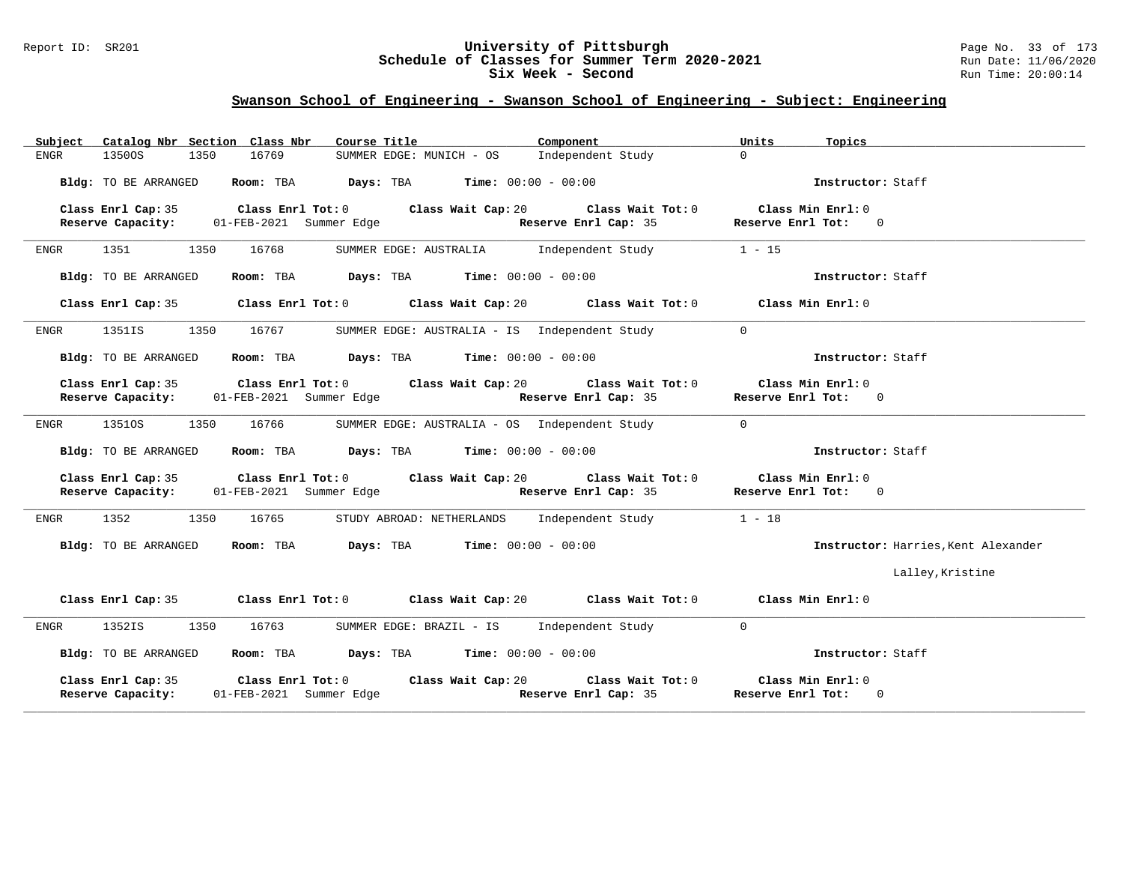### Report ID: SR201 **University of Pittsburgh** Page No. 33 of 173 **Schedule of Classes for Summer Term 2020-2021** Run Date: 11/06/2020 **Six Week - Second Run Time: 20:00:14**

| Catalog Nbr Section Class Nbr<br>Subject | Course Title                                                                                            | Component<br>Units                                                                    | Topics                              |
|------------------------------------------|---------------------------------------------------------------------------------------------------------|---------------------------------------------------------------------------------------|-------------------------------------|
| <b>ENGR</b><br>1350OS<br>1350            | 16769<br>SUMMER EDGE: MUNICH - OS                                                                       | $\Omega$<br>Independent Study                                                         |                                     |
| Bldg: TO BE ARRANGED                     | Room: TBA Days: TBA<br><b>Time:</b> $00:00 - 00:00$                                                     |                                                                                       | Instructor: Staff                   |
| Class Enrl Cap: 35                       | Class Enrl Tot: 0 Class Wait Cap: 20<br>Reserve Capacity: 01-FEB-2021 Summer Edge                       | Class Wait Tot: 0<br>Class Min Enrl: 0<br>Reserve Enrl Cap: 35<br>Reserve Enrl Tot: 0 |                                     |
| 1350<br>1351 720<br>ENGR                 | 16768<br>SUMMER EDGE: AUSTRALIA                                                                         | $1 - 15$<br>Independent Study                                                         |                                     |
| Bldg: TO BE ARRANGED                     | Room: TBA $Days:$ TBA $Time: 00:00 - 00:00$                                                             |                                                                                       | Instructor: Staff                   |
| Class Enrl Cap: 35                       | Class Enrl Tot: 0 Class Wait Cap: 20                                                                    | Class Min Enrl: 0<br>Class Wait Tot: 0                                                |                                     |
| 1351IS<br>1350<br>ENGR                   | 16767<br>SUMMER EDGE: AUSTRALIA - IS Independent Study                                                  | $\Omega$                                                                              |                                     |
| Bldg: TO BE ARRANGED                     | Room: TBA Days: TBA<br><b>Time:</b> $00:00 - 00:00$                                                     |                                                                                       | Instructor: Staff                   |
| Class Enrl Cap: 35<br>Reserve Capacity:  | Class Enrl Tot: 0 Class Wait Cap: 20 Class Wait Tot: 0<br>01-FEB-2021 Summer Edge Reserve Enrl Cap: 35  | Class Min Enrl: 0<br>Reserve Enrl Tot: 0                                              |                                     |
| 1351OS<br>1350<br>ENGR                   | 16766<br>SUMMER EDGE: AUSTRALIA - OS Independent Study                                                  | $\Omega$                                                                              |                                     |
| Bldg: TO BE ARRANGED                     | Room: TBA<br>Days: TBA<br><b>Time:</b> $00:00 - 00:00$                                                  |                                                                                       | Instructor: Staff                   |
| Class Enrl Cap: 35                       | Class Enrl Tot: 0 Class Wait Cap: 20<br>Reserve Capacity: 01-FEB-2021 Summer Edge Reserve Enrl Cap: 35  | Class Wait Tot: 0<br>Class Min Enrl: 0<br>Reserve Enrl Tot: 0                         |                                     |
| 1352<br>1350<br>ENGR                     | 16765<br>STUDY ABROAD: NETHERLANDS                                                                      | $1 - 18$<br>Independent Study                                                         |                                     |
| Bldg: TO BE ARRANGED                     | Room: TBA<br><b>Days:</b> TBA <b>Time:</b> $00:00 - 00:00$                                              |                                                                                       | Instructor: Harries, Kent Alexander |
|                                          |                                                                                                         |                                                                                       | Lalley, Kristine                    |
| Class Enrl Cap: 35                       | Class Enrl Tot: $0$ Class Wait Cap: $20$ Class Wait Tot: $0$                                            | Class Min $Err1:0$                                                                    |                                     |
| 1352IS<br>1350<br>ENGR                   | 16763<br>SUMMER EDGE: BRAZIL - IS                                                                       | Independent Study<br>$\mathbf{0}$                                                     |                                     |
| Bldg: TO BE ARRANGED                     | Room: TBA Days: TBA<br>$Time: 00:00 - 00:00$                                                            |                                                                                       | Instructor: Staff                   |
| Class Enrl Cap: 35<br>Reserve Capacity:  | Class Enrl Tot: 0 Class Wait Cap: 20<br>01-FEB-2021 Summer Edge <b>Energy Strategy Property Cap:</b> 35 | Class Wait Tot: 0<br>Class Min Enrl: 0<br>Reserve Enrl Tot: 0                         |                                     |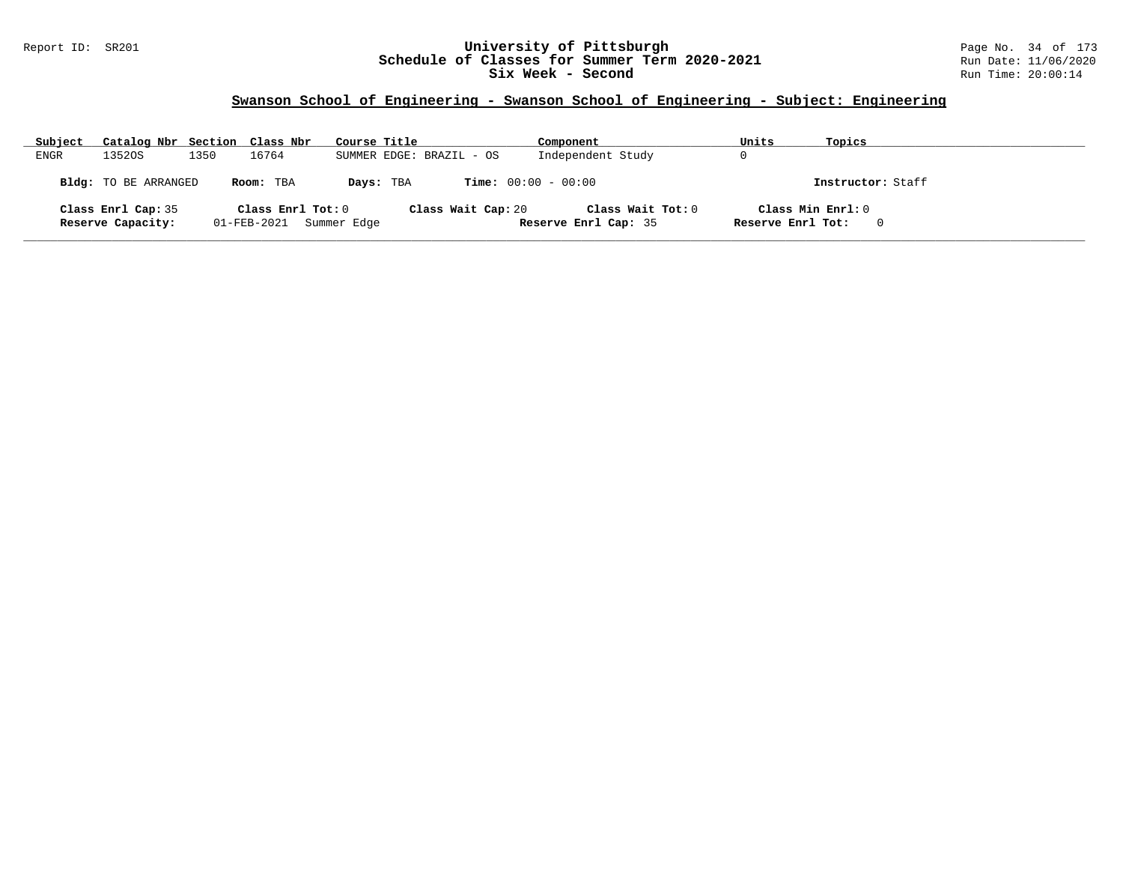### Report ID: SR201 **University of Pittsburgh** Page No. 34 of 173 **Schedule of Classes for Summer Term 2020-2021** Run Date: 11/06/2020 **Six Week - Second Run Time: 20:00:14**

| Subject | Catalog Nbr Section Class Nbr           |      |                   | Course Title            |           |                          | Component                                 | Units             | Topics            |
|---------|-----------------------------------------|------|-------------------|-------------------------|-----------|--------------------------|-------------------------------------------|-------------------|-------------------|
| ENGR    | 13520S                                  | 1350 | 16764             |                         |           | SUMMER EDGE: BRAZIL - OS | Independent Study                         |                   |                   |
|         | <b>Bldg:</b> TO BE ARRANGED             |      | Room: TBA         |                         | Days: TBA |                          | <b>Time:</b> $00:00 - 00:00$              |                   | Instructor: Staff |
|         | Class Enrl Cap: 35<br>Reserve Capacity: |      | Class Enrl Tot: 0 | 01-FEB-2021 Summer Edge |           | Class Wait Cap: 20       | Class Wait Tot: 0<br>Reserve Enrl Cap: 35 | Reserve Enrl Tot: | Class Min Enrl: 0 |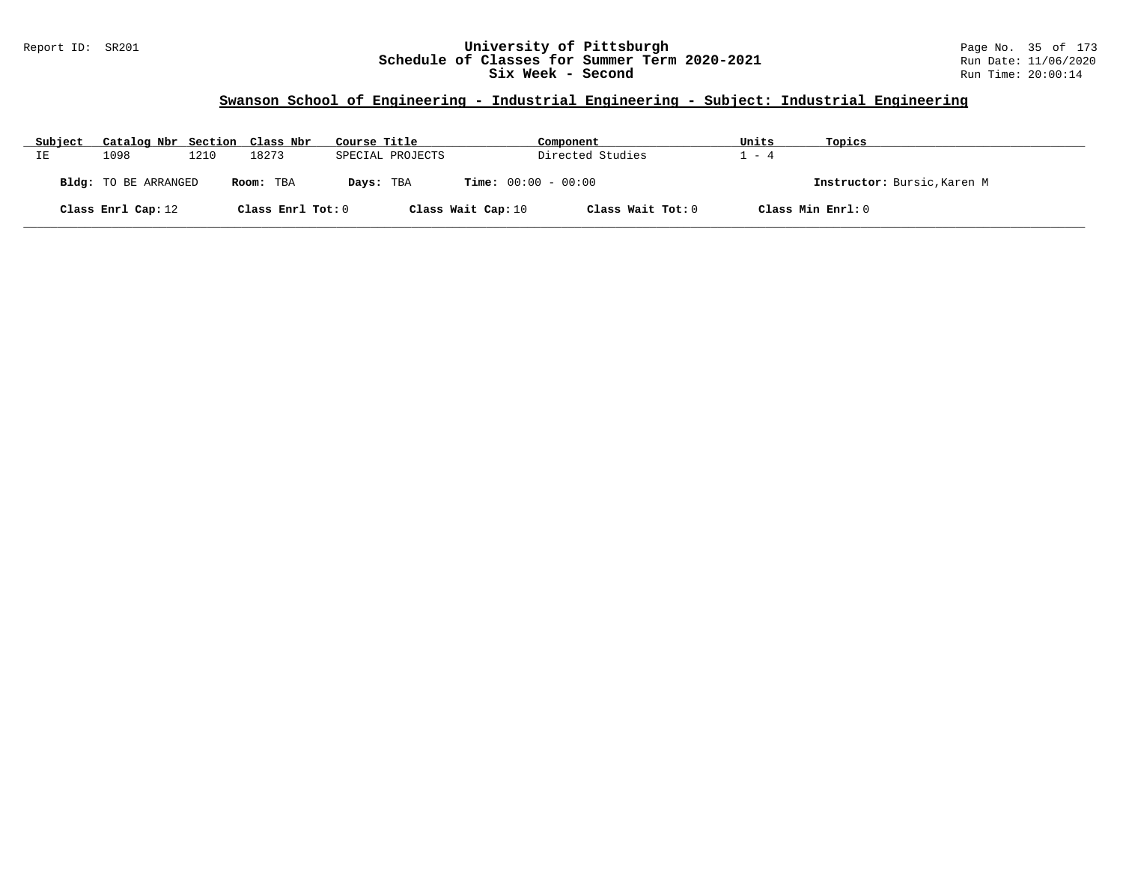### Report ID: SR201 **University of Pittsburgh** Page No. 35 of 173 **Schedule of Classes for Summer Term 2020-2021** Run Date: 11/06/2020 **Six Week - Second Run Time: 20:00:14**

# **Swanson School of Engineering - Industrial Engineering - Subject: Industrial Engineering**

| Subject                                  | Catalog Nbr Section Class Nbr |      |                   | Course Title                 |                    | Component         | Units                       | Topics            |
|------------------------------------------|-------------------------------|------|-------------------|------------------------------|--------------------|-------------------|-----------------------------|-------------------|
| IΕ                                       | 1098                          | 1210 | 18273             | SPECIAL PROJECTS             | Directed Studies   |                   | $-4$                        |                   |
| <b>Bldg:</b> TO BE ARRANGED<br>Room: TBA |                               |      | Days: TBA         | <b>Time:</b> $00:00 - 00:00$ |                    |                   | Instructor: Bursic, Karen M |                   |
|                                          | Class Enrl Cap: 12            |      | Class Enrl Tot: 0 |                              | Class Wait Cap: 10 | Class Wait Tot: 0 |                             | Class Min Enrl: 0 |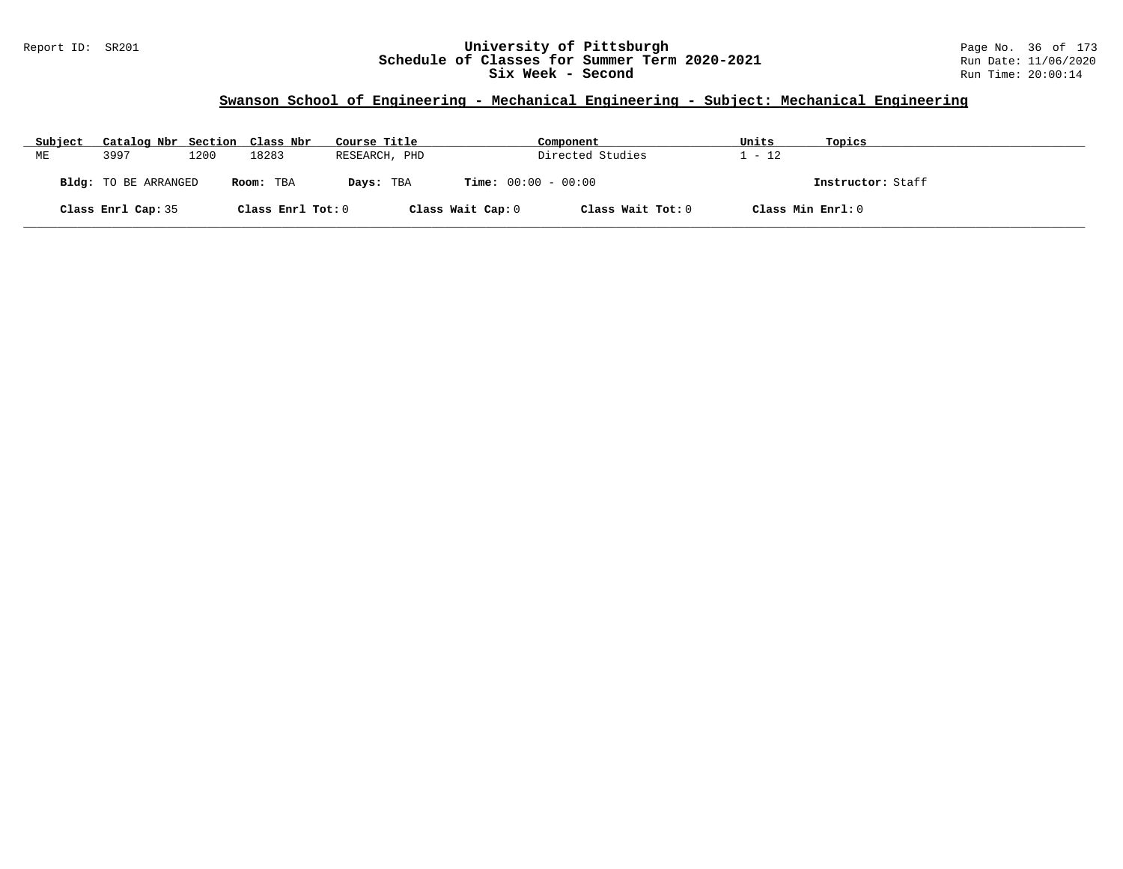### Report ID: SR201 **University of Pittsburgh** Page No. 36 of 173 **Schedule of Classes for Summer Term 2020-2021** Run Date: 11/06/2020 **Six Week - Second Run Time: 20:00:14**

# **Swanson School of Engineering - Mechanical Engineering - Subject: Mechanical Engineering**

| Subject | Catalog Nbr Section Class Nbr |      |                   | Course Title  |                              | Component         | Units             | Topics            |
|---------|-------------------------------|------|-------------------|---------------|------------------------------|-------------------|-------------------|-------------------|
| MЕ      | 3997                          | 1200 | 18283             | RESEARCH, PHD |                              | Directed Studies  | $-12$             |                   |
|         | <b>Bldg:</b> TO BE ARRANGED   |      | Room: TBA         | Days: TBA     | <b>Time:</b> $00:00 - 00:00$ |                   |                   | Instructor: Staff |
|         | Class Enrl Cap: 35            |      | Class Enrl Tot: 0 |               | Class Wait Cap: 0            | Class Wait Tot: 0 | Class Min Enrl: 0 |                   |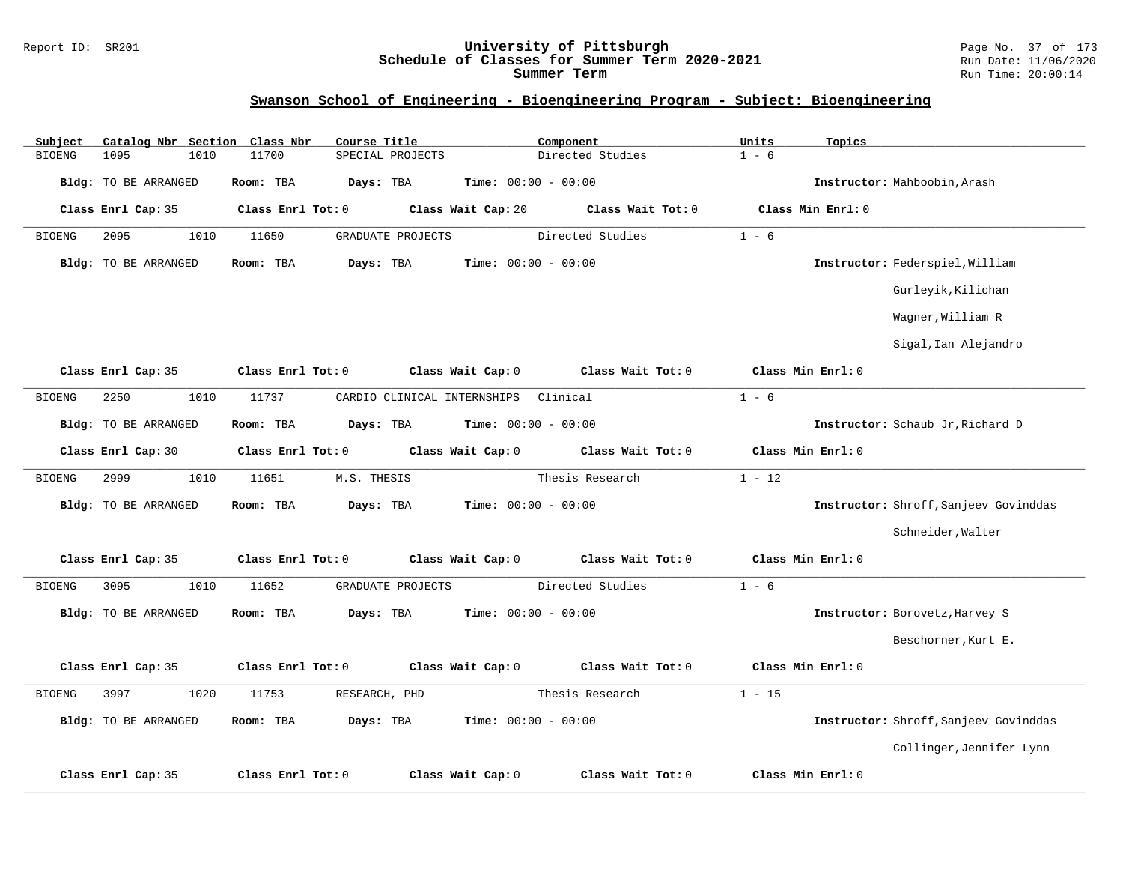#### Report ID: SR201 **University of Pittsburgh** Page No. 37 of 173 **Schedule of Classes for Summer Term 2020-2021** Run Date: 11/06/2020 **Summer Term** Run Time: 20:00:14

## **Swanson School of Engineering - Bioengineering Program - Subject: Bioengineering**

| Subject       | Catalog Nbr Section Class Nbr |                   | Course Title                |                              | Component         | Units    | Topics                                |
|---------------|-------------------------------|-------------------|-----------------------------|------------------------------|-------------------|----------|---------------------------------------|
| <b>BIOENG</b> | 1095<br>1010                  | 11700             | SPECIAL PROJECTS            |                              | Directed Studies  | $1 - 6$  |                                       |
|               | Bldg: TO BE ARRANGED          | Room: TBA         | Days: TBA                   | <b>Time:</b> $00:00 - 00:00$ |                   |          | Instructor: Mahboobin, Arash          |
|               | Class Enrl Cap: 35            | Class Enrl Tot: 0 |                             | Class Wait Cap: 20           | Class Wait Tot: 0 |          | Class Min Enrl: 0                     |
| <b>BIOENG</b> | 2095<br>1010                  | 11650             | GRADUATE PROJECTS           |                              | Directed Studies  | $1 - 6$  |                                       |
|               | <b>Bldg:</b> TO BE ARRANGED   | Room: TBA         | Days: TBA                   | <b>Time:</b> $00:00 - 00:00$ |                   |          | Instructor: Federspiel, William       |
|               |                               |                   |                             |                              |                   |          | Gurleyik, Kilichan                    |
|               |                               |                   |                             |                              |                   |          | Wagner, William R                     |
|               |                               |                   |                             |                              |                   |          | Sigal, Ian Alejandro                  |
|               | Class Enrl Cap: 35            | Class Enrl Tot: 0 |                             | Class Wait Cap: 0            | Class Wait Tot: 0 |          | Class Min Enrl: 0                     |
| <b>BIOENG</b> | 2250<br>1010                  | 11737             | CARDIO CLINICAL INTERNSHIPS |                              | Clinical          | $1 - 6$  |                                       |
|               | <b>Bldg:</b> TO BE ARRANGED   | Room: TBA         | Days: TBA                   | <b>Time:</b> $00:00 - 00:00$ |                   |          | Instructor: Schaub Jr, Richard D      |
|               | Class Enrl Cap: 30            | Class Enrl Tot: 0 |                             | Class Wait Cap: 0            | Class Wait Tot: 0 |          | Class Min Enrl: 0                     |
| <b>BIOENG</b> | 2999<br>1010                  | 11651             | M.S. THESIS                 |                              | Thesis Research   | $1 - 12$ |                                       |
|               | <b>Bldg:</b> TO BE ARRANGED   | Room: TBA         | Days: TBA                   | Time: $00:00 - 00:00$        |                   |          | Instructor: Shroff, Sanjeev Govinddas |
|               |                               |                   |                             |                              |                   |          | Schneider, Walter                     |
|               | Class Enrl Cap: 35            | Class Enrl Tot: 0 |                             | Class Wait Cap: 0            | Class Wait Tot: 0 |          | Class Min Enrl: 0                     |
| <b>BIOENG</b> | 3095<br>1010                  | 11652             | GRADUATE PROJECTS           |                              | Directed Studies  | $1 - 6$  |                                       |
|               | <b>Bldg:</b> TO BE ARRANGED   | Room: TBA         | Days: TBA                   | <b>Time:</b> $00:00 - 00:00$ |                   |          | Instructor: Borovetz, Harvey S        |
|               |                               |                   |                             |                              |                   |          | Beschorner, Kurt E.                   |
|               | Class Enrl Cap: 35            | Class Enrl Tot: 0 |                             | Class Wait Cap: 0            | Class Wait Tot: 0 |          | Class Min Enrl: 0                     |
| <b>BIOENG</b> | 3997<br>1020                  | 11753             | RESEARCH, PHD               |                              | Thesis Research   | $1 - 15$ |                                       |
|               | <b>Bldg:</b> TO BE ARRANGED   | Room: TBA         | Days: TBA                   | Time: $00:00 - 00:00$        |                   |          | Instructor: Shroff, Sanjeev Govinddas |
|               |                               |                   |                             |                              |                   |          | Collinger, Jennifer Lynn              |
|               | Class Enrl Cap: 35            | Class Enrl Tot: 0 |                             | Class Wait Cap: 0            | Class Wait Tot: 0 |          | Class Min Enrl: 0                     |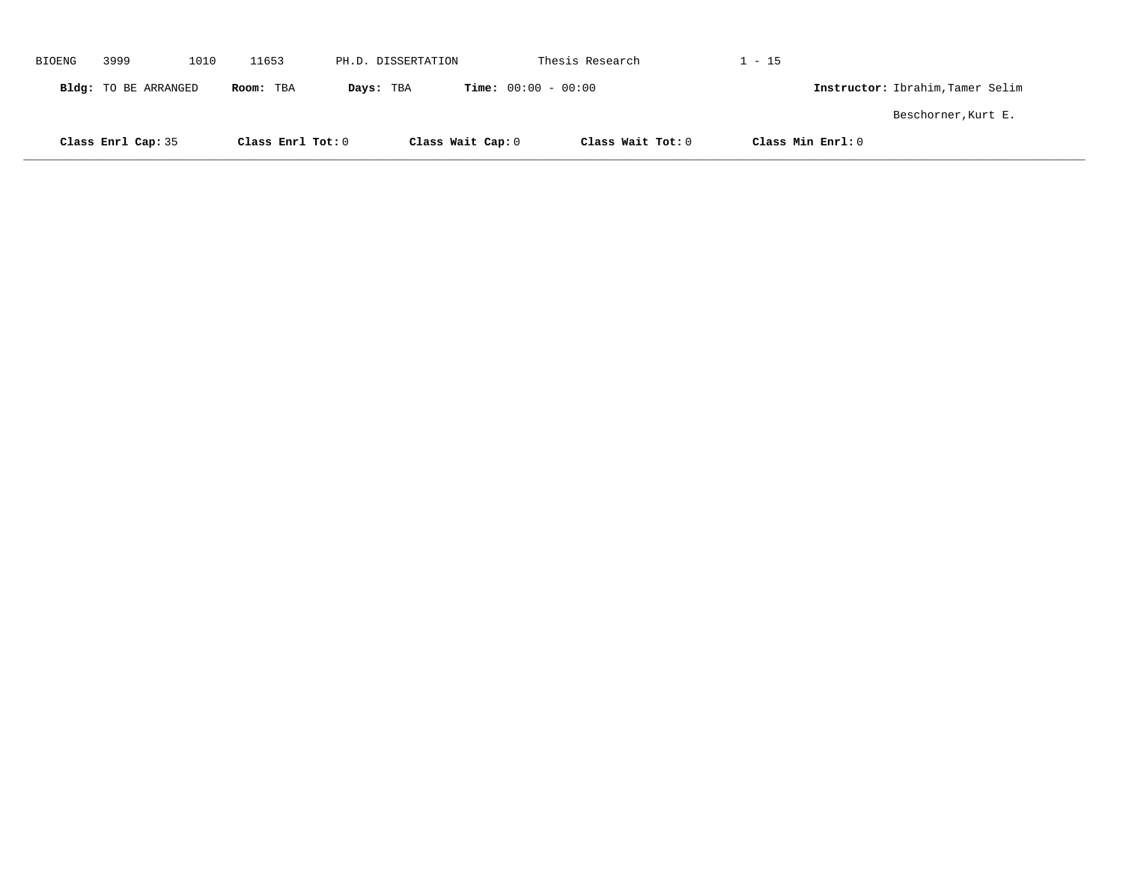| <b>BIOENG</b> | 3999                 | 1010 | 11653             | PH.D. DISSERTATION |                              | Thesis Research   | $1 - 15$          |                                  |
|---------------|----------------------|------|-------------------|--------------------|------------------------------|-------------------|-------------------|----------------------------------|
|               | Bldg: TO BE ARRANGED |      | Room: TBA         | Days: TBA          | <b>Time:</b> $00:00 - 00:00$ |                   |                   | Instructor: Ibrahim, Tamer Selim |
|               |                      |      |                   |                    |                              |                   |                   | Beschorner, Kurt E.              |
|               | Class Enrl Cap: 35   |      | Class Enrl Tot: 0 |                    | Class Wait Cap: 0            | Class Wait Tot: 0 | Class Min Enrl: 0 |                                  |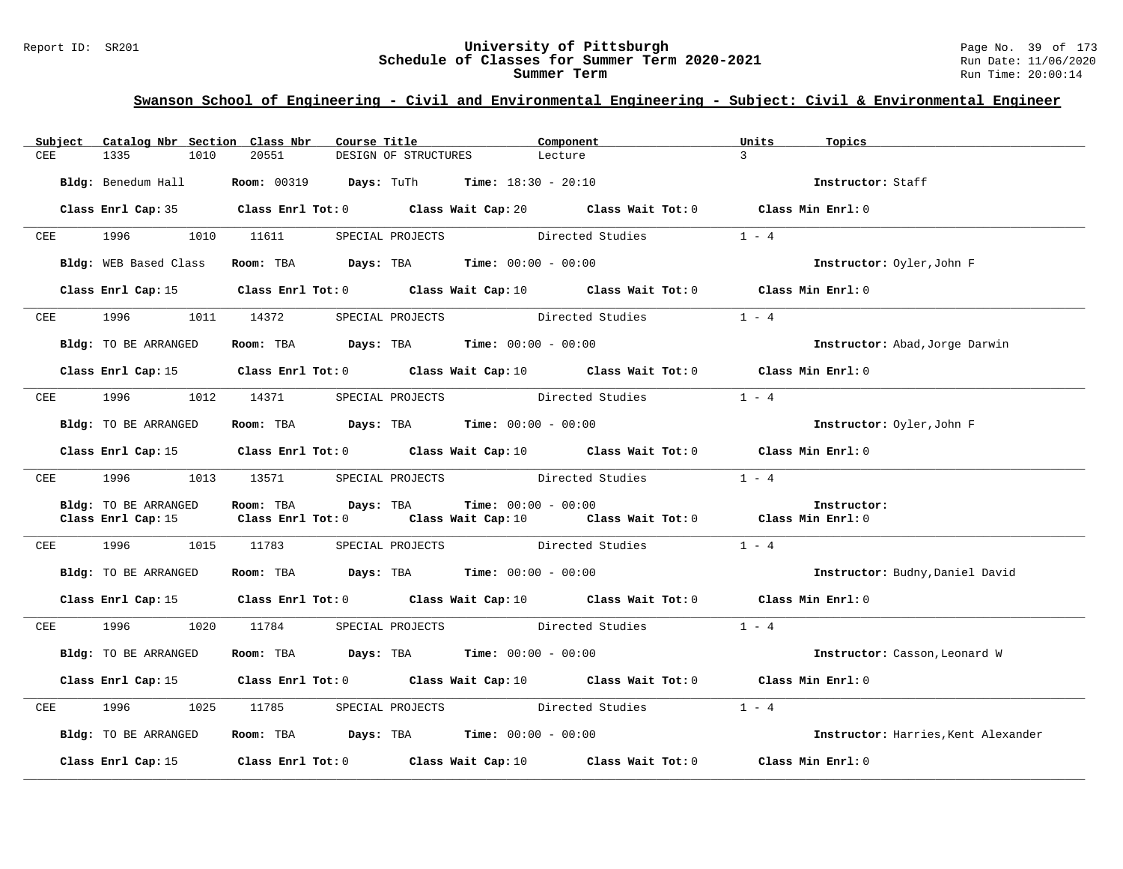|             | Subject Catalog Nbr Section Class Nbr |      |            |                     | Course Title         |                                                                                      | Component                                                                                   | Units         | Topics                              |
|-------------|---------------------------------------|------|------------|---------------------|----------------------|--------------------------------------------------------------------------------------|---------------------------------------------------------------------------------------------|---------------|-------------------------------------|
| <b>CEE</b>  | 1335                                  | 1010 | 20551      |                     | DESIGN OF STRUCTURES |                                                                                      | Lecture                                                                                     | $\mathcal{R}$ |                                     |
|             |                                       |      |            |                     |                      |                                                                                      |                                                                                             |               |                                     |
|             |                                       |      |            |                     |                      | Bldg: Benedum Hall <b>Room:</b> 00319 <b>Days:</b> TuTh <b>Time:</b> $18:30 - 20:10$ |                                                                                             |               | Instructor: Staff                   |
|             |                                       |      |            |                     |                      |                                                                                      |                                                                                             |               |                                     |
|             |                                       |      |            |                     |                      |                                                                                      | Class Enrl Cap: 35 Class Enrl Tot: 0 Class Wait Cap: 20 Class Wait Tot: 0 Class Min Enrl: 0 |               |                                     |
|             | CEE 1996 1010 11611 SPECIAL PROJECTS  |      |            |                     |                      |                                                                                      | Directed Studies                                                                            | $1 - 4$       |                                     |
|             |                                       |      |            |                     |                      |                                                                                      |                                                                                             |               |                                     |
|             | Bldg: WEB Based Class                 |      |            |                     |                      | Room: TBA $\rule{1em}{0.15mm}$ Days: TBA Time: $00:00 - 00:00$                       |                                                                                             |               | Instructor: Oyler, John F           |
|             |                                       |      |            |                     |                      |                                                                                      |                                                                                             |               |                                     |
|             |                                       |      |            |                     |                      |                                                                                      | Class Enrl Cap: 15 Class Enrl Tot: 0 Class Wait Cap: 10 Class Wait Tot: 0 Class Min Enrl: 0 |               |                                     |
|             |                                       |      |            |                     |                      |                                                                                      |                                                                                             |               |                                     |
|             | CEE 1996 1011 14372                   |      |            |                     |                      |                                                                                      | SPECIAL PROJECTS Directed Studies 1 - 4                                                     |               |                                     |
|             |                                       |      |            |                     |                      |                                                                                      |                                                                                             |               |                                     |
|             | Bldg: TO BE ARRANGED                  |      |            |                     |                      | Room: TBA $Days:$ TBA $Time: 00:00 - 00:00$                                          |                                                                                             |               | Instructor: Abad, Jorge Darwin      |
|             |                                       |      |            |                     |                      |                                                                                      | Class Enrl Cap: 15 Class Enrl Tot: 0 Class Wait Cap: 10 Class Wait Tot: 0 Class Min Enrl: 0 |               |                                     |
|             |                                       |      |            |                     |                      |                                                                                      |                                                                                             |               |                                     |
| ${\rm CEE}$ | 1996                                  | 1012 | 14371      |                     |                      |                                                                                      | SPECIAL PROJECTS Directed Studies                                                           | $1 - 4$       |                                     |
|             |                                       |      |            |                     |                      |                                                                                      |                                                                                             |               |                                     |
|             | Bldg: TO BE ARRANGED                  |      |            |                     |                      | Room: TBA $Days:$ TBA $Time: 00:00 - 00:00$                                          |                                                                                             |               | Instructor: Oyler, John F           |
|             |                                       |      |            |                     |                      |                                                                                      |                                                                                             |               |                                     |
|             |                                       |      |            |                     |                      |                                                                                      | Class Enrl Cap: 15 Class Enrl Tot: 0 Class Wait Cap: 10 Class Wait Tot: 0 Class Min Enrl: 0 |               |                                     |
|             |                                       |      |            |                     |                      |                                                                                      | CEE 1996 1013 13571 SPECIAL PROJECTS Directed Studies                                       | $1 - 4$       |                                     |
|             |                                       |      |            |                     |                      |                                                                                      |                                                                                             |               |                                     |
|             | Bldg: TO BE ARRANGED                  |      |            | Room: TBA Days: TBA |                      | <b>Time:</b> $00:00 - 00:00$                                                         |                                                                                             |               | Instructor:                         |
|             | Class Enrl Cap: 15                    |      |            |                     |                      |                                                                                      | Class Enrl Tot: 0 Class Wait Cap: 10 Class Wait Tot: 0 Class Min Enrl: 0                    |               |                                     |
|             |                                       |      |            |                     |                      |                                                                                      |                                                                                             |               |                                     |
|             |                                       |      |            |                     |                      |                                                                                      | CEE 1996 1015 11783 SPECIAL PROJECTS Directed Studies 1 - 4                                 |               |                                     |
|             |                                       |      |            |                     |                      |                                                                                      |                                                                                             |               |                                     |
|             | Bldg: TO BE ARRANGED                  |      |            |                     |                      | Room: TBA $Days:$ TBA $Time: 00:00 - 00:00$                                          |                                                                                             |               | Instructor: Budny, Daniel David     |
|             |                                       |      |            |                     |                      |                                                                                      | Class Enrl Cap: 15 Class Enrl Tot: 0 Class Wait Cap: 10 Class Wait Tot: 0 Class Min Enrl: 0 |               |                                     |
|             |                                       |      |            |                     |                      |                                                                                      |                                                                                             |               |                                     |
|             | CEE 1996 1020 11784                   |      |            |                     | SPECIAL PROJECTS     |                                                                                      | Directed Studies                                                                            | $1 - 4$       |                                     |
|             |                                       |      |            |                     |                      |                                                                                      |                                                                                             |               |                                     |
|             | Bldg: TO BE ARRANGED                  |      |            |                     |                      | Room: TBA $Days:$ TBA Time: $00:00 - 00:00$                                          |                                                                                             |               | Instructor: Casson, Leonard W       |
|             |                                       |      |            |                     |                      |                                                                                      |                                                                                             |               |                                     |
|             |                                       |      |            |                     |                      |                                                                                      | Class Enrl Cap: 15 Class Enrl Tot: 0 Class Wait Cap: 10 Class Wait Tot: 0 Class Min Enrl: 0 |               |                                     |
| CEE         | 1996                                  |      | 1025 11785 |                     |                      |                                                                                      | SPECIAL PROJECTS Directed Studies 1 - 4                                                     |               |                                     |
|             |                                       |      |            |                     |                      |                                                                                      |                                                                                             |               |                                     |
|             | Bldg: TO BE ARRANGED                  |      |            |                     |                      | Room: TBA $\rule{1em}{0.15mm}$ Days: TBA Time: $00:00 - 00:00$                       |                                                                                             |               | Instructor: Harries, Kent Alexander |
|             |                                       |      |            |                     |                      |                                                                                      |                                                                                             |               |                                     |
|             |                                       |      |            |                     |                      |                                                                                      | Class Enrl Cap: 15 (class Enrl Tot: 0 (class Wait Cap: 10 (class Wait Tot: 0 $\sim$         |               | Class Min Enrl: 0                   |
|             |                                       |      |            |                     |                      |                                                                                      |                                                                                             |               |                                     |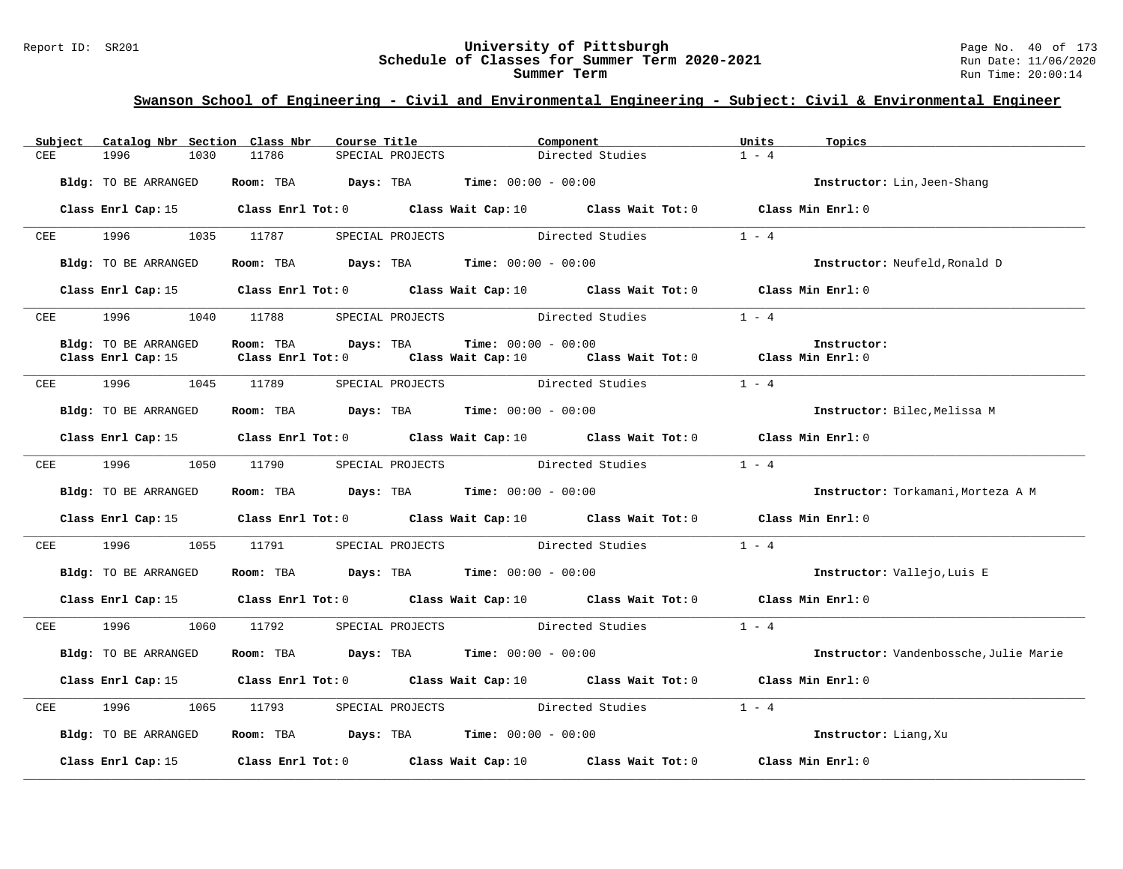#### Report ID: SR201 **University of Pittsburgh** Page No. 40 of 173 **Schedule of Classes for Summer Term 2020-2021** Run Date: 11/06/2020 **Summer Term** Run Time: 20:00:14

|            | Subject    |                      | Catalog Nbr Section Class Nbr                                  | Course Title     |                              | Component                                                                                           | Units   | Topics                                 |
|------------|------------|----------------------|----------------------------------------------------------------|------------------|------------------------------|-----------------------------------------------------------------------------------------------------|---------|----------------------------------------|
| <b>CEE</b> |            | 1996<br>1030         | 11786                                                          | SPECIAL PROJECTS |                              | Directed Studies                                                                                    | $1 - 4$ |                                        |
|            |            | Bldg: TO BE ARRANGED | Room: TBA $Days:$ TBA $Time: 00:00 - 00:00$                    |                  |                              |                                                                                                     |         | Instructor: Lin, Jeen-Shang            |
|            |            |                      |                                                                |                  |                              | Class Enrl Cap: 15 Class Enrl Tot: 0 Class Wait Cap: 10 Class Wait Tot: 0 Class Min Enrl: 0         |         |                                        |
| CEE        |            | 1996 1997            | 1035 11787                                                     | SPECIAL PROJECTS |                              | Directed Studies                                                                                    | $1 - 4$ |                                        |
|            |            | Bldg: TO BE ARRANGED | Room: TBA $Days:$ TBA $Time: 00:00 - 00:00$                    |                  |                              |                                                                                                     |         | Instructor: Neufeld, Ronald D          |
|            |            |                      |                                                                |                  |                              | Class Enrl Cap: 15 Class Enrl Tot: 0 Class Wait Cap: 10 Class Wait Tot: 0 Class Min Enrl: 0         |         |                                        |
|            |            |                      |                                                                |                  |                              | CEE 1996 1040 11788 SPECIAL PROJECTS Directed Studies 1 - 4                                         |         |                                        |
|            |            | Bldg: TO BE ARRANGED | Room: TBA<br>Days: TBA                                         |                  | <b>Time:</b> $00:00 - 00:00$ |                                                                                                     |         | Instructor:                            |
|            |            | Class Enrl Cap: 15   |                                                                |                  |                              | Class Enrl Tot: 0 $\qquad$ Class Wait Cap: 10 $\qquad$ Class Wait Tot: 0 $\qquad$ Class Min Enrl: 0 |         |                                        |
|            |            |                      | CEE 1996 1045 11789                                            |                  |                              | SPECIAL PROJECTS Directed Studies 1 - 4                                                             |         |                                        |
|            |            | Bldg: TO BE ARRANGED | Room: TBA $\rule{1em}{0.15mm}$ Days: TBA Time: $00:00 - 00:00$ |                  |                              |                                                                                                     |         | Instructor: Bilec, Melissa M           |
|            |            |                      |                                                                |                  |                              | Class Enrl Cap: 15 Class Enrl Tot: 0 Class Wait Cap: 10 Class Wait Tot: 0 Class Min Enrl: 0         |         |                                        |
| CEE        |            | 1996<br>1050         | 11790                                                          |                  |                              | SPECIAL PROJECTS Directed Studies 1 - 4                                                             |         |                                        |
|            |            | Bldg: TO BE ARRANGED | Room: TBA $Days:$ TBA $Time: 00:00 - 00:00$                    |                  |                              |                                                                                                     |         | Instructor: Torkamani, Morteza A M     |
|            |            |                      |                                                                |                  |                              | Class Enrl Cap: 15 Class Enrl Tot: 0 Class Wait Cap: 10 Class Wait Tot: 0 Class Min Enrl: 0         |         |                                        |
|            | <b>CEE</b> | 1996                 | 1055 11791 SPECIAL PROJECTS Directed Studies                   |                  |                              |                                                                                                     | $1 - 4$ |                                        |
|            |            | Bldg: TO BE ARRANGED | Room: TBA $Days:$ TBA $Time: 00:00 - 00:00$                    |                  |                              |                                                                                                     |         | Instructor: Vallejo, Luis E            |
|            |            |                      |                                                                |                  |                              | Class Enrl Cap: 15 Class Enrl Tot: 0 Class Wait Cap: 10 Class Wait Tot: 0 Class Min Enrl: 0         |         |                                        |
| CEE        |            | 1996 — 1996          | 1060 11792                                                     | SPECIAL PROJECTS |                              | Directed Studies                                                                                    | $1 - 4$ |                                        |
|            |            | Bldg: TO BE ARRANGED | Room: TBA $\rule{1em}{0.15mm}$ Days: TBA Time: $00:00 - 00:00$ |                  |                              |                                                                                                     |         | Instructor: Vandenbossche, Julie Marie |
|            |            |                      |                                                                |                  |                              | Class Enrl Cap: 15 Class Enrl Tot: 0 Class Wait Cap: 10 Class Wait Tot: 0 Class Min Enrl: 0         |         |                                        |
| CEE        |            | 1996<br>1065         | 11793                                                          |                  |                              | SPECIAL PROJECTS Directed Studies 1 - 4                                                             |         |                                        |
|            |            | Bldg: TO BE ARRANGED | Room: TBA $\rule{1em}{0.15mm}$ Days: TBA Time: $00:00 - 00:00$ |                  |                              |                                                                                                     |         | Instructor: Liang, Xu                  |
|            |            |                      | Class Enrl Cap: $15$ Class Enrl Tot: 0 Class Wait Cap: $10$    |                  |                              | Class Wait Tot: 0                                                                                   |         | Class Min Enrl: 0                      |
|            |            |                      |                                                                |                  |                              |                                                                                                     |         |                                        |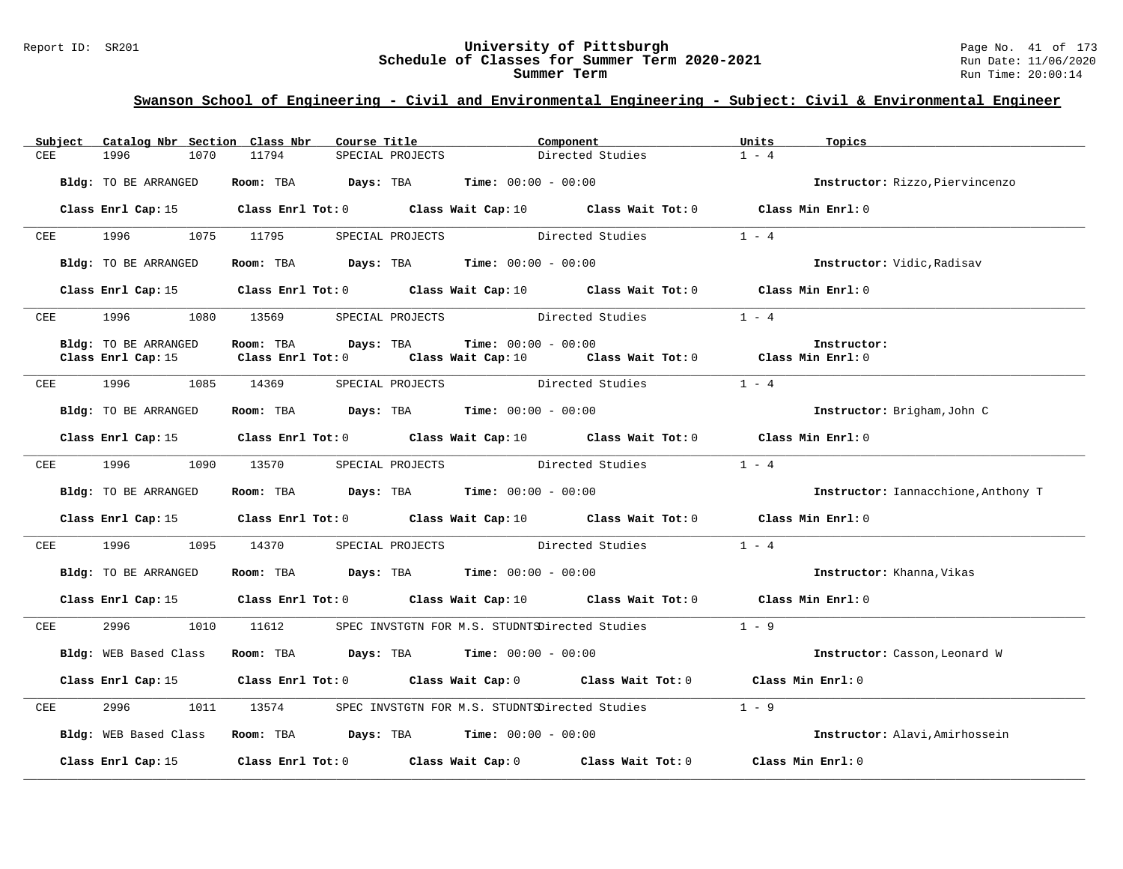#### Report ID: SR201 **University of Pittsburgh** Page No. 41 of 173 **Schedule of Classes for Summer Term 2020-2021** Run Date: 11/06/2020 **Summer Term** Run Time: 20:00:14

|            | Subject Catalog Nbr Section Class Nbr | Course Title           |                                                                                                     | Component        | Units<br>Topics |                                     |
|------------|---------------------------------------|------------------------|-----------------------------------------------------------------------------------------------------|------------------|-----------------|-------------------------------------|
| <b>CEE</b> | 1996<br>1070                          | 11794                  | SPECIAL PROJECTS                                                                                    | Directed Studies | $1 - 4$         |                                     |
|            | Bldg: TO BE ARRANGED                  |                        | Room: TBA $Days:$ TBA $Time: 00:00 - 00:00$                                                         |                  |                 | Instructor: Rizzo, Piervincenzo     |
|            |                                       |                        | Class Enrl Cap: 15 Class Enrl Tot: 0 Class Wait Cap: 10 Class Wait Tot: 0 Class Min Enrl: 0         |                  |                 |                                     |
| CEE        | 1996 1997                             | 1075 11795             | SPECIAL PROJECTS                                                                                    | Directed Studies | $1 - 4$         |                                     |
|            | Bldg: TO BE ARRANGED                  |                        | Room: TBA Days: TBA Time: $00:00 - 00:00$                                                           |                  |                 | Instructor: Vidic, Radisav          |
|            |                                       |                        | Class Enrl Cap: 15 Class Enrl Tot: 0 Class Wait Cap: 10 Class Wait Tot: 0 Class Min Enrl: 0         |                  |                 |                                     |
| CEE        | 1996 1080 13569                       |                        | SPECIAL PROJECTS Directed Studies                                                                   |                  | $1 - 4$         |                                     |
|            | Bldg: TO BE ARRANGED                  | Room: TBA<br>Days: TBA | <b>Time:</b> $00:00 - 00:00$                                                                        |                  | Instructor:     |                                     |
|            | Class Enrl Cap: 15                    |                        | Class Enrl Tot: 0 $\qquad$ Class Wait Cap: 10 $\qquad$ Class Wait Tot: 0 $\qquad$ Class Min Enrl: 0 |                  |                 |                                     |
| CEE        | 1996 1085 14369                       |                        | SPECIAL PROJECTS Directed Studies                                                                   |                  | $1 - 4$         |                                     |
|            | Bldg: TO BE ARRANGED                  |                        | Room: TBA $\rule{1em}{0.15mm}$ Days: TBA $\rule{1.5mm}{0.15mm}$ Time: $00:00 - 00:00$               |                  |                 | Instructor: Brigham, John C         |
|            |                                       |                        | Class Enrl Cap: 15 Class Enrl Tot: 0 Class Wait Cap: 10 Class Wait Tot: 0 Class Min Enrl: 0         |                  |                 |                                     |
| CEE        | 1996<br>1090                          | 13570                  | SPECIAL PROJECTS Directed Studies                                                                   |                  | $1 - 4$         |                                     |
|            | Bldg: TO BE ARRANGED                  |                        | Room: TBA $\rule{1em}{0.15mm}$ Days: TBA Time: $00:00 - 00:00$                                      |                  |                 | Instructor: Iannacchione, Anthony T |
|            |                                       |                        | Class Enrl Cap: 15 Class Enrl Tot: 0 Class Wait Cap: 10 Class Wait Tot: 0 Class Min Enrl: 0         |                  |                 |                                     |
| CEE        | 1996 7                                |                        | 1095 14370 SPECIAL PROJECTS Directed Studies                                                        |                  | $1 - 4$         |                                     |
|            | Bldg: TO BE ARRANGED                  |                        | Room: TBA $Days:$ TBA $Time: 00:00 - 00:00$                                                         |                  |                 | Instructor: Khanna, Vikas           |
|            |                                       |                        | Class Enrl Cap: 15 Class Enrl Tot: 0 Class Wait Cap: 10 Class Wait Tot: 0 Class Min Enrl: 0         |                  |                 |                                     |
| CEE        | 2996 70                               | 1010 11612             | SPEC INVSTGTN FOR M.S. STUDNTSDirected Studies                                                      |                  | $1 - 9$         |                                     |
|            | Bldg: WEB Based Class                 |                        | <b>Room:</b> TBA $Days: TBA$ <b>Time:</b> $00:00 - 00:00$                                           |                  |                 | Instructor: Casson, Leonard W       |
|            |                                       |                        | Class Enrl Cap: 15 Class Enrl Tot: 0 Class Wait Cap: 0 Class Wait Tot: 0 Class Min Enrl: 0          |                  |                 |                                     |
| CEE        | 2996                                  | 1011 13574             | SPEC INVSTGTN FOR M.S. STUDNTSDirected Studies                                                      |                  | $1 - 9$         |                                     |
|            |                                       |                        | Bldg: WEB Based Class Room: TBA Days: TBA Time: 00:00 - 00:00                                       |                  |                 | Instructor: Alavi, Amirhossein      |
|            |                                       |                        | Class Enrl Cap: 15 Class Enrl Tot: 0 Class Wait Cap: 0 Class Wait Tot: 0 Class Min Enrl: 0          |                  |                 |                                     |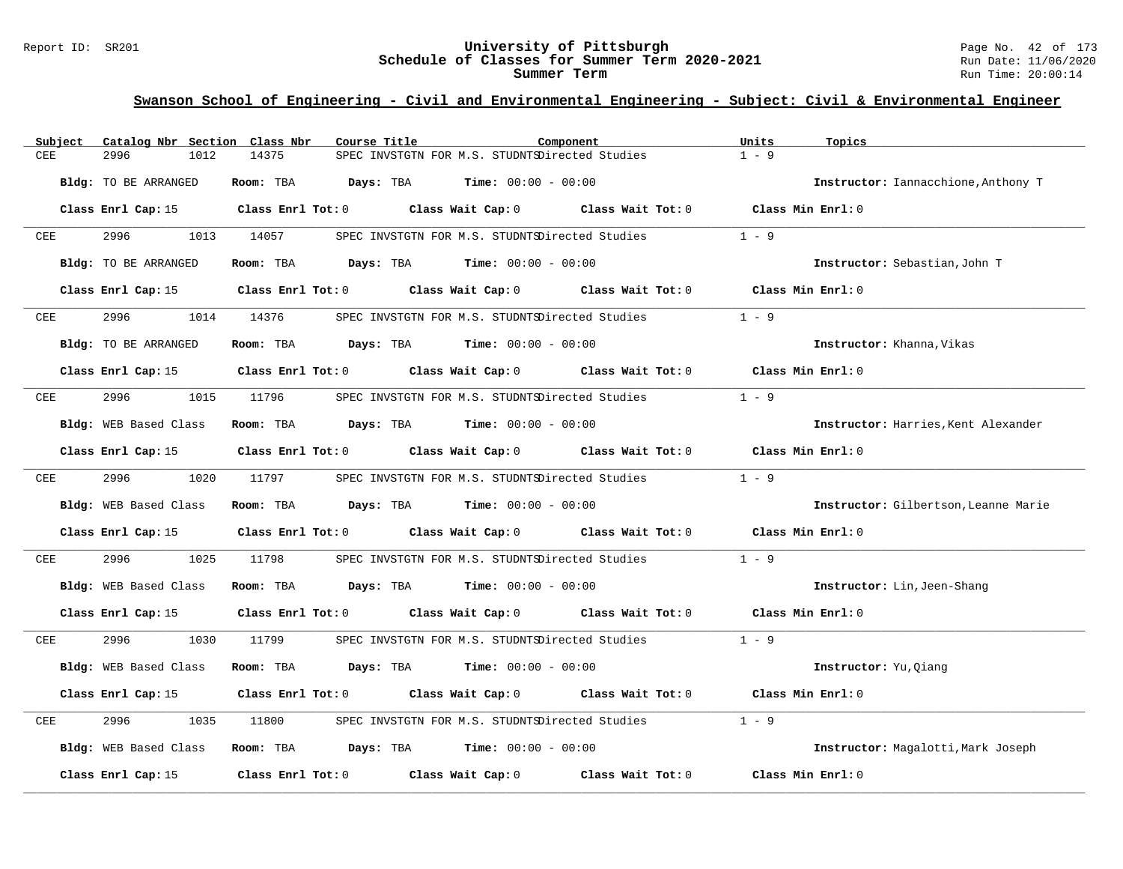#### Report ID: SR201 **University of Pittsburgh** Page No. 42 of 173 **Schedule of Classes for Summer Term 2020-2021** Run Date: 11/06/2020 **Summer Term** Run Time: 20:00:14

| Subject      | Catalog Nbr Section Class Nbr | Course Title                                                                                        | Component                                      |                                                | Units<br>Topics                      |
|--------------|-------------------------------|-----------------------------------------------------------------------------------------------------|------------------------------------------------|------------------------------------------------|--------------------------------------|
| CEE          | 2996<br>1012                  | 14375                                                                                               | SPEC INVSTGTN FOR M.S. STUDNTSDirected Studies |                                                | $1 - 9$                              |
|              | Bldg: TO BE ARRANGED          | Room: TBA                                                                                           | <b>Days:</b> TBA <b>Time:</b> $00:00 - 00:00$  |                                                | Instructor: Iannacchione, Anthony T  |
|              |                               | Class Enrl Cap: 15 $\qquad$ Class Enrl Tot: 0 $\qquad$ Class Wait Cap: 0 $\qquad$ Class Wait Tot: 0 |                                                |                                                | Class Min Enrl: 0                    |
| CEE          | 2996<br>1013                  | 14057                                                                                               | SPEC INVSTGTN FOR M.S. STUDNTSDirected Studies |                                                | $1 - 9$                              |
|              | <b>Bldg:</b> TO BE ARRANGED   | Room: TBA $Days:$ TBA $Time: 00:00 - 00:00$                                                         |                                                |                                                | Instructor: Sebastian, John T        |
|              |                               | Class Enrl Cap: 15 $\,$ Class Enrl Tot: 0 $\,$ Class Wait Cap: 0 $\,$ Class Wait Tot: 0 $\,$        |                                                |                                                | Class Min Enrl: 0                    |
| CEE          | 2996                          | 1014 14376                                                                                          | SPEC INVSTGTN FOR M.S. STUDNTSDirected Studies |                                                | $1 - 9$                              |
|              | Bldg: TO BE ARRANGED          | Room: TBA $Days:$ TBA $Time: 00:00 - 00:00$                                                         |                                                |                                                | Instructor: Khanna, Vikas            |
|              |                               | Class Enrl Cap: 15 Class Enrl Tot: 0 Class Wait Cap: 0 Class Wait Tot: 0                            |                                                |                                                | Class Min Enrl: 0                    |
| ${\rm CEE}$  | 2996<br>1015                  | 11796                                                                                               | SPEC INVSTGTN FOR M.S. STUDNTSDirected Studies |                                                | $1 - 9$                              |
|              | Bldg: WEB Based Class         | Room: TBA $Days:$ TBA $Time: 00:00 - 00:00$                                                         |                                                |                                                | Instructor: Harries, Kent Alexander  |
|              | Class Enrl Cap: 15            | Class Enrl Tot: 0 Class Wait Cap: 0 Class Wait Tot: 0                                               |                                                |                                                | Class Min Enrl: 0                    |
| CEE          | 2996 — 100                    | 1020 11797                                                                                          |                                                | SPEC INVSTGTN FOR M.S. STUDNTSDirected Studies | $1 - 9$                              |
|              | Bldg: WEB Based Class         | Room: TBA $Days:$ TBA $Time: 00:00 - 00:00$                                                         |                                                |                                                | Instructor: Gilbertson, Leanne Marie |
|              | Class Enrl Cap: 15            | Class Enrl Tot: 0 Class Wait Cap: 0 Class Wait Tot: 0                                               |                                                |                                                | Class Min Enrl: 0                    |
| $_{\rm CEE}$ | 2996<br>1025                  | 11798                                                                                               |                                                | SPEC INVSTGTN FOR M.S. STUDNTSDirected Studies | $1 - 9$                              |
|              | <b>Bldg:</b> WEB Based Class  | Room: TBA $Days:$ TBA $Time: 00:00 - 00:00$                                                         |                                                |                                                | Instructor: Lin, Jeen-Shang          |
|              | Class Enrl Cap: 15            | Class Enrl Tot: 0 Class Wait Cap: 0 Class Wait Tot: 0 Class Min Enrl: 0                             |                                                |                                                |                                      |
| CEE          | 2996<br>1030                  | 11799                                                                                               |                                                | SPEC INVSTGTN FOR M.S. STUDNTSDirected Studies | $1 - 9$                              |
|              | Bldg: WEB Based Class         | Room: TBA                                                                                           | <b>Days:</b> TBA <b>Time:</b> $00:00 - 00:00$  |                                                | Instructor: Yu, Qiang                |
|              | Class Enrl Cap: 15            | Class Enrl Tot: 0 Class Wait Cap: 0 Class Wait Tot: 0                                               |                                                |                                                | Class Min Enrl: 0                    |
| CEE          | 2996<br>1035                  | 11800                                                                                               | SPEC INVSTGTN FOR M.S. STUDNTSDirected Studies |                                                | $1 - 9$                              |
|              | Bldg: WEB Based Class         | Room: TBA $Days:$ TBA $Time: 00:00 - 00:00$                                                         |                                                |                                                | Instructor: Magalotti, Mark Joseph   |
|              | Class Enrl Cap: 15            | Class Enrl Tot: 0 Class Wait Cap: 0 Class Wait Tot: 0                                               |                                                |                                                | Class Min Enrl: 0                    |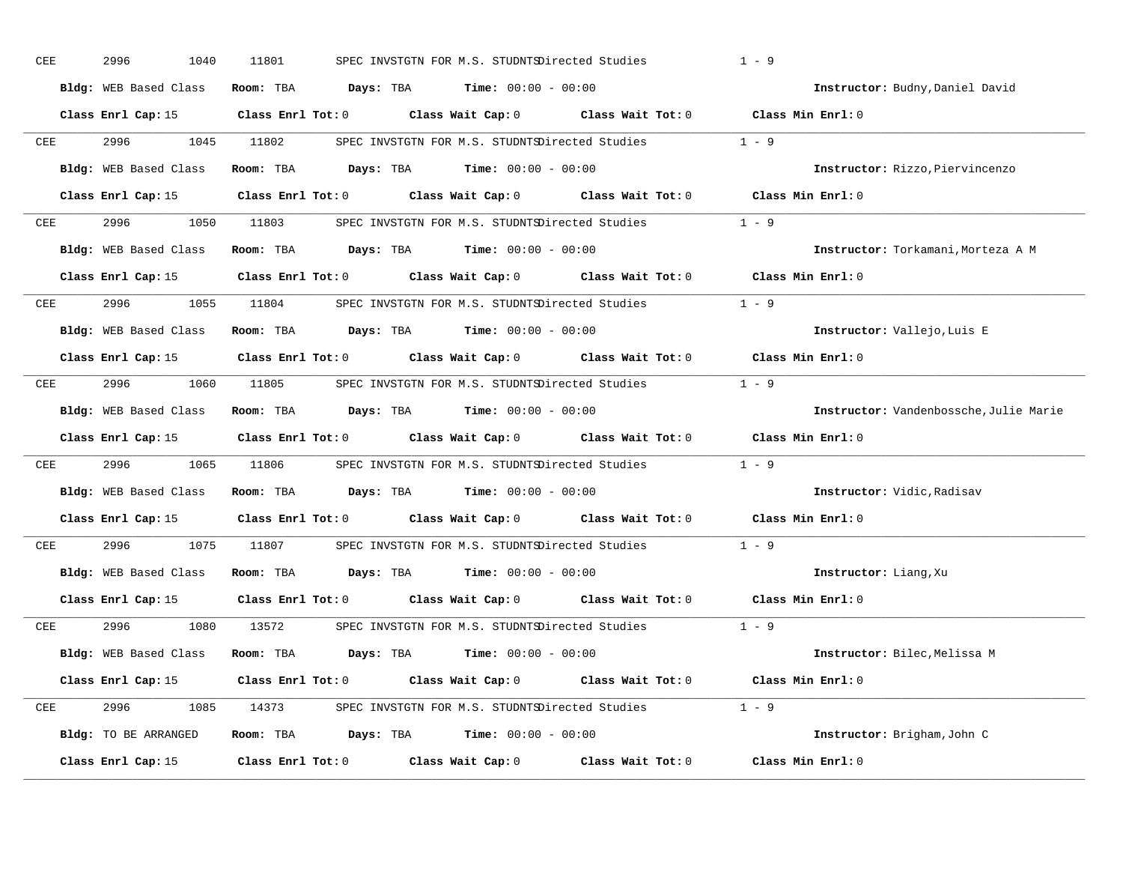| CEE | 2996<br>1040          | 11801      | SPEC INVSTGTN FOR M.S. STUDNTSDirected Studies                                                      | $1 - 9$                                |
|-----|-----------------------|------------|-----------------------------------------------------------------------------------------------------|----------------------------------------|
|     | Bldg: WEB Based Class |            | Room: TBA $Days:$ TBA $Time: 00:00 - 00:00$                                                         | Instructor: Budny, Daniel David        |
|     |                       |            | Class Enrl Cap: 15 Class Enrl Tot: 0 Class Wait Cap: 0 Class Wait Tot: 0 Class Min Enrl: 0          |                                        |
| CEE | 2996 1999             | 1045 11802 | SPEC INVSTGTN FOR M.S. STUDNTSDirected Studies 1 - 9                                                |                                        |
|     | Bldg: WEB Based Class |            | Room: TBA Days: TBA Time: $00:00 - 00:00$                                                           | Instructor: Rizzo, Piervincenzo        |
|     |                       |            | Class Enrl Cap: 15 Class Enrl Tot: 0 Class Wait Cap: 0 Class Wait Tot: 0 Class Min Enrl: 0          |                                        |
| CEE |                       |            | 2996 1050 11803 SPEC INVSTGTN FOR M.S. STUDNTSDirected Studies 1 - 9                                |                                        |
|     |                       |            | Bldg: WEB Based Class Room: TBA Days: TBA Time: 00:00 - 00:00                                       | Instructor: Torkamani, Morteza A M     |
|     |                       |            | Class Enrl Cap: 15 Class Enrl Tot: 0 Class Wait Cap: 0 Class Wait Tot: 0 Class Min Enrl: 0          |                                        |
| CEE |                       |            | 2996 1055 11804 SPEC INVSTGTN FOR M.S. STUDNTSDirected Studies 1 - 9                                |                                        |
|     | Bldg: WEB Based Class |            | Room: TBA $Days:$ TBA $Time: 00:00 - 00:00$                                                         | Instructor: Vallejo, Luis E            |
|     |                       |            | Class Enrl Cap: 15 Class Enrl Tot: 0 Class Wait Cap: 0 Class Wait Tot: 0 Class Min Enrl: 0          |                                        |
| CEE |                       |            | 2996 1060 11805 SPEC INVSTGTN FOR M.S. STUDNTSDirected Studies                                      | $1 - 9$                                |
|     | Bldg: WEB Based Class |            | Room: TBA $Days:$ TBA $Time: 00:00 - 00:00$                                                         | Instructor: Vandenbossche, Julie Marie |
|     |                       |            | Class Enrl Cap: 15 Class Enrl Tot: 0 Class Wait Cap: 0 Class Wait Tot: 0 Class Min Enrl: 0          |                                        |
| CEE | 2996                  |            | 1065 11806 SPEC INVSTGTN FOR M.S. STUDNTSDirected Studies                                           | $1 - 9$                                |
|     |                       |            | Bldg: WEB Based Class Room: TBA Days: TBA Time: 00:00 - 00:00                                       | Instructor: Vidic, Radisav             |
|     |                       |            | Class Enrl Cap: 15 $\qquad$ Class Enrl Tot: 0 $\qquad$ Class Wait Cap: 0 $\qquad$ Class Wait Tot: 0 | Class Min Enrl: 0                      |
| CEE | 2996 1999             |            | 1075 11807 SPEC INVSTGTN FOR M.S. STUDNTSDirected Studies                                           | $1 - 9$                                |
|     | Bldg: WEB Based Class |            | Room: TBA $Days:$ TBA Time: $00:00 - 00:00$                                                         | Instructor: Liang, Xu                  |
|     | Class Enrl Cap: 15    |            | Class Enrl Tot: $0$ Class Wait Cap: $0$ Class Wait Tot: $0$                                         | Class Min Enrl: 0                      |
|     | CEE 2996              |            | 1080 13572 SPEC INVSTGTN FOR M.S. STUDNTSDirected Studies 1 - 9                                     |                                        |
|     |                       |            | Bldg: WEB Based Class Room: TBA Days: TBA Time: 00:00 - 00:00                                       | Instructor: Bilec, Melissa M           |
|     | Class Enrl Cap: 15    |            | Class Enrl Tot: 0 $\qquad$ Class Wait Cap: 0 $\qquad$ Class Wait Tot: 0 $\qquad$ Class Min Enrl: 0  |                                        |
| CEE |                       |            | 2996 1085 14373 SPEC INVSTGTN FOR M.S. STUDNTSDirected Studies 1 - 9                                |                                        |
|     | Bldg: TO BE ARRANGED  |            | Room: TBA $Days:$ TBA $Time: 00:00 - 00:00$                                                         | Instructor: Brigham, John C            |
|     | Class Enrl Cap: 15    |            | Class Enrl Tot: $0$ Class Wait Cap: $0$ Class Wait Tot: $0$                                         | Class Min Enrl: 0                      |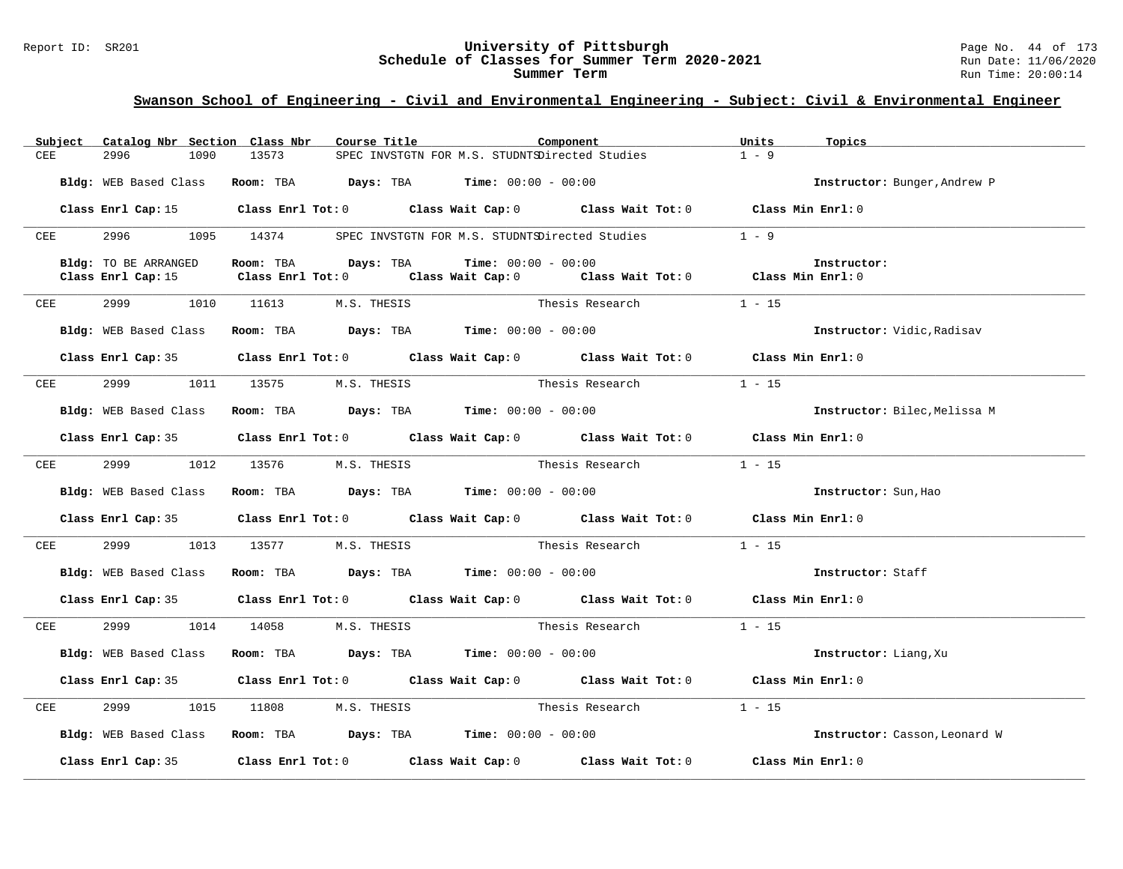#### Report ID: SR201 **University of Pittsburgh** Page No. 44 of 173 **Schedule of Classes for Summer Term 2020-2021** Run Date: 11/06/2020 **Summer Term** Run Time: 20:00:14

| Subject    | Catalog Nbr Section Class Nbr | Course Title                                                   | Component                                                                                  | Units<br>Topics               |  |
|------------|-------------------------------|----------------------------------------------------------------|--------------------------------------------------------------------------------------------|-------------------------------|--|
| CEE        | 2996<br>1090                  | 13573                                                          | SPEC INVSTGTN FOR M.S. STUDNTSDirected Studies                                             | $1 - 9$                       |  |
|            | Bldg: WEB Based Class         | Room: TBA $Days:$ TBA $Time: 00:00 - 00:00$                    |                                                                                            | Instructor: Bunger, Andrew P  |  |
|            |                               |                                                                | Class Enrl Cap: 15 Class Enrl Tot: 0 Class Wait Cap: 0 Class Wait Tot: 0 Class Min Enrl: 0 |                               |  |
|            |                               |                                                                |                                                                                            |                               |  |
|            |                               |                                                                | CEE 2996 1095 14374 SPEC INVSTGTN FOR M.S. STUDNTSDirected Studies                         | $1 - 9$                       |  |
|            | Bldg: TO BE ARRANGED          | Room: TBA $Days:$ TBA $Time: 00:00 - 00:00$                    |                                                                                            | Instructor:                   |  |
|            | Class Enrl Cap: 15            |                                                                | Class Enrl Tot: 0 Class Wait Cap: 0 Class Wait Tot: 0 Class Min Enrl: 0                    |                               |  |
| CEE        |                               | 2999 1010 11613 M.S. THESIS                                    | Thesis Research                                                                            | $1 - 15$                      |  |
|            | Bldg: WEB Based Class         | Room: TBA $\rule{1em}{0.15mm}$ Days: TBA Time: $00:00 - 00:00$ |                                                                                            | Instructor: Vidic, Radisav    |  |
|            |                               |                                                                | Class Enrl Cap: 35 Class Enrl Tot: 0 Class Wait Cap: 0 Class Wait Tot: 0 Class Min Enrl: 0 |                               |  |
| <b>CEE</b> |                               | 2999 1011 13575 M.S. THESIS                                    | Thesis Research $1 - 15$                                                                   |                               |  |
|            |                               |                                                                |                                                                                            |                               |  |
|            |                               | Bldg: WEB Based Class Room: TBA Days: TBA Time: 00:00 - 00:00  |                                                                                            | Instructor: Bilec, Melissa M  |  |
|            |                               |                                                                | Class Enrl Cap: 35 Class Enrl Tot: 0 Class Wait Cap: 0 Class Wait Tot: 0 Class Min Enrl: 0 |                               |  |
| CEE        | 2999<br>1012                  | 13576                                                          | M.S. THESIS COMPARENT Thesis Research 1 - 15                                               |                               |  |
|            | Bldg: WEB Based Class         | Room: TBA $\rule{1em}{0.15mm}$ Days: TBA Time: $00:00 - 00:00$ |                                                                                            | Instructor: Sun, Hao          |  |
|            |                               |                                                                | Class Enrl Cap: 35 Class Enrl Tot: 0 Class Wait Cap: 0 Class Wait Tot: 0 Class Min Enrl: 0 |                               |  |
| <b>CEE</b> |                               | 2999 1013 13577 M.S. THESIS                                    | Thesis Research                                                                            | $1 - 15$                      |  |
|            | Bldg: WEB Based Class         | Room: TBA $Days: TBA$ Time: $00:00 - 00:00$                    |                                                                                            | Instructor: Staff             |  |
|            |                               |                                                                |                                                                                            |                               |  |
|            |                               |                                                                |                                                                                            |                               |  |
|            |                               |                                                                | Class Enrl Cap: 35 Class Enrl Tot: 0 Class Wait Cap: 0 Class Wait Tot: 0 Class Min Enrl: 0 |                               |  |
| CEE        | 2999 1014 14058               | M.S. THESIS                                                    | Thesis Research                                                                            | $1 - 15$                      |  |
|            | Bldg: WEB Based Class         | Room: TBA Days: TBA Time: $00:00 - 00:00$                      |                                                                                            | Instructor: Liang, Xu         |  |
|            |                               |                                                                | Class Enrl Cap: 35 Class Enrl Tot: 0 Class Wait Cap: 0 Class Wait Tot: 0 Class Min Enrl: 0 |                               |  |
| CEE        | 2999                          | 1015 11808                                                     | M.S. THESIS Thesis Research 1 - 15                                                         |                               |  |
|            |                               | Bldg: WEB Based Class Room: TBA Days: TBA Time: 00:00 - 00:00  |                                                                                            | Instructor: Casson, Leonard W |  |
|            |                               |                                                                | Class Enrl Cap: 35 Class Enrl Tot: 0 Class Wait Cap: 0 Class Wait Tot: 0 Class Min Enrl: 0 |                               |  |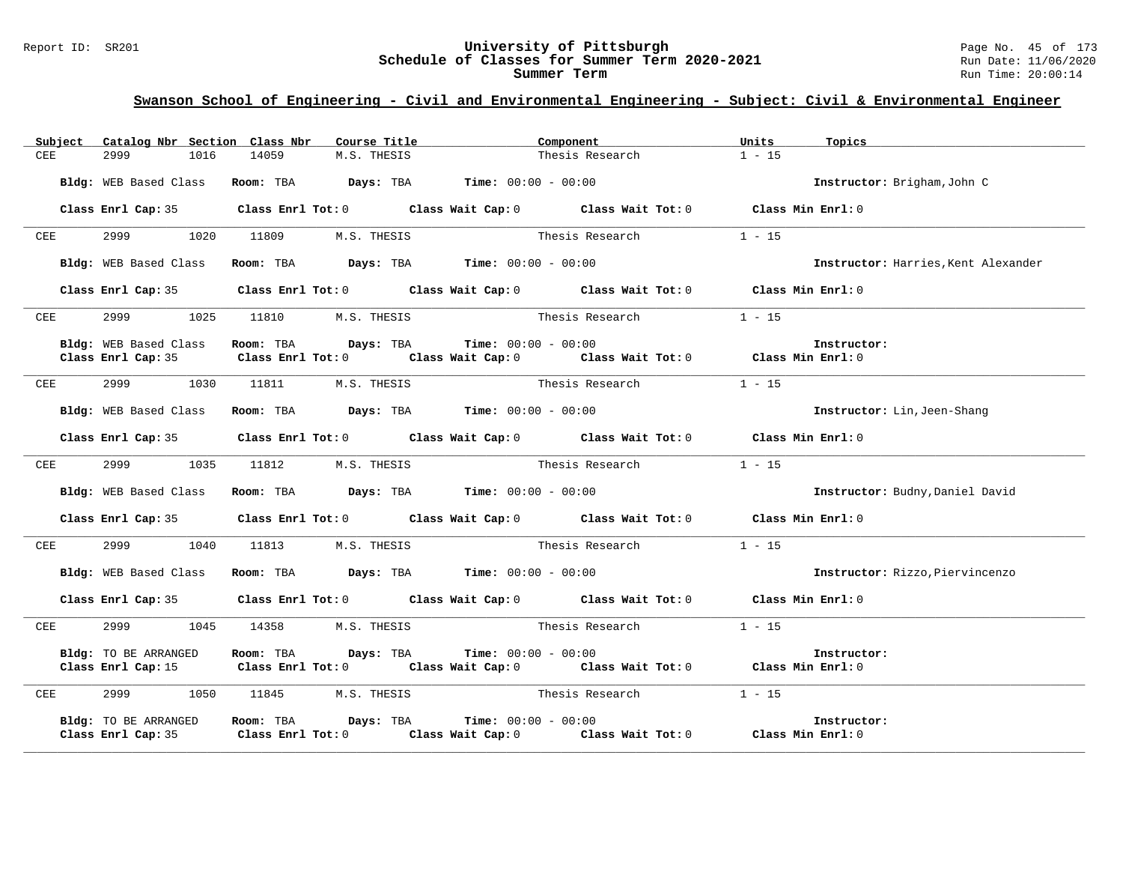# Report ID: SR201 **University of Pittsburgh University of Pittsburgh** Page No. 45 of 173<br>**Schedule of Classes for Summer Term 2020-2021** Run Date: 11/06/2020 Schedule of Classes for Summer Term 2020-2021

| Subject            | Catalog Nbr Section Class Nbr | Course Title                                                  | Component                                                                                                           | Units<br>Topics                     |
|--------------------|-------------------------------|---------------------------------------------------------------|---------------------------------------------------------------------------------------------------------------------|-------------------------------------|
| <b>CEE</b>         | 2999<br>1016                  | 14059<br>M.S. THESIS                                          | Thesis Research                                                                                                     | $1 - 15$                            |
|                    |                               | Bldg: WEB Based Class Room: TBA Days: TBA Time: 00:00 - 00:00 |                                                                                                                     | Instructor: Brigham, John C         |
|                    |                               |                                                               | Class Enrl Cap: 35 Class Enrl Tot: 0 Class Wait Cap: 0 Class Wait Tot: 0 Class Min Enrl: 0                          |                                     |
| CEE                | 2999<br>1020                  | 11809<br>M.S. THESIS                                          | Thesis Research                                                                                                     | $1 - 15$                            |
|                    | Bldg: WEB Based Class         | Room: TBA $Days:$ TBA $Time: 00:00 - 00:00$                   |                                                                                                                     | Instructor: Harries, Kent Alexander |
|                    |                               |                                                               | Class Enrl Cap: 35 Class Enrl Tot: 0 Class Wait Cap: 0 Class Wait Tot: 0 Class Min Enrl: 0                          |                                     |
| CEE                | 2999                          |                                                               | 1025 11810 M.S. THESIS Thesis Research 1 - 15                                                                       |                                     |
|                    | Bldg: WEB Based Class         | Room: TBA $Days:$ TBA $Time: 00:00 - 00:00$                   |                                                                                                                     | Instructor:                         |
|                    | Class Enrl Cap: 35            |                                                               | Class Enrl Tot: $0$ Class Wait Cap: $0$ Class Wait Tot: $0$ Class Min Enrl: $0$                                     |                                     |
| CEE                | 2999                          | 1030 11811                                                    | M.S. THESIS COMPARES Thesis Research 1 - 15                                                                         |                                     |
|                    | Bldg: WEB Based Class         | Room: TBA $Days:$ TBA $Time: 00:00 - 00:00$                   |                                                                                                                     | Instructor: Lin, Jeen-Shang         |
|                    |                               |                                                               | Class Enrl Cap: 35 Class Enrl Tot: 0 Class Wait Cap: 0 Class Wait Tot: 0 Class Min Enrl: 0                          |                                     |
| CEE                | 2999 — 200                    |                                                               | 1035 11812 M.S. THESIS Thesis Research                                                                              | $1 - 15$                            |
|                    | Bldg: WEB Based Class         | Room: TBA $Days: TBA$ Time: $00:00 - 00:00$                   |                                                                                                                     | Instructor: Budny, Daniel David     |
|                    |                               |                                                               | Class Enrl Cap: 35 Class Enrl Tot: 0 Class Wait Cap: 0 Class Wait Tot: 0 Class Min Enrl: 0                          |                                     |
| CEE                | 2999                          | 1040 11813 M.S. THESIS                                        | Thesis Research                                                                                                     | $1 - 15$                            |
|                    |                               | Bldg: WEB Based Class Room: TBA Days: TBA Time: 00:00 - 00:00 |                                                                                                                     | Instructor: Rizzo, Piervincenzo     |
|                    |                               |                                                               | Class Enrl Cap: 35 Class Enrl Tot: 0 Class Wait Cap: 0 Class Wait Tot: 0 Class Min Enrl: 0                          |                                     |
| <b>CEE</b>         |                               | 2999 1045 14358 M.S. THESIS                                   | Thesis Research $1 - 15$                                                                                            |                                     |
|                    | Bldg: TO BE ARRANGED          | Room: TBA Days: TBA                                           | $Time: 00:00 - 00:00$<br>Class Enrl Cap: 15 Class Enrl Tot: 0 Class Wait Cap: 0 Class Wait Tot: 0 Class Min Enrl: 0 | Instructor:                         |
| CEE                |                               | 2999 1050 11845 M.S. THESIS                                   | Thesis Research $1 - 15$                                                                                            |                                     |
| Class Enrl Cap: 35 | Bldg: TO BE ARRANGED          | Room: TBA Days: TBA                                           | $Time: 00:00 - 00:00$                                                                                               | Instructor:                         |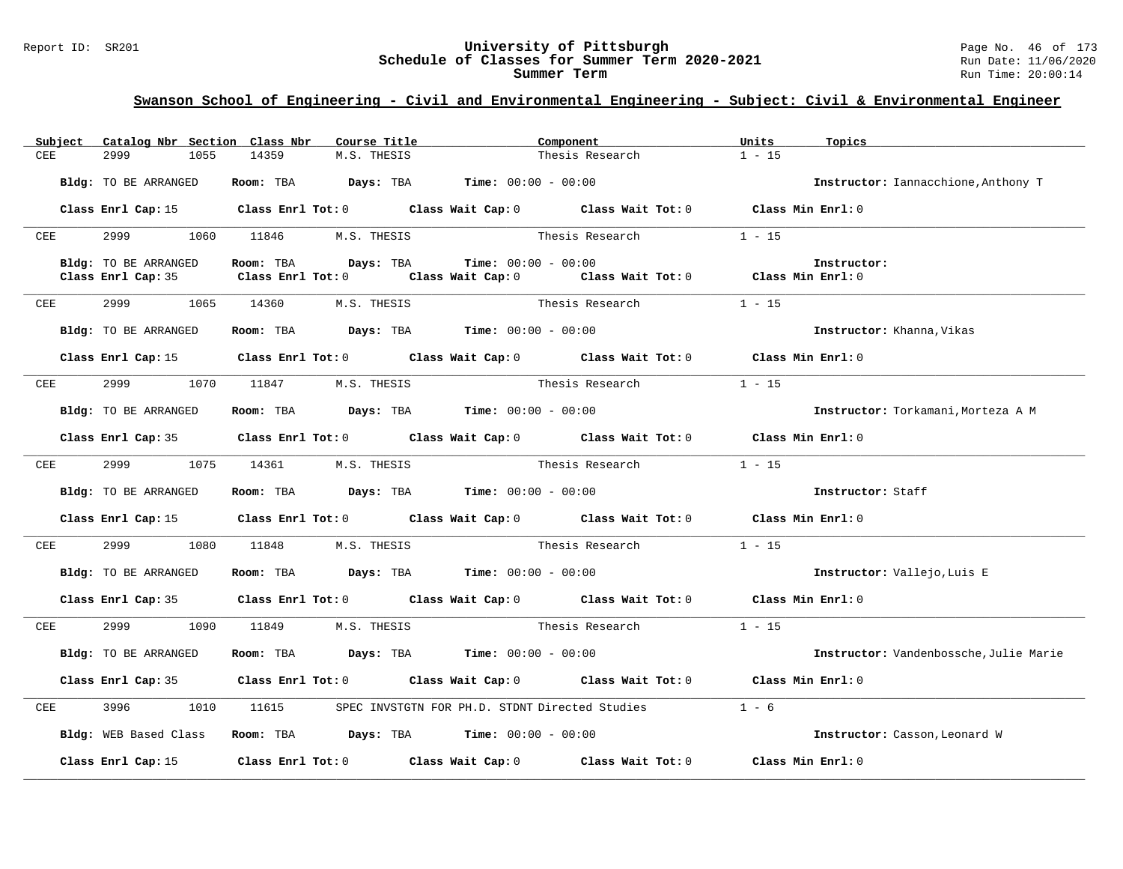#### Report ID: SR201 **University of Pittsburgh** Page No. 46 of 173 **Schedule of Classes for Summer Term 2020-2021** Run Date: 11/06/2020 **Summer Term** Run Time: 20:00:14

| Subject    | Catalog Nbr Section Class Nbr | Course Title                                                                          | Component                                                                                          | Units<br>Topics                        |
|------------|-------------------------------|---------------------------------------------------------------------------------------|----------------------------------------------------------------------------------------------------|----------------------------------------|
| CEE        | 2999<br>1055                  | 14359<br>M.S. THESIS                                                                  | Thesis Research                                                                                    | $1 - 15$                               |
|            |                               |                                                                                       |                                                                                                    |                                        |
|            | Bldg: TO BE ARRANGED          | Room: TBA $Days:$ TBA $Time: 00:00 - 00:00$                                           |                                                                                                    | Instructor: Iannacchione, Anthony T    |
|            |                               |                                                                                       |                                                                                                    |                                        |
|            |                               |                                                                                       | Class Enrl Cap: 15 (Class Enrl Tot: 0 (Class Wait Cap: 0 (Class Wait Tot: 0 (Class Min Enrl: 0)    |                                        |
| CEE        |                               | 2999 1060 11846 M.S. THESIS                                                           | Thesis Research                                                                                    | $1 - 15$                               |
|            |                               |                                                                                       |                                                                                                    |                                        |
|            | Bldg: TO BE ARRANGED          | Room: TBA Days: TBA                                                                   | $Time: 00:00 - 00:00$                                                                              | Instructor:                            |
|            | Class Enrl Cap: 35            |                                                                                       | Class Enrl Tot: 0 $\qquad$ Class Wait Cap: 0 $\qquad$ Class Wait Tot: 0 $\qquad$ Class Min Enrl: 0 |                                        |
|            |                               |                                                                                       |                                                                                                    |                                        |
| CEE        |                               | 2999 1065 14360 M.S. THESIS                                                           | Thesis Research                                                                                    | $1 - 15$                               |
|            |                               |                                                                                       |                                                                                                    |                                        |
|            | Bldg: TO BE ARRANGED          | Room: TBA $Days:$ TBA $Time: 00:00 - 00:00$                                           |                                                                                                    | Instructor: Khanna, Vikas              |
|            |                               |                                                                                       |                                                                                                    |                                        |
|            |                               |                                                                                       | Class Enrl Cap: 15 Class Enrl Tot: 0 Class Wait Cap: 0 Class Wait Tot: 0 Class Min Enrl: 0         |                                        |
| CEE        | 2999                          | 1070 11847 M.S. THESIS                                                                | Thesis Research                                                                                    | $1 - 15$                               |
|            |                               |                                                                                       |                                                                                                    |                                        |
|            | Bldg: TO BE ARRANGED          | Room: TBA $Days: TBA$ Time: $00:00 - 00:00$                                           |                                                                                                    | Instructor: Torkamani, Morteza A M     |
|            |                               |                                                                                       |                                                                                                    |                                        |
|            |                               |                                                                                       | Class Enrl Cap: 35 Class Enrl Tot: 0 Class Wait Cap: 0 Class Wait Tot: 0 Class Min Enrl: 0         |                                        |
|            |                               |                                                                                       |                                                                                                    |                                        |
| CEE        | 2999                          |                                                                                       | 1075 14361 M.S. THESIS Thesis Research                                                             | $1 - 15$                               |
|            |                               |                                                                                       |                                                                                                    |                                        |
|            | Bldg: TO BE ARRANGED          | Room: TBA $\rule{1em}{0.15mm}$ Days: TBA $\rule{1.5mm}{0.15mm}$ Time: $00:00 - 00:00$ |                                                                                                    | Instructor: Staff                      |
|            |                               |                                                                                       | Class Enrl Cap: 15 Class Enrl Tot: 0 Class Wait Cap: 0 Class Wait Tot: 0 Class Min Enrl: 0         |                                        |
|            |                               |                                                                                       |                                                                                                    |                                        |
| <b>CEE</b> |                               | 2999 1080 11848 M.S. THESIS                                                           | Thesis Research                                                                                    | $1 - 15$                               |
|            |                               |                                                                                       |                                                                                                    |                                        |
|            | Bldg: TO BE ARRANGED          | Room: TBA $Days:$ TBA $Time: 00:00 - 00:00$                                           |                                                                                                    | Instructor: Vallejo, Luis E            |
|            |                               |                                                                                       |                                                                                                    |                                        |
|            |                               |                                                                                       | Class Enrl Cap: 35 Class Enrl Tot: 0 Class Wait Cap: 0 Class Wait Tot: 0 Class Min Enrl: 0         |                                        |
|            |                               |                                                                                       |                                                                                                    |                                        |
| CEE        | 2999<br>1090                  | 11849<br>M.S. THESIS                                                                  | Thesis Research                                                                                    | $1 - 15$                               |
|            | Bldg: TO BE ARRANGED          | Room: TBA $\rule{1em}{0.15mm}$ Days: TBA Time: $00:00 - 00:00$                        |                                                                                                    | Instructor: Vandenbossche, Julie Marie |
|            |                               |                                                                                       |                                                                                                    |                                        |
|            |                               |                                                                                       | Class Enrl Cap: 35 Class Enrl Tot: 0 Class Wait Cap: 0 Class Wait Tot: 0 Class Min Enrl: 0         |                                        |
|            |                               |                                                                                       |                                                                                                    |                                        |
|            |                               | 11615                                                                                 | SPEC INVSTGTN FOR PH.D. STDNT Directed Studies                                                     | $1 - 6$                                |
| CEE        | 3996<br>1010                  |                                                                                       |                                                                                                    |                                        |
|            |                               |                                                                                       |                                                                                                    |                                        |
|            | Bldg: WEB Based Class         | Room: TBA $Days:$ TBA $Time: 00:00 - 00:00$                                           |                                                                                                    | Instructor: Casson, Leonard W          |
|            |                               |                                                                                       |                                                                                                    |                                        |
|            | Class Enrl Cap: 15            |                                                                                       | Class Enrl Tot: 0 Class Wait Cap: 0 Class Wait Tot: 0 Class Min Enrl: 0                            |                                        |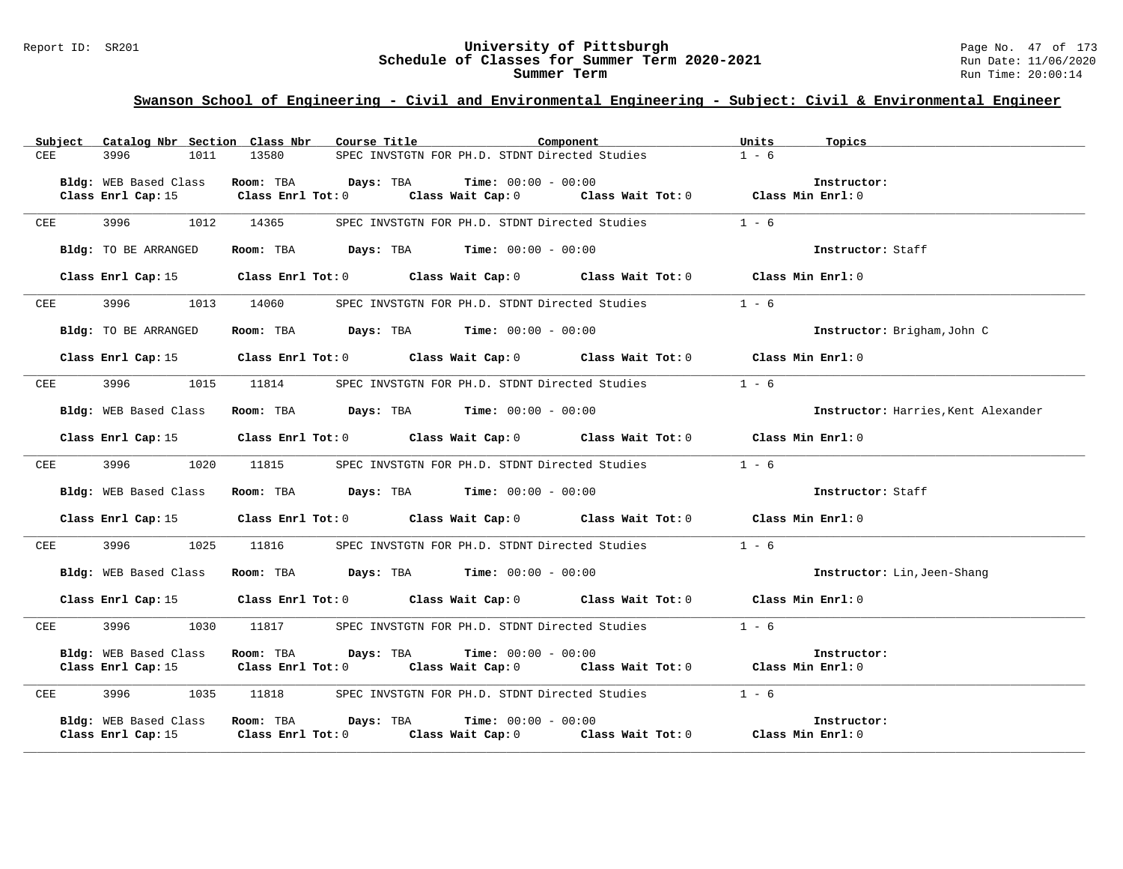#### Report ID: SR201 **University of Pittsburgh** Page No. 47 of 173 **Schedule of Classes for Summer Term 2020-2021** Run Date: 11/06/2020 **Summer Term** Run Time: 20:00:14

|            | Subject Catalog Nbr Section Class Nbr | Course Title <b>Source Search</b><br>Component                                                  | Units<br>Topics                     |
|------------|---------------------------------------|-------------------------------------------------------------------------------------------------|-------------------------------------|
| CEE        | 3996<br>1011                          | 13580<br>SPEC INVSTGTN FOR PH.D. STDNT Directed Studies                                         | $1 - 6$                             |
|            | Bldg: WEB Based Class                 | Room: TBA $Days: TBA$ Time: $00:00 - 00:00$                                                     | Instructor:                         |
|            |                                       | Class Enrl Cap: 15 Class Enrl Tot: 0 Class Wait Cap: 0 Class Wait Tot: 0 Class Min Enrl: 0      |                                     |
|            |                                       |                                                                                                 |                                     |
| CEE        | 3996 1012 14365                       | SPEC INVSTGTN FOR PH.D. STDNT Directed Studies                                                  | $1 - 6$                             |
|            |                                       |                                                                                                 | Instructor: Staff                   |
|            | Bldg: TO BE ARRANGED                  | Room: TBA Days: TBA Time: $00:00 - 00:00$                                                       |                                     |
|            |                                       | Class Enrl Cap: 15 Class Enrl Tot: 0 Class Wait Cap: 0 Class Wait Tot: 0 Class Min Enrl: 0      |                                     |
|            |                                       |                                                                                                 |                                     |
| CEE        | 3996<br>1013                          | 14060<br>SPEC INVSTGTN FOR PH.D. STDNT Directed Studies                                         | $1 - 6$                             |
|            | Bldg: TO BE ARRANGED                  | Room: TBA $Days:$ TBA $Time: 00:00 - 00:00$                                                     | Instructor: Brigham, John C         |
|            |                                       |                                                                                                 |                                     |
|            |                                       | Class Enrl Cap: 15 Class Enrl Tot: 0 Class Wait Cap: 0 Class Wait Tot: 0 Class Min Enrl: 0      |                                     |
| CEE        | 3996 399<br>1015                      | 11814 SPEC INVSTGTN FOR PH.D. STDNT Directed Studies                                            | $1 - 6$                             |
|            |                                       |                                                                                                 |                                     |
|            | Bldg: WEB Based Class                 | Room: TBA $Days:$ TBA $Time: 00:00 - 00:00$                                                     | Instructor: Harries, Kent Alexander |
|            |                                       |                                                                                                 |                                     |
|            |                                       | Class Enrl Cap: 15 Class Enrl Tot: 0 Class Wait Cap: 0 Class Wait Tot: 0 Class Min Enrl: 0      |                                     |
| CEE        |                                       | 3996 1020 11815 SPEC INVSTGTN FOR PH.D. STDNT Directed Studies                                  | $1 - 6$                             |
|            |                                       |                                                                                                 |                                     |
|            | Bldg: WEB Based Class                 | Room: TBA $Days:$ TBA $Time: 00:00 - 00:00$                                                     | Instructor: Staff                   |
|            |                                       | Class Enrl Cap: 15 (Class Enrl Tot: 0 (Class Wait Cap: 0 (Class Wait Tot: 0 (Class Min Enrl: 0) |                                     |
|            |                                       |                                                                                                 |                                     |
| CEE        |                                       | 3996 1025 11816 SPEC INVSTGTN FOR PH.D. STDNT Directed Studies                                  | $1 - 6$                             |
|            |                                       |                                                                                                 |                                     |
|            | Bldg: WEB Based Class                 | Room: TBA $Days:$ TBA $Time: 00:00 - 00:00$                                                     | Instructor: Lin, Jeen-Shang         |
|            |                                       | Class Enrl Cap: 15 Class Enrl Tot: 0 Class Wait Cap: 0 Class Wait Tot: 0 Class Min Enrl: 0      |                                     |
|            |                                       |                                                                                                 |                                     |
| CEE        |                                       | 3996 1030 11817 SPEC INVSTGTN FOR PH.D. STDNT Directed Studies                                  | $1 - 6$                             |
|            | Bldg: WEB Based Class                 | Room: TBA Days: TBA<br><b>Time:</b> $00:00 - 00:00$                                             | Instructor:                         |
|            |                                       | Class Enrl Cap: 15 (Class Enrl Tot: 0 (Class Wait Cap: 0 (Class Wait Tot: 0 (Class Min Enrl: 0) |                                     |
|            |                                       |                                                                                                 |                                     |
| <b>CEE</b> |                                       | 3996 1035 11818 SPEC INVSTGTN FOR PH.D. STDNT Directed Studies 1 - 6                            |                                     |
|            |                                       | Bldg: WEB Based Class Room: TBA Days: TBA<br>$Time: 00:00 - 00:00$                              | Instructor:                         |
|            | Class Enrl Cap: 15                    | Class Enrl Tot: $0$ class Wait Cap: $0$ class Wait Tot: $0$ class Min Enrl: $0$                 |                                     |
|            |                                       |                                                                                                 |                                     |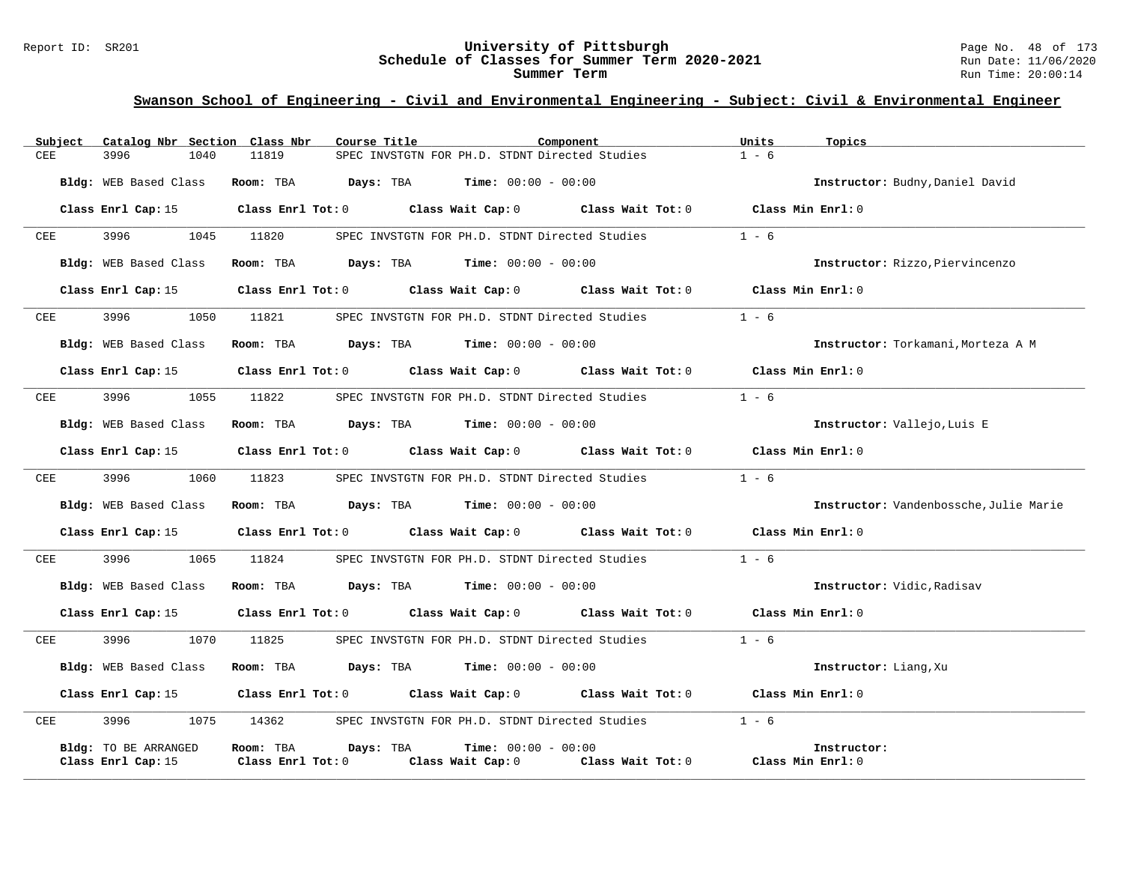#### Report ID: SR201 **University of Pittsburgh** Page No. 48 of 173 **Schedule of Classes for Summer Term 2020-2021** Run Date: 11/06/2020 **Summer Term** Run Time: 20:00:14

| Subject    | Catalog Nbr Section Class Nbr | Course Title                                                                                   | Component                                                                                | Units<br>Topics   |                                        |
|------------|-------------------------------|------------------------------------------------------------------------------------------------|------------------------------------------------------------------------------------------|-------------------|----------------------------------------|
| <b>CEE</b> | 3996<br>1040                  | 11819                                                                                          | SPEC INVSTGTN FOR PH.D. STDNT Directed Studies                                           | $1 - 6$           |                                        |
|            | Bldg: WEB Based Class         |                                                                                                | Room: TBA $Days: TBA$ Time: $00:00 - 00:00$                                              |                   | Instructor: Budny, Daniel David        |
|            |                               | Class Enrl Cap: 15 Class Enrl Tot: 0 Class Wait Cap: 0 Class Wait Tot: 0 Class Min Enrl: 0     |                                                                                          |                   |                                        |
| CEE        | 3996                          | 1045 11820                                                                                     | SPEC INVSTGTN FOR PH.D. STDNT Directed Studies                                           | $1 - 6$           |                                        |
|            | Bldg: WEB Based Class         |                                                                                                | Room: TBA $\rule{1em}{0.15mm}$ Days: TBA $\qquad$ Time: $00:00 - 00:00$                  |                   | Instructor: Rizzo, Piervincenzo        |
|            | Class Enrl Cap: 15            |                                                                                                | Class Enrl Tot: $0$ Class Wait Cap: $0$ Class Wait Tot: $0$ Class Min Enrl: $0$          |                   |                                        |
| CEE        | 3996 — 100                    | 1050 11821                                                                                     | SPEC INVSTGTN FOR PH.D. STDNT Directed Studies $1 - 6$                                   |                   |                                        |
|            | Bldg: WEB Based Class         |                                                                                                | Room: TBA $Days:$ TBA $Time: 00:00 - 00:00$                                              |                   | Instructor: Torkamani, Morteza A M     |
|            | Class Enrl Cap: 15            |                                                                                                | Class Enrl Tot: $0$ Class Wait Cap: $0$ Class Wait Tot: $0$ Class Min Enrl: $0$          |                   |                                        |
| CEE        | 3996<br>1055                  | 11822                                                                                          | SPEC INVSTGTN FOR PH.D. STDNT Directed Studies                                           | $1 - 6$           |                                        |
|            | Bldg: WEB Based Class         |                                                                                                | <b>Room:</b> TBA <b>Days:</b> TBA <b>Time:</b> 00:00 - 00:00                             |                   | Instructor: Vallejo, Luis E            |
|            |                               | Class Enrl Cap: 15 (Class Enrl Tot: 0 (Class Wait Cap: 0 (Class Wait Tot: 0 (Class Min Enrl: 0 |                                                                                          |                   |                                        |
| CEE        | 3996 — 100<br>1060            | 11823                                                                                          | SPEC INVSTGTN FOR PH.D. STDNT Directed Studies                                           | $1 - 6$           |                                        |
|            | Bldg: WEB Based Class         |                                                                                                | Room: TBA $Days:$ TBA $Time: 00:00 - 00:00$                                              |                   | Instructor: Vandenbossche, Julie Marie |
|            |                               | Class Enrl Cap: 15 Class Enrl Tot: 0 Class Wait Cap: 0 Class Wait Tot: 0 Class Min Enrl: 0     |                                                                                          |                   |                                        |
| CEE        | 3996 700                      | 1065 11824                                                                                     | SPEC INVSTGTN FOR PH.D. STDNT Directed Studies                                           | $1 - 6$           |                                        |
|            | Bldg: WEB Based Class         |                                                                                                | Room: TBA $Days:$ TBA $Time: 00:00 - 00:00$                                              |                   | Instructor: Vidic, Radisav             |
|            | Class Enrl Cap: 15            |                                                                                                | Class Enrl Tot: 0 Class Wait Cap: 0 Class Wait Tot: 0                                    | Class Min Enrl: 0 |                                        |
| CEE        | 3996<br>1070                  | 11825                                                                                          | SPEC INVSTGTN FOR PH.D. STDNT Directed Studies                                           | $1 - 6$           |                                        |
|            | Bldg: WEB Based Class         |                                                                                                | Room: TBA $\rule{1em}{0.15mm}$ Days: TBA $\rule{1.15mm}]{0.15mm}$ Time: $0.000 - 0.0000$ |                   | Instructor: Liang, Xu                  |
|            |                               | Class Enrl Cap: 15 Class Enrl Tot: 0 Class Wait Cap: 0 Class Wait Tot: 0 Class Min Enrl: 0     |                                                                                          |                   |                                        |
| CEE        | 3996<br>1075                  | 14362                                                                                          | SPEC INVSTGTN FOR PH.D. STDNT Directed Studies                                           | $1 - 6$           |                                        |
|            | Bldg: TO BE ARRANGED          | Room: TBA<br>Days: TBA                                                                         | <b>Time:</b> $00:00 - 00:00$                                                             | Instructor:       |                                        |
|            | Class Enrl Cap: 15            | Class Enrl Tot: 0                                                                              | Class Wait Cap: 0 Class Wait Tot: 0                                                      | Class Min Enrl: 0 |                                        |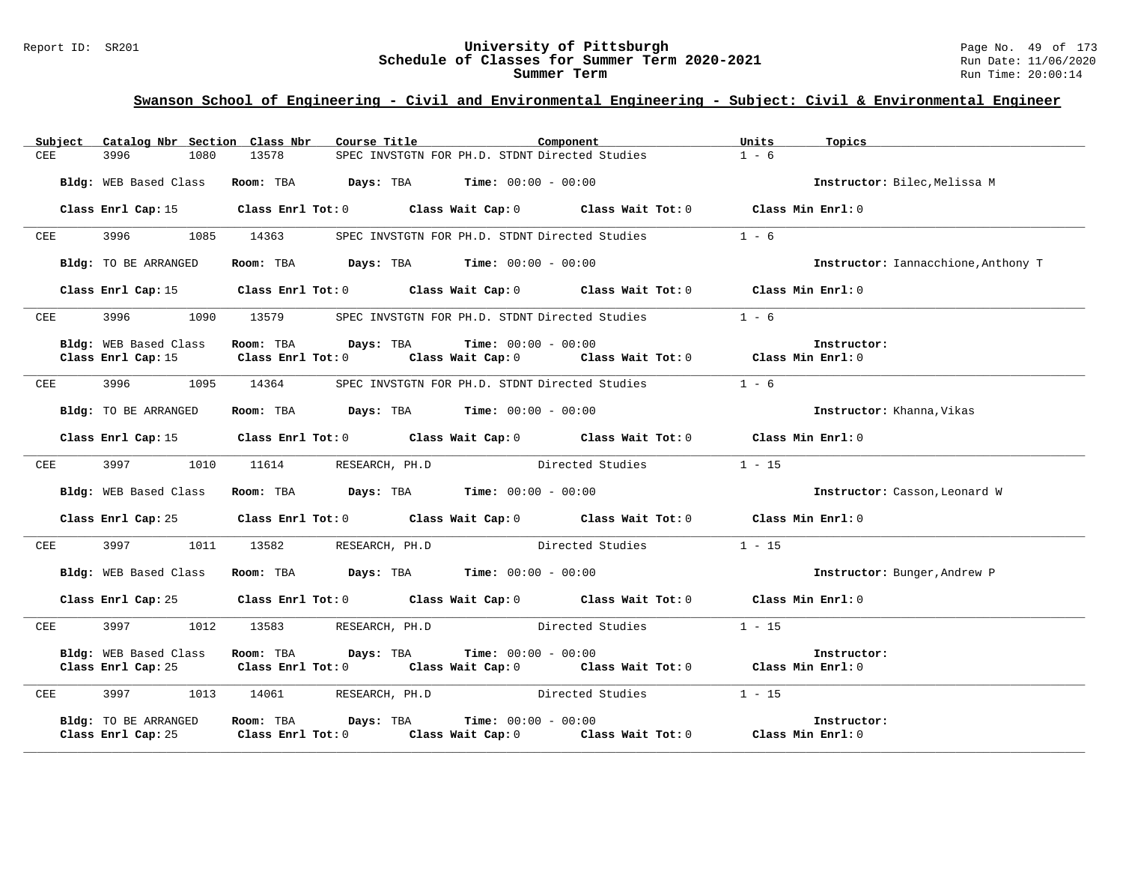# Report ID: SR201 **19 CHE CONFERITY OF Pittsburgh University of Pittsburgh** Page No. 49 of 173 **Schedule of Classes for Summer Term 2020-2021** Run Date: 11/06/2020 Schedule of Classes for Summer Term 2020-2021

|            |            | Subject Catalog Nbr Section Class Nbr      | Course Title                                                                                                      |                                                | Component        | Units<br>Topics |                                     |
|------------|------------|--------------------------------------------|-------------------------------------------------------------------------------------------------------------------|------------------------------------------------|------------------|-----------------|-------------------------------------|
| <b>CEE</b> |            | 3996<br>1080                               | 13578                                                                                                             | SPEC INVSTGTN FOR PH.D. STDNT Directed Studies |                  | $1 - 6$         |                                     |
|            |            | Bldg: WEB Based Class                      | <b>Room:</b> TBA $Days:$ TBA $Time: 00:00 - 00:00$                                                                |                                                |                  |                 | Instructor: Bilec, Melissa M        |
|            |            |                                            | Class Enrl Cap: 15 Class Enrl Tot: 0 Class Wait Cap: 0 Class Wait Tot: 0 Class Min Enrl: 0                        |                                                |                  |                 |                                     |
| CEE        |            | 3996<br>1085                               | 14363                                                                                                             | SPEC INVSTGTN FOR PH.D. STDNT Directed Studies |                  | $1 - 6$         |                                     |
|            |            | Bldg: TO BE ARRANGED                       | Room: TBA $Days:$ TBA $Time: 00:00 - 00:00$                                                                       |                                                |                  |                 | Instructor: Iannacchione, Anthony T |
|            |            |                                            | Class Enrl Cap: 15 Class Enrl Tot: 0 Class Wait Cap: 0 Class Wait Tot: 0 Class Min Enrl: 0                        |                                                |                  |                 |                                     |
|            | CEE        | 3996                                       | 1090 13579 SPEC INVSTGTN FOR PH.D. STDNT Directed Studies 1 - 6                                                   |                                                |                  |                 |                                     |
|            |            | Bldg: WEB Based Class                      | Room: TBA $Days: TBA$ Time: $00:00 - 00:00$                                                                       |                                                |                  | Instructor:     |                                     |
|            |            | Class Enrl Cap: 15                         | Class Enrl Tot: $0$ Class Wait Cap: $0$ Class Wait Tot: $0$ Class Min Enrl: $0$                                   |                                                |                  |                 |                                     |
| CEE        |            | 3996                                       | 1095 14364                                                                                                        | SPEC INVSTGTN FOR PH.D. STDNT Directed Studies |                  | $1 - 6$         |                                     |
|            |            | Bldg: TO BE ARRANGED                       | <b>Room:</b> TBA $Days:$ TBA $Time: 00:00 - 00:00$                                                                |                                                |                  |                 | Instructor: Khanna, Vikas           |
|            |            |                                            | Class Enrl Cap: 15 Class Enrl Tot: 0 Class Wait Cap: 0 Class Wait Tot: 0 Class Min Enrl: 0                        |                                                |                  |                 |                                     |
| CEE        |            |                                            | 3997 1010 11614 RESEARCH, PH.D Directed Studies                                                                   |                                                |                  | $1 - 15$        |                                     |
|            |            | Bldg: WEB Based Class                      | Room: TBA $Days:$ TBA $Time: 00:00 - 00:00$                                                                       |                                                |                  |                 | Instructor: Casson, Leonard W       |
|            |            |                                            | Class Enrl Cap: 25 Class Enrl Tot: 0 Class Wait Cap: 0 Class Wait Tot: 0 Class Min Enrl: 0                        |                                                |                  |                 |                                     |
|            | CEE        |                                            | 3997 1011 13582 RESEARCH, PH.D                                                                                    |                                                | Directed Studies | $1 - 15$        |                                     |
|            |            |                                            | Bldg: WEB Based Class Room: TBA Days: TBA Time: 00:00 - 00:00                                                     |                                                |                  |                 | Instructor: Bunger, Andrew P        |
|            |            |                                            | Class Enrl Cap: 25 Class Enrl Tot: 0 Class Wait Cap: 0 Class Wait Tot: 0 Class Min Enrl: 0                        |                                                |                  |                 |                                     |
|            | <b>CEE</b> |                                            | 3997 1012 13583 RESEARCH, PH.D Directed Studies                                                                   |                                                |                  | $1 - 15$        |                                     |
|            |            | Bldg: WEB Based Class                      | Room: TBA Days: TBA<br>Class Enrl Cap: 25 Class Enrl Tot: 0 Class Wait Cap: 0 Class Wait Tot: 0 Class Min Enrl: 0 | <b>Time:</b> $00:00 - 00:00$                   |                  | Instructor:     |                                     |
|            | CEE        |                                            | 3997 1013 14061 RESEARCH, PH.D Directed Studies                                                                   |                                                |                  | $1 - 15$        |                                     |
|            |            | Bldg: TO BE ARRANGED<br>Class Enrl Cap: 25 | Room: TBA Days: TBA<br>Class Enrl Tot: $0$ class Wait Cap: $0$ class Wait Tot: $0$ class Min Enrl: $0$            | <b>Time:</b> $00:00 - 00:00$                   |                  | Instructor:     |                                     |
|            |            |                                            |                                                                                                                   |                                                |                  |                 |                                     |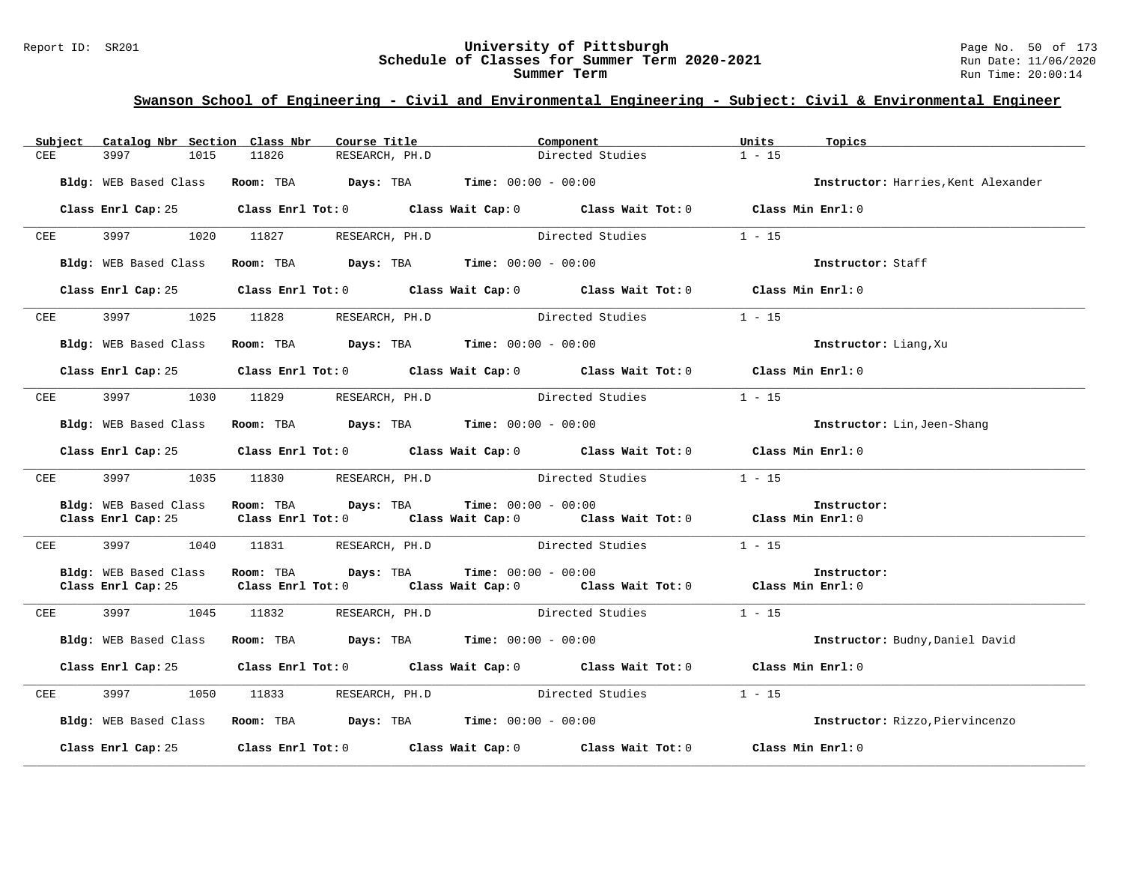# Report ID: SR201 **1988 Chedule of Classes for Summer Term 2020-2021** Page No. 50 of 173<br>**Schedule of Classes for Summer Term 2020-2021** Run Date: 11/06/2020 Schedule of Classes for Summer Term 2020-2021

| Subject                  | Catalog Nbr Section Class Nbr               | Course Title                                                                             | Component                                                                                          | Units<br>Topics                     |
|--------------------------|---------------------------------------------|------------------------------------------------------------------------------------------|----------------------------------------------------------------------------------------------------|-------------------------------------|
| <b>CEE</b>               | 3997<br>1015                                | 11826<br>RESEARCH, PH.D                                                                  | Directed Studies                                                                                   | $1 - 15$                            |
|                          | Bldg: WEB Based Class                       | Room: TBA $Days:$ TBA $Time: 00:00 - 00:00$                                              |                                                                                                    | Instructor: Harries, Kent Alexander |
|                          |                                             |                                                                                          | Class Enrl Cap: 25 Class Enrl Tot: 0 Class Wait Cap: 0 Class Wait Tot: 0 Class Min Enrl: 0         |                                     |
| CEE                      | 3997<br>1020                                | 11827                                                                                    | RESEARCH, PH.D Directed Studies                                                                    | $1 - 15$                            |
|                          | Bldg: WEB Based Class                       | Room: TBA $\rule{1em}{0.15mm}$ Days: TBA $\rule{1.15mm}]{0.15mm}$ Time: $0.000 - 0.0000$ |                                                                                                    | Instructor: Staff                   |
|                          | Class Enrl Cap: 25                          |                                                                                          | Class Enrl Tot: 0 Class Wait Cap: 0 Class Wait Tot: 0 Class Min Enrl: 0                            |                                     |
| CEE                      |                                             | 3997 1025 11828 RESEARCH, PH.D                                                           | Directed Studies                                                                                   | $1 - 15$                            |
|                          | Bldg: WEB Based Class                       | Room: TBA $Days:$ TBA $Time: 00:00 - 00:00$                                              |                                                                                                    | Instructor: Liang, Xu               |
|                          | Class Enrl Cap: 25                          |                                                                                          | Class Enrl Tot: 0 Class Wait Cap: 0 Class Wait Tot: 0 Class Min Enrl: 0                            |                                     |
| <b>CEE</b>               | 3997 1030 11829                             |                                                                                          | RESEARCH, PH.D Directed Studies                                                                    | $1 - 15$                            |
|                          | Bldg: WEB Based Class                       | Room: TBA $\rule{1em}{0.15mm}$ Days: TBA $\rule{1.5mm}{0.15mm}$ Time: $00:00 - 00:00$    |                                                                                                    | <b>Instructor:</b> Lin, Jeen-Shang  |
|                          | Class Enrl Cap: 25                          |                                                                                          | Class Enrl Tot: $0$ Class Wait Cap: $0$ Class Wait Tot: $0$ Class Min Enrl: $0$                    |                                     |
| $CEE$ and $CEE$ and $SE$ | 3997 — 100<br>1035                          | 11830 RESEARCH, PH.D                                                                     | Directed Studies                                                                                   | $1 - 15$                            |
|                          | Bldg: WEB Based Class<br>Class Enrl Cap: 25 | Room: TBA $Days:$ TBA Time: $00:00 - 00:00$                                              | Class Enrl Tot: 0 $\qquad$ Class Wait Cap: 0 $\qquad$ Class Wait Tot: 0 $\qquad$ Class Min Enrl: 0 | Instructor:                         |
| CEE                      | 3997<br>1040                                |                                                                                          | 11831 RESEARCH, PH.D Directed Studies                                                              | $1 - 15$                            |
|                          | Bldg: WEB Based Class<br>Class Enrl Cap: 25 | Room: TBA $Days:$ TBA $Time: 00:00 - 00:00$                                              | Class Enrl Tot: 0 $\qquad$ Class Wait Cap: 0 $\qquad$ Class Wait Tot: 0 $\qquad$ Class Min Enrl: 0 | Instructor:                         |
| CEE                      | 3997 — 100<br>1045                          |                                                                                          | 11832 RESEARCH, PH.D Directed Studies                                                              | $1 - 15$                            |
|                          | Bldg: WEB Based Class                       | Room: TBA $Days:$ TBA $Time:$ $00:00 - 00:00$                                            |                                                                                                    | Instructor: Budny, Daniel David     |
|                          |                                             |                                                                                          | Class Enrl Cap: 25 Class Enrl Tot: 0 Class Wait Cap: 0 Class Wait Tot: 0 Class Min Enrl: 0         |                                     |
| CEE                      | 1050                                        |                                                                                          | 11833 RESEARCH, PH.D Directed Studies                                                              | $1 - 15$                            |
|                          | Bldg: WEB Based Class                       | Room: TBA $\rule{1em}{0.15mm}$ Days: TBA Time: $00:00 - 00:00$                           |                                                                                                    | Instructor: Rizzo, Piervincenzo     |
|                          |                                             |                                                                                          | Class Enrl Cap: 25 Class Enrl Tot: 0 Class Wait Cap: 0 Class Wait Tot: 0 Class Min Enrl: 0         |                                     |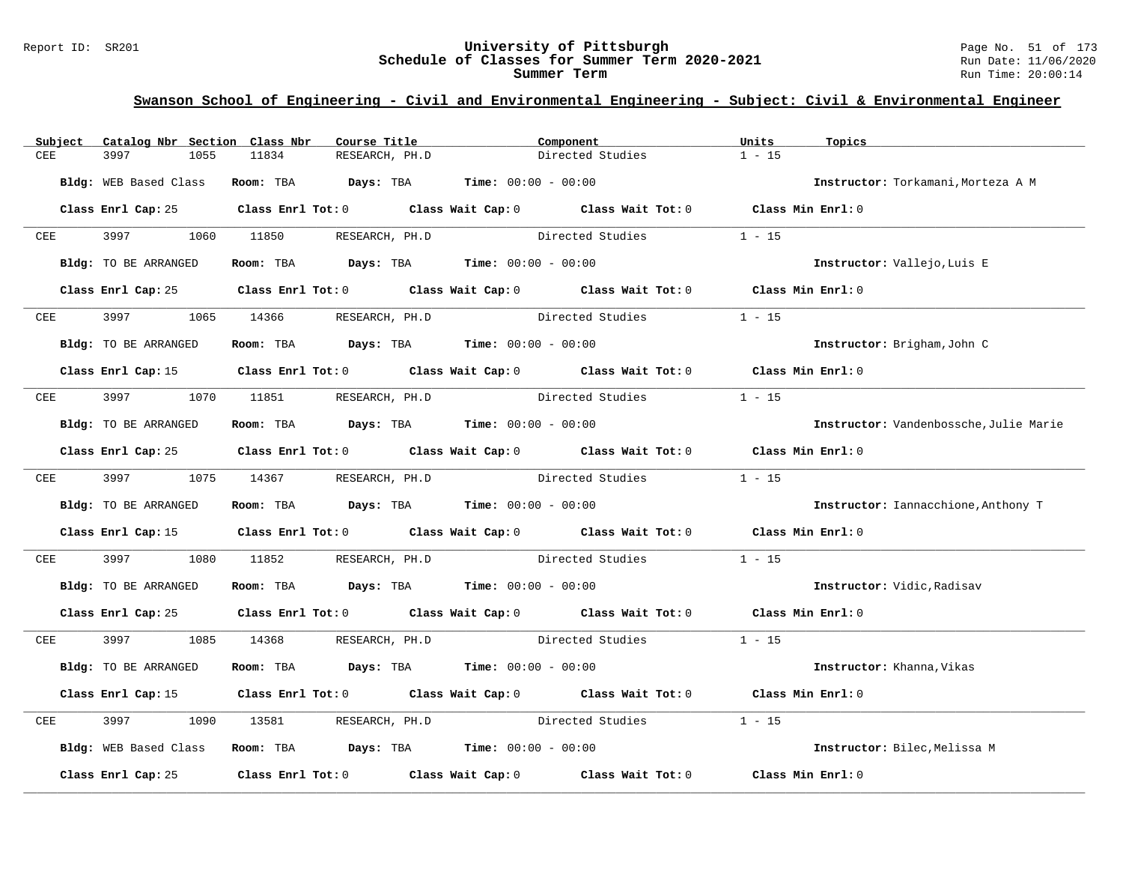#### Report ID: SR201 **University of Pittsburgh** Page No. 51 of 173 **Schedule of Classes for Summer Term 2020-2021** Run Date: 11/06/2020 **Summer Term** Run Time: 20:00:14

| Subject | Catalog Nbr Section Class Nbr | Course Title                                                   | Component                                                                                  | Units<br>Topics                        |
|---------|-------------------------------|----------------------------------------------------------------|--------------------------------------------------------------------------------------------|----------------------------------------|
| CEE     | 3997<br>1055                  | 11834<br>RESEARCH, PH.D                                        | Directed Studies                                                                           | $1 - 15$                               |
|         | Bldg: WEB Based Class         | <b>Room:</b> TBA $Days:$ TBA $Time: 00:00 - 00:00$             |                                                                                            | Instructor: Torkamani, Morteza A M     |
|         |                               |                                                                | Class Enrl Cap: 25 Class Enrl Tot: 0 Class Wait Cap: 0 Class Wait Tot: 0 Class Min Enrl: 0 |                                        |
| CEE     |                               | 3997 1060 11850 RESEARCH, PH.D                                 | Directed Studies                                                                           | $1 - 15$                               |
|         | Bldg: TO BE ARRANGED          | Room: TBA $Days:$ TBA $Time: 00:00 - 00:00$                    |                                                                                            | Instructor: Vallejo, Luis E            |
|         |                               |                                                                | Class Enrl Cap: 25 Class Enrl Tot: 0 Class Wait Cap: 0 Class Wait Tot: 0 Class Min Enrl: 0 |                                        |
| CEE     | 3997 399                      | 1065 14366<br>RESEARCH, PH.D                                   | Directed Studies                                                                           | $1 - 15$                               |
|         | Bldg: TO BE ARRANGED          | Room: TBA $Days:$ TBA $Time: 00:00 - 00:00$                    |                                                                                            | Instructor: Brigham, John C            |
|         |                               |                                                                | Class Enrl Cap: 15 Class Enrl Tot: 0 Class Wait Cap: 0 Class Wait Tot: 0 Class Min Enrl: 0 |                                        |
| CEE     |                               |                                                                | 3997 1070 11851 RESEARCH, PH.D Directed Studies                                            | $1 - 15$                               |
|         | Bldg: TO BE ARRANGED          | Room: TBA $Days:$ TBA $Time: 00:00 - 00:00$                    |                                                                                            | Instructor: Vandenbossche, Julie Marie |
|         |                               |                                                                | Class Enrl Cap: 25 Class Enrl Tot: 0 Class Wait Cap: 0 Class Wait Tot: 0 Class Min Enrl: 0 |                                        |
|         |                               |                                                                | CEE 3997 1075 14367 RESEARCH, PH.D Directed Studies                                        | $1 - 15$                               |
|         | Bldg: TO BE ARRANGED          | Room: TBA $Days:$ TBA $Time: 00:00 - 00:00$                    |                                                                                            | Instructor: Iannacchione, Anthony T    |
|         |                               |                                                                | Class Enrl Cap: 15 Class Enrl Tot: 0 Class Wait Cap: 0 Class Wait Tot: 0 Class Min Enrl: 0 |                                        |
| CEE     | 3997<br>1080                  |                                                                | 11852 RESEARCH, PH.D Directed Studies                                                      | $1 - 15$                               |
|         | Bldg: TO BE ARRANGED          | Room: TBA $Days:$ TBA $Time: 00:00 - 00:00$                    |                                                                                            | Instructor: Vidic, Radisav             |
|         |                               |                                                                | Class Enrl Cap: 25 Class Enrl Tot: 0 Class Wait Cap: 0 Class Wait Tot: 0 Class Min Enrl: 0 |                                        |
| CEE     | 3997<br>1085                  |                                                                | 14368 RESEARCH, PH.D Directed Studies 1 - 15                                               |                                        |
|         | Bldg: TO BE ARRANGED          | Room: TBA $Days:$ TBA $Time: 00:00 - 00:00$                    |                                                                                            | Instructor: Khanna, Vikas              |
|         |                               |                                                                | Class Enrl Cap: 15 Class Enrl Tot: 0 Class Wait Cap: 0 Class Wait Tot: 0                   | Class Min Enrl: 0                      |
| CEE     | 3997<br>1090                  | 13581                                                          | RESEARCH, PH.D Directed Studies                                                            | $1 - 15$                               |
|         | Bldg: WEB Based Class         | Room: TBA $\rule{1em}{0.15mm}$ Days: TBA Time: $00:00 - 00:00$ |                                                                                            | Instructor: Bilec, Melissa M           |
|         | Class Enrl Cap: 25            |                                                                | Class Enrl Tot: 0 Class Wait Cap: 0 Class Wait Tot: 0                                      | Class Min Enrl: 0                      |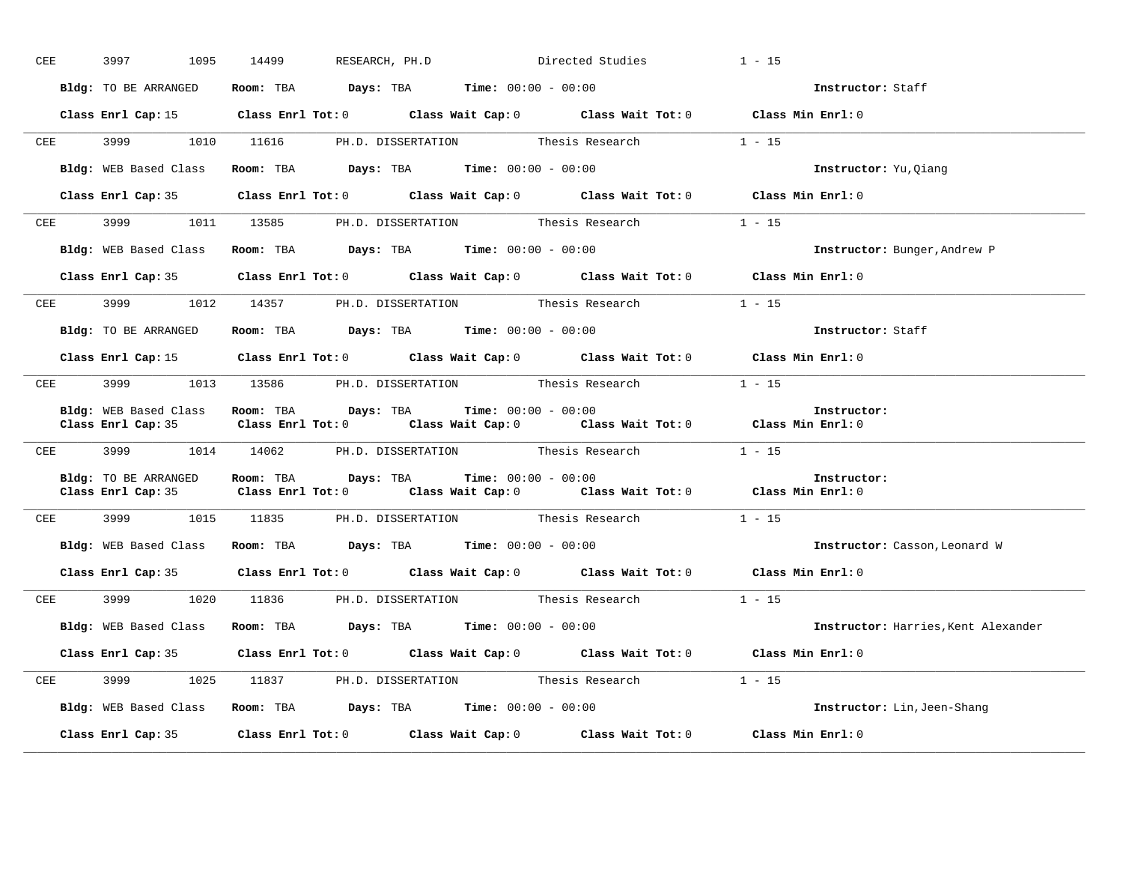| CEE | 3997 3997            | 1095 14499                                                    | RESEARCH, PH.D Directed Studies                                                            | $1 - 15$                            |
|-----|----------------------|---------------------------------------------------------------|--------------------------------------------------------------------------------------------|-------------------------------------|
|     | Bldg: TO BE ARRANGED | Room: TBA $Days:$ TBA $Time: 00:00 - 00:00$                   |                                                                                            | Instructor: Staff                   |
|     |                      |                                                               | Class Enrl Cap: 15 Class Enrl Tot: 0 Class Wait Cap: 0 Class Wait Tot: 0 Class Min Enrl: 0 |                                     |
|     |                      |                                                               | CEE 3999 1010 11616 PH.D. DISSERTATION Thesis Research 1 - 15                              |                                     |
|     |                      | Bldg: WEB Based Class Room: TBA Days: TBA Time: 00:00 - 00:00 |                                                                                            | Instructor: Yu, Qiang               |
|     |                      |                                                               | Class Enrl Cap: 35 Class Enrl Tot: 0 Class Wait Cap: 0 Class Wait Tot: 0 Class Min Enrl: 0 |                                     |
|     |                      |                                                               | CEE 3999 1011 13585 PH.D. DISSERTATION Thesis Research 1 - 15                              |                                     |
|     |                      | Bldg: WEB Based Class Room: TBA Days: TBA Time: 00:00 - 00:00 |                                                                                            | Instructor: Bunger, Andrew P        |
|     |                      |                                                               | Class Enrl Cap: 35 Class Enrl Tot: 0 Class Wait Cap: 0 Class Wait Tot: 0 Class Min Enrl: 0 |                                     |
|     |                      |                                                               | CEE 3999 1012 14357 PH.D. DISSERTATION Thesis Research                                     | $1 - 15$                            |
|     | Bldg: TO BE ARRANGED | Room: TBA $Days:$ TBA $Time: 00:00 - 00:00$                   |                                                                                            | Instructor: Staff                   |
|     |                      |                                                               | Class Enrl Cap: 15 Class Enrl Tot: 0 Class Wait Cap: 0 Class Wait Tot: 0 Class Min Enrl: 0 |                                     |
|     |                      |                                                               | CEE 3999 1013 13586 PH.D. DISSERTATION Thesis Research 1 - 15                              |                                     |
|     |                      | Bldg: WEB Based Class Room: TBA Days: TBA Time: 00:00 - 00:00 | Class Enrl Cap: 35 Class Enrl Tot: 0 Class Wait Cap: 0 Class Wait Tot: 0 Class Min Enrl: 0 | Instructor:                         |
|     |                      |                                                               | CEE 3999 1014 14062 PH.D. DISSERTATION Thesis Research 1 - 15                              |                                     |
|     | Bldg: TO BE ARRANGED | Room: TBA $Days:$ TBA $Time: 00:00 - 00:00$                   | Class Enrl Cap: 35 Class Enrl Tot: 0 Class Wait Cap: 0 Class Wait Tot: 0 Class Min Enrl: 0 | Instructor:                         |
|     |                      |                                                               | CEE 3999 1015 11835 PH.D. DISSERTATION Thesis Research 1 - 15                              |                                     |
|     |                      | Bldg: WEB Based Class Room: TBA Days: TBA Time: 00:00 - 00:00 |                                                                                            | Instructor: Casson, Leonard W       |
|     |                      |                                                               | Class Enrl Cap: 35 Class Enrl Tot: 0 Class Wait Cap: 0 Class Wait Tot: 0 Class Min Enrl: 0 |                                     |
|     |                      |                                                               | CEE 3999 1020 11836 PH.D. DISSERTATION Thesis Research 1 - 15                              |                                     |
|     |                      | Bldg: WEB Based Class Room: TBA Days: TBA Time: 00:00 - 00:00 |                                                                                            | Instructor: Harries, Kent Alexander |
|     |                      |                                                               | Class Enrl Cap: 35 Class Enrl Tot: 0 Class Wait Cap: 0 Class Wait Tot: 0 Class Min Enrl: 0 |                                     |
|     |                      | CEE 3999 1025 11837 PH.D. DISSERTATION Thesis Research        |                                                                                            | $1 - 15$                            |
|     |                      | Bldg: WEB Based Class Room: TBA Days: TBA Time: 00:00 - 00:00 |                                                                                            | Instructor: Lin, Jeen-Shang         |
|     |                      |                                                               | Class Enrl Cap: 35 Class Enrl Tot: 0 Class Wait Cap: 0 Class Wait Tot: 0 Class Min Enrl: 0 |                                     |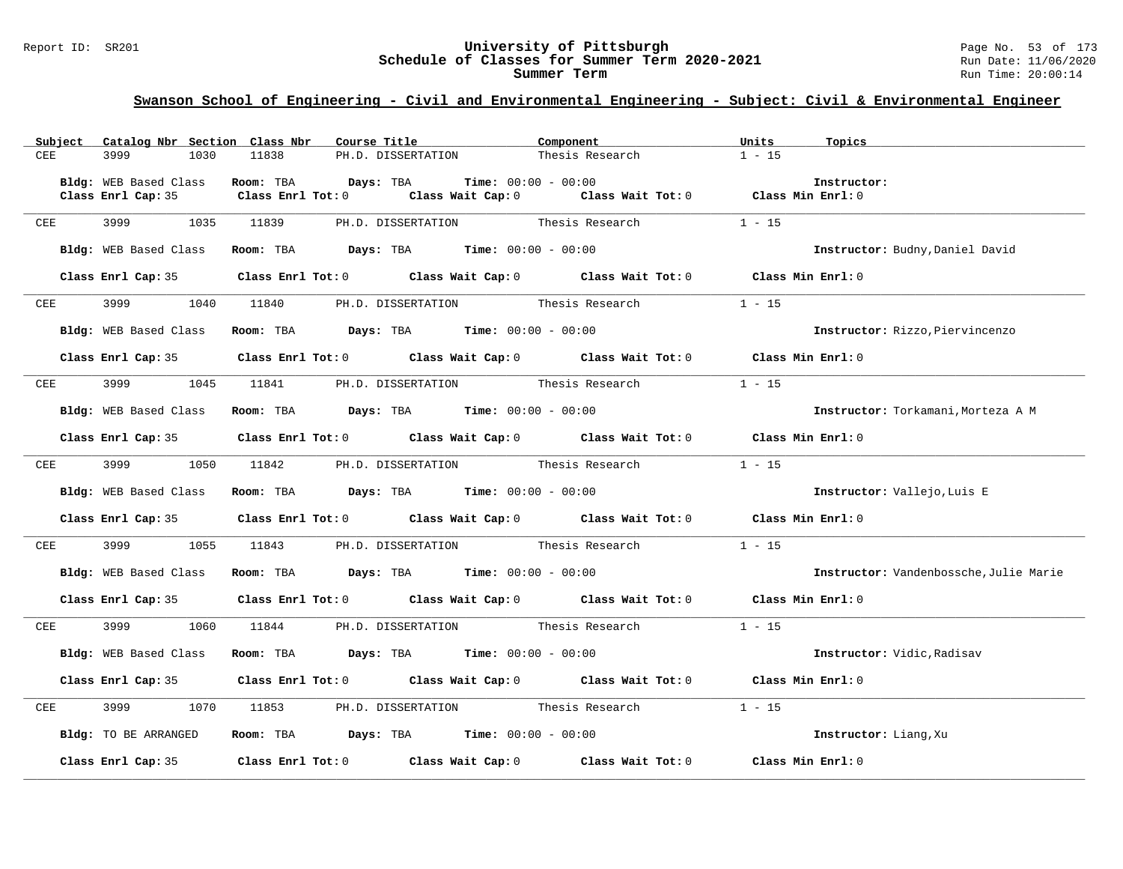#### Report ID: SR201 **University of Pittsburgh** Page No. 53 of 173 **Schedule of Classes for Summer Term 2020-2021** Run Date: 11/06/2020 **Summer Term** Run Time: 20:00:14

|            |            | Subject Catalog Nbr Section Class Nbr | Course Title                                                                                                              | Component                    | Units<br>Topics                        |
|------------|------------|---------------------------------------|---------------------------------------------------------------------------------------------------------------------------|------------------------------|----------------------------------------|
| <b>CEE</b> |            | 3999<br>1030                          | 11838<br>PH.D. DISSERTATION                                                                                               | Thesis Research              | $1 - 15$                               |
|            |            |                                       |                                                                                                                           |                              |                                        |
|            |            | Bldg: WEB Based Class                 | Room: TBA Davs: TBA<br>Class Enrl Tot: 0 $\qquad$ Class Wait Cap: 0 $\qquad$ Class Wait Tot: 0 $\qquad$ Class Min Enrl: 0 | <b>Time:</b> $00:00 - 00:00$ | Instructor:                            |
|            |            | Class Enrl Cap: 35                    |                                                                                                                           |                              |                                        |
| CEE        |            | 3999<br>1035                          | PH.D. DISSERTATION Thesis Research<br>11839                                                                               |                              | $1 - 15$                               |
|            |            |                                       |                                                                                                                           |                              |                                        |
|            |            | Bldg: WEB Based Class                 | Room: TBA $Days:$ TBA $Time: 00:00 - 00:00$                                                                               |                              | Instructor: Budny, Daniel David        |
|            |            |                                       | Class Enrl Tot: 0 Class Wait Cap: 0 Class Wait Tot: 0 Class Min Enrl: 0                                                   |                              |                                        |
|            |            | Class Enrl Cap: 35                    |                                                                                                                           |                              |                                        |
|            | CEE        |                                       | 3999 1040 11840 PH.D. DISSERTATION Thesis Research                                                                        |                              | $1 - 15$                               |
|            |            |                                       |                                                                                                                           |                              |                                        |
|            |            | Bldg: WEB Based Class                 | Room: TBA $Days:$ TBA Time: $00:00 - 00:00$                                                                               |                              | Instructor: Rizzo, Piervincenzo        |
|            |            |                                       |                                                                                                                           |                              |                                        |
|            |            |                                       | Class Enrl Cap: 35 Class Enrl Tot: 0 Class Wait Cap: 0 Class Wait Tot: 0 Class Min Enrl: 0                                |                              |                                        |
|            | CEE        |                                       | 3999 1045 11841 PH.D. DISSERTATION Thesis Research                                                                        |                              | $1 - 15$                               |
|            |            |                                       |                                                                                                                           |                              |                                        |
|            |            | Bldg: WEB Based Class                 | Room: TBA $\rule{1em}{0.15mm}$ Days: TBA Time: $00:00 - 00:00$                                                            |                              | Instructor: Torkamani, Morteza A M     |
|            |            |                                       |                                                                                                                           |                              |                                        |
|            |            |                                       | Class Enrl Cap: 35 Class Enrl Tot: 0 Class Wait Cap: 0 Class Wait Tot: 0 Class Min Enrl: 0                                |                              |                                        |
| CEE        |            | 3999<br>1050                          | 11842 PH.D. DISSERTATION Thesis Research                                                                                  |                              | $1 - 15$                               |
|            |            |                                       |                                                                                                                           |                              |                                        |
|            |            | Bldg: WEB Based Class                 | Room: TBA $\rule{1em}{0.15mm}$ Days: TBA $\rule{1.5mm}{0.15mm}$ Time: $00:00 - 00:00$                                     |                              | Instructor: Vallejo, Luis E            |
|            |            |                                       | Class Enrl Cap: 35 Class Enrl Tot: 0 Class Wait Cap: 0 Class Wait Tot: 0 Class Min Enrl: 0                                |                              |                                        |
|            |            |                                       |                                                                                                                           |                              |                                        |
|            | <b>CEE</b> |                                       | 3999 1055 11843 PH.D. DISSERTATION Thesis Research                                                                        |                              | $1 - 15$                               |
|            |            |                                       |                                                                                                                           |                              |                                        |
|            |            | Bldg: WEB Based Class                 | Room: TBA $Days:$ TBA $Time: 00:00 - 00:00$                                                                               |                              | Instructor: Vandenbossche, Julie Marie |
|            |            |                                       | Class Enrl Cap: 35 Class Enrl Tot: 0 Class Wait Cap: 0 Class Wait Tot: 0 Class Min Enrl: 0                                |                              |                                        |
|            |            |                                       |                                                                                                                           |                              |                                        |
| CEE        |            | 3999 (1984)<br>1060                   |                                                                                                                           |                              | $1 - 15$                               |
|            |            |                                       |                                                                                                                           |                              |                                        |
|            |            | Bldg: WEB Based Class                 | Room: TBA $Days:$ TBA Time: $00:00 - 00:00$                                                                               |                              | Instructor: Vidic, Radisav             |
|            |            |                                       | Class Enrl Cap: 35 Class Enrl Tot: 0 Class Wait Cap: 0 Class Wait Tot: 0 Class Min Enrl: 0                                |                              |                                        |
|            |            |                                       |                                                                                                                           |                              |                                        |
| CEE        |            | 3999<br>1070                          | 11853 PH.D. DISSERTATION Thesis Research 1 - 15                                                                           |                              |                                        |
|            |            |                                       |                                                                                                                           |                              |                                        |
|            |            | Bldg: TO BE ARRANGED                  | Room: TBA $\rule{1em}{0.15mm}$ Days: TBA Time: $00:00 - 00:00$                                                            |                              | Instructor: Liang, Xu                  |
|            |            | Class Enrl Cap: 35                    | Class Enrl Tot: 0 Class Wait Cap: 0 Class Wait Tot: 0 Class Min Enrl: 0                                                   |                              |                                        |
|            |            |                                       |                                                                                                                           |                              |                                        |
|            |            |                                       |                                                                                                                           |                              |                                        |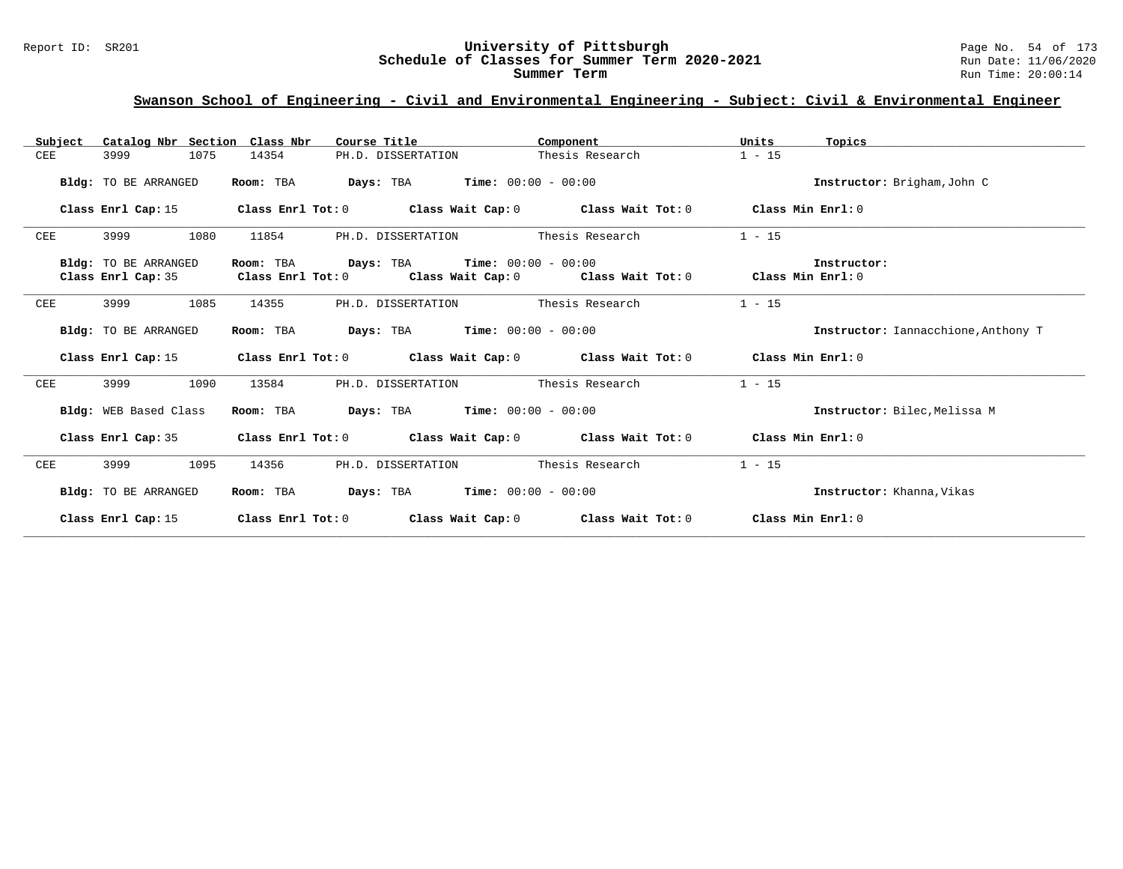#### Report ID: SR201 **University of Pittsburgh** Page No. 54 of 173 **Schedule of Classes for Summer Term 2020-2021** Run Date: 11/06/2020 **Summer Term** Run Time: 20:00:14

| Subject | Catalog Nbr Section Class Nbr |                   | Course Title                                                | Component                                                                                          | Units<br>Topics                     |
|---------|-------------------------------|-------------------|-------------------------------------------------------------|----------------------------------------------------------------------------------------------------|-------------------------------------|
| CEE     | 1075<br>3999                  | 14354             | PH.D. DISSERTATION                                          | Thesis Research                                                                                    | $1 - 15$                            |
|         | Bldg: TO BE ARRANGED          | Room: TBA         | <b>Days:</b> TBA <b>Time:</b> $00:00 - 00:00$               |                                                                                                    | Instructor: Brigham, John C         |
|         | Class Enrl Cap: 15            |                   | Class Enrl Tot: $0$ Class Wait Cap: $0$ Class Wait Tot: $0$ |                                                                                                    | Class Min Enrl: 0                   |
| CEE     | 1080<br>3999                  | 11854             | PH.D. DISSERTATION                                          | Thesis Research                                                                                    | $1 - 15$                            |
|         | Bldg: TO BE ARRANGED          | Room: TBA         | <b>Days:</b> TBA <b>Time:</b> $00:00 - 00:00$               |                                                                                                    | Instructor:                         |
|         | Class Enrl Cap: 35            |                   |                                                             | Class Enrl Tot: 0 $\qquad$ Class Wait Cap: 0 $\qquad$ Class Wait Tot: 0 $\qquad$ Class Min Enrl: 0 |                                     |
| CEE     | 1085<br>3999                  | 14355             | PH.D. DISSERTATION                                          | Thesis Research                                                                                    | $1 - 15$                            |
|         | Bldg: TO BE ARRANGED          | Room: TBA         | <b>Days:</b> TBA <b>Time:</b> $00:00 - 00:00$               |                                                                                                    | Instructor: Iannacchione, Anthony T |
|         | Class Enrl Cap: 15            |                   | Class Enrl Tot: $0$ Class Wait Cap: $0$ Class Wait Tot: $0$ |                                                                                                    | Class Min Enrl: 0                   |
| CEE     | 1090<br>3999                  | 13584             | PH.D. DISSERTATION                                          | Thesis Research                                                                                    | $1 - 15$                            |
|         | Bldg: WEB Based Class         | Room: TBA         | <b>Days:</b> TBA <b>Time:</b> $00:00 - 00:00$               |                                                                                                    | Instructor: Bilec. Melissa M        |
|         | Class Enrl Cap: 35            |                   | Class Enrl Tot: $0$ Class Wait Cap: $0$ Class Wait Tot: $0$ |                                                                                                    | Class Min Enrl: 0                   |
| CEE     | 1095<br>3999                  | 14356             | PH.D. DISSERTATION                                          | Thesis Research                                                                                    | $1 - 15$                            |
|         | Bldg: TO BE ARRANGED          | Room: TBA         | <b>Days:</b> TBA <b>Time:</b> $00:00 - 00:00$               |                                                                                                    | Instructor: Khanna, Vikas           |
|         | Class Enrl Cap: 15            | Class Enrl Tot: 0 | Class Wait Cap: 0                                           | Class Wait Tot: 0                                                                                  | Class Min Enrl: 0                   |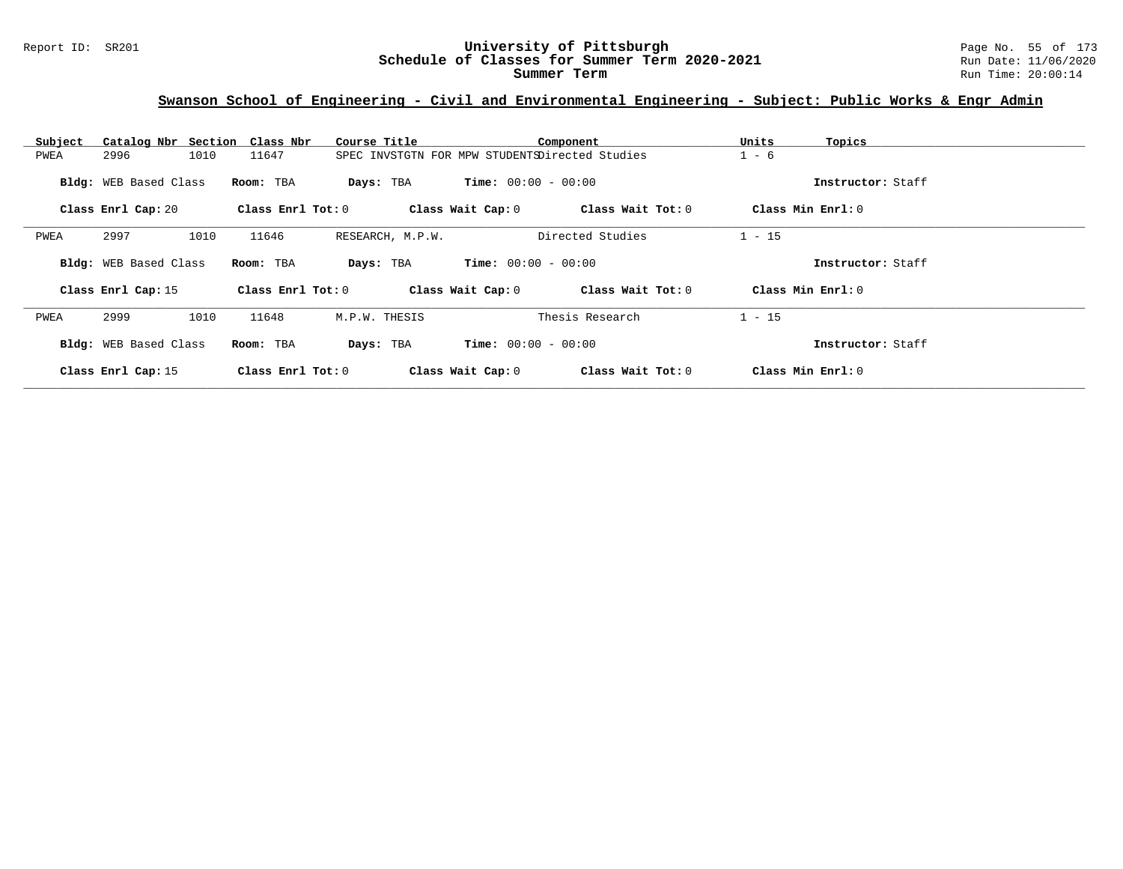## **Swanson School of Engineering - Civil and Environmental Engineering - Subject: Public Works & Engr Admin**

| Subject | Catalog Nbr Section Class Nbr |                       | Course Title                                   |                              | Component         | Units             | Topics            |
|---------|-------------------------------|-----------------------|------------------------------------------------|------------------------------|-------------------|-------------------|-------------------|
| PWEA    | 1010<br>2996                  | 11647                 | SPEC INVSTGTN FOR MPW STUDENTSDirected Studies |                              | $1 - 6$           |                   |                   |
|         | Bldg: WEB Based Class         | Room: TBA             | Days: TBA                                      | <b>Time:</b> $00:00 - 00:00$ |                   |                   | Instructor: Staff |
|         | Class Enrl Cap: 20            | Class Enrl Tot: 0     |                                                | Class Wait Cap: 0            | Class Wait Tot: 0 | Class Min Enrl: 0 |                   |
| PWEA    | 2997<br>1010                  | 11646                 | RESEARCH, M.P.W.                               |                              | Directed Studies  | $1 - 15$          |                   |
|         | Bldg: WEB Based Class         | Room: TBA             | Days: TBA                                      | <b>Time:</b> $00:00 - 00:00$ |                   |                   | Instructor: Staff |
|         | Class Enrl Cap: 15            | Class $Enr1$ Tot: $0$ |                                                | Class Wait Cap: 0            | Class Wait Tot: 0 | Class Min Enrl: 0 |                   |
| PWEA    | 2999<br>1010                  | 11648                 | M.P.W. THESIS                                  |                              | Thesis Research   | $1 - 15$          |                   |
|         | Bldg: WEB Based Class         | Room: TBA             | Days: TBA                                      | <b>Time:</b> $00:00 - 00:00$ |                   |                   | Instructor: Staff |
|         | Class Enrl Cap: 15            | Class Enrl Tot: 0     |                                                | Class Wait Cap: 0            | Class Wait Tot: 0 | Class Min Enrl: 0 |                   |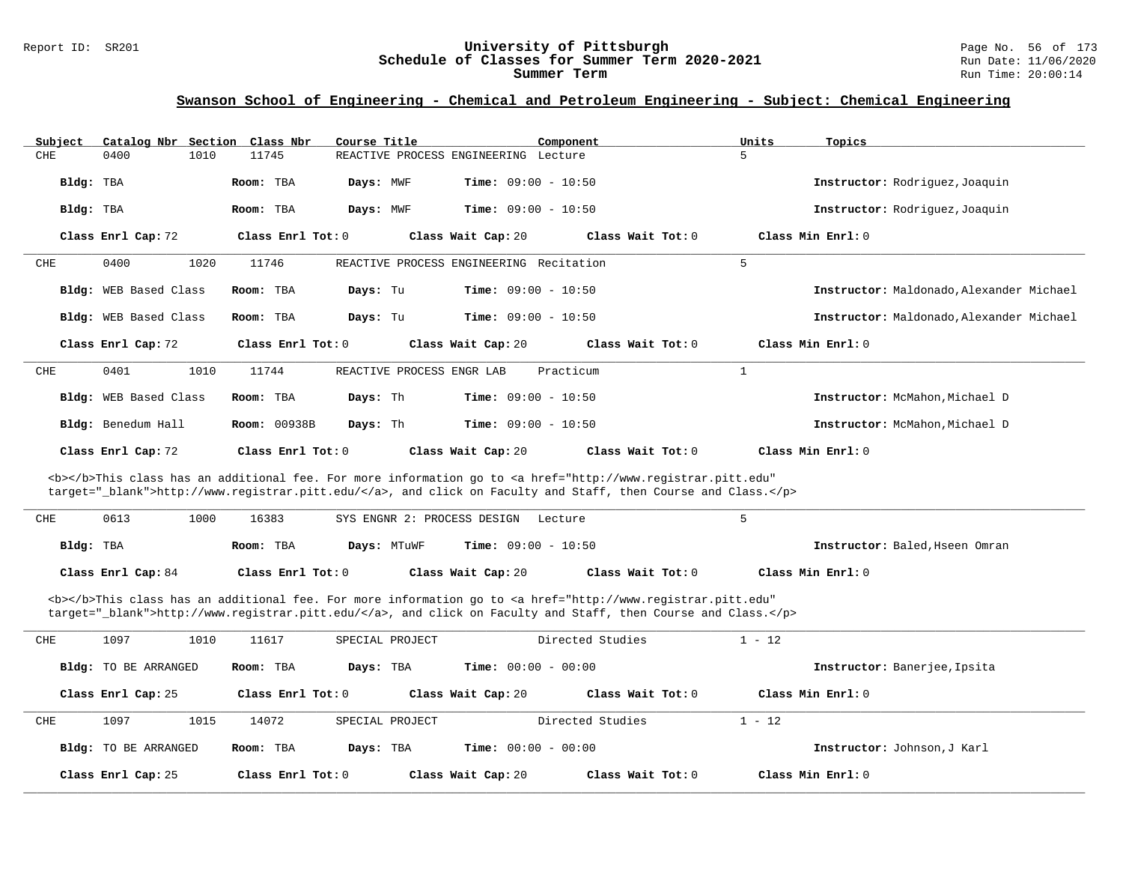| Subject   | Catalog Nbr Section Class Nbr | Course Title             |                                                                                                                                                                                                                                    | Component           | Units<br>Topics                          |
|-----------|-------------------------------|--------------------------|------------------------------------------------------------------------------------------------------------------------------------------------------------------------------------------------------------------------------------|---------------------|------------------------------------------|
| CHE       | 0400<br>1010                  | 11745                    | REACTIVE PROCESS ENGINEERING Lecture                                                                                                                                                                                               |                     | 5                                        |
| Bldg: TBA |                               | Room: TBA<br>Days: MWF   | <b>Time:</b> $09:00 - 10:50$                                                                                                                                                                                                       |                     | Instructor: Rodriquez, Joaquin           |
| Bldg: TBA |                               | Room: TBA<br>Days: MWF   | <b>Time:</b> $09:00 - 10:50$                                                                                                                                                                                                       |                     | Instructor: Rodriquez, Joaquin           |
|           | Class Enrl Cap: 72            | Class Enrl Tot: 0        | Class Wait Cap: 20                                                                                                                                                                                                                 | Class Wait Tot: $0$ | Class Min $Enr1: 0$                      |
| CHE       | 1020<br>0400                  | 11746                    | REACTIVE PROCESS ENGINEERING Recitation                                                                                                                                                                                            |                     | 5                                        |
|           | Bldg: WEB Based Class         | Days: Tu<br>Room: TBA    | <b>Time:</b> $09:00 - 10:50$                                                                                                                                                                                                       |                     | Instructor: Maldonado, Alexander Michael |
|           | Bldg: WEB Based Class         | Room: TBA<br>Days: Tu    | <b>Time:</b> $09:00 - 10:50$                                                                                                                                                                                                       |                     | Instructor: Maldonado, Alexander Michael |
|           | Class Enrl Cap: 72            | Class Enrl Tot: 0        | Class Wait Cap: 20                                                                                                                                                                                                                 | Class Wait Tot: 0   | Class Min Enrl: 0                        |
| CHE       | 0401<br>1010                  | 11744                    | REACTIVE PROCESS ENGR LAB                                                                                                                                                                                                          | Practicum           | $\mathbf{1}$                             |
|           | Bldg: WEB Based Class         | Room: TBA<br>Days: Th    | Time: $09:00 - 10:50$                                                                                                                                                                                                              |                     | Instructor: McMahon, Michael D           |
|           | Bldg: Benedum Hall            | Room: 00938B<br>Days: Th | Time: $09:00 - 10:50$                                                                                                                                                                                                              |                     | Instructor: McMahon, Michael D           |
|           | Class Enrl Cap: 72            | Class Enrl Tot: 0        | Class Wait Cap: 20                                                                                                                                                                                                                 | Class Wait Tot: 0   | Class Min Enrl: 0                        |
|           |                               |                          | <b></b> This class has an additional fee. For more information go to <a <br="" href="http://www.registrar.pitt.edu">target="_blank"&gt;http://www.registrar.pitt.edu/</a> , and click on Faculty and Staff, then Course and Class. |                     |                                          |
| CHE       | 0613<br>1000                  | 16383                    | SYS ENGNR 2: PROCESS DESIGN<br>Lecture                                                                                                                                                                                             |                     | 5                                        |
| Bldg: TBA |                               | Room: TBA                | <b>Time:</b> $09:00 - 10:50$<br>Days: MTuWF                                                                                                                                                                                        |                     | Instructor: Baled, Hseen Omran           |
|           | Class Enrl Cap: 84            | Class Enrl Tot: 0        | Class Wait Cap: 20                                                                                                                                                                                                                 | Class Wait Tot: 0   | Class Min Enrl: 0                        |
|           |                               |                          | <b></b> This class has an additional fee. For more information go to <a <br="" href="http://www.registrar.pitt.edu">target="_blank"&gt;http://www.registrar.pitt.edu/</a> , and click on Faculty and Staff, then Course and Class. |                     |                                          |
| CHE       | 1097<br>1010                  | 11617                    | SPECIAL PROJECT                                                                                                                                                                                                                    | Directed Studies    | $1 - 12$                                 |
|           | <b>Bldg:</b> TO BE ARRANGED   | Room: TBA                | <b>Time:</b> $00:00 - 00:00$<br>Days: TBA                                                                                                                                                                                          |                     | Instructor: Banerjee, Ipsita             |
|           | Class Enrl Cap: 25            | Class Enrl Tot: $0$      | Class Wait Cap: 20                                                                                                                                                                                                                 | Class Wait Tot: 0   | Class Min $Enr1: 0$                      |
| CHE       | 1097<br>1015                  | 14072                    | SPECIAL PROJECT                                                                                                                                                                                                                    | Directed Studies    | $1 - 12$                                 |
|           | Bldg: TO BE ARRANGED          | Room: TBA                | Days: TBA<br><b>Time:</b> $00:00 - 00:00$                                                                                                                                                                                          |                     | Instructor: Johnson, J Karl              |
|           | Class Enrl Cap: 25            | Class Enrl Tot: 0        | Class Wait Cap: 20                                                                                                                                                                                                                 | Class Wait Tot: 0   | Class Min Enrl: 0                        |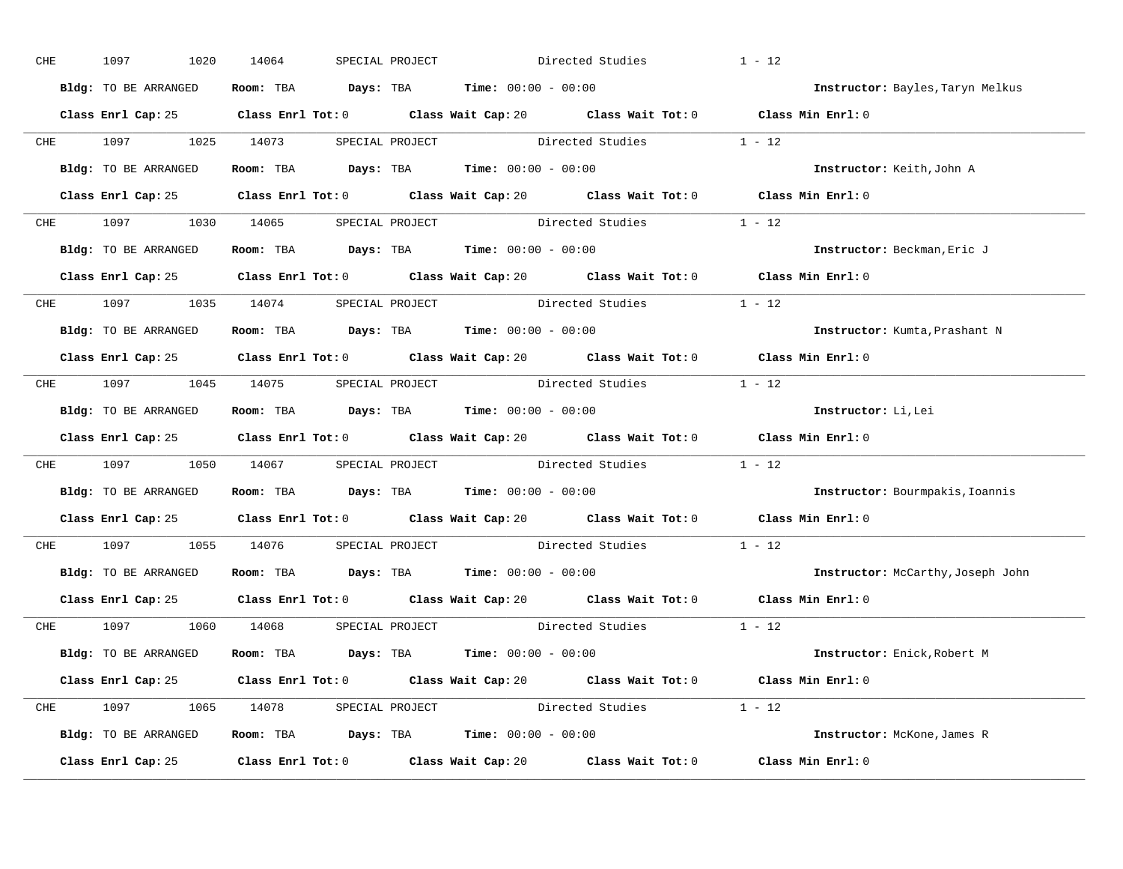| CHE | 1097<br>1020                        | 14064 | SPECIAL PROJECT |                                                                                            | Directed Studies                                                                            | $1 - 12$                                                                                    |
|-----|-------------------------------------|-------|-----------------|--------------------------------------------------------------------------------------------|---------------------------------------------------------------------------------------------|---------------------------------------------------------------------------------------------|
|     | Bldg: TO BE ARRANGED                |       |                 | Room: TBA $Days:$ TBA $Time: 00:00 - 00:00$                                                |                                                                                             | Instructor: Bayles, Taryn Melkus                                                            |
|     |                                     |       |                 |                                                                                            | Class Enrl Cap: 25 Class Enrl Tot: 0 Class Wait Cap: 20 Class Wait Tot: 0 Class Min Enrl: 0 |                                                                                             |
|     |                                     |       |                 |                                                                                            | CHE 1097 1025 14073 SPECIAL PROJECT Directed Studies 1 - 12                                 |                                                                                             |
|     | Bldg: TO BE ARRANGED                |       |                 | Room: TBA $Days:$ TBA Time: $00:00 - 00:00$                                                |                                                                                             | Instructor: Keith, John A                                                                   |
|     |                                     |       |                 |                                                                                            | Class Enrl Cap: 25 Class Enrl Tot: 0 Class Wait Cap: 20 Class Wait Tot: 0 Class Min Enrl: 0 |                                                                                             |
|     |                                     |       |                 |                                                                                            | CHE 1097 1030 14065 SPECIAL PROJECT Directed Studies 1 - 12                                 |                                                                                             |
|     |                                     |       |                 | <b>Bldg:</b> TO BE ARRANGED <b>Room:</b> TBA <b>Days:</b> TBA <b>Time:</b> $00:00 - 00:00$ |                                                                                             | Instructor: Beckman, Eric J                                                                 |
|     |                                     |       |                 |                                                                                            |                                                                                             | Class Enrl Cap: 25 Class Enrl Tot: 0 Class Wait Cap: 20 Class Wait Tot: 0 Class Min Enrl: 0 |
|     | CHE 1097 1035 14074 SPECIAL PROJECT |       |                 |                                                                                            | Directed Studies 1 - 12                                                                     |                                                                                             |
|     | Bldg: TO BE ARRANGED                |       |                 | Room: TBA $Days:$ TBA $Time: 00:00 - 00:00$                                                |                                                                                             | Instructor: Kumta, Prashant N                                                               |
|     |                                     |       |                 |                                                                                            | Class Enrl Cap: 25 Class Enrl Tot: 0 Class Wait Cap: 20 Class Wait Tot: 0 Class Min Enrl: 0 |                                                                                             |
|     |                                     |       |                 |                                                                                            | CHE 1097 1045 14075 SPECIAL PROJECT Directed Studies 1 - 12                                 |                                                                                             |
|     | Bldg: TO BE ARRANGED                |       |                 | Room: TBA $Days:$ TBA $Time: 00:00 - 00:00$                                                |                                                                                             | Instructor: Li, Lei                                                                         |
|     |                                     |       |                 |                                                                                            |                                                                                             | Class Enrl Cap: 25 Class Enrl Tot: 0 Class Wait Cap: 20 Class Wait Tot: 0 Class Min Enrl: 0 |
|     |                                     |       |                 |                                                                                            | CHE 1097 1050 14067 SPECIAL PROJECT Directed Studies 1 - 12                                 |                                                                                             |
|     | Bldg: TO BE ARRANGED                |       |                 | Room: TBA $\rule{1em}{0.15mm}$ Days: TBA Time: $00:00 - 00:00$                             |                                                                                             | Instructor: Bourmpakis, Ioannis                                                             |
|     |                                     |       |                 |                                                                                            |                                                                                             | Class Enrl Cap: 25 Class Enrl Tot: 0 Class Wait Cap: 20 Class Wait Tot: 0 Class Min Enrl: 0 |
|     |                                     |       |                 |                                                                                            | CHE 1097 1055 14076 SPECIAL PROJECT Directed Studies                                        | $1 - 12$                                                                                    |
|     |                                     |       |                 | Bldg: TO BE ARRANGED Room: TBA Days: TBA Time: 00:00 - 00:00                               |                                                                                             | Instructor: McCarthy, Joseph John                                                           |
|     |                                     |       |                 |                                                                                            |                                                                                             | Class Enrl Cap: 25 Class Enrl Tot: 0 Class Wait Cap: 20 Class Wait Tot: 0 Class Min Enrl: 0 |
|     | CHE 1097 1060 14068 SPECIAL PROJECT |       |                 |                                                                                            | Directed Studies 1 - 12                                                                     |                                                                                             |
|     | Bldg: TO BE ARRANGED                |       |                 | Room: TBA $Days:$ TBA $Time: 00:00 - 00:00$                                                |                                                                                             | Instructor: Enick, Robert M                                                                 |
|     |                                     |       |                 |                                                                                            | Class Enrl Cap: 25 Class Enrl Tot: 0 Class Wait Cap: 20 Class Wait Tot: 0 Class Min Enrl: 0 |                                                                                             |
|     |                                     |       |                 |                                                                                            |                                                                                             |                                                                                             |
|     |                                     |       |                 |                                                                                            | CHE 1097 1065 14078 SPECIAL PROJECT Directed Studies 1 - 12                                 |                                                                                             |
|     |                                     |       |                 | Bldg: TO BE ARRANGED Room: TBA Days: TBA Time: 00:00 - 00:00                               |                                                                                             | Instructor: McKone, James R                                                                 |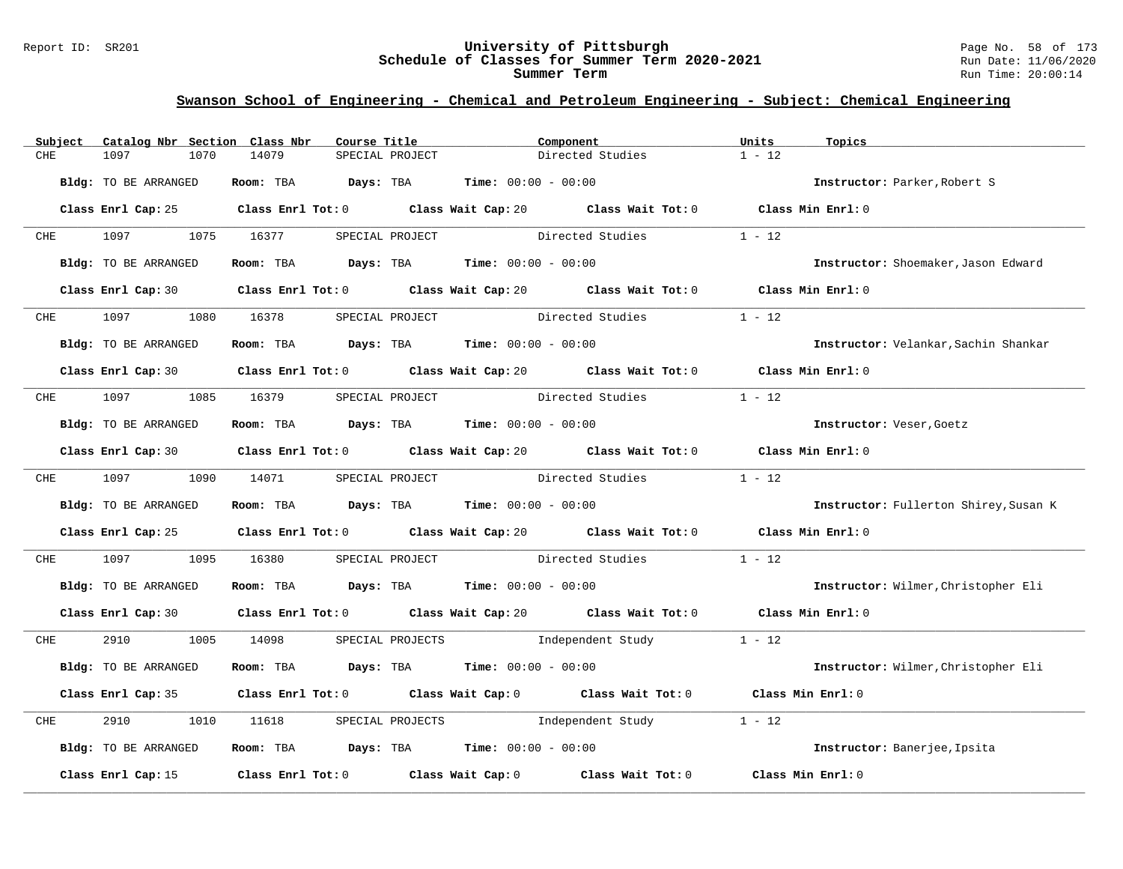#### Report ID: SR201 **University of Pittsburgh** Page No. 58 of 173 **Schedule of Classes for Summer Term 2020-2021** Run Date: 11/06/2020 **Summer Term** Run Time: 20:00:14

|     | Subject    | Catalog Nbr Section Class Nbr |      |            | Course Title |                  |                                             | Component                                                                                   | Units             | Topics                                |
|-----|------------|-------------------------------|------|------------|--------------|------------------|---------------------------------------------|---------------------------------------------------------------------------------------------|-------------------|---------------------------------------|
| CHE |            | 1097                          | 1070 | 14079      |              | SPECIAL PROJECT  |                                             | Directed Studies                                                                            | $1 - 12$          |                                       |
|     |            | <b>Bldg:</b> TO BE ARRANGED   |      |            |              |                  | Room: TBA $Days:$ TBA $Time: 00:00 - 00:00$ |                                                                                             |                   | Instructor: Parker, Robert S          |
|     |            |                               |      |            |              |                  |                                             | Class Enrl Cap: 25 Class Enrl Tot: 0 Class Wait Cap: 20 Class Wait Tot: 0 Class Min Enrl: 0 |                   |                                       |
|     | <b>CHE</b> | 1097                          |      | 1075 16377 |              | SPECIAL PROJECT  |                                             | Directed Studies                                                                            | $1 - 12$          |                                       |
|     |            | Bldg: TO BE ARRANGED          |      |            |              |                  | Room: TBA $Days:$ TBA $Time: 00:00 - 00:00$ |                                                                                             |                   | Instructor: Shoemaker, Jason Edward   |
|     |            |                               |      |            |              |                  |                                             | Class Enrl Cap: 30 Class Enrl Tot: 0 Class Wait Cap: 20 Class Wait Tot: 0 Class Min Enrl: 0 |                   |                                       |
|     | <b>CHE</b> | 1097                          |      | 1080 16378 |              | SPECIAL PROJECT  |                                             | Directed Studies                                                                            | $1 - 12$          |                                       |
|     |            | <b>Bldg:</b> TO BE ARRANGED   |      |            |              |                  | Room: TBA $Days:$ TBA $Time: 00:00 - 00:00$ |                                                                                             |                   | Instructor: Velankar, Sachin Shankar  |
|     |            |                               |      |            |              |                  |                                             | Class Enrl Cap: 30 Class Enrl Tot: 0 Class Wait Cap: 20 Class Wait Tot: 0 Class Min Enrl: 0 |                   |                                       |
|     |            | CHE 1097 1085 16379           |      |            |              | SPECIAL PROJECT  |                                             | Directed Studies                                                                            | $1 - 12$          |                                       |
|     |            | Bldg: TO BE ARRANGED          |      |            |              |                  | Room: TBA $Days:$ TBA $Time: 00:00 - 00:00$ |                                                                                             |                   | Instructor: Veser, Goetz              |
|     |            |                               |      |            |              |                  |                                             | Class Enrl Cap: 30 Class Enrl Tot: 0 Class Wait Cap: 20 Class Wait Tot: 0 Class Min Enrl: 0 |                   |                                       |
|     |            | CHE 1097 1090 14071           |      |            |              |                  |                                             | SPECIAL PROJECT Directed Studies                                                            | $1 - 12$          |                                       |
|     |            | Bldg: TO BE ARRANGED          |      |            |              |                  | Room: TBA $Days:$ TBA $Time: 00:00 - 00:00$ |                                                                                             |                   | Instructor: Fullerton Shirey, Susan K |
|     |            |                               |      |            |              |                  |                                             | Class Enrl Cap: 25 Class Enrl Tot: 0 Class Wait Cap: 20 Class Wait Tot: 0 Class Min Enrl: 0 |                   |                                       |
| CHE |            | 1097                          | 1095 | 16380      |              |                  |                                             | SPECIAL PROJECT Directed Studies                                                            | $1 - 12$          |                                       |
|     |            | Bldg: TO BE ARRANGED          |      |            |              |                  | Room: TBA $Days:$ TBA $Time: 00:00 - 00:00$ |                                                                                             |                   | Instructor: Wilmer, Christopher Eli   |
|     |            |                               |      |            |              |                  |                                             | Class Enrl Cap: 30 Class Enrl Tot: 0 Class Wait Cap: 20 Class Wait Tot: 0 Class Min Enrl: 0 |                   |                                       |
|     | <b>CHE</b> | 2910                          |      | 1005 14098 |              |                  |                                             | SPECIAL PROJECTS 1ndependent Study 1 - 12                                                   |                   |                                       |
|     |            | Bldg: TO BE ARRANGED          |      |            |              |                  | Room: TBA $Days:$ TBA $Time: 00:00 - 00:00$ |                                                                                             |                   | Instructor: Wilmer, Christopher Eli   |
|     |            |                               |      |            |              |                  |                                             | Class Enrl Cap: 35 Class Enrl Tot: 0 Class Wait Cap: 0 Class Wait Tot: 0 Class Min Enrl: 0  |                   |                                       |
| CHE |            | 2910                          | 1010 | 11618      |              | SPECIAL PROJECTS | Independent Study                           |                                                                                             | $1 - 12$          |                                       |
|     |            | Bldg: TO BE ARRANGED          |      |            |              |                  | Room: TBA $Days:$ TBA $Time: 00:00 - 00:00$ |                                                                                             |                   | Instructor: Banerjee, Ipsita          |
|     |            | Class Enrl Cap: 15            |      |            |              |                  |                                             | Class Enrl Tot: $0$ Class Wait Cap: $0$ Class Wait Tot: $0$                                 | Class Min Enrl: 0 |                                       |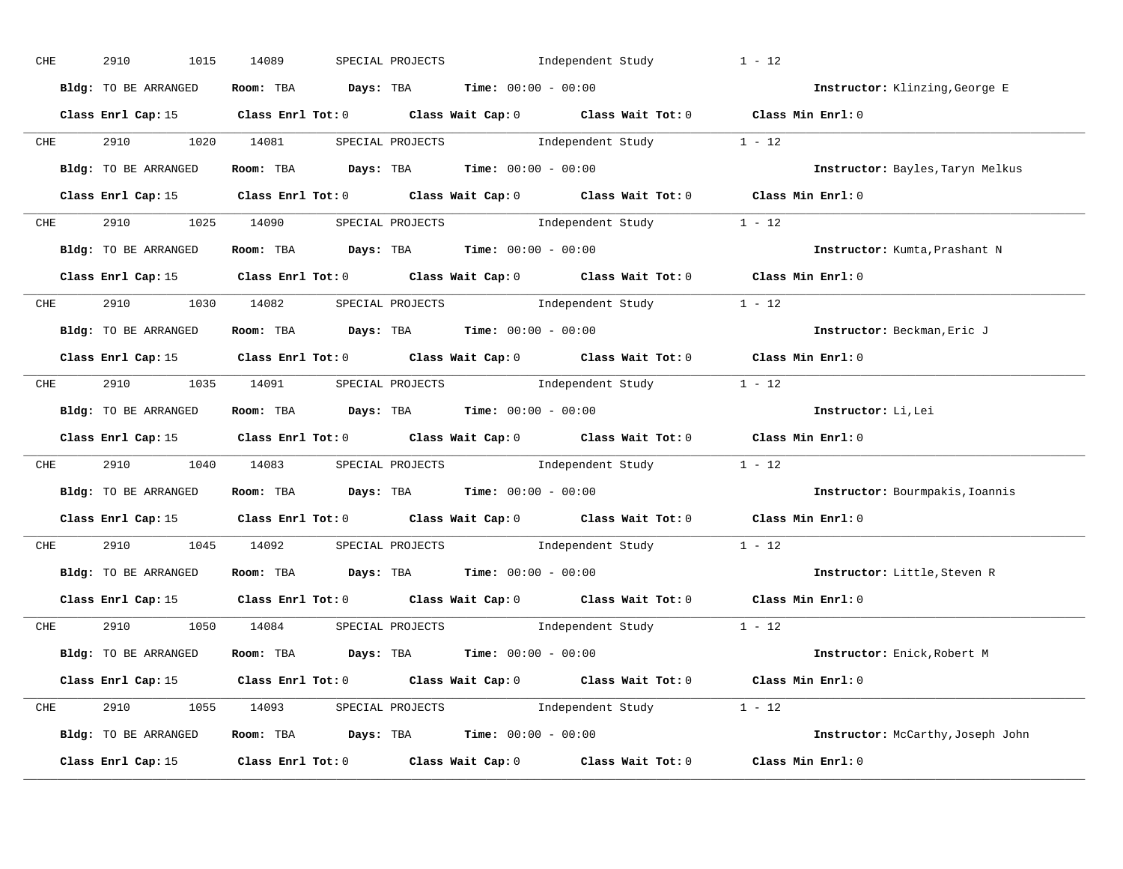| ${\rm CHE}$                                                                                         | 2910<br>1015         | 14089<br>SPECIAL PROJECTS                                                             | Independent Study                                                                               | $1 - 12$                          |
|-----------------------------------------------------------------------------------------------------|----------------------|---------------------------------------------------------------------------------------|-------------------------------------------------------------------------------------------------|-----------------------------------|
|                                                                                                     | Bldg: TO BE ARRANGED | Room: TBA $Days:$ TBA $Time: 00:00 - 00:00$                                           |                                                                                                 | Instructor: Klinzing, George E    |
|                                                                                                     |                      |                                                                                       | Class Enrl Cap: 15 (Class Enrl Tot: 0 (Class Wait Cap: 0 (Class Wait Tot: 0 (Class Min Enrl: 0) |                                   |
| <b>CHE</b>                                                                                          | 2910 1020 14081      |                                                                                       | SPECIAL PROJECTS 1ndependent Study 1 - 12                                                       |                                   |
|                                                                                                     | Bldg: TO BE ARRANGED | Room: TBA $\rule{1em}{0.15mm}$ Days: TBA Time: $00:00 - 00:00$                        |                                                                                                 | Instructor: Bayles, Taryn Melkus  |
|                                                                                                     |                      |                                                                                       | Class Enrl Cap: 15 Class Enrl Tot: 0 Class Wait Cap: 0 Class Wait Tot: 0 Class Min Enrl: 0      |                                   |
|                                                                                                     |                      |                                                                                       | CHE 2910 1025 14090 SPECIAL PROJECTS Independent Study 1 - 12                                   |                                   |
|                                                                                                     | Bldg: TO BE ARRANGED | Room: TBA $Days:$ TBA $Time:$ 00:00 - 00:00                                           |                                                                                                 | Instructor: Kumta, Prashant N     |
|                                                                                                     |                      |                                                                                       | Class Enrl Cap: 15 Class Enrl Tot: 0 Class Wait Cap: 0 Class Wait Tot: 0 Class Min Enrl: 0      |                                   |
|                                                                                                     |                      |                                                                                       | CHE 2910 1030 14082 SPECIAL PROJECTS Independent Study 1 - 12                                   |                                   |
|                                                                                                     | Bldg: TO BE ARRANGED | Room: TBA $\rule{1em}{0.15mm}$ Days: TBA $\rule{1.5mm}{0.15mm}$ Time: $00:00 - 00:00$ |                                                                                                 | Instructor: Beckman, Eric J       |
|                                                                                                     |                      |                                                                                       | Class Enrl Cap: 15 Class Enrl Tot: 0 Class Wait Cap: 0 Class Wait Tot: 0 Class Min Enrl: 0      |                                   |
|                                                                                                     |                      |                                                                                       | CHE 2910 1035 14091 SPECIAL PROJECTS Independent Study 1 - 12                                   |                                   |
|                                                                                                     | Bldg: TO BE ARRANGED | Room: TBA $\rule{1em}{0.15mm}$ Days: TBA Time: $00:00 - 00:00$                        |                                                                                                 | Instructor: Li, Lei               |
|                                                                                                     |                      |                                                                                       | Class Enrl Cap: 15 Class Enrl Tot: 0 Class Wait Cap: 0 Class Wait Tot: 0 Class Min Enrl: 0      |                                   |
| <b>CHE</b>                                                                                          |                      |                                                                                       | 2910 1040 14083 SPECIAL PROJECTS Independent Study 1 - 12                                       |                                   |
|                                                                                                     | Bldg: TO BE ARRANGED | Room: TBA $Days:$ TBA Time: $00:00 - 00:00$                                           |                                                                                                 | Instructor: Bourmpakis, Ioannis   |
|                                                                                                     |                      |                                                                                       | Class Enrl Cap: 15 Class Enrl Tot: 0 Class Wait Cap: 0 Class Wait Tot: 0 Class Min Enrl: 0      |                                   |
| <b>CHE</b>                                                                                          |                      |                                                                                       | 2910 1045 14092 SPECIAL PROJECTS Independent Study 1 - 12                                       |                                   |
|                                                                                                     | Bldg: TO BE ARRANGED | Room: TBA $\rule{1em}{0.15mm}$ Days: TBA Time: $00:00 - 00:00$                        |                                                                                                 | Instructor: Little, Steven R      |
|                                                                                                     |                      |                                                                                       | Class Enrl Cap: 15 Class Enrl Tot: 0 Class Wait Cap: 0 Class Wait Tot: 0 Class Min Enrl: 0      |                                   |
|                                                                                                     |                      | CHE 2910 1050 14084 SPECIAL PROJECTS                                                  | Independent Study 1 - 12                                                                        |                                   |
|                                                                                                     | Bldg: TO BE ARRANGED |                                                                                       | Room: TBA $Days:$ TBA $Time: 00:00 - 00:00$                                                     | Instructor: Enick, Robert M       |
|                                                                                                     |                      |                                                                                       | Class Enrl Cap: 15 Class Enrl Tot: 0 Class Wait Cap: 0 Class Wait Tot: 0 Class Min Enrl: 0      |                                   |
|                                                                                                     |                      |                                                                                       | CHE 2910 1055 14093 SPECIAL PROJECTS Independent Study 1 - 12                                   |                                   |
|                                                                                                     | Bldg: TO BE ARRANGED |                                                                                       | Room: TBA $Days:$ TBA $Time: 00:00 - 00:00$                                                     | Instructor: McCarthy, Joseph John |
| Class Enrl Cap: 15 $\qquad$ Class Enrl Tot: 0 $\qquad$ Class Wait Cap: 0 $\qquad$ Class Wait Tot: 0 |                      |                                                                                       |                                                                                                 |                                   |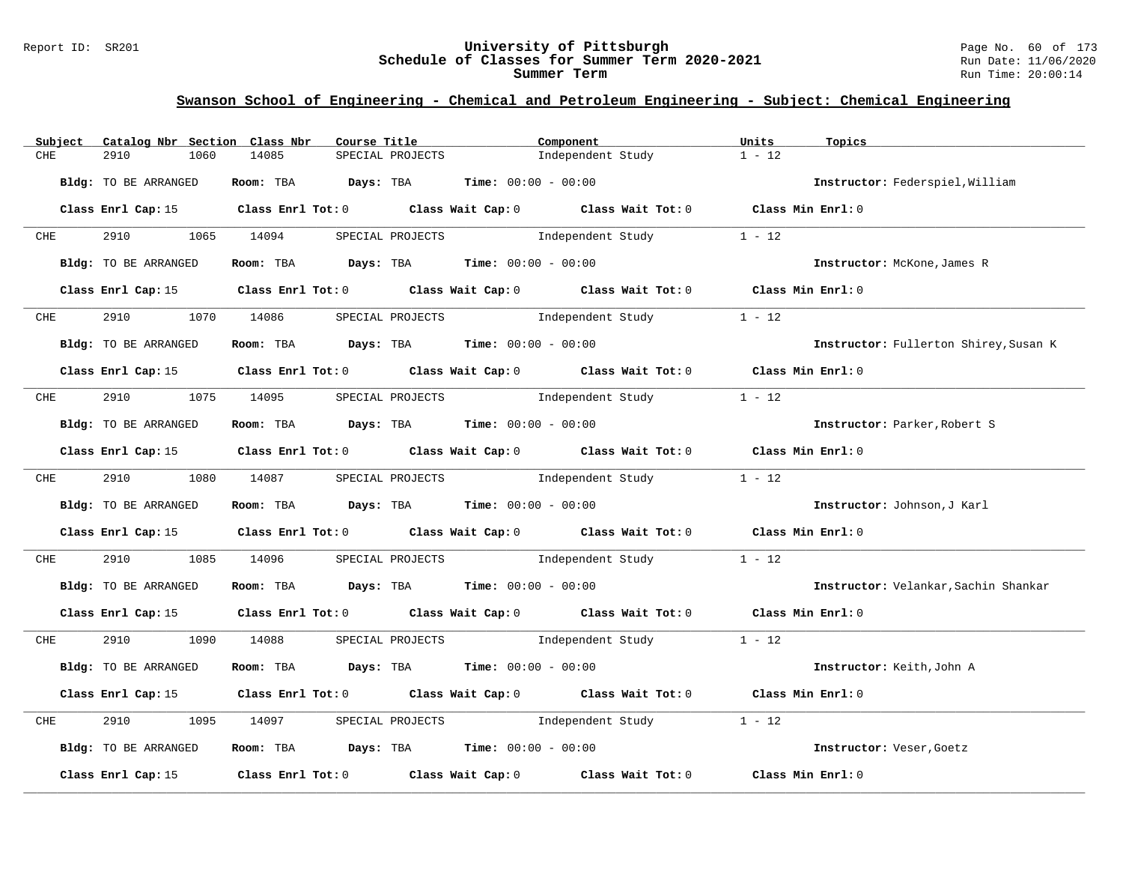#### Report ID: SR201 **University of Pittsburgh** Page No. 60 of 173 **Schedule of Classes for Summer Term 2020-2021** Run Date: 11/06/2020 **Summer Term** Run Time: 20:00:14

| Subject         | Catalog Nbr Section Class Nbr | Course Title                                                                           |                              | Component                                                                                       | Units<br>Topics                       |  |
|-----------------|-------------------------------|----------------------------------------------------------------------------------------|------------------------------|-------------------------------------------------------------------------------------------------|---------------------------------------|--|
| CHE             | 2910<br>1060                  | 14085                                                                                  | SPECIAL PROJECTS             | Independent Study                                                                               | $1 - 12$                              |  |
|                 | Bldg: TO BE ARRANGED          | Room: TBA Days: TBA                                                                    | <b>Time:</b> $00:00 - 00:00$ |                                                                                                 | Instructor: Federspiel, William       |  |
|                 |                               |                                                                                        |                              |                                                                                                 |                                       |  |
|                 |                               |                                                                                        |                              | Class Enrl Cap: 15 (Class Enrl Tot: 0 (Class Wait Cap: 0 (Class Wait Tot: 0 (Class Min Enrl: 0  |                                       |  |
| <b>CHE</b>      | 2910                          | 1065 14094                                                                             | SPECIAL PROJECTS             | Independent Study                                                                               | $1 - 12$                              |  |
|                 | Bldg: TO BE ARRANGED          | Room: TBA $Days:$ TBA $Time: 00:00 - 00:00$                                            |                              |                                                                                                 | Instructor: McKone, James R           |  |
|                 |                               |                                                                                        |                              | Class Enrl Cap: 15 Class Enrl Tot: 0 Class Wait Cap: 0 Class Wait Tot: 0 Class Min Enrl: 0      |                                       |  |
|                 |                               |                                                                                        |                              |                                                                                                 |                                       |  |
| $CHE$ and $CHE$ | 2910                          | 1070 14086                                                                             | SPECIAL PROJECTS             | Independent Study                                                                               | $1 - 12$                              |  |
|                 | Bldg: TO BE ARRANGED          | Room: TBA $Days:$ TBA $Time: 00:00 - 00:00$                                            |                              |                                                                                                 | Instructor: Fullerton Shirey, Susan K |  |
|                 |                               |                                                                                        |                              | Class Enrl Cap: 15 (class Enrl Tot: 0 (class Wait Cap: 0 (class Wait Tot: 0 (class Min Enrl: 0) |                                       |  |
| CHE             | 2910 7                        | 1075 14095                                                                             |                              | SPECIAL PROJECTS 1ndependent Study                                                              | $1 - 12$                              |  |
|                 | Bldg: TO BE ARRANGED          | Room: TBA $\rule{1em}{0.15mm}$ Days: TBA $\rule{1.15mm}{0.15mm}$ Time: $00:00 - 00:00$ |                              |                                                                                                 | Instructor: Parker, Robert S          |  |
|                 |                               |                                                                                        |                              | Class Enrl Cap: 15 Class Enrl Tot: 0 Class Wait Cap: 0 Class Wait Tot: 0 Class Min Enrl: 0      |                                       |  |
|                 |                               |                                                                                        |                              |                                                                                                 |                                       |  |
| <b>CHE</b>      | 2910                          | 1080 14087                                                                             |                              | SPECIAL PROJECTS 1ndependent Study 1 - 12                                                       |                                       |  |
|                 | Bldg: TO BE ARRANGED          | Room: TBA $Days:$ TBA $Time: 00:00 - 00:00$                                            |                              |                                                                                                 | Instructor: Johnson, J Karl           |  |
|                 |                               |                                                                                        |                              | Class Enrl Cap: 15 Class Enrl Tot: 0 Class Wait Cap: 0 Class Wait Tot: 0 Class Min Enrl: 0      |                                       |  |
| CHE             | 2910<br>1085                  | 14096                                                                                  |                              | SPECIAL PROJECTS 1ndependent Study 1 - 12                                                       |                                       |  |
|                 | Bldg: TO BE ARRANGED          | Room: TBA $Days:$ TBA $Time: 00:00 - 00:00$                                            |                              |                                                                                                 | Instructor: Velankar, Sachin Shankar  |  |
|                 |                               |                                                                                        |                              | Class Enrl Cap: 15 Class Enrl Tot: 0 Class Wait Cap: 0 Class Wait Tot: 0 Class Min Enrl: 0      |                                       |  |
| CHE             | 2910                          | 1090 14088                                                                             |                              | SPECIAL PROJECTS 1ndependent Study 1 - 12                                                       |                                       |  |
|                 | Bldg: TO BE ARRANGED          | Room: TBA $Days:$ TBA $Time: 00:00 - 00:00$                                            |                              |                                                                                                 | Instructor: Keith, John A             |  |
|                 |                               |                                                                                        |                              | Class Enrl Cap: 15 Class Enrl Tot: 0 Class Wait Cap: 0 Class Wait Tot: 0 Class Min Enrl: 0      |                                       |  |
| CHE             | 2910<br>1095                  | 14097                                                                                  |                              | SPECIAL PROJECTS 1 and independent Study 1 - 12                                                 |                                       |  |
|                 | Bldg: TO BE ARRANGED          | Room: TBA $Days:$ TBA $Time: 00:00 - 00:00$                                            |                              |                                                                                                 | Instructor: Veser, Goetz              |  |
|                 | Class Enrl Cap: 15            |                                                                                        |                              | Class Enrl Tot: $0$ Class Wait Cap: $0$ Class Wait Tot: $0$                                     | Class Min Enrl: 0                     |  |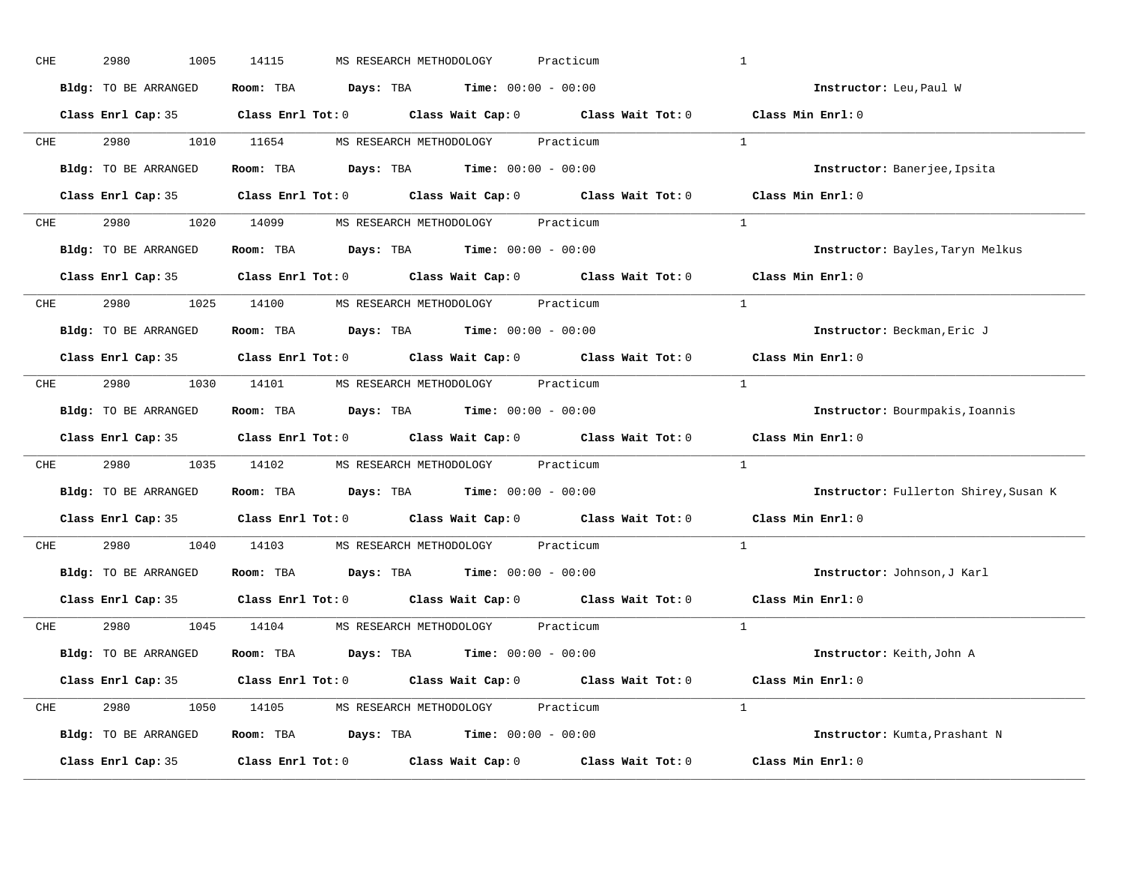| CHE        | 2980<br>1005         | 14115<br>MS RESEARCH METHODOLOGY<br>Practicum                                              | $\mathbf{1}$                          |
|------------|----------------------|--------------------------------------------------------------------------------------------|---------------------------------------|
|            | Bldg: TO BE ARRANGED | Room: TBA $\rule{1em}{0.15mm}$ Days: TBA Time: $00:00 - 00:00$                             | Instructor: Leu, Paul W               |
|            |                      | Class Enrl Cap: 35 Class Enrl Tot: 0 Class Wait Cap: 0 Class Wait Tot: 0 Class Min Enrl: 0 |                                       |
|            |                      | CHE 2980 1010 11654 MS RESEARCH METHODOLOGY Practicum                                      | $\mathbf{1}$                          |
|            | Bldg: TO BE ARRANGED | Room: TBA Days: TBA Time: $00:00 - 00:00$                                                  | Instructor: Banerjee, Ipsita          |
|            |                      | Class Enrl Cap: 35 Class Enrl Tot: 0 Class Wait Cap: 0 Class Wait Tot: 0 Class Min Enrl: 0 |                                       |
|            |                      | CHE 2980 1020 14099 MS RESEARCH METHODOLOGY Practicum                                      | $\mathbf{1}$                          |
|            |                      | Bldg: TO BE ARRANGED Room: TBA Days: TBA Time: 00:00 - 00:00                               | Instructor: Bayles, Taryn Melkus      |
|            |                      | Class Enrl Cap: 35 Class Enrl Tot: 0 Class Wait Cap: 0 Class Wait Tot: 0 Class Min Enrl: 0 |                                       |
|            |                      | CHE 2980 1025 14100 MS RESEARCH METHODOLOGY Practicum                                      | <sup>1</sup>                          |
|            | Bldg: TO BE ARRANGED | Room: TBA $\rule{1em}{0.15mm}$ Days: TBA Time: $00:00 - 00:00$                             | Instructor: Beckman, Eric J           |
|            |                      | Class Enrl Cap: 35 Class Enrl Tot: 0 Class Wait Cap: 0 Class Wait Tot: 0                   | Class Min Enrl: 0                     |
| CHE        |                      | 2980 1030 14101 MS RESEARCH METHODOLOGY Practicum                                          | $\overline{1}$                        |
|            | Bldg: TO BE ARRANGED | Room: TBA $\rule{1em}{0.15mm}$ Days: TBA Time: $00:00 - 00:00$                             | Instructor: Bourmpakis, Ioannis       |
|            |                      | Class Enrl Cap: 35 Class Enrl Tot: 0 Class Wait Cap: 0 Class Wait Tot: 0                   | Class Min Enrl: 0                     |
| CHE        |                      | 2980 1035 14102 MS RESEARCH METHODOLOGY Practicum                                          | $\mathbf{1}$                          |
|            | Bldg: TO BE ARRANGED | Room: TBA $\rule{1em}{0.15mm}$ Days: TBA Time: $00:00 - 00:00$                             | Instructor: Fullerton Shirey, Susan K |
|            |                      | Class Enrl Cap: 35 Class Enrl Tot: 0 Class Wait Cap: 0 Class Wait Tot: 0                   | Class Min Enrl: 0                     |
| <b>CHE</b> |                      | 2980 1040 14103 MS RESEARCH METHODOLOGY Practicum                                          | $\mathbf{1}$                          |
|            | Bldg: TO BE ARRANGED | Room: TBA $Days:$ TBA Time: $00:00 - 00:00$                                                | Instructor: Johnson, J Karl           |
|            | Class Enrl Cap: 35   | Class Enrl Tot: $0$ Class Wait Cap: $0$ Class Wait Tot: $0$                                | Class Min Enrl: 0                     |
|            |                      | CHE 2980 1045 14104 MS RESEARCH METHODOLOGY Practicum                                      | $\overline{1}$                        |
|            | Bldg: TO BE ARRANGED | Room: TBA $Days:$ TBA $Time: 00:00 - 00:00$                                                | Instructor: Keith, John A             |
|            |                      | Class Enrl Cap: 35 Class Enrl Tot: 0 Class Wait Cap: 0 Class Wait Tot: 0 Class Min Enrl: 0 |                                       |
|            |                      | CHE 2980 1050 14105 MS RESEARCH METHODOLOGY Practicum                                      | $\mathbf{1}$                          |
|            | Bldg: TO BE ARRANGED | Room: TBA $Days:$ TBA $Time: 00:00 - 00:00$                                                | Instructor: Kumta, Prashant N         |
|            | Class Enrl Cap: 35   | Class Enrl Tot: $0$ Class Wait Cap: $0$ Class Wait Tot: $0$                                | Class Min Enrl: 0                     |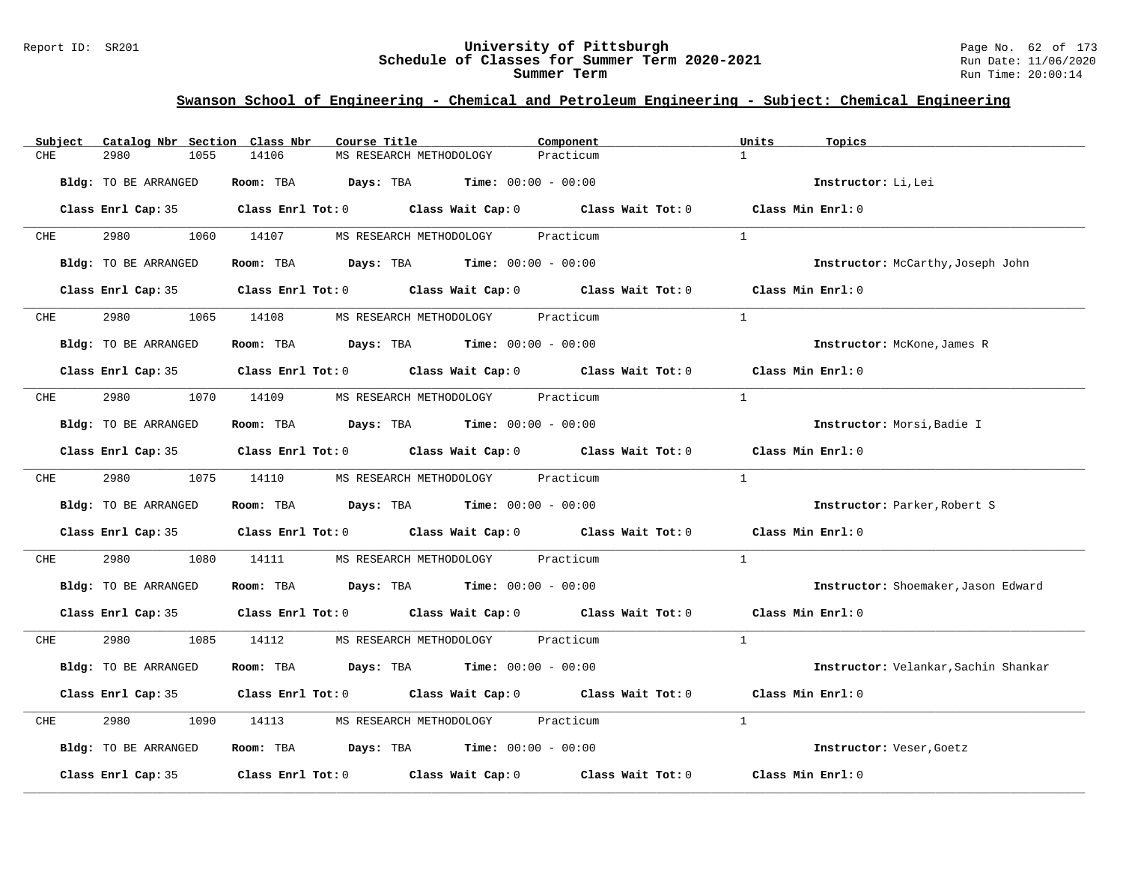#### Report ID: SR201 **University of Pittsburgh** Page No. 62 of 173 **Schedule of Classes for Summer Term 2020-2021** Run Date: 11/06/2020 **Summer Term** Run Time: 20:00:14

| Catalog Nbr Section Class Nbr<br>Subject | Course Title                                                                                        | Component<br>Units        | Topics                               |
|------------------------------------------|-----------------------------------------------------------------------------------------------------|---------------------------|--------------------------------------|
| 2980<br>1055<br>CHE                      | 14106<br>MS RESEARCH METHODOLOGY                                                                    | $\mathbf{1}$<br>Practicum |                                      |
| Bldg: TO BE ARRANGED                     | Room: TBA $Days:$ TBA $Time: 00:00 - 00:00$                                                         |                           | Instructor: Li, Lei                  |
|                                          | Class Enrl Cap: 35 Class Enrl Tot: 0 Class Wait Cap: 0 Class Wait Tot: 0 Class Min Enrl: 0          |                           |                                      |
| 2980 1060 14107<br><b>CHE</b>            | MS RESEARCH METHODOLOGY Practicum                                                                   | $\mathbf{1}$              |                                      |
| Bldg: TO BE ARRANGED                     | <b>Room:</b> TBA <b>Days:</b> TBA <b>Time:</b> 00:00 - 00:00                                        |                           | Instructor: McCarthy, Joseph John    |
|                                          | Class Enrl Cap: 35 Class Enrl Tot: 0 Class Wait Cap: 0 Class Wait Tot: 0 Class Min Enrl: 0          |                           |                                      |
| <b>CHE</b>                               | 2980 1065 14108 MS RESEARCH METHODOLOGY Practicum                                                   | $\overline{1}$            |                                      |
| Bldg: TO BE ARRANGED                     | Room: TBA $\rule{1em}{0.15mm}$ Days: TBA Time: $00:00 - 00:00$                                      |                           | Instructor: McKone, James R          |
|                                          | Class Enrl Cap: 35 Class Enrl Tot: 0 Class Wait Cap: 0 Class Wait Tot: 0 Class Min Enrl: 0          |                           |                                      |
| 2980 70<br>CHE                           | 1070 14109 MS RESEARCH METHODOLOGY Practicum                                                        | $\mathbf{1}$              |                                      |
| Bldg: TO BE ARRANGED                     | Room: TBA $Days:$ TBA $Time: 00:00 - 00:00$                                                         |                           | Instructor: Morsi, Badie I           |
|                                          | Class Enrl Cap: 35 Class Enrl Tot: 0 Class Wait Cap: 0 Class Wait Tot: 0 Class Min Enrl: 0          |                           |                                      |
| <b>CHE</b>                               | 2980 1075 14110 MS RESEARCH METHODOLOGY Practicum                                                   | $\mathbf{1}$              |                                      |
| Bldg: TO BE ARRANGED                     | Room: TBA $Days: TBA$ Time: $00:00 - 00:00$                                                         |                           | Instructor: Parker, Robert S         |
|                                          | Class Enrl Cap: 35 Class Enrl Tot: 0 Class Wait Cap: 0 Class Wait Tot: 0 Class Min Enrl: 0          |                           |                                      |
| 2980<br>1080<br>CHE                      | 14111 MS RESEARCH METHODOLOGY Practicum                                                             | $\mathbf{1}$              |                                      |
| Bldg: TO BE ARRANGED                     | Room: TBA $Days:$ TBA $Time: 00:00 - 00:00$                                                         |                           | Instructor: Shoemaker, Jason Edward  |
|                                          | Class Enrl Cap: 35 Class Enrl Tot: 0 Class Wait Cap: 0 Class Wait Tot: 0 Class Min Enrl: 0          |                           |                                      |
| 2980 70<br>CHE                           | 1085 14112 MS RESEARCH METHODOLOGY Practicum                                                        | $\mathbf{1}$              |                                      |
| Bldg: TO BE ARRANGED                     | Room: TBA $Days:$ TBA $Time: 00:00 - 00:00$                                                         |                           | Instructor: Velankar, Sachin Shankar |
|                                          | Class Enrl Cap: 35 Class Enrl Tot: 0 Class Wait Cap: 0 Class Wait Tot: 0 Class Min Enrl: 0          |                           |                                      |
| 2980<br>1090<br>CHE                      | 14113 MS RESEARCH METHODOLOGY Practicum                                                             | $\mathbf{1}$              |                                      |
| Bldg: TO BE ARRANGED                     | Room: TBA $Days:$ TBA $Time: 00:00 - 00:00$                                                         |                           | Instructor: Veser, Goetz             |
|                                          | Class Enrl Cap: 35 $\qquad$ Class Enrl Tot: 0 $\qquad$ Class Wait Cap: 0 $\qquad$ Class Wait Tot: 0 |                           | Class Min Enrl: 0                    |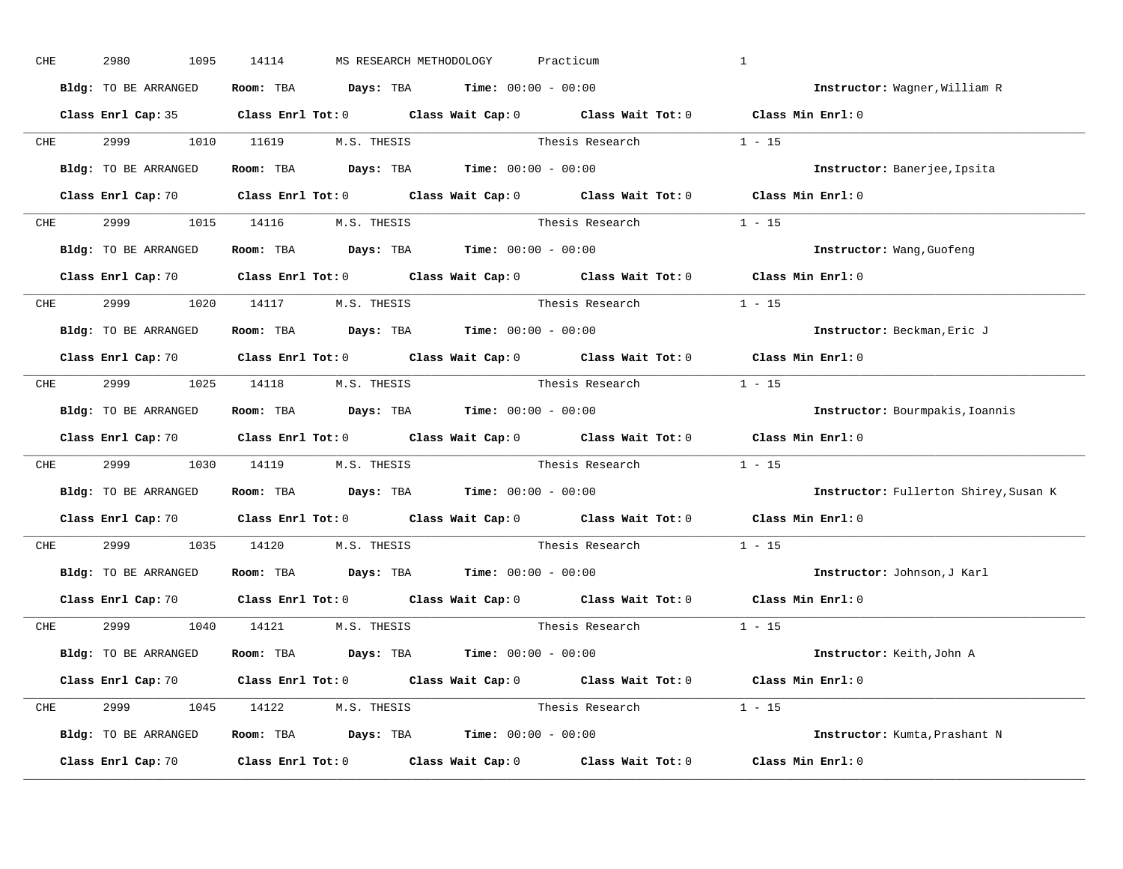| CHE        | 2980<br>1095         | 14114<br>MS RESEARCH METHODOLOGY                                                      | Practicum                                                                                                                      | $\mathbf{1}$                          |
|------------|----------------------|---------------------------------------------------------------------------------------|--------------------------------------------------------------------------------------------------------------------------------|---------------------------------------|
|            | Bldg: TO BE ARRANGED | Room: TBA $\rule{1em}{0.15mm}$ Days: TBA Time: $00:00 - 00:00$                        |                                                                                                                                | Instructor: Wagner, William R         |
|            |                      |                                                                                       | Class Enrl Cap: 35 Class Enrl Tot: 0 Class Wait Cap: 0 Class Wait Tot: 0 Class Min Enrl: 0                                     |                                       |
|            |                      |                                                                                       | CHE 2999 1010 11619 M.S. THESIS Thesis Research 1 - 15                                                                         |                                       |
|            | Bldg: TO BE ARRANGED | Room: TBA $\rule{1em}{0.15mm}$ Days: TBA Time: $00:00 - 00:00$                        |                                                                                                                                | Instructor: Banerjee, Ipsita          |
|            |                      |                                                                                       | Class Enrl Cap: 70 Class Enrl Tot: 0 Class Wait Cap: 0 Class Wait Tot: 0 Class Min Enrl: 0                                     |                                       |
|            |                      | CHE 2999 1015 14116 M.S. THESIS                                                       | Thesis Research $1 - 15$                                                                                                       |                                       |
|            |                      | Bldg: TO BE ARRANGED Room: TBA Days: TBA Time: $00:00 - 00:00$                        |                                                                                                                                | Instructor: Wang, Guofeng             |
|            |                      |                                                                                       | Class Enrl Cap: 70 Class Enrl Tot: 0 Class Wait Cap: 0 Class Wait Tot: 0 Class Min Enrl: 0                                     |                                       |
|            |                      | CHE 2999 1020 14117 M.S. THESIS                                                       | Thesis Research 1 - 15                                                                                                         |                                       |
|            | Bldg: TO BE ARRANGED | Room: TBA $\rule{1em}{0.15mm}$ Days: TBA $\rule{1.5mm}{0.15mm}$ Time: $00:00 - 00:00$ |                                                                                                                                | Instructor: Beckman, Eric J           |
|            |                      |                                                                                       | Class Enrl Cap: 70 Class Enrl Tot: 0 Class Wait Cap: 0 Class Wait Tot: 0 Class Min Enrl: 0                                     |                                       |
|            |                      | CHE 2999 1025 14118 M.S. THESIS                                                       | Thesis Research                                                                                                                | $1 - 15$                              |
|            | Bldg: TO BE ARRANGED | Room: TBA $\rule{1em}{0.15mm}$ Days: TBA Time: $00:00 - 00:00$                        |                                                                                                                                | Instructor: Bourmpakis, Ioannis       |
|            |                      |                                                                                       | Class Enrl Cap: 70 Class Enrl Tot: 0 Class Wait Cap: 0 Class Wait Tot: 0 Class Min Enrl: 0                                     |                                       |
| CHE        |                      |                                                                                       | 2999 1030 14119 M.S. THESIS Thesis Research 1 - 15                                                                             |                                       |
|            | Bldg: TO BE ARRANGED | Room: TBA $\rule{1em}{0.15mm}$ Days: TBA $\rule{1.5mm}{0.15mm}$ Time: $00:00 - 00:00$ |                                                                                                                                | Instructor: Fullerton Shirey, Susan K |
|            |                      |                                                                                       | Class Enrl Cap: 70 Class Enrl Tot: 0 Class Wait Cap: 0 Class Wait Tot: 0                                                       | Class Min Enrl: 0                     |
| <b>CHE</b> |                      | 2999 1035 14120 M.S. THESIS                                                           | Thesis Research                                                                                                                | $1 - 15$                              |
|            | Bldg: TO BE ARRANGED | Room: TBA $Days:$ TBA $Time: 00:00 - 00:00$                                           |                                                                                                                                | Instructor: Johnson, J Karl           |
|            | Class Enrl Cap: 70   |                                                                                       | Class Enrl Tot: $0$ Class Wait Cap: $0$ Class Wait Tot: $0$                                                                    | Class Min Enrl: 0                     |
|            |                      | CHE 2999 1040 14121 M.S. THESIS                                                       | Thesis Research                                                                                                                | $1 - 15$                              |
|            | Bldg: TO BE ARRANGED | Room: TBA $Days:$ TBA $Time: 00:00 - 00:00$                                           |                                                                                                                                | Instructor: Keith,John A              |
|            |                      |                                                                                       | Class Enrl Cap: 70 $\qquad$ Class Enrl Tot: 0 $\qquad$ Class Wait Cap: 0 $\qquad$ Class Wait Tot: 0 $\qquad$ Class Min Enrl: 0 |                                       |
|            |                      | CHE 2999 1045 14122 M.S. THESIS                                                       | Thesis Research $1 - 15$                                                                                                       |                                       |
|            | Bldg: TO BE ARRANGED | Room: TBA $\rule{1em}{0.15mm}$ Days: TBA Time: $00:00 - 00:00$                        |                                                                                                                                | Instructor: Kumta, Prashant N         |
|            | Class Enrl Cap: 70   |                                                                                       | Class Enrl Tot: $0$ Class Wait Cap: $0$ Class Wait Tot: $0$                                                                    | Class Min Enrl: 0                     |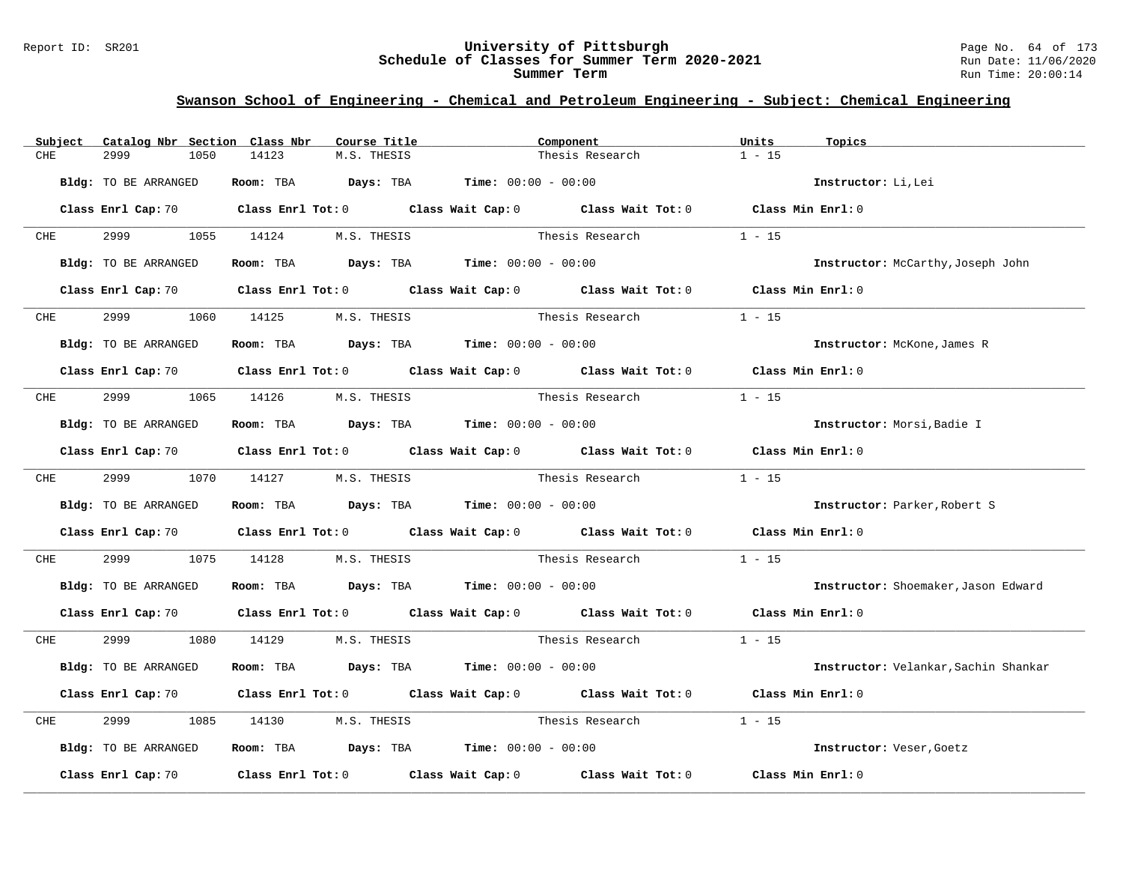#### Report ID: SR201 **University of Pittsburgh** Page No. 64 of 173 **Schedule of Classes for Summer Term 2020-2021** Run Date: 11/06/2020 **Summer Term** Run Time: 20:00:14

| Catalog Nbr Section Class Nbr<br>Subject | Course Title                                                                          | Component                                                                                                                      | Units<br>Topics                      |
|------------------------------------------|---------------------------------------------------------------------------------------|--------------------------------------------------------------------------------------------------------------------------------|--------------------------------------|
| CHE<br>2999<br>1050                      | 14123<br>M.S. THESIS                                                                  | Thesis Research                                                                                                                | $1 - 15$                             |
| Bldg: TO BE ARRANGED                     | Room: TBA $Days:$ TBA $Time: 00:00 - 00:00$                                           |                                                                                                                                | Instructor: Li, Lei                  |
|                                          |                                                                                       | Class Enrl Cap: 70 $\qquad$ Class Enrl Tot: 0 $\qquad$ Class Wait Cap: 0 $\qquad$ Class Wait Tot: 0 $\qquad$ Class Min Enrl: 0 |                                      |
| 2999 — 100<br><b>CHE</b>                 | 1055 14124<br>M.S. THESIS                                                             | Thesis Research                                                                                                                | $1 - 15$                             |
| Bldg: TO BE ARRANGED                     | Room: TBA $Days:$ TBA $Time: 00:00 - 00:00$                                           |                                                                                                                                | Instructor: McCarthy, Joseph John    |
|                                          |                                                                                       | Class Enrl Cap: 70 $\qquad$ Class Enrl Tot: 0 $\qquad$ Class Wait Cap: 0 $\qquad$ Class Wait Tot: 0 $\qquad$ Class Min Enrl: 0 |                                      |
| 2999 — 200<br><b>CHE</b>                 | 1060 14125 M.S. THESIS                                                                | Thesis Research                                                                                                                | $1 - 15$                             |
| Bldg: TO BE ARRANGED                     | Room: TBA $Days:$ TBA $Time: 00:00 - 00:00$                                           |                                                                                                                                | Instructor: McKone, James R          |
|                                          |                                                                                       | Class Enrl Cap: 70 $\qquad$ Class Enrl Tot: 0 $\qquad$ Class Wait Cap: 0 $\qquad$ Class Wait Tot: 0 $\qquad$ Class Min Enrl: 0 |                                      |
| CHE 2999                                 | 1065 14126 M.S. THESIS Thesis Research                                                |                                                                                                                                | $1 - 15$                             |
| Bldg: TO BE ARRANGED                     | Room: TBA $Days:$ TBA $Time: 00:00 - 00:00$                                           |                                                                                                                                | Instructor: Morsi, Badie I           |
|                                          |                                                                                       | Class Enrl Cap: 70 $\qquad$ Class Enrl Tot: 0 $\qquad$ Class Wait Cap: 0 $\qquad$ Class Wait Tot: 0 $\qquad$ Class Min Enrl: 0 |                                      |
|                                          | CHE 2999 1070 14127 M.S. THESIS                                                       | Thesis Research                                                                                                                | $1 - 15$                             |
| Bldg: TO BE ARRANGED                     | Room: TBA $\rule{1em}{0.15mm}$ Days: TBA $\rule{1.5mm}{0.15mm}$ Time: $00:00 - 00:00$ |                                                                                                                                | Instructor: Parker, Robert S         |
|                                          |                                                                                       | Class Enrl Cap: 70 Class Enrl Tot: 0 Class Wait Cap: 0 Class Wait Tot: 0 Class Min Enrl: 0                                     |                                      |
| 2999<br>CHE                              | 1075 14128                                                                            | M.S. THESIS Thesis Research                                                                                                    | $1 - 15$                             |
| Bldg: TO BE ARRANGED                     | Room: TBA $Days:$ TBA $Time: 00:00 - 00:00$                                           |                                                                                                                                | Instructor: Shoemaker, Jason Edward  |
|                                          |                                                                                       | Class Enrl Cap: 70 $\qquad$ Class Enrl Tot: 0 $\qquad$ Class Wait Cap: 0 $\qquad$ Class Wait Tot: 0 $\qquad$ Class Min Enrl: 0 |                                      |
| CHE 2999                                 | 1080 14129 M.S. THESIS                                                                | Thesis Research                                                                                                                | $1 - 15$                             |
| Bldg: TO BE ARRANGED                     | Room: TBA $Days:$ TBA $Time: 00:00 - 00:00$                                           |                                                                                                                                | Instructor: Velankar, Sachin Shankar |
|                                          |                                                                                       | Class Enrl Cap: 70 Class Enrl Tot: 0 Class Wait Cap: 0 Class Wait Tot: 0 Class Min Enrl: 0                                     |                                      |
| 2999<br>CHE                              | 1085 14130 M.S. THESIS                                                                | Thesis Research                                                                                                                | $1 - 15$                             |
| Bldg: TO BE ARRANGED                     | Room: TBA $Days:$ TBA $Time: 00:00 - 00:00$                                           |                                                                                                                                | Instructor: Veser, Goetz             |
| Class Enrl Cap: 70                       |                                                                                       | Class Enrl Tot: $0$ Class Wait Cap: $0$ Class Wait Tot: $0$ Class Min Enrl: $0$                                                |                                      |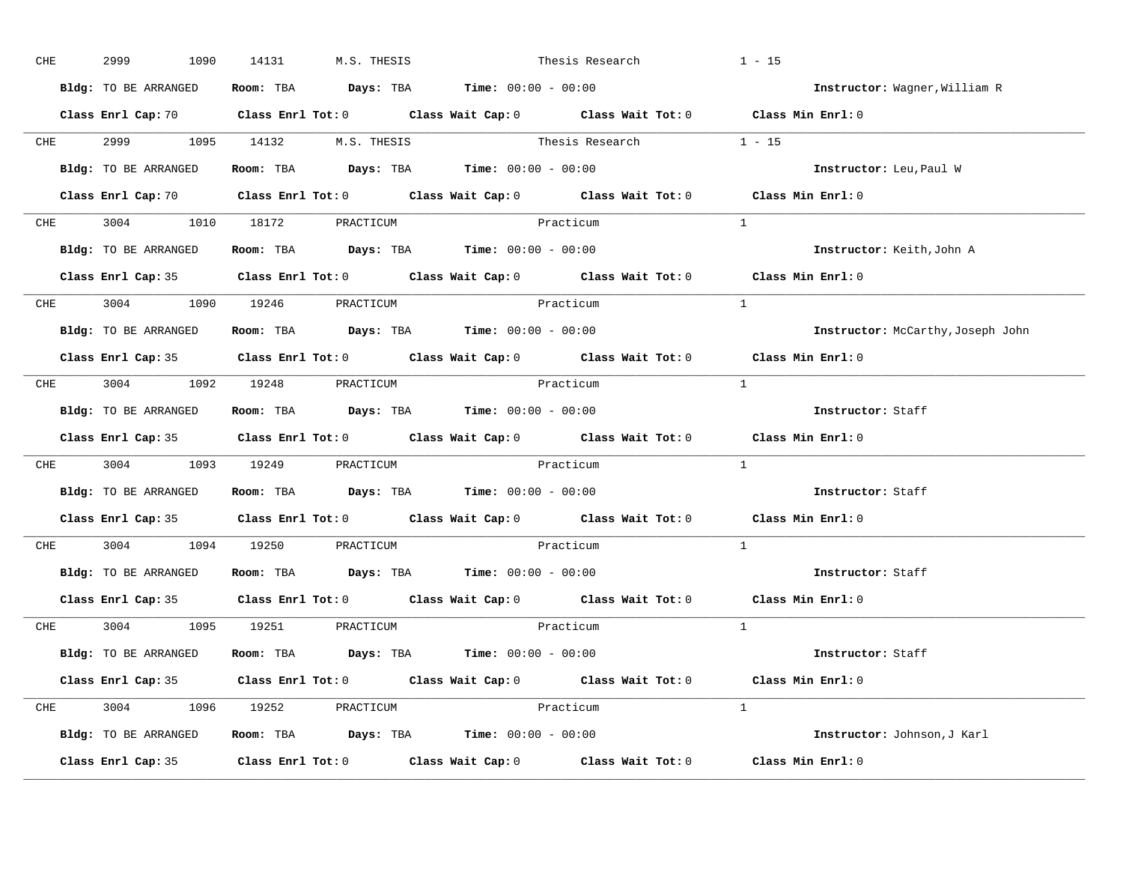| CHE        | 2999<br>1090         | 14131<br>M.S. THESIS                                                                       | Thesis Research                                                                                                                | $1 - 15$                          |
|------------|----------------------|--------------------------------------------------------------------------------------------|--------------------------------------------------------------------------------------------------------------------------------|-----------------------------------|
|            | Bldg: TO BE ARRANGED | Room: TBA $\rule{1em}{0.15mm}$ Days: TBA $\rule{1.5mm}{0.15mm}$ Time: $00:00 - 00:00$      |                                                                                                                                | Instructor: Wagner, William R     |
|            |                      |                                                                                            | Class Enrl Cap: 70 $\qquad$ Class Enrl Tot: 0 $\qquad$ Class Wait Cap: 0 $\qquad$ Class Wait Tot: 0 $\qquad$ Class Min Enrl: 0 |                                   |
|            |                      |                                                                                            | CHE 2999 1095 14132 M.S. THESIS Thesis Research 1 - 15                                                                         |                                   |
|            | Bldg: TO BE ARRANGED | Room: TBA $\rule{1em}{0.15mm}$ Days: TBA Time: $00:00 - 00:00$                             |                                                                                                                                | Instructor: Leu, Paul W           |
|            |                      |                                                                                            | Class Enrl Cap: 70 Class Enrl Tot: 0 Class Wait Cap: 0 Class Wait Tot: 0 Class Min Enrl: 0                                     |                                   |
|            |                      | CHE 3004 1010 18172 PRACTICUM                                                              | Practicum                                                                                                                      | $\mathbf{1}$                      |
|            |                      | <b>Bldg:</b> TO BE ARRANGED <b>Room:</b> TBA <b>Days:</b> TBA <b>Time:</b> $00:00 - 00:00$ |                                                                                                                                | Instructor: Keith, John A         |
|            |                      |                                                                                            | Class Enrl Cap: 35 Class Enrl Tot: 0 Class Wait Cap: 0 Class Wait Tot: 0 Class Min Enrl: 0                                     |                                   |
|            |                      | CHE 3004 1090 19246 PRACTICUM                                                              | Practicum                                                                                                                      | $\mathbf{1}$                      |
|            | Bldg: TO BE ARRANGED | Room: TBA $\rule{1em}{0.15mm}$ Days: TBA Time: $00:00 - 00:00$                             |                                                                                                                                | Instructor: McCarthy, Joseph John |
|            |                      |                                                                                            | Class Enrl Cap: 35 Class Enrl Tot: 0 Class Wait Cap: 0 Class Wait Tot: 0 Class Min Enrl: 0                                     |                                   |
|            |                      | CHE 3004 1092 19248 PRACTICUM                                                              | Practicum                                                                                                                      | $\overline{1}$                    |
|            | Bldg: TO BE ARRANGED | Room: TBA $\rule{1em}{0.15mm}$ Days: TBA Time: $00:00 - 00:00$                             |                                                                                                                                | Instructor: Staff                 |
|            |                      |                                                                                            | Class Enrl Cap: 35 Class Enrl Tot: 0 Class Wait Cap: 0 Class Wait Tot: 0 Class Min Enrl: 0                                     |                                   |
|            |                      | CHE 3004 1093 19249 PRACTICUM                                                              | Practicum                                                                                                                      | $\mathbf{1}$                      |
|            | Bldg: TO BE ARRANGED | Room: TBA $Days: TBA$ Time: $00:00 - 00:00$                                                |                                                                                                                                | Instructor: Staff                 |
|            |                      |                                                                                            | Class Enrl Cap: 35 Class Enrl Tot: 0 Class Wait Cap: 0 Class Wait Tot: 0 Class Min Enrl: 0                                     |                                   |
| <b>CHE</b> |                      | 3004 1094 19250 PRACTICUM                                                                  | Practicum                                                                                                                      | $\mathbf{1}$                      |
|            |                      | Bldg: TO BE ARRANGED Room: TBA Days: TBA Time: 00:00 - 00:00                               |                                                                                                                                | Instructor: Staff                 |
|            |                      |                                                                                            | Class Enrl Cap: 35 Class Enrl Tot: 0 Class Wait Cap: 0 Class Wait Tot: 0 Class Min Enrl: 0                                     |                                   |
|            |                      | CHE 3004 1095 19251 PRACTICUM                                                              | Practicum                                                                                                                      | $\overline{1}$                    |
|            | Bldg: TO BE ARRANGED | Room: TBA $Days:$ TBA $Time: 00:00 - 00:00$                                                |                                                                                                                                | Instructor: Staff                 |
|            |                      |                                                                                            | Class Enrl Cap: 35 Class Enrl Tot: 0 Class Wait Cap: 0 Class Wait Tot: 0 Class Min Enrl: 0                                     |                                   |
|            |                      | CHE 3004 1096 19252 PRACTICUM                                                              | Practicum                                                                                                                      | $\sim$ 1                          |
|            |                      | Bldg: TO BE ARRANGED Room: TBA Days: TBA Time: 00:00 - 00:00                               |                                                                                                                                | Instructor: Johnson, J Karl       |
|            |                      |                                                                                            | Class Enrl Cap: 35 Class Enrl Tot: 0 Class Wait Cap: 0 Class Wait Tot: 0 Class Min Enrl: 0                                     |                                   |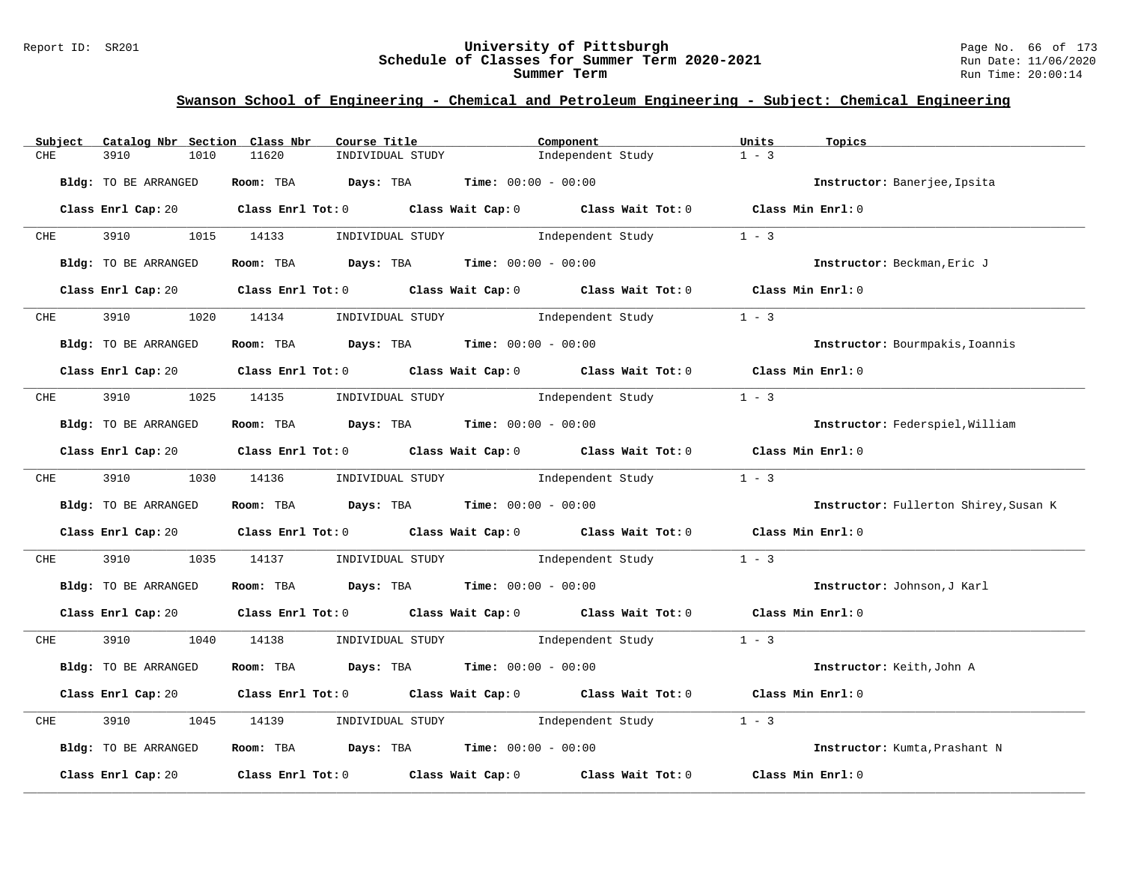#### Report ID: SR201 **University of Pittsburgh** Page No. 66 of 173 **Schedule of Classes for Summer Term 2020-2021** Run Date: 11/06/2020 **Summer Term** Run Time: 20:00:14

| Subject    | Catalog Nbr Section Class Nbr | Course Title                                                                          | Component                                                                                                                      | Units<br>Topics                       |
|------------|-------------------------------|---------------------------------------------------------------------------------------|--------------------------------------------------------------------------------------------------------------------------------|---------------------------------------|
| CHE        | 3910<br>1010                  | 11620<br>INDIVIDUAL STUDY                                                             | Independent Study                                                                                                              | $1 - 3$                               |
|            | Bldg: TO BE ARRANGED          | Room: TBA Days: TBA                                                                   | <b>Time:</b> $00:00 - 00:00$                                                                                                   | Instructor: Banerjee, Ipsita          |
|            |                               |                                                                                       | Class Enrl Cap: 20 $\qquad$ Class Enrl Tot: 0 $\qquad$ Class Wait Cap: 0 $\qquad$ Class Wait Tot: 0 $\qquad$ Class Min Enrl: 0 |                                       |
| <b>CHE</b> | 3910 3910                     | 1015 14133<br>INDIVIDUAL STUDY                                                        | Independent Study                                                                                                              | $1 - 3$                               |
|            | <b>Bldg:</b> TO BE ARRANGED   | Room: TBA $Days: TBA$ Time: $00:00 - 00:00$                                           |                                                                                                                                | Instructor: Beckman, Eric J           |
|            |                               |                                                                                       | Class Enrl Cap: 20 Class Enrl Tot: 0 Class Wait Cap: 0 Class Wait Tot: 0 Class Min Enrl: 0                                     |                                       |
| <b>CHE</b> | 3910 3910                     |                                                                                       | 1020 14134 INDIVIDUAL STUDY Independent Study                                                                                  | $1 - 3$                               |
|            | Bldg: TO BE ARRANGED          | Room: TBA $\rule{1em}{0.15mm}$ Days: TBA Time: $00:00 - 00:00$                        |                                                                                                                                | Instructor: Bourmpakis, Ioannis       |
|            |                               |                                                                                       | Class Enrl Cap: 20 Class Enrl Tot: 0 Class Wait Cap: 0 Class Wait Tot: 0 Class Min Enrl: 0                                     |                                       |
| CHE        | 3910                          | 1025 14135                                                                            | INDIVIDUAL STUDY 1ndependent Study                                                                                             | $1 - 3$                               |
|            | Bldg: TO BE ARRANGED          | Room: TBA $Days:$ TBA $Time: 00:00 - 00:00$                                           |                                                                                                                                | Instructor: Federspiel, William       |
|            |                               |                                                                                       | Class Enrl Cap: 20 Class Enrl Tot: 0 Class Wait Cap: 0 Class Wait Tot: 0 Class Min Enrl: 0                                     |                                       |
| <b>CHE</b> | 3910                          | 1030 14136                                                                            | INDIVIDUAL STUDY 1ndependent Study                                                                                             | $1 - 3$                               |
|            | Bldg: TO BE ARRANGED          | Room: TBA $\rule{1em}{0.15mm}$ Days: TBA $\rule{1.5mm}{0.15mm}$ Time: $00:00 - 00:00$ |                                                                                                                                | Instructor: Fullerton Shirey, Susan K |
|            |                               |                                                                                       | Class Enrl Cap: 20 Class Enrl Tot: 0 Class Wait Cap: 0 Class Wait Tot: 0 Class Min Enrl: 0                                     |                                       |
| CHE        | 3910<br>1035                  | 14137                                                                                 | INDIVIDUAL STUDY                 Independent Study                                                                             | $1 - 3$                               |
|            | Bldg: TO BE ARRANGED          | Room: TBA $Days:$ TBA $Time: 00:00 - 00:00$                                           |                                                                                                                                | Instructor: Johnson, J Karl           |
|            |                               |                                                                                       | Class Enrl Cap: 20 Class Enrl Tot: 0 Class Wait Cap: 0 Class Wait Tot: 0 Class Min Enrl: 0                                     |                                       |
| CHE        | 3910 3910                     |                                                                                       | 1040 14138 INDIVIDUAL STUDY 1 and Endependent Study 1 - 3                                                                      |                                       |
|            | Bldg: TO BE ARRANGED          | Room: TBA $Days:$ TBA $Time: 00:00 - 00:00$                                           |                                                                                                                                | Instructor: Keith, John A             |
|            |                               |                                                                                       | Class Enrl Cap: 20 Class Enrl Tot: 0 Class Wait Cap: 0 Class Wait Tot: 0 Class Min Enrl: 0                                     |                                       |
| CHE        | 3910<br>1045                  | 14139                                                                                 | INDIVIDUAL STUDY 1ndependent Study                                                                                             | $1 - 3$                               |
|            | Bldg: TO BE ARRANGED          | Room: TBA $Days:$ TBA $Time: 00:00 - 00:00$                                           |                                                                                                                                | Instructor: Kumta, Prashant N         |
|            | Class Enrl Cap: 20            |                                                                                       | Class Enrl Tot: $0$ Class Wait Cap: $0$ Class Wait Tot: $0$                                                                    | Class Min Enrl: 0                     |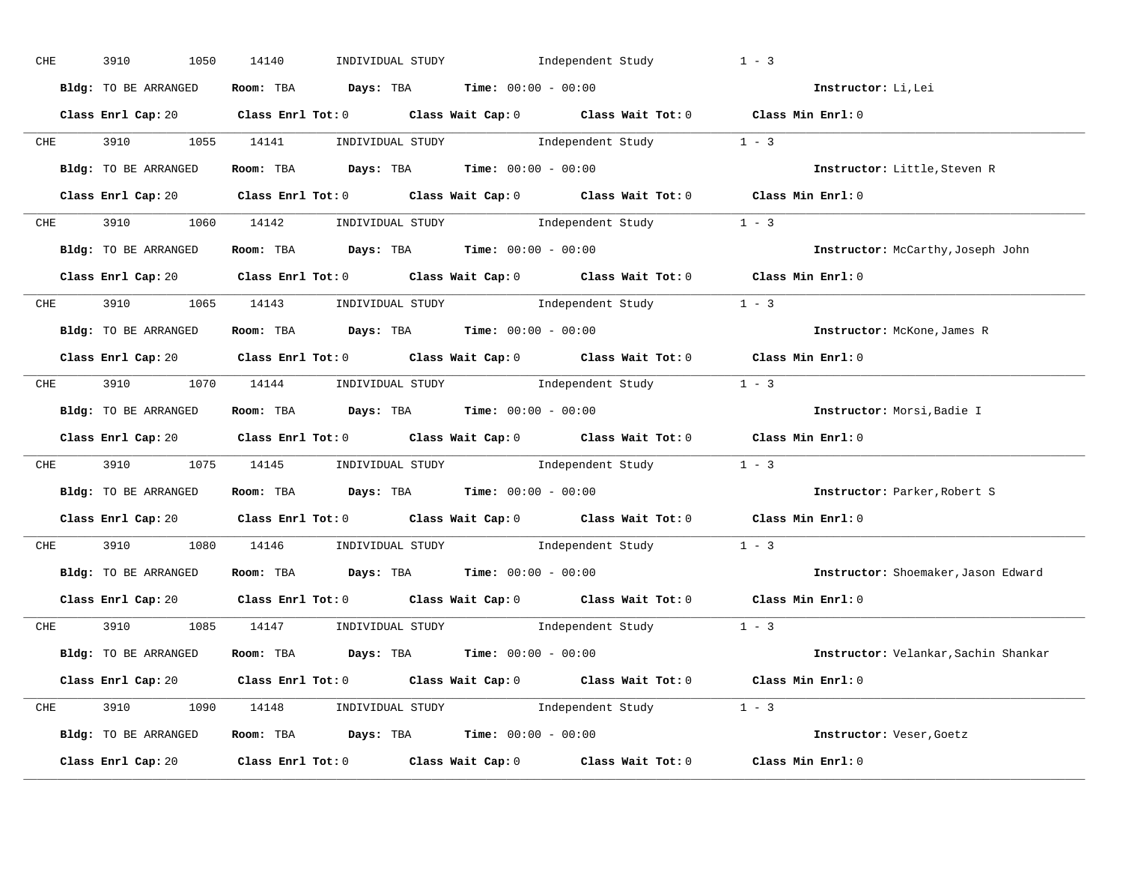| CHE        | 3910<br>1050         | 14140                                                                                      | INDIVIDUAL STUDY 1ndependent Study                                                         | $1 - 3$                              |
|------------|----------------------|--------------------------------------------------------------------------------------------|--------------------------------------------------------------------------------------------|--------------------------------------|
|            | Bldg: TO BE ARRANGED | Room: TBA $Days:$ TBA $Time: 00:00 - 00:00$                                                |                                                                                            | Instructor: Li, Lei                  |
|            |                      |                                                                                            | Class Enrl Cap: 20 Class Enrl Tot: 0 Class Wait Cap: 0 Class Wait Tot: 0 Class Min Enrl: 0 |                                      |
|            |                      |                                                                                            | CHE 3910 1055 14141 INDIVIDUAL STUDY Independent Study 1 - 3                               |                                      |
|            | Bldg: TO BE ARRANGED | Room: TBA $Days:$ TBA $Time: 00:00 - 00:00$                                                |                                                                                            | Instructor: Little, Steven R         |
|            |                      |                                                                                            | Class Enrl Cap: 20 Class Enrl Tot: 0 Class Wait Cap: 0 Class Wait Tot: 0 Class Min Enrl: 0 |                                      |
|            |                      |                                                                                            | CHE 3910 1060 14142 INDIVIDUAL STUDY Independent Study 1 - 3                               |                                      |
|            |                      | <b>Bldg:</b> TO BE ARRANGED <b>ROOM:</b> TBA <b>Days:</b> TBA <b>Time:</b> $00:00 - 00:00$ |                                                                                            | Instructor: McCarthy, Joseph John    |
|            |                      |                                                                                            | Class Enrl Cap: 20 Class Enrl Tot: 0 Class Wait Cap: 0 Class Wait Tot: 0 Class Min Enrl: 0 |                                      |
|            |                      |                                                                                            | CHE 3910 1065 14143 INDIVIDUAL STUDY Independent Study 1 - 3                               |                                      |
|            | Bldg: TO BE ARRANGED | Room: TBA $Days:$ TBA $Time: 00:00 - 00:00$                                                |                                                                                            | Instructor: McKone, James R          |
|            |                      |                                                                                            | Class Enrl Cap: 20 Class Enrl Tot: 0 Class Wait Cap: 0 Class Wait Tot: 0 Class Min Enrl: 0 |                                      |
|            |                      |                                                                                            | CHE 3910 1070 14144 INDIVIDUAL STUDY Independent Study 1 - 3                               |                                      |
|            | Bldg: TO BE ARRANGED | Room: TBA $Days:$ TBA $Time:$ $00:00 - 00:00$                                              |                                                                                            | Instructor: Morsi, Badie I           |
|            |                      |                                                                                            | Class Enrl Cap: 20 Class Enrl Tot: 0 Class Wait Cap: 0 Class Wait Tot: 0 Class Min Enrl: 0 |                                      |
|            |                      |                                                                                            | CHE 3910 1075 14145 INDIVIDUAL STUDY Independent Study 1 - 3                               |                                      |
|            | Bldg: TO BE ARRANGED | Room: TBA $Days$ : TBA Time: $00:00 - 00:00$                                               |                                                                                            | Instructor: Parker, Robert S         |
|            |                      |                                                                                            | Class Enrl Cap: 20 Class Enrl Tot: 0 Class Wait Cap: 0 Class Wait Tot: 0 Class Min Enrl: 0 |                                      |
| <b>CHE</b> |                      |                                                                                            | 3910 1080 14146 INDIVIDUAL STUDY Independent Study 1 - 3                                   |                                      |
|            |                      | Bldg: TO BE ARRANGED Room: TBA Days: TBA Time: 00:00 - 00:00                               |                                                                                            | Instructor: Shoemaker, Jason Edward  |
|            | Class Enrl Cap: 20   |                                                                                            | Class Enrl Tot: $0$ Class Wait Cap: $0$ Class Wait Tot: $0$                                | Class Min Enrl: 0                    |
|            |                      |                                                                                            | CHE 3910 1085 14147 INDIVIDUAL STUDY Independent Study 1 - 3                               |                                      |
|            | Bldg: TO BE ARRANGED | Room: TBA $Days: TBA$ Time: $00:00 - 00:00$                                                |                                                                                            | Instructor: Velankar, Sachin Shankar |
|            |                      |                                                                                            | Class Enrl Cap: 20 Class Enrl Tot: 0 Class Wait Cap: 0 Class Wait Tot: 0 Class Min Enrl: 0 |                                      |
|            |                      |                                                                                            | CHE 3910 1090 14148 INDIVIDUAL STUDY Independent Study 1 - 3                               |                                      |
|            |                      |                                                                                            | Bldg: TO BE ARRANGED Room: TBA Days: TBA Time: 00:00 - 00:00                               | Instructor: Veser, Goetz             |
|            | Class Enrl Cap: 20   |                                                                                            | Class Enrl Tot: $0$ Class Wait Cap: $0$ Class Wait Tot: $0$ Class Min Enrl: $0$            |                                      |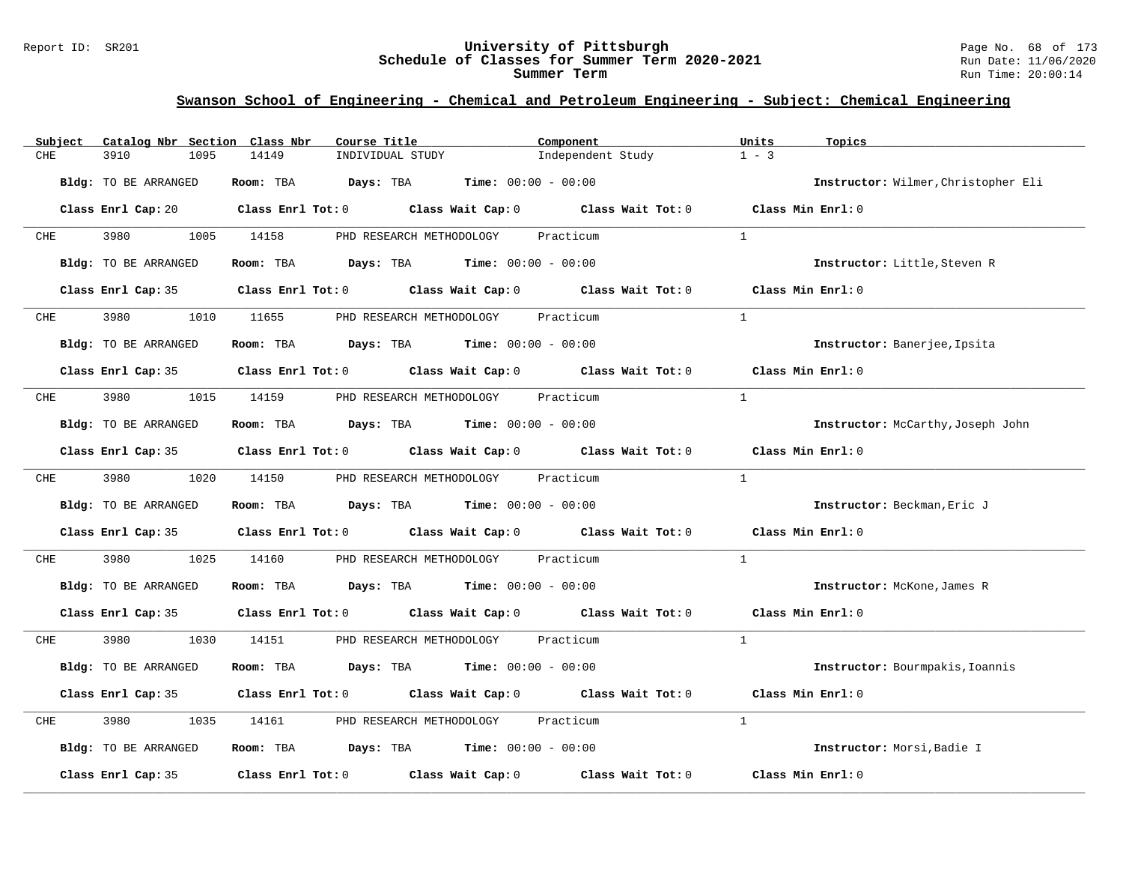#### Report ID: SR201 **University of Pittsburgh** Page No. 68 of 173 **Schedule of Classes for Summer Term 2020-2021** Run Date: 11/06/2020 **Summer Term** Run Time: 20:00:14

| Subject              | Catalog Nbr Section Class Nbr<br>Course Title                                                                                                                                                                                 | Component                          | Units<br>Topics                     |
|----------------------|-------------------------------------------------------------------------------------------------------------------------------------------------------------------------------------------------------------------------------|------------------------------------|-------------------------------------|
| CHE<br>3910          | 14149<br>1095<br>INDIVIDUAL STUDY                                                                                                                                                                                             | Independent Study                  | $1 - 3$                             |
| Bldg: TO BE ARRANGED | Days: TBA<br>Room: TBA                                                                                                                                                                                                        | <b>Time:</b> $00:00 - 00:00$       | Instructor: Wilmer, Christopher Eli |
|                      | Class Enrl Cap: 20 $\qquad$ Class Enrl Tot: 0 $\qquad$ Class Wait Cap: 0 $\qquad$ Class Wait Tot: 0 $\qquad$ Class Min Enrl: 0                                                                                                |                                    |                                     |
| 3980 3980<br>CHE     | 1005 14158<br>PHD RESEARCH METHODOLOGY                                                                                                                                                                                        | Practicum                          | $\mathbf{1}$                        |
| Bldg: TO BE ARRANGED | Room: TBA $Days:$ TBA $Time: 00:00 - 00:00$                                                                                                                                                                                   |                                    | Instructor: Little, Steven R        |
|                      | Class Enrl Cap: 35 $\,$ Class Enrl Tot: 0 $\,$ Class Wait Cap: 0 $\,$ Class Wait Tot: 0 $\,$ Class Enrl Tot: 0 $\,$ Class Enrl Tot: 0 $\,$ Class Enrl Tot: 0 $\,$ Class Enrl Tot: 0 $\,$ Class Enrl Tot: 0 $\,$ Class Enrl To |                                    | Class Min Enrl: 0                   |
| 3980<br>CHE          | 1010 11655                                                                                                                                                                                                                    | PHD RESEARCH METHODOLOGY Practicum | $\mathbf{1}$                        |
| Bldg: TO BE ARRANGED | Room: TBA $Days:$ TBA $Time: 00:00 - 00:00$                                                                                                                                                                                   |                                    | Instructor: Banerjee, Ipsita        |
|                      | Class Enrl Cap: 35 $\qquad$ Class Enrl Tot: 0 $\qquad$ Class Wait Cap: 0 $\qquad$ Class Wait Tot: 0                                                                                                                           |                                    | Class Min Enrl: 0                   |
| 3980<br>CHE          | 1015 14159                                                                                                                                                                                                                    | PHD RESEARCH METHODOLOGY Practicum | $\mathbf{1}$                        |
| Bldg: TO BE ARRANGED | Room: TBA $Days:$ TBA $Time: 00:00 - 00:00$                                                                                                                                                                                   |                                    | Instructor: McCarthy, Joseph John   |
|                      | Class Enrl Cap: 35 Class Enrl Tot: 0 Class Wait Cap: 0 Class Wait Tot: 0                                                                                                                                                      |                                    | Class Min Enrl: 0                   |
| CHE 3980             | 1020 14150                                                                                                                                                                                                                    | PHD RESEARCH METHODOLOGY Practicum | $\mathbf{1}$                        |
| Bldg: TO BE ARRANGED | Room: TBA $Days:$ TBA $Time: 00:00 - 00:00$                                                                                                                                                                                   |                                    | Instructor: Beckman, Eric J         |
|                      | Class Enrl Cap: 35 Class Enrl Tot: 0 Class Wait Cap: 0 Class Wait Tot: 0                                                                                                                                                      |                                    | Class Min Enrl: 0                   |
| 3980<br>CHE          | 1025<br>14160                                                                                                                                                                                                                 | PHD RESEARCH METHODOLOGY Practicum | $\mathbf{1}$                        |
| Bldg: TO BE ARRANGED | Room: TBA $Days:$ TBA $Time: 00:00 - 00:00$                                                                                                                                                                                   |                                    | Instructor: McKone, James R         |
|                      | Class Enrl Cap: 35 Class Enrl Tot: 0 Class Wait Cap: 0 Class Wait Tot: 0 Class Min Enrl: 0                                                                                                                                    |                                    |                                     |
| 3980<br>CHE          | 1030 14151                                                                                                                                                                                                                    | PHD RESEARCH METHODOLOGY Practicum | $\mathbf{1}$                        |
| Bldg: TO BE ARRANGED | Room: TBA $Days:$ TBA $Time: 00:00 - 00:00$                                                                                                                                                                                   |                                    | Instructor: Bourmpakis, Ioannis     |
|                      | Class Enrl Cap: 35 Class Enrl Tot: 0 Class Wait Cap: 0 Class Wait Tot: 0                                                                                                                                                      |                                    | Class Min Enrl: 0                   |
| 3980<br>CHE          | 1035<br>14161                                                                                                                                                                                                                 | PHD RESEARCH METHODOLOGY Practicum | <sup>1</sup>                        |
| Bldg: TO BE ARRANGED | Room: TBA $Days:$ TBA $Time: 00:00 - 00:00$                                                                                                                                                                                   |                                    | Instructor: Morsi, Badie I          |
| Class Enrl Cap: 35   | Class Enrl Tot: 0 $\qquad$ Class Wait Cap: 0 $\qquad$ Class Wait Tot: 0                                                                                                                                                       |                                    | Class Min Enrl: 0                   |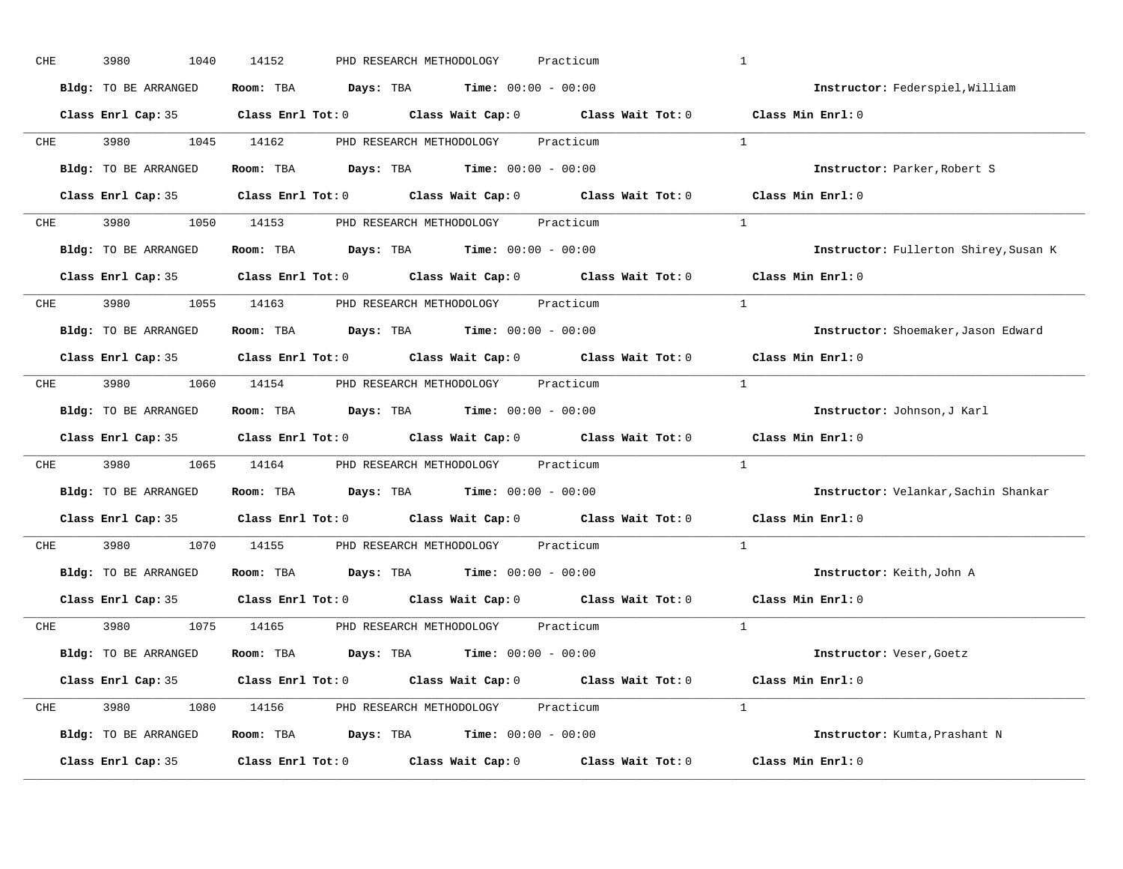| CHE        | 3980<br>1040         | 14152<br>PHD RESEARCH METHODOLOGY<br>Practicum                                                      | $\mathbf{1}$                          |
|------------|----------------------|-----------------------------------------------------------------------------------------------------|---------------------------------------|
|            | Bldg: TO BE ARRANGED | Room: TBA $Days:$ TBA $Time: 00:00 - 00:00$                                                         | Instructor: Federspiel, William       |
|            |                      | Class Enrl Cap: 35 $\qquad$ Class Enrl Tot: 0 $\qquad$ Class Wait Cap: 0 $\qquad$ Class Wait Tot: 0 | Class Min Enrl: 0                     |
| <b>CHE</b> |                      | 3980 1045 14162 PHD RESEARCH METHODOLOGY Practicum                                                  | <sup>1</sup>                          |
|            | Bldg: TO BE ARRANGED | Room: TBA $Days:$ TBA $Time: 00:00 - 00:00$                                                         | Instructor: Parker, Robert S          |
|            |                      | Class Enrl Cap: 35 Class Enrl Tot: 0 Class Wait Cap: 0 Class Wait Tot: 0 Class Min Enrl: 0          |                                       |
| CHE        |                      | 3980 1050 14153 PHD RESEARCH METHODOLOGY Practicum                                                  | $\overline{1}$                        |
|            | Bldg: TO BE ARRANGED | <b>Room:</b> TBA $\qquad \qquad$ Days: TBA $\qquad \qquad$ Time: $00:00 - 00:00$                    | Instructor: Fullerton Shirey, Susan K |
|            |                      | Class Enrl Cap: 35 $\qquad$ Class Enrl Tot: 0 $\qquad$ Class Wait Cap: 0 $\qquad$ Class Wait Tot: 0 | Class Min Enrl: 0                     |
|            |                      | CHE 3980 1055 14163 PHD RESEARCH METHODOLOGY Practicum                                              | $\overline{1}$                        |
|            | Bldg: TO BE ARRANGED | Room: TBA $Days:$ TBA $Time: 00:00 - 00:00$                                                         | Instructor: Shoemaker, Jason Edward   |
|            |                      | Class Enrl Cap: 35 Class Enrl Tot: 0 Class Wait Cap: 0 Class Wait Tot: 0                            | Class Min Enrl: 0                     |
| CHE        |                      | 3980 1060 14154 PHD RESEARCH METHODOLOGY Practicum                                                  | $\frac{1}{2}$                         |
|            | Bldg: TO BE ARRANGED | Room: TBA $\rule{1em}{0.15mm}$ Days: TBA Time: $00:00 - 00:00$                                      | Instructor: Johnson, J Karl           |
|            |                      |                                                                                                     |                                       |
|            |                      | Class Enrl Cap: 35 Class Enrl Tot: 0 Class Wait Cap: 0 Class Wait Tot: 0                            | Class Min Enrl: 0                     |
| CHE        |                      | 3980 1065 14164 PHD RESEARCH METHODOLOGY Practicum                                                  | <sup>1</sup>                          |
|            | Bldg: TO BE ARRANGED | Room: TBA $Days:$ TBA $Time: 00:00 - 00:00$                                                         | Instructor: Velankar, Sachin Shankar  |
|            |                      | Class Enrl Cap: 35 Class Enrl Tot: 0 Class Wait Cap: 0 Class Wait Tot: 0                            | Class Min Enrl: 0                     |
| <b>CHE</b> |                      | 3980 1070 14155 PHD RESEARCH METHODOLOGY Practicum                                                  | $\mathbf{1}$                          |
|            | Bldg: TO BE ARRANGED | Room: TBA $\rule{1em}{0.15mm}$ Days: TBA Time: $00:00 - 00:00$                                      | Instructor: Keith, John A             |
|            | Class Enrl Cap: 35   | Class Enrl Tot: $0$ Class Wait Cap: $0$ Class Wait Tot: $0$                                         | Class Min Enrl: 0                     |
|            |                      | CHE 3980 1075 14165 PHD RESEARCH METHODOLOGY Practicum                                              | $\mathbf{1}$                          |
|            | Bldg: TO BE ARRANGED | Room: TBA $\rule{1em}{0.15mm}$ Days: TBA Time: $00:00 - 00:00$                                      | Instructor: Veser, Goetz              |
|            |                      | Class Enrl Cap: 35 Class Enrl Tot: 0 Class Wait Cap: 0 Class Wait Tot: 0 Class Min Enrl: 0          |                                       |
|            |                      | CHE 3980 1080 14156 PHD RESEARCH METHODOLOGY Practicum                                              | $\mathbf{1}$                          |
|            | Bldg: TO BE ARRANGED | Room: TBA $Days: TBA$ Time: $00:00 - 00:00$                                                         | Instructor: Kumta, Prashant N         |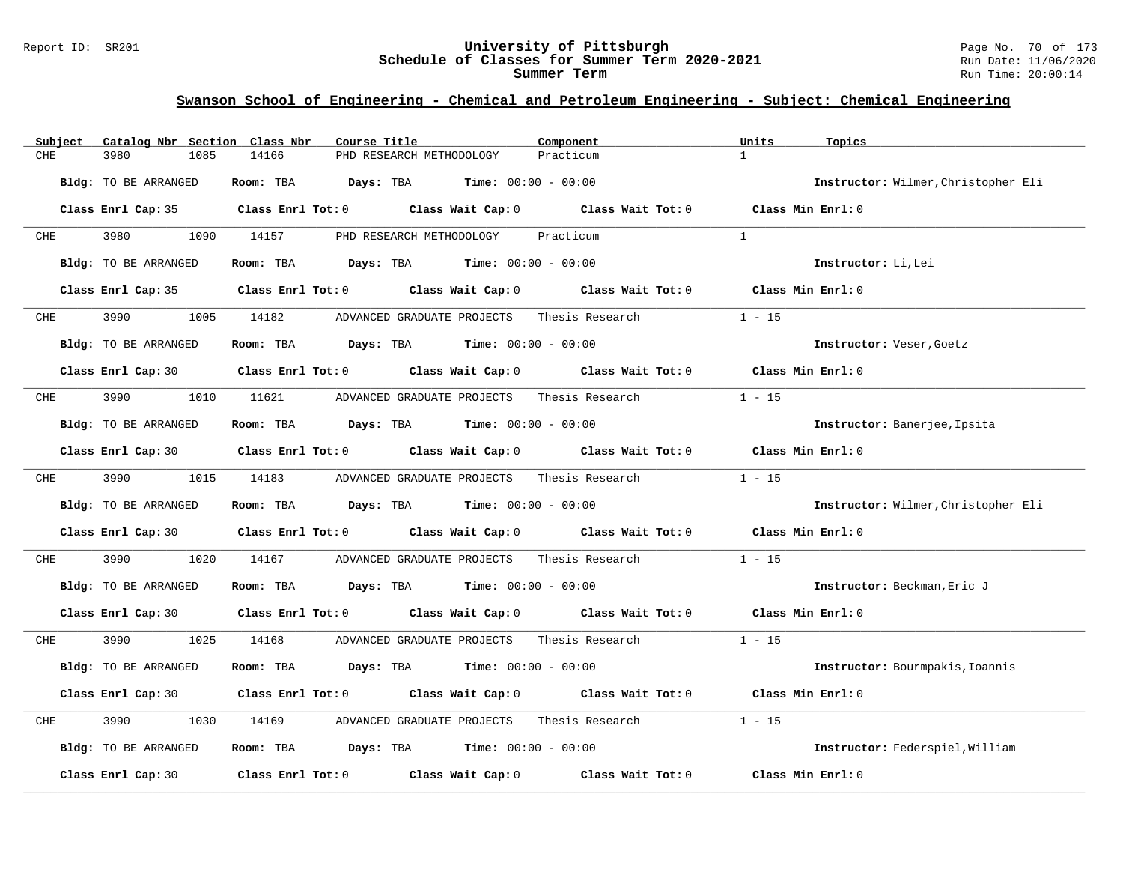| Catalog Nbr Section Class Nbr<br>Subject | Course Title                                                                                        | Component       | Units<br>Topics                     |
|------------------------------------------|-----------------------------------------------------------------------------------------------------|-----------------|-------------------------------------|
| CHE<br>3980<br>1085                      | 14166<br>PHD RESEARCH METHODOLOGY                                                                   | Practicum       | $\mathbf{1}$                        |
| Bldg: TO BE ARRANGED                     | <b>Days:</b> TBA <b>Time:</b> $00:00 - 00:00$<br>Room: TBA                                          |                 | Instructor: Wilmer, Christopher Eli |
|                                          | Class Enrl Cap: 35 Class Enrl Tot: 0 Class Wait Cap: 0 Class Wait Tot: 0 Class Min Enrl: 0          |                 |                                     |
| 3980 3980<br>CHE                         | 1090 14157<br>PHD RESEARCH METHODOLOGY                                                              | Practicum       | 1                                   |
| Bldg: TO BE ARRANGED                     | Room: TBA $Days:$ TBA $Time: 00:00 - 00:00$                                                         |                 | Instructor: Li, Lei                 |
|                                          | Class Enrl Cap: 35 Class Enrl Tot: 0 Class Wait Cap: 0 Class Wait Tot: 0                            |                 | Class Min Enrl: 0                   |
| 3990<br><b>CHE</b>                       | 1005 14182 ADVANCED GRADUATE PROJECTS                                                               | Thesis Research | $1 - 15$                            |
| Bldg: TO BE ARRANGED                     | <b>Room:</b> TBA <b>Days:</b> TBA <b>Time:</b> 00:00 - 00:00                                        |                 | Instructor: Veser, Goetz            |
|                                          | Class Enrl Cap: 30 Class Enrl Tot: 0 Class Wait Cap: 0 Class Wait Tot: 0 Class Min Enrl: 0          |                 |                                     |
| 3990<br>CHE                              | 1010 11621 ADVANCED GRADUATE PROJECTS                                                               | Thesis Research | $1 - 15$                            |
| Bldg: TO BE ARRANGED                     | Room: TBA $Days:$ TBA $Time: 00:00 - 00:00$                                                         |                 | Instructor: Banerjee, Ipsita        |
|                                          | Class Enrl Cap: 30 Class Enrl Tot: 0 Class Wait Cap: 0 Class Wait Tot: 0 Class Min Enrl: 0          |                 |                                     |
| 3990 3990<br>CHE                         | 1015 14183<br>ADVANCED GRADUATE PROJECTS Thesis Research                                            |                 | $1 - 15$                            |
| Bldg: TO BE ARRANGED                     | Room: TBA $Days:$ TBA $Time: 00:00 - 00:00$                                                         |                 | Instructor: Wilmer, Christopher Eli |
|                                          | Class Enrl Cap: 30 Class Enrl Tot: 0 Class Wait Cap: 0 Class Wait Tot: 0 Class Min Enrl: 0          |                 |                                     |
| CHE<br>3990<br>1020                      | 14167 ADVANCED GRADUATE PROJECTS                                                                    | Thesis Research | $1 - 15$                            |
| Bldg: TO BE ARRANGED                     | Room: TBA $Days:$ TBA $Time: 00:00 - 00:00$                                                         |                 | Instructor: Beckman, Eric J         |
|                                          | Class Enrl Cap: 30 Class Enrl Tot: 0 Class Wait Cap: 0 Class Wait Tot: 0 Class Min Enrl: 0          |                 |                                     |
| 3990 700<br>CHE                          | 1025 14168<br>ADVANCED GRADUATE PROJECTS Thesis Research                                            |                 | $1 - 15$                            |
| Bldg: TO BE ARRANGED                     | Room: TBA $Days:$ TBA $Time: 00:00 - 00:00$                                                         |                 | Instructor: Bourmpakis, Ioannis     |
|                                          | Class Enrl Cap: 30 $\qquad$ Class Enrl Tot: 0 $\qquad$ Class Wait Cap: 0 $\qquad$ Class Wait Tot: 0 |                 | Class Min Enrl: 0                   |
| 3990<br>1030<br>CHE                      | 14169<br>ADVANCED GRADUATE PROJECTS                                                                 | Thesis Research | $1 - 15$                            |
| Bldg: TO BE ARRANGED                     | Room: TBA $\rule{1em}{0.15mm}$ Days: TBA $\rule{1.5mm}{0.15mm}$ Time: $00:00 - 00:00$               |                 | Instructor: Federspiel, William     |
| Class Enrl Cap: 30                       | Class Enrl Tot: $0$ Class Wait Cap: $0$ Class Wait Tot: $0$                                         |                 | Class Min Enrl: 0                   |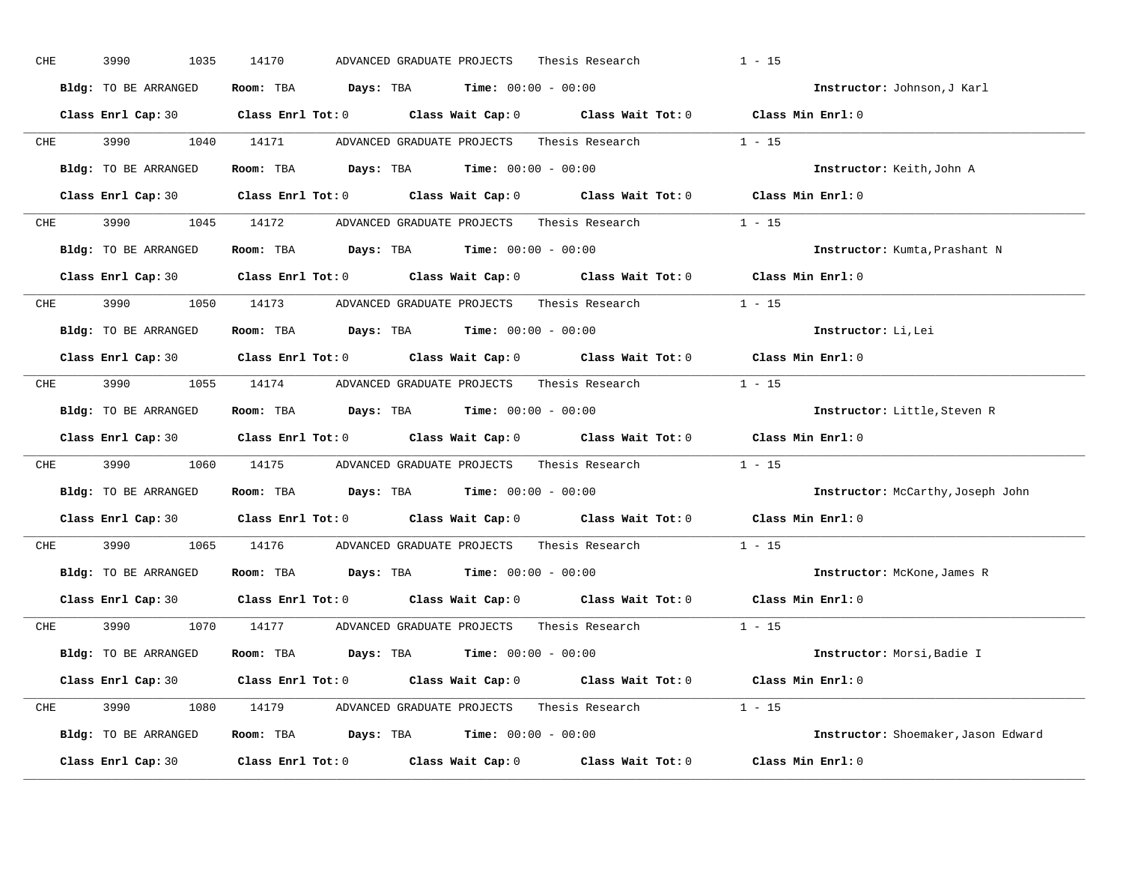| CHE        | 3990<br>1035         | 14170<br>Thesis Research<br>ADVANCED GRADUATE PROJECTS                                              | $1 - 15$                            |
|------------|----------------------|-----------------------------------------------------------------------------------------------------|-------------------------------------|
|            | Bldg: TO BE ARRANGED | Room: TBA $Days:$ TBA $Time: 00:00 - 00:00$                                                         | Instructor: Johnson, J Karl         |
|            |                      | Class Enrl Cap: 30 Class Enrl Tot: 0 Class Wait Cap: 0 Class Wait Tot: 0 Class Min Enrl: 0          |                                     |
|            | CHE 3990 1040 14171  | Thesis Research 1 - 15<br>ADVANCED GRADUATE PROJECTS                                                |                                     |
|            | Bldg: TO BE ARRANGED | Room: TBA $Days:$ TBA $Time: 00:00 - 00:00$                                                         | Instructor: Keith, John A           |
|            |                      | Class Enrl Cap: 30 Class Enrl Tot: 0 Class Wait Cap: 0 Class Wait Tot: 0 Class Min Enrl: 0          |                                     |
|            |                      | CHE 3990 1045 14172 ADVANCED GRADUATE PROJECTS Thesis Research 1 - 15                               |                                     |
|            | Bldg: TO BE ARRANGED | Room: TBA $Days:$ TBA $Time: 00:00 - 00:00$                                                         | Instructor: Kumta, Prashant N       |
|            |                      | Class Enrl Cap: 30 Class Enrl Tot: 0 Class Wait Cap: 0 Class Wait Tot: 0 Class Min Enrl: 0          |                                     |
|            |                      | CHE 3990 1050 14173 ADVANCED GRADUATE PROJECTS Thesis Research                                      | $1 - 15$                            |
|            | Bldg: TO BE ARRANGED | Room: TBA $Days:$ TBA $Time: 00:00 - 00:00$                                                         | Instructor: Li, Lei                 |
|            |                      | Class Enrl Cap: 30 Class Enrl Tot: 0 Class Wait Cap: 0 Class Wait Tot: 0 Class Min Enrl: 0          |                                     |
| CHE        |                      | 3990 1055 14174 ADVANCED GRADUATE PROJECTS Thesis Research 1 - 15                                   |                                     |
|            | Bldg: TO BE ARRANGED | Room: TBA $Days: TBA$ Time: $00:00 - 00:00$                                                         | Instructor: Little, Steven R        |
|            |                      | Class Enrl Cap: 30 Class Enrl Tot: 0 Class Wait Cap: 0 Class Wait Tot: 0 Class Min Enrl: 0          |                                     |
| <b>CHE</b> |                      | 3990 1060 14175 ADVANCED GRADUATE PROJECTS Thesis Research                                          | $1 - 15$                            |
|            | Bldg: TO BE ARRANGED | Room: TBA $Days:$ TBA $Time: 00:00 - 00:00$                                                         | Instructor: McCarthy, Joseph John   |
|            |                      | Class Enrl Cap: 30 $\qquad$ Class Enrl Tot: 0 $\qquad$ Class Wait Cap: 0 $\qquad$ Class Wait Tot: 0 | Class Min Enrl: 0                   |
| <b>CHE</b> | 3990 700             | 1065 14176 ADVANCED GRADUATE PROJECTS Thesis Research                                               | $1 - 15$                            |
|            | Bldg: TO BE ARRANGED | Room: TBA $Days:$ TBA Time: $00:00 - 00:00$                                                         | Instructor: McKone, James R         |
|            |                      | Class Enrl Cap: 30 Class Enrl Tot: 0 Class Wait Cap: 0 Class Wait Tot: 0                            | Class Min Enrl: 0                   |
|            |                      | CHE 3990 1070 14177 ADVANCED GRADUATE PROJECTS<br>Thesis Research $1 - 15$                          |                                     |
|            | Bldg: TO BE ARRANGED | Room: TBA $Days:$ TBA $Time: 00:00 - 00:00$                                                         | Instructor: Morsi, Badie I          |
|            |                      | Class Enrl Cap: 30 Class Enrl Tot: 0 Class Wait Cap: 0 Class Wait Tot: 0 Class Min Enrl: 0          |                                     |
|            |                      | CHE 3990 1080 14179 ADVANCED GRADUATE PROJECTS Thesis Research 1 - 15                               |                                     |
|            | Bldg: TO BE ARRANGED | <b>Room:</b> TBA $\qquad \qquad$ Days: TBA $\qquad \qquad$ Time: $00:00 - 00:00$                    | Instructor: Shoemaker, Jason Edward |
|            | Class Enrl Cap: 30   | Class Enrl Tot: $0$ Class Wait Cap: $0$ Class Wait Tot: $0$                                         | Class Min Enrl: 0                   |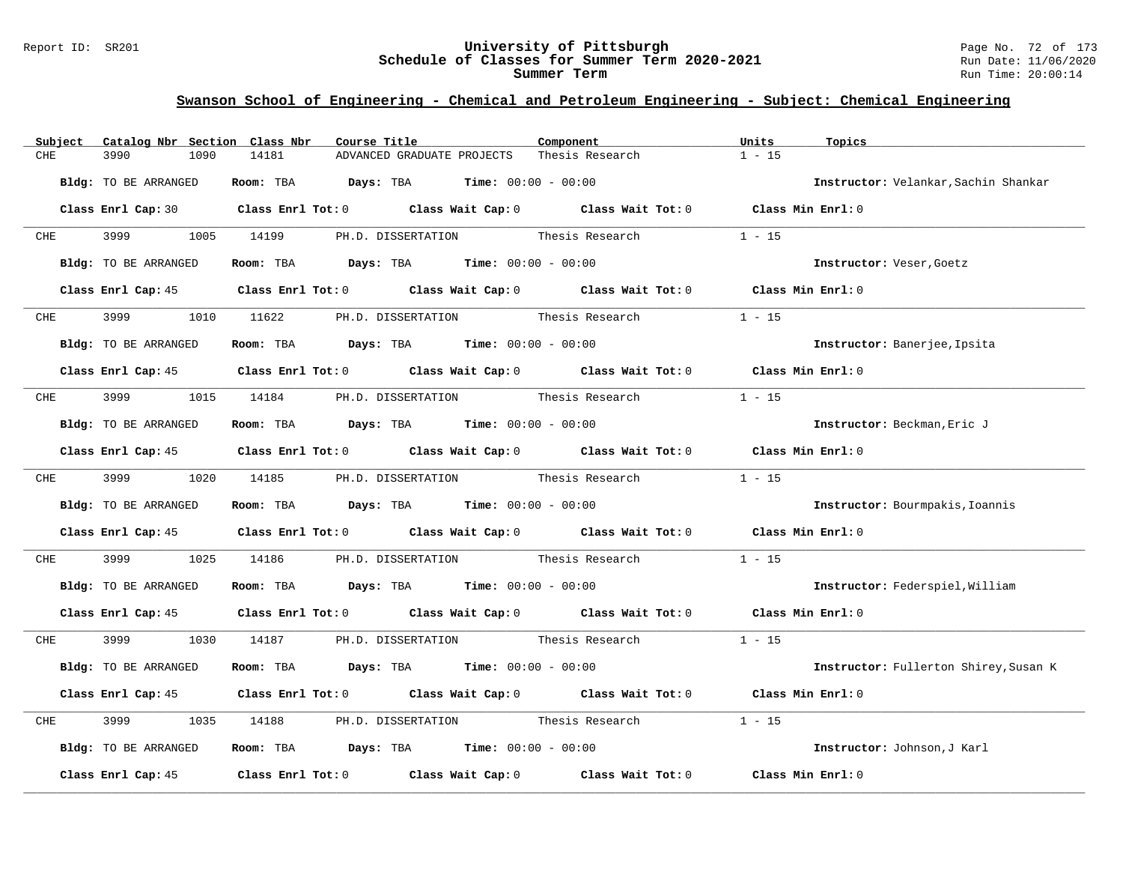#### Report ID: SR201 **University of Pittsburgh** Page No. 72 of 173 **Schedule of Classes for Summer Term 2020-2021** Run Date: 11/06/2020 **Summer Term** Run Time: 20:00:14

| Subject    | Catalog Nbr Section Class Nbr | Course Title                                                                                    | Component                          | Units<br>Topics                       |
|------------|-------------------------------|-------------------------------------------------------------------------------------------------|------------------------------------|---------------------------------------|
| CHE        | 3990<br>1090                  | 14181<br>ADVANCED GRADUATE PROJECTS                                                             | Thesis Research                    | $1 - 15$                              |
|            | Bldg: TO BE ARRANGED          | Room: TBA $Days:$ TBA $Time: 00:00 - 00:00$                                                     |                                    | Instructor: Velankar, Sachin Shankar  |
|            |                               | Class Enrl Cap: 30 Class Enrl Tot: 0 Class Wait Cap: 0 Class Wait Tot: 0 Class Min Enrl: 0      |                                    |                                       |
| CHE        | 3999 (1988)                   | 1005 14199<br>PH.D. DISSERTATION Thesis Research                                                |                                    | $1 - 15$                              |
|            | Bldg: TO BE ARRANGED          | Room: TBA $Days: TBA$ Time: $00:00 - 00:00$                                                     |                                    | Instructor: Veser, Goetz              |
|            |                               | Class Enrl Cap: 45 (Class Enrl Tot: 0 (Class Wait Cap: 0 (Class Wait Tot: 0 (Class Min Enrl: 0) |                                    |                                       |
| <b>CHE</b> | 3999 (1989)                   | 1010 11622 PH.D. DISSERTATION Thesis Research                                                   |                                    | $1 - 15$                              |
|            | Bldg: TO BE ARRANGED          | Room: TBA $\rule{1em}{0.15mm}$ Days: TBA Time: $00:00 - 00:00$                                  |                                    | Instructor: Banerjee, Ipsita          |
|            |                               | Class Enrl Cap: 45 Class Enrl Tot: 0 Class Wait Cap: 0 Class Wait Tot: 0 Class Min Enrl: 0      |                                    |                                       |
| CHE        | 3999                          | 1015 14184<br>PH.D. DISSERTATION Thesis Research                                                |                                    | $1 - 15$                              |
|            | Bldg: TO BE ARRANGED          | Room: TBA $\rule{1em}{0.15mm}$ Days: TBA Time: $00:00 - 00:00$                                  |                                    | Instructor: Beckman, Eric J           |
|            |                               | Class Enrl Cap: 45 (Class Enrl Tot: 0 (Class Wait Cap: 0 (Class Wait Tot: 0 (Class Min Enrl: 0) |                                    |                                       |
|            |                               | CHE 3999 1020 14185 PH.D. DISSERTATION Thesis Research                                          |                                    | $1 - 15$                              |
|            | Bldg: TO BE ARRANGED          | Room: TBA $Days:$ TBA $Time: 00:00 - 00:00$                                                     |                                    | Instructor: Bourmpakis, Ioannis       |
|            |                               | Class Enrl Cap: 45 (Class Enrl Tot: 0 (Class Wait Cap: 0 (Class Wait Tot: 0 (Class Min Enrl: 0) |                                    |                                       |
| CHE        | 3999<br>1025                  | 14186                                                                                           | PH.D. DISSERTATION Thesis Research | $1 - 15$                              |
|            | Bldg: TO BE ARRANGED          | Room: TBA $Days:$ TBA $Time: 00:00 - 00:00$                                                     |                                    | Instructor: Federspiel, William       |
|            |                               | Class Enrl Cap: 45 (Class Enrl Tot: 0 (Class Wait Cap: 0 (Class Wait Tot: 0 (Class Min Enrl: 0) |                                    |                                       |
| CHE        | 3999 700                      | 1030 14187 PH.D. DISSERTATION Thesis Research                                                   |                                    | $1 - 15$                              |
|            | Bldg: TO BE ARRANGED          | Room: TBA $Days:$ TBA $Time: 00:00 - 00:00$                                                     |                                    | Instructor: Fullerton Shirey, Susan K |
|            |                               | Class Enrl Cap: 45 Class Enrl Tot: 0 Class Wait Cap: 0 Class Wait Tot: 0 Class Min Enrl: 0      |                                    |                                       |
| CHE        | 3999<br>1035                  | PH.D. DISSERTATION Thesis Research<br>14188                                                     |                                    | $1 - 15$                              |
|            | Bldg: TO BE ARRANGED          | Room: TBA $Days:$ TBA $Time: 00:00 - 00:00$                                                     |                                    | Instructor: Johnson, J Karl           |
|            | Class Enrl Cap: 45            | Class Enrl Tot: $0$ Class Wait Cap: $0$ Class Wait Tot: $0$                                     |                                    | Class Min Enrl: 0                     |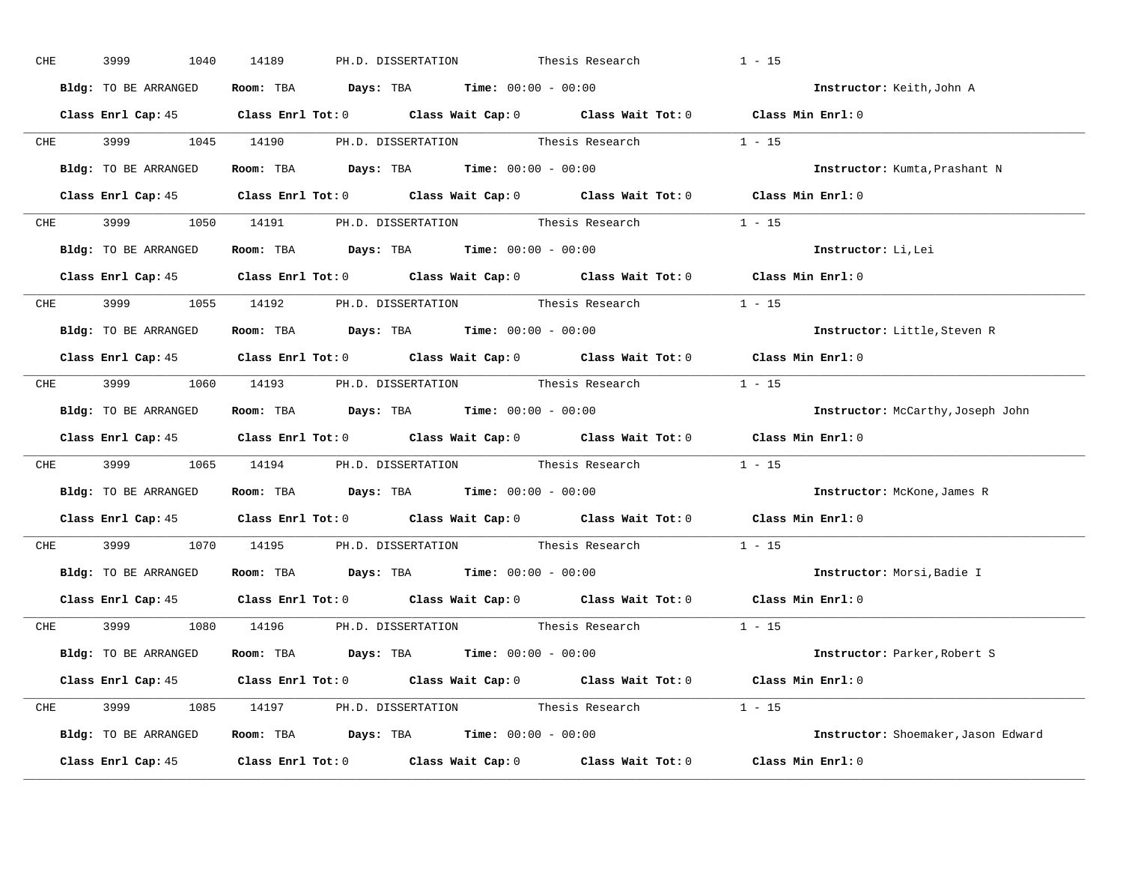| CHE        | 3999<br>1040         | 14189<br>PH.D. DISSERTATION Thesis Research                                                    | $1 - 15$ |                                     |
|------------|----------------------|------------------------------------------------------------------------------------------------|----------|-------------------------------------|
|            | Bldg: TO BE ARRANGED | Room: TBA $Days:$ TBA $Time: 00:00 - 00:00$                                                    |          | Instructor: Keith, John A           |
|            |                      | Class Enrl Cap: 45 Class Enrl Tot: 0 Class Wait Cap: 0 Class Wait Tot: 0 Class Min Enrl: 0     |          |                                     |
|            |                      | CHE 3999 1045 14190 PH.D. DISSERTATION Thesis Research 1 - 15                                  |          |                                     |
|            | Bldg: TO BE ARRANGED | Room: TBA $Days:$ TBA Time: $00:00 - 00:00$                                                    |          | Instructor: Kumta, Prashant N       |
|            |                      | Class Enrl Cap: 45 (Class Enrl Tot: 0 (Class Wait Cap: 0 (Class Wait Tot: 0 (Class Min Enrl: 0 |          |                                     |
|            |                      | CHE 3999 1050 14191 PH.D. DISSERTATION Thesis Research 1 - 15                                  |          |                                     |
|            |                      | Bldg: TO BE ARRANGED Room: TBA Days: TBA Time: 00:00 - 00:00                                   |          | Instructor: Li, Lei                 |
|            |                      | Class Enrl Cap: 45 Class Enrl Tot: 0 Class Wait Cap: 0 Class Wait Tot: 0 Class Min Enrl: 0     |          |                                     |
|            |                      | CHE 3999 1055 14192 PH.D. DISSERTATION Thesis Research 1 - 15                                  |          |                                     |
|            | Bldg: TO BE ARRANGED | Room: TBA $\rule{1em}{0.15mm}$ Days: TBA Time: $00:00 - 00:00$                                 |          | Instructor: Little, Steven R        |
|            |                      | Class Enrl Cap: 45 Class Enrl Tot: 0 Class Wait Cap: 0 Class Wait Tot: 0 Class Min Enrl: 0     |          |                                     |
|            |                      | CHE 3999 1060 14193 PH.D. DISSERTATION Thesis Research 1 - 15                                  |          |                                     |
|            | Bldg: TO BE ARRANGED | Room: TBA $\rule{1em}{0.15mm}$ Days: TBA Time: $00:00 - 00:00$                                 |          | Instructor: McCarthy, Joseph John   |
|            |                      | Class Enrl Cap: 45 Class Enrl Tot: 0 Class Wait Cap: 0 Class Wait Tot: 0 Class Min Enrl: 0     |          |                                     |
|            |                      | CHE 3999 1065 14194 PH.D. DISSERTATION Thesis Research 1 - 15                                  |          |                                     |
|            |                      | Bldg: TO BE ARRANGED ROOM: TBA Days: TBA Time: 00:00 - 00:00                                   |          | Instructor: McKone, James R         |
|            |                      | Class Enrl Cap: 45 Class Enrl Tot: 0 Class Wait Cap: 0 Class Wait Tot: 0                       |          | Class Min Enrl: 0                   |
| <b>CHE</b> |                      | 3999 1070 14195 PH.D. DISSERTATION Thesis Research                                             | $1 - 15$ |                                     |
|            |                      | <b>Bldg:</b> TO BE ARRANGED <b>Room:</b> TBA <b>Days:</b> TBA <b>Time:</b> $00:00 - 00:00$     |          | Instructor: Morsi, Badie I          |
|            |                      | Class Enrl Cap: 45 Class Enrl Tot: 0 Class Wait Cap: 0 Class Wait Tot: 0 Class Min Enrl: 0     |          |                                     |
|            |                      | CHE 3999 1080 14196 PH.D. DISSERTATION Thesis Research                                         | $1 - 15$ |                                     |
|            | Bldg: TO BE ARRANGED | Room: TBA $\rule{1em}{0.15mm}$ Days: TBA $\rule{1.5mm}{0.15mm}$ Time: $00:00 - 00:00$          |          | Instructor: Parker, Robert S        |
|            |                      | Class Enrl Cap: 45 Class Enrl Tot: 0 Class Wait Cap: 0 Class Wait Tot: 0 Class Min Enrl: 0     |          |                                     |
|            |                      | CHE 3999 1085 14197 PH.D. DISSERTATION Thesis Research 1 - 15                                  |          |                                     |
|            |                      | Bldg: TO BE ARRANGED Room: TBA Days: TBA Time: 00:00 - 00:00                                   |          | Instructor: Shoemaker, Jason Edward |
|            |                      | Class Enrl Cap: 45 Class Enrl Tot: 0 Class Wait Cap: 0 Class Wait Tot: 0 Class Min Enrl: 0     |          |                                     |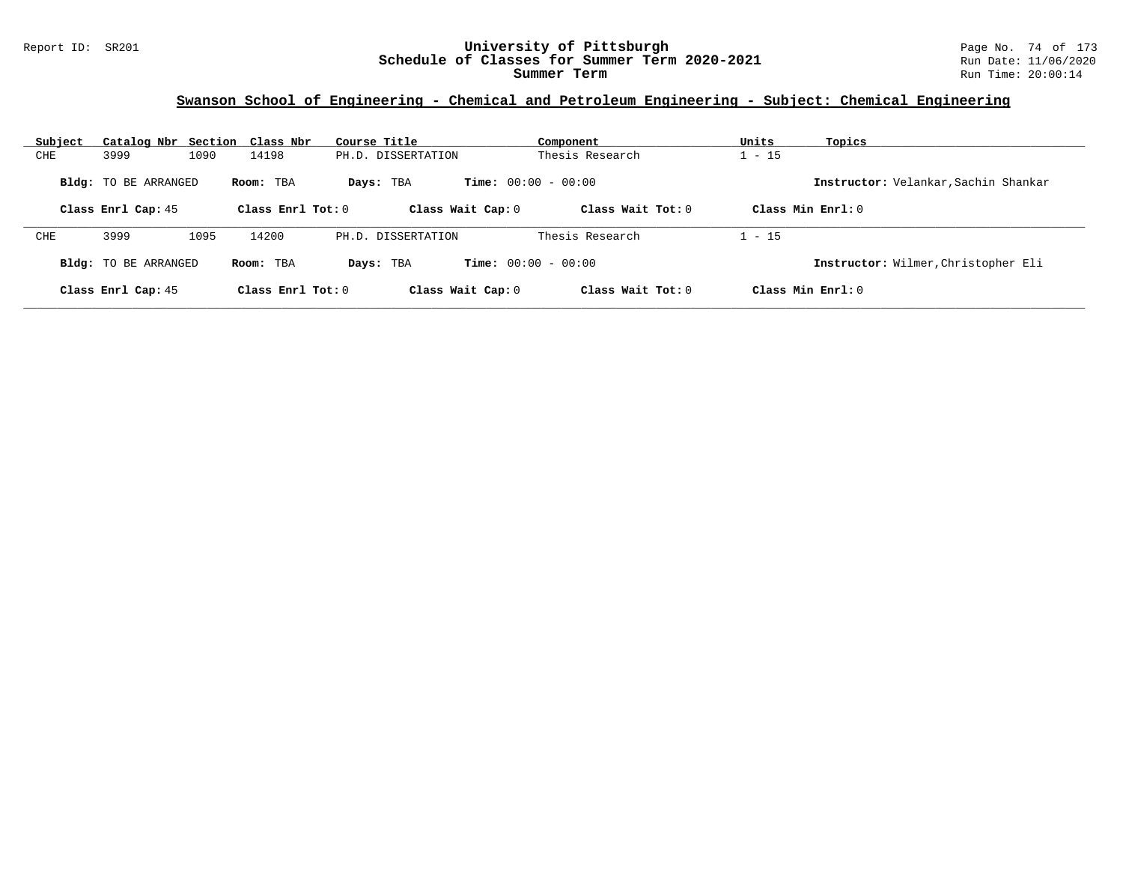## **Swanson School of Engineering - Chemical and Petroleum Engineering - Subject: Chemical Engineering**

| Subject |                             | Catalog Nbr Section Class Nbr | Course Title       | Component                    | Units               | Topics                               |
|---------|-----------------------------|-------------------------------|--------------------|------------------------------|---------------------|--------------------------------------|
| CHE     | 3999                        | 14198<br>1090                 | PH.D. DISSERTATION | Thesis Research              | $1 - 15$            |                                      |
|         | <b>Bldg:</b> TO BE ARRANGED | Room: TBA                     | Days: TBA          | <b>Time:</b> $00:00 - 00:00$ |                     | Instructor: Velankar, Sachin Shankar |
|         | Class Enrl Cap: 45          | Class Enrl Tot: $0$           | Class Wait Cap: 0  | Class Wait Tot: $0$          | Class Min $Enrl: 0$ |                                      |
| CHE     | 3999                        | 14200<br>1095                 | PH.D. DISSERTATION | Thesis Research              | $1 - 15$            |                                      |
|         |                             |                               |                    | <b>Time:</b> $00:00 - 00:00$ |                     |                                      |
|         | <b>Bldg:</b> TO BE ARRANGED | Room: TBA                     | Days: TBA          |                              |                     | Instructor: Wilmer, Christopher Eli  |
|         | Class Enrl Cap: 45          | Class Enrl Tot: $0$           | Class Wait Cap: 0  | Class Wait Tot: $0$          | Class Min $Enrl: 0$ |                                      |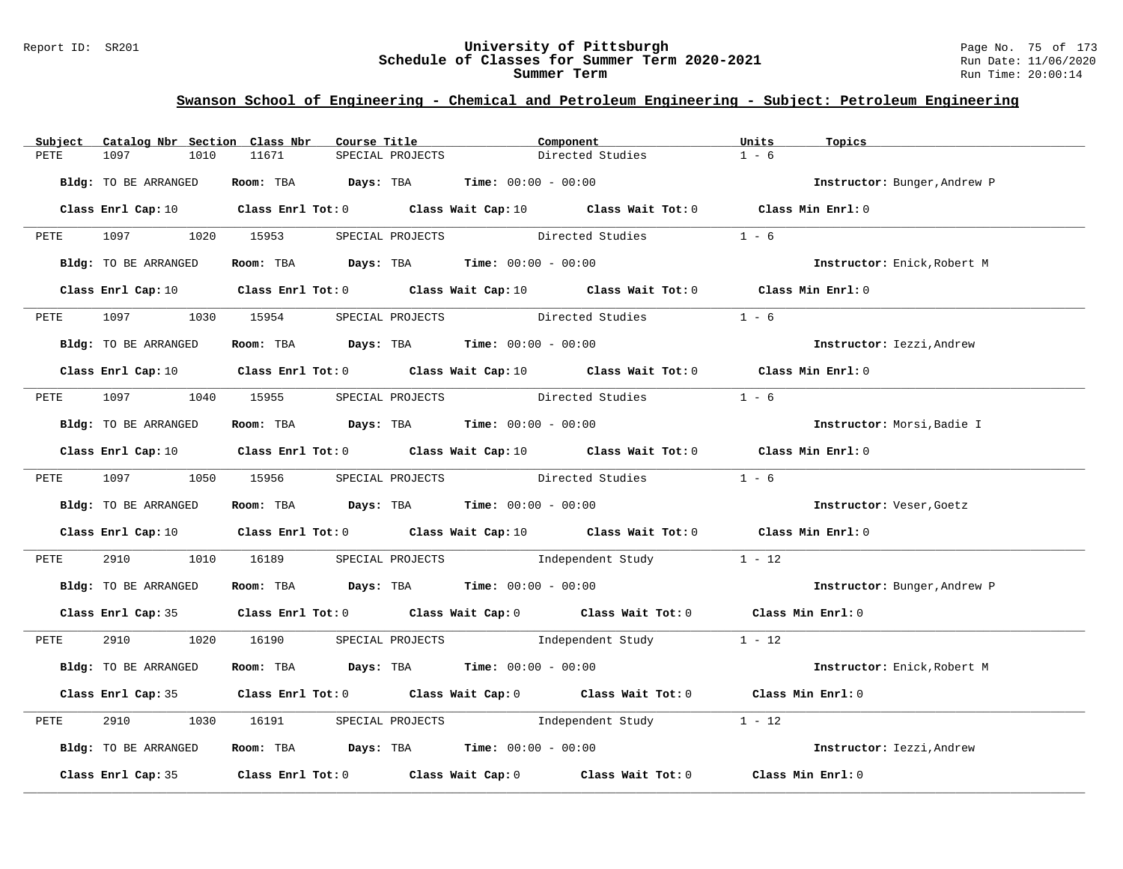#### Report ID: SR201 **University of Pittsburgh** Page No. 75 of 173 **Schedule of Classes for Summer Term 2020-2021** Run Date: 11/06/2020 **Summer Term** Run Time: 20:00:14

## **Swanson School of Engineering - Chemical and Petroleum Engineering - Subject: Petroleum Engineering**

| Subject | Catalog Nbr Section Class Nbr | Course Title                                                                                                                    |                  | Component        |                  | Units   | Topics                       |
|---------|-------------------------------|---------------------------------------------------------------------------------------------------------------------------------|------------------|------------------|------------------|---------|------------------------------|
| PETE    | 1097<br>1010                  | 11671                                                                                                                           | SPECIAL PROJECTS |                  | Directed Studies | $1 - 6$ |                              |
|         | Bldg: TO BE ARRANGED          | Room: TBA $Days:$ TBA $Time: 00:00 - 00:00$                                                                                     |                  |                  |                  |         | Instructor: Bunger, Andrew P |
|         |                               | Class Enrl Cap: 10 Class Enrl Tot: 0 Class Wait Cap: 10 Class Wait Tot: 0 Class Min Enrl: 0                                     |                  |                  |                  |         |                              |
|         |                               | PETE 1097 1020 15953 SPECIAL PROJECTS                                                                                           |                  | Directed Studies |                  | $1 - 6$ |                              |
|         | Bldg: TO BE ARRANGED          | Room: TBA $Days:$ TBA Time: $00:00 - 00:00$                                                                                     |                  |                  |                  |         | Instructor: Enick, Robert M  |
|         |                               | Class Enrl Cap: 10 $\qquad$ Class Enrl Tot: 0 $\qquad$ Class Wait Cap: 10 $\qquad$ Class Wait Tot: 0 $\qquad$ Class Min Enrl: 0 |                  |                  |                  |         |                              |
|         | PETE 1097                     | 1030 15954 SPECIAL PROJECTS                                                                                                     |                  | Directed Studies |                  | $1 - 6$ |                              |
|         | Bldg: TO BE ARRANGED          | Room: TBA $Days:$ TBA $Time:$ 00:00 - 00:00                                                                                     |                  |                  |                  |         | Instructor: Iezzi, Andrew    |
|         |                               | Class Enrl Cap: 10 $\qquad$ Class Enrl Tot: 0 $\qquad$ Class Wait Cap: 10 $\qquad$ Class Wait Tot: 0 $\qquad$ Class Min Enrl: 0 |                  |                  |                  |         |                              |
|         |                               | PETE 1097 1040 15955 SPECIAL PROJECTS Directed Studies                                                                          |                  |                  |                  | $1 - 6$ |                              |
|         | Bldg: TO BE ARRANGED          | Room: TBA $Days: TBA$ Time: $00:00 - 00:00$                                                                                     |                  |                  |                  |         | Instructor: Morsi, Badie I   |
|         |                               | Class Enrl Cap: 10 $\qquad$ Class Enrl Tot: 0 $\qquad$ Class Wait Cap: 10 $\qquad$ Class Wait Tot: 0 $\qquad$ Class Min Enrl: 0 |                  |                  |                  |         |                              |
|         |                               | PETE 1097 1050 15956 SPECIAL PROJECTS Directed Studies 1 - 6                                                                    |                  |                  |                  |         |                              |
|         | Bldg: TO BE ARRANGED          | Room: TBA $Days:$ TBA $Time: 00:00 - 00:00$                                                                                     |                  |                  |                  |         | Instructor: Veser, Goetz     |
|         |                               | Class Enrl Cap: 10 $\qquad$ Class Enrl Tot: 0 $\qquad$ Class Wait Cap: 10 $\qquad$ Class Wait Tot: 0 $\qquad$ Class Min Enrl: 0 |                  |                  |                  |         |                              |
| PETE    | 2910                          | 1010 16189 SPECIAL PROJECTS 1ndependent Study 1 - 12                                                                            |                  |                  |                  |         |                              |
|         | Bldg: TO BE ARRANGED          | Room: TBA $Days:$ TBA $Time: 00:00 - 00:00$                                                                                     |                  |                  |                  |         | Instructor: Bunger, Andrew P |
|         |                               | Class Enrl Cap: 35 Class Enrl Tot: 0 Class Wait Cap: 0 Class Wait Tot: 0 Class Min Enrl: 0                                      |                  |                  |                  |         |                              |
|         |                               | PETE 2910 1020 16190 SPECIAL PROJECTS Independent Study 1 - 12                                                                  |                  |                  |                  |         |                              |
|         | Bldg: TO BE ARRANGED          | Room: TBA $Days:$ TBA $Time: 00:00 - 00:00$                                                                                     |                  |                  |                  |         | Instructor: Enick, Robert M  |
|         |                               | Class Enrl Cap: 35 Class Enrl Tot: 0 Class Wait Cap: 0 Class Wait Tot: 0 Class Min Enrl: 0                                      |                  |                  |                  |         |                              |
| PETE    | 2910                          | 1030 16191 SPECIAL PROJECTS Independent Study 1 - 12                                                                            |                  |                  |                  |         |                              |
|         | Bldg: TO BE ARRANGED          | Room: TBA $Days:$ TBA $Time: 00:00 - 00:00$                                                                                     |                  |                  |                  |         | Instructor: Iezzi, Andrew    |
|         |                               | Class Enrl Cap: 35 Class Enrl Tot: 0 Class Wait Cap: 0 Class Wait Tot: 0 Class Min Enrl: 0                                      |                  |                  |                  |         |                              |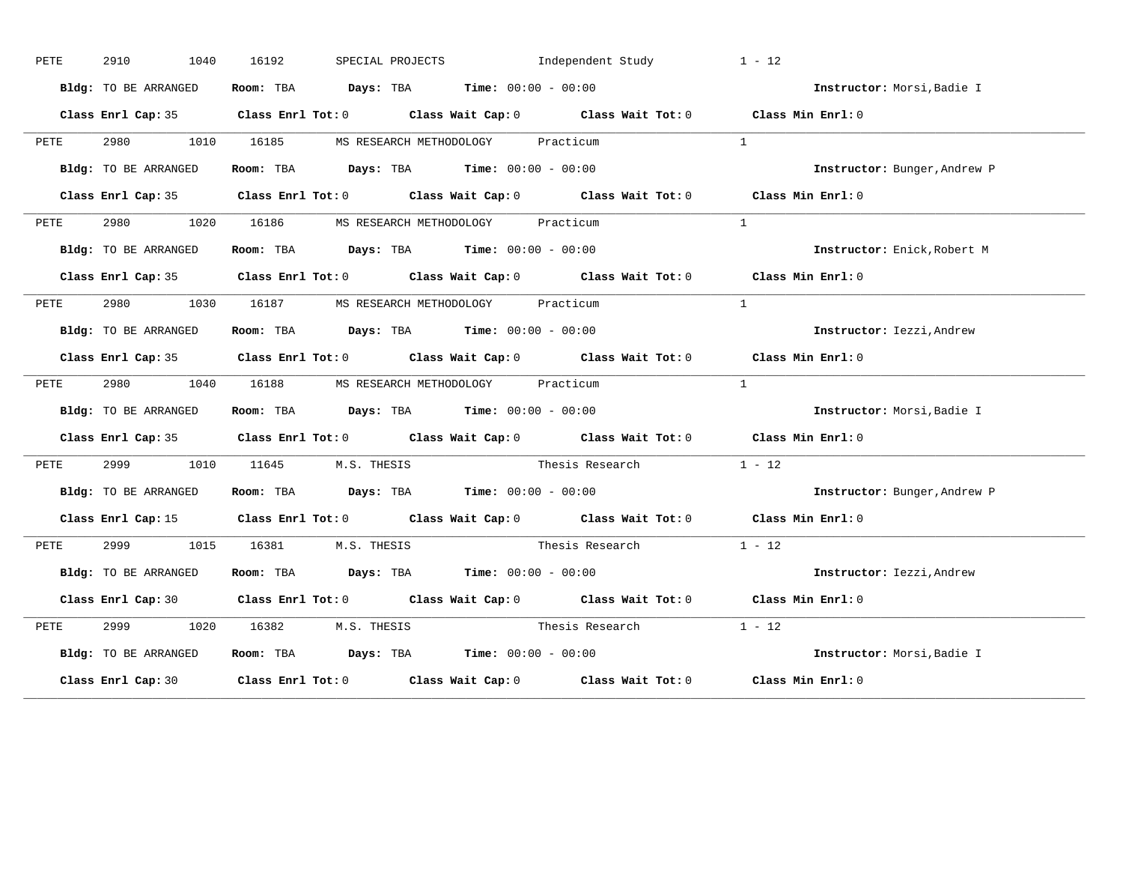| PETE | 2910<br>1040         | 16192                                                          | SPECIAL PROJECTS 1ndependent Study                                                             | $1 - 12$                     |
|------|----------------------|----------------------------------------------------------------|------------------------------------------------------------------------------------------------|------------------------------|
|      | Bldg: TO BE ARRANGED | Room: TBA $Days:$ TBA $Time: 00:00 - 00:00$                    |                                                                                                | Instructor: Morsi, Badie I   |
|      |                      |                                                                | Class Enrl Cap: 35 Class Enrl Tot: 0 Class Wait Cap: 0 Class Wait Tot: 0 Class Min Enrl: 0     |                              |
| PETE | 2980 7               | 1010 16185 MS RESEARCH METHODOLOGY Practicum                   |                                                                                                | $\mathbf{1}$                 |
|      | Bldg: TO BE ARRANGED | Room: TBA $\rule{1em}{0.15mm}$ Days: TBA Time: $00:00 - 00:00$ |                                                                                                | Instructor: Bunger, Andrew P |
|      |                      |                                                                | Class Enrl Cap: 35 Class Enrl Tot: 0 Class Wait Cap: 0 Class Wait Tot: 0 Class Min Enrl: 0     |                              |
| PETE |                      | 2980 1020 16186 MS RESEARCH METHODOLOGY Practicum              |                                                                                                | $\overline{1}$               |
|      | Bldg: TO BE ARRANGED | Room: TBA $Days:$ TBA Time: $00:00 - 00:00$                    |                                                                                                | Instructor: Enick, Robert M  |
|      |                      |                                                                | Class Enrl Cap: 35 Class Enrl Tot: 0 Class Wait Cap: 0 Class Wait Tot: 0 Class Min Enrl: 0     |                              |
| PETE |                      | 2980 1030 16187 MS RESEARCH METHODOLOGY Practicum              |                                                                                                | $\overline{1}$               |
|      | Bldg: TO BE ARRANGED | Room: TBA $Days:$ TBA $Time: 00:00 - 00:00$                    |                                                                                                | Instructor: Iezzi, Andrew    |
|      |                      |                                                                | Class Enrl Cap: 35 Class Enrl Tot: 0 Class Wait Cap: 0 Class Wait Tot: 0 Class Min Enrl: 0     |                              |
| PETE | 2980                 | 1040 16188 MS RESEARCH METHODOLOGY Practicum                   |                                                                                                | $\mathbf{1}$                 |
|      | Bldg: TO BE ARRANGED | Room: TBA $Days:$ TBA $Time: 00:00 - 00:00$                    |                                                                                                | Instructor: Morsi, Badie I   |
|      |                      |                                                                | Class Enrl Cap: 35 Class Enrl Tot: 0 Class Wait Cap: 0 Class Wait Tot: 0 Class Min Enrl: 0     |                              |
| PETE |                      | 2999 1010 11645 M.S. THESIS                                    | Thesis Research $1 - 12$                                                                       |                              |
|      | Bldg: TO BE ARRANGED | Room: TBA $Days:$ TBA $Time: 00:00 - 00:00$                    |                                                                                                | Instructor: Bunger, Andrew P |
|      |                      |                                                                | Class Enrl Cap: 15 (Class Enrl Tot: 0 (Class Wait Cap: 0 (Class Wait Tot: 0 (Class Min Enrl: 0 |                              |
| PETE |                      | 2999 1015 16381 M.S. THESIS                                    | Thesis Research                                                                                | $1 - 12$                     |
|      | Bldg: TO BE ARRANGED | Room: TBA $\rule{1em}{0.15mm}$ Days: TBA Time: $00:00 - 00:00$ |                                                                                                | Instructor: Iezzi, Andrew    |
|      |                      |                                                                | Class Enrl Cap: 30 Class Enrl Tot: 0 Class Wait Cap: 0 Class Wait Tot: 0 Class Min Enrl: 0     |                              |
| PETE |                      |                                                                | 1020 16382 M.S. THESIS Thesis Research 1 - 12                                                  |                              |
|      | Bldg: TO BE ARRANGED | Room: TBA $Days:$ TBA Time: $00:00 - 00:00$                    |                                                                                                | Instructor: Morsi, Badie I   |
|      |                      |                                                                | Class Enrl Cap: 30 Class Enrl Tot: 0 Class Wait Cap: 0 Class Wait Tot: 0 Class Min Enrl: 0     |                              |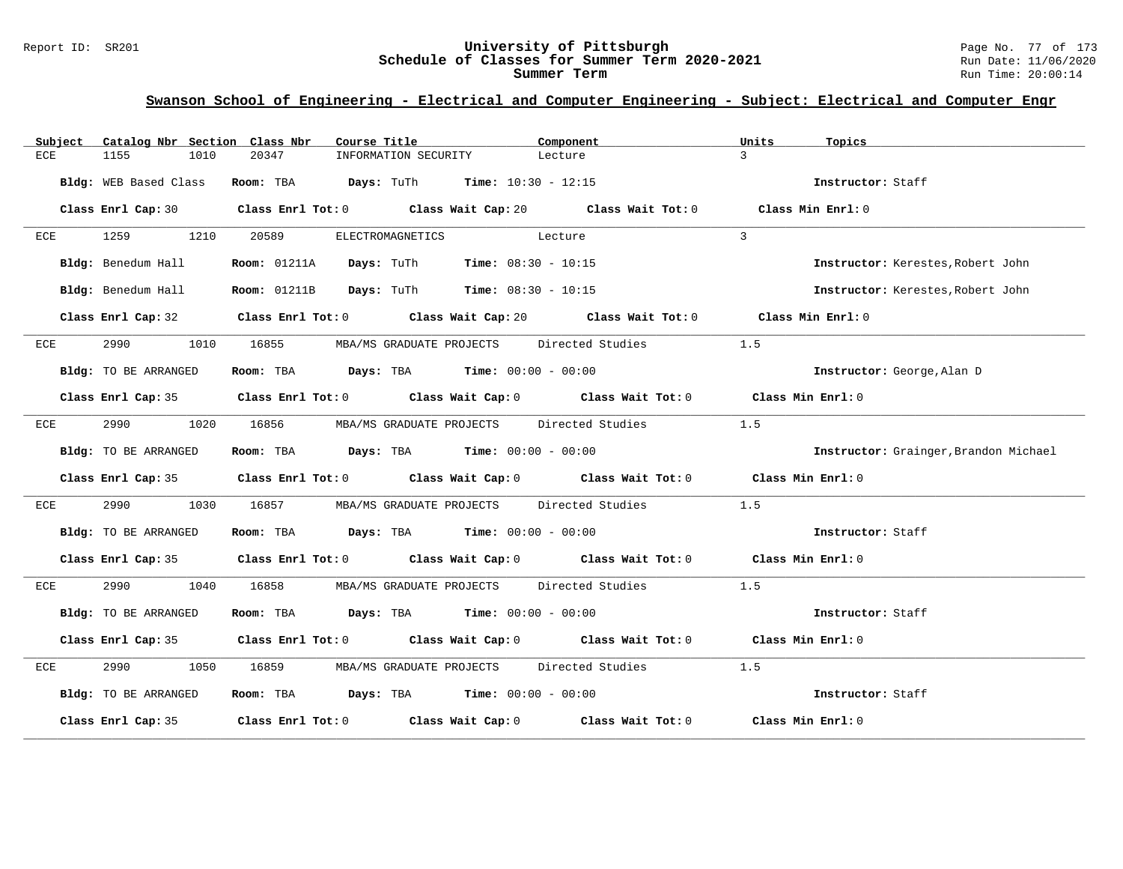#### Report ID: SR201 **University of Pittsburgh** Page No. 77 of 173 **Schedule of Classes for Summer Term 2020-2021** Run Date: 11/06/2020 **Summer Term** Run Time: 20:00:14

| Subject | Catalog Nbr Section Class Nbr | Course Title                                                                    | Component                                                                                                           | Units<br>Topics                       |
|---------|-------------------------------|---------------------------------------------------------------------------------|---------------------------------------------------------------------------------------------------------------------|---------------------------------------|
| ECE     | 1155<br>1010                  | 20347<br>INFORMATION SECURITY                                                   | Lecture                                                                                                             | $\mathcal{L}$                         |
|         | Bldg: WEB Based Class         | <b>Room:</b> TBA $\qquad \qquad$ Days: TuTh $\qquad \qquad$ Time: 10:30 - 12:15 |                                                                                                                     | Instructor: Staff                     |
|         |                               |                                                                                 | Class Enrl Cap: 30 Class Enrl Tot: 0 Class Wait Cap: 20 Class Wait Tot: 0                                           | Class Min Enrl: 0                     |
| ECE     | 1259<br>1210                  | 20589                                                                           | ELECTROMAGNETICS Lecture                                                                                            | $\mathbf{3}$                          |
|         | Bldg: Benedum Hall            | <b>Room:</b> 01211A <b>Days:</b> TuTh <b>Time:</b> $08:30 - 10:15$              |                                                                                                                     | Instructor: Kerestes, Robert John     |
|         | Bldg: Benedum Hall            | <b>Room:</b> 01211B <b>Days:</b> TuTh <b>Time:</b> $08:30 - 10:15$              |                                                                                                                     | Instructor: Kerestes, Robert John     |
|         |                               |                                                                                 | Class Enrl Cap: 32 Class Enrl Tot: 0 Class Wait Cap: 20 Class Wait Tot: 0 Class Min Enrl: 0                         |                                       |
| ECE     | 2990                          |                                                                                 | 1010 16855 MBA/MS GRADUATE PROJECTS Directed Studies                                                                | 1.5                                   |
|         | Bldg: TO BE ARRANGED          | Room: TBA $Days:$ TBA $Time: 00:00 - 00:00$                                     |                                                                                                                     | Instructor: George, Alan D            |
|         |                               |                                                                                 | Class Enrl Cap: 35 Class Enrl Tot: 0 Class Wait Cap: 0 Class Wait Tot: 0 Class Min Enrl: 0                          |                                       |
| ECE     | 2990 72<br>1020               |                                                                                 | 16856 MBA/MS GRADUATE PROJECTS Directed Studies                                                                     | 1.5                                   |
|         | Bldg: TO BE ARRANGED          | Room: TBA $Days:$ TBA $Time: 00:00 - 00:00$                                     |                                                                                                                     | Instructor: Grainger, Brandon Michael |
|         |                               |                                                                                 | Class Enrl Cap: 35 Class Enrl Tot: 0 Class Wait Cap: 0 Class Wait Tot: 0 Class Min Enrl: 0                          |                                       |
| ECE     | 2990 720                      | 1030 16857 MBA/MS GRADUATE PROJECTS Directed Studies                            |                                                                                                                     | 1.5                                   |
|         | Bldg: TO BE ARRANGED          | Room: TBA $\rule{1em}{0.15mm}$ Days: TBA Time: $00:00 - 00:00$                  |                                                                                                                     | Instructor: Staff                     |
|         |                               |                                                                                 | Class Enrl Cap: 35 Class Enrl Tot: 0 Class Wait Cap: 0 Class Wait Tot: 0 Class Min Enrl: 0                          |                                       |
| ECE     | 2990 700                      | 1040 16858 MBA/MS GRADUATE PROJECTS Directed Studies                            |                                                                                                                     | 1.5                                   |
|         | Bldg: TO BE ARRANGED          | Room: TBA $\rule{1em}{0.15mm}$ Days: TBA Time: $00:00 - 00:00$                  |                                                                                                                     | Instructor: Staff                     |
|         |                               |                                                                                 | Class Enrl Cap: 35 Class Enrl Tot: 0 Class Wait Cap: 0 Class Wait Tot: 0 Class Min Enrl: 0                          |                                       |
| ECE     | 2990                          | 1050 16859 MBA/MS GRADUATE PROJECTS Directed Studies                            |                                                                                                                     | 1.5                                   |
|         | Bldg: TO BE ARRANGED          | Room: TBA $Days:$ TBA Time: $00:00 - 00:00$                                     |                                                                                                                     | Instructor: Staff                     |
|         |                               |                                                                                 | Class Enrl Cap: 35 $\,$ Class Enrl Tot: 0 $\,$ Class Wait Cap: 0 $\,$ Class Wait Tot: 0 $\,$ Class Wait Tot: 0 $\,$ | Class Min Enrl: 0                     |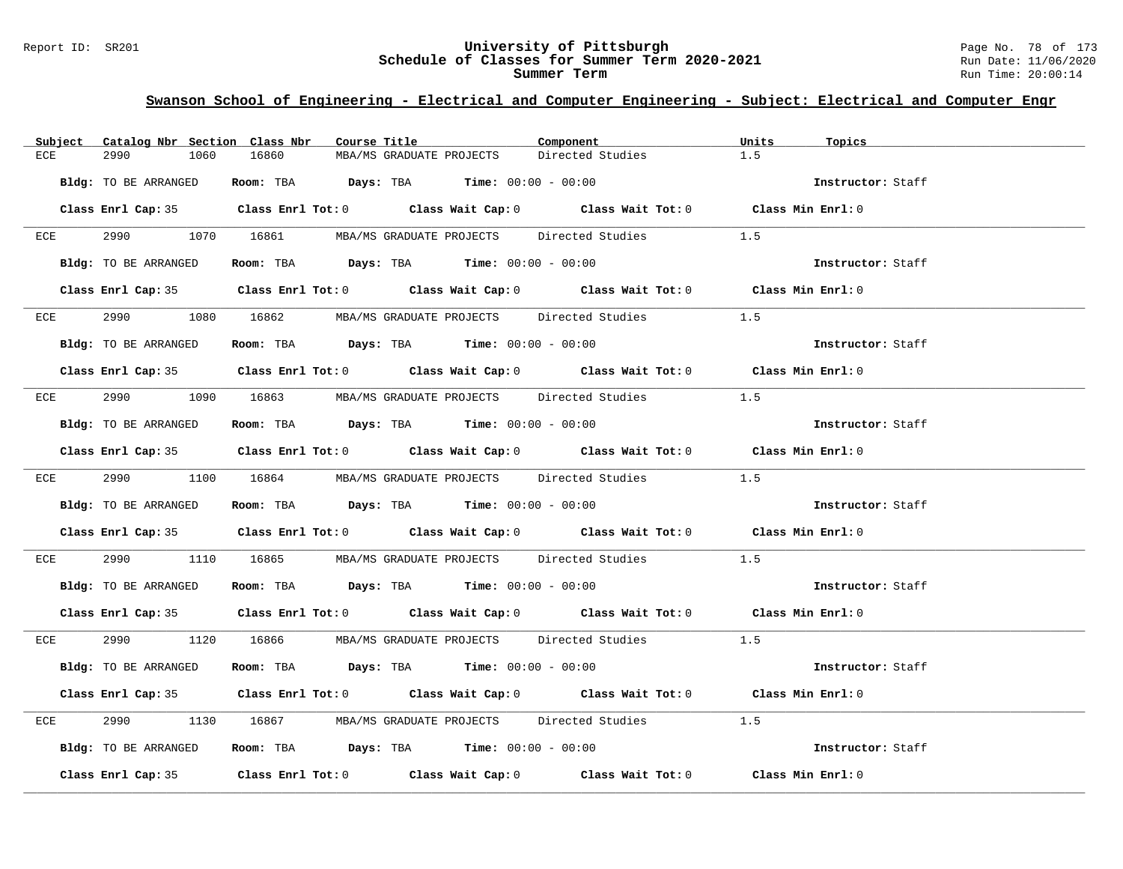#### Report ID: SR201 **University of Pittsburgh** Page No. 78 of 173 **Schedule of Classes for Summer Term 2020-2021** Run Date: 11/06/2020 **Summer Term** Run Time: 20:00:14

| Subject Catalog Nbr Section Class Nbr | Course Title                                                                               | Component        | Units<br>Topics   |
|---------------------------------------|--------------------------------------------------------------------------------------------|------------------|-------------------|
| 2990<br>1060<br>ECE                   | 16860<br>MBA/MS GRADUATE PROJECTS                                                          | Directed Studies | 1.5               |
| Bldg: TO BE ARRANGED                  | Room: TBA $Days:$ TBA $Time: 00:00 - 00:00$                                                |                  | Instructor: Staff |
|                                       |                                                                                            |                  |                   |
|                                       | Class Enrl Cap: 35 Class Enrl Tot: 0 Class Wait Cap: 0 Class Wait Tot: 0 Class Min Enrl: 0 |                  |                   |
|                                       | ECE 2990 1070 16861 MBA/MS GRADUATE PROJECTS Directed Studies                              | 1.5              |                   |
| Bldg: TO BE ARRANGED                  | Room: TBA $Days:$ TBA $Time:$ $00:00 - 00:00$                                              |                  | Instructor: Staff |
|                                       |                                                                                            |                  |                   |
|                                       | Class Enrl Cap: 35 Class Enrl Tot: 0 Class Wait Cap: 0 Class Wait Tot: 0 Class Min Enrl: 0 |                  |                   |
|                                       | ECE 2990 1080 16862 MBA/MS GRADUATE PROJECTS Directed Studies                              |                  | 1.5               |
| Bldg: TO BE ARRANGED                  | Room: TBA $Days:$ TBA $Time: 00:00 - 00:00$                                                |                  | Instructor: Staff |
|                                       | Class Enrl Cap: 35 Class Enrl Tot: 0 Class Wait Cap: 0 Class Wait Tot: 0 Class Min Enrl: 0 |                  |                   |
|                                       | ECE 2990 1090 16863 MBA/MS GRADUATE PROJECTS Directed Studies 1.5                          |                  |                   |
|                                       | Bldg: TO BE ARRANGED ROOM: TBA Days: TBA Time: 00:00 - 00:00                               |                  | Instructor: Staff |
|                                       | Class Enrl Cap: 35 Class Enrl Tot: 0 Class Wait Cap: 0 Class Wait Tot: 0 Class Min Enrl: 0 |                  |                   |
|                                       | ECE 2990 1100 16864 MBA/MS GRADUATE PROJECTS Directed Studies 1.5                          |                  |                   |
|                                       |                                                                                            |                  |                   |
| Bldg: TO BE ARRANGED                  | Room: TBA $\rule{1em}{0.15mm}$ Days: TBA Time: $00:00 - 00:00$                             |                  | Instructor: Staff |
|                                       | Class Enrl Cap: 35 Class Enrl Tot: 0 Class Wait Cap: 0 Class Wait Tot: 0 Class Min Enrl: 0 |                  |                   |
| ECE                                   | 2990 1110 16865 MBA/MS GRADUATE PROJECTS Directed Studies 1.5                              |                  |                   |
| Bldg: TO BE ARRANGED                  | Room: TBA $\rule{1em}{0.15mm}$ Days: TBA Time: $00:00 - 00:00$                             |                  | Instructor: Staff |
|                                       | Class Enrl Cap: 35 Class Enrl Tot: 0 Class Wait Cap: 0 Class Wait Tot: 0 Class Min Enrl: 0 |                  |                   |
|                                       | ECE 2990 1120 16866 MBA/MS GRADUATE PROJECTS Directed Studies 1.5                          |                  |                   |
| Bldg: TO BE ARRANGED                  | Room: TBA $Days:$ TBA $Time: 00:00 - 00:00$                                                |                  | Instructor: Staff |
|                                       |                                                                                            |                  |                   |
|                                       | Class Enrl Cap: 35 Class Enrl Tot: 0 Class Wait Cap: 0 Class Wait Tot: 0 Class Min Enrl: 0 |                  |                   |
| 2990 700<br>ECE                       | 1130 16867 MBA/MS GRADUATE PROJECTS Directed Studies 1.5                                   |                  |                   |
| Bldg: TO BE ARRANGED                  | Room: TBA $Days:$ TBA Time: $00:00 - 00:00$                                                |                  | Instructor: Staff |
|                                       | Class Enrl Cap: 35 Class Enrl Tot: 0 Class Wait Cap: 0 Class Wait Tot: 0 Class Min Enrl: 0 |                  |                   |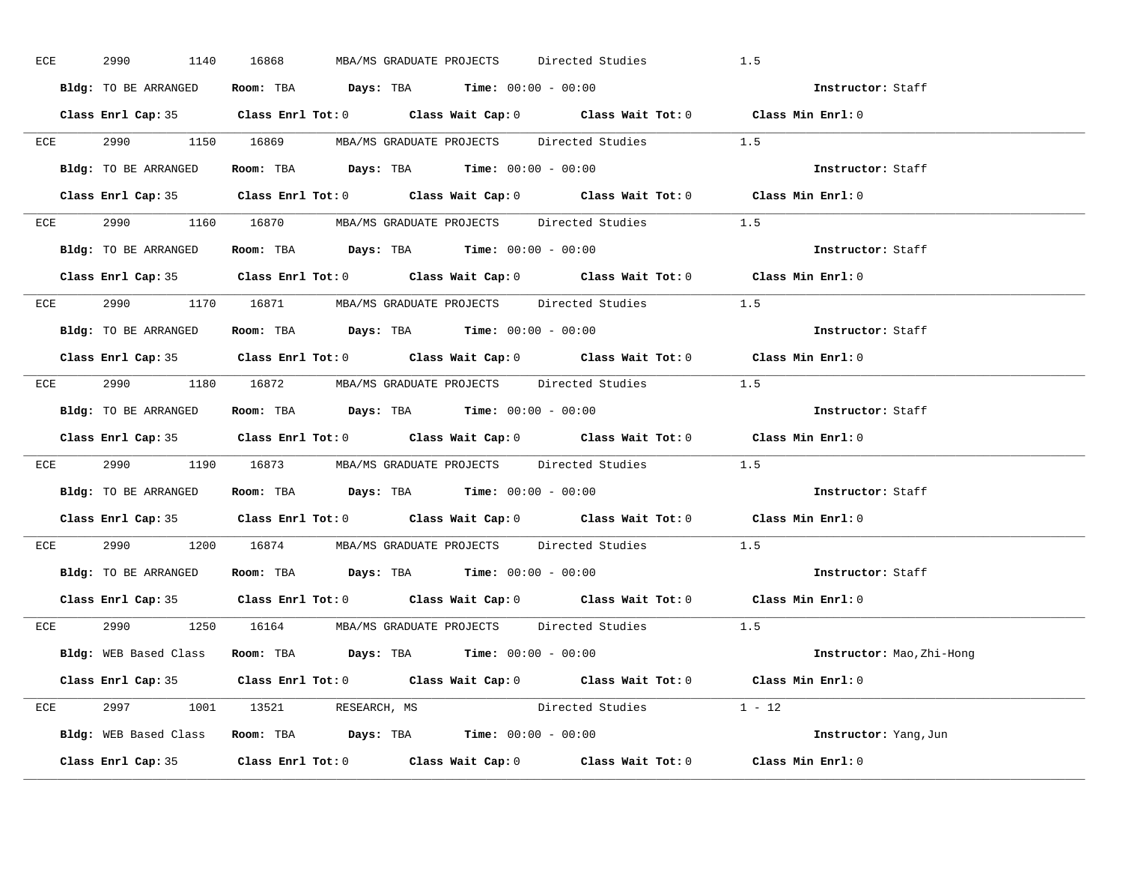| ECE | 2990 1140            | 16868<br>MBA/MS GRADUATE PROJECTS Directed Studies                                         | 1.5                       |
|-----|----------------------|--------------------------------------------------------------------------------------------|---------------------------|
|     | Bldg: TO BE ARRANGED | Room: TBA $\rule{1em}{0.15mm}$ Days: TBA $\rule{1.5mm}{0.15mm}$ Time: $00:00 - 00:00$      | Instructor: Staff         |
|     |                      | Class Enrl Cap: 35 Class Enrl Tot: 0 Class Wait Cap: 0 Class Wait Tot: 0 Class Min Enrl: 0 |                           |
|     |                      | ECE 2990 1150 16869 MBA/MS GRADUATE PROJECTS Directed Studies 1.5                          |                           |
|     | Bldg: TO BE ARRANGED | Room: TBA $\rule{1em}{0.15mm}$ Days: TBA Time: $00:00 - 00:00$                             | Instructor: Staff         |
|     |                      | Class Enrl Cap: 35 Class Enrl Tot: 0 Class Wait Cap: 0 Class Wait Tot: 0 Class Min Enrl: 0 |                           |
|     |                      | ECE 2990 1160 16870 MBA/MS GRADUATE PROJECTS Directed Studies 1.5                          |                           |
|     |                      | <b>Bldg:</b> TO BE ARRANGED <b>Room:</b> TBA <b>Days:</b> TBA <b>Time:</b> $00:00 - 00:00$ | Instructor: Staff         |
|     |                      | Class Enrl Cap: 35 Class Enrl Tot: 0 Class Wait Cap: 0 Class Wait Tot: 0 Class Min Enrl: 0 |                           |
|     |                      | ECE 2990 1170 16871 MBA/MS GRADUATE PROJECTS Directed Studies 1.5                          |                           |
|     | Bldg: TO BE ARRANGED | Room: TBA $\rule{1em}{0.15mm}$ Days: TBA Time: $00:00 - 00:00$                             | Instructor: Staff         |
|     |                      | Class Enrl Cap: 35 Class Enrl Tot: 0 Class Wait Cap: 0 Class Wait Tot: 0 Class Min Enrl: 0 |                           |
|     |                      | ECE 2990 1180 16872 MBA/MS GRADUATE PROJECTS Directed Studies 1.5                          |                           |
|     |                      | Bldg: TO BE ARRANGED Room: TBA Days: TBA Time: 00:00 - 00:00                               | Instructor: Staff         |
|     |                      | Class Enrl Cap: 35 Class Enrl Tot: 0 Class Wait Cap: 0 Class Wait Tot: 0 Class Min Enrl: 0 |                           |
|     |                      | ECE 2990 1190 16873 MBA/MS GRADUATE PROJECTS Directed Studies 1.5                          |                           |
|     |                      | Bldg: TO BE ARRANGED ROOM: TBA Days: TBA Time: 00:00 - 00:00                               | Instructor: Staff         |
|     |                      | Class Enrl Cap: 35 Class Enrl Tot: 0 Class Wait Cap: 0 Class Wait Tot: 0 Class Min Enrl: 0 |                           |
|     |                      | ECE 2990 1200 16874 MBA/MS GRADUATE PROJECTS Directed Studies                              | 1.5                       |
|     |                      | Bldg: TO BE ARRANGED ROOM: TBA Days: TBA Time: 00:00 - 00:00                               | Instructor: Staff         |
|     |                      | Class Enrl Cap: 35 Class Enrl Tot: 0 Class Wait Cap: 0 Class Wait Tot: 0 Class Min Enrl: 0 |                           |
|     |                      | ECE 2990 1250 16164 MBA/MS GRADUATE PROJECTS Directed Studies 1.5                          |                           |
|     |                      | Bldg: WEB Based Class Room: TBA Days: TBA Time: 00:00 - 00:00                              | Instructor: Mao, Zhi-Hong |
|     |                      | Class Enrl Cap: 35 Class Enrl Tot: 0 Class Wait Cap: 0 Class Wait Tot: 0 Class Min Enrl: 0 |                           |
|     |                      | Directed Studies 1 - 12<br>ECE 2997 1001 13521 RESEARCH, MS                                |                           |
|     |                      | Bldg: WEB Based Class Room: TBA Days: TBA Time: 00:00 - 00:00                              | Instructor: Yang, Jun     |
|     |                      | Class Enrl Cap: 35 Class Enrl Tot: 0 Class Wait Cap: 0 Class Wait Tot: 0 Class Min Enrl: 0 |                           |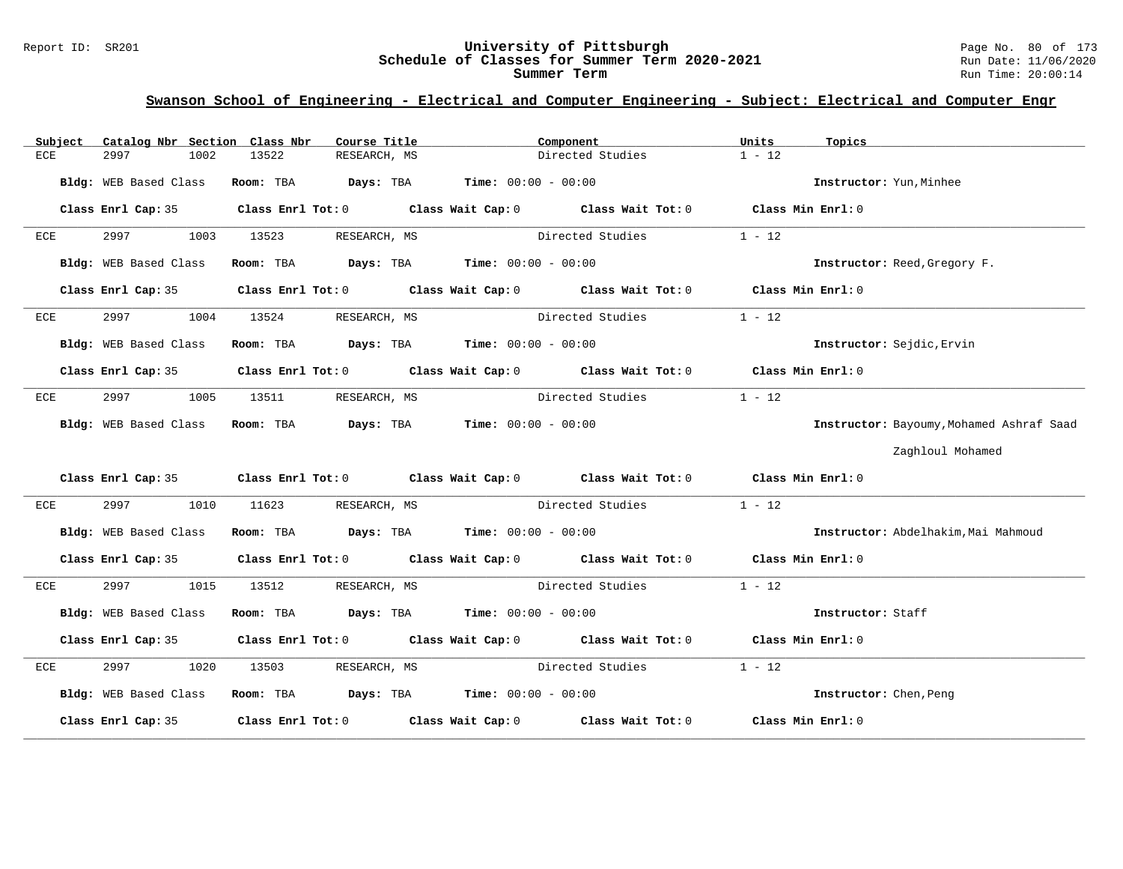#### Report ID: SR201 **University of Pittsburgh** Page No. 80 of 173 **Schedule of Classes for Summer Term 2020-2021** Run Date: 11/06/2020 **Summer Term** Run Time: 20:00:14

| Subject    | Catalog Nbr Section Class Nbr | Course Title                                                                             | Component                                                                                          | Units<br>Topics                          |
|------------|-------------------------------|------------------------------------------------------------------------------------------|----------------------------------------------------------------------------------------------------|------------------------------------------|
| <b>ECE</b> | 2997<br>1002                  | 13522<br>RESEARCH, MS                                                                    | Directed Studies                                                                                   | $1 - 12$                                 |
|            | Bldg: WEB Based Class         | Room: TBA $\rule{1em}{0.15mm}$ Days: TBA Time: $00:00 - 00:00$                           |                                                                                                    | Instructor: Yun, Minhee                  |
|            |                               |                                                                                          | Class Enrl Cap: 35 Class Enrl Tot: 0 Class Wait Cap: 0 Class Wait Tot: 0 Class Min Enrl: 0         |                                          |
| ECE        | 2997<br>1003                  | 13523<br>RESEARCH, MS                                                                    | Directed Studies                                                                                   | $1 - 12$                                 |
|            | Bldg: WEB Based Class         | Room: TBA $\rule{1em}{0.15mm}$ Days: TBA $\rule{1.15mm}]{0.15mm}$ Time: $0.000 - 0.0000$ |                                                                                                    | Instructor: Reed, Gregory F.             |
|            |                               |                                                                                          | Class Enrl Cap: 35 Class Enrl Tot: 0 Class Wait Cap: 0 Class Wait Tot: 0 Class Min Enrl: 0         |                                          |
| ECE        | 2997<br>1004                  | 13524<br>RESEARCH, MS                                                                    | Directed Studies                                                                                   | $1 - 12$                                 |
|            | Bldg: WEB Based Class         | Room: TBA $\rule{1em}{0.15mm}$ Days: TBA Time: $00:00 - 00:00$                           |                                                                                                    | Instructor: Sejdic, Ervin                |
|            | Class Enrl Cap: 35            |                                                                                          | Class Enrl Tot: 0 $\qquad$ Class Wait Cap: 0 $\qquad$ Class Wait Tot: 0 $\qquad$ Class Min Enrl: 0 |                                          |
| ECE        | 2997<br>1005                  | 13511                                                                                    | RESEARCH, MS Directed Studies                                                                      | $1 - 12$                                 |
|            |                               | Bldg: WEB Based Class Room: TBA Days: TBA Time: 00:00 - 00:00                            |                                                                                                    | Instructor: Bayoumy, Mohamed Ashraf Saad |
|            |                               |                                                                                          |                                                                                                    | Zaghloul Mohamed                         |
|            |                               |                                                                                          | Class Enrl Cap: 35 Class Enrl Tot: 0 Class Wait Cap: 0 Class Wait Tot: 0 Class Min Enrl: 0         |                                          |
| ECE        | 2997                          | 1010 11623 RESEARCH, MS                                                                  | Directed Studies                                                                                   | $1 - 12$                                 |
|            | Bldg: WEB Based Class         | Room: TBA $Days:$ TBA $Time: 00:00 - 00:00$                                              |                                                                                                    | Instructor: Abdelhakim, Mai Mahmoud      |
|            | Class Enrl Cap: 35            |                                                                                          | Class Enrl Tot: 0 $\qquad$ Class Wait Cap: 0 $\qquad$ Class Wait Tot: 0 $\qquad$ Class Min Enrl: 0 |                                          |
| ECE        | 2997                          | 1015 13512 RESEARCH, MS                                                                  | Directed Studies                                                                                   | $1 - 12$                                 |
|            | Bldg: WEB Based Class         | Room: TBA $Days:$ TBA $Time: 00:00 - 00:00$                                              |                                                                                                    | Instructor: Staff                        |
|            | Class Enrl Cap: 35            |                                                                                          | Class Enrl Tot: 0 $\qquad$ Class Wait Cap: 0 $\qquad$ Class Wait Tot: 0 $\qquad$ Class Min Enrl: 0 |                                          |
| ECE        |                               | 2997 1020 13503 RESEARCH, MS                                                             | Directed Studies                                                                                   | $1 - 12$                                 |
|            |                               | Bldg: WEB Based Class Room: TBA Days: TBA Time: 00:00 - 00:00                            |                                                                                                    | Instructor: Chen, Peng                   |
|            |                               |                                                                                          | Class Enrl Cap: 35 Class Enrl Tot: 0 Class Wait Cap: 0 Class Wait Tot: 0 Class Min Enrl: 0         |                                          |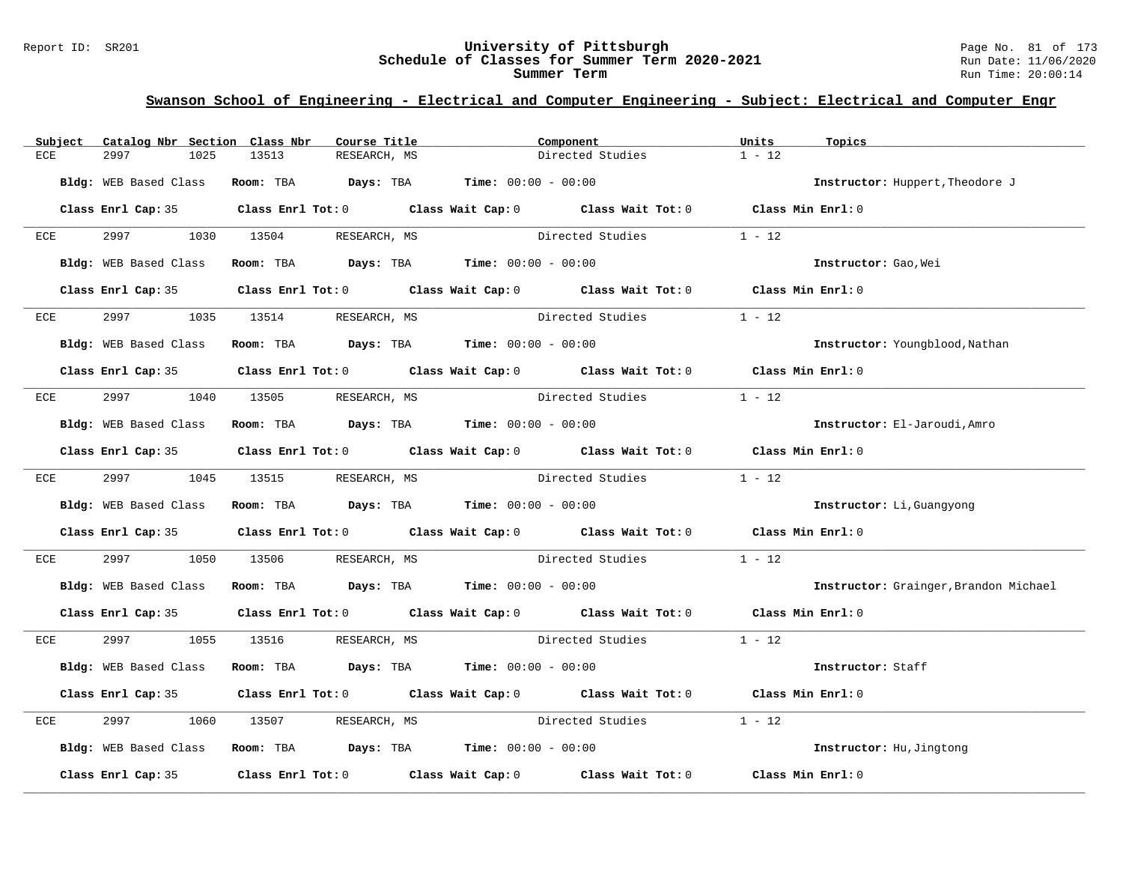#### Report ID: SR201 **University of Pittsburgh** Page No. 81 of 173 **Schedule of Classes for Summer Term 2020-2021** Run Date: 11/06/2020 **Summer Term** Run Time: 20:00:14

| Subject     | Catalog Nbr Section Class Nbr |                                                                | Course Title | Component        |                                                                                            | Units    | Topics                                |
|-------------|-------------------------------|----------------------------------------------------------------|--------------|------------------|--------------------------------------------------------------------------------------------|----------|---------------------------------------|
| 2997<br>ECE | 1025                          | 13513                                                          | RESEARCH, MS |                  | Directed Studies                                                                           | $1 - 12$ |                                       |
|             | Bldg: WEB Based Class         | Room: TBA $Days:$ TBA $Time: 00:00 - 00:00$                    |              |                  |                                                                                            |          | Instructor: Huppert, Theodore J       |
|             |                               |                                                                |              |                  | Class Enrl Cap: 35 Class Enrl Tot: 0 Class Wait Cap: 0 Class Wait Tot: 0 Class Min Enrl: 0 |          |                                       |
| ECE         |                               | 2997 1030 13504 RESEARCH, MS                                   |              | Directed Studies |                                                                                            | $1 - 12$ |                                       |
|             | Bldg: WEB Based Class         | Room: TBA $Days:$ TBA $Time: 00:00 - 00:00$                    |              |                  |                                                                                            |          | Instructor: Gao, Wei                  |
|             |                               |                                                                |              |                  | Class Enrl Cap: 35 Class Enrl Tot: 0 Class Wait Cap: 0 Class Wait Tot: 0 Class Min Enrl: 0 |          |                                       |
| ECE         | 2997 — 200                    | 1035 13514                                                     | RESEARCH, MS | Directed Studies |                                                                                            | $1 - 12$ |                                       |
|             | Bldg: WEB Based Class         | Room: TBA $Days: TBA$ Time: $00:00 - 00:00$                    |              |                  |                                                                                            |          | Instructor: Youngblood, Nathan        |
|             |                               |                                                                |              |                  | Class Enrl Cap: 35 Class Enrl Tot: 0 Class Wait Cap: 0 Class Wait Tot: 0 Class Min Enrl: 0 |          |                                       |
|             |                               | ECE 2997 1040 13505 RESEARCH, MS                               |              | Directed Studies |                                                                                            | $1 - 12$ |                                       |
|             | Bldg: WEB Based Class         | Room: TBA $Days:$ TBA Time: $00:00 - 00:00$                    |              |                  |                                                                                            |          | Instructor: El-Jaroudi, Amro          |
|             |                               |                                                                |              |                  | Class Enrl Cap: 35 Class Enrl Tot: 0 Class Wait Cap: 0 Class Wait Tot: 0 Class Min Enrl: 0 |          |                                       |
|             |                               | ECE 2997 1045 13515 RESEARCH, MS                               |              |                  | Directed Studies 1 - 12                                                                    |          |                                       |
|             | Bldg: WEB Based Class         | Room: TBA $\rule{1em}{0.15mm}$ Days: TBA Time: $00:00 - 00:00$ |              |                  |                                                                                            |          | Instructor: Li, Guangyong             |
|             |                               |                                                                |              |                  | Class Enrl Cap: 35 Class Enrl Tot: 0 Class Wait Cap: 0 Class Wait Tot: 0 Class Min Enrl: 0 |          |                                       |
| ECE         | 2997 — 2007<br>1050           | 13506                                                          |              |                  | RESEARCH, MS Directed Studies                                                              | $1 - 12$ |                                       |
|             |                               | Bldg: WEB Based Class Room: TBA Days: TBA Time: 00:00 - 00:00  |              |                  |                                                                                            |          | Instructor: Grainger, Brandon Michael |
|             |                               |                                                                |              |                  | Class Enrl Cap: 35 Class Enrl Tot: 0 Class Wait Cap: 0 Class Wait Tot: 0 Class Min Enrl: 0 |          |                                       |
|             |                               | ECE 2997 1055 13516 RESEARCH, MS                               |              |                  | Directed Studies 1 - 12                                                                    |          |                                       |
|             | Bldg: WEB Based Class         | Room: TBA $Days:$ TBA $Time: 00:00 - 00:00$                    |              |                  |                                                                                            |          | Instructor: Staff                     |
|             |                               |                                                                |              |                  | Class Enrl Cap: 35 Class Enrl Tot: 0 Class Wait Cap: 0 Class Wait Tot: 0 Class Min Enrl: 0 |          |                                       |
| 2997<br>ECE | 1060                          | 13507                                                          | RESEARCH, MS |                  | Directed Studies                                                                           | $1 - 12$ |                                       |
|             |                               | Bldg: WEB Based Class Room: TBA Days: TBA Time: 00:00 - 00:00  |              |                  |                                                                                            |          | Instructor: Hu, Jingtong              |
|             |                               |                                                                |              |                  | Class Enrl Cap: 35 Class Enrl Tot: 0 Class Wait Cap: 0 Class Wait Tot: 0 Class Min Enrl: 0 |          |                                       |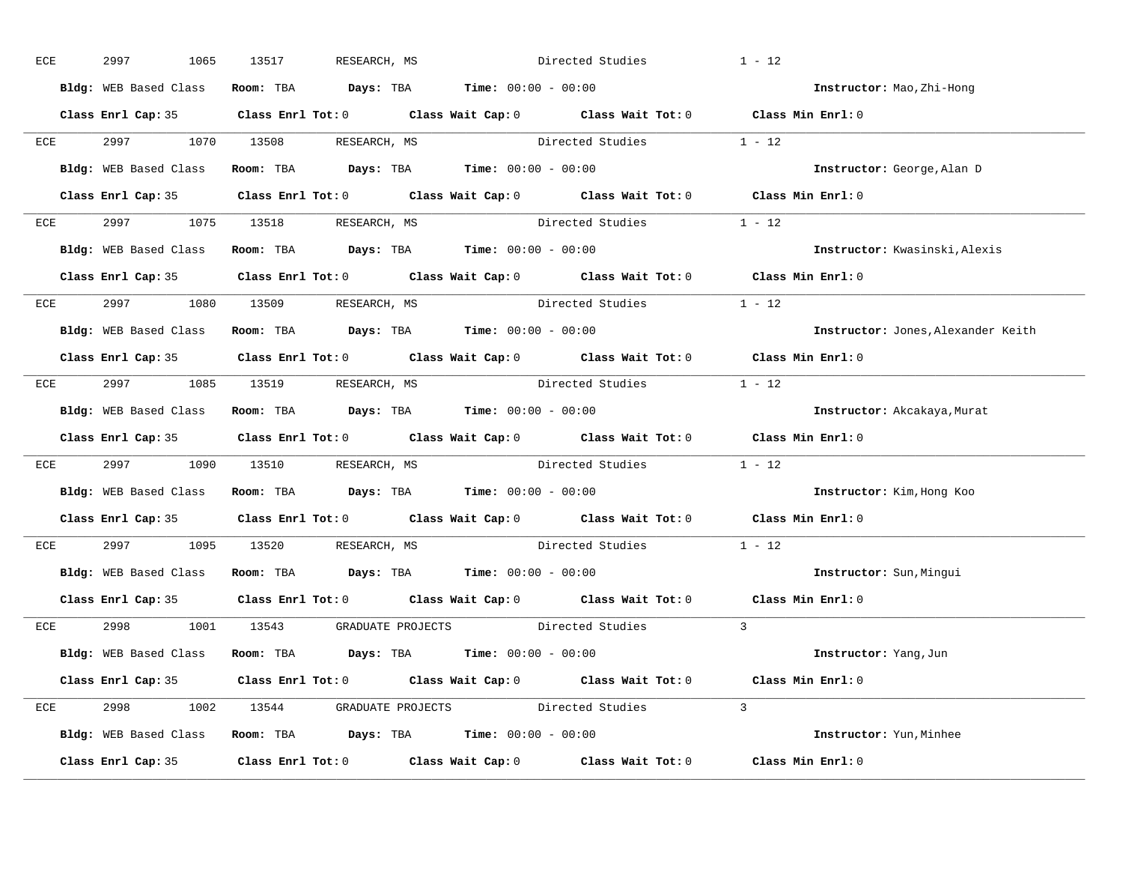| ECE |     | 2997 | 1065                  | 13517 | RESEARCH, MS                     |                                                               | Directed Studies                                                                           |          | $1 - 12$                           |
|-----|-----|------|-----------------------|-------|----------------------------------|---------------------------------------------------------------|--------------------------------------------------------------------------------------------|----------|------------------------------------|
|     |     |      | Bldg: WEB Based Class |       |                                  | Room: TBA $Days:$ TBA $Time: 00:00 - 00:00$                   |                                                                                            |          | Instructor: Mao, Zhi-Hong          |
|     |     |      |                       |       |                                  |                                                               | Class Enrl Cap: 35 Class Enrl Tot: 0 Class Wait Cap: 0 Class Wait Tot: 0 Class Min Enrl: 0 |          |                                    |
|     |     |      |                       |       | ECE 2997 1070 13508 RESEARCH, MS |                                                               | Directed Studies 1 - 12                                                                    |          |                                    |
|     |     |      |                       |       |                                  | Bldg: WEB Based Class Room: TBA Days: TBA Time: 00:00 - 00:00 |                                                                                            |          | Instructor: George, Alan D         |
|     |     |      |                       |       |                                  |                                                               | Class Enrl Cap: 35 Class Enrl Tot: 0 Class Wait Cap: 0 Class Wait Tot: 0 Class Min Enrl: 0 |          |                                    |
|     |     |      |                       |       | ECE 2997 1075 13518 RESEARCH, MS |                                                               | Directed Studies 1 - 12                                                                    |          |                                    |
|     |     |      |                       |       |                                  | Bldg: WEB Based Class Room: TBA Days: TBA Time: 00:00 - 00:00 |                                                                                            |          | Instructor: Kwasinski, Alexis      |
|     |     |      |                       |       |                                  |                                                               | Class Enrl Cap: 35 Class Enrl Tot: 0 Class Wait Cap: 0 Class Wait Tot: 0 Class Min Enrl: 0 |          |                                    |
|     |     |      |                       |       | ECE 2997 1080 13509 RESEARCH, MS |                                                               | Directed Studies                                                                           | $1 - 12$ |                                    |
|     |     |      |                       |       |                                  | Bldg: WEB Based Class Room: TBA Days: TBA Time: 00:00 - 00:00 |                                                                                            |          | Instructor: Jones, Alexander Keith |
|     |     |      |                       |       |                                  |                                                               | Class Enrl Cap: 35 Class Enrl Tot: 0 Class Wait Cap: 0 Class Wait Tot: 0 Class Min Enrl: 0 |          |                                    |
|     |     |      |                       |       |                                  |                                                               | ECE 2997 1085 13519 RESEARCH, MS Directed Studies 1 - 12                                   |          |                                    |
|     |     |      |                       |       |                                  | Bldg: WEB Based Class Room: TBA Days: TBA Time: 00:00 - 00:00 |                                                                                            |          | Instructor: Akcakaya, Murat        |
|     |     |      |                       |       |                                  |                                                               | Class Enrl Cap: 35 Class Enrl Tot: 0 Class Wait Cap: 0 Class Wait Tot: 0 Class Min Enrl: 0 |          |                                    |
|     | ECE |      |                       |       |                                  |                                                               | 2997 1090 13510 RESEARCH, MS Directed Studies 1 - 12                                       |          |                                    |
|     |     |      |                       |       |                                  | Bldg: WEB Based Class Room: TBA Days: TBA Time: 00:00 - 00:00 |                                                                                            |          | Instructor: Kim, Hong Koo          |
|     |     |      |                       |       |                                  |                                                               | Class Enrl Cap: 35 Class Enrl Tot: 0 Class Wait Cap: 0 Class Wait Tot: 0 Class Min Enrl: 0 |          |                                    |
|     | ECE |      |                       |       | 2997 1095 13520 RESEARCH, MS     |                                                               | Directed Studies                                                                           |          | $1 - 12$                           |
|     |     |      |                       |       |                                  | Bldg: WEB Based Class Room: TBA Days: TBA Time: 00:00 - 00:00 |                                                                                            |          | Instructor: Sun, Mingui            |
|     |     |      |                       |       |                                  |                                                               | Class Enrl Cap: 35 Class Enrl Tot: 0 Class Wait Cap: 0 Class Wait Tot: 0 Class Min Enrl: 0 |          |                                    |
|     |     |      |                       |       |                                  |                                                               | ECE 2998 1001 13543 GRADUATE PROJECTS Directed Studies 3                                   |          |                                    |
|     |     |      |                       |       |                                  | Bldg: WEB Based Class Room: TBA Days: TBA Time: 00:00 - 00:00 |                                                                                            |          | Instructor: Yang, Jun              |
|     |     |      |                       |       |                                  |                                                               | Class Enrl Cap: 35 Class Enrl Tot: 0 Class Wait Cap: 0 Class Wait Tot: 0 Class Min Enrl: 0 |          |                                    |
|     |     |      |                       |       |                                  |                                                               | ECE 2998 1002 13544 GRADUATE PROJECTS Directed Studies 3                                   |          |                                    |
|     |     |      |                       |       |                                  | Bldg: WEB Based Class Room: TBA Days: TBA Time: 00:00 - 00:00 |                                                                                            |          | Instructor: Yun, Minhee            |
|     |     |      |                       |       |                                  |                                                               | Class Enrl Cap: 35 Class Enrl Tot: 0 Class Wait Cap: 0 Class Wait Tot: 0 Class Min Enrl: 0 |          |                                    |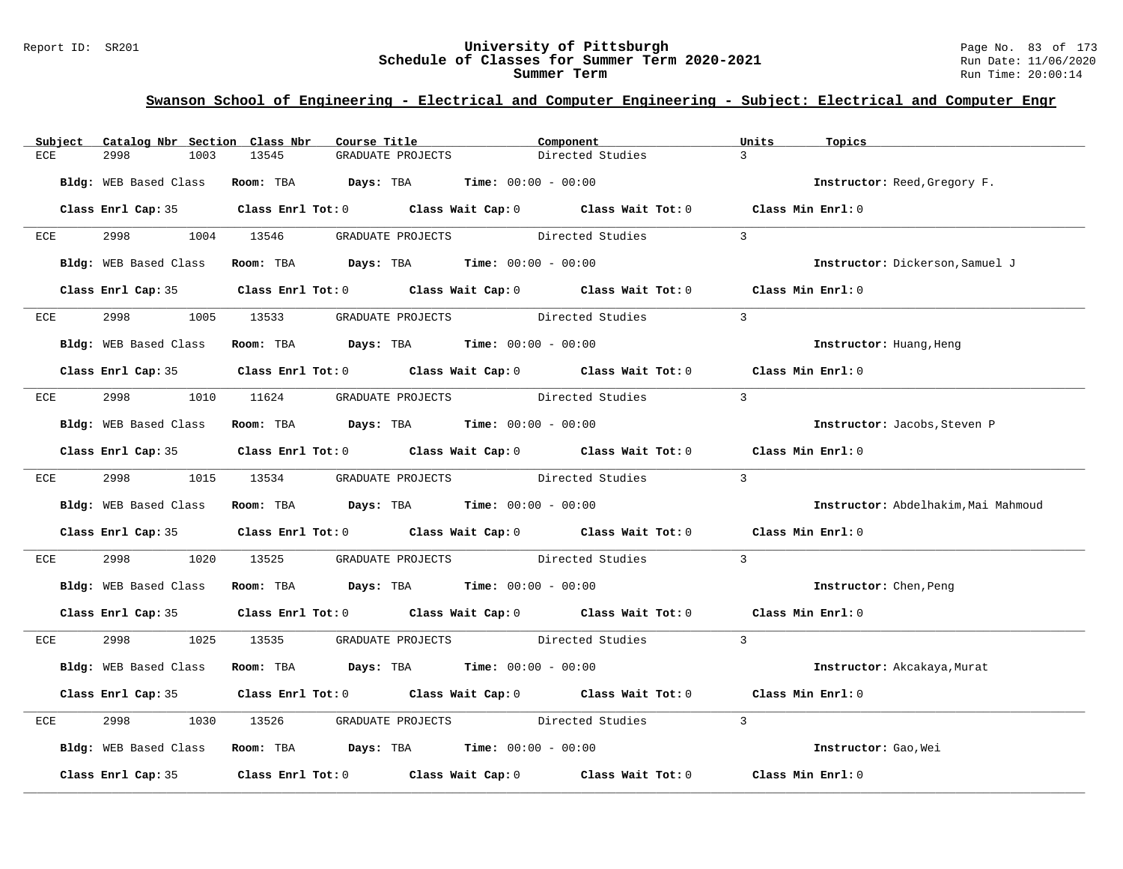#### Report ID: SR201 **University of Pittsburgh** Page No. 83 of 173 **Schedule of Classes for Summer Term 2020-2021** Run Date: 11/06/2020 **Summer Term** Run Time: 20:00:14

| Subject | Catalog Nbr Section Class Nbr | Course Title                                                                           | Component                                                                                  | Units<br>Topics                     |
|---------|-------------------------------|----------------------------------------------------------------------------------------|--------------------------------------------------------------------------------------------|-------------------------------------|
| ECE     | 2998<br>1003                  | 13545<br>GRADUATE PROJECTS                                                             | Directed Studies                                                                           | $\mathcal{R}$                       |
|         | Bldg: WEB Based Class         | Room: TBA $Days:$ TBA $Time: 00:00 - 00:00$                                            |                                                                                            | Instructor: Reed, Gregory F.        |
|         |                               |                                                                                        | Class Enrl Cap: 35 Class Enrl Tot: 0 Class Wait Cap: 0 Class Wait Tot: 0 Class Min Enrl: 0 |                                     |
|         |                               | ECE 2998 1004 13546 GRADUATE PROJECTS Directed Studies                                 |                                                                                            | $\mathcal{L}$                       |
|         | Bldg: WEB Based Class         | Room: TBA $\rule{1em}{0.15mm}$ Days: TBA $\rule{1.15mm}{0.15mm}$ Time: $00:00 - 00:00$ |                                                                                            | Instructor: Dickerson, Samuel J     |
|         |                               |                                                                                        | Class Enrl Cap: 35 Class Enrl Tot: 0 Class Wait Cap: 0 Class Wait Tot: 0 Class Min Enrl: 0 |                                     |
|         |                               |                                                                                        | ECE 2998 1005 13533 GRADUATE PROJECTS Directed Studies 3                                   |                                     |
|         |                               | Bldg: WEB Based Class Room: TBA Days: TBA Time: 00:00 - 00:00                          |                                                                                            | Instructor: Huang, Heng             |
|         |                               |                                                                                        | Class Enrl Cap: 35 Class Enrl Tot: 0 Class Wait Cap: 0 Class Wait Tot: 0 Class Min Enrl: 0 |                                     |
| ECE     |                               |                                                                                        | 2998 1010 11624 GRADUATE PROJECTS Directed Studies 3                                       |                                     |
|         |                               | Bldg: WEB Based Class Room: TBA Days: TBA Time: 00:00 - 00:00                          |                                                                                            | Instructor: Jacobs, Steven P        |
|         |                               |                                                                                        | Class Enrl Cap: 35 Class Enrl Tot: 0 Class Wait Cap: 0 Class Wait Tot: 0 Class Min Enrl: 0 |                                     |
|         |                               |                                                                                        | ECE 2998 1015 13534 GRADUATE PROJECTS Directed Studies 3                                   |                                     |
|         |                               | Bldg: WEB Based Class Room: TBA Days: TBA Time: 00:00 - 00:00                          |                                                                                            | Instructor: Abdelhakim, Mai Mahmoud |
|         |                               |                                                                                        | Class Enrl Cap: 35 Class Enrl Tot: 0 Class Wait Cap: 0 Class Wait Tot: 0 Class Min Enrl: 0 |                                     |
| ECE     | 2998 70                       |                                                                                        | 1020 13525 GRADUATE PROJECTS Directed Studies                                              | $\overline{3}$                      |
|         | Bldg: WEB Based Class         | Room: TBA $\rule{1em}{0.15mm}$ Days: TBA Time: $00:00 - 00:00$                         |                                                                                            | <b>Instructor:</b> Chen, Peng       |
|         |                               |                                                                                        | Class Enrl Cap: 35 Class Enrl Tot: 0 Class Wait Cap: 0 Class Wait Tot: 0 Class Min Enrl: 0 |                                     |
|         |                               | ECE 2998 1025 13535 GRADUATE PROJECTS Directed Studies                                 | $\sim$ 3                                                                                   |                                     |
|         | Bldg: WEB Based Class         | Room: TBA $Days:$ TBA $Time: 00:00 - 00:00$                                            |                                                                                            | Instructor: Akcakaya, Murat         |
|         |                               |                                                                                        | Class Enrl Cap: 35 Class Enrl Tot: 0 Class Wait Cap: 0 Class Wait Tot: 0 Class Min Enrl: 0 |                                     |
| ECE     | 2998                          |                                                                                        | 1030 13526 GRADUATE PROJECTS Directed Studies                                              | $\overline{3}$                      |
|         |                               | Bldg: WEB Based Class Room: TBA Days: TBA Time: 00:00 - 00:00                          |                                                                                            | Instructor: Gao, Wei                |
|         |                               |                                                                                        | Class Enrl Cap: 35 Class Enrl Tot: 0 Class Wait Cap: 0 Class Wait Tot: 0 Class Min Enrl: 0 |                                     |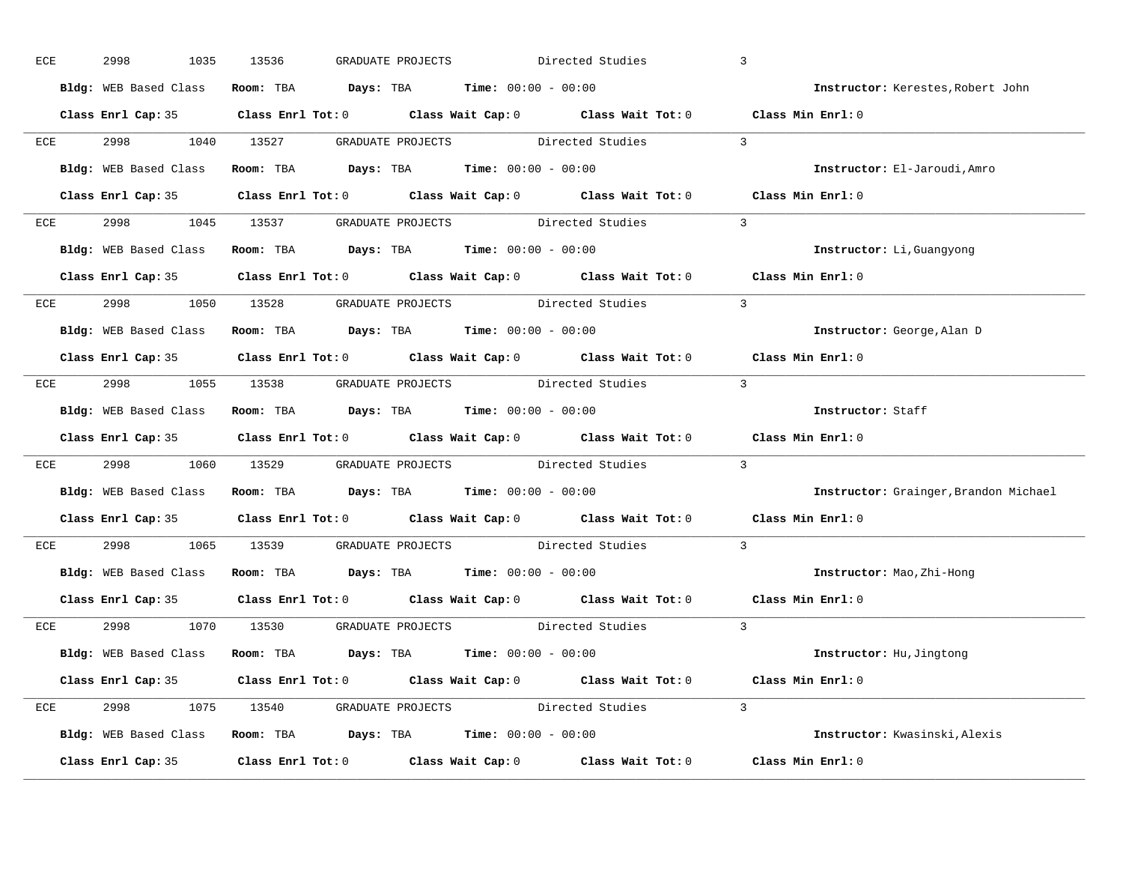| ECE | 2998<br>1035                                                  | 13536 | GRADUATE PROJECTS |  | Directed Studies                                                                                    |          | $\overline{3}$                                                                             |
|-----|---------------------------------------------------------------|-------|-------------------|--|-----------------------------------------------------------------------------------------------------|----------|--------------------------------------------------------------------------------------------|
|     | Bldg: WEB Based Class Room: TBA Days: TBA Time: 00:00 - 00:00 |       |                   |  |                                                                                                     |          | Instructor: Kerestes, Robert John                                                          |
|     |                                                               |       |                   |  |                                                                                                     |          | Class Enrl Cap: 35 Class Enrl Tot: 0 Class Wait Cap: 0 Class Wait Tot: 0 Class Min Enrl: 0 |
|     |                                                               |       |                   |  | ECE 2998 1040 13527 GRADUATE PROJECTS Directed Studies 3                                            |          |                                                                                            |
|     | Bldg: WEB Based Class Room: TBA Days: TBA Time: 00:00 - 00:00 |       |                   |  |                                                                                                     |          | Instructor: El-Jaroudi, Amro                                                               |
|     |                                                               |       |                   |  |                                                                                                     |          | Class Enrl Cap: 35 Class Enrl Tot: 0 Class Wait Cap: 0 Class Wait Tot: 0 Class Min Enrl: 0 |
|     |                                                               |       |                   |  | ECE 2998 1045 13537 GRADUATE PROJECTS Directed Studies 3                                            |          |                                                                                            |
|     | Bldg: WEB Based Class Room: TBA Days: TBA Time: 00:00 - 00:00 |       |                   |  |                                                                                                     |          | Instructor: Li, Guangyong                                                                  |
|     |                                                               |       |                   |  |                                                                                                     |          | Class Enrl Cap: 35 Class Enrl Tot: 0 Class Wait Cap: 0 Class Wait Tot: 0 Class Min Enrl: 0 |
|     | ECE 2998 1050 13528 GRADUATE PROJECTS Directed Studies        |       |                   |  |                                                                                                     | $\sim$ 3 |                                                                                            |
|     | Bldg: WEB Based Class Room: TBA Days: TBA Time: 00:00 - 00:00 |       |                   |  |                                                                                                     |          | Instructor: George, Alan D                                                                 |
|     |                                                               |       |                   |  |                                                                                                     |          | Class Enrl Cap: 35 Class Enrl Tot: 0 Class Wait Cap: 0 Class Wait Tot: 0 Class Min Enrl: 0 |
|     |                                                               |       |                   |  | ECE 2998 1055 13538 GRADUATE PROJECTS Directed Studies 3                                            |          |                                                                                            |
|     | Bldg: WEB Based Class Room: TBA Days: TBA Time: 00:00 - 00:00 |       |                   |  |                                                                                                     |          | Instructor: Staff                                                                          |
|     |                                                               |       |                   |  |                                                                                                     |          | Class Enrl Cap: 35 Class Enrl Tot: 0 Class Wait Cap: 0 Class Wait Tot: 0 Class Min Enrl: 0 |
| ECE |                                                               |       |                   |  | 2998 1060 13529 GRADUATE PROJECTS Directed Studies 3                                                |          |                                                                                            |
|     | Bldg: WEB Based Class Room: TBA Days: TBA Time: 00:00 - 00:00 |       |                   |  |                                                                                                     |          | Instructor: Grainger, Brandon Michael                                                      |
|     |                                                               |       |                   |  | Class Enrl Cap: 35 $\qquad$ Class Enrl Tot: 0 $\qquad$ Class Wait Cap: 0 $\qquad$ Class Wait Tot: 0 |          | Class Min Enrl: 0                                                                          |
| ECE | 2998 1065 13539 GRADUATE PROJECTS Directed Studies            |       |                   |  |                                                                                                     |          | $\overline{3}$                                                                             |
|     | Bldg: WEB Based Class Room: TBA Days: TBA Time: 00:00 - 00:00 |       |                   |  |                                                                                                     |          | Instructor: Mao, Zhi-Hong                                                                  |
|     |                                                               |       |                   |  | Class Enrl Cap: 35 Class Enrl Tot: 0 Class Wait Cap: 0 Class Wait Tot: 0                            |          | Class Min Enrl: 0                                                                          |
|     |                                                               |       |                   |  | ECE 2998 1070 13530 GRADUATE PROJECTS Directed Studies 3                                            |          |                                                                                            |
|     | Bldg: WEB Based Class Room: TBA Days: TBA Time: 00:00 - 00:00 |       |                   |  |                                                                                                     |          | Instructor: Hu, Jingtong                                                                   |
|     |                                                               |       |                   |  |                                                                                                     |          | Class Enrl Cap: 35 Class Enrl Tot: 0 Class Wait Cap: 0 Class Wait Tot: 0 Class Min Enrl: 0 |
|     |                                                               |       |                   |  | ECE 2998 1075 13540 GRADUATE PROJECTS Directed Studies 3                                            |          |                                                                                            |
|     | Bldg: WEB Based Class Room: TBA Days: TBA Time: 00:00 - 00:00 |       |                   |  |                                                                                                     |          | Instructor: Kwasinski, Alexis                                                              |
|     |                                                               |       |                   |  |                                                                                                     |          | Class Enrl Cap: 35 Class Enrl Tot: 0 Class Wait Cap: 0 Class Wait Tot: 0 Class Min Enrl: 0 |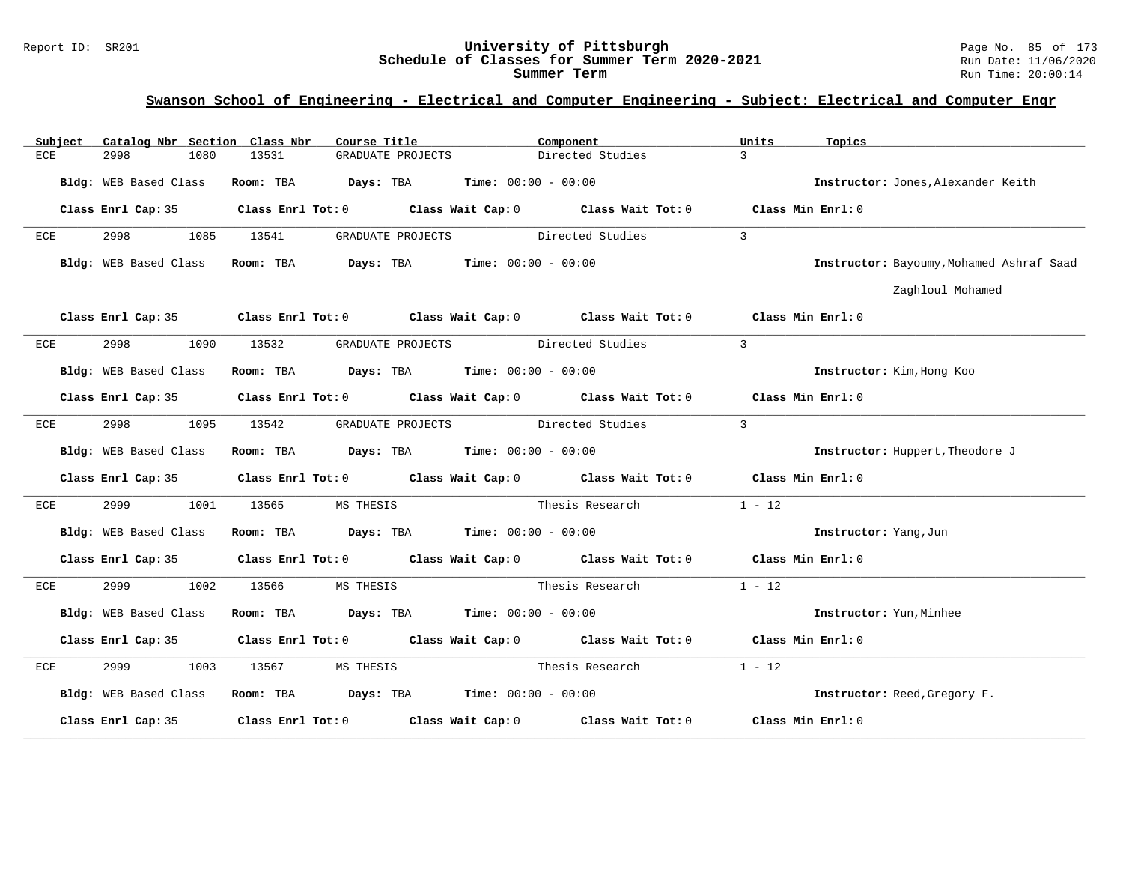# Report ID: SR201 **University of Pittsburgh University of Pittsburgh** Page No. 85 of 173<br>**Schedule of Classes for Summer Term 2020-2021** Run Date: 11/06/2020 Schedule of Classes for Summer Term 2020-2021

| Catalog Nbr Section Class Nbr<br>Subject | Course Title                                                  | Component                                                                                  | Units<br>Topics                          |
|------------------------------------------|---------------------------------------------------------------|--------------------------------------------------------------------------------------------|------------------------------------------|
| 1080<br>ECE<br>2998                      | GRADUATE PROJECTS<br>13531                                    | Directed Studies                                                                           | $\mathcal{E}$                            |
| Bldg: WEB Based Class                    | Room: TBA                                                     | <b>Days:</b> TBA <b>Time:</b> $00:00 - 00:00$                                              | Instructor: Jones, Alexander Keith       |
|                                          |                                                               | Class Enrl Cap: 35 Class Enrl Tot: 0 Class Wait Cap: 0 Class Wait Tot: 0 Class Min Enrl: 0 |                                          |
| 2998 — 100<br>ECE                        | 1085 13541                                                    | GRADUATE PROJECTS Directed Studies                                                         | $\overline{3}$                           |
|                                          | Bldg: WEB Based Class Room: TBA Days: TBA Time: 00:00 - 00:00 |                                                                                            | Instructor: Bayoumy, Mohamed Ashraf Saad |
|                                          |                                                               |                                                                                            | Zaghloul Mohamed                         |
|                                          |                                                               | Class Enrl Cap: 35 Class Enrl Tot: 0 Class Wait Cap: 0 Class Wait Tot: 0 Class Min Enrl: 0 |                                          |
| 2998<br>ECE<br>1090                      | 13532                                                         | GRADUATE PROJECTS Directed Studies                                                         | $\mathcal{E}$                            |
| Bldg: WEB Based Class                    | Room: TBA $Days:$ TBA $Time: 00:00 - 00:00$                   |                                                                                            | Instructor: Kim, Hong Koo                |
|                                          |                                                               | Class Enrl Cap: 35 Class Enrl Tot: 0 Class Wait Cap: 0 Class Wait Tot: 0 Class Min Enrl: 0 |                                          |
| 2998<br>1095<br>ECE                      | 13542                                                         | GRADUATE PROJECTS Directed Studies                                                         | $\overline{3}$                           |
| Bldg: WEB Based Class                    | Room: TBA $Days:$ TBA $Time: 00:00 - 00:00$                   |                                                                                            | Instructor: Huppert, Theodore J          |
|                                          |                                                               | Class Enrl Cap: 35 Class Enrl Tot: 0 Class Wait Cap: 0 Class Wait Tot: 0 Class Min Enrl: 0 |                                          |
| 2999<br>1001<br>ECE                      | 13565<br>MS THESIS                                            | Thesis Research                                                                            | $1 - 12$                                 |
| Bldg: WEB Based Class                    | Room: TBA $Days:$ TBA $Time: 00:00 - 00:00$                   |                                                                                            | Instructor: Yang, Jun                    |
|                                          |                                                               | Class Enrl Cap: 35 Class Enrl Tot: 0 Class Wait Cap: 0 Class Wait Tot: 0 Class Min Enrl: 0 |                                          |
| 2999<br>1002<br>ECE                      | 13566<br>MS THESIS                                            | Thesis Research                                                                            | $1 - 12$                                 |
| Bldg: WEB Based Class                    | Room: TBA $Days:$ TBA $Time: 00:00 - 00:00$                   |                                                                                            | Instructor: Yun, Minhee                  |
| Class Enrl Cap: 35                       |                                                               | Class Enrl Tot: $0$ Class Wait Cap: $0$ Class Wait Tot: $0$ Class Min Enrl: $0$            |                                          |
| 2999 72<br>1003<br>ECE                   | 13567<br>MS THESIS                                            | Thesis Research                                                                            | $1 - 12$                                 |
| Bldg: WEB Based Class                    | Room: TBA $Days:$ TBA $Time: 00:00 - 00:00$                   |                                                                                            | Instructor: Reed, Gregory F.             |
| Class Enrl Cap: 35                       |                                                               | Class Enrl Tot: $0$ Class Wait Cap: $0$ Class Wait Tot: $0$                                | Class Min Enrl: 0                        |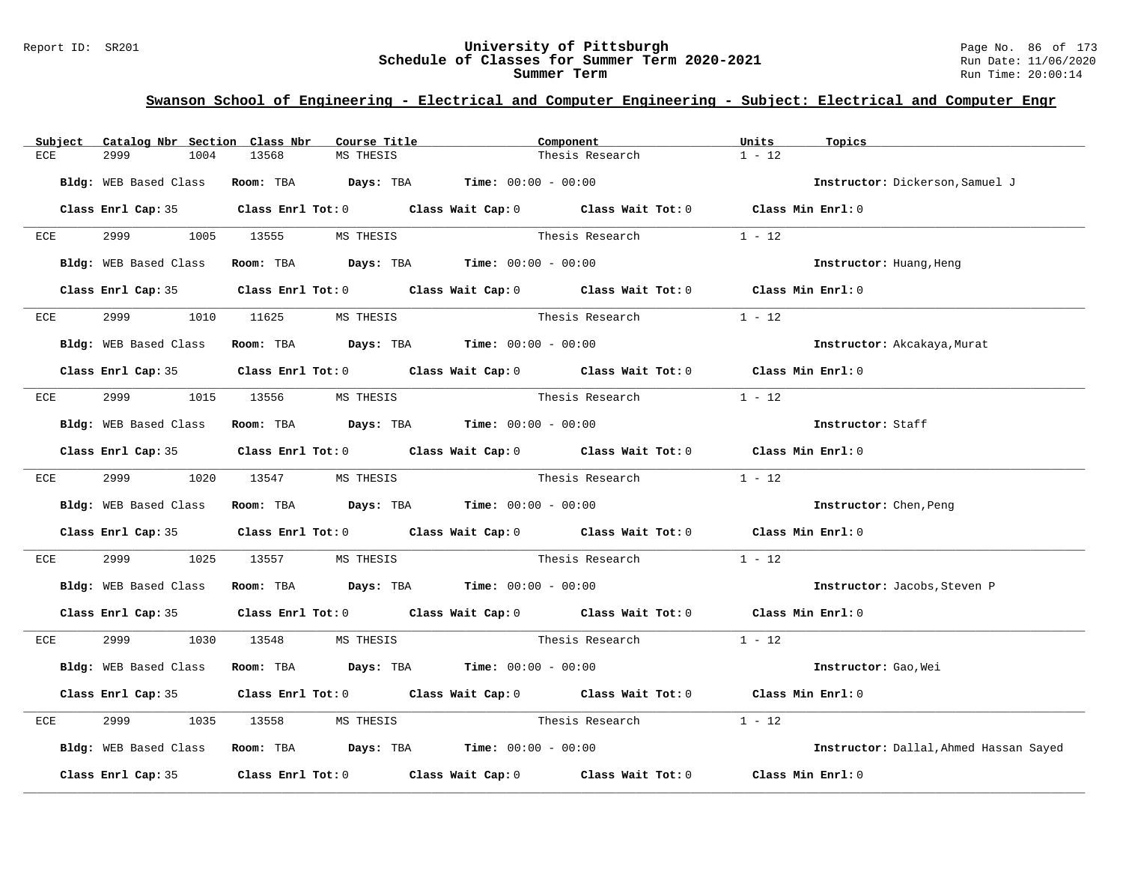#### Report ID: SR201 **University of Pittsburgh** Page No. 86 of 173 **Schedule of Classes for Summer Term 2020-2021** Run Date: 11/06/2020 **Summer Term** Run Time: 20:00:14

| Subject | Catalog Nbr Section Class Nbr | Course Title                                                  | Component                                                                                  | Units<br>Topics                        |
|---------|-------------------------------|---------------------------------------------------------------|--------------------------------------------------------------------------------------------|----------------------------------------|
| ECE     | 2999<br>1004                  | 13568<br>MS THESIS                                            | Thesis Research                                                                            | $1 - 12$                               |
|         | Bldg: WEB Based Class         | Room: TBA $Days:$ TBA $Time: 00:00 - 00:00$                   |                                                                                            | Instructor: Dickerson, Samuel J        |
|         |                               |                                                               | Class Enrl Cap: 35 Class Enrl Tot: 0 Class Wait Cap: 0 Class Wait Tot: 0 Class Min Enrl: 0 |                                        |
| ECE     |                               | 2999 1005 13555 MS THESIS                                     | Thesis Research                                                                            | $1 - 12$                               |
|         | Bldg: WEB Based Class         | Room: TBA $Days:$ TBA $Time: 00:00 - 00:00$                   |                                                                                            | Instructor: Huang, Heng                |
|         |                               |                                                               | Class Enrl Cap: 35 Class Enrl Tot: 0 Class Wait Cap: 0 Class Wait Tot: 0 Class Min Enrl: 0 |                                        |
| ECE     | 2999                          | 1010 11625 MS THESIS                                          | Thesis Research                                                                            | $1 - 12$                               |
|         | Bldg: WEB Based Class         | Room: TBA $Days:$ TBA $Time: 00:00 - 00:00$                   |                                                                                            | Instructor: Akcakaya, Murat            |
|         |                               |                                                               | Class Enrl Cap: 35 Class Enrl Tot: 0 Class Wait Cap: 0 Class Wait Tot: 0 Class Min Enrl: 0 |                                        |
| ECE     |                               | 2999 1015 13556 MS THESIS                                     | Thesis Research                                                                            | $1 - 12$                               |
|         | Bldg: WEB Based Class         | Room: TBA $Days: TBA$ Time: $00:00 - 00:00$                   |                                                                                            | Instructor: Staff                      |
|         |                               |                                                               | Class Enrl Cap: 35 Class Enrl Tot: 0 Class Wait Cap: 0 Class Wait Tot: 0 Class Min Enrl: 0 |                                        |
|         |                               | ECE 2999 1020 13547 MS THESIS                                 | Thesis Research 1 - 12                                                                     |                                        |
|         | Bldg: WEB Based Class         | Room: TBA $Days:$ TBA Time: $00:00 - 00:00$                   |                                                                                            | Instructor: Chen, Peng                 |
|         |                               |                                                               | Class Enrl Cap: 35 Class Enrl Tot: 0 Class Wait Cap: 0 Class Wait Tot: 0 Class Min Enrl: 0 |                                        |
| ECE     | 2999 — 200                    | 1025 13557<br>MS THESIS                                       | Thesis Research                                                                            | $1 - 12$                               |
|         |                               | Bldg: WEB Based Class Room: TBA Days: TBA Time: 00:00 - 00:00 |                                                                                            | Instructor: Jacobs, Steven P           |
|         |                               |                                                               | Class Enrl Cap: 35 Class Enrl Tot: 0 Class Wait Cap: 0 Class Wait Tot: 0 Class Min Enrl: 0 |                                        |
|         |                               | ECE 2999 1030 13548 MS THESIS                                 |                                                                                            |                                        |
|         | Bldg: WEB Based Class         | Room: TBA $Days:$ TBA $Time: 00:00 - 00:00$                   |                                                                                            | Instructor: Gao, Wei                   |
|         |                               |                                                               | Class Enrl Cap: 35 Class Enrl Tot: 0 Class Wait Cap: 0 Class Wait Tot: 0 Class Min Enrl: 0 |                                        |
| ECE     | 2999<br>1035                  | 13558 MS THESIS                                               | Thesis Research                                                                            | $1 - 12$                               |
|         |                               | Bldg: WEB Based Class Room: TBA Days: TBA Time: 00:00 - 00:00 |                                                                                            | Instructor: Dallal, Ahmed Hassan Sayed |
|         |                               |                                                               | Class Enrl Cap: 35 Class Enrl Tot: 0 Class Wait Cap: 0 Class Wait Tot: 0 Class Min Enrl: 0 |                                        |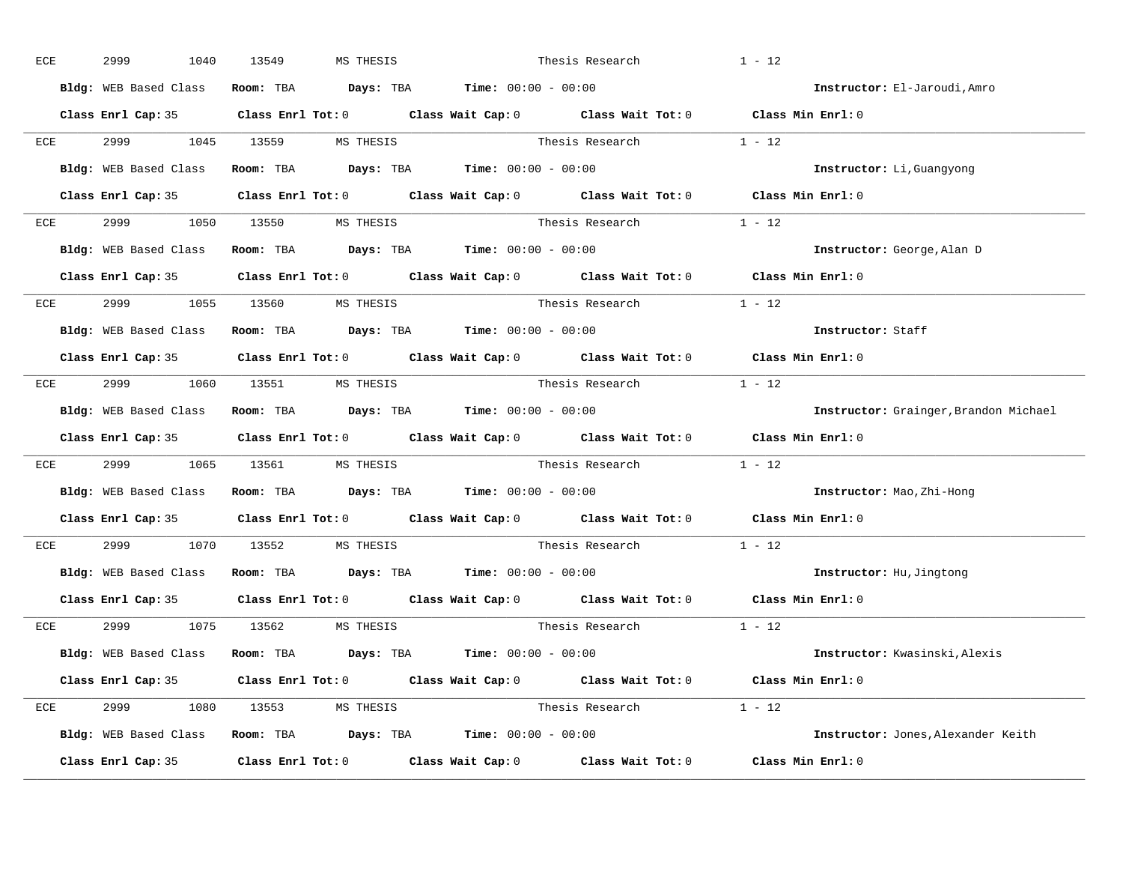|     | 2999 | 1040                          | 13549 | MS THESIS |                                                                                          | Thesis Research                                                                                     | $1 - 12$                              |
|-----|------|-------------------------------|-------|-----------|------------------------------------------------------------------------------------------|-----------------------------------------------------------------------------------------------------|---------------------------------------|
|     |      | Bldg: WEB Based Class         |       |           | Room: TBA $\rule{1em}{0.15mm}$ Days: TBA $\rule{1.15mm}]{0.15mm}$ Time: $0.000 - 0.0000$ |                                                                                                     | Instructor: El-Jaroudi, Amro          |
|     |      |                               |       |           |                                                                                          | Class Enrl Cap: 35 Class Enrl Tot: 0 Class Wait Cap: 0 Class Wait Tot: 0 Class Min Enrl: 0          |                                       |
| ECE |      |                               |       |           | 2999 1045 13559 MS THESIS                                                                | Thesis Research $1 - 12$                                                                            |                                       |
|     |      | Bldg: WEB Based Class         |       |           | Room: TBA $Days:$ TBA $Time: 00:00 - 00:00$                                              |                                                                                                     | Instructor: Li, Guangyong             |
|     |      | Class Enrl Cap: 35            |       |           |                                                                                          | Class Enrl Tot: 0 Class Wait Cap: 0 Class Wait Tot: 0 Class Min Enrl: 0                             |                                       |
|     |      | ECE 2999 1050 13550 MS THESIS |       |           |                                                                                          | Thesis Research $1 - 12$                                                                            |                                       |
|     |      |                               |       |           | Bldg: WEB Based Class Room: TBA Days: TBA Time: 00:00 - 00:00                            |                                                                                                     | Instructor: George, Alan D            |
|     |      |                               |       |           |                                                                                          | Class Enrl Cap: 35 $\qquad$ Class Enrl Tot: 0 $\qquad$ Class Wait Cap: 0 $\qquad$ Class Wait Tot: 0 | Class Min Enrl: 0                     |
|     |      | ECE 2999 1055 13560 MS THESIS |       |           |                                                                                          | Thesis Research $1 - 12$                                                                            |                                       |
|     |      |                               |       |           | Bldg: WEB Based Class Room: TBA Days: TBA Time: 00:00 - 00:00                            |                                                                                                     | Instructor: Staff                     |
|     |      |                               |       |           |                                                                                          | Class Enrl Cap: 35 Class Enrl Tot: 0 Class Wait Cap: 0 Class Wait Tot: 0 Class Min Enrl: 0          |                                       |
|     |      | ECE 2999 1060 13551 MS THESIS |       |           |                                                                                          | Thesis Research 1 - 12                                                                              |                                       |
|     |      |                               |       |           | Bldg: WEB Based Class Room: TBA Days: TBA Time: 00:00 - 00:00                            |                                                                                                     | Instructor: Grainger, Brandon Michael |
|     |      |                               |       |           |                                                                                          |                                                                                                     |                                       |
|     |      |                               |       |           |                                                                                          | Class Enrl Cap: 35 Class Enrl Tot: 0 Class Wait Cap: 0 Class Wait Tot: 0 Class Min Enrl: 0          |                                       |
| ECE |      |                               |       |           |                                                                                          | 2999 1065 13561 MS THESIS Thesis Research 1 - 12                                                    |                                       |
|     |      |                               |       |           | Bldg: WEB Based Class Room: TBA Days: TBA Time: 00:00 - 00:00                            |                                                                                                     | Instructor: Mao, Zhi-Hong             |
|     |      |                               |       |           |                                                                                          | Class Enrl Cap: 35 Class Enrl Tot: 0 Class Wait Cap: 0 Class Wait Tot: 0                            | Class Min Enrl: 0                     |
| ECE |      | 2999 1070 13552 MS THESIS     |       |           |                                                                                          | Thesis Research                                                                                     | $1 - 12$                              |
|     |      |                               |       |           | Bldg: WEB Based Class Room: TBA Days: TBA Time: 00:00 - 00:00                            |                                                                                                     | Instructor: Hu, Jingtong              |
|     |      |                               |       |           |                                                                                          | Class Enrl Cap: 35 $\qquad$ Class Enrl Tot: 0 $\qquad$ Class Wait Cap: 0 $\qquad$ Class Wait Tot: 0 | Class Min Enrl: 0                     |
|     |      | ECE 2999 1075 13562 MSTHESIS  |       |           |                                                                                          | Thesis Research                                                                                     | $1 - 12$                              |
|     |      |                               |       |           | Bldg: WEB Based Class Room: TBA Days: TBA Time: 00:00 - 00:00                            |                                                                                                     | Instructor: Kwasinski, Alexis         |
|     |      |                               |       |           |                                                                                          | Class Enrl Cap: 35 Class Enrl Tot: 0 Class Wait Cap: 0 Class Wait Tot: 0 Class Min Enrl: 0          |                                       |
|     |      | ECE 2999 1080 13553 MS THESIS |       |           |                                                                                          | Thesis Research $1 - 12$                                                                            |                                       |
|     |      |                               |       |           | Bldg: WEB Based Class Room: TBA Days: TBA Time: 00:00 - 00:00                            |                                                                                                     | Instructor: Jones, Alexander Keith    |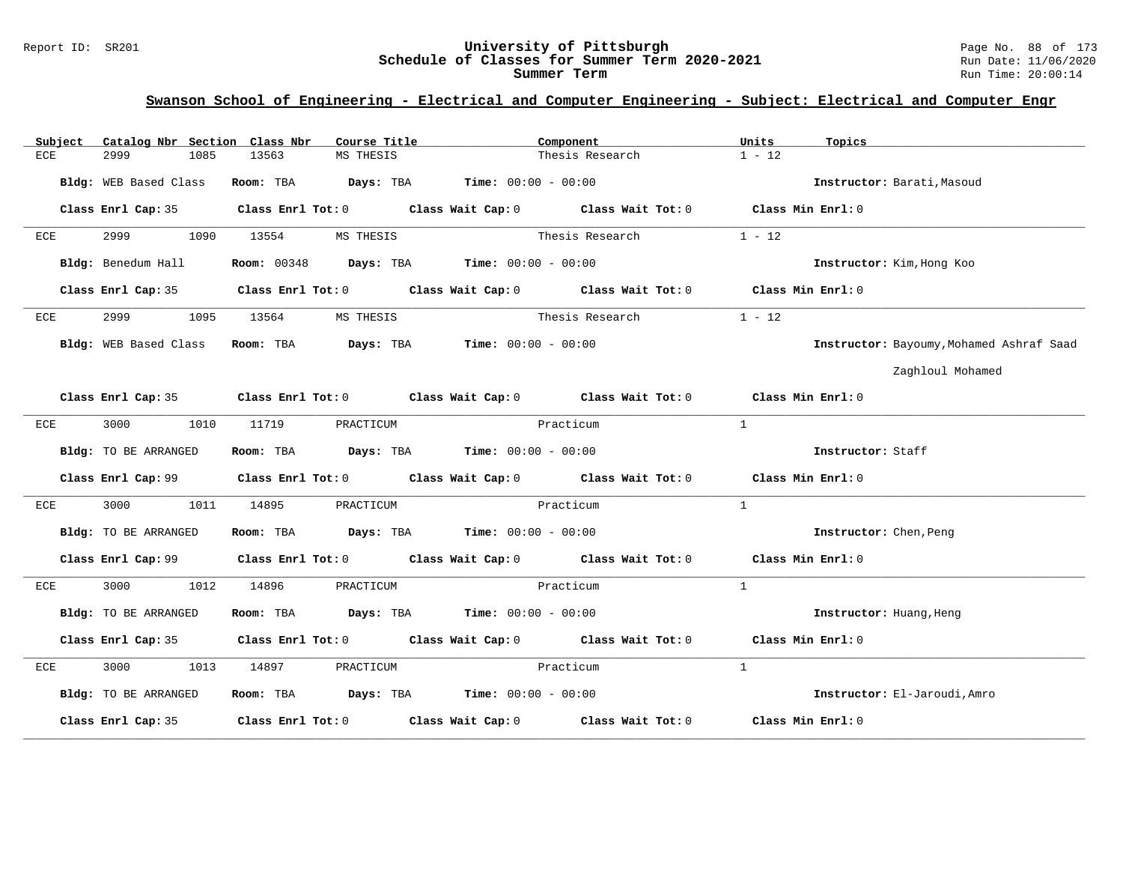#### Report ID: SR201 **University of Pittsburgh** Page No. 88 of 173 **Schedule of Classes for Summer Term 2020-2021** Run Date: 11/06/2020 **Summer Term** Run Time: 20:00:14

| Subject               |                       | Catalog Nbr Section Class Nbr | Course Title <b>Source Search</b>                                       |           | Component                                                                                  | Units             | Topics                                   |
|-----------------------|-----------------------|-------------------------------|-------------------------------------------------------------------------|-----------|--------------------------------------------------------------------------------------------|-------------------|------------------------------------------|
| ECE<br>2999           | 1085                  | 13563                         | MS THESIS                                                               |           | Thesis Research                                                                            | $1 - 12$          |                                          |
| Bldg: WEB Based Class |                       |                               | Room: TBA $Days:$ TBA $Time: 00:00 - 00:00$                             |           |                                                                                            |                   | Instructor: Barati, Masoud               |
|                       |                       |                               |                                                                         |           | Class Enrl Cap: 35 Class Enrl Tot: 0 Class Wait Cap: 0 Class Wait Tot: 0 Class Min Enrl: 0 |                   |                                          |
| 2999<br>ECE           |                       | 1090 13554                    | MS THESIS                                                               |           | Thesis Research                                                                            | $1 - 12$          |                                          |
|                       | Bldg: Benedum Hall    |                               | <b>Room:</b> $00348$ <b>Days:</b> TBA <b>Time:</b> $00:00 - 00:00$      |           |                                                                                            |                   | Instructor: Kim, Hong Koo                |
|                       |                       |                               |                                                                         |           | Class Enrl Cap: 35 Class Enrl Tot: 0 Class Wait Cap: 0 Class Wait Tot: 0 Class Min Enrl: 0 |                   |                                          |
| 2999<br>ECE           | 1095                  | 13564                         | MS THESIS                                                               |           | Thesis Research                                                                            | $1 - 12$          |                                          |
|                       | Bldg: WEB Based Class |                               | Room: TBA $Days:$ TBA $Time: 00:00 - 00:00$                             |           |                                                                                            |                   | Instructor: Bayoumy, Mohamed Ashraf Saad |
|                       |                       |                               |                                                                         |           |                                                                                            |                   | Zaghloul Mohamed                         |
|                       |                       |                               |                                                                         |           | Class Enrl Cap: 35 Class Enrl Tot: 0 Class Wait Cap: 0 Class Wait Tot: 0 Class Min Enrl: 0 |                   |                                          |
| 3000<br>ECE           | 1010                  | 11719                         | PRACTICUM                                                               | Practicum |                                                                                            | $\mathbf{1}$      |                                          |
| Bldg: TO BE ARRANGED  |                       |                               | Room: TBA $Days:$ TBA $Time: 00:00 - 00:00$                             |           |                                                                                            |                   | Instructor: Staff                        |
|                       |                       |                               |                                                                         |           | Class Enrl Cap: 99 Class Enrl Tot: 0 Class Wait Cap: 0 Class Wait Tot: 0 Class Min Enrl: 0 |                   |                                          |
| 3000<br>ECE           |                       | 1011 14895                    | PRACTICUM                                                               | Practicum |                                                                                            | $\mathbf{1}$      |                                          |
| Bldg: TO BE ARRANGED  |                       |                               | Room: TBA $Days:$ TBA $Time: 00:00 - 00:00$                             |           |                                                                                            |                   | Instructor: Chen, Peng                   |
|                       |                       |                               |                                                                         |           | Class Enrl Cap: 99 Class Enrl Tot: 0 Class Wait Cap: 0 Class Wait Tot: 0 Class Min Enrl: 0 |                   |                                          |
| ECE                   | 3000 000<br>1012      | 14896                         | PRACTICUM                                                               | Practicum |                                                                                            | $\mathbf{1}$      |                                          |
| Bldg: TO BE ARRANGED  |                       |                               | Room: TBA $\rule{1em}{0.15mm}$ Days: TBA $\qquad$ Time: $00:00 - 00:00$ |           |                                                                                            |                   | Instructor: Huang, Heng                  |
|                       |                       |                               |                                                                         |           | Class Enrl Cap: 35 Class Enrl Tot: 0 Class Wait Cap: 0 Class Wait Tot: 0 Class Min Enrl: 0 |                   |                                          |
| ECE                   | 3000 000              | 1013 14897                    | PRACTICUM                                                               | Practicum |                                                                                            | $\mathbf{1}$      |                                          |
| Bldg: TO BE ARRANGED  |                       |                               | Room: TBA $\rule{1em}{0.15mm}$ Days: TBA Time: $00:00 - 00:00$          |           |                                                                                            |                   | Instructor: El-Jaroudi, Amro             |
| Class Enrl Cap: 35    |                       |                               |                                                                         |           | Class Enrl Tot: $0$ Class Wait Cap: $0$ Class Wait Tot: $0$                                | Class Min Enrl: 0 |                                          |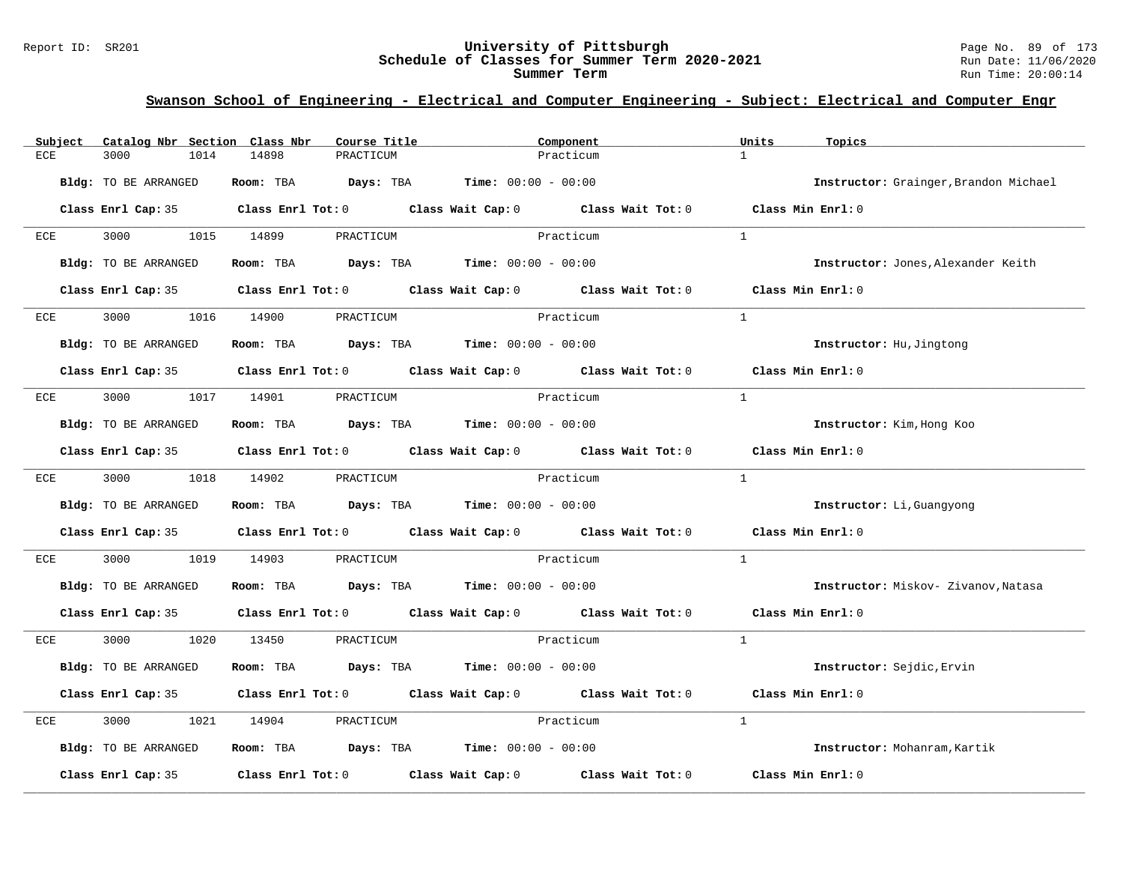#### Report ID: SR201 **University of Pittsburgh** Page No. 89 of 173 **Schedule of Classes for Summer Term 2020-2021** Run Date: 11/06/2020 **Summer Term** Run Time: 20:00:14

| Catalog Nbr Section Class Nbr<br>Subject | Course Title                                                   | Component                                                                                  | Units<br>Topics                       |
|------------------------------------------|----------------------------------------------------------------|--------------------------------------------------------------------------------------------|---------------------------------------|
| ECE<br>3000<br>1014                      | 14898<br>PRACTICUM                                             | Practicum                                                                                  | $\mathbf{1}$                          |
| Bldg: TO BE ARRANGED                     | Room: TBA $Days: TBA$ Time: $00:00 - 00:00$                    |                                                                                            | Instructor: Grainger, Brandon Michael |
|                                          |                                                                | Class Enrl Cap: 35 Class Enrl Tot: 0 Class Wait Cap: 0 Class Wait Tot: 0 Class Min Enrl: 0 |                                       |
| 3000 1015 14899<br>ECE                   | PRACTICUM                                                      | Practicum                                                                                  | $\overline{1}$                        |
| Bldg: TO BE ARRANGED                     | Room: TBA $Days:$ TBA $Time: 00:00 - 00:00$                    |                                                                                            | Instructor: Jones, Alexander Keith    |
|                                          |                                                                | Class Enrl Cap: 35 Class Enrl Tot: 0 Class Wait Cap: 0 Class Wait Tot: 0                   | Class Min Enrl: 0                     |
| 3000 1016 14900<br>ECE                   | PRACTICUM                                                      | Practicum                                                                                  | $\overline{1}$                        |
| Bldg: TO BE ARRANGED                     | Room: TBA Days: TBA Time: $00:00 - 00:00$                      |                                                                                            | Instructor: Hu, Jingtong              |
|                                          |                                                                | Class Enrl Cap: 35 Class Enrl Tot: 0 Class Wait Cap: 0 Class Wait Tot: 0                   | Class Min Enrl: 0                     |
| ECE                                      | 3000 1017 14901 PRACTICUM                                      | Practicum                                                                                  | $\mathbf{1}$                          |
| Bldg: TO BE ARRANGED                     | Room: TBA $Days: TBA$ Time: $00:00 - 00:00$                    |                                                                                            | Instructor: Kim, Hong Koo             |
|                                          |                                                                | Class Enrl Cap: 35 Class Enrl Tot: 0 Class Wait Cap: 0 Class Wait Tot: 0 Class Min Enrl: 0 |                                       |
| ECE                                      | 3000 1018 14902 PRACTICUM                                      | Practicum                                                                                  | <sup>1</sup>                          |
| Bldg: TO BE ARRANGED                     | Room: TBA $\rule{1em}{0.15mm}$ Days: TBA Time: $00:00 - 00:00$ |                                                                                            | Instructor: Li, Guangyong             |
|                                          |                                                                | Class Enrl Cap: 35 Class Enrl Tot: 0 Class Wait Cap: 0 Class Wait Tot: 0                   | Class Min Enrl: 0                     |
| 3000<br>ECE                              | 1019 14903<br>PRACTICUM                                        | Practicum                                                                                  | $\mathbf{1}$                          |
| Bldg: TO BE ARRANGED                     | Room: TBA $Days:$ TBA $Time: 00:00 - 00:00$                    |                                                                                            | Instructor: Miskov- Zivanov, Natasa   |
|                                          |                                                                | Class Enrl Cap: 35 Class Enrl Tot: 0 Class Wait Cap: 0 Class Wait Tot: 0 Class Min Enrl: 0 |                                       |
| ECE                                      | 3000 1020 13450 PRACTICUM                                      | Practicum                                                                                  | $\mathbf{1}$                          |
| Bldg: TO BE ARRANGED                     | Room: TBA $Days:$ TBA $Time: 00:00 - 00:00$                    |                                                                                            | Instructor: Sejdic, Ervin             |
|                                          |                                                                | Class Enrl Cap: 35 Class Enrl Tot: 0 Class Wait Cap: 0 Class Wait Tot: 0                   | Class Min Enrl: 0                     |
| 3000<br>1021<br>ECE                      | 14904<br>PRACTICUM                                             | Practicum                                                                                  | $\mathbf{1}$                          |
| Bldg: TO BE ARRANGED                     | Room: TBA $Days:$ TBA $Time: 00:00 - 00:00$                    |                                                                                            | Instructor: Mohanram, Kartik          |
| Class Enrl Cap: 35                       |                                                                | Class Enrl Tot: $0$ Class Wait Cap: $0$ Class Wait Tot: $0$                                | Class Min Enrl: 0                     |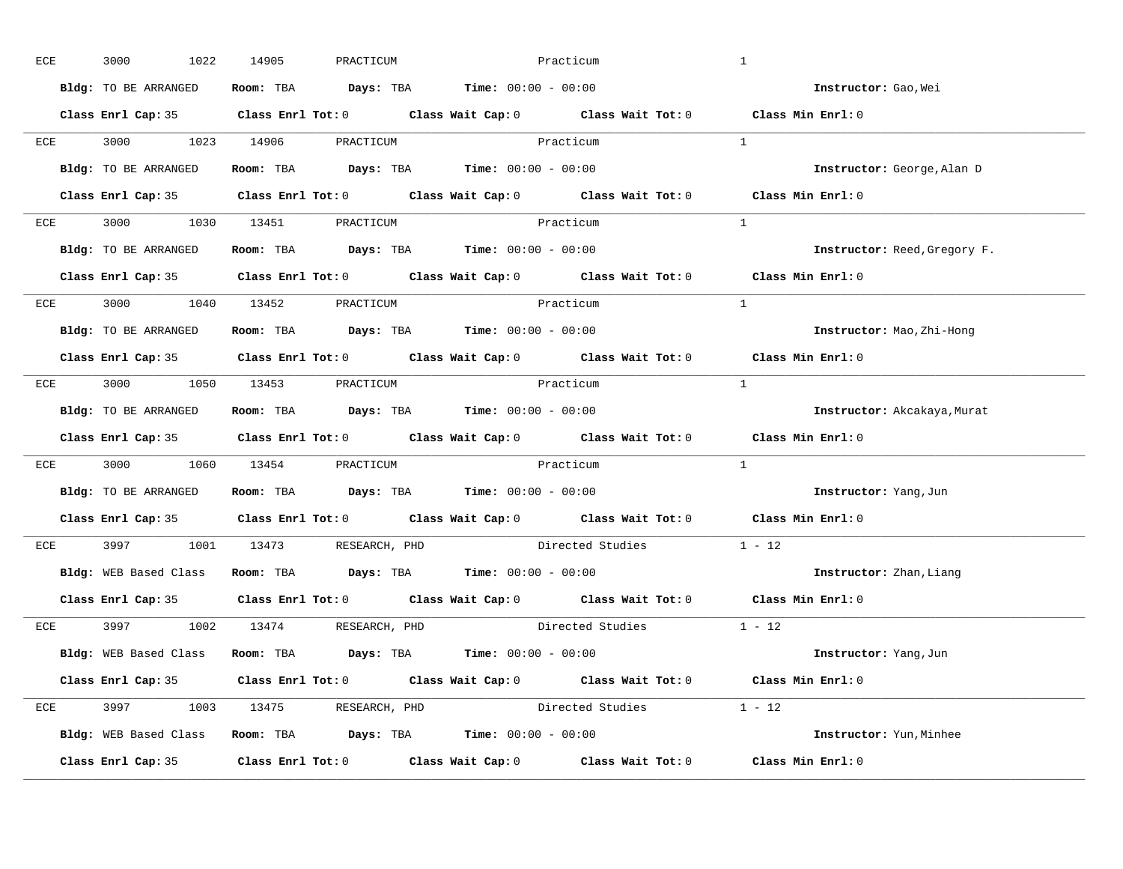| ECE |     | 3000<br>1022                                                  | 14905 | PRACTICUM | Practicum                                                      |                                                                          | $\mathbf{1}$                                                                               |
|-----|-----|---------------------------------------------------------------|-------|-----------|----------------------------------------------------------------|--------------------------------------------------------------------------|--------------------------------------------------------------------------------------------|
|     |     | Bldg: TO BE ARRANGED                                          |       |           | Room: TBA $\rule{1em}{0.15mm}$ Days: TBA Time: $00:00 - 00:00$ |                                                                          | Instructor: Gao, Wei                                                                       |
|     |     |                                                               |       |           |                                                                |                                                                          | Class Enrl Cap: 35 Class Enrl Tot: 0 Class Wait Cap: 0 Class Wait Tot: 0 Class Min Enrl: 0 |
|     |     | ECE 3000 1023 14906 PRACTICUM Practicum                       |       |           |                                                                |                                                                          | $\overline{1}$                                                                             |
|     |     | Bldg: TO BE ARRANGED                                          |       |           | Room: TBA $\rule{1em}{0.15mm}$ Days: TBA Time: $00:00 - 00:00$ |                                                                          | Instructor: George, Alan D                                                                 |
|     |     |                                                               |       |           |                                                                |                                                                          | Class Enrl Cap: 35 Class Enrl Tot: 0 Class Wait Cap: 0 Class Wait Tot: 0 Class Min Enrl: 0 |
|     |     | ECE 3000 1030 13451 PRACTICUM                                 |       |           | Practicum                                                      |                                                                          | $\mathbf{1}$                                                                               |
|     |     | Bldg: TO BE ARRANGED Room: TBA Days: TBA Time: 00:00 - 00:00  |       |           |                                                                |                                                                          | Instructor: Reed, Gregory F.                                                               |
|     |     |                                                               |       |           |                                                                |                                                                          | Class Enrl Cap: 35 Class Enrl Tot: 0 Class Wait Cap: 0 Class Wait Tot: 0 Class Min Enrl: 0 |
|     |     | ECE 3000 1040 13452 PRACTICUM                                 |       |           | Practicum                                                      |                                                                          | $\overline{1}$                                                                             |
|     |     | Bldg: TO BE ARRANGED                                          |       |           | Room: TBA $\rule{1em}{0.15mm}$ Days: TBA Time: $00:00 - 00:00$ |                                                                          | Instructor: Mao, Zhi-Hong                                                                  |
|     |     |                                                               |       |           |                                                                |                                                                          | Class Enrl Cap: 35 Class Enrl Tot: 0 Class Wait Cap: 0 Class Wait Tot: 0 Class Min Enrl: 0 |
|     |     | ECE 3000 1050 13453 PRACTICUM                                 |       |           | Practicum                                                      |                                                                          | $\overline{1}$                                                                             |
|     |     | Bldg: TO BE ARRANGED                                          |       |           | Room: TBA $\rule{1em}{0.15mm}$ Days: TBA Time: $00:00 - 00:00$ |                                                                          | Instructor: Akcakaya, Murat                                                                |
|     |     |                                                               |       |           |                                                                |                                                                          | Class Enrl Cap: 35 Class Enrl Tot: 0 Class Wait Cap: 0 Class Wait Tot: 0 Class Min Enrl: 0 |
|     |     | ECE 3000 1060 13454 PRACTICUM                                 |       |           | Practicum                                                      |                                                                          | 1                                                                                          |
|     |     | Bldg: TO BE ARRANGED                                          |       |           | Room: TBA $Days: TBA$ Time: $00:00 - 00:00$                    |                                                                          | Instructor: Yang, Jun                                                                      |
|     |     |                                                               |       |           |                                                                | Class Enrl Cap: 35 Class Enrl Tot: 0 Class Wait Cap: 0 Class Wait Tot: 0 | Class Min Enrl: 0                                                                          |
|     | ECE | 3997 1001 13473 RESEARCH, PHD                                 |       |           | Directed Studies                                               |                                                                          | $1 - 12$                                                                                   |
|     |     | Bldg: WEB Based Class Room: TBA Days: TBA Time: 00:00 - 00:00 |       |           |                                                                |                                                                          | Instructor: Zhan, Liang                                                                    |
|     |     | Class Enrl Cap: 35                                            |       |           |                                                                | Class Enrl Tot: $0$ Class Wait Cap: $0$ Class Wait Tot: $0$              | Class Min Enrl: 0                                                                          |
|     |     | ECE 3997 1002 13474 RESEARCH, PHD                             |       |           |                                                                | Directed Studies 1 - 12                                                  |                                                                                            |
|     |     | Bldg: WEB Based Class Room: TBA Days: TBA Time: 00:00 - 00:00 |       |           |                                                                |                                                                          | Instructor: Yang, Jun                                                                      |
|     |     |                                                               |       |           |                                                                |                                                                          | Class Enrl Cap: 35 Class Enrl Tot: 0 Class Wait Cap: 0 Class Wait Tot: 0 Class Min Enrl: 0 |
|     |     | ECE 3997 1003 13475 RESEARCH, PHD                             |       |           |                                                                | Directed Studies 1 - 12                                                  |                                                                                            |
|     |     | Bldg: WEB Based Class Room: TBA Days: TBA Time: 00:00 - 00:00 |       |           |                                                                |                                                                          | Instructor: Yun, Minhee                                                                    |
|     |     |                                                               |       |           |                                                                |                                                                          | Class Enrl Cap: 35 Class Enrl Tot: 0 Class Wait Cap: 0 Class Wait Tot: 0 Class Min Enrl: 0 |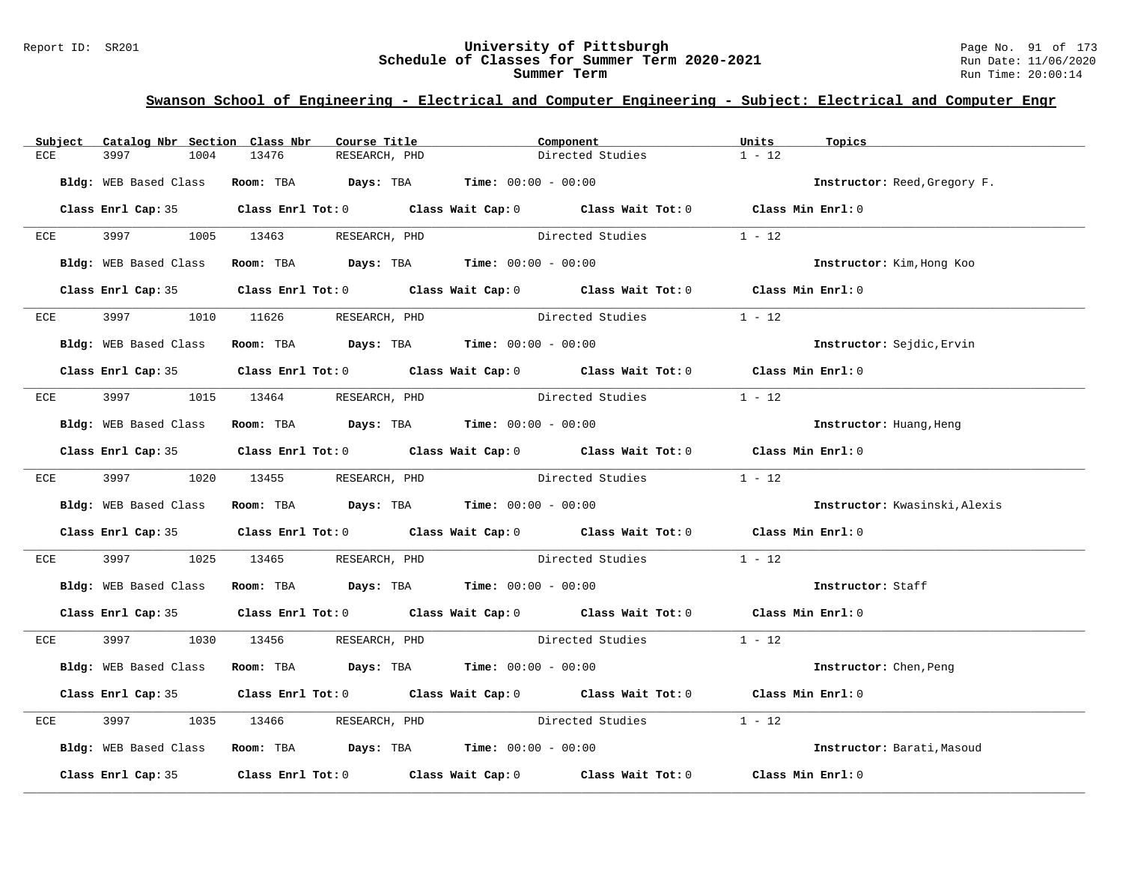#### Report ID: SR201 **University of Pittsburgh** Page No. 91 of 173 **Schedule of Classes for Summer Term 2020-2021** Run Date: 11/06/2020 **Summer Term** Run Time: 20:00:14

| Subject | Catalog Nbr Section Class Nbr | Course Title                                                  | Component                                                                                  | Units<br>Topics               |
|---------|-------------------------------|---------------------------------------------------------------|--------------------------------------------------------------------------------------------|-------------------------------|
| ECE     | 3997<br>1004                  | 13476<br>RESEARCH, PHD                                        | Directed Studies                                                                           | $1 - 12$                      |
|         |                               | Bldg: WEB Based Class Room: TBA Days: TBA Time: 00:00 - 00:00 |                                                                                            | Instructor: Reed, Gregory F.  |
|         |                               |                                                               | Class Enrl Cap: 35 Class Enrl Tot: 0 Class Wait Cap: 0 Class Wait Tot: 0 Class Min Enrl: 0 |                               |
|         |                               | ECE 3997 1005 13463 RESEARCH, PHD                             | Directed Studies                                                                           | $1 - 12$                      |
|         | Bldg: WEB Based Class         | Room: TBA $Days:$ TBA $Time: 00:00 - 00:00$                   |                                                                                            | Instructor: Kim, Hong Koo     |
|         |                               |                                                               | Class Enrl Cap: 35 Class Enrl Tot: 0 Class Wait Cap: 0 Class Wait Tot: 0 Class Min Enrl: 0 |                               |
| ECE     | 3997 — 100                    | 1010 11626 RESEARCH, PHD                                      | Directed Studies                                                                           | $1 - 12$                      |
|         |                               | Bldg: WEB Based Class Room: TBA Days: TBA Time: 00:00 - 00:00 |                                                                                            | Instructor: Sejdic, Ervin     |
|         |                               |                                                               | Class Enrl Cap: 35 Class Enrl Tot: 0 Class Wait Cap: 0 Class Wait Tot: 0 Class Min Enrl: 0 |                               |
|         |                               |                                                               | ECE 3997 1015 13464 RESEARCH, PHD Directed Studies                                         | $1 - 12$                      |
|         |                               | Bldg: WEB Based Class Room: TBA Days: TBA Time: 00:00 - 00:00 |                                                                                            | Instructor: Huang, Heng       |
|         |                               |                                                               | Class Enrl Cap: 35 Class Enrl Tot: 0 Class Wait Cap: 0 Class Wait Tot: 0 Class Min Enrl: 0 |                               |
|         |                               |                                                               | ECE 3997 1020 13455 RESEARCH, PHD Directed Studies 1 - 12                                  |                               |
|         | Bldg: WEB Based Class         | Room: TBA Days: TBA Time: $00:00 - 00:00$                     |                                                                                            | Instructor: Kwasinski, Alexis |
|         |                               |                                                               | Class Enrl Cap: 35 Class Enrl Tot: 0 Class Wait Cap: 0 Class Wait Tot: 0 Class Min Enrl: 0 |                               |
| ECE     | 3997 399                      |                                                               | 1025 13465 RESEARCH, PHD Directed Studies                                                  | $1 - 12$                      |
|         |                               | Bldg: WEB Based Class Room: TBA Days: TBA Time: 00:00 - 00:00 |                                                                                            | Instructor: Staff             |
|         |                               |                                                               | Class Enrl Cap: 35 Class Enrl Tot: 0 Class Wait Cap: 0 Class Wait Tot: 0 Class Min Enrl: 0 |                               |
|         |                               | ECE 3997 1030 13456 RESEARCH, PHD                             | Directed Studies 1 - 12                                                                    |                               |
|         | Bldg: WEB Based Class         | Room: TBA $Days:$ TBA Time: $00:00 - 00:00$                   |                                                                                            | <b>Instructor:</b> Chen, Peng |
|         |                               |                                                               | Class Enrl Cap: 35 Class Enrl Tot: 0 Class Wait Cap: 0 Class Wait Tot: 0 Class Min Enrl: 0 |                               |
| ECE     | 3997                          |                                                               | 1035 13466 RESEARCH, PHD Directed Studies                                                  | $1 - 12$                      |
|         |                               | Bldg: WEB Based Class Room: TBA Days: TBA Time: 00:00 - 00:00 |                                                                                            | Instructor: Barati, Masoud    |
|         |                               |                                                               | Class Enrl Cap: 35 Class Enrl Tot: 0 Class Wait Cap: 0 Class Wait Tot: 0 Class Min Enrl: 0 |                               |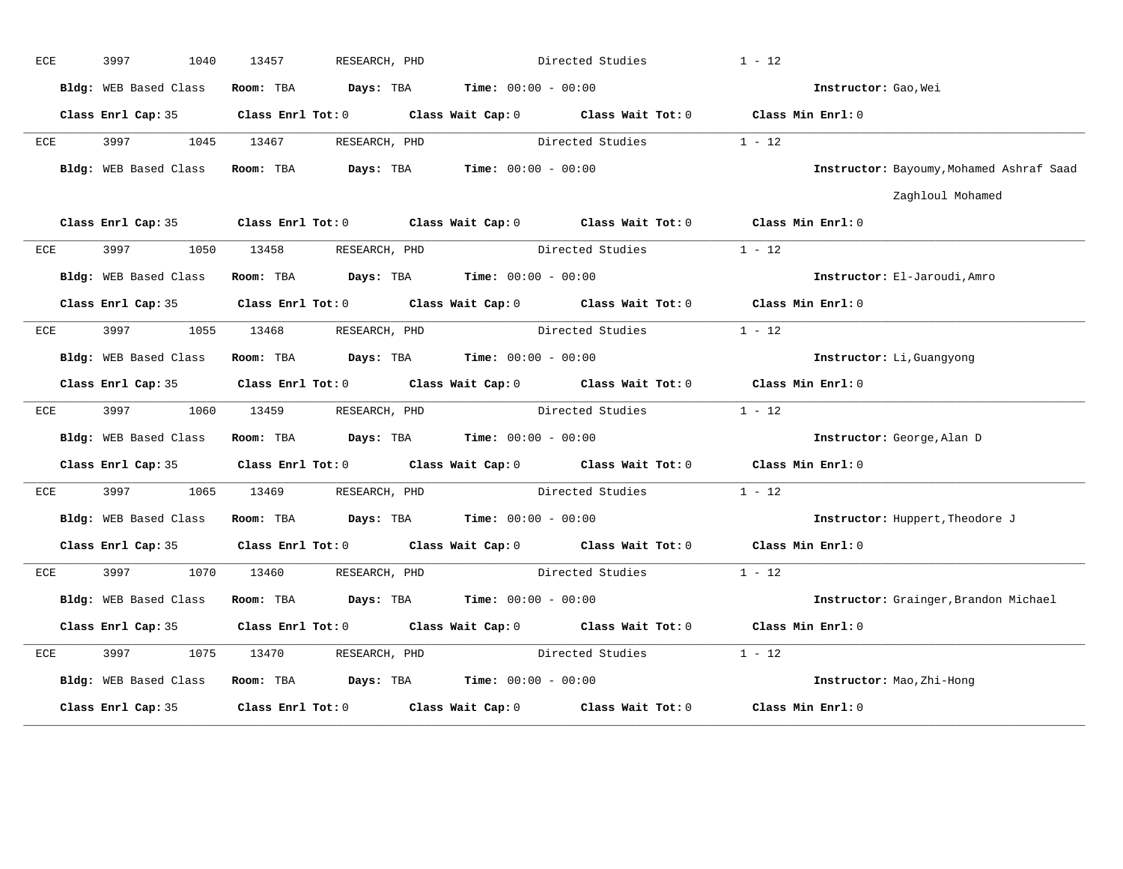| <b>ECE</b> | 3997<br>1040                                                  | 13457                                              | RESEARCH, PHD                                 | Directed Studies                                                                           | $1 - 12$                                 |
|------------|---------------------------------------------------------------|----------------------------------------------------|-----------------------------------------------|--------------------------------------------------------------------------------------------|------------------------------------------|
|            | Bldg: WEB Based Class                                         | Room: TBA                                          | $Days: TBA$ Time: $00:00 - 00:00$             |                                                                                            | Instructor: Gao, Wei                     |
|            |                                                               |                                                    |                                               | Class Enrl Cap: 35 Class Enrl Tot: 0 Class Wait Cap: 0 Class Wait Tot: 0 Class Min Enrl: 0 |                                          |
| ECE        | 3997                                                          | 1045 13467                                         | RESEARCH, PHD                                 | Directed Studies                                                                           | $1 - 12$                                 |
|            | Bldg: WEB Based Class                                         | Room: TBA                                          | <b>Days:</b> TBA <b>Time:</b> $00:00 - 00:00$ |                                                                                            | Instructor: Bayoumy, Mohamed Ashraf Saad |
|            |                                                               |                                                    |                                               |                                                                                            | Zaghloul Mohamed                         |
|            |                                                               |                                                    |                                               | Class Enrl Cap: 35 Class Enrl Tot: 0 Class Wait Cap: 0 Class Wait Tot: 0 Class Min Enrl: 0 |                                          |
| ECE        |                                                               | 3997 1050 13458 RESEARCH, PHD                      |                                               | Directed Studies 1 - 12                                                                    |                                          |
|            | Bldg: WEB Based Class                                         | <b>Room:</b> TBA $Days:$ TBA $Time: 00:00 - 00:00$ |                                               |                                                                                            | Instructor: El-Jaroudi, Amro             |
|            |                                                               |                                                    |                                               | Class Enrl Cap: 35 Class Enrl Tot: 0 Class Wait Cap: 0 Class Wait Tot: 0 Class Min Enrl: 0 |                                          |
| ECE        | 3997 1055 13468 RESEARCH, PHD                                 |                                                    |                                               | Directed Studies                                                                           | $1 - 12$                                 |
|            | Bldg: WEB Based Class Room: TBA Days: TBA Time: 00:00 - 00:00 |                                                    |                                               |                                                                                            | Instructor: Li, Guangyong                |
|            |                                                               |                                                    |                                               | Class Enrl Cap: 35 Class Enrl Tot: 0 Class Wait Cap: 0 Class Wait Tot: 0 Class Min Enrl: 0 |                                          |
| ECE        |                                                               | 3997 1060 13459 RESEARCH, PHD                      |                                               | Directed Studies                                                                           | $1 - 12$                                 |
|            | Bldg: WEB Based Class                                         | Room: TBA $Days:$ TBA $Time: 00:00 - 00:00$        |                                               |                                                                                            | Instructor: George, Alan D               |
|            |                                                               |                                                    |                                               | Class Enrl Cap: 35 Class Enrl Tot: 0 Class Wait Cap: 0 Class Wait Tot: 0 Class Min Enrl: 0 |                                          |
| ECE        | 3997 — 100                                                    | 1065 13469                                         | RESEARCH, PHD                                 | Directed Studies                                                                           | $1 - 12$                                 |
|            | Bldg: WEB Based Class                                         |                                                    |                                               | Room: TBA Days: TBA Time: $00:00 - 00:00$                                                  | Instructor: Huppert, Theodore J          |
|            |                                                               |                                                    |                                               | Class Enrl Cap: 35 Class Enrl Tot: 0 Class Wait Cap: 0 Class Wait Tot: 0 Class Min Enrl: 0 |                                          |
| ECE        |                                                               | 3997 1070 13460 RESEARCH, PHD                      |                                               | Directed Studies                                                                           | $1 - 12$                                 |
|            | Bldg: WEB Based Class                                         | Room: TBA $Days:$ TBA $Time: 00:00 - 00:00$        |                                               |                                                                                            | Instructor: Grainger, Brandon Michael    |
|            |                                                               |                                                    |                                               | Class Enrl Cap: 35 Class Enrl Tot: 0 Class Wait Cap: 0 Class Wait Tot: 0                   | Class Min Enrl: 0                        |
| ECE        | 3997<br>1075                                                  | 13470                                              | RESEARCH, PHD                                 | Directed Studies                                                                           | $1 - 12$                                 |
|            | Bldg: WEB Based Class                                         |                                                    |                                               | Room: TBA $Days:$ TBA $Time:$ $00:00 - 00:00$                                              | Instructor: Mao, Zhi-Hong                |
|            |                                                               |                                                    |                                               | Class Enrl Cap: 35 Class Enrl Tot: 0 Class Wait Cap: 0 Class Wait Tot: 0                   | Class Min Enrl: 0                        |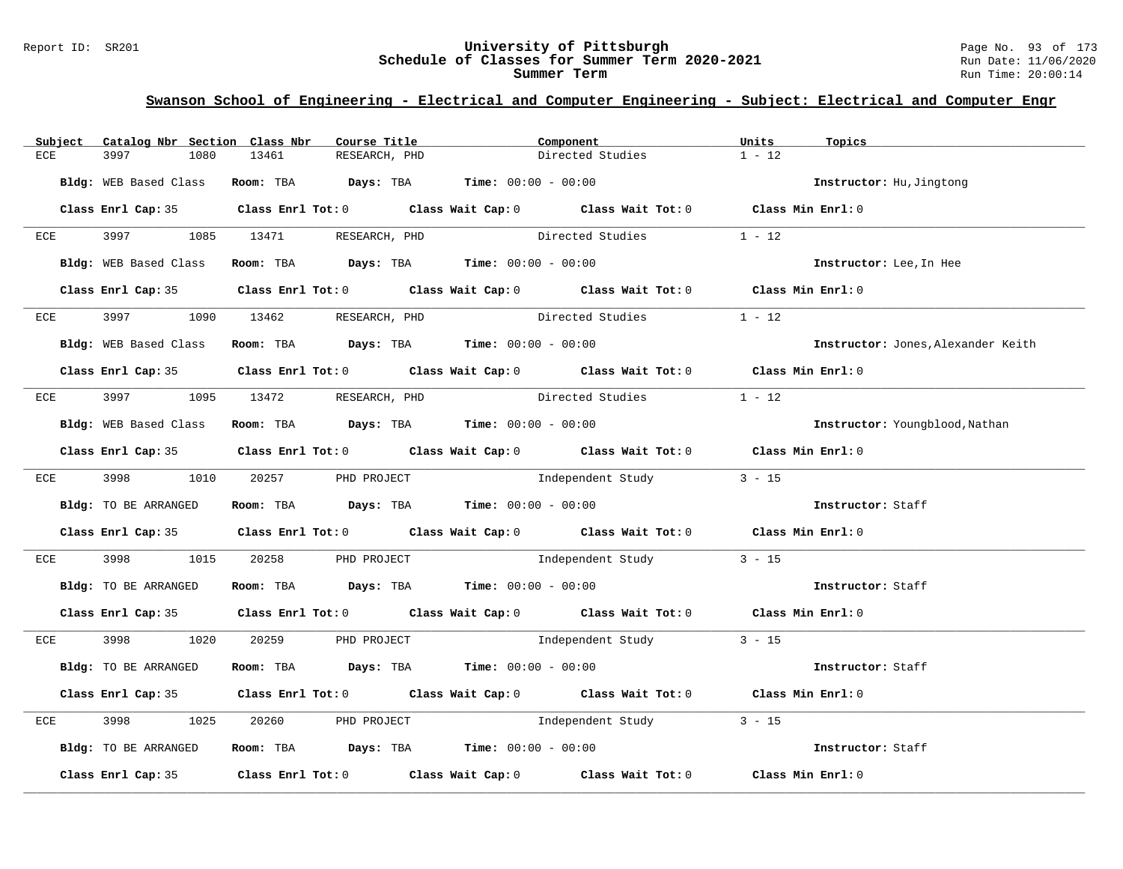#### Report ID: SR201 **University of Pittsburgh** Page No. 93 of 173 **Schedule of Classes for Summer Term 2020-2021** Run Date: 11/06/2020 **Summer Term** Run Time: 20:00:14

| Catalog Nbr Section Class Nbr<br>Subject | Course Title                                                                            | Component                                                                                  | Units<br>Topics                    |
|------------------------------------------|-----------------------------------------------------------------------------------------|--------------------------------------------------------------------------------------------|------------------------------------|
| 3997<br>1080<br>ECE                      | 13461<br>RESEARCH, PHD                                                                  | Directed Studies                                                                           | $1 - 12$                           |
| Bldg: WEB Based Class                    | Room: TBA $Days:$ TBA $Time: 00:00 - 00:00$                                             |                                                                                            | Instructor: Hu, Jingtong           |
|                                          |                                                                                         | Class Enrl Cap: 35 Class Enrl Tot: 0 Class Wait Cap: 0 Class Wait Tot: 0 Class Min Enrl: 0 |                                    |
| ECE                                      | 3997 1085 13471 RESEARCH, PHD                                                           | Directed Studies                                                                           | $1 - 12$                           |
| Bldg: WEB Based Class                    | Room: TBA $Days:$ TBA $Time: 00:00 - 00:00$                                             |                                                                                            | Instructor: Lee, In Hee            |
|                                          |                                                                                         | Class Enrl Cap: 35 Class Enrl Tot: 0 Class Wait Cap: 0 Class Wait Tot: 0 Class Min Enrl: 0 |                                    |
| ECE<br>3997 — 100                        | RESEARCH, PHD<br>1090 13462                                                             | Directed Studies                                                                           | $1 - 12$                           |
| Bldg: WEB Based Class                    | Room: TBA $Days:$ TBA $Time: 00:00 - 00:00$                                             |                                                                                            | Instructor: Jones, Alexander Keith |
|                                          |                                                                                         | Class Enrl Cap: 35 Class Enrl Tot: 0 Class Wait Cap: 0 Class Wait Tot: 0 Class Min Enrl: 0 |                                    |
|                                          | ECE 3997 1095 13472 RESEARCH, PHD                                                       | Directed Studies                                                                           | $1 - 12$                           |
|                                          | Bldg: WEB Based Class Room: TBA Days: TBA Time: 00:00 - 00:00                           |                                                                                            | Instructor: Youngblood, Nathan     |
|                                          |                                                                                         | Class Enrl Cap: 35 Class Enrl Tot: 0 Class Wait Cap: 0 Class Wait Tot: 0 Class Min Enrl: 0 |                                    |
|                                          | $ECE$ 3998 1010 20257 PHD PROJECT                                                       | Independent Study                                                                          | $3 - 15$                           |
| Bldg: TO BE ARRANGED                     | Room: TBA $Days:$ TBA $Time: 00:00 - 00:00$                                             |                                                                                            | Instructor: Staff                  |
|                                          |                                                                                         | Class Enrl Cap: 35 Class Enrl Tot: 0 Class Wait Cap: 0 Class Wait Tot: 0 Class Min Enrl: 0 |                                    |
| 3998 — 100<br>ECE                        |                                                                                         | 1015 20258 PHD PROJECT 101 Independent Study 3 - 15                                        |                                    |
| Bldg: TO BE ARRANGED                     | Room: TBA $Days:$ TBA $Time:$ $00:00 - 00:00$                                           |                                                                                            | Instructor: Staff                  |
|                                          |                                                                                         | Class Enrl Cap: 35 Class Enrl Tot: 0 Class Wait Cap: 0 Class Wait Tot: 0 Class Min Enrl: 0 |                                    |
|                                          | ECE 3998 1020 20259 PHD PROJECT                                                         | Independent Study 3 - 15                                                                   |                                    |
| Bldg: TO BE ARRANGED                     | Room: TBA $Days:$ TBA $Time: 00:00 - 00:00$                                             |                                                                                            | Instructor: Staff                  |
|                                          |                                                                                         | Class Enrl Cap: 35 Class Enrl Tot: 0 Class Wait Cap: 0 Class Wait Tot: 0 Class Min Enrl: 0 |                                    |
| 3998<br>1025<br>ECE                      |                                                                                         | 20260 PHD PROJECT 10 Independent Study 3 - 15                                              |                                    |
| Bldg: TO BE ARRANGED                     | Room: TBA $\rule{1em}{0.15mm}$ Days: TBA $\rule{1.15mm}]{0.15mm}$ Time: $00:00 - 00:00$ |                                                                                            | Instructor: Staff                  |
|                                          |                                                                                         | Class Enrl Cap: 35 Class Enrl Tot: 0 Class Wait Cap: 0 Class Wait Tot: 0 Class Min Enrl: 0 |                                    |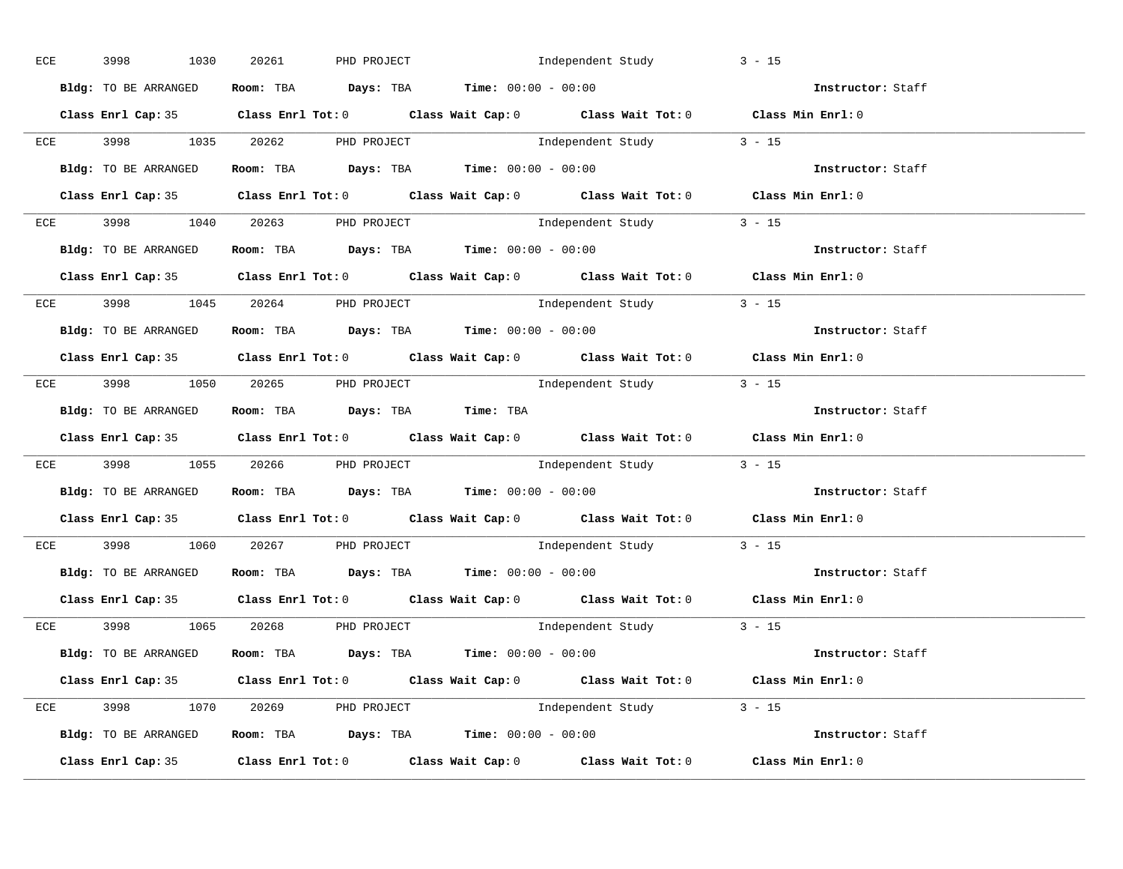|  | ECE 3998 1030                                                | 20261 PHD PROJECT | Independent Study                                              |                                                                                            | $3 - 15$                                                                                   |
|--|--------------------------------------------------------------|-------------------|----------------------------------------------------------------|--------------------------------------------------------------------------------------------|--------------------------------------------------------------------------------------------|
|  | Bldg: TO BE ARRANGED                                         |                   | Room: TBA $Days:$ TBA Time: $00:00 - 00:00$                    |                                                                                            | Instructor: Staff                                                                          |
|  |                                                              |                   |                                                                | Class Enrl Cap: 35 Class Enrl Tot: 0 Class Wait Cap: 0 Class Wait Tot: 0 Class Min Enrl: 0 |                                                                                            |
|  |                                                              |                   |                                                                | ECE 3998 1035 20262 PHD PROJECT 101 Independent Study 3 - 15                               |                                                                                            |
|  | Bldg: TO BE ARRANGED                                         |                   | Room: TBA $\rule{1em}{0.15mm}$ Days: TBA Time: $00:00 - 00:00$ |                                                                                            | Instructor: Staff                                                                          |
|  |                                                              |                   |                                                                | Class Enrl Cap: 35 Class Enrl Tot: 0 Class Wait Cap: 0 Class Wait Tot: 0 Class Min Enrl: 0 |                                                                                            |
|  | ECE 3998 1040 20263 PHD PROJECT                              |                   |                                                                | Independent Study 3 - 15                                                                   |                                                                                            |
|  |                                                              |                   |                                                                | Bldg: TO BE ARRANGED Room: TBA Days: TBA Time: 00:00 - 00:00                               | <b>Instructor:</b> Staff                                                                   |
|  |                                                              |                   |                                                                | Class Enrl Cap: 35 Class Enrl Tot: 0 Class Wait Cap: 0 Class Wait Tot: 0 Class Min Enrl: 0 |                                                                                            |
|  | ECE 3998 1045 20264 PHD PROJECT                              |                   |                                                                | Independent Study 3 - 15                                                                   |                                                                                            |
|  | Bldg: TO BE ARRANGED                                         |                   |                                                                | Room: TBA $\rule{1em}{0.15mm}$ Days: TBA $\rule{1.15mm}]{0.15mm}$ Time: $0.000 - 0.000$    | Instructor: Staff                                                                          |
|  |                                                              |                   |                                                                | Class Enrl Cap: 35 Class Enrl Tot: 0 Class Wait Cap: 0 Class Wait Tot: 0 Class Min Enrl: 0 |                                                                                            |
|  | ECE 3998 1050 20265 PHD PROJECT                              |                   |                                                                | Independent Study 3 - 15                                                                   |                                                                                            |
|  | Bldg: TO BE ARRANGED Room: TBA Days: TBA Time: TBA           |                   |                                                                |                                                                                            | Instructor: Staff                                                                          |
|  |                                                              |                   |                                                                |                                                                                            | Class Enrl Cap: 35 Class Enrl Tot: 0 Class Wait Cap: 0 Class Wait Tot: 0 Class Min Enrl: 0 |
|  |                                                              |                   |                                                                | ECE 3998 1055 20266 PHD PROJECT 101 Independent Study 3 - 15                               |                                                                                            |
|  | Bldg: TO BE ARRANGED ROOM: TBA Days: TBA Time: 00:00 - 00:00 |                   |                                                                |                                                                                            | Instructor: Staff                                                                          |
|  |                                                              |                   |                                                                |                                                                                            | Class Enrl Cap: 35 Class Enrl Tot: 0 Class Wait Cap: 0 Class Wait Tot: 0 Class Min Enrl: 0 |
|  | ECE 3998 1060 20267 PHD PROJECT                              |                   |                                                                | Independent Study 3 - 15                                                                   |                                                                                            |
|  | Bldg: TO BE ARRANGED Room: TBA Days: TBA Time: 00:00 - 00:00 |                   |                                                                |                                                                                            | Instructor: Staff                                                                          |
|  |                                                              |                   |                                                                | Class Enrl Cap: 35 Class Enrl Tot: 0 Class Wait Cap: 0 Class Wait Tot: 0 Class Min Enrl: 0 |                                                                                            |
|  | $ECE$ 3998 1065 20268 PHD PROJECT                            |                   |                                                                | Independent Study 3 - 15                                                                   |                                                                                            |
|  |                                                              |                   |                                                                | Bldg: TO BE ARRANGED Room: TBA Days: TBA Time: 00:00 - 00:00                               | <b>Instructor:</b> Staff                                                                   |
|  |                                                              |                   |                                                                | Class Enrl Cap: 35 Class Enrl Tot: 0 Class Wait Cap: 0 Class Wait Tot: 0 Class Min Enrl: 0 |                                                                                            |
|  | ECE 3998 1070 20269 PHD PROJECT                              |                   |                                                                | Independent Study 3 - 15                                                                   |                                                                                            |
|  |                                                              |                   |                                                                | Bldg: TO BE ARRANGED Room: TBA Days: TBA Time: 00:00 - 00:00                               | Instructor: Staff                                                                          |
|  |                                                              |                   |                                                                | Class Enrl Cap: 35 Class Enrl Tot: 0 Class Wait Cap: 0 Class Wait Tot: 0 Class Min Enrl: 0 |                                                                                            |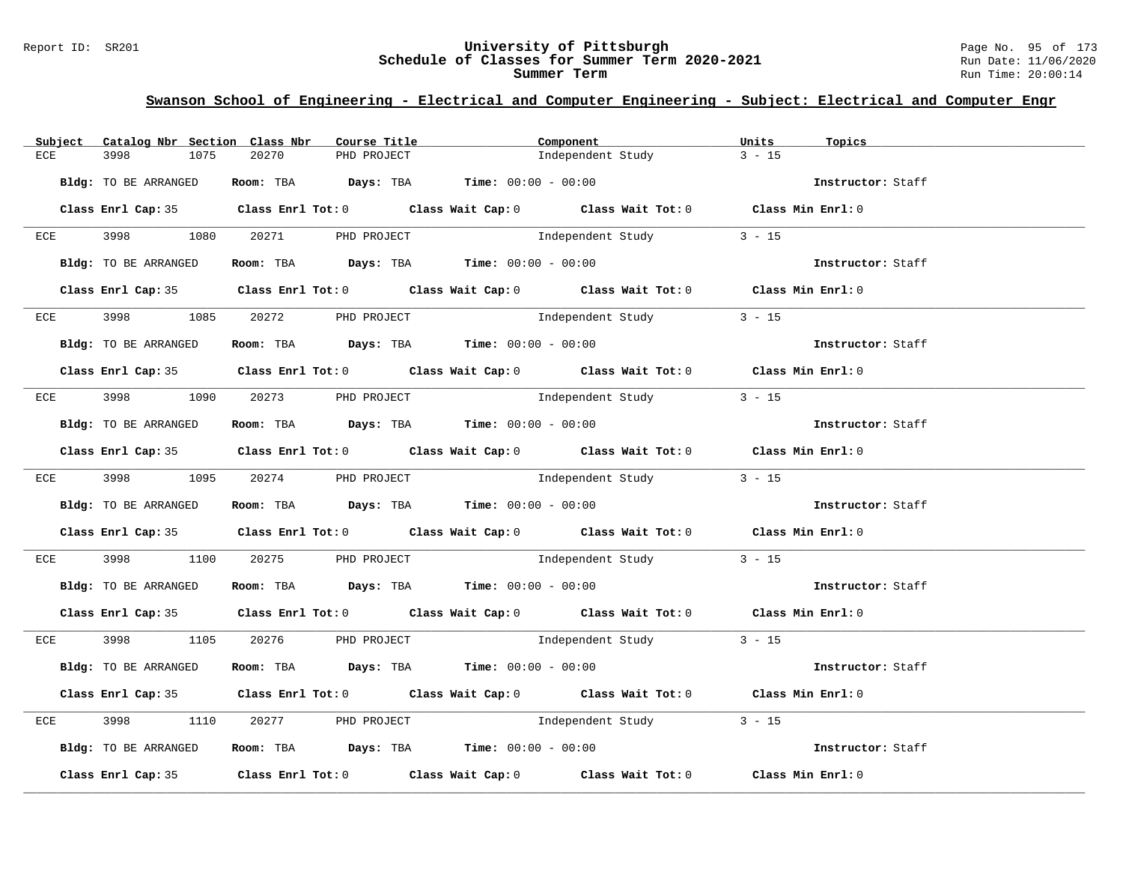#### Report ID: SR201 **University of Pittsburgh** Page No. 95 of 173 **Schedule of Classes for Summer Term 2020-2021** Run Date: 11/06/2020 **Summer Term** Run Time: 20:00:14

| Subject | Catalog Nbr Section Class Nbr | Course Title                                                   | Component                                                                                  | Units<br>Topics   |
|---------|-------------------------------|----------------------------------------------------------------|--------------------------------------------------------------------------------------------|-------------------|
| ECE     | 3998<br>1075                  | 20270<br>PHD PROJECT                                           | Independent Study                                                                          | $3 - 15$          |
|         |                               |                                                                |                                                                                            |                   |
|         | Bldg: TO BE ARRANGED          | Room: TBA $Days:$ TBA $Time: 00:00 - 00:00$                    |                                                                                            | Instructor: Staff |
|         |                               |                                                                | Class Enrl Cap: 35 Class Enrl Tot: 0 Class Wait Cap: 0 Class Wait Tot: 0 Class Min Enrl: 0 |                   |
|         |                               |                                                                |                                                                                            |                   |
|         |                               | ECE 3998 1080 20271 PHD PROJECT                                | Independent Study 3 - 15                                                                   |                   |
|         | Bldg: TO BE ARRANGED          |                                                                | <b>Room:</b> TBA <b>Days:</b> TBA <b>Time:</b> 00:00 - 00:00                               | Instructor: Staff |
|         |                               |                                                                |                                                                                            |                   |
|         |                               |                                                                | Class Enrl Cap: 35 Class Enrl Tot: 0 Class Wait Cap: 0 Class Wait Tot: 0 Class Min Enrl: 0 |                   |
|         |                               |                                                                |                                                                                            |                   |
| ECE     |                               | 1085 20272 PHD PROJECT                                         | Independent Study                                                                          | $3 - 15$          |
|         | Bldg: TO BE ARRANGED          | Room: TBA Days: TBA Time: $00:00 - 00:00$                      |                                                                                            | Instructor: Staff |
|         |                               |                                                                |                                                                                            |                   |
|         |                               |                                                                | Class Enrl Cap: 35 Class Enrl Tot: 0 Class Wait Cap: 0 Class Wait Tot: 0 Class Min Enrl: 0 |                   |
|         |                               | $ECE$ 3998 1090 20273 PHD PROJECT                              | Independent Study                                                                          | $3 - 15$          |
|         |                               |                                                                |                                                                                            |                   |
|         | Bldg: TO BE ARRANGED          | Room: TBA  Days: TBA Time: $00:00 - 00:00$                     |                                                                                            | Instructor: Staff |
|         |                               |                                                                |                                                                                            |                   |
|         |                               |                                                                | Class Enrl Cap: 35 Class Enrl Tot: 0 Class Wait Cap: 0 Class Wait Tot: 0 Class Min Enrl: 0 |                   |
|         |                               | ECE 3998 1095 20274 PHD PROJECT                                | Independent Study 3 - 15                                                                   |                   |
|         |                               |                                                                |                                                                                            |                   |
|         | Bldg: TO BE ARRANGED          | Room: TBA $Days:$ TBA Time: $00:00 - 00:00$                    |                                                                                            | Instructor: Staff |
|         |                               |                                                                |                                                                                            |                   |
|         |                               |                                                                | Class Enrl Cap: 35 Class Enrl Tot: 0 Class Wait Cap: 0 Class Wait Tot: 0 Class Min Enrl: 0 |                   |
| ECE     | 3998 — 100                    |                                                                | 1100 20275 PHD PROJECT 100 Independent Study 3 - 15                                        |                   |
|         |                               |                                                                |                                                                                            |                   |
|         | Bldg: TO BE ARRANGED          | Room: TBA Days: TBA Time: $00:00 - 00:00$                      |                                                                                            | Instructor: Staff |
|         |                               |                                                                | Class Enrl Cap: 35 Class Enrl Tot: 0 Class Wait Cap: 0 Class Wait Tot: 0 Class Min Enrl: 0 |                   |
|         |                               |                                                                |                                                                                            |                   |
|         |                               | ECE 3998 1105 20276 PHD PROJECT                                | Independent Study 3 - 15                                                                   |                   |
|         |                               |                                                                |                                                                                            |                   |
|         | Bldg: TO BE ARRANGED          | Room: TBA $\rule{1em}{0.15mm}$ Days: TBA Time: $00:00 - 00:00$ |                                                                                            | Instructor: Staff |
|         |                               |                                                                | Class Enrl Cap: 35 Class Enrl Tot: 0 Class Wait Cap: 0 Class Wait Tot: 0 Class Min Enrl: 0 |                   |
|         |                               |                                                                |                                                                                            |                   |
| ECE     | 3998<br>1110                  |                                                                | 20277 PHD PROJECT 1000 Independent Study 3 - 15                                            |                   |
|         |                               | Room: TBA $\rule{1em}{0.15mm}$ Days: TBA Time: $00:00 - 00:00$ |                                                                                            |                   |
|         | Bldg: TO BE ARRANGED          |                                                                |                                                                                            | Instructor: Staff |
|         |                               |                                                                | Class Enrl Cap: 35 Class Enrl Tot: 0 Class Wait Cap: 0 Class Wait Tot: 0 Class Min Enrl: 0 |                   |
|         |                               |                                                                |                                                                                            |                   |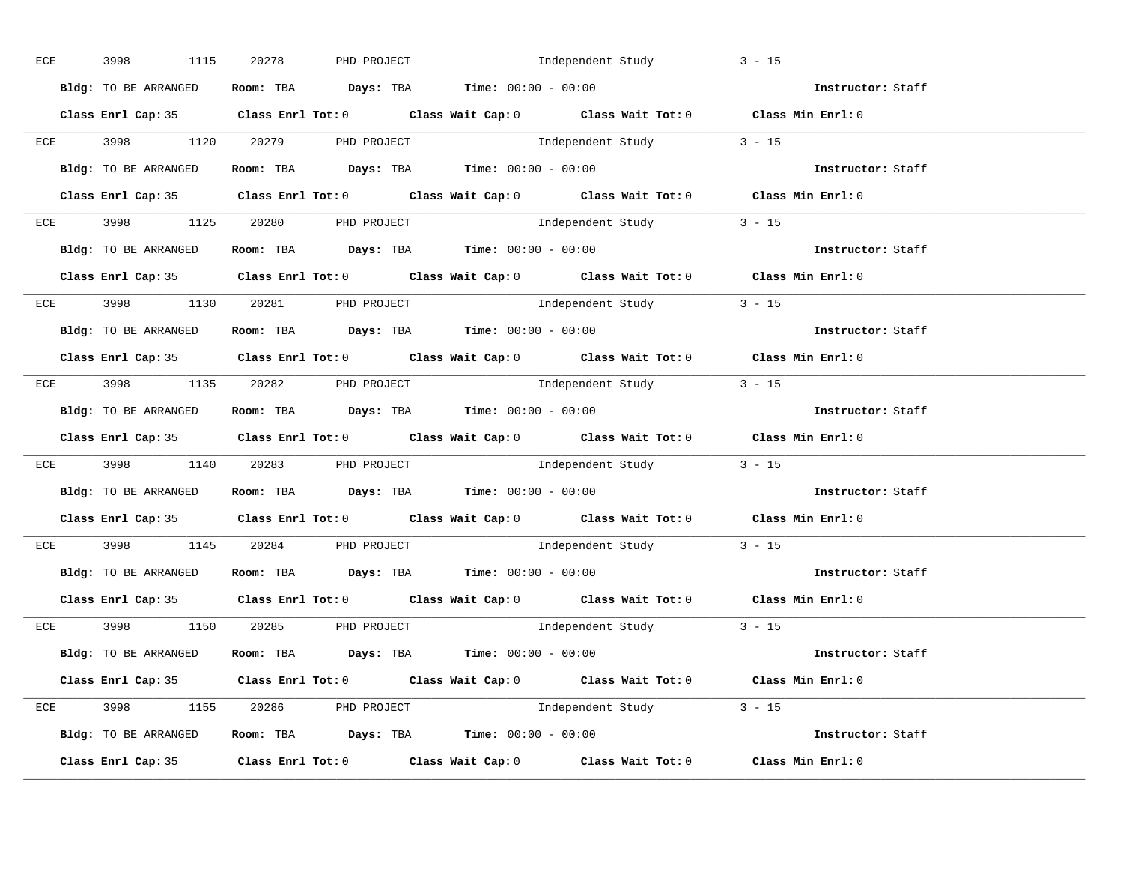|  | ECE 3998 1115                                                                              |  |                                                                |                                                                                            | $3 - 15$                                                                                   |
|--|--------------------------------------------------------------------------------------------|--|----------------------------------------------------------------|--------------------------------------------------------------------------------------------|--------------------------------------------------------------------------------------------|
|  | Bldg: TO BE ARRANGED                                                                       |  | Room: TBA $Days:$ TBA Time: $00:00 - 00:00$                    |                                                                                            | Instructor: Staff                                                                          |
|  |                                                                                            |  |                                                                | Class Enrl Cap: 35 Class Enrl Tot: 0 Class Wait Cap: 0 Class Wait Tot: 0 Class Min Enrl: 0 |                                                                                            |
|  |                                                                                            |  |                                                                | ECE 3998 1120 20279 PHD PROJECT 10 Independent Study 3 - 15                                |                                                                                            |
|  | Bldg: TO BE ARRANGED                                                                       |  | Room: TBA $\rule{1em}{0.15mm}$ Days: TBA Time: $00:00 - 00:00$ |                                                                                            | Instructor: Staff                                                                          |
|  |                                                                                            |  |                                                                |                                                                                            | Class Enrl Cap: 35 Class Enrl Tot: 0 Class Wait Cap: 0 Class Wait Tot: 0 Class Min Enrl: 0 |
|  | ECE 3998 1125 20280 PHD PROJECT                                                            |  |                                                                | Independent Study 3 - 15                                                                   |                                                                                            |
|  |                                                                                            |  |                                                                | Bldg: TO BE ARRANGED Room: TBA Days: TBA Time: 00:00 - 00:00                               | <b>Instructor:</b> Staff                                                                   |
|  |                                                                                            |  |                                                                |                                                                                            | Class Enrl Cap: 35 Class Enrl Tot: 0 Class Wait Cap: 0 Class Wait Tot: 0 Class Min Enrl: 0 |
|  | ECE 3998 1130 20281 PHD PROJECT                                                            |  |                                                                | Independent Study 3 - 15                                                                   |                                                                                            |
|  | Bldg: TO BE ARRANGED                                                                       |  |                                                                | Room: TBA $\rule{1em}{0.15mm}$ Days: TBA $\rule{1.15mm}]{0.15mm}$ Time: $0.000 - 0.000$    | Instructor: Staff                                                                          |
|  |                                                                                            |  |                                                                |                                                                                            | Class Enrl Cap: 35 Class Enrl Tot: 0 Class Wait Cap: 0 Class Wait Tot: 0 Class Min Enrl: 0 |
|  | ECE 3998 1135 20282 PHD PROJECT                                                            |  |                                                                | Independent Study 3 - 15                                                                   |                                                                                            |
|  | Bldg: TO BE ARRANGED Room: TBA Days: TBA Time: 00:00 - 00:00                               |  |                                                                |                                                                                            | Instructor: Staff                                                                          |
|  |                                                                                            |  |                                                                |                                                                                            | Class Enrl Cap: 35 Class Enrl Tot: 0 Class Wait Cap: 0 Class Wait Tot: 0 Class Min Enrl: 0 |
|  |                                                                                            |  |                                                                | ECE 3998 1140 20283 PHD PROJECT 10 Independent Study 3 - 15                                |                                                                                            |
|  | Bldg: TO BE ARRANGED ROOM: TBA Days: TBA Time: 00:00 - 00:00                               |  |                                                                |                                                                                            | Instructor: Staff                                                                          |
|  |                                                                                            |  |                                                                |                                                                                            | Class Enrl Cap: 35 Class Enrl Tot: 0 Class Wait Cap: 0 Class Wait Tot: 0 Class Min Enrl: 0 |
|  | ECE 3998 1145 20284 PHD PROJECT                                                            |  |                                                                | Independent Study 3 - 15                                                                   |                                                                                            |
|  | <b>Bldg:</b> TO BE ARRANGED <b>Room:</b> TBA <b>Days:</b> TBA <b>Time:</b> $00:00 - 00:00$ |  |                                                                |                                                                                            | Instructor: Staff                                                                          |
|  |                                                                                            |  |                                                                |                                                                                            | Class Enrl Cap: 35 Class Enrl Tot: 0 Class Wait Cap: 0 Class Wait Tot: 0 Class Min Enrl: 0 |
|  | $ECE$ 3998 1150 20285 PHD PROJECT                                                          |  |                                                                | Independent Study 3 - 15                                                                   |                                                                                            |
|  |                                                                                            |  |                                                                | Bldg: TO BE ARRANGED Room: TBA Days: TBA Time: 00:00 - 00:00                               | <b>Instructor:</b> Staff                                                                   |
|  |                                                                                            |  |                                                                | Class Enrl Cap: 35 Class Enrl Tot: 0 Class Wait Cap: 0 Class Wait Tot: 0 Class Min Enrl: 0 |                                                                                            |
|  | ECE 3998 1155 20286 PHD PROJECT                                                            |  |                                                                | Independent Study 3 - 15                                                                   |                                                                                            |
|  |                                                                                            |  |                                                                | Bldg: TO BE ARRANGED Room: TBA Days: TBA Time: 00:00 - 00:00                               | Instructor: Staff                                                                          |
|  |                                                                                            |  |                                                                |                                                                                            | Class Enrl Cap: 35 Class Enrl Tot: 0 Class Wait Cap: 0 Class Wait Tot: 0 Class Min Enrl: 0 |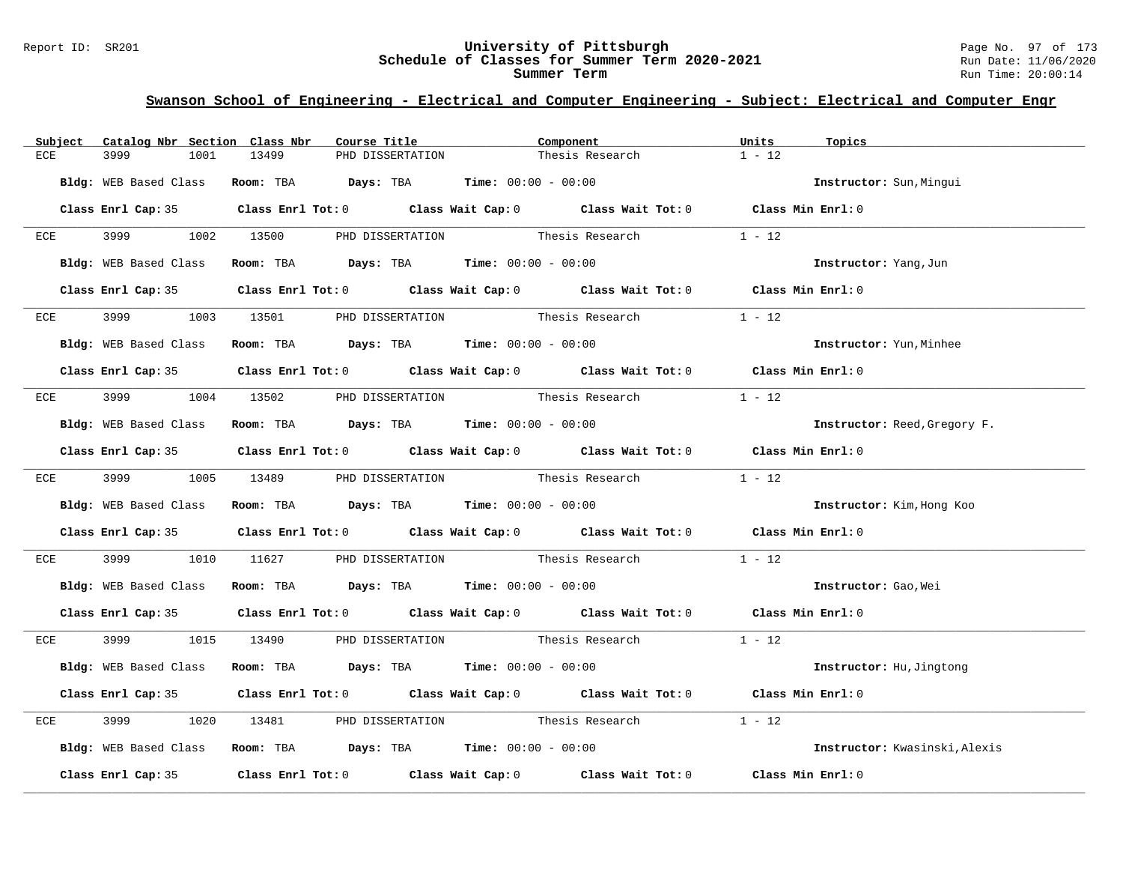#### Report ID: SR201 **University of Pittsburgh** Page No. 97 of 173 **Schedule of Classes for Summer Term 2020-2021** Run Date: 11/06/2020 **Summer Term** Run Time: 20:00:14

| Subject | Catalog Nbr Section Class Nbr | Course Title | Component                                                                                  |                 | Units<br>Topics               |  |
|---------|-------------------------------|--------------|--------------------------------------------------------------------------------------------|-----------------|-------------------------------|--|
| ECE     | 3999<br>1001                  | 13499        | PHD DISSERTATION                                                                           | Thesis Research | $1 - 12$                      |  |
|         | Bldg: WEB Based Class         |              | Room: TBA $Days:$ TBA $Time: 00:00 - 00:00$                                                |                 | Instructor: Sun, Mingui       |  |
|         |                               |              | Class Enrl Cap: 35 Class Enrl Tot: 0 Class Wait Cap: 0 Class Wait Tot: 0 Class Min Enrl: 0 |                 |                               |  |
| ECE     |                               |              | 3999 1002 13500 PHD DISSERTATION Thesis Research                                           |                 | $1 - 12$                      |  |
|         |                               |              | Bldg: WEB Based Class Room: TBA Days: TBA Time: 00:00 - 00:00                              |                 | Instructor: Yang, Jun         |  |
|         |                               |              | Class Enrl Cap: 35 Class Enrl Tot: 0 Class Wait Cap: 0 Class Wait Tot: 0 Class Min Enrl: 0 |                 |                               |  |
| ECE     | 3999 — 100                    |              | 1003 13501 PHD DISSERTATION Thesis Research                                                |                 | $1 - 12$                      |  |
|         |                               |              | Bldg: WEB Based Class Room: TBA Days: TBA Time: 00:00 - 00:00                              |                 | Instructor: Yun, Minhee       |  |
|         |                               |              | Class Enrl Cap: 35 Class Enrl Tot: 0 Class Wait Cap: 0 Class Wait Tot: 0 Class Min Enrl: 0 |                 |                               |  |
|         |                               |              | ECE 3999 1004 13502 PHD DISSERTATION Thesis Research                                       |                 | $1 - 12$                      |  |
|         |                               |              | Bldg: WEB Based Class Room: TBA Days: TBA Time: 00:00 - 00:00                              |                 | Instructor: Reed, Gregory F.  |  |
|         |                               |              | Class Enrl Cap: 35 Class Enrl Tot: 0 Class Wait Cap: 0 Class Wait Tot: 0 Class Min Enrl: 0 |                 |                               |  |
|         |                               |              | ECE 3999 1005 13489 PHD DISSERTATION Thesis Research 1 - 12                                |                 |                               |  |
|         |                               |              | Bldg: WEB Based Class Room: TBA Days: TBA Time: 00:00 - 00:00                              |                 | Instructor: Kim, Hong Koo     |  |
|         |                               |              | Class Enrl Cap: 35 Class Enrl Tot: 0 Class Wait Cap: 0 Class Wait Tot: 0 Class Min Enrl: 0 |                 |                               |  |
| ECE     |                               |              | 1010 11627 PHD DISSERTATION Thesis Research                                                |                 | $1 - 12$                      |  |
|         |                               |              | Bldg: WEB Based Class Room: TBA Days: TBA Time: 00:00 - 00:00                              |                 | Instructor: Gao, Wei          |  |
|         |                               |              | Class Enrl Cap: 35 Class Enrl Tot: 0 Class Wait Cap: 0 Class Wait Tot: 0 Class Min Enrl: 0 |                 |                               |  |
|         |                               |              | ECE 3999 1015 13490 PHD DISSERTATION Thesis Research 1 - 12                                |                 |                               |  |
|         |                               |              | Bldg: WEB Based Class Room: TBA Days: TBA Time: 00:00 - 00:00                              |                 | Instructor: Hu, Jingtong      |  |
|         |                               |              | Class Enrl Cap: 35 Class Enrl Tot: 0 Class Wait Cap: 0 Class Wait Tot: 0 Class Min Enrl: 0 |                 |                               |  |
| ECE     | 3999                          |              | 1020 13481 PHD DISSERTATION Thesis Research                                                |                 | $1 - 12$                      |  |
|         |                               |              | Bldg: WEB Based Class Room: TBA Days: TBA Time: 00:00 - 00:00                              |                 | Instructor: Kwasinski, Alexis |  |
|         |                               |              | Class Enrl Cap: 35 Class Enrl Tot: 0 Class Wait Cap: 0 Class Wait Tot: 0 Class Min Enrl: 0 |                 |                               |  |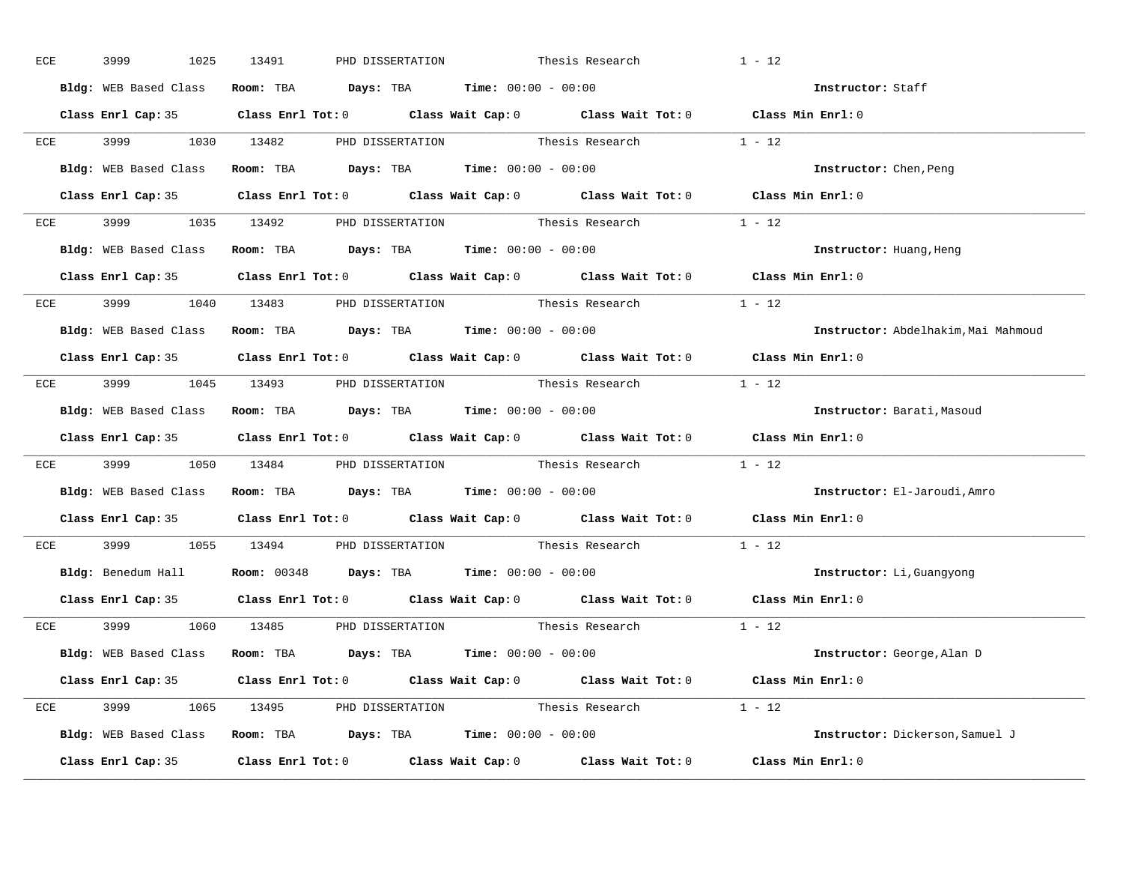| ECE | 3999 | 1025 | 13491 | PHD DISSERTATION |                                                                                   | Thesis Research                                             | $1 - 12$                                                                                   |
|-----|------|------|-------|------------------|-----------------------------------------------------------------------------------|-------------------------------------------------------------|--------------------------------------------------------------------------------------------|
|     |      |      |       |                  | Bldg: WEB Based Class Room: TBA Days: TBA Time: 00:00 - 00:00                     |                                                             | Instructor: Staff                                                                          |
|     |      |      |       |                  |                                                                                   |                                                             | Class Enrl Cap: 35 Class Enrl Tot: 0 Class Wait Cap: 0 Class Wait Tot: 0 Class Min Enrl: 0 |
|     |      |      |       |                  |                                                                                   | ECE 3999 1030 13482 PHD DISSERTATION Thesis Research 1 - 12 |                                                                                            |
|     |      |      |       |                  | Bldg: WEB Based Class Room: TBA Days: TBA Time: 00:00 - 00:00                     |                                                             | Instructor: Chen, Peng                                                                     |
|     |      |      |       |                  |                                                                                   |                                                             | Class Enrl Cap: 35 Class Enrl Tot: 0 Class Wait Cap: 0 Class Wait Tot: 0 Class Min Enrl: 0 |
|     |      |      |       |                  |                                                                                   | ECE 3999 1035 13492 PHD DISSERTATION Thesis Research 1 - 12 |                                                                                            |
|     |      |      |       |                  | Bldg: WEB Based Class Room: TBA Days: TBA Time: 00:00 - 00:00                     |                                                             | Instructor: Huang, Heng                                                                    |
|     |      |      |       |                  |                                                                                   |                                                             | Class Enrl Cap: 35 Class Enrl Tot: 0 Class Wait Cap: 0 Class Wait Tot: 0 Class Min Enrl: 0 |
|     |      |      |       |                  |                                                                                   | ECE 3999 1040 13483 PHD DISSERTATION Thesis Research 1 - 12 |                                                                                            |
|     |      |      |       |                  | Bldg: WEB Based Class Room: TBA Days: TBA Time: 00:00 - 00:00                     |                                                             | Instructor: Abdelhakim, Mai Mahmoud                                                        |
|     |      |      |       |                  |                                                                                   |                                                             | Class Enrl Cap: 35 Class Enrl Tot: 0 Class Wait Cap: 0 Class Wait Tot: 0 Class Min Enrl: 0 |
|     |      |      |       |                  |                                                                                   | ECE 3999 1045 13493 PHD DISSERTATION Thesis Research 1 - 12 |                                                                                            |
|     |      |      |       |                  | Bldg: WEB Based Class Room: TBA Days: TBA Time: 00:00 - 00:00                     |                                                             | Instructor: Barati, Masoud                                                                 |
|     |      |      |       |                  |                                                                                   |                                                             | Class Enrl Cap: 35 Class Enrl Tot: 0 Class Wait Cap: 0 Class Wait Tot: 0 Class Min Enrl: 0 |
|     |      |      |       |                  |                                                                                   | ECE 3999 1050 13484 PHD DISSERTATION Thesis Research 1 - 12 |                                                                                            |
|     |      |      |       |                  | Bldg: WEB Based Class Room: TBA Days: TBA Time: 00:00 - 00:00                     |                                                             | Instructor: El-Jaroudi, Amro                                                               |
|     |      |      |       |                  |                                                                                   |                                                             | Class Enrl Cap: 35 Class Enrl Tot: 0 Class Wait Cap: 0 Class Wait Tot: 0 Class Min Enrl: 0 |
| ECE |      |      |       |                  |                                                                                   | 3999 1055 13494 PHD DISSERTATION Thesis Research            | $1 - 12$                                                                                   |
|     |      |      |       |                  | Bldg: Benedum Hall <b>Room:</b> 00348 <b>Days:</b> TBA <b>Time:</b> 00:00 - 00:00 |                                                             | Instructor: Li, Guangyong                                                                  |
|     |      |      |       |                  |                                                                                   |                                                             | Class Enrl Cap: 35 Class Enrl Tot: 0 Class Wait Cap: 0 Class Wait Tot: 0 Class Min Enrl: 0 |
|     |      |      |       |                  |                                                                                   | ECE 3999 1060 13485 PHD_DISSERTATION Thesis_Research 1 - 12 |                                                                                            |
|     |      |      |       |                  | Bldg: WEB Based Class Room: TBA Days: TBA Time: 00:00 - 00:00                     |                                                             | Instructor: George, Alan D                                                                 |
|     |      |      |       |                  |                                                                                   |                                                             | Class Enrl Cap: 35 Class Enrl Tot: 0 Class Wait Cap: 0 Class Wait Tot: 0 Class Min Enrl: 0 |
|     |      |      |       |                  |                                                                                   | ECE 3999 1065 13495 PHD DISSERTATION Thesis Research 1 - 12 |                                                                                            |
|     |      |      |       |                  | Bldg: WEB Based Class Room: TBA Days: TBA Time: 00:00 - 00:00                     |                                                             | Instructor: Dickerson, Samuel J                                                            |
|     |      |      |       |                  |                                                                                   |                                                             | Class Enrl Cap: 35 Class Enrl Tot: 0 Class Wait Cap: 0 Class Wait Tot: 0 Class Min Enrl: 0 |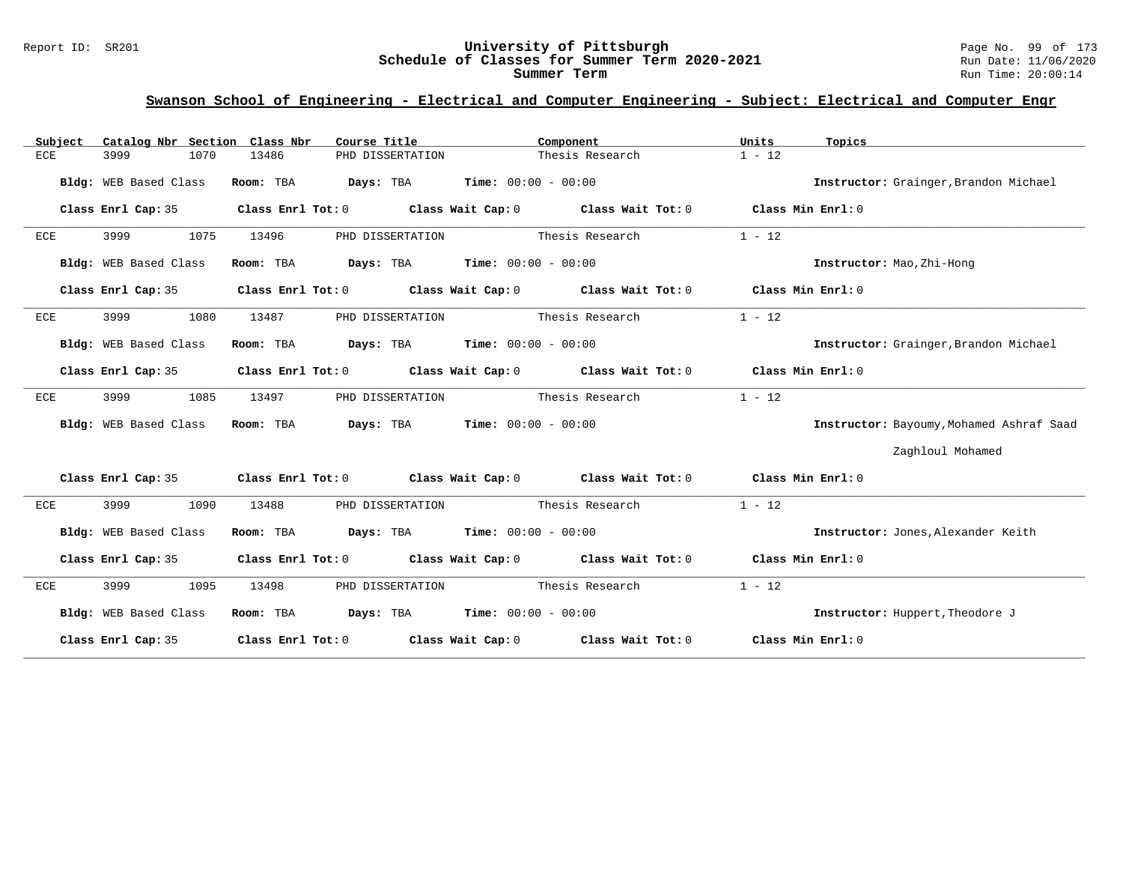#### Report ID: SR201 **University of Pittsburgh** Page No. 99 of 173 **Schedule of Classes for Summer Term 2020-2021** Run Date: 11/06/2020 **Summer Term** Run Time: 20:00:14

| Catalog Nbr Section Class Nbr<br>Subject | Course Title                                | Component                                                                                          | Units<br>Topics                          |
|------------------------------------------|---------------------------------------------|----------------------------------------------------------------------------------------------------|------------------------------------------|
| 1070<br>ECE<br>3999                      | 13486<br>PHD DISSERTATION                   | Thesis Research                                                                                    | $1 - 12$                                 |
| Bldg: WEB Based Class                    | Room: TBA                                   | <b>Days:</b> TBA <b>Time:</b> $00:00 - 00:00$                                                      | Instructor: Grainger, Brandon Michael    |
| Class Enrl Cap: 35                       |                                             | Class Enrl Tot: 0 $\qquad$ Class Wait Cap: 0 $\qquad$ Class Wait Tot: 0 $\qquad$ Class Min Enrl: 0 |                                          |
| 3999<br>1075<br>ECE                      | 13496<br>PHD DISSERTATION                   | Thesis Research                                                                                    | $1 - 12$                                 |
| Bldg: WEB Based Class                    | Room: TBA                                   | $\texttt{Davis:}$ TBA $\texttt{Time:}$ 00:00 - 00:00                                               | Instructor: Mao, Zhi-Hong                |
| Class Enrl Cap: 35                       |                                             | Class Enrl Tot: 0 Class Wait Cap: 0 Class Wait Tot: 0 Class Min Enrl: 0                            |                                          |
| 3999<br>1080<br>ECE                      | PHD DISSERTATION<br>13487                   | Thesis Research                                                                                    | $1 - 12$                                 |
| Bldg: WEB Based Class                    | Room: TBA $Days:$ TBA $Time: 00:00 - 00:00$ |                                                                                                    | Instructor: Grainger, Brandon Michael    |
| Class Enrl Cap: 35                       |                                             | Class Enrl Tot: 0 $\qquad$ Class Wait Cap: 0 $\qquad$ Class Wait Tot: 0 $\qquad$ Class Min Enrl: 0 |                                          |
| 3999<br>1085<br>ECE                      | 13497<br>PHD DISSERTATION                   | Thesis Research                                                                                    | $1 - 12$                                 |
| Bldg: WEB Based Class                    | Room: TBA $Days:$ TBA $Time: 00:00 - 00:00$ |                                                                                                    | Instructor: Bayoumy, Mohamed Ashraf Saad |
|                                          |                                             |                                                                                                    | Zaghloul Mohamed                         |
| Class Enrl Cap: 35                       |                                             | Class Enrl Tot: $0$ Class Wait Cap: $0$ Class Wait Tot: $0$ Class Min Enrl: $0$                    |                                          |
| 3999<br>1090<br>ECE                      | 13488<br>PHD DISSERTATION                   | Thesis Research                                                                                    | $1 - 12$                                 |
| Bldg: WEB Based Class                    | Room: TBA                                   | $\texttt{Davis:}$ TBA $\texttt{Time:}$ 00:00 - 00:00                                               | Instructor: Jones, Alexander Keith       |
| Class Enrl Cap: 35                       |                                             | Class Enrl Tot: 0 Class Wait Cap: 0 Class Wait Tot: 0 Class Min Enrl: 0                            |                                          |
| 3999<br>1095<br>ECE                      | 13498<br>PHD DISSERTATION                   | Thesis Research                                                                                    | $1 - 12$                                 |
| Bldg: WEB Based Class                    | Room: TBA $Days:$ TBA $Time: 00:00 - 00:00$ |                                                                                                    | Instructor: Huppert, Theodore J          |
|                                          |                                             | Class Enrl Cap: 35 Class Enrl Tot: 0 Class Wait Cap: 0 Class Wait Tot: 0 Class Min Enrl: 0         |                                          |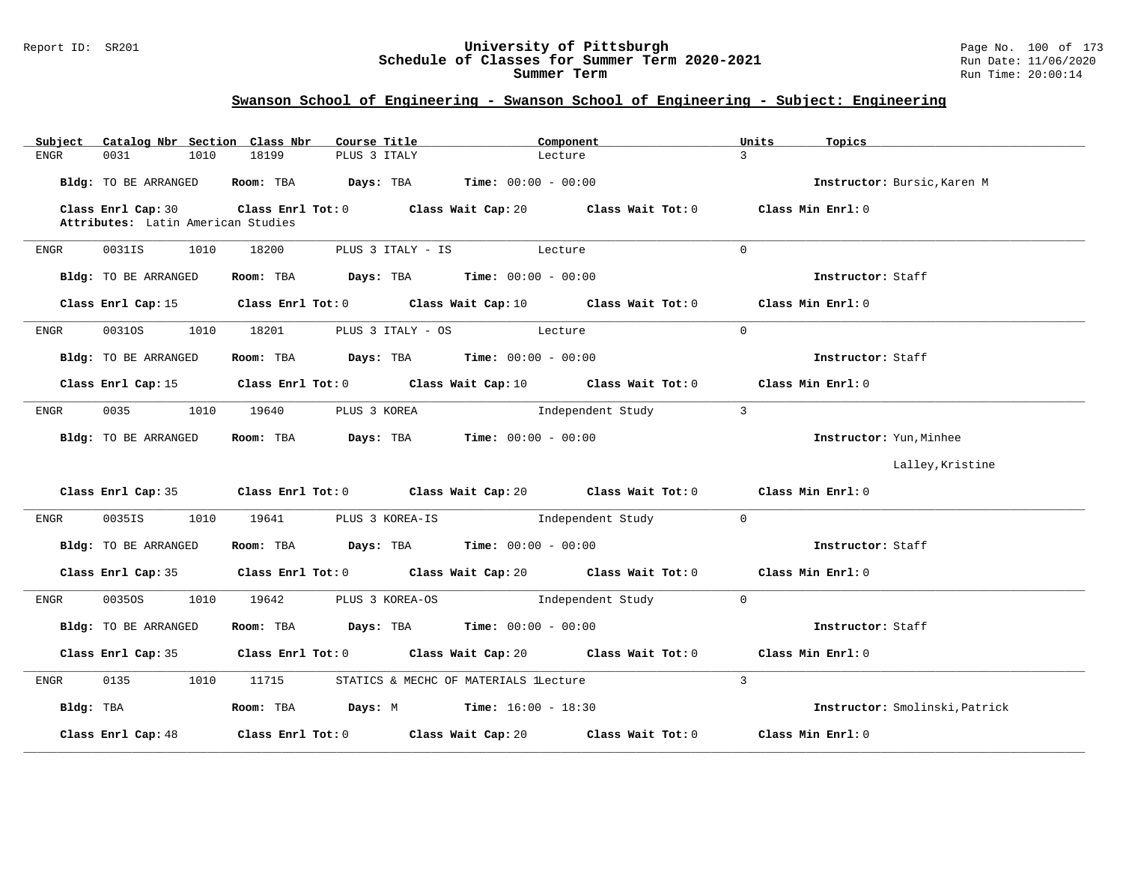#### Report ID: SR201 **University of Pittsburgh** Page No. 100 of 173 **Schedule of Classes for Summer Term 2020-2021** Run Date: 11/06/2020 **Summer Term** Run Time: 20:00:14

| Catalog Nbr Section Class Nbr<br>Subject                 | Course Title                                                            | Component                                                                                            | Units<br>Topics                |
|----------------------------------------------------------|-------------------------------------------------------------------------|------------------------------------------------------------------------------------------------------|--------------------------------|
| 0031<br>ENGR<br>1010                                     | 18199<br>PLUS 3 ITALY                                                   | Lecture                                                                                              | $\mathcal{L}$                  |
| Bldg: TO BE ARRANGED                                     | <b>Room:</b> TBA $Days:$ TBA $Time: 00:00 - 00:00$                      |                                                                                                      | Instructor: Bursic, Karen M    |
| Class Enrl Cap: 30<br>Attributes: Latin American Studies |                                                                         | Class Enrl Tot: $0$ Class Wait Cap: $20$ Class Wait Tot: $0$                                         | Class Min Enrl: 0              |
| 0031IS<br>1010<br>ENGR                                   | 18200                                                                   | PLUS 3 ITALY - IS Lecture                                                                            | $\Omega$                       |
| Bldg: TO BE ARRANGED                                     | Room: TBA $Days:$ TBA $Time: 00:00 - 00:00$                             |                                                                                                      | Instructor: Staff              |
|                                                          |                                                                         | Class Enrl Cap: 15 Class Enrl Tot: 0 Class Wait Cap: 10 Class Wait Tot: 0                            | Class Min Enrl: 0              |
| 1010<br>ENGR<br>00310S                                   | 18201 PLUS 3 ITALY - OS Lecture                                         |                                                                                                      | $\Omega$                       |
| Bldg: TO BE ARRANGED                                     | Room: TBA $\rule{1em}{0.15mm}$ Days: TBA $\qquad$ Time: $00:00 - 00:00$ |                                                                                                      | Instructor: Staff              |
|                                                          |                                                                         | Class Enrl Cap: 15 Class Enrl Tot: 0 Class Wait Cap: 10 Class Wait Tot: 0 Class Min Enrl: 0          |                                |
| 0035<br>1010<br>ENGR                                     | 19640<br>PLUS 3 KOREA                                                   | Independent Study                                                                                    | $\overline{3}$                 |
| Bldg: TO BE ARRANGED                                     | Room: TBA $Days:$ TBA $Time: 00:00 - 00:00$                             |                                                                                                      | Instructor: Yun, Minhee        |
|                                                          |                                                                         |                                                                                                      | Lalley, Kristine               |
|                                                          |                                                                         | Class Enrl Cap: 35 Class Enrl Tot: 0 Class Wait Cap: 20 Class Wait Tot: 0                            | Class Min Enrl: 0              |
| 0035IS<br>1010<br>ENGR                                   | 19641                                                                   | PLUS 3 KOREA-IS [Independent Study                                                                   | $\Omega$                       |
| Bldg: TO BE ARRANGED                                     | Room: TBA $\rule{1em}{0.15mm}$ Days: TBA Time: $00:00 - 00:00$          |                                                                                                      | Instructor: Staff              |
|                                                          |                                                                         | Class Enrl Cap: 35 $\qquad$ Class Enrl Tot: 0 $\qquad$ Class Wait Cap: 20 $\qquad$ Class Wait Tot: 0 | Class Min Enrl: 0              |
| 00350S<br>1010<br>ENGR                                   | 19642                                                                   | PLUS 3 KOREA-OS                    Independent Study                                                 | $\mathbf{0}$                   |
| Bldg: TO BE ARRANGED                                     | Room: TBA $Days:$ TBA $Time: 00:00 - 00:00$                             |                                                                                                      | Instructor: Staff              |
|                                                          |                                                                         | Class Enrl Cap: 35 Class Enrl Tot: 0 Class Wait Cap: 20 Class Wait Tot: 0                            | Class Min Enrl: 0              |
| 0135<br>1010<br>ENGR                                     | 11715 STATICS & MECHC OF MATERIALS lLecture                             |                                                                                                      | $\mathcal{L}$                  |
| Bldg: TBA                                                |                                                                         |                                                                                                      | Instructor: Smolinski, Patrick |
| Class Enrl Cap: 48                                       | Class Enrl Tot: 0 Class Wait Cap: 20                                    | Class Wait Tot: 0                                                                                    | Class Min Enrl: 0              |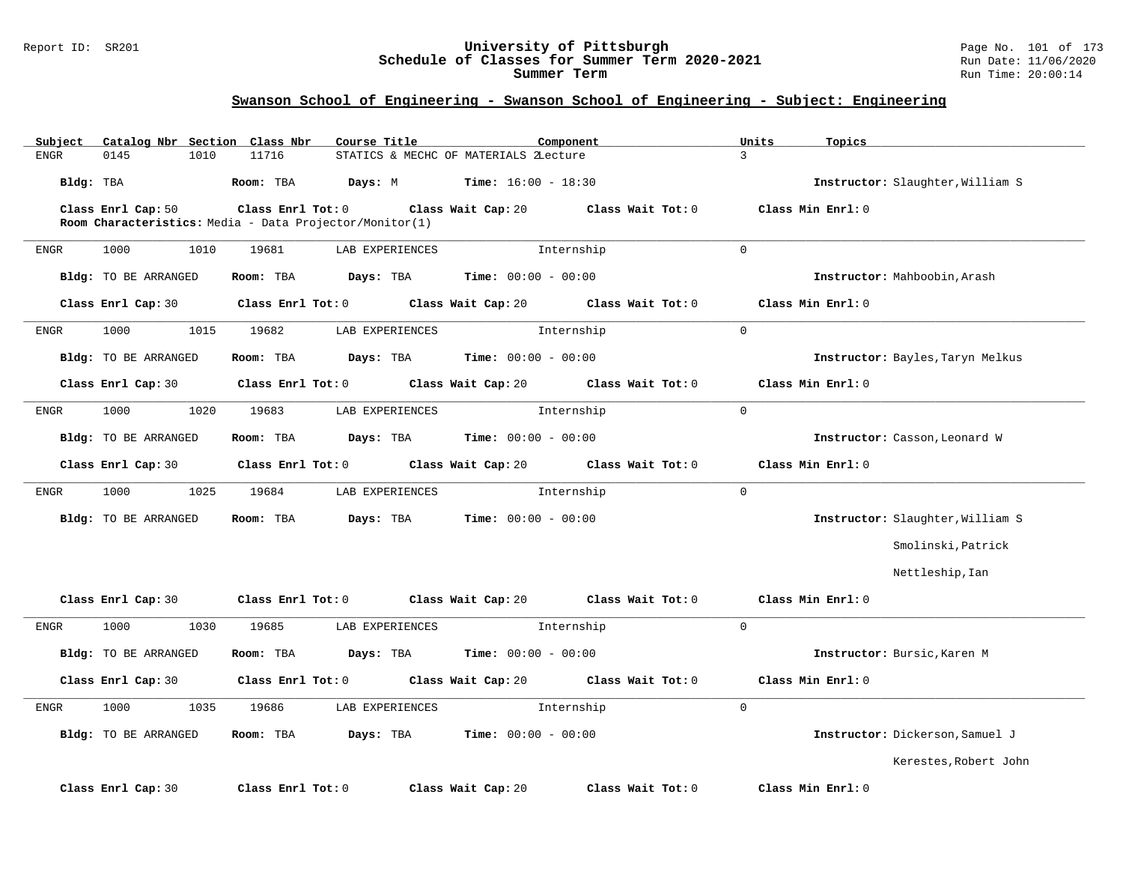#### Report ID: SR201 **University of Pittsburgh** Page No. 101 of 173 **Schedule of Classes for Summer Term 2020-2021** Run Date: 11/06/2020 **Summer Term** Run Time: 20:00:14

| Catalog Nbr Section Class Nbr<br>Subject | Course Title                                            | Component                               | Units<br>Topics                  |
|------------------------------------------|---------------------------------------------------------|-----------------------------------------|----------------------------------|
| 0145<br>1010<br><b>ENGR</b>              | 11716                                                   | STATICS & MECHC OF MATERIALS 2Lecture   | $\overline{3}$                   |
| Bldg: TBA                                | Room: TBA<br>Days: M                                    | <b>Time:</b> $16:00 - 18:30$            | Instructor: Slaughter, William S |
| Class Enrl Cap: 50                       | Class Enrl Tot: 0                                       | Class Wait Cap: 20<br>Class Wait Tot: 0 | Class Min Enrl: 0                |
|                                          | Room Characteristics: Media - Data Projector/Monitor(1) |                                         |                                  |
| 1000<br>1010<br>ENGR                     | 19681<br>LAB EXPERIENCES                                | Internship                              | $\Omega$                         |
| Bldg: TO BE ARRANGED                     | Room: TBA<br>Days: TBA                                  | <b>Time:</b> $00:00 - 00:00$            | Instructor: Mahboobin, Arash     |
| Class Enrl Cap: 30                       | Class Enrl Tot: 0                                       | Class Wait Cap: 20 Class Wait Tot: 0    | Class Min Enrl: 0                |
| 1000<br>1015<br>ENGR                     | 19682<br>LAB EXPERIENCES                                | Internship                              | $\mathbf 0$                      |
| Bldg: TO BE ARRANGED                     | Days: TBA<br>Room: TBA                                  | <b>Time:</b> $00:00 - 00:00$            | Instructor: Bayles, Taryn Melkus |
| Class Enrl Cap: 30                       | Class Enrl Tot: 0                                       | Class Wait Cap: 20<br>Class Wait Tot: 0 | Class Min Enrl: 0                |
| 1000<br>1020<br>ENGR                     | LAB EXPERIENCES<br>19683                                | Internship                              | $\Omega$                         |
| Bldg: TO BE ARRANGED                     | Room: TBA<br>Days: TBA                                  | <b>Time:</b> $00:00 - 00:00$            | Instructor: Casson, Leonard W    |
| Class Enrl Cap: 30                       | Class Enrl Tot: 0                                       | Class Wait Cap: 20 Class Wait Tot: 0    | Class Min Enrl: 0                |
| 1000<br>1025<br>ENGR                     | 19684<br>LAB EXPERIENCES                                | Internship                              | $\mathbf{0}$                     |
| Bldg: TO BE ARRANGED                     | Room: TBA<br>Days: TBA                                  | <b>Time:</b> $00:00 - 00:00$            | Instructor: Slaughter, William S |
|                                          |                                                         |                                         | Smolinski, Patrick               |
|                                          |                                                         |                                         | Nettleship, Ian                  |
| Class Enrl Cap: 30                       | Class Enrl Tot: 0                                       | Class Wait Cap: 20<br>Class Wait Tot: 0 | Class Min Enrl: 0                |
| 1000<br>1030<br>ENGR                     | 19685<br>LAB EXPERIENCES                                | Internship                              | $\Omega$                         |
| Bldg: TO BE ARRANGED                     | Room: TBA<br>Days: TBA                                  | <b>Time:</b> $00:00 - 00:00$            | Instructor: Bursic, Karen M      |
| Class Enrl Cap: 30                       | Class Enrl Tot: 0                                       | Class Wait Cap: 20 Class Wait Tot: 0    | Class Min Enrl: 0                |
| 1000<br>1035<br>ENGR                     | 19686<br>LAB EXPERIENCES                                | Internship                              | $\Omega$                         |
| Bldg: TO BE ARRANGED                     | Days: TBA<br>Room: TBA                                  | <b>Time:</b> $00:00 - 00:00$            | Instructor: Dickerson, Samuel J  |
|                                          |                                                         |                                         | Kerestes, Robert John            |
| Class Enrl Cap: 30                       | Class Enrl Tot: 0                                       | Class Wait Cap: 20<br>Class Wait Tot: 0 | Class Min Enrl: 0                |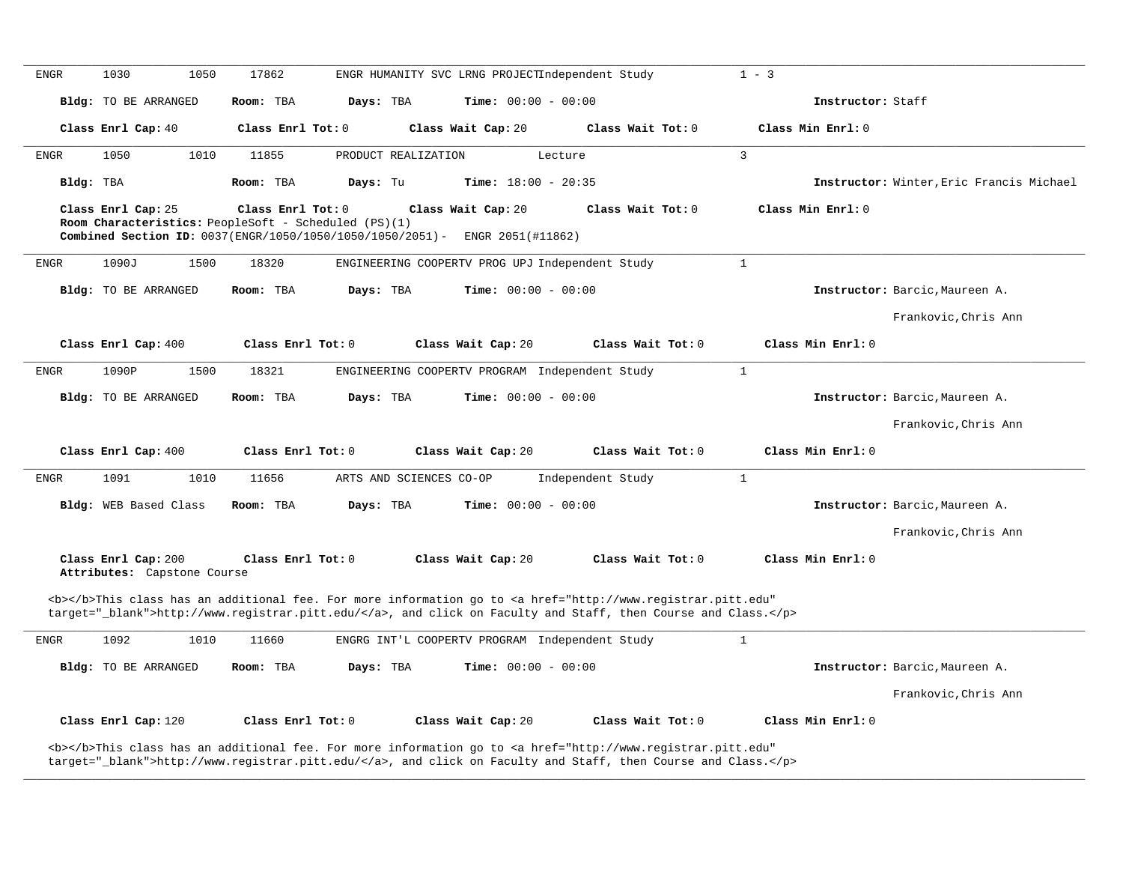| <b>ENGR</b>                                                                                                                                                                                                                        | 1030<br>1050                                       | 17862                                                                                                                                  | ENGR HUMANITY SVC LRNG PROJECTIndependent Study                                                                                                                                                                                    |                   | $1 - 3$                                  |  |
|------------------------------------------------------------------------------------------------------------------------------------------------------------------------------------------------------------------------------------|----------------------------------------------------|----------------------------------------------------------------------------------------------------------------------------------------|------------------------------------------------------------------------------------------------------------------------------------------------------------------------------------------------------------------------------------|-------------------|------------------------------------------|--|
|                                                                                                                                                                                                                                    | <b>Bldg:</b> TO BE ARRANGED                        | Room: TBA                                                                                                                              | Time: $00:00 - 00:00$<br>Days: TBA                                                                                                                                                                                                 |                   | Instructor: Staff                        |  |
|                                                                                                                                                                                                                                    | Class Enrl Cap: 40                                 | Class Enrl Tot: 0                                                                                                                      | Class Wait Cap: 20                                                                                                                                                                                                                 | Class Wait Tot: 0 | Class Min Enrl: 0                        |  |
| <b>ENGR</b>                                                                                                                                                                                                                        | 1050<br>1010                                       | 11855                                                                                                                                  | PRODUCT REALIZATION<br>Lecture                                                                                                                                                                                                     |                   | 3                                        |  |
| Bldg: TBA                                                                                                                                                                                                                          |                                                    | Room: TBA                                                                                                                              | Time: $18:00 - 20:35$<br>Days: Tu                                                                                                                                                                                                  |                   | Instructor: Winter, Eric Francis Michael |  |
|                                                                                                                                                                                                                                    | Class Enrl Cap: 25                                 | Class Enrl Tot: 0<br>Room Characteristics: PeopleSoft - Scheduled (PS)(1)<br>Combined Section ID: 0037(ENGR/1050/1050/1050/1050/2051)- | Class Wait Cap: 20<br>ENGR 2051(#11862)                                                                                                                                                                                            | Class Wait Tot: 0 | Class Min Enrl: 0                        |  |
| <b>ENGR</b>                                                                                                                                                                                                                        | 1090J<br>1500                                      | 18320                                                                                                                                  | ENGINEERING COOPERTV PROG UPJ Independent Study                                                                                                                                                                                    |                   | $\mathbf{1}$                             |  |
|                                                                                                                                                                                                                                    | <b>Bldg:</b> TO BE ARRANGED                        | Room: TBA                                                                                                                              | $Time: 00:00 - 00:00$<br>Davs: TBA                                                                                                                                                                                                 |                   | Instructor: Barcic, Maureen A.           |  |
|                                                                                                                                                                                                                                    |                                                    |                                                                                                                                        |                                                                                                                                                                                                                                    |                   | Frankovic, Chris Ann                     |  |
|                                                                                                                                                                                                                                    | Class Enrl Cap: 400                                | Class Enrl Tot: 0                                                                                                                      | Class Wait Cap: 20                                                                                                                                                                                                                 | Class Wait Tot: 0 | Class Min Enrl: 0                        |  |
| <b>ENGR</b>                                                                                                                                                                                                                        | 1090P<br>1500                                      | 18321                                                                                                                                  | ENGINEERING COOPERTV PROGRAM Independent Study                                                                                                                                                                                     |                   | $\mathbf{1}$                             |  |
|                                                                                                                                                                                                                                    | Bldg: TO BE ARRANGED                               | Room: TBA                                                                                                                              | Days: TBA<br><b>Time:</b> $00:00 - 00:00$                                                                                                                                                                                          |                   | Instructor: Barcic, Maureen A.           |  |
|                                                                                                                                                                                                                                    |                                                    |                                                                                                                                        |                                                                                                                                                                                                                                    |                   | Frankovic. Chris Ann                     |  |
|                                                                                                                                                                                                                                    | Class Enrl Cap: 400                                | Class Enrl Tot: 0                                                                                                                      | Class Wait Cap: 20                                                                                                                                                                                                                 | Class Wait Tot: 0 | Class Min Enrl: 0                        |  |
| <b>ENGR</b>                                                                                                                                                                                                                        | 1091<br>1010                                       | 11656                                                                                                                                  | ARTS AND SCIENCES CO-OP                                                                                                                                                                                                            | Independent Study | $\mathbf{1}$                             |  |
|                                                                                                                                                                                                                                    | Bldg: WEB Based Class                              | Room: TBA                                                                                                                              | Days: TBA<br><b>Time:</b> $00:00 - 00:00$                                                                                                                                                                                          |                   | Instructor: Barcic, Maureen A.           |  |
|                                                                                                                                                                                                                                    |                                                    |                                                                                                                                        |                                                                                                                                                                                                                                    |                   | Frankovic, Chris Ann                     |  |
|                                                                                                                                                                                                                                    | Class Enrl Cap: 200<br>Attributes: Capstone Course | Class Enrl Tot: 0                                                                                                                      | Class Wait Cap: 20                                                                                                                                                                                                                 | Class Wait Tot: 0 | Class Min Enrl: 0                        |  |
| <b></b> This class has an additional fee. For more information go to <a <br="" href="http://www.registrar.pitt.edu">target="_blank"&gt;http://www.registrar.pitt.edu/</a> , and click on Faculty and Staff, then Course and Class. |                                                    |                                                                                                                                        |                                                                                                                                                                                                                                    |                   |                                          |  |
| <b>ENGR</b>                                                                                                                                                                                                                        | 1092<br>1010                                       | 11660                                                                                                                                  | ENGRG INT'L COOPERTV PROGRAM Independent Study                                                                                                                                                                                     |                   | $\mathbf{1}$                             |  |
|                                                                                                                                                                                                                                    | <b>Bldg:</b> TO BE ARRANGED                        | Room: TBA                                                                                                                              | Days: TBA<br>Time: $00:00 - 00:00$                                                                                                                                                                                                 |                   | Instructor: Barcic, Maureen A.           |  |
|                                                                                                                                                                                                                                    |                                                    |                                                                                                                                        |                                                                                                                                                                                                                                    |                   | Frankovic, Chris Ann                     |  |
|                                                                                                                                                                                                                                    | Class Enrl Cap: 120                                | Class Enrl Tot: 0                                                                                                                      | Class Wait Cap: 20                                                                                                                                                                                                                 | Class Wait Tot: 0 | Class Min Enrl: 0                        |  |
|                                                                                                                                                                                                                                    |                                                    |                                                                                                                                        | <b></b> This class has an additional fee. For more information go to <a <br="" href="http://www.registrar.pitt.edu">target="_blank"&gt;http://www.registrar.pitt.edu/</a> , and click on Faculty and Staff, then Course and Class. |                   |                                          |  |

**\_\_\_\_\_\_\_\_\_\_\_\_\_\_\_\_\_\_\_\_\_\_\_\_\_\_\_\_\_\_\_\_\_\_\_\_\_\_\_\_\_\_\_\_\_\_\_\_\_\_\_\_\_\_\_\_\_\_\_\_\_\_\_\_\_\_\_\_\_\_\_\_\_\_\_\_\_\_\_\_\_\_\_\_\_\_\_\_\_\_\_\_\_\_\_\_\_\_\_\_\_\_\_\_\_\_\_\_\_\_\_\_\_\_\_\_\_\_\_\_\_\_\_\_\_\_\_\_\_\_\_\_\_\_\_\_\_\_\_\_\_\_\_\_\_\_\_\_\_\_\_\_\_\_\_\_**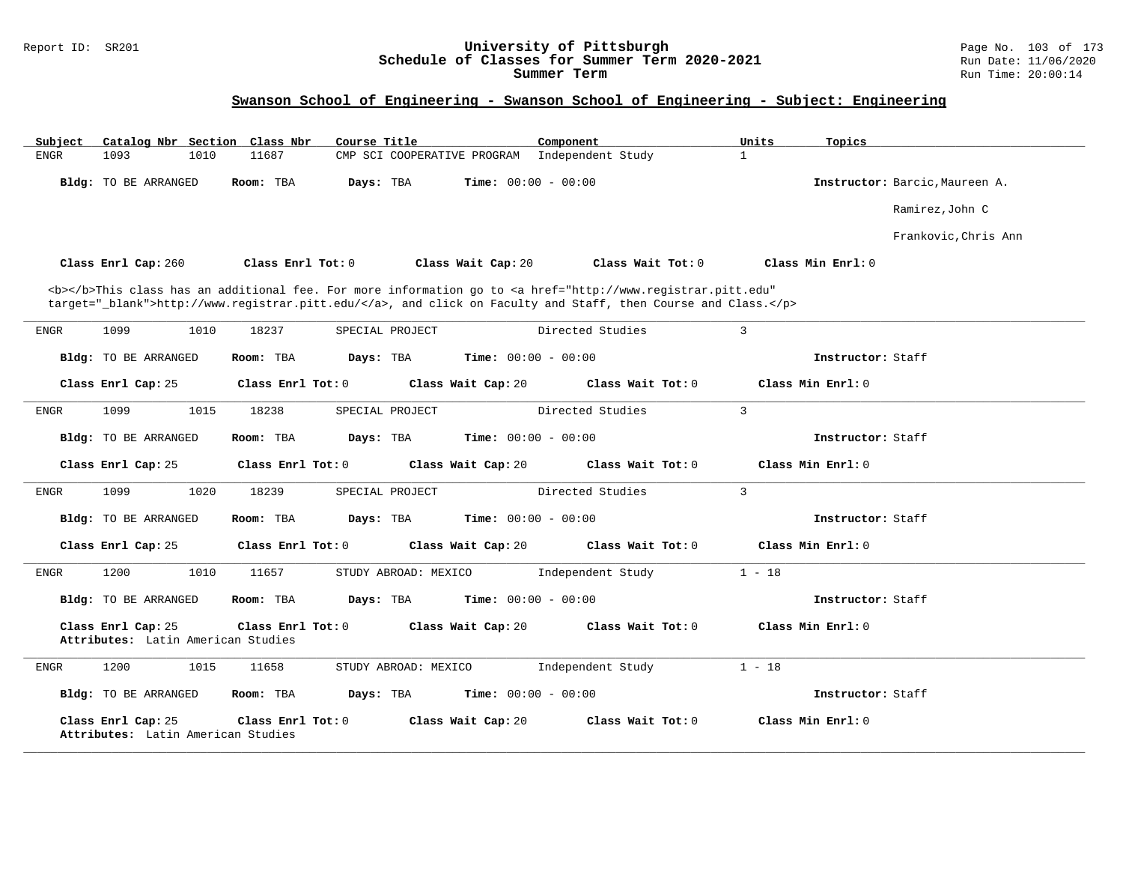#### Report ID: SR201 **University of Pittsburgh** Page No. 103 of 173 **Schedule of Classes for Summer Term 2020-2021** Run Date: 11/06/2020 **Summer Term** Run Time: 20:00:14

| Subject |                                                          |      | Catalog Nbr Section Class Nbr | Course Title |                             | Component                                                                                                                                                                                                                          | Units          | Topics                         |
|---------|----------------------------------------------------------|------|-------------------------------|--------------|-----------------------------|------------------------------------------------------------------------------------------------------------------------------------------------------------------------------------------------------------------------------------|----------------|--------------------------------|
| ENGR    | 1093                                                     | 1010 | 11687                         |              | CMP SCI COOPERATIVE PROGRAM | Independent Study                                                                                                                                                                                                                  | $\mathbf{1}$   |                                |
|         | Bldg: TO BE ARRANGED                                     |      | Room: TBA                     | Days: TBA    |                             | <b>Time:</b> $00:00 - 00:00$                                                                                                                                                                                                       |                | Instructor: Barcic, Maureen A. |
|         |                                                          |      |                               |              |                             |                                                                                                                                                                                                                                    |                | Ramirez, John C                |
|         |                                                          |      |                               |              |                             |                                                                                                                                                                                                                                    |                | Frankovic, Chris Ann           |
|         | Class Enrl Cap: 260                                      |      | Class Enrl Tot: 0             |              | Class Wait Cap: 20          | Class Wait Tot: 0                                                                                                                                                                                                                  |                | Class Min $Enrl: 0$            |
|         |                                                          |      |                               |              |                             | <b></b> This class has an additional fee. For more information go to <a <br="" href="http://www.registrar.pitt.edu">target="_blank"&gt;http://www.registrar.pitt.edu/</a> , and click on Faculty and Staff, then Course and Class. |                |                                |
| ENGR    | 1099                                                     | 1010 | 18237                         |              | SPECIAL PROJECT             | Directed Studies                                                                                                                                                                                                                   | $\overline{3}$ |                                |
|         | Bldg: TO BE ARRANGED                                     |      | Room: TBA                     | Days: TBA    |                             | <b>Time:</b> $00:00 - 00:00$                                                                                                                                                                                                       |                | Instructor: Staff              |
|         | Class Enrl Cap: 25                                       |      | Class Enrl Tot: 0             |              | Class Wait Cap: 20          | Class Wait Tot: 0                                                                                                                                                                                                                  |                | Class Min Enrl: 0              |
| ENGR    | 1099                                                     | 1015 | 18238                         |              | SPECIAL PROJECT             | Directed Studies                                                                                                                                                                                                                   | 3              |                                |
|         | <b>Bldg:</b> TO BE ARRANGED                              |      | Room: TBA                     | Days: TBA    |                             | <b>Time:</b> $00:00 - 00:00$                                                                                                                                                                                                       |                | Instructor: Staff              |
|         | Class Enrl Cap: 25                                       |      | Class Enrl Tot: 0             |              | Class Wait Cap: 20          | Class Wait Tot: 0                                                                                                                                                                                                                  |                | Class Min Enrl: 0              |
| ENGR    | 1099                                                     | 1020 | 18239                         |              | SPECIAL PROJECT             | Directed Studies                                                                                                                                                                                                                   | $\mathbf{3}$   |                                |
|         | <b>Bldg:</b> TO BE ARRANGED                              |      | Room: TBA                     | Days: TBA    |                             | <b>Time:</b> $00:00 - 00:00$                                                                                                                                                                                                       |                | Instructor: Staff              |
|         | Class Enrl Cap: 25                                       |      | Class Enrl Tot: 0             |              | Class Wait Cap: 20          | Class Wait Tot: 0                                                                                                                                                                                                                  |                | Class Min Enrl: 0              |
| ENGR    | 1200                                                     | 1010 | 11657                         |              | STUDY ABROAD: MEXICO        | Independent Study                                                                                                                                                                                                                  | $1 - 18$       |                                |
|         | <b>Bldg:</b> TO BE ARRANGED                              |      | Room: TBA                     | Days: TBA    |                             | <b>Time:</b> $00:00 - 00:00$                                                                                                                                                                                                       |                | Instructor: Staff              |
|         | Class Enrl Cap: 25<br>Attributes: Latin American Studies |      | Class Enrl Tot: 0             |              | Class Wait Cap: 20          | Class Wait Tot: 0                                                                                                                                                                                                                  |                | Class Min Enrl: 0              |
| ENGR    | 1200                                                     | 1015 | 11658                         |              | STUDY ABROAD: MEXICO        | Independent Study                                                                                                                                                                                                                  | $1 - 18$       |                                |
|         | Bldg: TO BE ARRANGED                                     |      | Room: TBA                     | Days: TBA    |                             | <b>Time:</b> $00:00 - 00:00$                                                                                                                                                                                                       |                | Instructor: Staff              |
|         | Class Enrl Cap: 25<br>Attributes: Latin American Studies |      | Class Enrl Tot: 0             |              | Class Wait Cap: 20          | Class Wait Tot: 0                                                                                                                                                                                                                  |                | Class Min Enrl: 0              |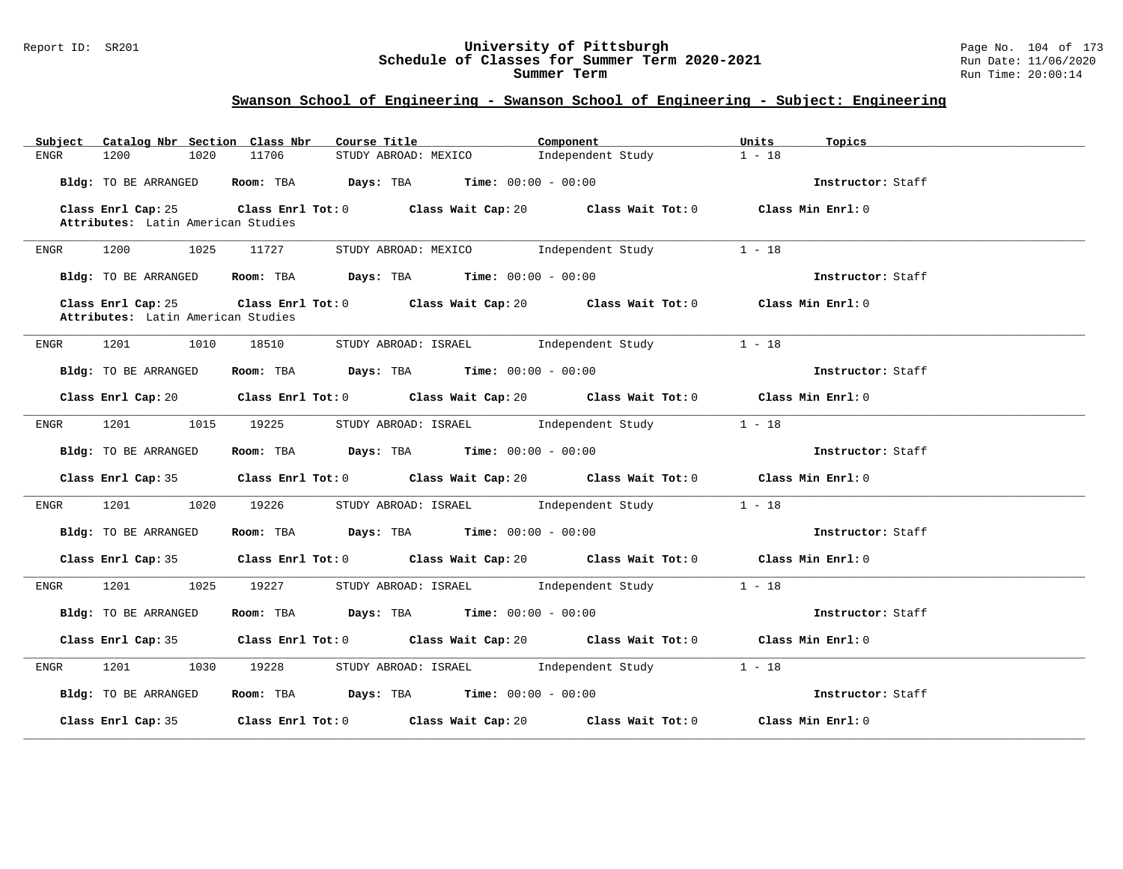#### Report ID: SR201 **University of Pittsburgh** Page No. 104 of 173 **Schedule of Classes for Summer Term 2020-2021** Run Date: 11/06/2020 **Summer Term** Run Time: 20:00:14

| Catalog Nbr Section Class Nbr<br>Subject                 | Course Title                                                                                        | Component         | Units<br>Topics   |
|----------------------------------------------------------|-----------------------------------------------------------------------------------------------------|-------------------|-------------------|
| 1200<br>1020<br>ENGR                                     | 11706<br>STUDY ABROAD: MEXICO                                                                       | Independent Study | $1 - 18$          |
| Bldg: TO BE ARRANGED                                     | Room: TBA Days: TBA Time: $00:00 - 00:00$                                                           |                   | Instructor: Staff |
| Class Enrl Cap: 25<br>Attributes: Latin American Studies | Class Enrl Tot: 0 $\qquad$ Class Wait Cap: 20 $\qquad$ Class Wait Tot: 0 $\qquad$ Class Min Enrl: 0 |                   |                   |
| 1200<br>1025<br>ENGR                                     | 11727<br>STUDY ABROAD: MEXICO Independent Study                                                     |                   | $1 - 18$          |
| Bldg: TO BE ARRANGED                                     | Room: TBA $Days:$ TBA $Time: 00:00 - 00:00$                                                         |                   | Instructor: Staff |
|                                                          |                                                                                                     |                   |                   |
| Class Enrl Cap: 25<br>Attributes: Latin American Studies | Class Enrl Tot: 0 $\qquad$ Class Wait Cap: 20 $\qquad$ Class Wait Tot: 0 $\qquad$ Class Min Enrl: 0 |                   |                   |
|                                                          |                                                                                                     |                   |                   |
| 1201<br>1010<br>ENGR                                     | STUDY ABROAD: ISRAEL 1ndependent Study<br>18510                                                     |                   | $1 - 18$          |
| Bldg: TO BE ARRANGED                                     | Room: TBA $Days: TBA$ Time: $00:00 - 00:00$                                                         |                   | Instructor: Staff |
| Class Enrl Cap: 20                                       | Class Enrl Tot: $0$ Class Wait Cap: $20$ Class Wait Tot: $0$ Class Min Enrl: $0$                    |                   |                   |
| 1201<br>1015<br>ENGR                                     | STUDY ABROAD: ISRAEL Independent Study<br>19225                                                     |                   | $1 - 18$          |
| Bldg: TO BE ARRANGED                                     | Room: TBA $\rule{1em}{0.15mm}$ Days: TBA $\rule{1.5mm}{0.15mm}$ Time: $00:00 - 00:00$               |                   | Instructor: Staff |
| Class Enrl Cap: 35                                       | Class Enrl Tot: 0 Class Wait Cap: 20 Class Wait Tot: 0 Class Min Enrl: 0                            |                   |                   |
| 1201<br>1020<br>ENGR                                     | STUDY ABROAD: ISRAEL 1ndependent Study<br>19226                                                     |                   | $1 - 18$          |
| Bldg: TO BE ARRANGED                                     | Room: TBA $Days: TBA$ Time: $00:00 - 00:00$                                                         |                   | Instructor: Staff |
|                                                          | Class Enrl Cap: 35 Class Enrl Tot: 0 Class Wait Cap: 20 Class Wait Tot: 0 Class Min Enrl: 0         |                   |                   |
| 1025<br>ENGR                                             | STUDY ABROAD: ISRAEL Independent Study<br>19227                                                     |                   | $1 - 18$          |
| Bldg: TO BE ARRANGED                                     | Room: TBA $\rule{1em}{0.15mm}$ Days: TBA Time: $00:00 - 00:00$                                      |                   | Instructor: Staff |
|                                                          | Class Enrl Cap: 35 Class Enrl Tot: 0 Class Wait Cap: 20 Class Wait Tot: 0 Class Min Enrl: 0         |                   |                   |
| 1201<br>1030<br>ENGR                                     | STUDY ABROAD: ISRAEL Independent Study<br>19228                                                     |                   | $1 - 18$          |
| Bldg: TO BE ARRANGED                                     | Room: TBA $Days:$ TBA $Time: 00:00 - 00:00$                                                         |                   | Instructor: Staff |
| Class Enrl Cap: 35                                       | Class Enrl Tot: $0$ Class Wait Cap: $20$ Class Wait Tot: $0$                                        |                   | Class Min Enrl: 0 |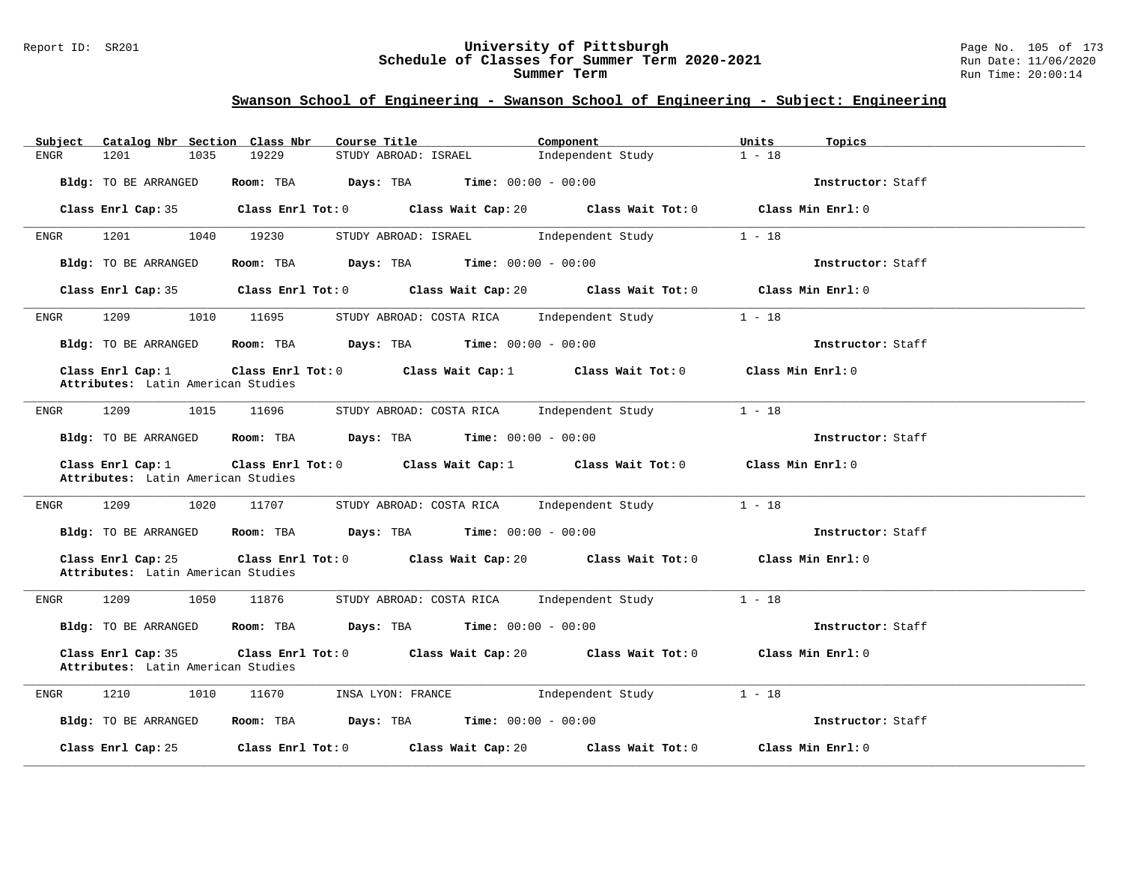#### Report ID: SR201 **University of Pittsburgh** Page No. 105 of 173 **Schedule of Classes for Summer Term 2020-2021** Run Date: 11/06/2020 **Summer Term** Run Time: 20:00:14

| Catalog Nbr Section Class Nbr<br>Subject                 | Course Title                                                                                       | Component         | Units<br>Topics   |
|----------------------------------------------------------|----------------------------------------------------------------------------------------------------|-------------------|-------------------|
| 1201<br>1035<br>ENGR                                     | 19229<br>STUDY ABROAD: ISRAEL                                                                      | Independent Study | $1 - 18$          |
| Bldg: TO BE ARRANGED                                     | Room: TBA $Days:$ TBA $Time: 00:00 - 00:00$                                                        |                   | Instructor: Staff |
|                                                          | Class Enrl Cap: 35 Class Enrl Tot: 0 Class Wait Cap: 20 Class Wait Tot: 0 Class Min Enrl: 0        |                   |                   |
| 1201<br>1040<br>ENGR                                     | 19230<br>STUDY ABROAD: ISRAEL Independent Study                                                    |                   | $1 - 18$          |
| Bldg: TO BE ARRANGED                                     | Room: TBA $Days:$ TBA $Time: 00:00 - 00:00$                                                        |                   | Instructor: Staff |
|                                                          | Class Enrl Cap: 35 Class Enrl Tot: 0 Class Wait Cap: 20 Class Wait Tot: 0 Class Min Enrl: 0        |                   |                   |
| 1209<br>ENGR                                             | 1010 11695<br>STUDY ABROAD: COSTA RICA Independent Study                                           |                   | $1 - 18$          |
| Bldg: TO BE ARRANGED                                     | Room: TBA $Days:$ TBA $Time: 00:00 - 00:00$                                                        |                   | Instructor: Staff |
| Class Enrl Cap: 1<br>Attributes: Latin American Studies  | Class Enrl Tot: $0$ Class Wait Cap: $1$ Class Wait Tot: $0$ Class Min Enrl: $0$                    |                   |                   |
| 1209<br>1015<br>ENGR                                     | 11696 11                                                                                           | Independent Study | $1 - 18$          |
|                                                          | STUDY ABROAD: COSTA RICA                                                                           |                   |                   |
| Bldg: TO BE ARRANGED                                     | <b>Room:</b> TBA $Days: TBA$ <b>Time:</b> $00:00 - 00:00$                                          |                   | Instructor: Staff |
| Class Enrl Cap: 1<br>Attributes: Latin American Studies  | Class Enrl Tot: 0 $\qquad$ Class Wait Cap: 1 $\qquad$ Class Wait Tot: 0 $\qquad$ Class Min Enrl: 0 |                   |                   |
| 1209<br>1020<br>ENGR                                     | 11707 STUDY ABROAD: COSTA RICA Independent Study                                                   |                   | $1 - 18$          |
| Bldg: TO BE ARRANGED                                     | Room: TBA $Days:$ TBA $Time: 00:00 - 00:00$                                                        |                   | Instructor: Staff |
| Class Enrl Cap: 25<br>Attributes: Latin American Studies | Class Enrl Tot: 0 Class Wait Cap: 20 Class Wait Tot: 0 Class Min Enrl: 0                           |                   |                   |
| 1209 1050<br>ENGR                                        | 11876<br>STUDY ABROAD: COSTA RICA Independent Study                                                |                   | $1 - 18$          |
| Bldg: TO BE ARRANGED                                     | <b>Room:</b> TBA $\qquad \qquad$ Days: TBA $\qquad \qquad$ Time: $00:00 - 00:00$                   |                   | Instructor: Staff |
| Class Enrl Cap: 35<br>Attributes: Latin American Studies | Class Enrl Tot: $0$ Class Wait Cap: $20$ Class Wait Tot: $0$ Class Min Enrl: $0$                   |                   |                   |
| 1210<br>1010<br>ENGR                                     | 11670<br>INSA LYON: FRANCE The Independent Study                                                   |                   | $1 - 18$          |
| Bldg: TO BE ARRANGED                                     | Room: TBA $Days:$ TBA Time: $00:00 - 00:00$                                                        |                   | Instructor: Staff |
| Class Enrl Cap: 25                                       | Class Enrl Tot: 0 Class Wait Cap: 20                                                               | Class Wait Tot: 0 | Class Min Enrl: 0 |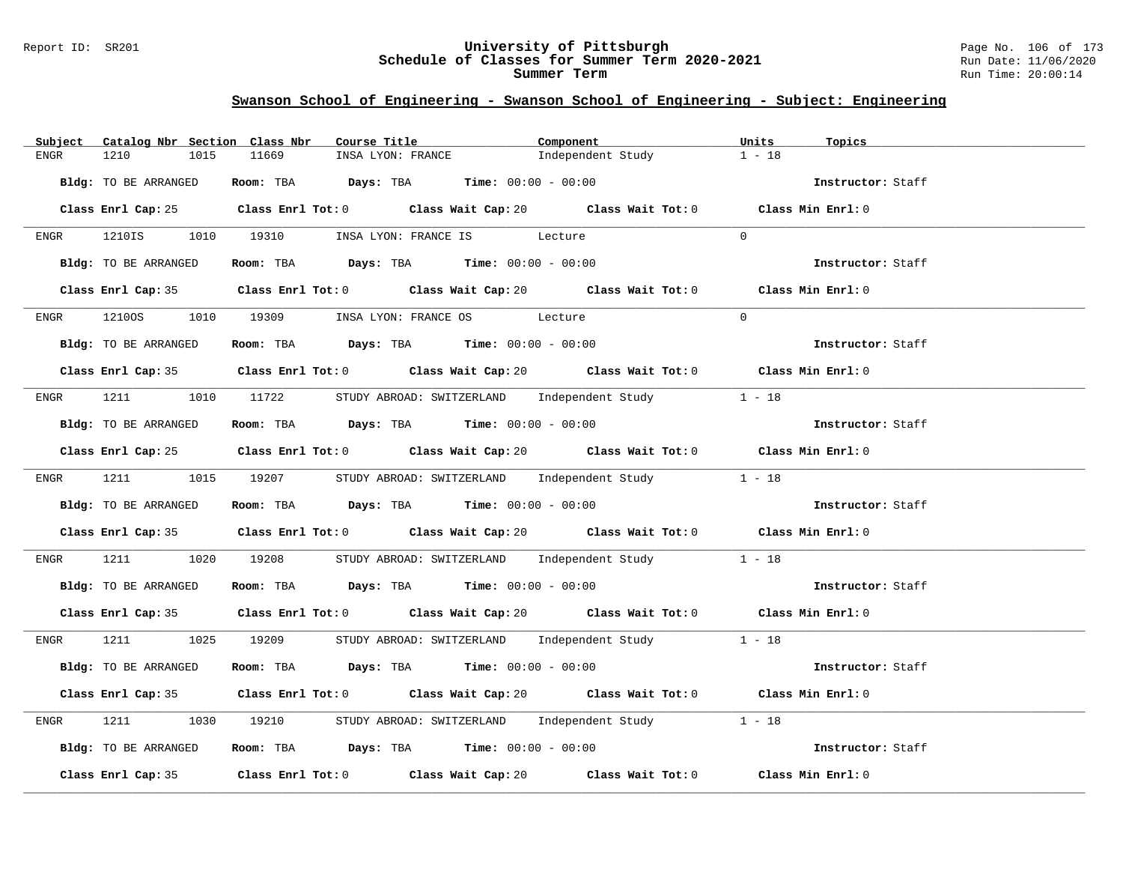#### Report ID: SR201 **University of Pittsburgh** Page No. 106 of 173 **Schedule of Classes for Summer Term 2020-2021** Run Date: 11/06/2020 **Summer Term** Run Time: 20:00:14

| Subject      | Catalog Nbr Section Class Nbr |       | Course Title                                                                                | Component         | Units<br>Topics   |
|--------------|-------------------------------|-------|---------------------------------------------------------------------------------------------|-------------------|-------------------|
| 1210<br>ENGR | 1015                          | 11669 | INSA LYON: FRANCE                                                                           | Independent Study | $1 - 18$          |
|              | Bldg: TO BE ARRANGED          |       | Room: TBA $Days:$ TBA $Time: 00:00 - 00:00$                                                 |                   | Instructor: Staff |
|              |                               |       | Class Enrl Cap: 25 Class Enrl Tot: 0 Class Wait Cap: 20 Class Wait Tot: 0 Class Min Enrl: 0 |                   |                   |
|              |                               |       | ENGR 1210IS 1010 19310 INSALYON: FRANCE IS Lecture                                          |                   | $\Omega$          |
|              | Bldg: TO BE ARRANGED          |       | Room: TBA $Days:$ TBA $Time: 00:00 - 00:00$                                                 |                   | Instructor: Staff |
|              |                               |       | Class Enrl Cap: 35 Class Enrl Tot: 0 Class Wait Cap: 20 Class Wait Tot: 0 Class Min Enrl: 0 |                   |                   |
|              |                               |       | ENGR 12100S 1010 19309 INSALYON: FRANCE OS Lecture                                          |                   | $\Omega$          |
|              | Bldg: TO BE ARRANGED          |       | Room: TBA $Days:$ TBA $Time:$ 00:00 - 00:00                                                 |                   | Instructor: Staff |
|              |                               |       | Class Enrl Cap: 35 Class Enrl Tot: 0 Class Wait Cap: 20 Class Wait Tot: 0 Class Min Enrl: 0 |                   |                   |
|              |                               |       | ENGR 1211 1010 11722 STUDY ABROAD: SWITZERLAND Independent Study 1 - 18                     |                   |                   |
|              | Bldg: TO BE ARRANGED          |       | Room: TBA $Days: TBA$ Time: $00:00 - 00:00$                                                 |                   | Instructor: Staff |
|              |                               |       | Class Enrl Cap: 25 Class Enrl Tot: 0 Class Wait Cap: 20 Class Wait Tot: 0 Class Min Enrl: 0 |                   |                   |
|              |                               |       | ENGR 1211 1015 19207 STUDY ABROAD: SWITZERLAND Independent Study 1 - 18                     |                   |                   |
|              | Bldg: TO BE ARRANGED          |       | Room: TBA $\rule{1em}{0.15mm}$ Days: TBA Time: $00:00 - 00:00$                              |                   | Instructor: Staff |
|              |                               |       | Class Enrl Cap: 35 Class Enrl Tot: 0 Class Wait Cap: 20 Class Wait Tot: 0 Class Min Enrl: 0 |                   |                   |
| ENGR         | 1211 \                        |       | 1020 19208 STUDY ABROAD: SWITZERLAND Independent Study 1 - 18                               |                   |                   |
|              | Bldg: TO BE ARRANGED          |       | Room: TBA Days: TBA Time: $00:00 - 00:00$                                                   |                   | Instructor: Staff |
|              |                               |       | Class Enrl Cap: 35 Class Enrl Tot: 0 Class Wait Cap: 20 Class Wait Tot: 0 Class Min Enrl: 0 |                   |                   |
|              |                               |       | ENGR 1211 1025 19209 STUDY ABROAD: SWITZERLAND Independent Study 1 - 18                     |                   |                   |
|              | Bldg: TO BE ARRANGED          |       | Room: TBA $Days:$ TBA $Time: 00:00 - 00:00$                                                 |                   | Instructor: Staff |
|              |                               |       | Class Enrl Cap: 35 Class Enrl Tot: 0 Class Wait Cap: 20 Class Wait Tot: 0 Class Min Enrl: 0 |                   |                   |
| ENGR         | 1211 \                        |       | 1030 19210 STUDY ABROAD: SWITZERLAND Independent Study 1 - 18                               |                   |                   |
|              | Bldg: TO BE ARRANGED          |       | Room: TBA $\rule{1em}{0.15mm}$ Days: TBA Time: $00:00 - 00:00$                              |                   | Instructor: Staff |
|              |                               |       | Class Enrl Cap: 35 Class Enrl Tot: 0 Class Wait Cap: 20 Class Wait Tot: 0 Class Min Enrl: 0 |                   |                   |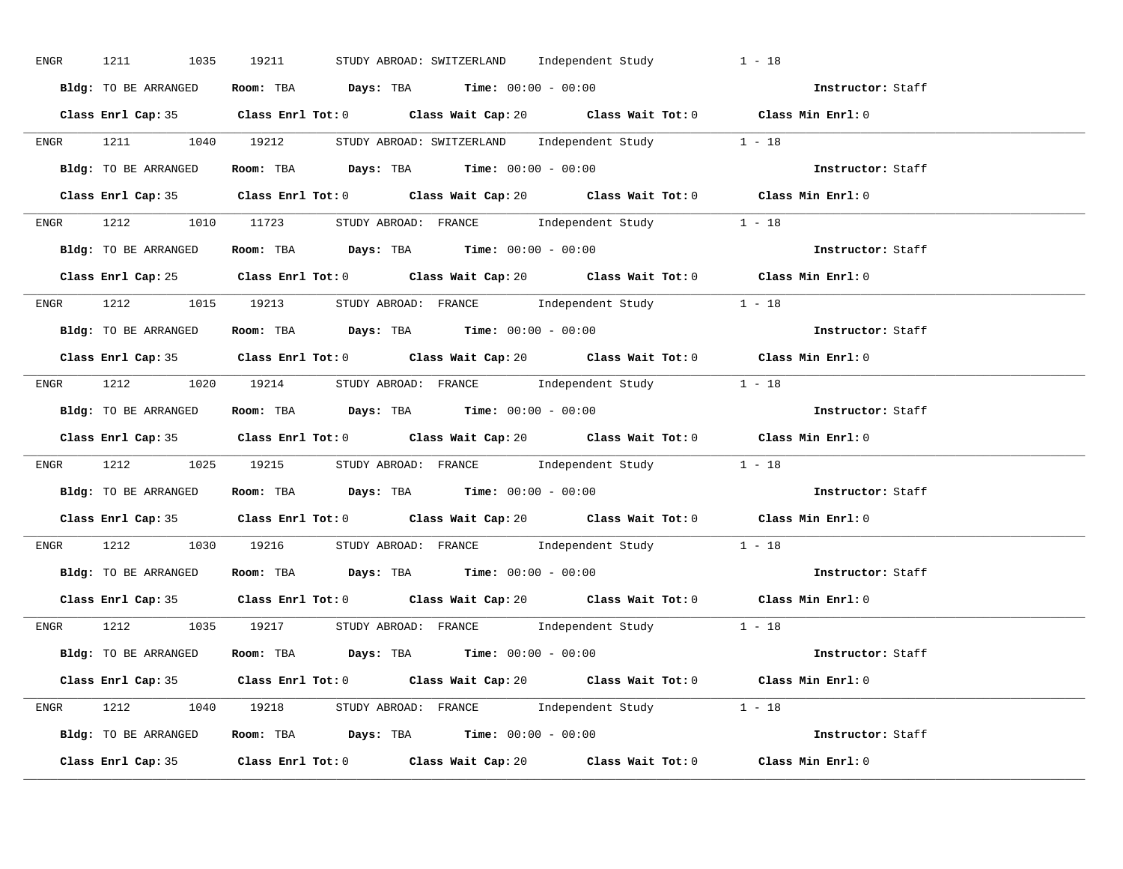| ENGR | 1211 1035 19211      | STUDY ABROAD: SWITZERLAND Independent Study                                                 | $1 - 18$          |
|------|----------------------|---------------------------------------------------------------------------------------------|-------------------|
|      | Bldg: TO BE ARRANGED | Room: TBA $Days:$ TBA $Time: 00:00 - 00:00$                                                 | Instructor: Staff |
|      |                      | Class Enrl Cap: 35 Class Enrl Tot: 0 Class Wait Cap: 20 Class Wait Tot: 0 Class Min Enrl: 0 |                   |
|      |                      | ENGR 1211 1040 19212 STUDY ABROAD: SWITZERLAND Independent Study 1 - 18                     |                   |
|      | Bldg: TO BE ARRANGED | Room: TBA $Days:$ TBA $Time: 00:00 - 00:00$                                                 | Instructor: Staff |
|      |                      | Class Enrl Cap: 35 Class Enrl Tot: 0 Class Wait Cap: 20 Class Wait Tot: 0 Class Min Enrl: 0 |                   |
|      |                      | ENGR 1212 1010 11723 STUDY ABROAD: FRANCE Independent Study 1 - 18                          |                   |
|      |                      | Bldg: TO BE ARRANGED Room: TBA Days: TBA Time: 00:00 - 00:00                                | Instructor: Staff |
|      |                      | Class Enrl Cap: 25 Class Enrl Tot: 0 Class Wait Cap: 20 Class Wait Tot: 0 Class Min Enrl: 0 |                   |
|      |                      | ENGR 1212 1015 19213 STUDY ABROAD: FRANCE Independent Study 1 - 18                          |                   |
|      | Bldg: TO BE ARRANGED | Room: TBA $\rule{1em}{0.15mm}$ Days: TBA $\rule{1.15mm}]{0.15mm}$ Time: $00:00 - 00:00$     | Instructor: Staff |
|      |                      | Class Enrl Cap: 35 Class Enrl Tot: 0 Class Wait Cap: 20 Class Wait Tot: 0 Class Min Enrl: 0 |                   |
|      |                      | ENGR 1212 1020 19214 STUDY ABROAD: FRANCE Independent Study 1 - 18                          |                   |
|      |                      | Bldg: TO BE ARRANGED ROOM: TBA Days: TBA Time: 00:00 - 00:00                                | Instructor: Staff |
|      |                      | Class Enrl Cap: 35 Class Enrl Tot: 0 Class Wait Cap: 20 Class Wait Tot: 0 Class Min Enrl: 0 |                   |
|      |                      | ENGR 1212 1025 19215 STUDYABROAD: FRANCE Independent Study 1 - 18                           |                   |
|      |                      | <b>Bldg:</b> TO BE ARRANGED <b>ROOM:</b> TBA <b>Days:</b> TBA <b>Time:</b> $00:00 - 00:00$  | Instructor: Staff |
|      |                      | Class Enrl Cap: 35 Class Enrl Tot: 0 Class Wait Cap: 20 Class Wait Tot: 0 Class Min Enrl: 0 |                   |
|      |                      | ENGR 1212 1030 19216 STUDY ABROAD: FRANCE Independent Study 1 - 18                          |                   |
|      |                      | Bldg: TO BE ARRANGED Room: TBA Days: TBA Time: 00:00 - 00:00                                | Instructor: Staff |
|      |                      | Class Enrl Cap: 35 Class Enrl Tot: 0 Class Wait Cap: 20 Class Wait Tot: 0 Class Min Enrl: 0 |                   |
|      |                      | ENGR 1212 1035 19217 STUDY ABROAD: FRANCE Independent Study 1 - 18                          |                   |
|      |                      | Bldg: TO BE ARRANGED Room: TBA Days: TBA Time: 00:00 - 00:00                                | Instructor: Staff |
|      |                      | Class Enrl Cap: 35 Class Enrl Tot: 0 Class Wait Cap: 20 Class Wait Tot: 0 Class Min Enrl: 0 |                   |
|      |                      | ENGR 1212 1040 19218 STUDY ABROAD: FRANCE Independent Study 1 - 18                          |                   |
|      |                      | Bldg: TO BE ARRANGED Room: TBA Days: TBA Time: $00:00 - 00:00$                              |                   |
|      |                      | Class Enrl Cap: 35 Class Enrl Tot: 0 Class Wait Cap: 20 Class Wait Tot: 0                   | Class Min Enrl: 0 |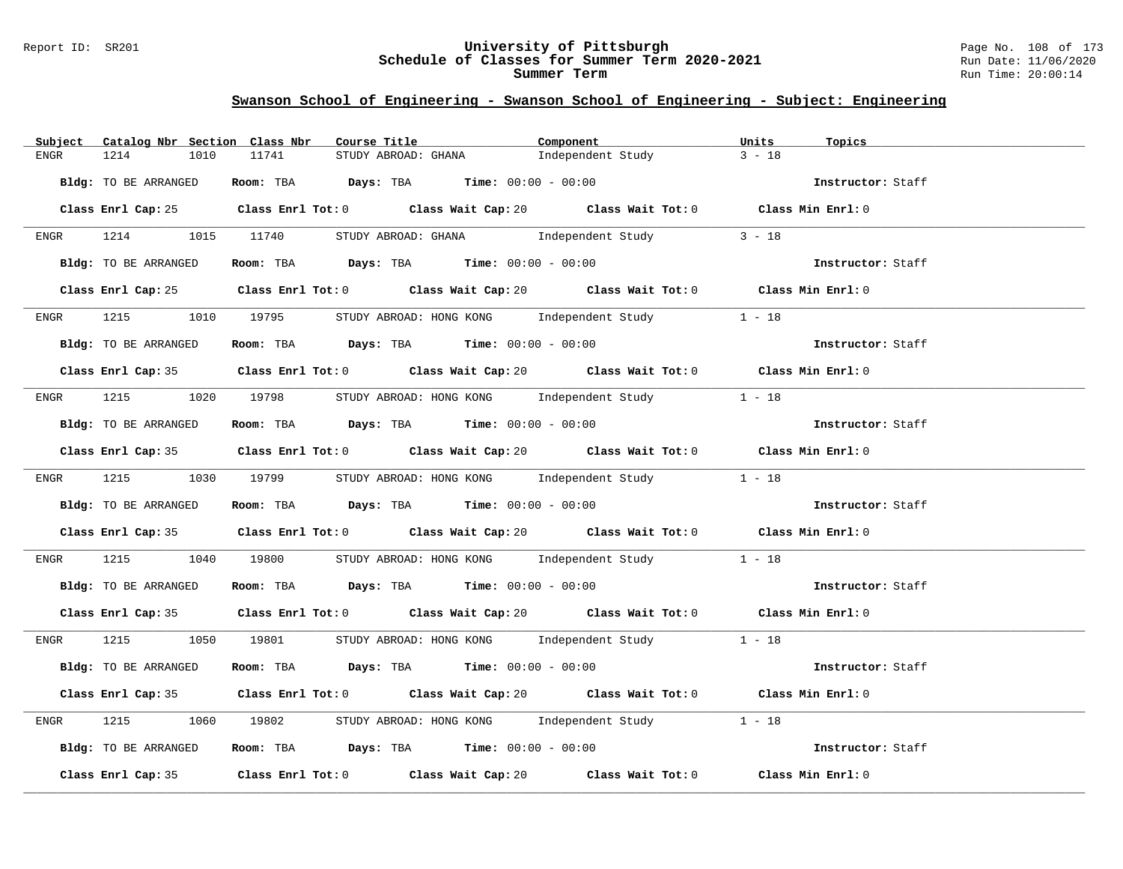#### Report ID: SR201 **University of Pittsburgh** Page No. 108 of 173 **Schedule of Classes for Summer Term 2020-2021** Run Date: 11/06/2020 **Summer Term** Run Time: 20:00:14

| Catalog Nbr Section Class Nbr<br>Subject | Course Title                                                                                | Component         | Units<br>Topics   |
|------------------------------------------|---------------------------------------------------------------------------------------------|-------------------|-------------------|
| 1214<br>1010<br>ENGR                     | 11741<br>STUDY ABROAD: GHANA                                                                | Independent Study | $3 - 18$          |
| Bldg: TO BE ARRANGED                     | Room: TBA $Days:$ TBA $Time: 00:00 - 00:00$                                                 |                   | Instructor: Staff |
|                                          | Class Enrl Cap: 25 Class Enrl Tot: 0 Class Wait Cap: 20 Class Wait Tot: 0 Class Min Enrl: 0 |                   |                   |
|                                          | ENGR 1214 1015 11740 STUDY ABROAD: GHANA Independent Study                                  |                   | $3 - 18$          |
| Bldg: TO BE ARRANGED                     | Room: TBA $Days:$ TBA $Time: 00:00 - 00:00$                                                 |                   | Instructor: Staff |
|                                          | Class Enrl Cap: 25 Class Enrl Tot: 0 Class Wait Cap: 20 Class Wait Tot: 0 Class Min Enrl: 0 |                   |                   |
|                                          | ENGR 1215 1010 19795 STUDY ABROAD: HONG KONG Independent Study 1 - 18                       |                   |                   |
| Bldg: TO BE ARRANGED                     | Room: TBA Days: TBA Time: $00:00 - 00:00$                                                   |                   | Instructor: Staff |
|                                          | Class Enrl Cap: 35 Class Enrl Tot: 0 Class Wait Cap: 20 Class Wait Tot: 0 Class Min Enrl: 0 |                   |                   |
|                                          | ENGR 1215 1020 19798 STUDY ABROAD: HONG KONG Independent Study 1 - 18                       |                   |                   |
| Bldg: TO BE ARRANGED                     | Room: TBA Days: TBA Time: $00:00 - 00:00$                                                   |                   | Instructor: Staff |
|                                          | Class Enrl Cap: 35 Class Enrl Tot: 0 Class Wait Cap: 20 Class Wait Tot: 0 Class Min Enrl: 0 |                   |                   |
|                                          | ENGR 1215 1030 19799 STUDY ABROAD: HONG KONG Independent Study 1 - 18                       |                   |                   |
| Bldg: TO BE ARRANGED                     | <b>Room:</b> TBA <b>Days:</b> TBA <b>Time:</b> 00:00 - 00:00                                |                   | Instructor: Staff |
|                                          | Class Enrl Cap: 35 Class Enrl Tot: 0 Class Wait Cap: 20 Class Wait Tot: 0 Class Min Enrl: 0 |                   |                   |
| 1215<br>ENGR                             | 1040 19800 STUDY ABROAD: HONG KONG Independent Study 1 - 18                                 |                   |                   |
| Bldg: TO BE ARRANGED                     | Room: TBA $Days$ : TBA Time: $00:00 - 00:00$                                                |                   | Instructor: Staff |
|                                          | Class Enrl Cap: 35 Class Enrl Tot: 0 Class Wait Cap: 20 Class Wait Tot: 0 Class Min Enrl: 0 |                   |                   |
|                                          | ENGR 1215 1050 19801 STUDY ABROAD: HONG KONG Independent Study 1 - 18                       |                   |                   |
| Bldg: TO BE ARRANGED                     | Room: TBA $Days:$ TBA $Time:$ $00:00 - 00:00$                                               |                   | Instructor: Staff |
|                                          | Class Enrl Cap: 35 Class Enrl Tot: 0 Class Wait Cap: 20 Class Wait Tot: 0 Class Min Enrl: 0 |                   |                   |
| 1215<br>ENGR                             | 1060 19802 STUDY ABROAD: HONG KONG Independent Study 1 - 18                                 |                   |                   |
| Bldg: TO BE ARRANGED                     | Room: TBA $Days:$ TBA $Time:$ $00:00 - 00:00$                                               |                   | Instructor: Staff |
|                                          | Class Enrl Cap: 35 Class Enrl Tot: 0 Class Wait Cap: 20 Class Wait Tot: 0 Class Min Enrl: 0 |                   |                   |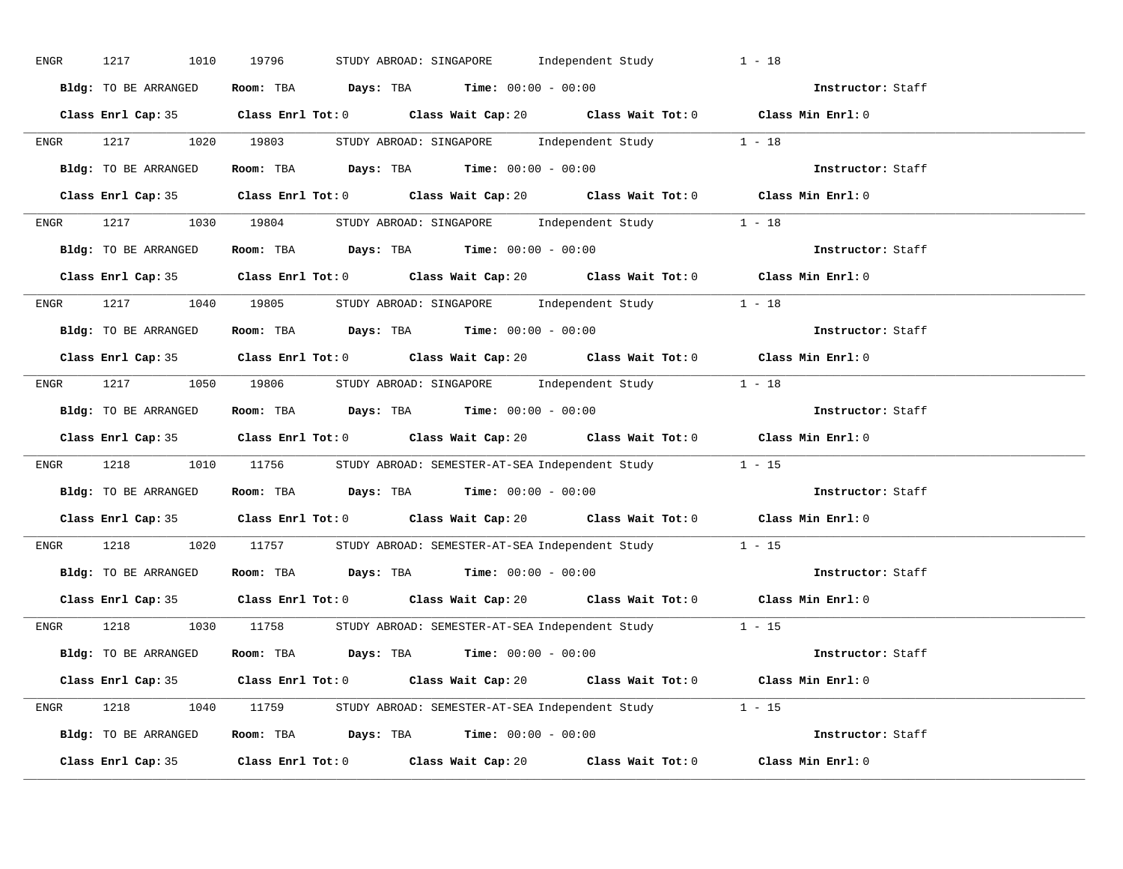| ENGR | 1217<br>1010         | 19796<br>STUDY ABROAD: SINGAPORE Independent Study                                          | $1 - 18$          |
|------|----------------------|---------------------------------------------------------------------------------------------|-------------------|
|      | Bldg: TO BE ARRANGED | Room: TBA $Days:$ TBA $Time: 00:00 - 00:00$                                                 | Instructor: Staff |
|      |                      | Class Enrl Cap: 35 Class Enrl Tot: 0 Class Wait Cap: 20 Class Wait Tot: 0 Class Min Enrl: 0 |                   |
|      |                      | ENGR 1217 1020 19803 STUDY ABROAD: SINGAPORE Independent Study 1 - 18                       |                   |
|      | Bldg: TO BE ARRANGED | Room: TBA $\rule{1em}{0.15mm}$ Days: TBA Time: $00:00 - 00:00$                              | Instructor: Staff |
|      |                      | Class Enrl Cap: 35 Class Enrl Tot: 0 Class Wait Cap: 20 Class Wait Tot: 0 Class Min Enrl: 0 |                   |
|      |                      | ENGR 1217 1030 19804 STUDY ABROAD: SINGAPORE Independent Study 1 - 18                       |                   |
|      |                      | Bldg: TO BE ARRANGED Room: TBA Days: TBA Time: 00:00 - 00:00                                | Instructor: Staff |
|      |                      | Class Enrl Cap: 35 Class Enrl Tot: 0 Class Wait Cap: 20 Class Wait Tot: 0 Class Min Enrl: 0 |                   |
|      |                      | ENGR 1217 1040 19805 STUDY ABROAD: SINGAPORE Independent Study 1 - 18                       |                   |
|      | Bldg: TO BE ARRANGED | Room: TBA $\rule{1em}{0.15mm}$ Days: TBA $\rule{1.15mm}]{0.15mm}$ Time: $00:00 - 00:00$     | Instructor: Staff |
|      |                      | Class Enrl Cap: 35 Class Enrl Tot: 0 Class Wait Cap: 20 Class Wait Tot: 0 Class Min Enrl: 0 |                   |
|      |                      | ENGR 1217 1050 19806 STUDY ABROAD: SINGAPORE Independent Study 1 - 18                       |                   |
|      | Bldg: TO BE ARRANGED | Room: TBA $Days:$ TBA Time: $00:00 - 00:00$                                                 | Instructor: Staff |
|      |                      | Class Enrl Cap: 35 Class Enrl Tot: 0 Class Wait Cap: 20 Class Wait Tot: 0 Class Min Enrl: 0 |                   |
|      |                      | ENGR 1218 1010 11756 STUDY ABROAD: SEMESTER-AT-SEA Independent Study 1 - 15                 |                   |
|      | Bldg: TO BE ARRANGED | Room: TBA $\rule{1em}{0.15mm}$ Days: TBA Time: $00:00 - 00:00$                              | Instructor: Staff |
|      |                      | Class Enrl Cap: 35 Class Enrl Tot: 0 Class Wait Cap: 20 Class Wait Tot: 0 Class Min Enrl: 0 |                   |
| ENGR |                      | 1218 1020 11757 STUDY ABROAD: SEMESTER-AT-SEA Independent Study 1 - 15                      |                   |
|      |                      | Bldg: TO BE ARRANGED Room: TBA Days: TBA Time: 00:00 - 00:00                                | Instructor: Staff |
|      |                      | Class Enrl Cap: 35 Class Enrl Tot: 0 Class Wait Cap: 20 Class Wait Tot: 0 Class Min Enrl: 0 |                   |
|      |                      | ENGR 1218 1030 11758 STUDY ABROAD: SEMESTER-AT-SEA Independent Study 1 - 15                 |                   |
|      | Bldg: TO BE ARRANGED | Room: TBA $Days:$ TBA $Time:$ $00:00 - 00:00$                                               | Instructor: Staff |
|      |                      | Class Enrl Cap: 35 Class Enrl Tot: 0 Class Wait Cap: 20 Class Wait Tot: 0 Class Min Enrl: 0 |                   |
|      |                      | ENGR 1218 1040 11759 STUDY ABROAD: SEMESTER-AT-SEA Independent Study 1 - 15                 |                   |
|      |                      | Bldg: TO BE ARRANGED Room: TBA Days: TBA Time: 00:00 - 00:00                                | Instructor: Staff |
|      |                      | Class Enrl Cap: 35 Class Enrl Tot: 0 Class Wait Cap: 20 Class Wait Tot: 0                   | Class Min Enrl: 0 |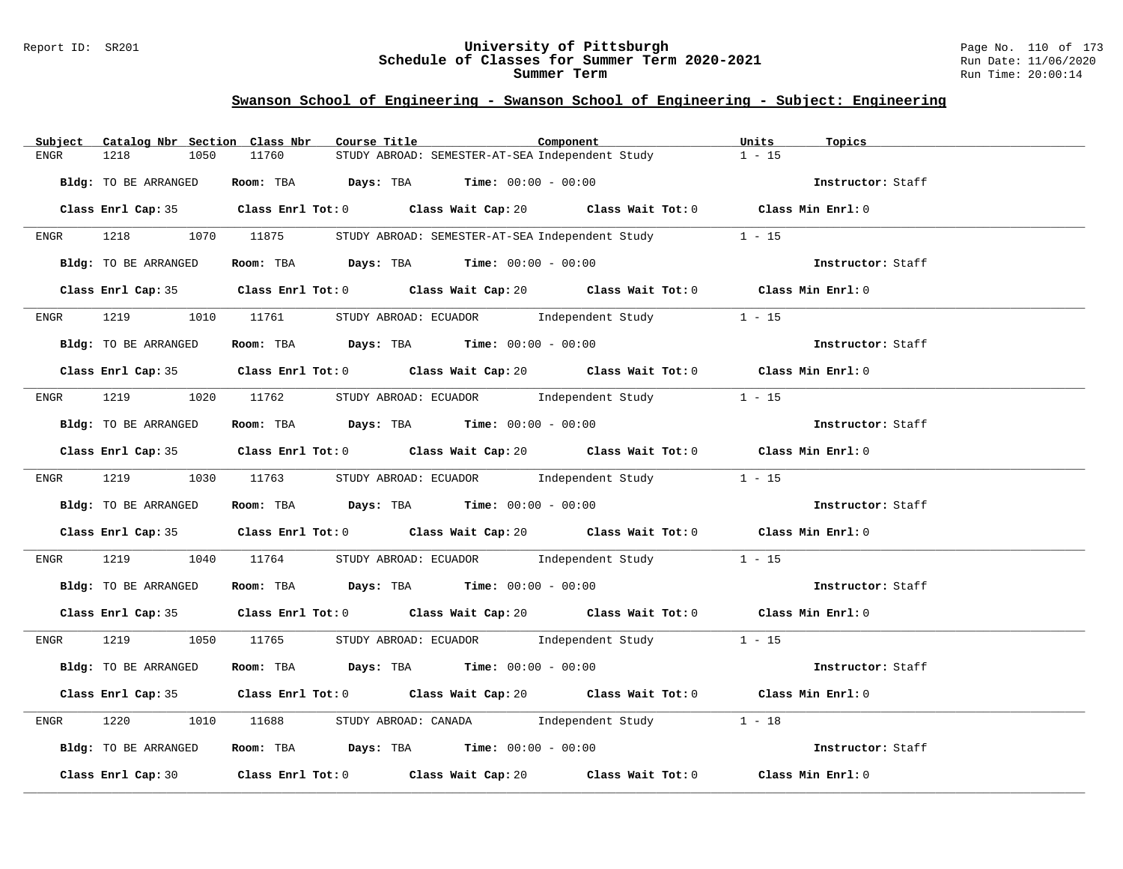### Report ID: SR201 **University of Pittsburgh** Page No. 110 of 173 **Schedule of Classes for Summer Term 2020-2021** Run Date: 11/06/2020 **Summer Term** Run Time: 20:00:14

| Catalog Nbr Section Class Nbr<br>Subject | Course Title<br>Component                                                                   | Units<br>Topics   |
|------------------------------------------|---------------------------------------------------------------------------------------------|-------------------|
| 1218<br>1050<br>ENGR                     | 11760<br>STUDY ABROAD: SEMESTER-AT-SEA Independent Study                                    | $1 - 15$          |
| Bldg: TO BE ARRANGED                     | Room: TBA $Days:$ TBA $Time: 00:00 - 00:00$                                                 | Instructor: Staff |
|                                          | Class Enrl Cap: 35 Class Enrl Tot: 0 Class Wait Cap: 20 Class Wait Tot: 0 Class Min Enrl: 0 |                   |
|                                          | ENGR 1218 1070 11875 STUDY ABROAD: SEMESTER-AT-SEA Independent Study                        | $1 - 15$          |
| Bldg: TO BE ARRANGED                     | Room: TBA $Days: TBA$ Time: $00:00 - 00:00$                                                 | Instructor: Staff |
|                                          | Class Enrl Cap: 35 Class Enrl Tot: 0 Class Wait Cap: 20 Class Wait Tot: 0 Class Min Enrl: 0 |                   |
|                                          | ENGR 1219 1010 11761 STUDY ABROAD: ECUADOR Independent Study                                | $1 - 15$          |
| Bldg: TO BE ARRANGED                     | Room: TBA Days: TBA Time: $00:00 - 00:00$                                                   | Instructor: Staff |
|                                          | Class Enrl Cap: 35 Class Enrl Tot: 0 Class Wait Cap: 20 Class Wait Tot: 0 Class Min Enrl: 0 |                   |
|                                          | ENGR 1219 1020 11762 STUDY ABROAD: ECUADOR Independent Study 1 - 15                         |                   |
| Bldg: TO BE ARRANGED                     | Room: TBA $Days:$ TBA $Time: 00:00 - 00:00$                                                 | Instructor: Staff |
|                                          | Class Enrl Cap: 35 Class Enrl Tot: 0 Class Wait Cap: 20 Class Wait Tot: 0 Class Min Enrl: 0 |                   |
|                                          | ENGR 1219 1030 11763 STUDY ABROAD: ECUADOR Independent Study 1 - 15                         |                   |
| Bldg: TO BE ARRANGED                     | Room: TBA $\rule{1em}{0.15mm}$ Days: TBA Time: $00:00 - 00:00$                              | Instructor: Staff |
|                                          | Class Enrl Cap: 35 Class Enrl Tot: 0 Class Wait Cap: 20 Class Wait Tot: 0 Class Min Enrl: 0 |                   |
| ENGR                                     | 1219 1040 11764 STUDY ABROAD: ECUADOR Independent Study 1 - 15                              |                   |
| Bldg: TO BE ARRANGED                     | Room: TBA $Days:$ TBA $Time:$ $00:00 - 00:00$                                               | Instructor: Staff |
|                                          | Class Enrl Cap: 35 Class Enrl Tot: 0 Class Wait Cap: 20 Class Wait Tot: 0 Class Min Enrl: 0 |                   |
|                                          | ENGR 1219 1050 11765 STUDY ABROAD: ECUADOR Independent Study 1 - 15                         |                   |
| Bldg: TO BE ARRANGED                     | Room: TBA $Days$ : TBA $Time: 00:00 - 00:00$                                                | Instructor: Staff |
|                                          | Class Enrl Cap: 35 Class Enrl Tot: 0 Class Wait Cap: 20 Class Wait Tot: 0 Class Min Enrl: 0 |                   |
| 1220<br>ENGR                             | 1010 11688 STUDY ABROAD: CANADA Independent Study 1 - 18                                    |                   |
| Bldg: TO BE ARRANGED                     | <b>ROOM:</b> TBA $Days$ : TBA $Time: 00:00 - 00:00$                                         | Instructor: Staff |
|                                          | Class Enrl Cap: 30 Class Enrl Tot: 0 Class Wait Cap: 20 Class Wait Tot: 0 Class Min Enrl: 0 |                   |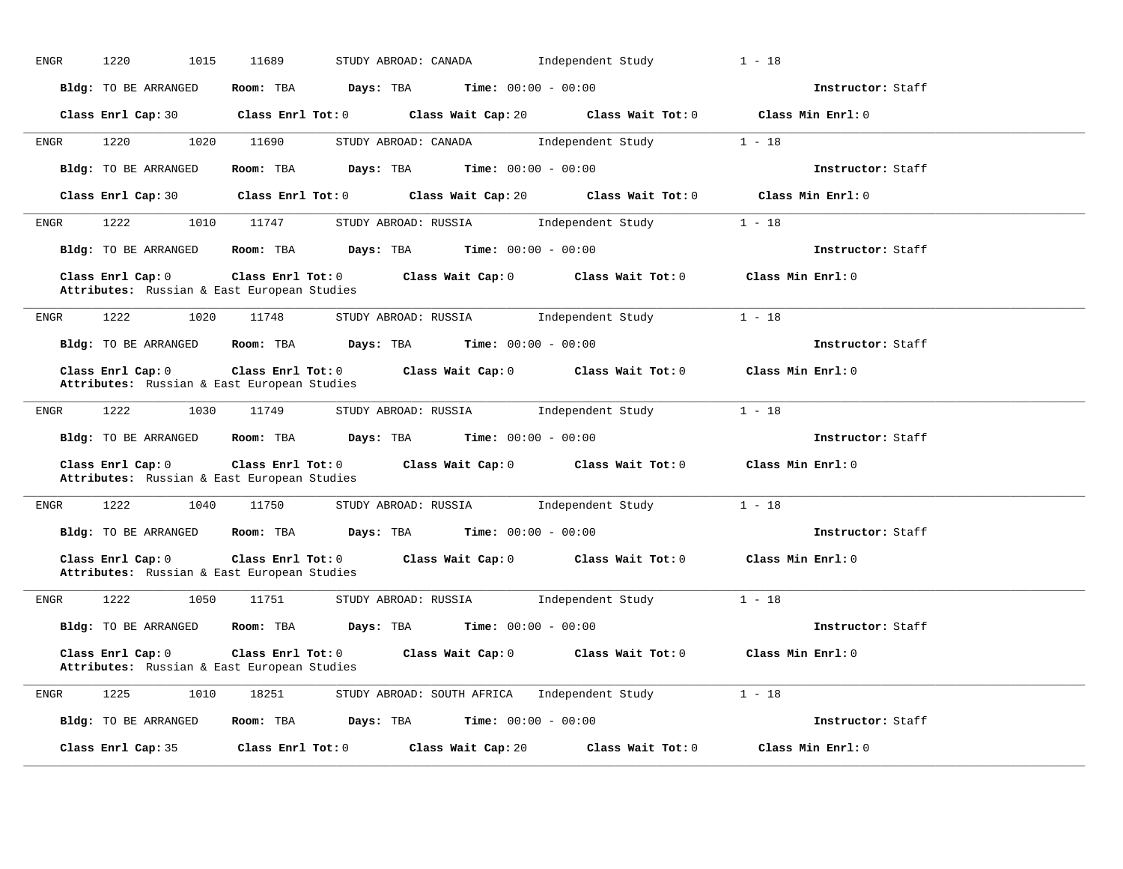| ENGR        | 1220<br>1015         | 11689<br>STUDY ABROAD: CANADA                                                                                                                     | Independent Study        | $1 - 18$          |
|-------------|----------------------|---------------------------------------------------------------------------------------------------------------------------------------------------|--------------------------|-------------------|
|             | Bldg: TO BE ARRANGED | Room: TBA $Days:$ TBA $Time: 00:00 - 00:00$                                                                                                       |                          | Instructor: Staff |
|             |                      | Class Enrl Cap: 30 $\qquad$ Class Enrl Tot: 0 $\qquad$ Class Wait Cap: 20 $\qquad$ Class Wait Tot: 0                                              |                          | Class Min Enrl: 0 |
| ENGR        | 1220                 | 1020 11690<br>STUDY ABROAD: CANADA 1ndependent Study 1 - 18                                                                                       |                          |                   |
|             | Bldg: TO BE ARRANGED | Room: TBA $\rule{1em}{0.15mm}$ Days: TBA Time: $00:00 - 00:00$                                                                                    |                          | Instructor: Staff |
|             |                      | Class Enrl Cap: 30 Class Enrl Tot: 0 Class Wait Cap: 20 Class Wait Tot: 0 Class Min Enrl: 0                                                       |                          |                   |
| ENGR        | 1222                 | STUDY ABROAD: RUSSIA 1ndependent Study 1 - 18<br>1010 11747                                                                                       |                          |                   |
|             | Bldg: TO BE ARRANGED | Room: TBA $\rule{1em}{0.15mm}$ Days: TBA Time: $00:00 - 00:00$                                                                                    |                          | Instructor: Staff |
|             | Class Enrl Cap: 0    | Class Enrl Tot: 0 $\qquad$ Class Wait Cap: 0 $\qquad$ Class Wait Tot: 0 $\qquad$ Class Min Enrl: 0<br>Attributes: Russian & East European Studies |                          |                   |
| <b>ENGR</b> | 1222                 | STUDY ABROAD: RUSSIA 1 - 18<br>1020 11748                                                                                                         |                          |                   |
|             |                      | <b>Bldg:</b> TO BE ARRANGED <b>Room:</b> TBA <b>Days:</b> TBA <b>Time:</b> $00:00 - 00:00$                                                        |                          | Instructor: Staff |
|             | Class Enrl Cap: 0    | Class Enrl Tot: $0$ Class Wait Cap: $0$ Class Wait Tot: $0$ Class Min Enrl: $0$<br>Attributes: Russian & East European Studies                    |                          |                   |
| ENGR        | 1222                 | 1030 11749<br>STUDY ABROAD: RUSSIA 1ndependent Study                                                                                              |                          | $1 - 18$          |
|             |                      | Bldg: TO BE ARRANGED Room: TBA Days: TBA Time: 00:00 - 00:00                                                                                      |                          | Instructor: Staff |
|             | Class Enrl Cap: 0    | Class Enrl Tot: 0 Class Wait Cap: 0 Class Wait Tot: 0 Class Min Enrl: 0<br>Attributes: Russian & East European Studies                            |                          |                   |
| ENGR        | 1222                 | 1040 11750 STUDY ABROAD: RUSSIA Independent Study 1 - 18                                                                                          |                          |                   |
|             |                      | <b>Bldg:</b> TO BE ARRANGED <b>ROOM:</b> TBA <b>Days:</b> TBA <b>Time:</b> $00:00 - 00:00$                                                        |                          | Instructor: Staff |
|             | Class Enrl Cap: 0    | Class Enrl Tot: $0$ Class Wait Cap: $0$ Class Wait Tot: $0$ Class Min Enrl: $0$<br>Attributes: Russian & East European Studies                    |                          |                   |
| ENGR        | 1222 1050 11751      | STUDY ABROAD: RUSSIA                                                                                                                              | Independent Study 1 - 18 |                   |
|             |                      | Bldg: TO BE ARRANGED Room: TBA Days: TBA Time: 00:00 - 00:00                                                                                      |                          | Instructor: Staff |
|             | Class Enrl Cap: 0    | Class Enrl Tot: 0 Class Wait Cap: 0 Class Wait Tot: 0 Class Min Enrl: 0<br>Attributes: Russian & East European Studies                            |                          |                   |
| ENGR        | 1225 1010            | 18251 STUDY ABROAD: SOUTH AFRICA Independent Study 1 - 18                                                                                         |                          |                   |
|             | Bldg: TO BE ARRANGED | Room: TBA $Days:$ TBA $Time:$ $00:00 - 00:00$                                                                                                     |                          | Instructor: Staff |
|             | Class Enrl Cap: 35   | $Class$ $Enr1$ $Tot: 0$<br>Class Wait Cap: 20                                                                                                     | Class Wait Tot: 0        | Class Min Enrl: 0 |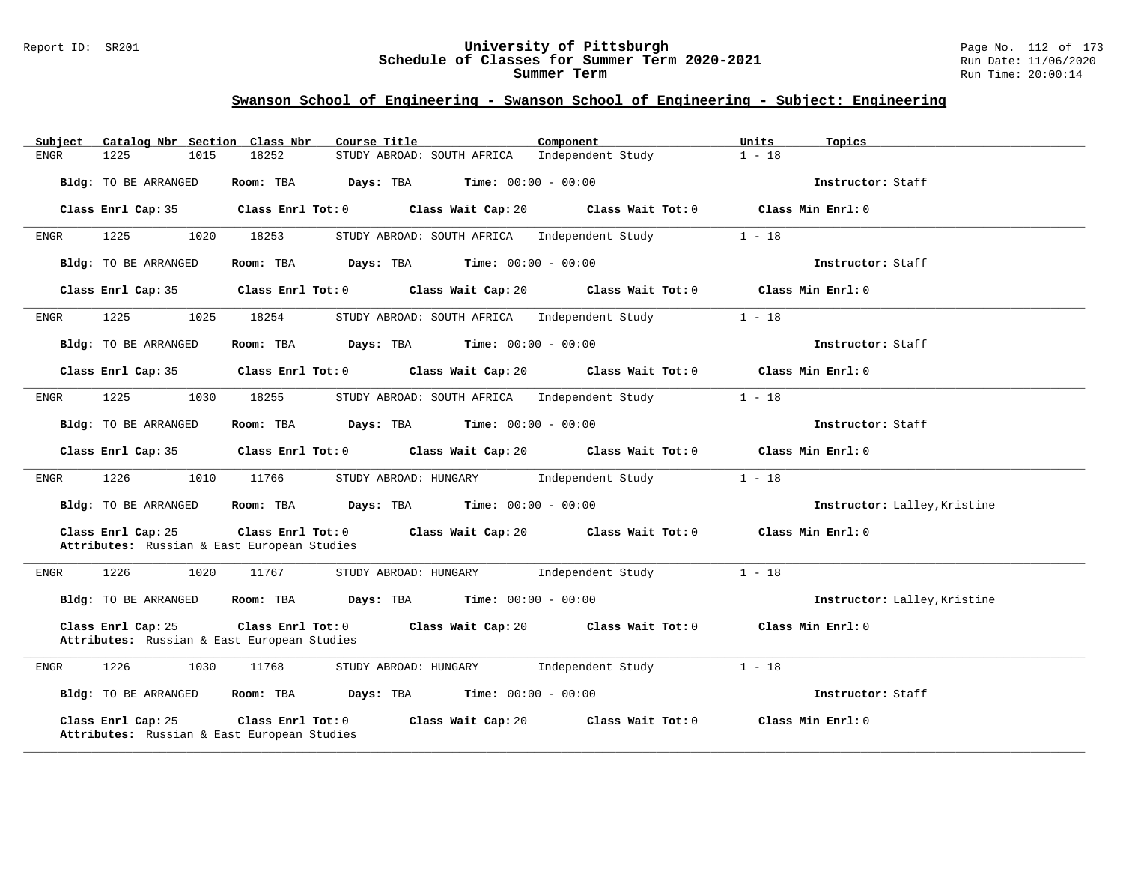### Report ID: SR201 **University of Pittsburgh** Page No. 112 of 173 **Schedule of Classes for Summer Term 2020-2021** Run Date: 11/06/2020 **Summer Term** Run Time: 20:00:14

| Catalog Nbr Section Class Nbr<br>Subject                          | Course Title                                                             | Component                            | Units<br>Topics              |
|-------------------------------------------------------------------|--------------------------------------------------------------------------|--------------------------------------|------------------------------|
| 1225<br>1015<br>ENGR                                              | 18252<br>STUDY ABROAD: SOUTH AFRICA                                      | Independent Study                    | $1 - 18$                     |
| Bldg: TO BE ARRANGED                                              | <b>Time:</b> $00:00 - 00:00$<br>Room: TBA<br>Days: TBA                   |                                      | Instructor: Staff            |
| Class Enrl Cap: 35                                                | $Class$ $Enr1$ $Tot: 0$                                                  | Class Wait Cap: 20 Class Wait Tot: 0 | Class Min Enrl: 0            |
| 1225<br>1020<br>ENGR                                              | 18253<br>STUDY ABROAD: SOUTH AFRICA Independent Study                    |                                      | $1 - 18$                     |
| Bldg: TO BE ARRANGED                                              | Room: TBA<br>Days: TBA<br><b>Time:</b> $00:00 - 00:00$                   |                                      | Instructor: Staff            |
| Class Enrl Cap: 35                                                | Class Enrl Tot: 0 Class Wait Cap: 20 Class Wait Tot: 0 Class Min Enrl: 0 |                                      |                              |
| 1225<br>1025<br>ENGR                                              | 18254<br>STUDY ABROAD: SOUTH AFRICA Independent Study                    |                                      | $1 - 18$                     |
| Bldg: TO BE ARRANGED                                              | $Days: TBA$ Time: $00:00 - 00:00$<br>Room: TBA                           |                                      | Instructor: Staff            |
| Class Enrl Cap: 35                                                | Class Enrl Tot: 0 Class Wait Cap: 20 Class Wait Tot: 0 Class Min Enrl: 0 |                                      |                              |
| 1225<br>1030<br>ENGR                                              | 18255<br>STUDY ABROAD: SOUTH AFRICA Independent Study                    |                                      | $1 - 18$                     |
| Bldg: TO BE ARRANGED                                              | Room: TBA $Days:$ TBA $Time: 00:00 - 00:00$                              |                                      | Instructor: Staff            |
| Class Enrl Cap: 35                                                | Class Enrl Tot: 0 Class Wait Cap: 20                                     | Class Wait Tot: 0                    | Class Min Enrl: 0            |
| 1226<br>1010<br>ENGR                                              | 11766<br>STUDY ABROAD: HUNGARY                                           | Independent Study                    | $1 - 18$                     |
| Bldg: TO BE ARRANGED                                              | <b>Room:</b> TBA <b>Days:</b> TBA <b>Time:</b> 00:00 - 00:00             |                                      | Instructor: Lalley, Kristine |
| Class Enrl Cap: 25<br>Attributes: Russian & East European Studies | Class Enrl Tot: 0 Class Wait Cap: 20 Class Wait Tot: 0 Class Min Enrl: 0 |                                      |                              |
| 1226<br>1020<br>ENGR                                              | 11767<br>STUDY ABROAD: HUNGARY                                           | Independent Study                    | $1 - 18$                     |
| Bldg: TO BE ARRANGED                                              | Room: TBA $Days:$ TBA $Time: 00:00 - 00:00$                              |                                      | Instructor: Lalley, Kristine |
| Class Enrl Cap: 25<br>Attributes: Russian & East European Studies | Class Enrl Tot: 0<br>Class Wait Cap: 20                                  | Class Wait Tot: 0                    | Class Min Enrl: 0            |
| 1226<br>1030<br>ENGR                                              | 11768<br>STUDY ABROAD: HUNGARY Independent Study                         |                                      | $1 - 18$                     |
| Bldg: TO BE ARRANGED                                              | Room: TBA $Days: TBA$ Time: $00:00 - 00:00$                              |                                      | Instructor: Staff            |
| Class Enrl Cap: 25<br>Attributes: Russian & East European Studies | Class Enrl Tot: 0<br>Class Wait Cap: 20                                  | Class Wait Tot: 0                    | Class Min Enrl: 0            |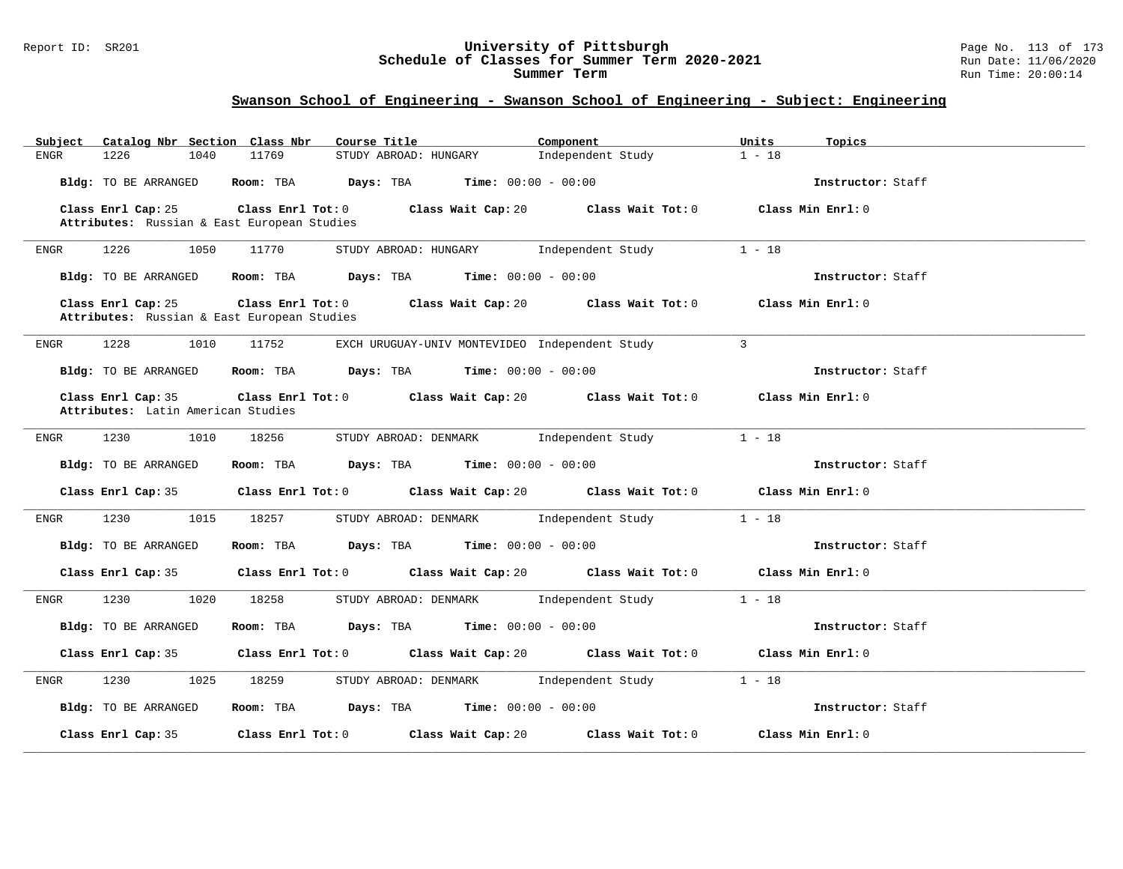#### Report ID: SR201 **University of Pittsburgh** Page No. 113 of 173 **Schedule of Classes for Summer Term 2020-2021** Run Date: 11/06/2020 **Summer Term** Run Time: 20:00:14

| Catalog Nbr Section Class Nbr<br>Subject                          | Course Title                                                                                        | Component<br>Units            | Topics            |
|-------------------------------------------------------------------|-----------------------------------------------------------------------------------------------------|-------------------------------|-------------------|
| 1226<br>1040<br>ENGR                                              | 11769<br>STUDY ABROAD: HUNGARY                                                                      | Independent Study<br>$1 - 18$ |                   |
| Bldg: TO BE ARRANGED                                              | Room: TBA $Days:$ TBA $Time: 00:00 - 00:00$                                                         |                               | Instructor: Staff |
| Class Enrl Cap: 25<br>Attributes: Russian & East European Studies | Class Enrl Tot: $0$ Class Wait Cap: $20$ Class Wait Tot: $0$                                        |                               | Class Min Enrl: 0 |
| 1226<br>1050<br>ENGR                                              | 11770<br>STUDY ABROAD: HUNGARY Independent Study                                                    | $1 - 18$                      |                   |
| Bldg: TO BE ARRANGED                                              | Room: TBA $Days:$ TBA $Time: 00:00 - 00:00$                                                         |                               | Instructor: Staff |
| Class Enrl Cap: 25<br>Attributes: Russian & East European Studies | Class Enrl Tot: 0 Class Wait Cap: 20 Class Wait Tot: 0                                              |                               | Class Min Enrl: 0 |
| 1228<br>1010<br>ENGR                                              | 11752<br>EXCH URUGUAY-UNIV MONTEVIDEO Independent Study                                             | $\overline{3}$                |                   |
| Bldg: TO BE ARRANGED                                              | <b>Room:</b> TBA <b>Days:</b> TBA <b>Time:</b> 00:00 - 00:00                                        |                               | Instructor: Staff |
| Class Enrl Cap: 35<br>Attributes: Latin American Studies          | Class Enrl Tot: $0$ Class Wait Cap: $20$ Class Wait Tot: $0$ Class Min Enrl: $0$                    |                               |                   |
| 1230<br>1010<br><b>ENGR</b>                                       | 18256<br>STUDY ABROAD: DENMARK Independent Study                                                    | $1 - 18$                      |                   |
| Bldg: TO BE ARRANGED                                              | Room: TBA $\rule{1em}{0.15mm}$ Days: TBA $\rule{1.5mm}{0.15mm}$ Time: $00:00 - 00:00$               |                               | Instructor: Staff |
| Class Enrl Cap: 35                                                | Class Enrl Tot: 0 $\qquad$ Class Wait Cap: 20 $\qquad$ Class Wait Tot: 0 $\qquad$ Class Min Enrl: 0 |                               |                   |
| 1230<br>1015<br>ENGR                                              | 18257<br>STUDY ABROAD: DENMARK Independent Study                                                    | $1 - 18$                      |                   |
| Bldg: TO BE ARRANGED                                              | Room: TBA $Days:$ TBA $Time: 00:00 - 00:00$                                                         |                               | Instructor: Staff |
| Class Enrl Cap: 35                                                | Class Enrl Tot: 0 Class Wait Cap: 20 Class Wait Tot: 0 Class Min Enrl: 0                            |                               |                   |
| 1230<br>1020<br>ENGR                                              | 18258<br>STUDY ABROAD: DENMARK Independent Study                                                    | $1 - 18$                      |                   |
| Bldg: TO BE ARRANGED                                              | <b>Room:</b> TBA <b>Days:</b> TBA <b>Time:</b> 00:00 - 00:00                                        |                               | Instructor: Staff |
| Class Enrl Cap: 35                                                | Class Enrl Tot: $0$ Class Wait Cap: $20$ Class Wait Tot: $0$ Class Min Enrl: $0$                    |                               |                   |
| 1230<br>1025<br>ENGR                                              | STUDY ABROAD: DENMARK Independent Study<br>18259                                                    | $1 - 18$                      |                   |
| Bldg: TO BE ARRANGED                                              | Room: TBA $Days:$ TBA Time: $00:00 - 00:00$                                                         |                               | Instructor: Staff |
| Class Enrl Cap: 35                                                | Class Enrl Tot: $0$ Class Wait Cap: $20$                                                            | Class Wait Tot: 0             | Class Min Enrl: 0 |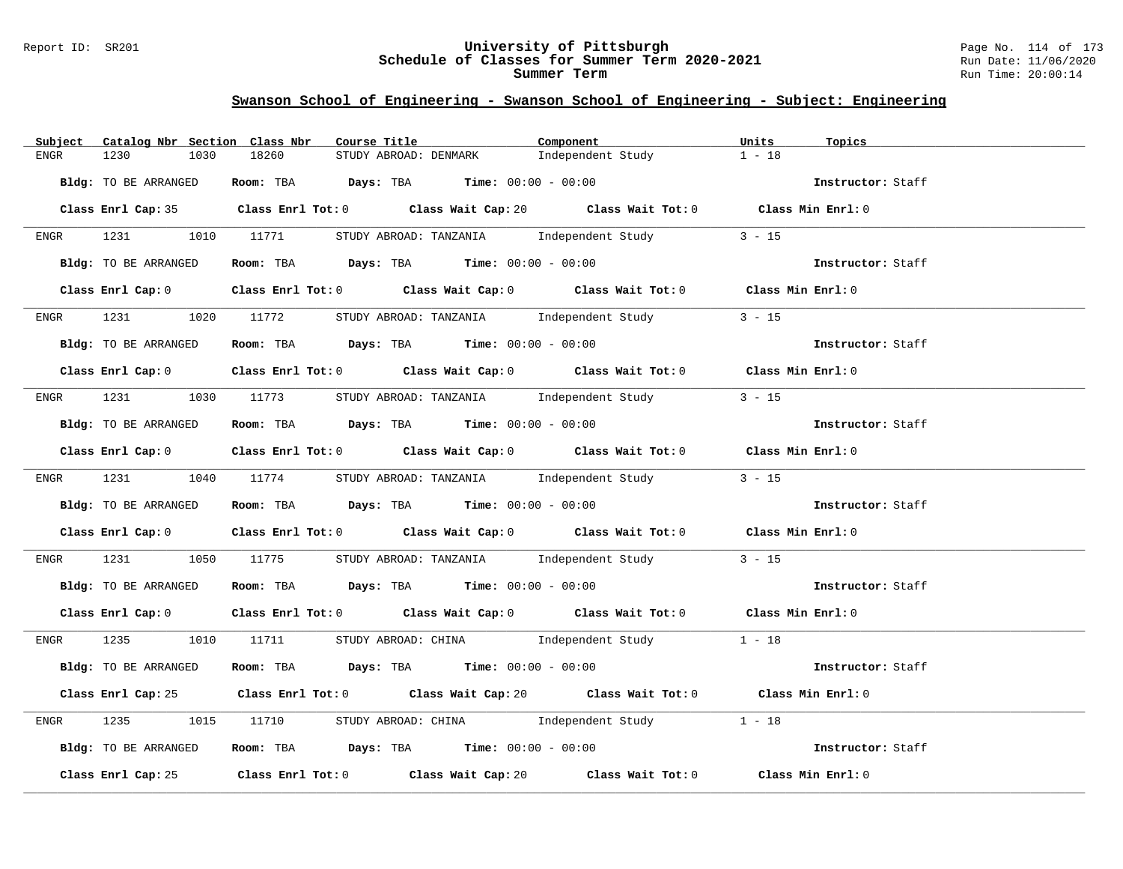### Report ID: SR201 **University of Pittsburgh** Page No. 114 of 173 **Schedule of Classes for Summer Term 2020-2021** Run Date: 11/06/2020 **Summer Term** Run Time: 20:00:14

|      | Subject Catalog Nbr Section Class Nbr | Component<br>Course Title                                                                                                     | Units<br>Topics   |
|------|---------------------------------------|-------------------------------------------------------------------------------------------------------------------------------|-------------------|
| ENGR | 1230<br>1030                          | 18260<br>Independent Study<br>STUDY ABROAD: DENMARK                                                                           | $1 - 18$          |
|      | Bldg: TO BE ARRANGED                  | Room: TBA $Days:$ TBA $Time: 00:00 - 00:00$                                                                                   | Instructor: Staff |
|      |                                       | Class Enrl Cap: 35 Class Enrl Tot: 0 Class Wait Cap: 20 Class Wait Tot: 0 Class Min Enrl: 0                                   |                   |
|      |                                       | ENGR 1231 1010 11771 STUDY ABROAD: TANZANIA Independent Study                                                                 | $3 - 15$          |
|      | Bldg: TO BE ARRANGED                  | Room: TBA $Days:$ TBA Time: $00:00 - 00:00$                                                                                   | Instructor: Staff |
|      |                                       | Class Enrl Cap: 0 $\qquad$ Class Enrl Tot: 0 $\qquad$ Class Wait Cap: 0 $\qquad$ Class Wait Tot: 0 $\qquad$ Class Min Enrl: 0 |                   |
| ENGR |                                       | 1231 1020 11772 STUDY ABROAD: TANZANIA 1ndependent Study                                                                      | $3 - 15$          |
|      | Bldg: TO BE ARRANGED                  | Room: TBA $Days:$ TBA Time: $00:00 - 00:00$                                                                                   | Instructor: Staff |
|      |                                       | Class Enrl Cap: 0 Class Enrl Tot: 0 Class Wait Cap: 0 Class Wait Tot: 0 Class Min Enrl: 0                                     |                   |
|      |                                       | ENGR 1231 1030 11773 STUDY ABROAD: TANZANIA Independent Study                                                                 | $3 - 15$          |
|      | Bldg: TO BE ARRANGED                  | Room: TBA Days: TBA Time: $00:00 - 00:00$                                                                                     | Instructor: Staff |
|      |                                       | Class Enrl Cap: 0 Class Enrl Tot: 0 Class Wait Cap: 0 Class Wait Tot: 0 Class Min Enrl: 0                                     |                   |
|      |                                       | ENGR 1231 1040 11774 STUDY ABROAD: TANZANIA Independent Study 3 - 15                                                          |                   |
|      | Bldg: TO BE ARRANGED                  | Room: TBA $Days:$ TBA $Time:$ $00:00 - 00:00$                                                                                 | Instructor: Staff |
|      |                                       | Class Enrl Cap: 0 $\qquad$ Class Enrl Tot: 0 $\qquad$ Class Wait Cap: 0 $\qquad$ Class Wait Tot: 0 $\qquad$ Class Min Enrl: 0 |                   |
| ENGR | 1231                                  | 1050 11775 STUDY ABROAD: TANZANIA 1ndependent Study                                                                           | $3 - 15$          |
|      | Bldg: TO BE ARRANGED                  | Room: TBA $Days:$ TBA Time: $00:00 - 00:00$                                                                                   | Instructor: Staff |
|      |                                       | Class Enrl Cap: 0 Class Enrl Tot: 0 Class Wait Cap: 0 Class Wait Tot: 0 Class Min Enrl: 0                                     |                   |
|      |                                       | ENGR $1235$ 1010 11711 STUDY ABROAD: CHINA Independent Study 1 - 18                                                           |                   |
|      | Bldg: TO BE ARRANGED                  | Room: TBA $Days:$ TBA $Time:$ $00:00 - 00:00$                                                                                 | Instructor: Staff |
|      |                                       | Class Enrl Cap: 25 Class Enrl Tot: 0 Class Wait Cap: 20 Class Wait Tot: 0 Class Min Enrl: 0                                   |                   |
| ENGR | 1235                                  | 1015 11710 STUDY ABROAD: CHINA Independent Study 1 - 18                                                                       |                   |
|      | Bldg: TO BE ARRANGED                  | Room: TBA $Days:$ TBA $Time:$ $00:00 - 00:00$                                                                                 | Instructor: Staff |
|      |                                       | Class Enrl Cap: 25 Class Enrl Tot: 0 Class Wait Cap: 20 Class Wait Tot: 0 Class Min Enrl: 0                                   |                   |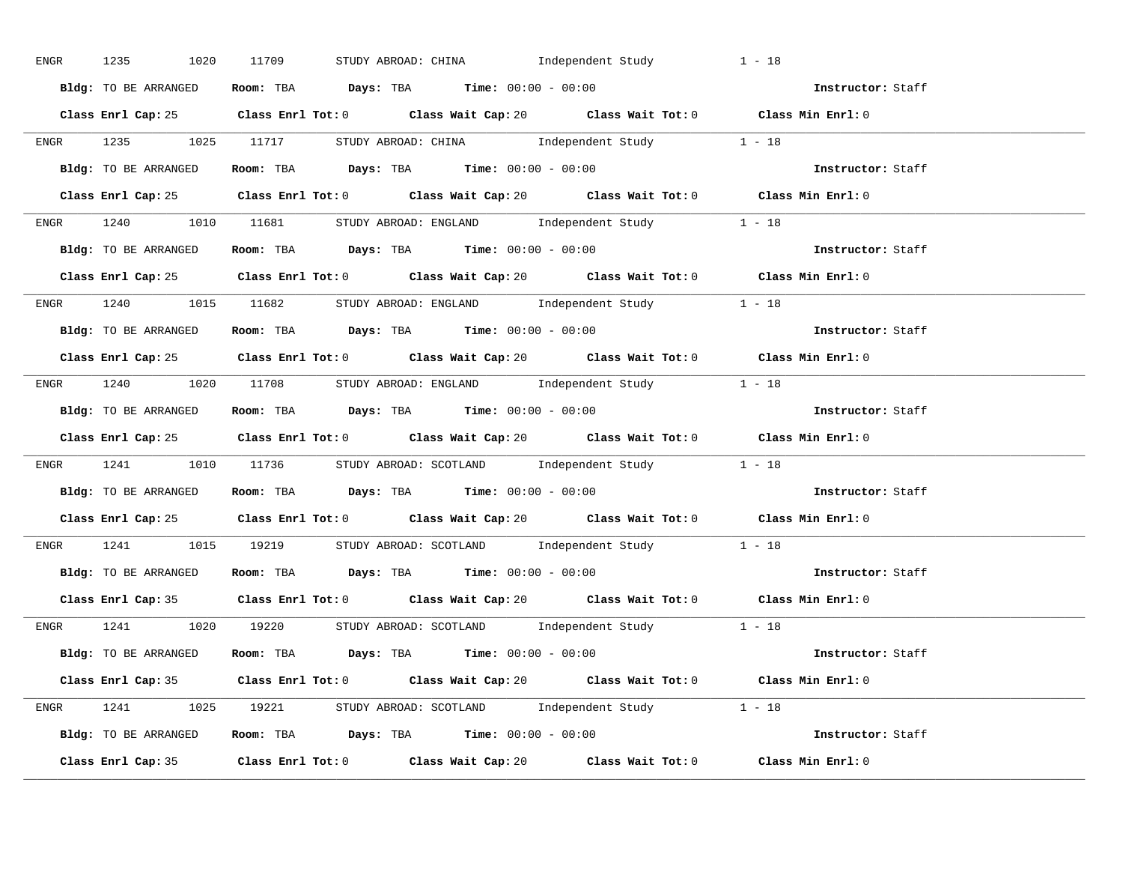| ENGR 1235 1020 11709 | STUDY ABROAD: CHINA Independent Study                                                       | $1 - 18$          |
|----------------------|---------------------------------------------------------------------------------------------|-------------------|
| Bldg: TO BE ARRANGED | Room: TBA $Days:$ TBA $Time: 00:00 - 00:00$                                                 | Instructor: Staff |
|                      | Class Enrl Cap: 25 Class Enrl Tot: 0 Class Wait Cap: 20 Class Wait Tot: 0 Class Min Enrl: 0 |                   |
|                      | ENGR 1235 1025 11717 STUDY ABROAD: CHINA Independent Study 1 - 18                           |                   |
| Bldg: TO BE ARRANGED | Room: TBA $Days:$ TBA $Time: 00:00 - 00:00$                                                 | Instructor: Staff |
|                      | Class Enrl Cap: 25 Class Enrl Tot: 0 Class Wait Cap: 20 Class Wait Tot: 0 Class Min Enrl: 0 |                   |
|                      | ENGR 1240 1010 11681 STUDYABROAD: ENGLAND Independent Study 1 - 18                          |                   |
|                      | Bldg: TO BE ARRANGED Room: TBA Days: TBA Time: 00:00 - 00:00                                | Instructor: Staff |
|                      | Class Enrl Cap: 25 Class Enrl Tot: 0 Class Wait Cap: 20 Class Wait Tot: 0 Class Min Enrl: 0 |                   |
|                      | ENGR 1240 1015 11682 STUDY ABROAD: ENGLAND Independent Study 1 - 18                         |                   |
| Bldg: TO BE ARRANGED | Room: TBA $\rule{1em}{0.15mm}$ Days: TBA $\rule{1.15mm}]{0.15mm}$ Time: $00:00 - 00:00$     | Instructor: Staff |
|                      | Class Enrl Cap: 25 Class Enrl Tot: 0 Class Wait Cap: 20 Class Wait Tot: 0 Class Min Enrl: 0 |                   |
|                      | ENGR 1240 1020 11708 STUDY ABROAD: ENGLAND Independent Study 1 - 18                         |                   |
| Bldg: TO BE ARRANGED | Room: TBA $\rule{1em}{0.15mm}$ Days: TBA $\qquad$ Time: $00:00 - 00:00$                     | Instructor: Staff |
|                      | Class Enrl Cap: 25 Class Enrl Tot: 0 Class Wait Cap: 20 Class Wait Tot: 0 Class Min Enrl: 0 |                   |
|                      | ENGR 1241 1010 11736 STUDYABROAD: SCOTLAND Independent Study 1 - 18                         |                   |
|                      | <b>Bldg:</b> TO BE ARRANGED <b>ROOM:</b> TBA <b>Days:</b> TBA <b>Time:</b> $00:00 - 00:00$  | Instructor: Staff |
|                      | Class Enrl Cap: 25 Class Enrl Tot: 0 Class Wait Cap: 20 Class Wait Tot: 0 Class Min Enrl: 0 |                   |
|                      | ENGR 1241 1015 19219 STUDY ABROAD: SCOTLAND Independent Study 1 - 18                        |                   |
|                      | Bldg: TO BE ARRANGED Room: TBA Days: TBA Time: 00:00 - 00:00                                | Instructor: Staff |
|                      | Class Enrl Cap: 35 Class Enrl Tot: 0 Class Wait Cap: 20 Class Wait Tot: 0 Class Min Enrl: 0 |                   |
|                      | ENGR 1241 1020 19220 STUDY ABROAD: SCOTLAND Independent Study 1 - 18                        |                   |
|                      | <b>Bldg:</b> TO BE ARRANGED <b>Room:</b> TBA <b>Days:</b> TBA <b>Time:</b> $00:00 - 00:00$  | Instructor: Staff |
|                      | Class Enrl Cap: 35 Class Enrl Tot: 0 Class Wait Cap: 20 Class Wait Tot: 0 Class Min Enrl: 0 |                   |
|                      | ENGR 1241 1025 19221 STUDY ABROAD: SCOTLAND Independent Study 1 - 18                        |                   |
|                      | Bldg: TO BE ARRANGED Room: TBA Days: TBA Time: $00:00 - 00:00$                              |                   |
|                      | Class Enrl Cap: 35 Class Enrl Tot: 0 Class Wait Cap: 20 Class Wait Tot: 0                   | Class Min Enrl: 0 |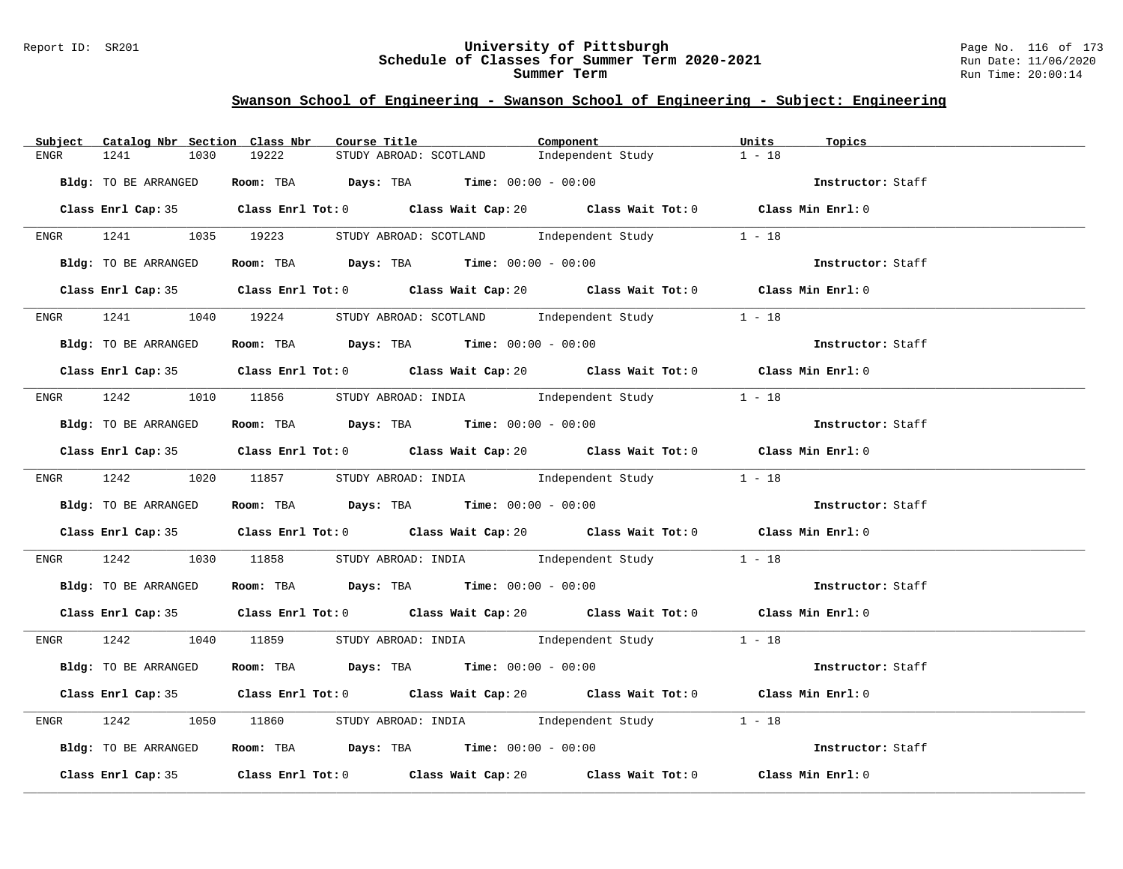### Report ID: SR201 **University of Pittsburgh** Page No. 116 of 173 **Schedule of Classes for Summer Term 2020-2021** Run Date: 11/06/2020 **Summer Term** Run Time: 20:00:14

| Catalog Nbr Section Class Nbr<br>Subject | Course Title                                                                                | Component         | Units<br>Topics   |
|------------------------------------------|---------------------------------------------------------------------------------------------|-------------------|-------------------|
| 1241<br>1030<br>ENGR                     | STUDY ABROAD: SCOTLAND<br>19222                                                             | Independent Study | $1 - 18$          |
| Bldg: TO BE ARRANGED                     | Room: TBA $Days:$ TBA $Time: 00:00 - 00:00$                                                 |                   | Instructor: Staff |
|                                          | Class Enrl Cap: 35 Class Enrl Tot: 0 Class Wait Cap: 20 Class Wait Tot: 0 Class Min Enrl: 0 |                   |                   |
| ENGR 1241 1035 19223                     | STUDY ABROAD: SCOTLAND Independent Study                                                    |                   | $1 - 18$          |
| Bldg: TO BE ARRANGED                     | Room: TBA $Days:$ TBA $Time:$ 00:00 - 00:00                                                 |                   | Instructor: Staff |
|                                          | Class Enrl Cap: 35 Class Enrl Tot: 0 Class Wait Cap: 20 Class Wait Tot: 0 Class Min Enrl: 0 |                   |                   |
|                                          | ENGR 1241 1040 19224 STUDY ABROAD: SCOTLAND Independent Study 1 - 18                        |                   |                   |
| Bldg: TO BE ARRANGED                     | Room: TBA $Days: TBA$ Time: $00:00 - 00:00$                                                 |                   | Instructor: Staff |
|                                          | Class Enrl Cap: 35 Class Enrl Tot: 0 Class Wait Cap: 20 Class Wait Tot: 0 Class Min Enrl: 0 |                   |                   |
|                                          | ENGR 1242 1010 11856 STUDY ABROAD: INDIA Independent Study                                  |                   | $1 - 18$          |
| Bldg: TO BE ARRANGED                     | Room: TBA Days: TBA Time: $00:00 - 00:00$                                                   |                   | Instructor: Staff |
|                                          | Class Enrl Cap: 35 Class Enrl Tot: 0 Class Wait Cap: 20 Class Wait Tot: 0 Class Min Enrl: 0 |                   |                   |
|                                          | ENGR 1242 1020 11857 STUDY ABROAD: INDIA Independent Study 1 - 18                           |                   |                   |
| Bldg: TO BE ARRANGED                     | Room: TBA $\rule{1em}{0.15mm}$ Days: TBA Time: $00:00 - 00:00$                              |                   | Instructor: Staff |
|                                          | Class Enrl Cap: 35 Class Enrl Tot: 0 Class Wait Cap: 20 Class Wait Tot: 0 Class Min Enrl: 0 |                   |                   |
| 1242<br>ENGR                             | 1030 11858 STUDY ABROAD: INDIA 1ndependent Study 1 - 18                                     |                   |                   |
| Bldg: TO BE ARRANGED                     | Room: TBA $\rule{1em}{0.15mm}$ Days: TBA Time: $00:00 - 00:00$                              |                   | Instructor: Staff |
|                                          | Class Enrl Cap: 35 Class Enrl Tot: 0 Class Wait Cap: 20 Class Wait Tot: 0 Class Min Enrl: 0 |                   |                   |
|                                          | ENGR 1242 1040 11859 STUDY ABROAD: INDIA Independent Study 1 - 18                           |                   |                   |
| Bldg: TO BE ARRANGED                     | Room: TBA $Days:$ TBA $Time: 00:00 - 00:00$                                                 |                   | Instructor: Staff |
|                                          | Class Enrl Cap: 35 Class Enrl Tot: 0 Class Wait Cap: 20 Class Wait Tot: 0 Class Min Enrl: 0 |                   |                   |
| 1242<br>ENGR                             | 1050 11860 STUDY ABROAD: INDIA Independent Study 1 - 18                                     |                   |                   |
| Bldg: TO BE ARRANGED                     | Room: TBA $Days:$ TBA $Time: 00:00 - 00:00$                                                 |                   | Instructor: Staff |
|                                          | Class Enrl Cap: 35 Class Enrl Tot: 0 Class Wait Cap: 20 Class Wait Tot: 0 Class Min Enrl: 0 |                   |                   |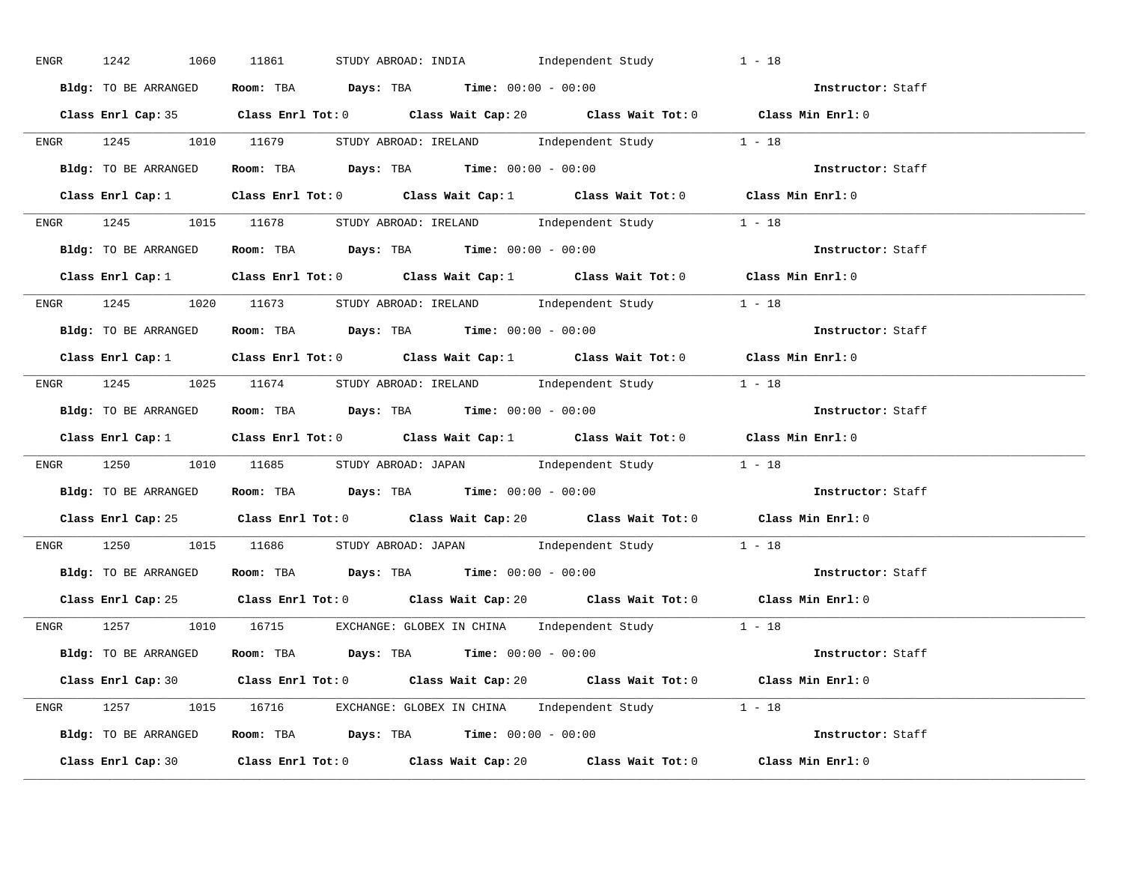| ENGR | 1242<br>1060         | STUDY ABROAD: INDIA Independent Study<br>11861                                              | $1 - 18$          |
|------|----------------------|---------------------------------------------------------------------------------------------|-------------------|
|      | Bldg: TO BE ARRANGED | Room: TBA $Days:$ TBA $Time: 00:00 - 00:00$                                                 | Instructor: Staff |
|      |                      | Class Enrl Cap: 35 Class Enrl Tot: 0 Class Wait Cap: 20 Class Wait Tot: 0 Class Min Enrl: 0 |                   |
|      |                      | ENGR 1245 1010 11679 STUDYABROAD: IRELAND Independent Study 1 - 18                          |                   |
|      | Bldg: TO BE ARRANGED | Room: TBA $\rule{1em}{0.15mm}$ Days: TBA Time: $00:00 - 00:00$                              | Instructor: Staff |
|      |                      | Class Enrl Cap: 1 Class Enrl Tot: 0 Class Wait Cap: 1 Class Wait Tot: 0 Class Min Enrl: 0   |                   |
|      |                      | ENGR 1245 1015 11678 STUDYABROAD: IRELAND Independent Study 1 - 18                          |                   |
|      |                      | Bldg: TO BE ARRANGED Room: TBA Days: TBA Time: 00:00 - 00:00                                | Instructor: Staff |
|      |                      | Class Enrl Cap: 1 Class Enrl Tot: 0 Class Wait Cap: 1 Class Wait Tot: 0 Class Min Enrl: 0   |                   |
|      |                      | ENGR 1245 1020 11673 STUDY ABROAD: IRELAND Independent Study 1 - 18                         |                   |
|      |                      | Bldg: TO BE ARRANGED Room: TBA Days: TBA Time: 00:00 - 00:00                                | Instructor: Staff |
|      |                      | Class Enrl Cap: 1 Class Enrl Tot: 0 Class Wait Cap: 1 Class Wait Tot: 0 Class Min Enrl: 0   |                   |
|      |                      | ENGR 1245 1025 11674 STUDYABROAD: IRELAND Independent Study 1 - 18                          |                   |
|      |                      | Bldg: TO BE ARRANGED ROOM: TBA Days: TBA Time: 00:00 - 00:00                                | Instructor: Staff |
|      |                      | Class Enrl Cap: 1 Class Enrl Tot: 0 Class Wait Cap: 1 Class Wait Tot: 0 Class Min Enrl: 0   |                   |
|      |                      | ENGR 1250 1010 11685 STUDY ABROAD: JAPAN Independent Study 1 - 18                           |                   |
|      |                      | <b>Bldg:</b> TO BE ARRANGED <b>ROOM:</b> TBA <b>Days:</b> TBA <b>Time:</b> $00:00 - 00:00$  | Instructor: Staff |
|      |                      |                                                                                             |                   |
|      |                      | Class Enrl Cap: 25 Class Enrl Tot: 0 Class Wait Cap: 20 Class Wait Tot: 0 Class Min Enrl: 0 |                   |
|      |                      | ENGR 1250 1015 11686 STUDY ABROAD: JAPAN Independent Study 1 - 18                           |                   |
|      |                      | Bldg: TO BE ARRANGED Room: TBA Days: TBA Time: 00:00 - 00:00                                | Instructor: Staff |
|      |                      | Class Enrl Cap: 25 Class Enrl Tot: 0 Class Wait Cap: 20 Class Wait Tot: 0 Class Min Enrl: 0 |                   |
|      |                      | ENGR 1257 1010 16715 EXCHANGE: GLOBEX IN CHINA Independent Study 1 - 18                     |                   |
|      |                      | <b>Bldg:</b> TO BE ARRANGED <b>Room:</b> TBA <b>Days:</b> TBA <b>Time:</b> $00:00 - 00:00$  | Instructor: Staff |
|      |                      | Class Enrl Cap: 30 Class Enrl Tot: 0 Class Wait Cap: 20 Class Wait Tot: 0 Class Min Enrl: 0 |                   |
|      |                      | ENGR 1257 1015 16716 EXCHANGE: GLOBEX IN CHINA Independent Study 1 - 18                     |                   |
|      |                      | Bldg: TO BE ARRANGED Room: TBA Days: TBA Time: $00:00 - 00:00$                              |                   |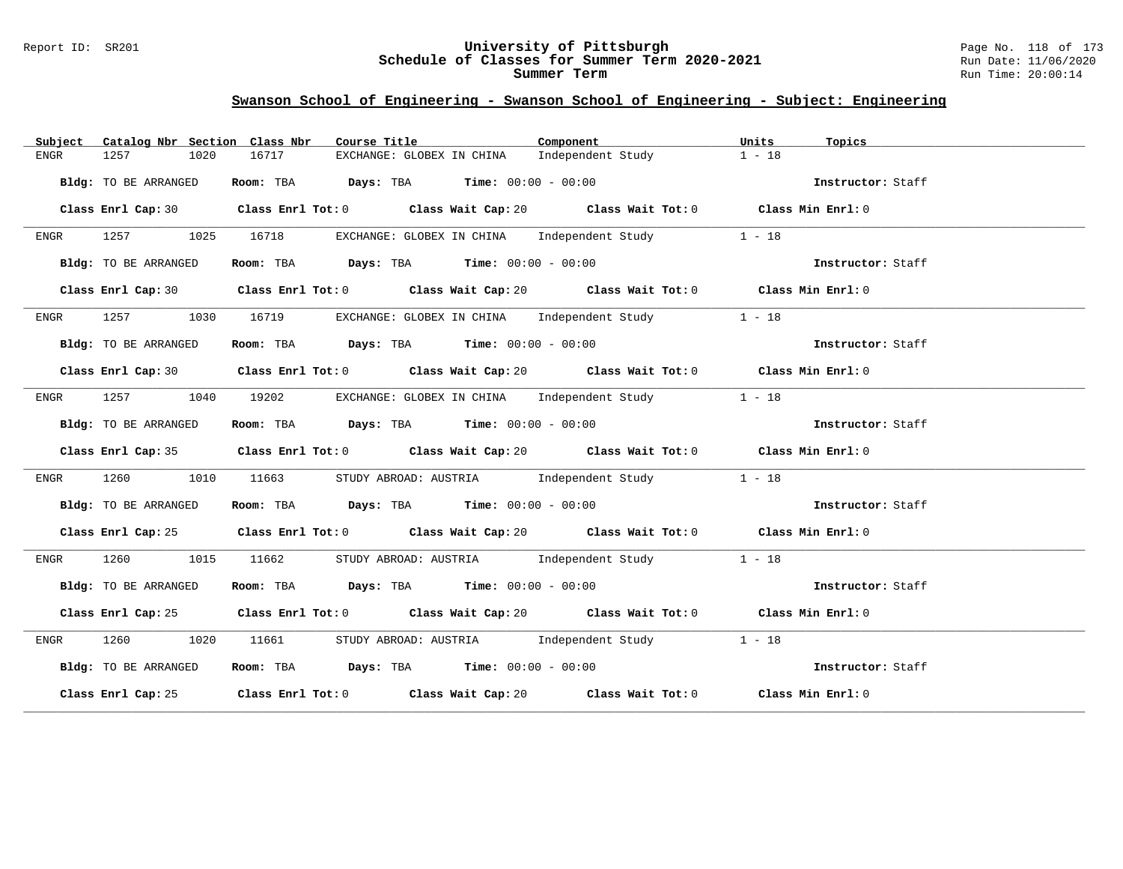### Report ID: SR201 **University of Pittsburgh** Page No. 118 of 173 **Schedule of Classes for Summer Term 2020-2021** Run Date: 11/06/2020 **Summer Term** Run Time: 20:00:14

| Subject              | Catalog Nbr Section Class Nbr<br>Course Title                                    | Component<br>Units<br>Topics                                                                |  |
|----------------------|----------------------------------------------------------------------------------|---------------------------------------------------------------------------------------------|--|
| 1257<br>ENGR         | EXCHANGE: GLOBEX IN CHINA Independent Study<br>16717<br>1020                     | $1 - 18$                                                                                    |  |
| Bldg: TO BE ARRANGED | Room: TBA $\rule{1em}{0.15mm}$ Days: TBA Time: $00:00 - 00:00$                   | Instructor: Staff                                                                           |  |
|                      |                                                                                  | Class Enrl Cap: 30 Class Enrl Tot: 0 Class Wait Cap: 20 Class Wait Tot: 0 Class Min Enrl: 0 |  |
| ENGR                 | 1257 1025 16718 EXCHANGE: GLOBEX IN CHINA Independent Study 1 - 18               |                                                                                             |  |
| Bldg: TO BE ARRANGED | Room: TBA $Days:$ TBA $Time: 00:00 - 00:00$                                      | Instructor: Staff                                                                           |  |
|                      |                                                                                  | Class Enrl Cap: 30 Class Enrl Tot: 0 Class Wait Cap: 20 Class Wait Tot: 0 Class Min Enrl: 0 |  |
|                      | ENGR 1257 1030 16719 EXCHANGE: GLOBEX IN CHINA Independent Study                 | $1 - 18$                                                                                    |  |
| Bldg: TO BE ARRANGED | Room: TBA $Days:$ TBA $Time: 00:00 - 00:00$                                      | Instructor: Staff                                                                           |  |
|                      |                                                                                  | Class Enrl Cap: 30 Class Enrl Tot: 0 Class Wait Cap: 20 Class Wait Tot: 0 Class Min Enrl: 0 |  |
| ENGR                 | 1257 1040 19202 EXCHANGE: GLOBEX IN CHINA Independent Study 1 - 18               |                                                                                             |  |
| Bldg: TO BE ARRANGED | Room: TBA $Days:$ TBA $Time: 00:00 - 00:00$                                      | Instructor: Staff                                                                           |  |
|                      |                                                                                  | Class Enrl Cap: 35 Class Enrl Tot: 0 Class Wait Cap: 20 Class Wait Tot: 0 Class Min Enrl: 0 |  |
| 1260<br>ENGR         | 1010<br>11663                                                                    | STUDY ABROAD: AUSTRIA 1ndependent Study<br>$1 - 18$                                         |  |
| Bldg: TO BE ARRANGED | Room: TBA $Days:$ TBA $Time:$ $00:00 - 00:00$                                    | Instructor: Staff                                                                           |  |
|                      |                                                                                  | Class Enrl Cap: 25 Class Enrl Tot: 0 Class Wait Cap: 20 Class Wait Tot: 0 Class Min Enrl: 0 |  |
| 1260 1015<br>ENGR    | 11662<br>STUDY ABROAD: AUSTRIA 1ndependent Study                                 | $1 - 18$                                                                                    |  |
| Bldg: TO BE ARRANGED | Room: TBA $\rule{1em}{0.15mm}$ Days: TBA $\rule{1.15mm}{}$ Time: $00:00 - 00:00$ | Instructor: Staff                                                                           |  |
|                      |                                                                                  | Class Enrl Cap: 25 Class Enrl Tot: 0 Class Wait Cap: 20 Class Wait Tot: 0 Class Min Enrl: 0 |  |
| 1260 1020<br>ENGR    |                                                                                  | $1 - 18$                                                                                    |  |
| Bldg: TO BE ARRANGED | Room: TBA $Days:$ TBA $Time: 00:00 - 00:00$                                      | Instructor: Staff                                                                           |  |
|                      |                                                                                  | Class Enrl Cap: 25 Class Enrl Tot: 0 Class Wait Cap: 20 Class Wait Tot: 0 Class Min Enrl: 0 |  |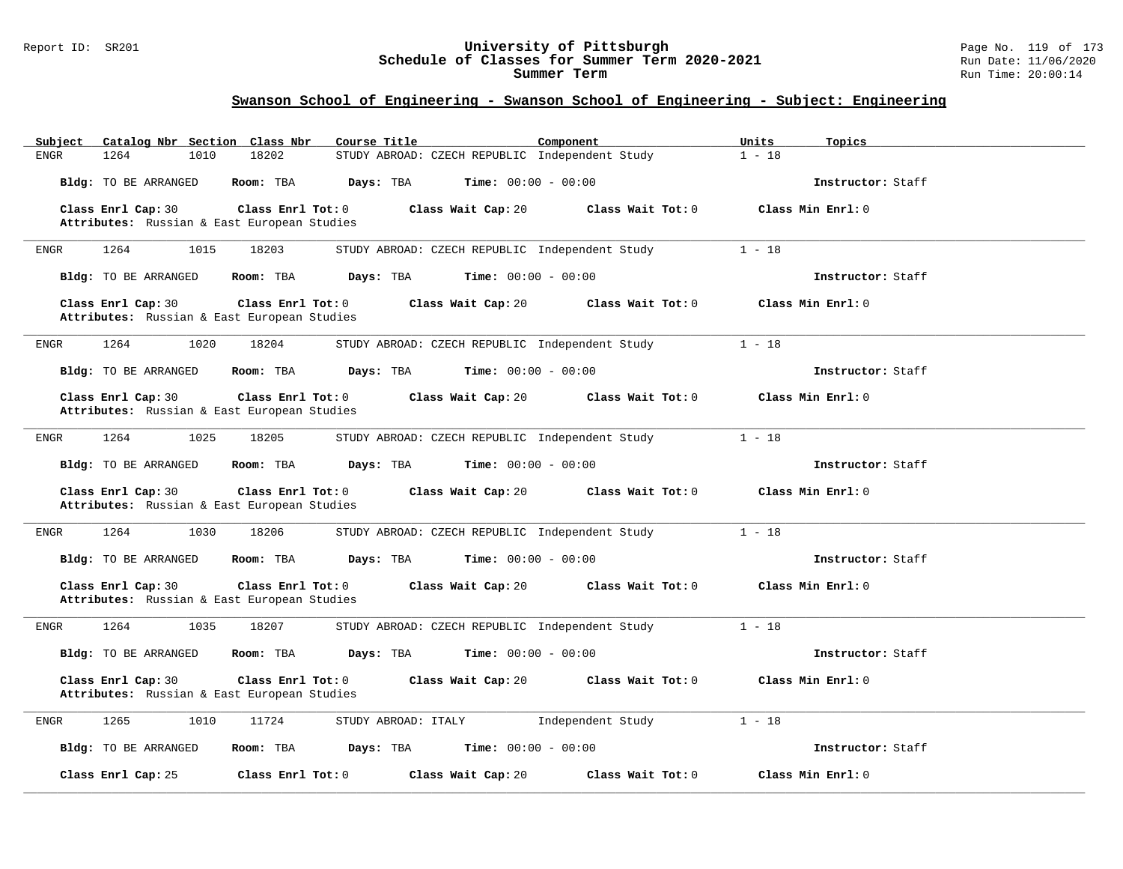#### Report ID: SR201 **University of Pittsburgh** Page No. 119 of 173 **Schedule of Classes for Summer Term 2020-2021** Run Date: 11/06/2020 **Summer Term** Run Time: 20:00:14

| Catalog Nbr Section Class Nbr<br>Subject                                               | Course Title<br>Component                      | Units<br>Topics   |
|----------------------------------------------------------------------------------------|------------------------------------------------|-------------------|
| <b>ENGR</b><br>1264<br>18202<br>1010                                                   | STUDY ABROAD: CZECH REPUBLIC Independent Study | $1 - 18$          |
| Room: TBA<br>Bldg: TO BE ARRANGED                                                      | Days: TBA<br>Time: $00:00 - 00:00$             | Instructor: Staff |
| Class Enrl Cap: 30<br>Class Enrl Tot: 0                                                | Class Wait Cap: 20<br>Class Wait Tot: 0        | Class Min Enrl: 0 |
| Attributes: Russian & East European Studies                                            |                                                |                   |
| 1264<br>1015<br>18203<br>ENGR                                                          | STUDY ABROAD: CZECH REPUBLIC Independent Study | $1 - 18$          |
| Bldg: TO BE ARRANGED<br>Room: TBA                                                      | <b>Time:</b> $00:00 - 00:00$<br>Days: TBA      | Instructor: Staff |
| Class Enrl Cap: 30<br>Class Enrl Tot: 0<br>Attributes: Russian & East European Studies | Class Wait Cap: 20<br>Class Wait Tot: 0        | Class Min Enrl: 0 |
| 1020<br>18204<br>1264<br>ENGR                                                          | STUDY ABROAD: CZECH REPUBLIC Independent Study | $1 - 18$          |
| Bldg: TO BE ARRANGED<br>Room: TBA                                                      | Days: TBA<br><b>Time:</b> $00:00 - 00:00$      | Instructor: Staff |
| Class Enrl Cap: 30<br>Class Enrl Tot: 0<br>Attributes: Russian & East European Studies | Class Wait Cap: 20<br>Class Wait Tot: 0        | Class Min Enrl: 0 |
| 1264<br>1025<br>18205<br>ENGR                                                          | STUDY ABROAD: CZECH REPUBLIC Independent Study | $1 - 18$          |
| Bldg: TO BE ARRANGED<br>Room: TBA                                                      | Days: TBA<br><b>Time:</b> $00:00 - 00:00$      | Instructor: Staff |
| Class Enrl Cap: 30<br>Class Enrl Tot: 0<br>Attributes: Russian & East European Studies | Class Wait Cap: 20<br>Class Wait Tot: 0        | Class Min Enrl: 0 |
| 1264<br>1030<br>18206<br>ENGR                                                          | STUDY ABROAD: CZECH REPUBLIC Independent Study | $1 - 18$          |
| Room: TBA<br>Bldg: TO BE ARRANGED                                                      | Time: $00:00 - 00:00$<br>Days: TBA             | Instructor: Staff |
| Class Enrl Tot: 0<br>Class Enrl Cap: 30<br>Attributes: Russian & East European Studies | Class Wait Cap: 20<br>Class Wait Tot: 0        | Class Min Enrl: 0 |
| <b>ENGR</b><br>1264<br>1035<br>18207                                                   | STUDY ABROAD: CZECH REPUBLIC Independent Study | $1 - 18$          |
| <b>Bldg:</b> TO BE ARRANGED<br>Room: TBA                                               | Days: TBA<br><b>Time:</b> $00:00 - 00:00$      | Instructor: Staff |
| Class Enrl Cap: 30<br>Class Enrl Tot: 0<br>Attributes: Russian & East European Studies | Class Wait Cap: 20<br>Class Wait Tot: 0        | Class Min Enrl: 0 |
| 11724<br><b>ENGR</b><br>1265<br>1010                                                   | STUDY ABROAD: ITALY<br>Independent Study       | $1 - 18$          |
| Bldg: TO BE ARRANGED<br>Room: TBA                                                      | Days: TBA<br><b>Time:</b> $00:00 - 00:00$      | Instructor: Staff |
| Class Enrl Tot: 0<br>Class Enrl Cap: 25                                                | Class Wait Tot: 0<br>Class Wait Cap: 20        | Class Min Enrl: 0 |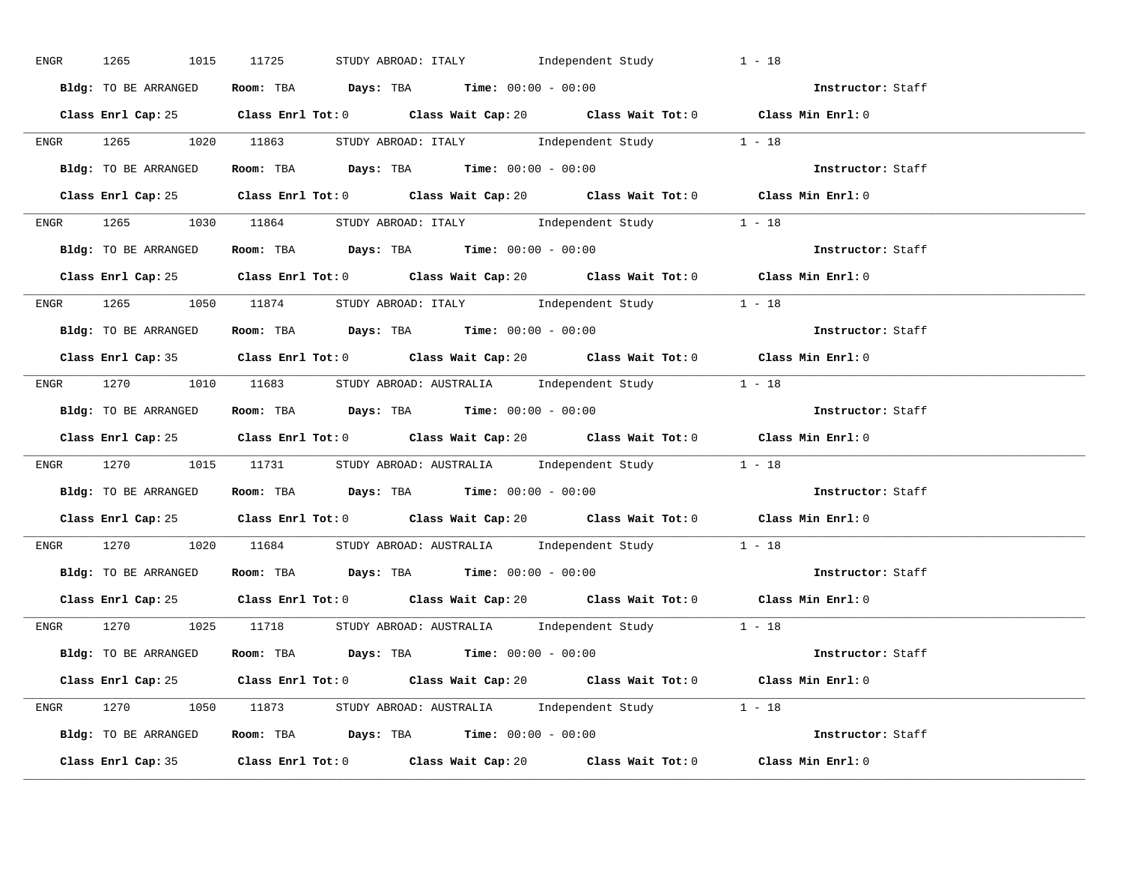| ENGR | 1265 1015 11725      | STUDY ABROAD: ITALY 1ndependent Study                                                       | $1 - 18$          |
|------|----------------------|---------------------------------------------------------------------------------------------|-------------------|
|      | Bldg: TO BE ARRANGED | Room: TBA $Days:$ TBA $Time: 00:00 - 00:00$                                                 | Instructor: Staff |
|      |                      | Class Enrl Cap: 25 Class Enrl Tot: 0 Class Wait Cap: 20 Class Wait Tot: 0 Class Min Enrl: 0 |                   |
|      |                      | ENGR 1265 1020 11863 STUDY ABROAD: ITALY Independent Study 1 - 18                           |                   |
|      | Bldg: TO BE ARRANGED | Room: TBA $Days:$ TBA $Time:$ $00:00 - 00:00$                                               | Instructor: Staff |
|      |                      | Class Enrl Cap: 25 Class Enrl Tot: 0 Class Wait Cap: 20 Class Wait Tot: 0 Class Min Enrl: 0 |                   |
|      |                      | ENGR 1265 1030 11864 STUDY ABROAD: ITALY Independent Study 1 - 18                           |                   |
|      |                      | Bldg: TO BE ARRANGED Room: TBA Days: TBA Time: 00:00 - 00:00                                | Instructor: Staff |
|      |                      | Class Enrl Cap: 25 Class Enrl Tot: 0 Class Wait Cap: 20 Class Wait Tot: 0 Class Min Enrl: 0 |                   |
|      |                      | ENGR 1265 1050 11874 STUDY ABROAD: ITALY Independent Study 1 - 18                           |                   |
|      | Bldg: TO BE ARRANGED | Room: TBA $\rule{1em}{0.15mm}$ Days: TBA $\rule{1.15mm}]{0.15mm}$ Time: $00:00 - 00:00$     | Instructor: Staff |
|      |                      | Class Enrl Cap: 35 Class Enrl Tot: 0 Class Wait Cap: 20 Class Wait Tot: 0 Class Min Enrl: 0 |                   |
|      |                      | ENGR 1270 1010 11683 STUDYABROAD: AUSTRALIA Independent Study 1 - 18                        |                   |
|      | Bldg: TO BE ARRANGED | Room: TBA $\rule{1em}{0.15mm}$ Days: TBA $\qquad$ Time: $00:00 - 00:00$                     | Instructor: Staff |
|      |                      | Class Enrl Cap: 25 Class Enrl Tot: 0 Class Wait Cap: 20 Class Wait Tot: 0 Class Min Enrl: 0 |                   |
|      |                      | ENGR 1270 1015 11731 STUDYABROAD: AUSTRALIA Independent Study 1 - 18                        |                   |
|      |                      | <b>Bldg:</b> TO BE ARRANGED <b>ROOM:</b> TBA <b>Days:</b> TBA <b>Time:</b> $00:00 - 00:00$  | Instructor: Staff |
|      |                      | Class Enrl Cap: 25 Class Enrl Tot: 0 Class Wait Cap: 20 Class Wait Tot: 0 Class Min Enrl: 0 |                   |
|      |                      | ENGR 1270 1020 11684 STUDY ABROAD: AUSTRALIA Independent Study 1 - 18                       |                   |
|      |                      | Bldg: TO BE ARRANGED Room: TBA Days: TBA Time: 00:00 - 00:00                                | Instructor: Staff |
|      |                      | Class Enrl Cap: 25 Class Enrl Tot: 0 Class Wait Cap: 20 Class Wait Tot: 0 Class Min Enrl: 0 |                   |
|      |                      | ENGR 1270 1025 11718 STUDY ABROAD: AUSTRALIA Independent Study 1 - 18                       |                   |
|      |                      | <b>Bldg:</b> TO BE ARRANGED <b>Room:</b> TBA <b>Days:</b> TBA <b>Time:</b> $00:00 - 00:00$  | Instructor: Staff |
|      |                      | Class Enrl Cap: 25 Class Enrl Tot: 0 Class Wait Cap: 20 Class Wait Tot: 0 Class Min Enrl: 0 |                   |
|      |                      | ENGR 1270 1050 11873 STUDY ABROAD: AUSTRALIA Independent Study 1 - 18                       |                   |
|      |                      | Bldg: TO BE ARRANGED Room: TBA Days: TBA Time: $00:00 - 00:00$                              |                   |
|      |                      | Class Enrl Cap: 35 Class Enrl Tot: 0 Class Wait Cap: 20 Class Wait Tot: 0                   | Class Min Enrl: 0 |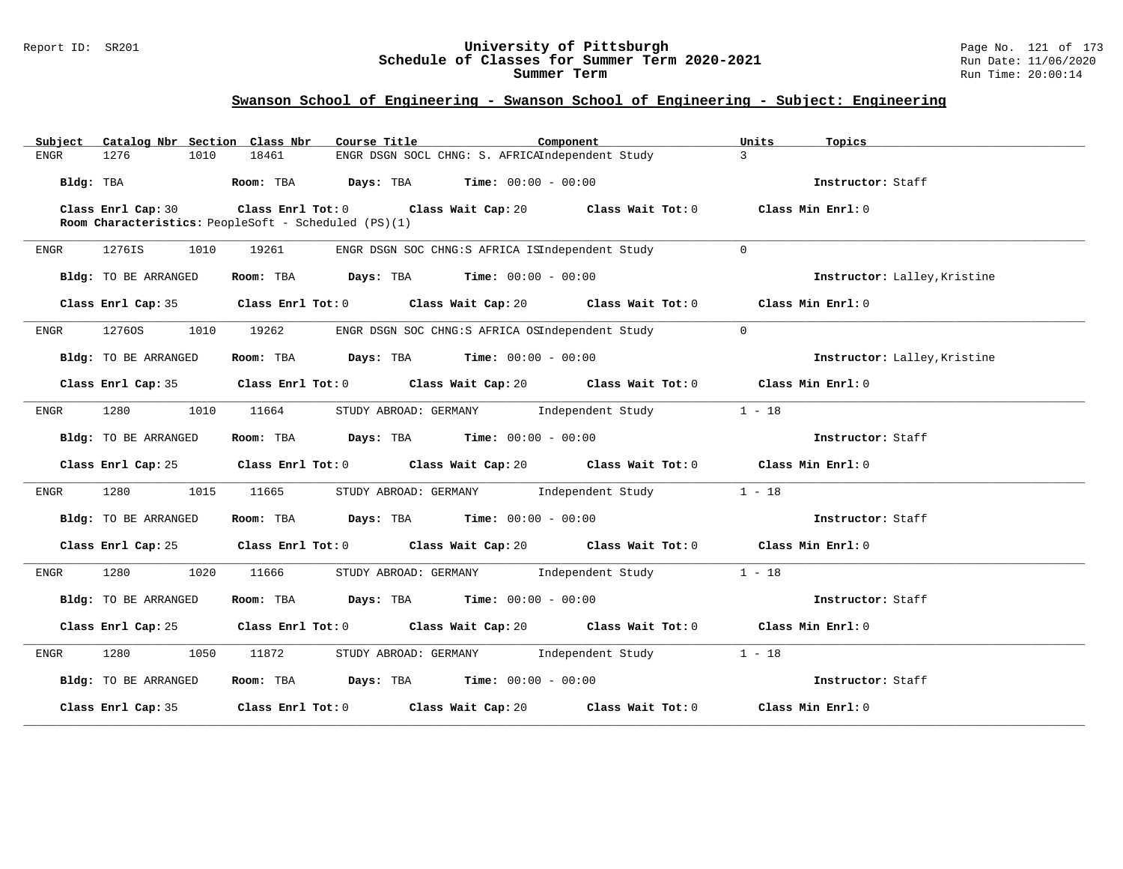### Report ID: SR201 **University of Pittsburgh** Page No. 121 of 173 **Schedule of Classes for Summer Term 2020-2021** Run Date: 11/06/2020 **Summer Term** Run Time: 20:00:14

| Catalog Nbr Section Class Nbr<br>Subject | Course Title<br>Component                                                                                            | Units<br>Topics              |
|------------------------------------------|----------------------------------------------------------------------------------------------------------------------|------------------------------|
| 1276<br>ENGR<br>1010                     | ENGR DSGN SOCL CHNG: S. AFRICAIndependent Study<br>18461                                                             | $\mathbf{3}$                 |
| Bldg: TBA                                | Room: TBA $Days:$ TBA $Time: 00:00 - 00:00$                                                                          | Instructor: Staff            |
| Class Enrl Cap: 30                       | Class Enrl Tot: $0$ Class Wait Cap: $20$ Class Wait Tot: $0$<br>Room Characteristics: PeopleSoft - Scheduled (PS)(1) | Class Min Enrl: 0            |
| ENGR<br>1276IS<br>1010                   | 19261<br>ENGR DSGN SOC CHNG:S AFRICA ISIndependent Study                                                             | $\Omega$                     |
|                                          |                                                                                                                      |                              |
| Bldg: TO BE ARRANGED                     | Room: TBA $\rule{1em}{0.15mm}$ Days: TBA $\rule{1.5mm}{0.15mm}$ Time: $00:00 - 00:00$                                | Instructor: Lalley, Kristine |
| Class Enrl Cap: 35                       | Class Enrl Tot: 0 $\qquad$ Class Wait Cap: 20 $\qquad$ Class Wait Tot: 0                                             | Class Min Enrl: 0            |
| 12760S<br>1010<br>ENGR                   | 19262<br>ENGR DSGN SOC CHNG:S AFRICA OSIndependent Study                                                             | $\overline{0}$               |
| Bldg: TO BE ARRANGED                     | Room: TBA $Days:$ TBA $Time: 00:00 - 00:00$                                                                          | Instructor: Lalley, Kristine |
|                                          | Class Enrl Cap: 35 Class Enrl Tot: 0 Class Wait Cap: 20 Class Wait Tot: 0 Class Min Enrl: 0                          |                              |
| 1280<br>1010<br>ENGR                     | STUDY ABROAD: GERMANY 1ndependent Study<br>11664                                                                     | $1 - 18$                     |
| Bldg: TO BE ARRANGED                     | Room: TBA $Days: TBA$ Time: $00:00 - 00:00$                                                                          | Instructor: Staff            |
|                                          | Class Enrl Cap: 25 Class Enrl Tot: 0 Class Wait Cap: 20 Class Wait Tot: 0 Class Min Enrl: 0                          |                              |
| 1280 1015 11665<br>ENGR                  | STUDY ABROAD: GERMANY Independent Study                                                                              | $1 - 18$                     |
| Bldg: TO BE ARRANGED                     | Room: TBA $Days:$ TBA Time: $00:00 - 00:00$                                                                          | Instructor: Staff            |
|                                          | Class Enrl Cap: 25 Class Enrl Tot: 0 Class Wait Cap: 20 Class Wait Tot: 0 Class Min Enrl: 0                          |                              |
| 1280<br>1020<br>ENGR                     | 11666<br>STUDY ABROAD: GERMANY Independent Study                                                                     | $1 - 18$                     |
| Bldg: TO BE ARRANGED                     | Room: TBA $Days:$ TBA $Time: 00:00 - 00:00$                                                                          | Instructor: Staff            |
|                                          | Class Enrl Cap: 25 Class Enrl Tot: 0 Class Wait Cap: 20 Class Wait Tot: 0 Class Min Enrl: 0                          |                              |
| 1280<br>1050<br>ENGR                     | 11872<br>STUDY ABROAD: GERMANY Independent Study                                                                     | $1 - 18$                     |
| Bldg: TO BE ARRANGED                     | Room: TBA $Days: TBA$ Time: $00:00 - 00:00$                                                                          | Instructor: Staff            |
|                                          | Class Enrl Cap: 35 Class Enrl Tot: 0 Class Wait Cap: 20 Class Wait Tot: 0                                            | Class Min Enrl: 0            |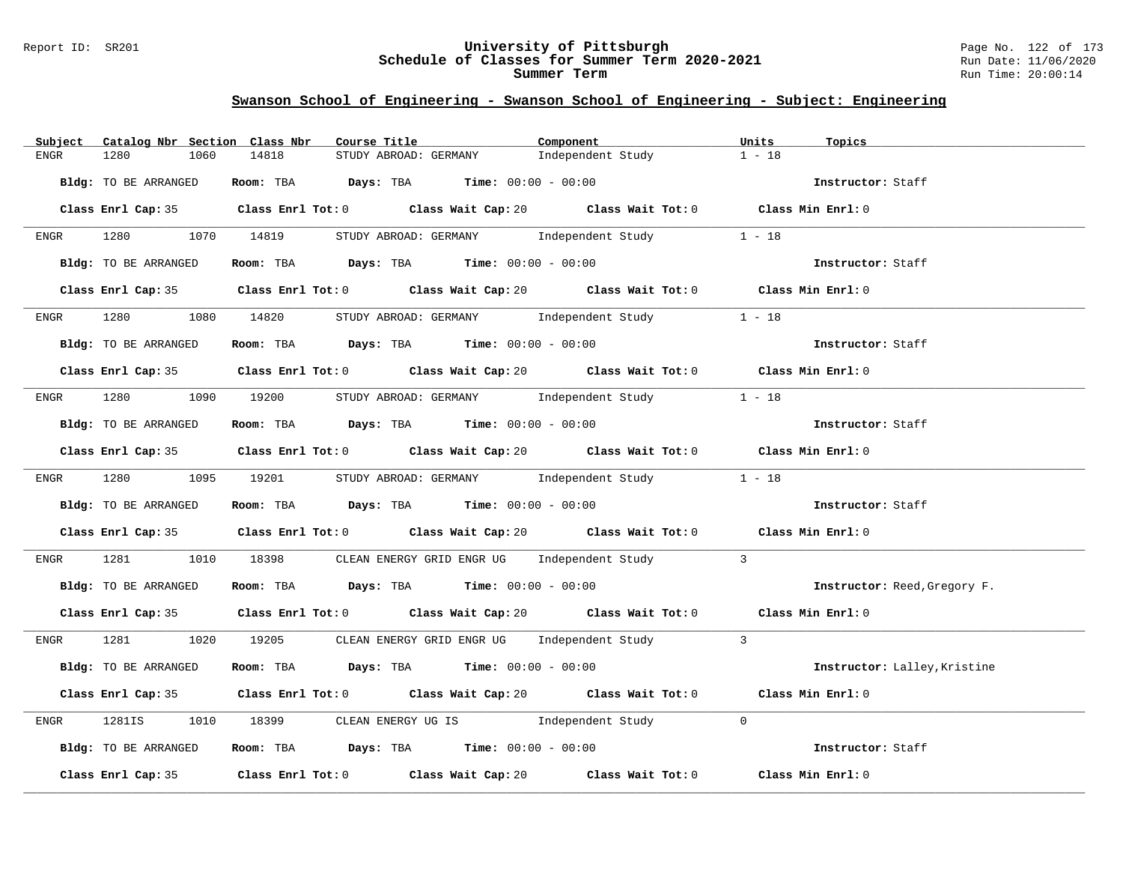### Report ID: SR201 **University of Pittsburgh** Page No. 122 of 173 **Schedule of Classes for Summer Term 2020-2021** Run Date: 11/06/2020 **Summer Term** Run Time: 20:00:14

| Catalog Nbr Section Class Nbr<br>Subject | Course Title                                                                                | Component         | Units<br>Topics              |
|------------------------------------------|---------------------------------------------------------------------------------------------|-------------------|------------------------------|
| 1280<br>1060<br><b>ENGR</b>              | 14818<br>STUDY ABROAD: GERMANY                                                              | Independent Study | $1 - 18$                     |
| Bldg: TO BE ARRANGED                     | Room: TBA $Days:$ TBA $Time: 00:00 - 00:00$                                                 |                   | Instructor: Staff            |
|                                          | Class Enrl Cap: 35 Class Enrl Tot: 0 Class Wait Cap: 20 Class Wait Tot: 0 Class Min Enrl: 0 |                   |                              |
|                                          | ENGR 1280 1070 14819 STUDY ABROAD: GERMANY Independent Study                                |                   | $1 - 18$                     |
| Bldg: TO BE ARRANGED                     | Room: TBA $Days:$ TBA $Time: 00:00 - 00:00$                                                 |                   | Instructor: Staff            |
|                                          | Class Enrl Cap: 35 Class Enrl Tot: 0 Class Wait Cap: 20 Class Wait Tot: 0 Class Min Enrl: 0 |                   |                              |
| 1280 7280<br>ENGR                        | 1080 14820 STUDY ABROAD: GERMANY Independent Study 1 - 18                                   |                   |                              |
| Bldg: TO BE ARRANGED                     | Room: TBA $Days:$ TBA $Time: 00:00 - 00:00$                                                 |                   | Instructor: Staff            |
|                                          | Class Enrl Cap: 35 Class Enrl Tot: 0 Class Wait Cap: 20 Class Wait Tot: 0 Class Min Enrl: 0 |                   |                              |
|                                          | ENGR 1280 1090 19200 STUDY ABROAD: GERMANY Independent Study 1 - 18                         |                   |                              |
| Bldg: TO BE ARRANGED                     | Room: TBA $Days:$ TBA $Time: 00:00 - 00:00$                                                 |                   | Instructor: Staff            |
|                                          | Class Enrl Cap: 35 Class Enrl Tot: 0 Class Wait Cap: 20 Class Wait Tot: 0 Class Min Enrl: 0 |                   |                              |
|                                          | ENGR 1280 1095 19201 STUDY ABROAD: GERMANY Independent Study 1 - 18                         |                   |                              |
| Bldg: TO BE ARRANGED                     | Room: TBA $\rule{1em}{0.15mm}$ Days: TBA Time: $00:00 - 00:00$                              |                   | Instructor: Staff            |
|                                          | Class Enrl Cap: 35 Class Enrl Tot: 0 Class Wait Cap: 20 Class Wait Tot: 0 Class Min Enrl: 0 |                   |                              |
| ENGR                                     | 1010 18398 CLEAN ENERGY GRID ENGR UG Independent Study 3                                    |                   |                              |
| Bldg: TO BE ARRANGED                     | Room: TBA $Days:$ TBA Time: $00:00 - 00:00$                                                 |                   | Instructor: Reed, Gregory F. |
|                                          | Class Enrl Cap: 35 Class Enrl Tot: 0 Class Wait Cap: 20 Class Wait Tot: 0 Class Min Enrl: 0 |                   |                              |
|                                          | ENGR 1281 1020 19205 CLEAN ENERGY GRID ENGR UG Independent Study 3                          |                   |                              |
| Bldg: TO BE ARRANGED                     | Room: TBA $Days:$ TBA $Time: 00:00 - 00:00$                                                 |                   | Instructor: Lalley, Kristine |
|                                          | Class Enrl Cap: 35 Class Enrl Tot: 0 Class Wait Cap: 20 Class Wait Tot: 0                   |                   | Class Min Enrl: 0            |
| 1281IS<br>ENGR                           | 1010 18399 CLEAN ENERGY UG IS 1ndependent Study 0                                           |                   |                              |
| Bldg: TO BE ARRANGED                     | Room: TBA $\rule{1em}{0.15mm}$ Days: TBA $\rule{1.15mm}]{0.15mm}$ Time: $00:00 - 00:00$     |                   | Instructor: Staff            |
|                                          | Class Enrl Cap: 35 Class Enrl Tot: 0 Class Wait Cap: 20 Class Wait Tot: 0                   |                   | Class Min Enrl: 0            |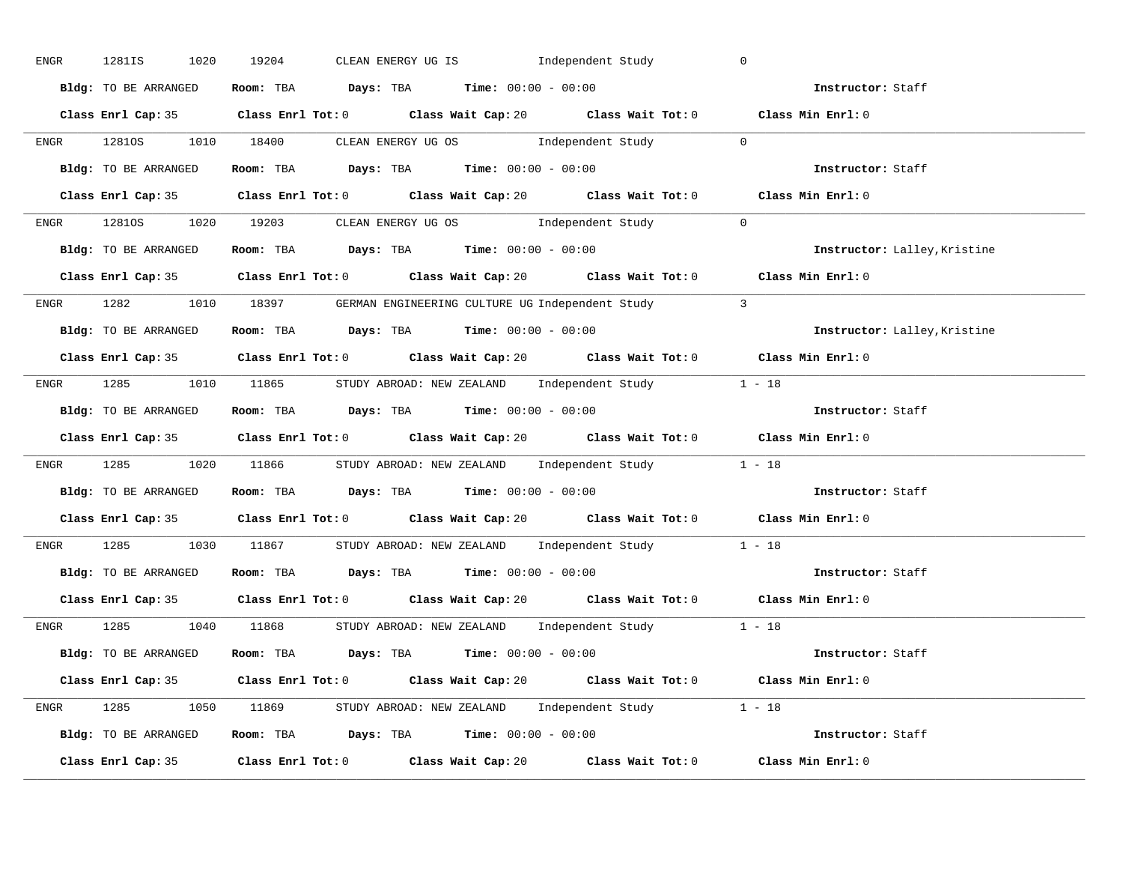| ENGR | 1281IS<br>1020       | CLEAN ENERGY UG IS [Independent Study<br>19204                                              | $\mathbf 0$                  |
|------|----------------------|---------------------------------------------------------------------------------------------|------------------------------|
|      | Bldg: TO BE ARRANGED | Room: TBA $Days:$ TBA $Time:$ $00:00 - 00:00$                                               | Instructor: Staff            |
|      |                      | Class Enrl Cap: 35 Class Enrl Tot: 0 Class Wait Cap: 20 Class Wait Tot: 0 Class Min Enrl: 0 |                              |
|      |                      | ENGR 12810S 1010 18400 CLEAN ENERGY UG OS Independent Study 0                               |                              |
|      | Bldg: TO BE ARRANGED | Room: TBA $Days:$ TBA $Time: 00:00 - 00:00$                                                 | Instructor: Staff            |
|      |                      | Class Enrl Cap: 35 Class Enrl Tot: 0 Class Wait Cap: 20 Class Wait Tot: 0                   | Class Min Enrl: 0            |
|      |                      | ENGR 12810S 1020 19203 CLEAN ENERGY UGOS Independent Study 0                                |                              |
|      |                      | Bldg: TO BE ARRANGED Room: TBA Days: TBA Time: 00:00 - 00:00                                | Instructor: Lalley, Kristine |
|      |                      | Class Enrl Cap: 35 Class Enrl Tot: 0 Class Wait Cap: 20 Class Wait Tot: 0 Class Min Enrl: 0 |                              |
|      |                      | ENGR 1282 1010 18397 GERMAN ENGINEERING CULTURE UG Independent Study 3                      |                              |
|      | Bldg: TO BE ARRANGED | Room: TBA $Days:$ TBA $Time:$ $00:00 - 00:00$                                               | Instructor: Lalley, Kristine |
|      |                      | Class Enrl Cap: 35 Class Enrl Tot: 0 Class Wait Cap: 20 Class Wait Tot: 0 Class Min Enrl: 0 |                              |
|      |                      | ENGR 1285 1010 11865 STUDY ABROAD: NEW ZEALAND Independent Study 1 - 18                     |                              |
|      | Bldg: TO BE ARRANGED | Room: TBA $Days:$ TBA Time: $00:00 - 00:00$                                                 | Instructor: Staff            |
|      |                      | Class Enrl Cap: 35 Class Enrl Tot: 0 Class Wait Cap: 20 Class Wait Tot: 0 Class Min Enrl: 0 |                              |
|      |                      | ENGR 1285 1020 11866 STUDY ABROAD: NEW ZEALAND Independent Study 1 - 18                     |                              |
|      |                      | Bldg: TO BE ARRANGED ROOM: TBA Days: TBA Time: 00:00 - 00:00                                | Instructor: Staff            |
|      |                      | Class Enrl Cap: 35 Class Enrl Tot: 0 Class Wait Cap: 20 Class Wait Tot: 0 Class Min Enrl: 0 |                              |
| ENGR |                      | 1285 1030 11867 STUDY ABROAD: NEW ZEALAND Independent Study 1 - 18                          |                              |
|      |                      | <b>Bldg:</b> TO BE ARRANGED <b>Room:</b> TBA <b>Days:</b> TBA <b>Time:</b> $00:00 - 00:00$  | Instructor: Staff            |
|      |                      | Class Enrl Cap: 35 Class Enrl Tot: 0 Class Wait Cap: 20 Class Wait Tot: 0 Class Min Enrl: 0 |                              |
|      |                      | ENGR 1285 1040 11868 STUDYABROAD: NEW ZEALAND Independent Study 1 - 18                      |                              |
|      | Bldg: TO BE ARRANGED | Room: TBA $Days:$ TBA $Time: 00:00 - 00:00$                                                 | Instructor: Staff            |
|      |                      | Class Enrl Cap: 35 Class Enrl Tot: 0 Class Wait Cap: 20 Class Wait Tot: 0 Class Min Enrl: 0 |                              |
|      |                      | ENGR 1285 1050 11869 STUDY ABROAD: NEW ZEALAND Independent Study 1 - 18                     |                              |
|      |                      | Bldg: TO BE ARRANGED Room: TBA Days: TBA Time: $00:00 - 00:00$                              |                              |
|      |                      | Class Enrl Cap: 35 Class Enrl Tot: 0 Class Wait Cap: 20 Class Wait Tot: 0                   | Class Min Enrl: 0            |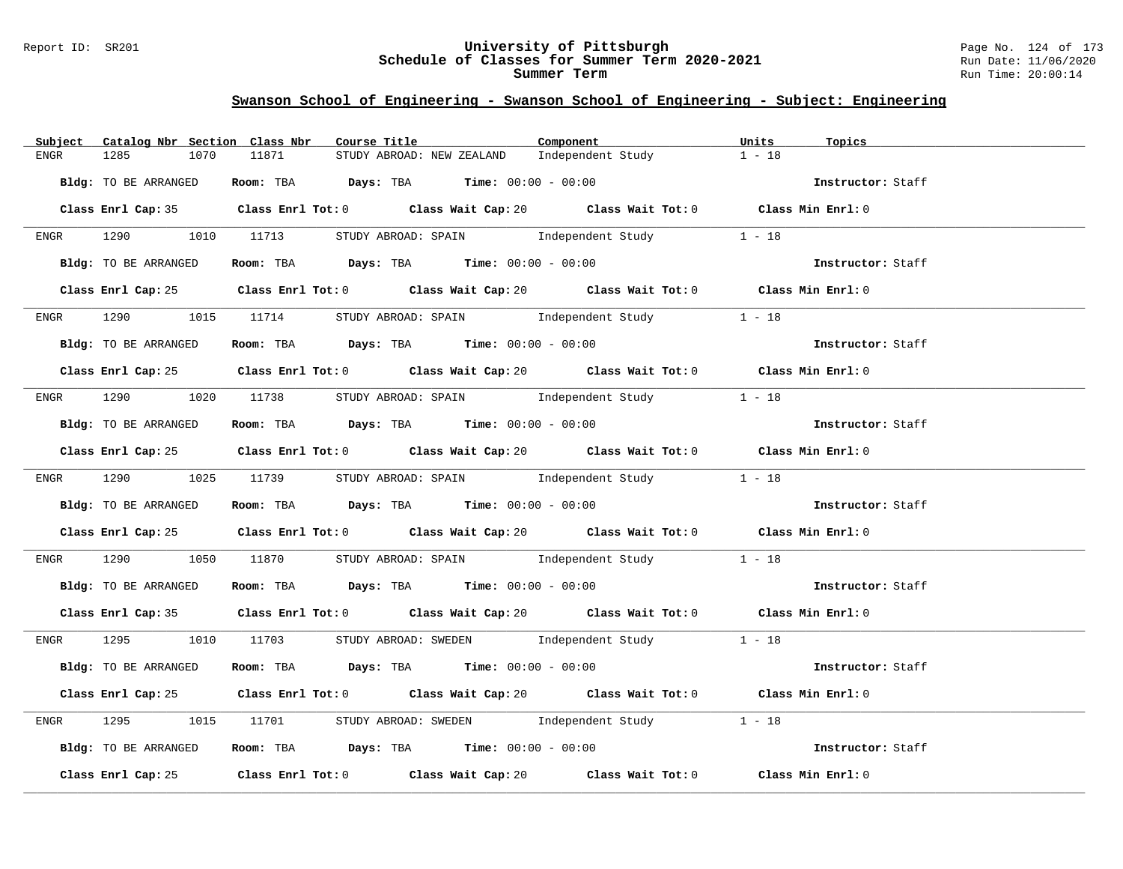### Report ID: SR201 **University of Pittsburgh** Page No. 124 of 173 **Schedule of Classes for Summer Term 2020-2021** Run Date: 11/06/2020 **Summer Term** Run Time: 20:00:14

| Catalog Nbr Section Class Nbr<br>Subject | Course Title                                                                                | Component         | Units<br>Topics   |
|------------------------------------------|---------------------------------------------------------------------------------------------|-------------------|-------------------|
| 1285<br>1070<br>ENGR                     | 11871<br>STUDY ABROAD: NEW ZEALAND                                                          | Independent Study | $1 - 18$          |
| Bldg: TO BE ARRANGED                     | Room: TBA $Days:$ TBA $Time: 00:00 - 00:00$                                                 |                   | Instructor: Staff |
|                                          | Class Enrl Cap: 35 Class Enrl Tot: 0 Class Wait Cap: 20 Class Wait Tot: 0 Class Min Enrl: 0 |                   |                   |
|                                          | ENGR 1290 1010 11713 STUDY ABROAD: SPAIN Independent Study                                  |                   | $1 - 18$          |
| Bldg: TO BE ARRANGED                     | Room: TBA $Days:$ TBA Time: $00:00 - 00:00$                                                 |                   | Instructor: Staff |
|                                          | Class Enrl Cap: 25 Class Enrl Tot: 0 Class Wait Cap: 20 Class Wait Tot: 0 Class Min Enrl: 0 |                   |                   |
|                                          | ENGR 1290 1015 11714 STUDY ABROAD: SPAIN Independent Study 1 - 18                           |                   |                   |
| Bldg: TO BE ARRANGED                     | Room: TBA $Days:$ TBA $Time: 00:00 - 00:00$                                                 |                   | Instructor: Staff |
|                                          | Class Enrl Cap: 25 Class Enrl Tot: 0 Class Wait Cap: 20 Class Wait Tot: 0 Class Min Enrl: 0 |                   |                   |
|                                          | ENGR 1290 1020 11738 STUDY ABROAD: SPAIN Independent Study 1 - 18                           |                   |                   |
| Bldg: TO BE ARRANGED                     | Room: TBA $Days:$ TBA Time: $00:00 - 00:00$                                                 |                   | Instructor: Staff |
|                                          | Class Enrl Cap: 25 Class Enrl Tot: 0 Class Wait Cap: 20 Class Wait Tot: 0 Class Min Enrl: 0 |                   |                   |
|                                          | ENGR 1290 1025 11739 STUDY ABROAD: SPAIN Independent Study 1 - 18                           |                   |                   |
| Bldg: TO BE ARRANGED                     | <b>ROOM:</b> TBA <b>Days:</b> TBA <b>Time:</b> 00:00 - 00:00                                |                   | Instructor: Staff |
|                                          | Class Enrl Cap: 25 Class Enrl Tot: 0 Class Wait Cap: 20 Class Wait Tot: 0 Class Min Enrl: 0 |                   |                   |
| <b>ENGR</b>                              | 1290 1050 11870 STUDY ABROAD: SPAIN Independent Study 1 - 18                                |                   |                   |
| Bldg: TO BE ARRANGED                     | Room: TBA $Days:$ TBA $Time: 00:00 - 00:00$                                                 |                   | Instructor: Staff |
|                                          | Class Enrl Cap: 35 Class Enrl Tot: 0 Class Wait Cap: 20 Class Wait Tot: 0 Class Min Enrl: 0 |                   |                   |
|                                          | ENGR 1295 1010 11703 STUDY ABROAD: SWEDEN Independent Study 1 - 18                          |                   |                   |
| Bldg: TO BE ARRANGED                     | Room: TBA $\rule{1em}{0.15mm}$ Days: TBA $\rule{1.15mm}{}$ Time: $00:00 - 00:00$            |                   | Instructor: Staff |
|                                          | Class Enrl Cap: 25 Class Enrl Tot: 0 Class Wait Cap: 20 Class Wait Tot: 0 Class Min Enrl: 0 |                   |                   |
| ENGR                                     | 1295 1015 11701 STUDY ABROAD: SWEDEN Independent Study 1 - 18                               |                   |                   |
| Bldg: TO BE ARRANGED                     | <b>ROOM:</b> TBA $Days$ : TBA $Time: 00:00 - 00:00$                                         |                   | Instructor: Staff |
|                                          | Class Enrl Cap: 25 Class Enrl Tot: 0 Class Wait Cap: 20 Class Wait Tot: 0 Class Min Enrl: 0 |                   |                   |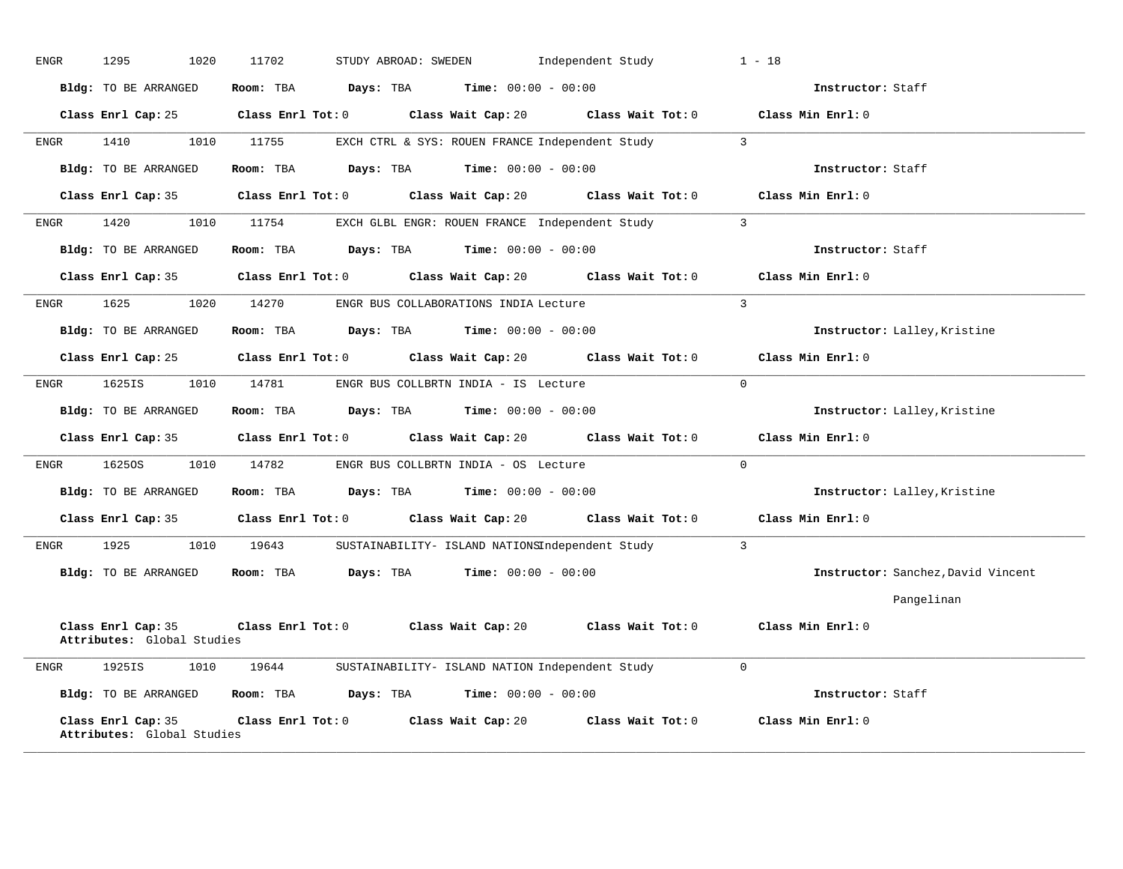| ENGR | 1295<br>1020                                     | 11702<br>STUDY ABROAD: SWEDEN                                    | Independent Study                    | $1 - 18$                           |
|------|--------------------------------------------------|------------------------------------------------------------------|--------------------------------------|------------------------------------|
|      | Bldg: TO BE ARRANGED                             | Room: TBA<br>Days: TBA                                           | <b>Time:</b> $00:00 - 00:00$         | Instructor: Staff                  |
|      | Class Enrl Cap: 25                               | $Class$ $Enr1$ $Tot: 0$<br>Class Wait Cap: 20                    | Class Wait Tot: $0$                  | Class Min Enrl: 0                  |
| ENGR | 1410<br>1010                                     | 11755<br>EXCH CTRL & SYS: ROUEN FRANCE Independent Study         |                                      | $\overline{3}$                     |
|      | Bldg: TO BE ARRANGED                             | Room: TBA<br>Days: TBA                                           | <b>Time:</b> $00:00 - 00:00$         | Instructor: Staff                  |
|      | Class Enrl Cap: 35                               | $Class$ $Enrl$ $Tot: 0$                                          | Class Wait Cap: 20 Class Wait Tot: 0 | Class Min Enrl: 0                  |
| ENGR | 1420<br>1010                                     | 11754<br>EXCH GLBL ENGR: ROUEN FRANCE Independent Study          |                                      | $\overline{3}$                     |
|      | Bldg: TO BE ARRANGED                             | <b>Days:</b> TBA <b>Time:</b> $00:00 - 00:00$<br>Room: TBA       |                                      | Instructor: Staff                  |
|      | Class Enrl Cap: 35                               | $Class$ $Enr1$ $Tot: 0$<br>Class Wait Cap: 20                    | Class Wait Tot: 0                    | Class Min Enrl: 0                  |
| ENGR | 1625<br>1020                                     | 14270<br>ENGR BUS COLLABORATIONS INDIA Lecture                   |                                      | $\overline{3}$                     |
|      | Bldg: TO BE ARRANGED                             | Room: TBA $Days: TBA$ Time: $00:00 - 00:00$                      |                                      | Instructor: Lalley, Kristine       |
|      | Class Enrl Cap: 25                               | $Class$ $Enrl$ $Tot: 0$                                          | Class Wait Cap: 20 Class Wait Tot: 0 | Class Min Enrl: 0                  |
| ENGR | 1625IS<br>1010                                   | 14781<br>ENGR BUS COLLBRTN INDIA - IS Lecture                    |                                      | $\Omega$                           |
|      | Bldg: TO BE ARRANGED                             | Room: TBA<br>Days: TBA                                           | Time: $00:00 - 00:00$                | Instructor: Lalley, Kristine       |
|      | Class Enrl Cap: 35                               | $Class$ $Enrl$ $Tot: 0$                                          | Class Wait Cap: 20 Class Wait Tot: 0 | Class Min Enrl: 0                  |
| ENGR | 16250S<br>1010                                   | 14782<br>ENGR BUS COLLBRTN INDIA - OS Lecture                    |                                      | $\mathbf{0}$                       |
|      | Bldg: TO BE ARRANGED                             | Room: TBA<br>$\texttt{Days:}$ TBA $\texttt{Time:}$ 00:00 - 00:00 |                                      | Instructor: Lalley, Kristine       |
|      | Class Enrl Cap: 35                               | $Class$ $Enr1$ $Tot: 0$<br>Class Wait Cap: 20                    | Class Wait Tot: 0                    | Class Min Enrl: 0                  |
| ENGR | 1925<br>1010                                     | 19643<br>SUSTAINABILITY- ISLAND NATIONSIndependent Study         |                                      | $\overline{3}$                     |
|      | Bldg: TO BE ARRANGED                             | Days: TBA<br>Room: TBA                                           | <b>Time:</b> $00:00 - 00:00$         | Instructor: Sanchez, David Vincent |
|      |                                                  |                                                                  |                                      | Pangelinan                         |
|      | Class Enrl Cap: 35<br>Attributes: Global Studies | Class Enrl Tot: 0 Class Wait Cap: 20                             | Class Wait Tot: 0                    | Class Min Enrl: 0                  |
| ENGR | 1925IS<br>1010                                   | 19644<br>SUSTAINABILITY- ISLAND NATION Independent Study         |                                      | $\overline{0}$                     |
|      | Bldg: TO BE ARRANGED                             | Days: TBA<br>Room: TBA                                           | Time: $00:00 - 00:00$                | Instructor: Staff                  |
|      | Class Enrl Cap: 35<br>Attributes: Global Studies | Class Enrl Tot: 0 Class Wait Cap: 20 Class Wait Tot: 0           |                                      | Class Min Enrl: 0                  |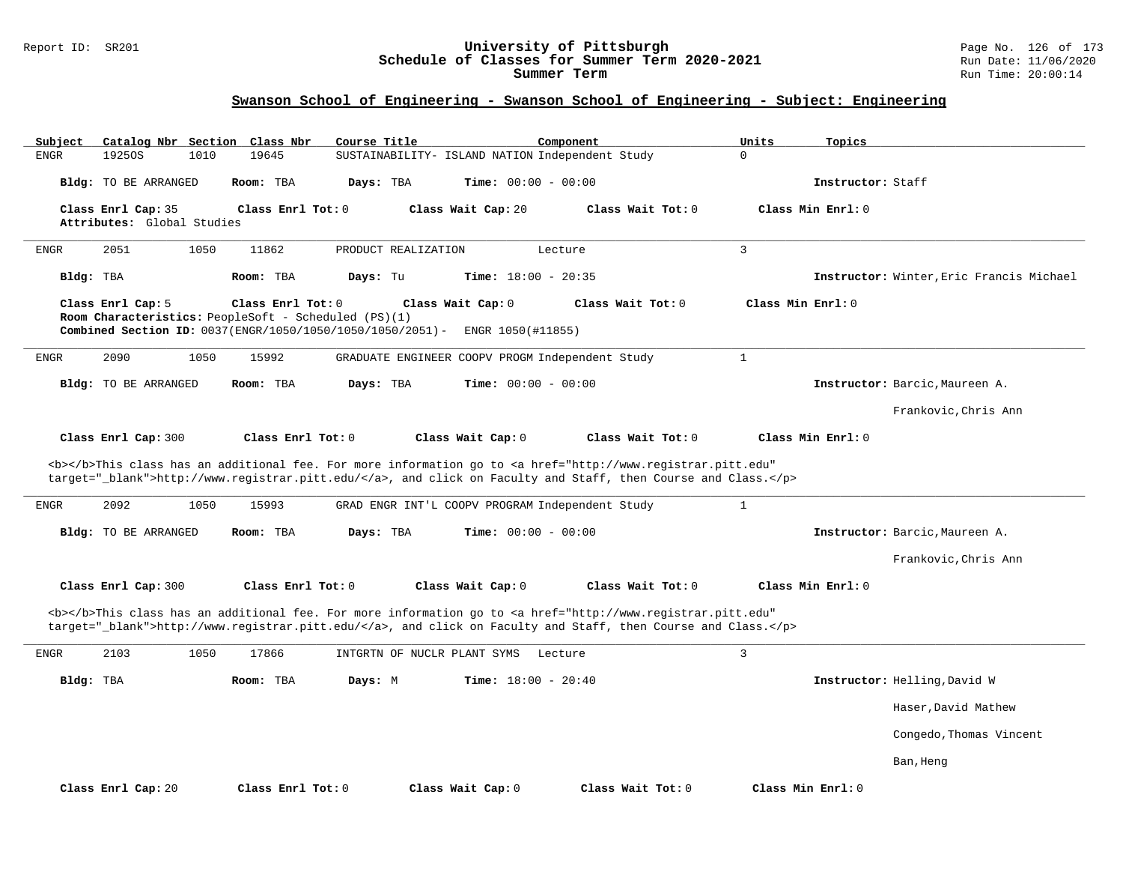#### Report ID: SR201 **University of Pittsburgh** Page No. 126 of 173 **Schedule of Classes for Summer Term 2020-2021** Run Date: 11/06/2020 **Summer Term** Run Time: 20:00:14

| Subject     | Catalog Nbr Section                              |      | Class Nbr                                                                                                                              | Course Title |                     |                                                 | Component |                                                                                                                                                                                                                                    | Units             | Topics            |                                          |
|-------------|--------------------------------------------------|------|----------------------------------------------------------------------------------------------------------------------------------------|--------------|---------------------|-------------------------------------------------|-----------|------------------------------------------------------------------------------------------------------------------------------------------------------------------------------------------------------------------------------------|-------------------|-------------------|------------------------------------------|
| <b>ENGR</b> | 19250S                                           | 1010 | 19645                                                                                                                                  |              |                     | SUSTAINABILITY- ISLAND NATION Independent Study |           |                                                                                                                                                                                                                                    | $\mathbf 0$       |                   |                                          |
|             | Bldg: TO BE ARRANGED                             |      | Room: TBA                                                                                                                              | Days: TBA    |                     | Time: $00:00 - 00:00$                           |           |                                                                                                                                                                                                                                    |                   | Instructor: Staff |                                          |
|             | Class Enrl Cap: 35<br>Attributes: Global Studies |      | Class Enrl Tot: 0                                                                                                                      |              |                     | Class Wait Cap: 20                              |           | Class Wait Tot: 0                                                                                                                                                                                                                  |                   | Class Min Enrl: 0 |                                          |
| <b>ENGR</b> | 2051                                             | 1050 | 11862                                                                                                                                  |              | PRODUCT REALIZATION |                                                 | Lecture   |                                                                                                                                                                                                                                    | $\overline{3}$    |                   |                                          |
| Bldg: TBA   |                                                  |      | Room: TBA                                                                                                                              | Days: Tu     |                     | Time: $18:00 - 20:35$                           |           |                                                                                                                                                                                                                                    |                   |                   | Instructor: Winter, Eric Francis Michael |
|             | Class Enrl Cap: 5                                |      | Class Enrl Tot: 0<br>Room Characteristics: PeopleSoft - Scheduled (PS)(1)<br>Combined Section ID: 0037(ENGR/1050/1050/1050/1050/2051)- |              |                     | Class Wait Cap: 0<br>ENGR 1050(#11855)          |           | Class Wait Tot: 0                                                                                                                                                                                                                  | Class Min Enrl: 0 |                   |                                          |
| <b>ENGR</b> | 2090                                             | 1050 | 15992                                                                                                                                  |              |                     | GRADUATE ENGINEER COOPV PROGM Independent Study |           |                                                                                                                                                                                                                                    | $\mathbf{1}$      |                   |                                          |
|             | Bldg: TO BE ARRANGED                             |      | Room: TBA                                                                                                                              | Days: TBA    |                     | <b>Time:</b> $00:00 - 00:00$                    |           |                                                                                                                                                                                                                                    |                   |                   | Instructor: Barcic, Maureen A.           |
|             |                                                  |      |                                                                                                                                        |              |                     |                                                 |           |                                                                                                                                                                                                                                    |                   |                   | Frankovic, Chris Ann                     |
|             | Class Enrl Cap: 300                              |      | Class Enrl Tot: 0                                                                                                                      |              |                     | Class Wait Cap: 0                               |           | Class Wait Tot: 0                                                                                                                                                                                                                  |                   | Class Min Enrl: 0 |                                          |
|             |                                                  |      |                                                                                                                                        |              |                     |                                                 |           | <b></b> This class has an additional fee. For more information go to <a <br="" href="http://www.registrar.pitt.edu">target="_blank"&gt;http://www.registrar.pitt.edu/</a> , and click on Faculty and Staff, then Course and Class. |                   |                   |                                          |
| <b>ENGR</b> | 2092                                             | 1050 | 15993                                                                                                                                  |              |                     | GRAD ENGR INT'L COOPV PROGRAM Independent Study |           |                                                                                                                                                                                                                                    | $\mathbf{1}$      |                   |                                          |
|             | <b>Bldg:</b> TO BE ARRANGED                      |      | Room: TBA                                                                                                                              | Davs: TBA    |                     | <b>Time:</b> $00:00 - 00:00$                    |           |                                                                                                                                                                                                                                    |                   |                   | Instructor: Barcic, Maureen A.           |
|             |                                                  |      |                                                                                                                                        |              |                     |                                                 |           |                                                                                                                                                                                                                                    |                   |                   | Frankovic.Chris Ann                      |
|             | Class Enrl Cap: 300                              |      | Class Enrl Tot: 0                                                                                                                      |              |                     | Class Wait Cap: 0                               |           | Class Wait Tot: 0                                                                                                                                                                                                                  |                   | Class Min Enrl: 0 |                                          |
|             |                                                  |      |                                                                                                                                        |              |                     |                                                 |           | <b></b> This class has an additional fee. For more information go to <a <br="" href="http://www.registrar.pitt.edu">target="_blank"&gt;http://www.registrar.pitt.edu/</a> , and click on Faculty and Staff, then Course and Class. |                   |                   |                                          |
| <b>ENGR</b> | 2103                                             | 1050 | 17866                                                                                                                                  |              |                     | INTGRTN OF NUCLR PLANT SYMS                     | Lecture   |                                                                                                                                                                                                                                    | $\mathbf{3}$      |                   |                                          |
| Bldg: TBA   |                                                  |      | Room: TBA                                                                                                                              | Days: M      |                     | Time: $18:00 - 20:40$                           |           |                                                                                                                                                                                                                                    |                   |                   | Instructor: Helling, David W             |
|             |                                                  |      |                                                                                                                                        |              |                     |                                                 |           |                                                                                                                                                                                                                                    |                   |                   | Haser, David Mathew                      |
|             |                                                  |      |                                                                                                                                        |              |                     |                                                 |           |                                                                                                                                                                                                                                    |                   |                   | Congedo, Thomas Vincent                  |
|             |                                                  |      |                                                                                                                                        |              |                     |                                                 |           |                                                                                                                                                                                                                                    |                   |                   | Ban, Heng                                |
|             | Class Enrl Cap: 20                               |      | Class Enrl Tot: $0$                                                                                                                    |              |                     | Class Wait Cap: 0                               |           | Class Wait Tot: 0                                                                                                                                                                                                                  |                   | Class Min Enrl: 0 |                                          |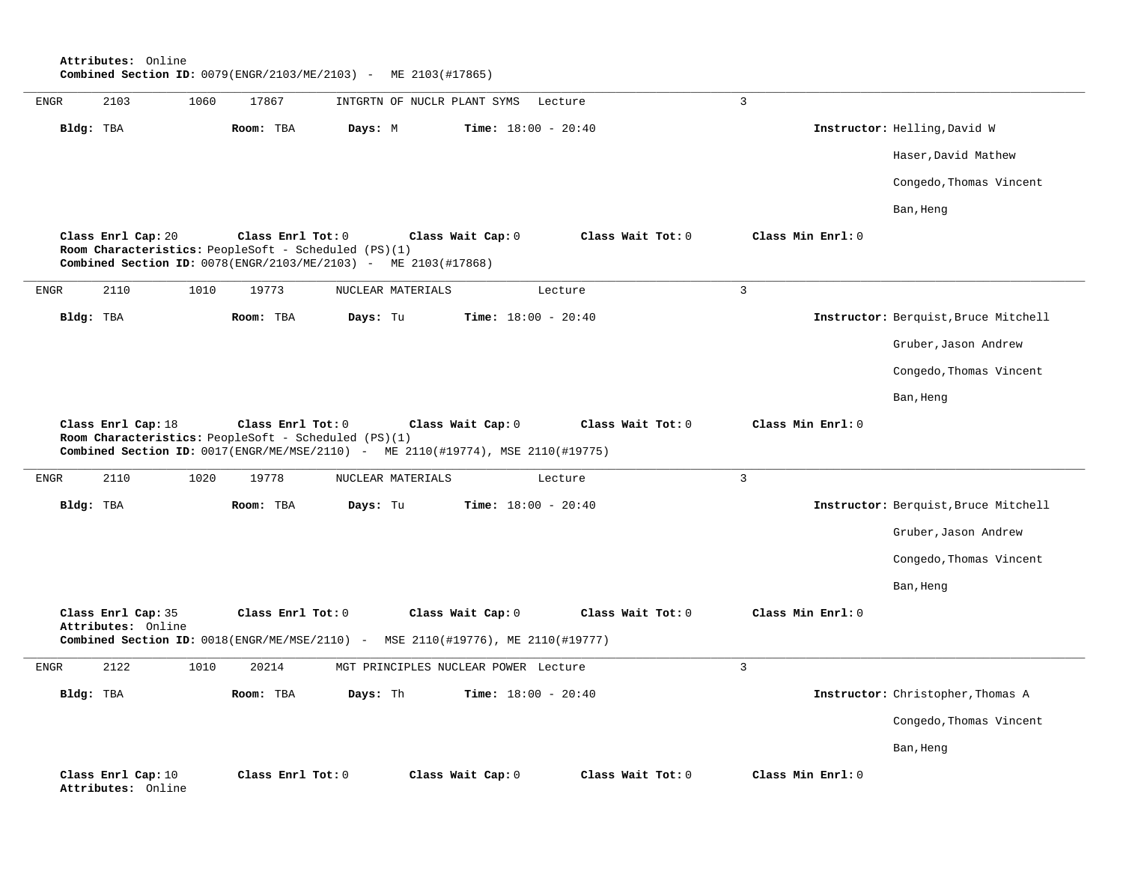**Attributes:** Online **Combined Section ID:** 0079(ENGR/2103/ME/2103) - ME 2103(#17865)

| <b>ENGR</b>  | 2103                                                                       | 1060 | 17867             | INTGRTN OF NUCLR PLANT SYMS                                                     |                   | Lecture                      | $\overline{3}$    |                                      |
|--------------|----------------------------------------------------------------------------|------|-------------------|---------------------------------------------------------------------------------|-------------------|------------------------------|-------------------|--------------------------------------|
|              | Bldg: TBA                                                                  |      | Room: TBA         | Days: M                                                                         |                   | Time: $18:00 - 20:40$        |                   | Instructor: Helling, David W         |
|              |                                                                            |      |                   |                                                                                 |                   |                              |                   | Haser, David Mathew                  |
|              |                                                                            |      |                   |                                                                                 |                   |                              |                   | Congedo, Thomas Vincent              |
|              |                                                                            |      |                   |                                                                                 |                   |                              |                   | Ban, Heng                            |
|              | Class Enrl Cap: 20<br>Room Characteristics: PeopleSoft - Scheduled (PS)(1) |      | Class Enrl Tot: 0 | Combined Section ID: 0078(ENGR/2103/ME/2103) - ME 2103(#17868)                  | Class Wait Cap: 0 | Class Wait Tot: 0            | Class Min Enrl: 0 |                                      |
| <b>ENGR</b>  | 2110                                                                       | 1010 | 19773             | NUCLEAR MATERIALS                                                               |                   | Lecture                      | $\overline{3}$    |                                      |
|              | Bldg: TBA                                                                  |      | Room: TBA         | Days: Tu                                                                        |                   | Time: $18:00 - 20:40$        |                   | Instructor: Berquist, Bruce Mitchell |
|              |                                                                            |      |                   |                                                                                 |                   |                              |                   | Gruber, Jason Andrew                 |
|              |                                                                            |      |                   |                                                                                 |                   |                              |                   | Congedo, Thomas Vincent              |
|              |                                                                            |      |                   |                                                                                 |                   |                              |                   | Ban, Heng                            |
|              | Class Enrl Cap: 18<br>Room Characteristics: PeopleSoft - Scheduled (PS)(1) |      | Class Enrl Tot: 0 | Combined Section ID: 0017(ENGR/ME/MSE/2110) - ME 2110(#19774), MSE 2110(#19775) | Class Wait Cap: 0 | Class Wait Tot: 0            | Class Min Enrl: 0 |                                      |
| <b>ENGR</b>  |                                                                            |      |                   |                                                                                 |                   |                              |                   |                                      |
|              | 2110                                                                       | 1020 | 19778             | NUCLEAR MATERIALS                                                               |                   | Lecture                      | $\overline{3}$    |                                      |
|              | Bldg: TBA                                                                  |      | Room: TBA         | Days: Tu                                                                        |                   | Time: $18:00 - 20:40$        |                   | Instructor: Berquist, Bruce Mitchell |
|              |                                                                            |      |                   |                                                                                 |                   |                              |                   | Gruber, Jason Andrew                 |
|              |                                                                            |      |                   |                                                                                 |                   |                              |                   | Congedo, Thomas Vincent              |
|              |                                                                            |      |                   |                                                                                 |                   |                              |                   | Ban, Heng                            |
|              | Class Enrl Cap: 35<br>Attributes: Online                                   |      | Class Enrl Tot: 0 |                                                                                 | Class Wait Cap: 0 | Class Wait Tot: 0            | Class Min Enrl: 0 |                                      |
|              |                                                                            |      |                   | Combined Section ID: 0018(ENGR/ME/MSE/2110) - MSE 2110(#19776), ME 2110(#19777) |                   |                              |                   |                                      |
| ${\tt ENGR}$ | 2122                                                                       | 1010 | 20214             | MGT PRINCIPLES NUCLEAR POWER Lecture                                            |                   |                              | $\overline{3}$    |                                      |
|              | Bldg: TBA                                                                  |      | Room: TBA         | Days: Th                                                                        |                   | <b>Time:</b> $18:00 - 20:40$ |                   | Instructor: Christopher, Thomas A    |
|              |                                                                            |      |                   |                                                                                 |                   |                              |                   | Congedo, Thomas Vincent              |
|              |                                                                            |      |                   |                                                                                 |                   |                              |                   | Ban, Heng                            |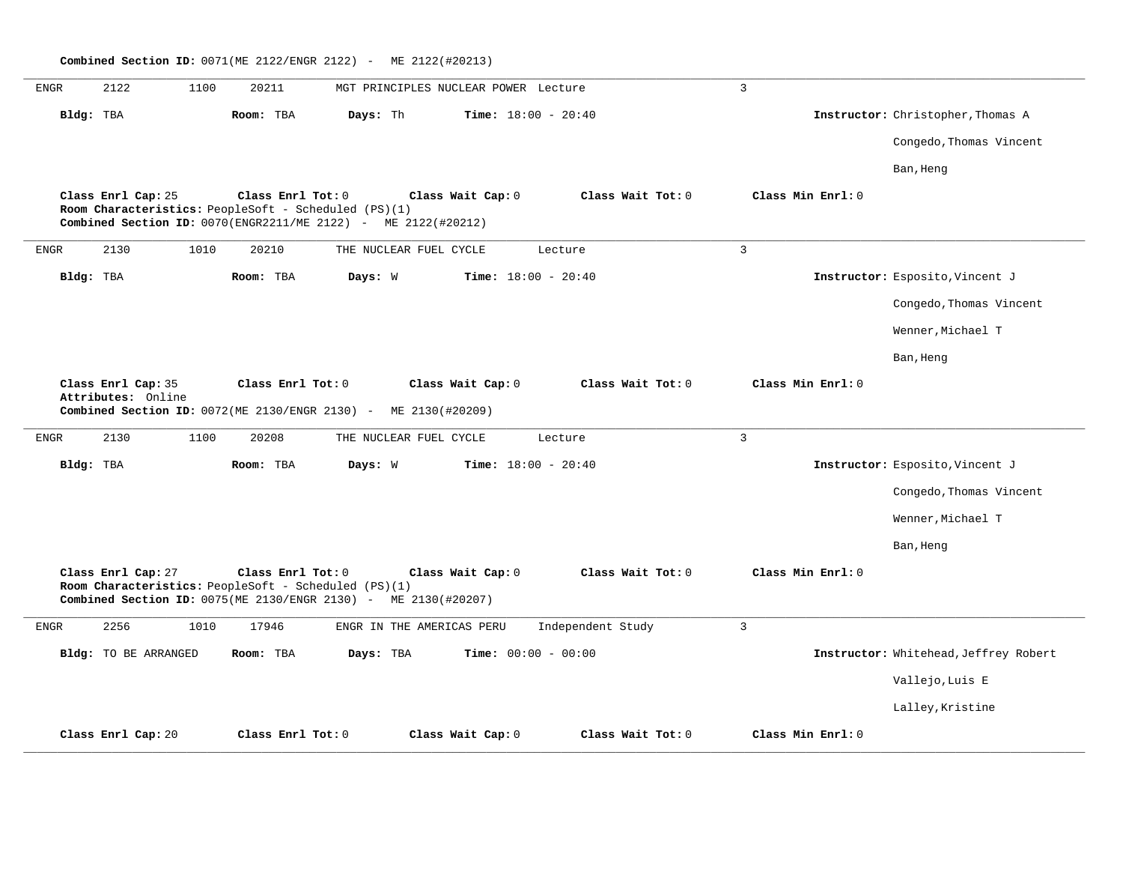|              | Combined Section ID: 0071(ME 2122/ENGR 2122) - ME 2122(#20213) |                      |      |                   |                                                                                                                        |                                      |                   |                   |                                       |  |  |  |
|--------------|----------------------------------------------------------------|----------------------|------|-------------------|------------------------------------------------------------------------------------------------------------------------|--------------------------------------|-------------------|-------------------|---------------------------------------|--|--|--|
| ${\tt ENGR}$ |                                                                | 2122                 | 1100 | 20211             |                                                                                                                        | MGT PRINCIPLES NUCLEAR POWER Lecture |                   | $\overline{3}$    |                                       |  |  |  |
|              | Bldg: TBA                                                      |                      |      | Room: TBA         | Days: Th                                                                                                               | <b>Time:</b> $18:00 - 20:40$         |                   |                   | Instructor: Christopher, Thomas A     |  |  |  |
|              |                                                                |                      |      |                   |                                                                                                                        |                                      |                   |                   | Congedo, Thomas Vincent               |  |  |  |
|              |                                                                |                      |      |                   |                                                                                                                        |                                      |                   |                   | Ban, Heng                             |  |  |  |
|              |                                                                | Class Enrl Cap: 25   |      | Class Enrl Tot: 0 | Room Characteristics: PeopleSoft - Scheduled (PS)(1)<br>Combined Section ID: 0070(ENGR2211/ME 2122) - ME 2122(#20212)  | Class Wait Cap: 0                    | Class Wait Tot: 0 | Class Min Enrl: 0 |                                       |  |  |  |
| <b>ENGR</b>  |                                                                | 2130                 | 1010 | 20210             | THE NUCLEAR FUEL CYCLE                                                                                                 |                                      | Lecture           | 3                 |                                       |  |  |  |
|              | Bldg: TBA                                                      |                      |      | Room: TBA         | Days: W                                                                                                                | <b>Time:</b> $18:00 - 20:40$         |                   |                   | Instructor: Esposito, Vincent J       |  |  |  |
|              |                                                                |                      |      |                   |                                                                                                                        |                                      |                   |                   | Congedo, Thomas Vincent               |  |  |  |
|              |                                                                |                      |      |                   |                                                                                                                        |                                      |                   |                   | Wenner, Michael T                     |  |  |  |
|              |                                                                |                      |      |                   |                                                                                                                        |                                      |                   |                   | Ban, Heng                             |  |  |  |
|              |                                                                | Class Enrl Cap: 35   |      | Class Enrl Tot: 0 |                                                                                                                        | Class Wait Cap: 0                    | Class Wait Tot: 0 | Class Min Enrl: 0 |                                       |  |  |  |
|              |                                                                | Attributes: Online   |      |                   | Combined Section ID: 0072(ME 2130/ENGR 2130) - ME 2130(#20209)                                                         |                                      |                   |                   |                                       |  |  |  |
| <b>ENGR</b>  |                                                                | 2130                 | 1100 | 20208             | THE NUCLEAR FUEL CYCLE                                                                                                 |                                      | Lecture           | 3                 |                                       |  |  |  |
|              | Bldg: TBA                                                      |                      |      | Room: TBA         | Days: W                                                                                                                | Time: $18:00 - 20:40$                |                   |                   | Instructor: Esposito, Vincent J       |  |  |  |
|              |                                                                |                      |      |                   |                                                                                                                        |                                      |                   |                   | Congedo, Thomas Vincent               |  |  |  |
|              |                                                                |                      |      |                   |                                                                                                                        |                                      |                   |                   | Wenner, Michael T                     |  |  |  |
|              |                                                                |                      |      |                   |                                                                                                                        |                                      |                   |                   | Ban, Heng                             |  |  |  |
|              |                                                                | Class Enrl Cap: 27   |      | Class Enrl Tot: 0 | Room Characteristics: PeopleSoft - Scheduled (PS)(1)<br>Combined Section ID: 0075(ME 2130/ENGR 2130) - ME 2130(#20207) | Class Wait Cap: 0                    | Class Wait Tot: 0 | Class Min Enrl: 0 |                                       |  |  |  |
| <b>ENGR</b>  |                                                                | 2256                 | 1010 | 17946             | ENGR IN THE AMERICAS PERU                                                                                              |                                      | Independent Study | $\overline{3}$    |                                       |  |  |  |
|              |                                                                | Bldg: TO BE ARRANGED |      | Room: TBA         | Days: TBA                                                                                                              | Time: $00:00 - 00:00$                |                   |                   | Instructor: Whitehead, Jeffrey Robert |  |  |  |
|              |                                                                |                      |      |                   |                                                                                                                        |                                      |                   |                   | Vallejo, Luis E                       |  |  |  |
|              |                                                                |                      |      |                   |                                                                                                                        |                                      |                   |                   | Lalley, Kristine                      |  |  |  |
|              |                                                                | Class Enrl Cap: 20   |      | Class Enrl Tot: 0 |                                                                                                                        | Class Wait Cap: 0                    | Class Wait Tot: 0 | Class Min Enrl: 0 |                                       |  |  |  |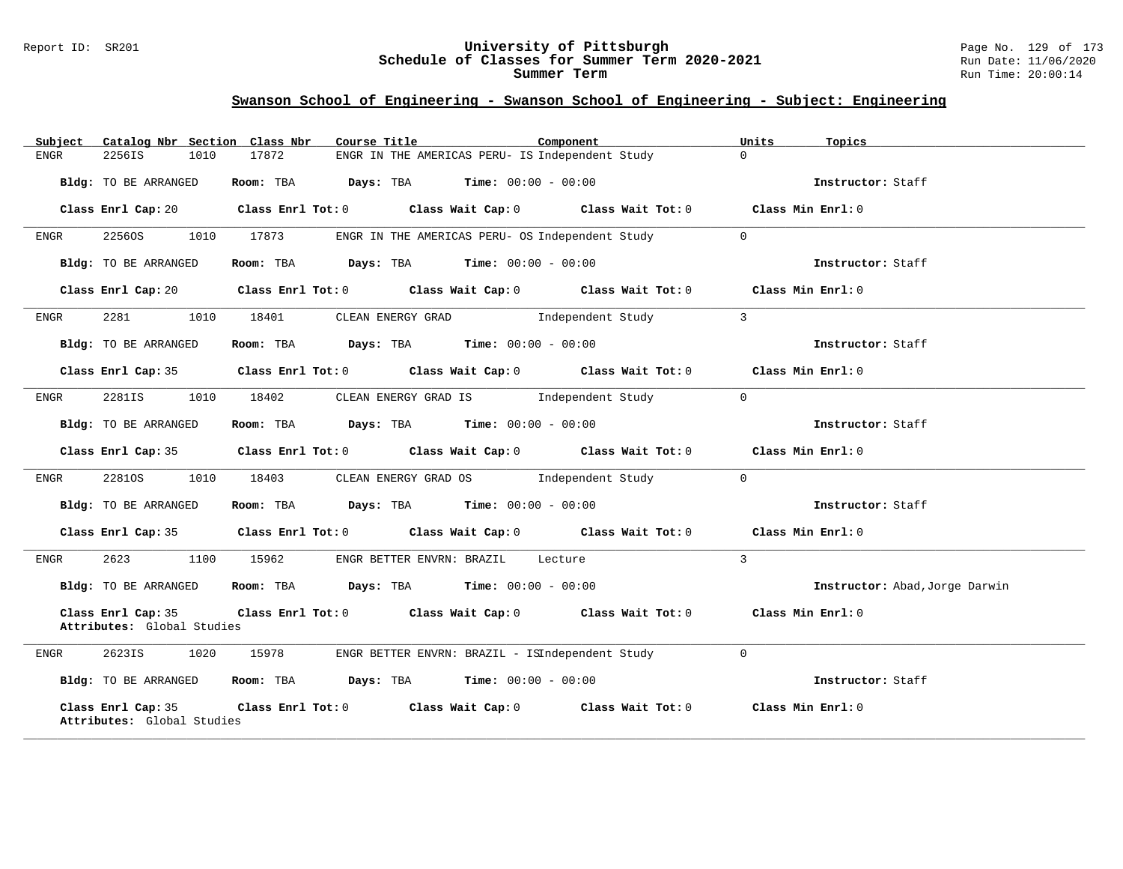### Report ID: SR201 **University of Pittsburgh** Page No. 129 of 173 **Schedule of Classes for Summer Term 2020-2021** Run Date: 11/06/2020 **Summer Term** Run Time: 20:00:14

| Subject                                          |      | Catalog Nbr Section Class Nbr | Course Title                                                                            | Component                                                                                          | Units          | Topics                         |
|--------------------------------------------------|------|-------------------------------|-----------------------------------------------------------------------------------------|----------------------------------------------------------------------------------------------------|----------------|--------------------------------|
| ENGR<br>2256IS                                   | 1010 | 17872                         |                                                                                         | ENGR IN THE AMERICAS PERU- IS Independent Study                                                    | $\Omega$       |                                |
| Bldg: TO BE ARRANGED                             |      |                               | Room: TBA $Days:$ TBA $Time: 00:00 - 00:00$                                             |                                                                                                    |                | Instructor: Staff              |
| Class Enrl Cap: 20                               |      |                               |                                                                                         | Class Enrl Tot: 0 Class Wait Cap: 0 Class Wait Tot: 0 Class Min Enrl: 0                            |                |                                |
| 22560S<br><b>ENGR</b>                            |      | 1010 17873                    |                                                                                         | ENGR IN THE AMERICAS PERU- OS Independent Study                                                    | $\overline{0}$ |                                |
| Bldg: TO BE ARRANGED                             |      |                               | Room: TBA $Days:$ TBA $Time: 00:00 - 00:00$                                             |                                                                                                    |                | Instructor: Staff              |
|                                                  |      |                               |                                                                                         | Class Enrl Cap: 20 Class Enrl Tot: 0 Class Wait Cap: 0 Class Wait Tot: 0 Class Min Enrl: 0         |                |                                |
| 2281<br>ENGR                                     |      |                               |                                                                                         | 1010 18401 CLEAN ENERGY GRAD Independent Study                                                     | $\overline{3}$ |                                |
| Bldg: TO BE ARRANGED                             |      |                               | Room: TBA Days: TBA Time: $00:00 - 00:00$                                               |                                                                                                    |                | Instructor: Staff              |
|                                                  |      |                               |                                                                                         | Class Enrl Cap: 35 Class Enrl Tot: 0 Class Wait Cap: 0 Class Wait Tot: 0 Class Min Enrl: 0         |                |                                |
| 2281IS<br>ENGR                                   | 1010 |                               |                                                                                         | 18402 CLEAN ENERGY GRAD IS Independent Study                                                       | $\Omega$       |                                |
| Bldg: TO BE ARRANGED                             |      |                               | Room: TBA $Days:$ TBA $Time: 00:00 - 00:00$                                             |                                                                                                    |                | Instructor: Staff              |
|                                                  |      |                               |                                                                                         | Class Enrl Cap: 35 Class Enrl Tot: 0 Class Wait Cap: 0 Class Wait Tot: 0 Class Min Enrl: 0         |                |                                |
| 22810S<br>ENGR                                   | 1010 |                               |                                                                                         | 18403 CLEAN ENERGY GRAD OS Independent Study                                                       | $\Omega$       |                                |
| Bldg: TO BE ARRANGED                             |      |                               | Room: TBA $\rule{1em}{0.15mm}$ Days: TBA $\rule{1.15mm}]{0.15mm}$ Time: $0.000 - 0.000$ |                                                                                                    |                | Instructor: Staff              |
|                                                  |      |                               |                                                                                         | Class Enrl Cap: 35 Class Enrl Tot: 0 Class Wait Cap: 0 Class Wait Tot: 0 Class Min Enrl: 0         |                |                                |
| 2623<br>ENGR                                     | 1100 |                               | 15962 ENGR BETTER ENVRN: BRAZIL Lecture                                                 |                                                                                                    | $\mathbf{3}$   |                                |
| Bldg: TO BE ARRANGED                             |      |                               | Room: TBA $Days: TBA$ Time: $00:00 - 00:00$                                             |                                                                                                    |                | Instructor: Abad, Jorge Darwin |
| Class Enrl Cap: 35<br>Attributes: Global Studies |      |                               |                                                                                         | Class Enrl Tot: 0 Class Wait Cap: 0 Class Wait Tot: 0 Class Min Enrl: 0                            |                |                                |
| ENGR                                             |      |                               |                                                                                         | 2623IS 1020 15978 ENGR BETTER ENVRN: BRAZIL - ISIndependent Study                                  | $\Omega$       |                                |
| Bldg: TO BE ARRANGED                             |      |                               | Room: TBA $\rule{1em}{0.15mm}$ Days: TBA Time: $00:00 - 00:00$                          |                                                                                                    |                | Instructor: Staff              |
| Class Enrl Cap: 35<br>Attributes: Global Studies |      |                               |                                                                                         | Class Enrl Tot: 0 $\qquad$ Class Wait Cap: 0 $\qquad$ Class Wait Tot: 0 $\qquad$ Class Min Enrl: 0 |                |                                |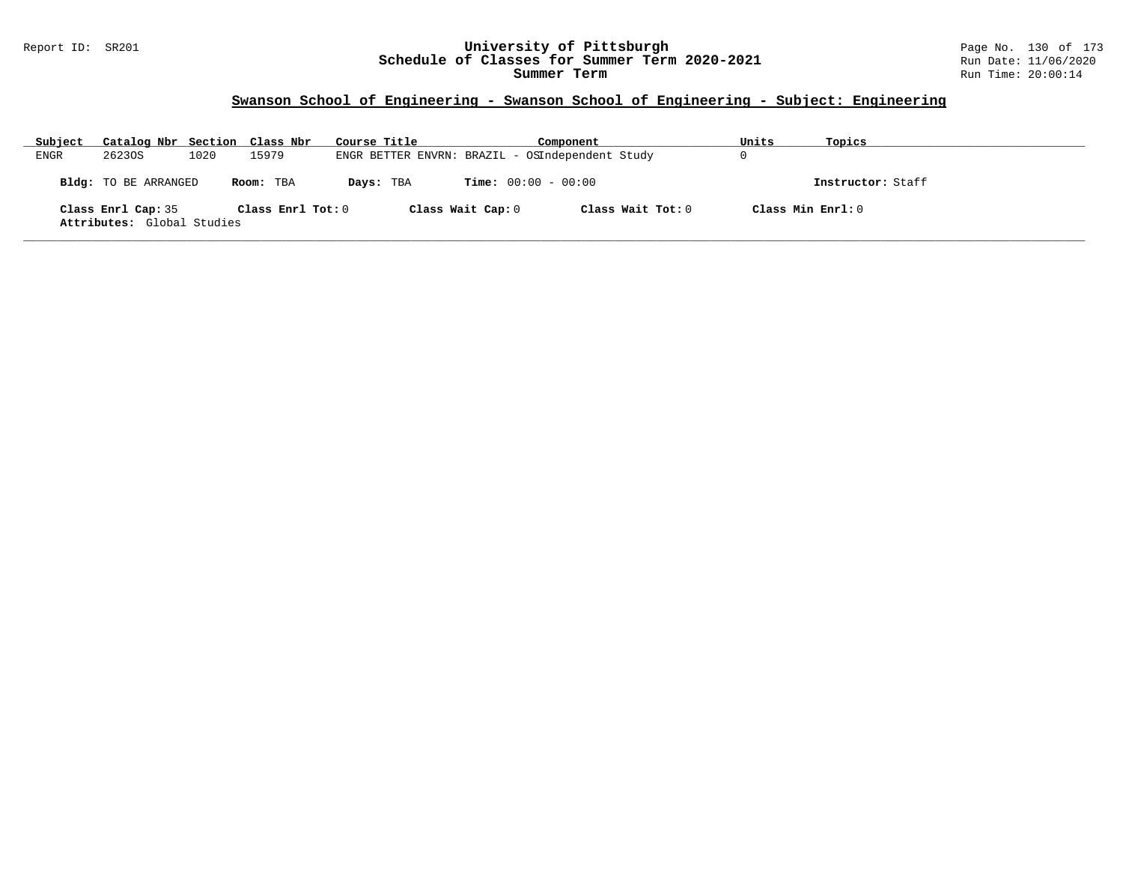### Report ID: SR201 **University of Pittsburgh** Page No. 130 of 173 **Schedule of Classes for Summer Term 2020-2021** Run Date: 11/06/2020 **Summer Term** Run Time: 20:00:14

| Subject | Catalog Nbr Section Class Nbr                    |      |                   | Course Title |                   | Component                                       | Units |                   | Topics            |
|---------|--------------------------------------------------|------|-------------------|--------------|-------------------|-------------------------------------------------|-------|-------------------|-------------------|
| ENGR    | 26230S                                           | 1020 | 15979             |              |                   | ENGR BETTER ENVRN: BRAZIL - OSIndependent Study |       |                   |                   |
|         | Bldg: TO BE ARRANGED                             |      | Room: TBA         | Days: TBA    |                   | <b>Time:</b> $00:00 - 00:00$                    |       |                   | Instructor: Staff |
|         | Class Enrl Cap: 35<br>Attributes: Global Studies |      | Class Enrl Tot: 0 |              | Class Wait Cap: 0 | Class Wait Tot: 0                               |       | Class Min Enrl: 0 |                   |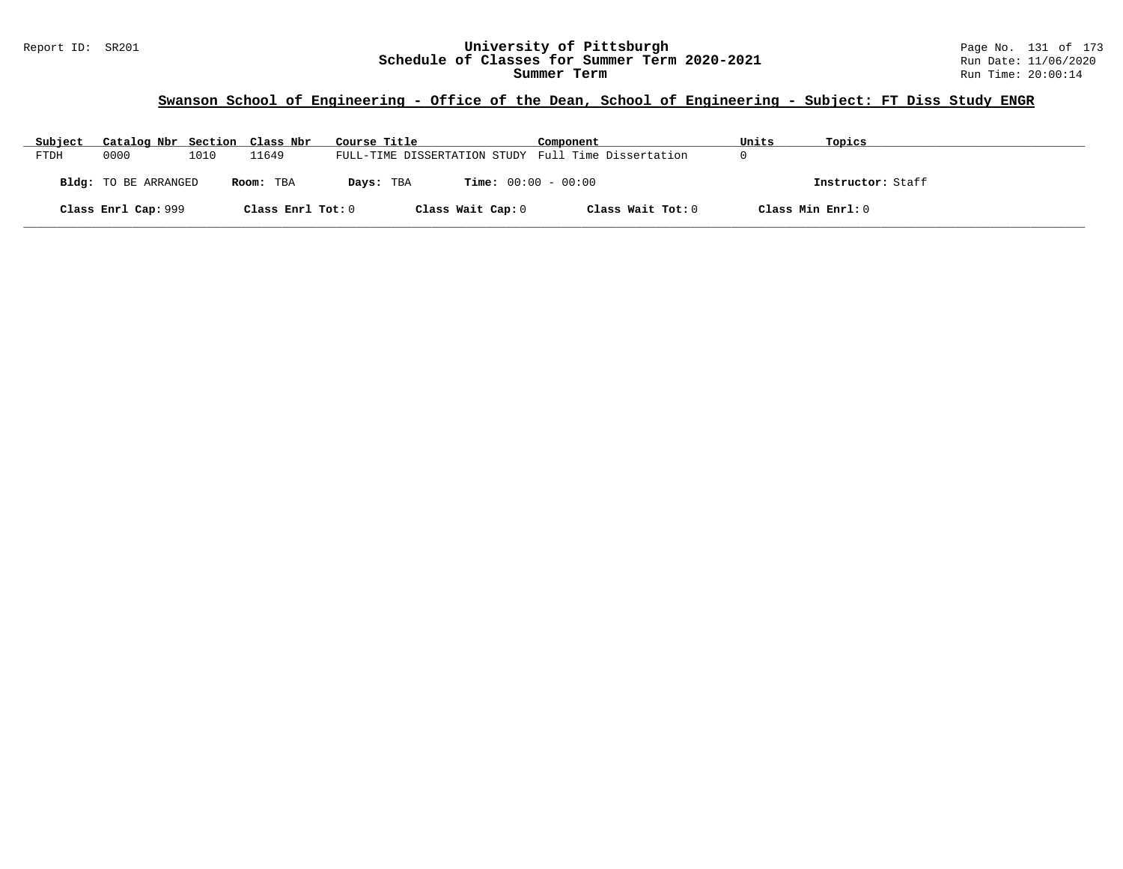# **Swanson School of Engineering - Office of the Dean, School of Engineering - Subject: FT Diss Study ENGR**

| Subject     | Catalog Nbr Section Class Nbr |      |                   | Course Title                                        | Component         | Units             | Topics            |
|-------------|-------------------------------|------|-------------------|-----------------------------------------------------|-------------------|-------------------|-------------------|
| <b>FTDH</b> | 0000                          | 1010 | 11649             | FULL-TIME DISSERTATION STUDY Full Time Dissertation |                   |                   |                   |
|             | Bldg: TO BE ARRANGED          |      | Room: TBA         | <b>Time:</b> $00:00 - 00:00$<br>Days: TBA           |                   |                   | Instructor: Staff |
|             | Class Enrl Cap: 999           |      | Class Enrl Tot: 0 | Class Wait Cap: 0                                   | Class Wait Tot: 0 | Class Min Enrl: 0 |                   |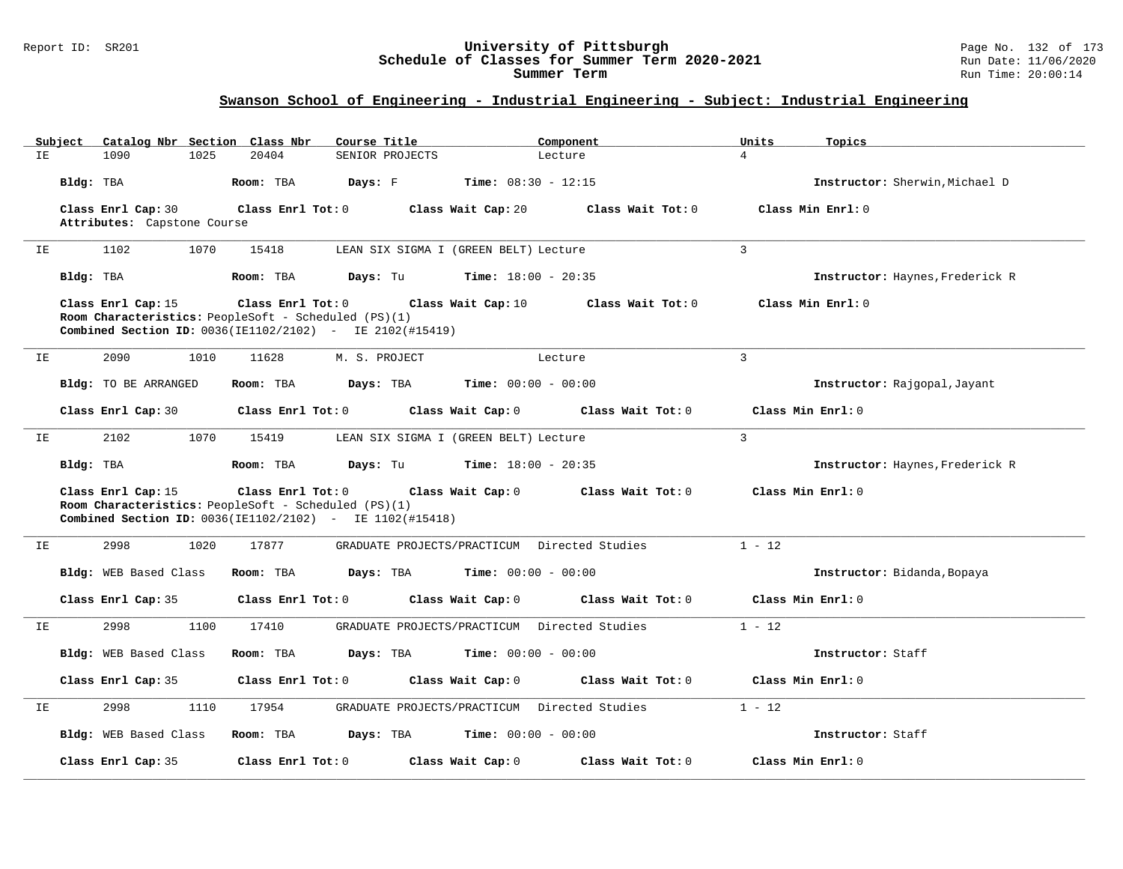### Report ID: SR201 **University of Pittsburgh** Page No. 132 of 173 **Schedule of Classes for Summer Term 2020-2021** Run Date: 11/06/2020 **Summer Term** Run Time: 20:00:14

# **Swanson School of Engineering - Industrial Engineering - Subject: Industrial Engineering**

|    | Subject   |                             | Catalog Nbr Section Class Nbr                        | Course Title                                                       |                              | Component         | Units          | Topics                          |
|----|-----------|-----------------------------|------------------------------------------------------|--------------------------------------------------------------------|------------------------------|-------------------|----------------|---------------------------------|
| ΙE |           | 1025<br>1090                | 20404                                                | SENIOR PROJECTS                                                    |                              | Lecture           | $\overline{4}$ |                                 |
|    | Bldg: TBA |                             | Room: TBA                                            | Days: F                                                            | <b>Time:</b> $08:30 - 12:15$ |                   |                | Instructor: Sherwin, Michael D  |
|    |           | Class Enrl Cap: 30          | Class Enrl Tot: 0                                    |                                                                    | Class Wait Cap: 20           | Class Wait Tot: 0 |                | Class Min Enrl: 0               |
|    |           | Attributes: Capstone Course |                                                      |                                                                    |                              |                   |                |                                 |
| IΕ |           | 1102<br>1070                | 15418                                                | LEAN SIX SIGMA I (GREEN BELT) Lecture                              |                              |                   | $\overline{3}$ |                                 |
|    | Bldg: TBA |                             | Room: TBA                                            | Days: Tu                                                           | <b>Time:</b> $18:00 - 20:35$ |                   |                | Instructor: Haynes, Frederick R |
|    |           | Class Enrl Cap: 15          | Class Enrl Tot: 0                                    |                                                                    | Class Wait Cap: 10           | Class Wait Tot: 0 |                | Class Min Enrl: 0               |
|    |           |                             | Room Characteristics: PeopleSoft - Scheduled (PS)(1) | Combined Section ID: 0036(IE1102/2102) - IE 2102(#15419)           |                              |                   |                |                                 |
|    |           |                             |                                                      |                                                                    |                              |                   |                |                                 |
| IΕ |           | 2090<br>1010                | 11628                                                | M. S. PROJECT                                                      |                              | Lecture           | $\overline{3}$ |                                 |
|    |           | <b>Bldg:</b> TO BE ARRANGED | Room: TBA                                            | Days: TBA                                                          | <b>Time:</b> $00:00 - 00:00$ |                   |                | Instructor: Rajgopal, Jayant    |
|    |           | Class Enrl Cap: 30          | Class Enrl Tot: 0                                    |                                                                    | Class Wait Cap: 0            | Class Wait Tot: 0 |                | Class Min Enrl: 0               |
| IE |           | 2102<br>1070                | 15419                                                | LEAN SIX SIGMA I (GREEN BELT) Lecture                              |                              |                   | $\overline{3}$ |                                 |
|    | Bldg: TBA |                             | Room: TBA                                            | Days: Tu                                                           | <b>Time:</b> $18:00 - 20:35$ |                   |                | Instructor: Haynes, Frederick R |
|    |           | Class Enrl Cap: 15          | Class Enrl Tot: 0                                    |                                                                    | Class Wait Cap: 0            | Class Wait Tot: 0 |                | Class Min Enrl: 0               |
|    |           |                             | Room Characteristics: PeopleSoft - Scheduled (PS)(1) | <b>Combined Section ID:</b> $0036$ (IE1102/2102) - IE 1102(#15418) |                              |                   |                |                                 |
|    |           |                             |                                                      |                                                                    |                              |                   |                |                                 |
| IΕ |           | 2998<br>1020                | 17877                                                | GRADUATE PROJECTS/PRACTICUM Directed Studies                       |                              |                   | $1 - 12$       |                                 |
|    |           | Bldg: WEB Based Class       | Room: TBA                                            | Days: TBA                                                          | $Time: 00:00 - 00:00$        |                   |                | Instructor: Bidanda, Bopaya     |
|    |           | Class Enrl Cap: 35          | Class Enrl Tot: 0                                    |                                                                    | Class Wait Cap: 0            | Class Wait Tot: 0 |                | Class Min Enrl: 0               |
| IΕ |           | 2998<br>1100                | 17410                                                | GRADUATE PROJECTS/PRACTICUM Directed Studies                       |                              |                   | $1 - 12$       |                                 |
|    |           | Bldg: WEB Based Class       | Room: TBA                                            | Days: TBA                                                          | $Time: 00:00 - 00:00$        |                   |                | Instructor: Staff               |
|    |           | Class Enrl Cap: 35          | Class Enrl Tot: 0                                    |                                                                    | Class Wait Cap: 0            | Class Wait Tot: 0 |                | Class Min Enrl: 0               |
| IΕ |           | 2998<br>1110                | 17954                                                | GRADUATE PROJECTS/PRACTICUM Directed Studies                       |                              |                   | $1 - 12$       |                                 |
|    |           | Bldg: WEB Based Class       | Room: TBA                                            | Days: TBA                                                          | <b>Time:</b> $00:00 - 00:00$ |                   |                | Instructor: Staff               |
|    |           | Class Enrl Cap: 35          | Class Enrl Tot: 0                                    |                                                                    | Class Wait Cap: 0            | Class Wait Tot: 0 |                | Class Min Enrl: 0               |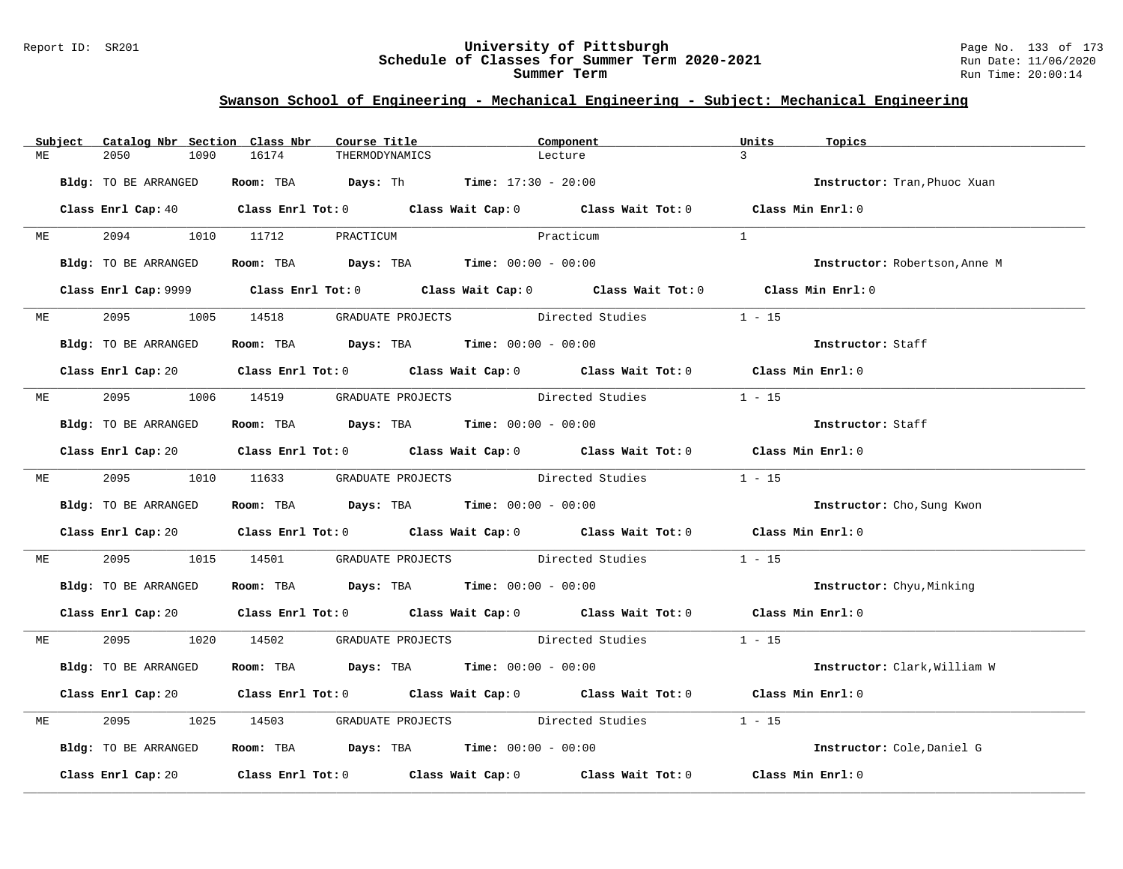#### Report ID: SR201 **University of Pittsburgh** Page No. 133 of 173 **Schedule of Classes for Summer Term 2020-2021** Run Date: 11/06/2020 **Summer Term** Run Time: 20:00:14

|    | Subject | Catalog Nbr Section Class Nbr | Course Title                                       |                                                                | Component                                                                                                                      | Units<br>Topics               |
|----|---------|-------------------------------|----------------------------------------------------|----------------------------------------------------------------|--------------------------------------------------------------------------------------------------------------------------------|-------------------------------|
| MЕ |         | 2050<br>1090                  | 16174                                              | THERMODYNAMICS                                                 | Lecture                                                                                                                        | $\mathbf{R}$                  |
|    |         | Bldg: TO BE ARRANGED          |                                                    | Room: TBA $Days: Th$ Time: $17:30 - 20:00$                     |                                                                                                                                | Instructor: Tran, Phuoc Xuan  |
|    |         |                               |                                                    |                                                                | Class Enrl Cap: 40 Class Enrl Tot: 0 Class Wait Cap: 0 Class Wait Tot: 0 Class Min Enrl: 0                                     |                               |
| ME |         | 2094                          | 1010 11712 PRACTICUM                               |                                                                | Practicum                                                                                                                      | $\mathbf{1}$                  |
|    |         | Bldg: TO BE ARRANGED          |                                                    | Room: TBA $Days:$ TBA $Time: 00:00 - 00:00$                    |                                                                                                                                | Instructor: Robertson, Anne M |
|    |         |                               |                                                    |                                                                | Class Enrl Cap: 9999 Class Enrl Tot: 0 Class Wait Cap: 0 Class Wait Tot: 0 Class Min Enrl: 0                                   |                               |
| MЕ |         |                               | 2095 1005 14518 GRADUATE PROJECTS Directed Studies |                                                                |                                                                                                                                | $1 - 15$                      |
|    |         | Bldg: TO BE ARRANGED          |                                                    | Room: TBA $\rule{1em}{0.15mm}$ Days: TBA Time: $00:00 - 00:00$ |                                                                                                                                | Instructor: Staff             |
|    |         |                               |                                                    |                                                                | Class Enrl Cap: 20 Class Enrl Tot: 0 Class Wait Cap: 0 Class Wait Tot: 0 Class Min Enrl: 0                                     |                               |
| МE |         | 2095 70                       |                                                    |                                                                | 1006 14519 GRADUATE PROJECTS Directed Studies                                                                                  | $1 - 15$                      |
|    |         | Bldg: TO BE ARRANGED          |                                                    | Room: TBA $Days:$ TBA $Time: 00:00 - 00:00$                    |                                                                                                                                | Instructor: Staff             |
|    |         |                               |                                                    |                                                                | Class Enrl Cap: 20 Class Enrl Tot: 0 Class Wait Cap: 0 Class Wait Tot: 0 Class Min Enrl: 0                                     |                               |
| ME |         | 2095                          |                                                    |                                                                | 1010 11633 GRADUATE PROJECTS Directed Studies                                                                                  | $1 - 15$                      |
|    |         | Bldg: TO BE ARRANGED          |                                                    | Room: TBA $Days:$ TBA $Time: 00:00 - 00:00$                    |                                                                                                                                | Instructor: Cho, Sung Kwon    |
|    |         |                               |                                                    |                                                                | Class Enrl Cap: 20 Class Enrl Tot: 0 Class Wait Cap: 0 Class Wait Tot: 0 Class Min Enrl: 0                                     |                               |
| МE |         | 2095<br>1015                  |                                                    |                                                                | 14501 GRADUATE PROJECTS Directed Studies                                                                                       | $1 - 15$                      |
|    |         | Bldg: TO BE ARRANGED          |                                                    | Room: TBA $\rule{1em}{0.15mm}$ Days: TBA Time: $00:00 - 00:00$ |                                                                                                                                | Instructor: Chyu, Minking     |
|    |         |                               |                                                    |                                                                | Class Enrl Cap: 20 $\qquad$ Class Enrl Tot: 0 $\qquad$ Class Wait Cap: 0 $\qquad$ Class Wait Tot: 0 $\qquad$ Class Min Enrl: 0 |                               |
| МE |         | 2095                          |                                                    |                                                                | 1020 14502 GRADUATE PROJECTS Directed Studies                                                                                  | $1 - 15$                      |
|    |         | Bldg: TO BE ARRANGED          |                                                    | Room: TBA $Days:$ TBA $Time: 00:00 - 00:00$                    |                                                                                                                                | Instructor: Clark, William W  |
|    |         |                               |                                                    |                                                                | Class Enrl Cap: 20 Class Enrl Tot: 0 Class Wait Cap: 0 Class Wait Tot: 0 Class Min Enrl: 0                                     |                               |
| МE |         | 2095<br>1025                  |                                                    |                                                                |                                                                                                                                | $1 - 15$                      |
|    |         | Bldg: TO BE ARRANGED          |                                                    | Room: TBA $Days:$ TBA $Time:$ $00:00 - 00:00$                  |                                                                                                                                | Instructor: Cole, Daniel G    |
|    |         |                               |                                                    |                                                                | Class Enrl Cap: 20 Class Enrl Tot: 0 Class Wait Cap: 0 Class Wait Tot: 0 Class Min Enrl: 0                                     |                               |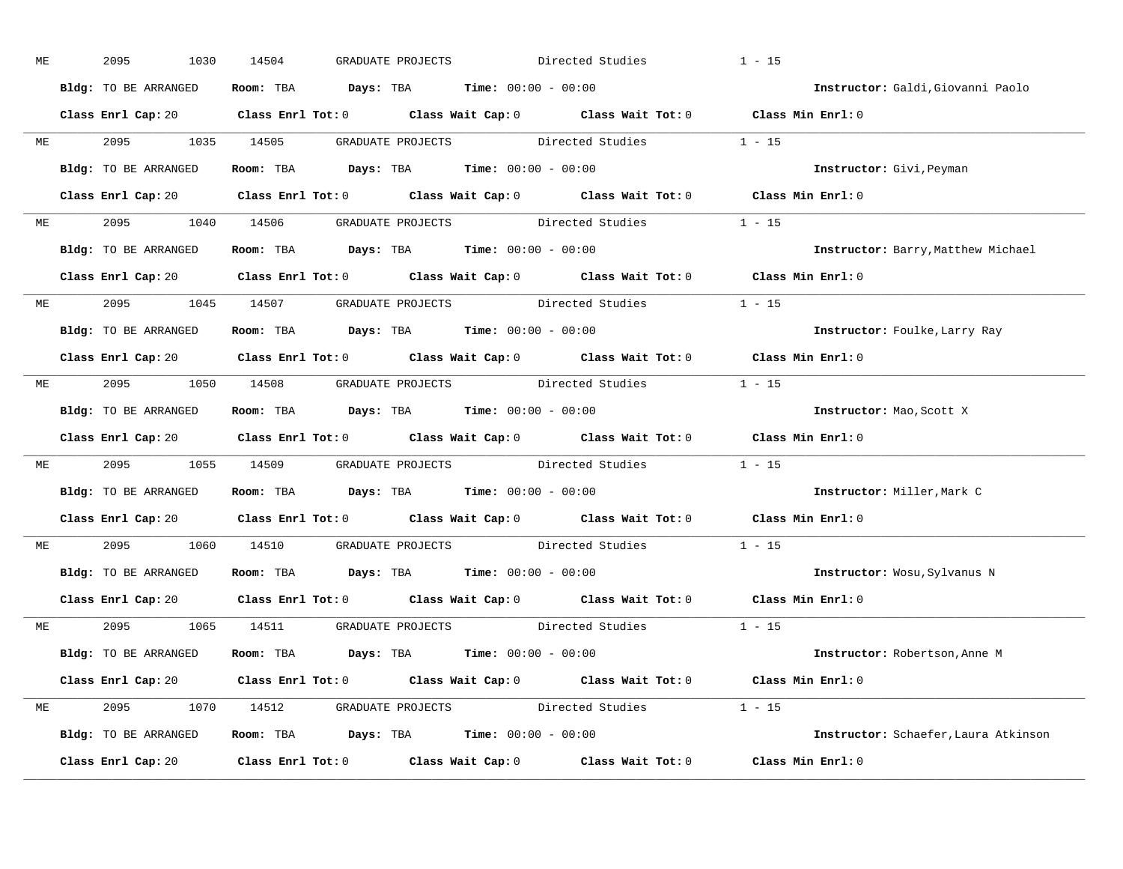| МE |           | 2095<br>1030         | 14504<br>GRADUATE PROJECTS                                                            | Directed Studies                                                                           | $1 - 15$                             |
|----|-----------|----------------------|---------------------------------------------------------------------------------------|--------------------------------------------------------------------------------------------|--------------------------------------|
|    |           | Bldg: TO BE ARRANGED | Room: TBA $Days:$ TBA $Time: 00:00 - 00:00$                                           |                                                                                            | Instructor: Galdi, Giovanni Paolo    |
|    |           |                      |                                                                                       | Class Enrl Cap: 20 Class Enrl Tot: 0 Class Wait Cap: 0 Class Wait Tot: 0 Class Min Enrl: 0 |                                      |
|    |           |                      |                                                                                       | ME 2095 1035 14505 GRADUATE PROJECTS Directed Studies 1 - 15                               |                                      |
|    |           | Bldg: TO BE ARRANGED | Room: TBA Days: TBA Time: $00:00 - 00:00$                                             |                                                                                            | Instructor: Givi, Peyman             |
|    |           |                      |                                                                                       | Class Enrl Cap: 20 Class Enrl Tot: 0 Class Wait Cap: 0 Class Wait Tot: 0 Class Min Enrl: 0 |                                      |
| ME |           |                      |                                                                                       | 2095 1040 14506 GRADUATE PROJECTS Directed Studies 1 - 15                                  |                                      |
|    |           |                      | Bldg: TO BE ARRANGED ROOM: TBA Days: TBA Time: 00:00 - 00:00                          |                                                                                            | Instructor: Barry, Matthew Michael   |
|    |           |                      |                                                                                       | Class Enrl Cap: 20 Class Enrl Tot: 0 Class Wait Cap: 0 Class Wait Tot: 0 Class Min Enrl: 0 |                                      |
|    |           |                      |                                                                                       | ME 2095 1045 14507 GRADUATE PROJECTS Directed Studies 1 - 15                               |                                      |
|    |           | Bldg: TO BE ARRANGED | Room: TBA $\rule{1em}{0.15mm}$ Days: TBA Time: $00:00 - 00:00$                        |                                                                                            | Instructor: Foulke, Larry Ray        |
|    |           |                      |                                                                                       | Class Enrl Cap: 20 Class Enrl Tot: 0 Class Wait Cap: 0 Class Wait Tot: 0 Class Min Enrl: 0 |                                      |
|    |           |                      |                                                                                       | ME 2095 1050 14508 GRADUATE PROJECTS Directed Studies 1 - 15                               |                                      |
|    |           | Bldg: TO BE ARRANGED | Room: TBA $\rule{1em}{0.15mm}$ Days: TBA Time: $00:00 - 00:00$                        |                                                                                            | Instructor: Mao, Scott X             |
|    |           |                      |                                                                                       | Class Enrl Cap: 20 Class Enrl Tot: 0 Class Wait Cap: 0 Class Wait Tot: 0 Class Min Enrl: 0 |                                      |
| ME |           |                      |                                                                                       | 2095 1055 14509 GRADUATE PROJECTS Directed Studies 1 - 15                                  |                                      |
|    |           | Bldg: TO BE ARRANGED | Room: TBA $Days:$ TBA $Time:$ 00:00 - 00:00                                           |                                                                                            | Instructor: Miller, Mark C           |
|    |           |                      | Class Enrl Cap: 20 Class Enrl Tot: 0 Class Wait Cap: 0 Class Wait Tot: 0              |                                                                                            | Class Min Enrl: 0                    |
|    | <b>ME</b> |                      | 2095 1060 14510 GRADUATE PROJECTS Directed Studies                                    |                                                                                            | $1 - 15$                             |
|    |           | Bldg: TO BE ARRANGED | Room: TBA $\rule{1em}{0.15mm}$ Days: TBA $\rule{1.5mm}{0.15mm}$ Time: $00:00 - 00:00$ |                                                                                            | Instructor: Wosu, Sylvanus N         |
|    |           |                      |                                                                                       | Class Enrl Cap: 20 Class Enrl Tot: 0 Class Wait Cap: 0 Class Wait Tot: 0 Class Min Enrl: 0 |                                      |
|    |           |                      |                                                                                       | ME 2095 1065 14511 GRADUATE PROJECTS Directed Studies 1 - 15                               |                                      |
|    |           | Bldg: TO BE ARRANGED | Room: TBA $\rule{1em}{0.15mm}$ Days: TBA Time: $00:00 - 00:00$                        |                                                                                            | Instructor: Robertson, Anne M        |
|    |           |                      |                                                                                       | Class Enrl Cap: 20 Class Enrl Tot: 0 Class Wait Cap: 0 Class Wait Tot: 0 Class Min Enrl: 0 |                                      |
|    |           |                      |                                                                                       | ME 2095 1070 14512 GRADUATE PROJECTS Directed Studies 1 - 15                               |                                      |
|    |           |                      | Bldg: TO BE ARRANGED Room: TBA Days: TBA Time: 00:00 - 00:00                          |                                                                                            | Instructor: Schaefer, Laura Atkinson |
|    |           | Class Enrl Cap: 20   |                                                                                       | Class Enrl Tot: $0$ Class Wait Cap: $0$ Class Wait Tot: $0$ Class Min Enrl: $0$            |                                      |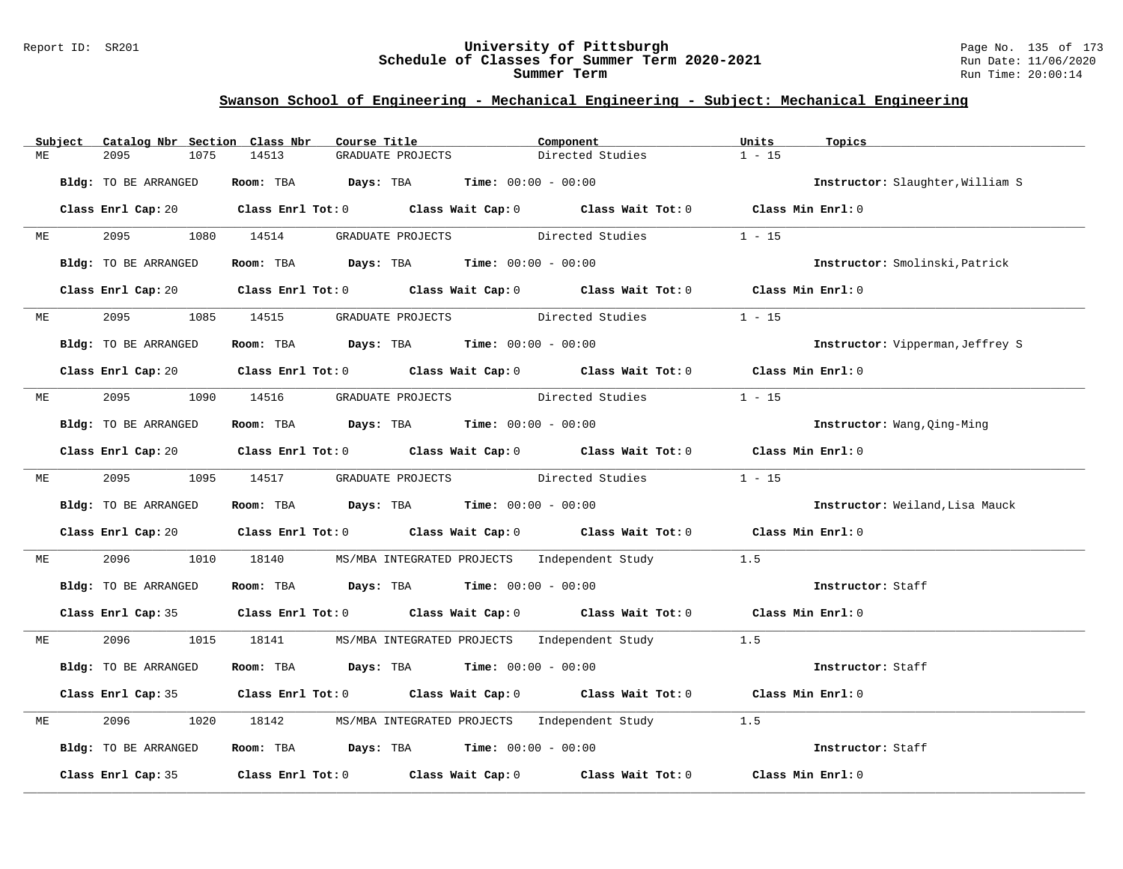### Report ID: SR201 **University of Pittsburgh** Page No. 135 of 173 **Schedule of Classes for Summer Term 2020-2021** Run Date: 11/06/2020 **Summer Term** Run Time: 20:00:14

|    | Subject | Catalog Nbr Section Class Nbr | Course Title                                                                          |                                    | Component                                                                                           | Units<br>Topics                  |  |
|----|---------|-------------------------------|---------------------------------------------------------------------------------------|------------------------------------|-----------------------------------------------------------------------------------------------------|----------------------------------|--|
| MЕ |         | 2095<br>1075                  | 14513                                                                                 | GRADUATE PROJECTS                  | Directed Studies                                                                                    | $1 - 15$                         |  |
|    |         | Bldg: TO BE ARRANGED          | Room: TBA $Days:$ TBA $Time: 00:00 - 00:00$                                           |                                    |                                                                                                     | Instructor: Slaughter, William S |  |
|    |         |                               |                                                                                       |                                    | Class Enrl Cap: 20 Class Enrl Tot: 0 Class Wait Cap: 0 Class Wait Tot: 0 Class Min Enrl: 0          |                                  |  |
| MЕ |         | 2095 70                       | 1080 14514 GRADUATE PROJECTS Directed Studies                                         |                                    |                                                                                                     | $1 - 15$                         |  |
|    |         | Bldg: TO BE ARRANGED          | Room: TBA $Days:$ TBA $Time: 00:00 - 00:00$                                           |                                    |                                                                                                     | Instructor: Smolinski, Patrick   |  |
|    |         |                               |                                                                                       |                                    | Class Enrl Cap: 20 $\qquad$ Class Enrl Tot: 0 $\qquad$ Class Wait Cap: 0 $\qquad$ Class Wait Tot: 0 | Class Min Enrl: 0                |  |
| ME |         | 2095                          | 1085 14515 GRADUATE PROJECTS Directed Studies                                         |                                    |                                                                                                     | $1 - 15$                         |  |
|    |         | Bldg: TO BE ARRANGED          | Room: TBA $Days:$ TBA $Time: 00:00 - 00:00$                                           |                                    |                                                                                                     | Instructor: Vipperman, Jeffrey S |  |
|    |         |                               |                                                                                       |                                    | Class Enrl Cap: 20 Class Enrl Tot: 0 Class Wait Cap: 0 Class Wait Tot: 0 Class Min Enrl: 0          |                                  |  |
| ME |         | 2095                          | 1090 14516                                                                            | GRADUATE PROJECTS Directed Studies |                                                                                                     | $1 - 15$                         |  |
|    |         | Bldg: TO BE ARRANGED          | Room: TBA $\rule{1em}{0.15mm}$ Days: TBA $\rule{1.5mm}{0.15mm}$ Time: $00:00 - 00:00$ |                                    |                                                                                                     | Instructor: Wang, Qing-Ming      |  |
|    |         |                               |                                                                                       |                                    | Class Enrl Cap: 20 $\qquad$ Class Enrl Tot: 0 $\qquad$ Class Wait Cap: 0 $\qquad$ Class Wait Tot: 0 | Class Min Enrl: 0                |  |
| ME |         | 2095 1095 14517               |                                                                                       |                                    | GRADUATE PROJECTS Directed Studies                                                                  | $1 - 15$                         |  |
|    |         | Bldg: TO BE ARRANGED          | Room: TBA $Days:$ TBA $Time: 00:00 - 00:00$                                           |                                    |                                                                                                     | Instructor: Weiland, Lisa Mauck  |  |
|    |         |                               |                                                                                       |                                    | Class Enrl Cap: 20 Class Enrl Tot: 0 Class Wait Cap: 0 Class Wait Tot: 0 Class Min Enrl: 0          |                                  |  |
| МE |         | 2096<br>1010                  |                                                                                       |                                    | 18140 MS/MBA INTEGRATED PROJECTS Independent Study                                                  | 1.5                              |  |
|    |         | Bldg: TO BE ARRANGED          | Room: TBA $Days:$ TBA $Time: 00:00 - 00:00$                                           |                                    |                                                                                                     | Instructor: Staff                |  |
|    |         |                               |                                                                                       |                                    | Class Enrl Cap: 35 Class Enrl Tot: 0 Class Wait Cap: 0 Class Wait Tot: 0 Class Min Enrl: 0          |                                  |  |
| ME |         |                               |                                                                                       |                                    | 2096 1015 18141 MS/MBA INTEGRATED PROJECTS Independent Study 1.5                                    |                                  |  |
|    |         | Bldg: TO BE ARRANGED          | Room: TBA $Days: TBA$ Time: $00:00 - 00:00$                                           |                                    |                                                                                                     | Instructor: Staff                |  |
|    |         |                               |                                                                                       |                                    | Class Enrl Cap: 35 Class Enrl Tot: 0 Class Wait Cap: 0 Class Wait Tot: 0 Class Min Enrl: 0          |                                  |  |
| MЕ |         | 2096<br>1020                  |                                                                                       |                                    | 18142 MS/MBA INTEGRATED PROJECTS Independent Study                                                  | 1.5                              |  |
|    |         | Bldg: TO BE ARRANGED          | Room: TBA $Days: TBA$ Time: $00:00 - 00:00$                                           |                                    |                                                                                                     | Instructor: Staff                |  |
|    |         |                               |                                                                                       |                                    | Class Enrl Cap: 35 Class Enrl Tot: 0 Class Wait Cap: 0 Class Wait Tot: 0 Class Min Enrl: 0          |                                  |  |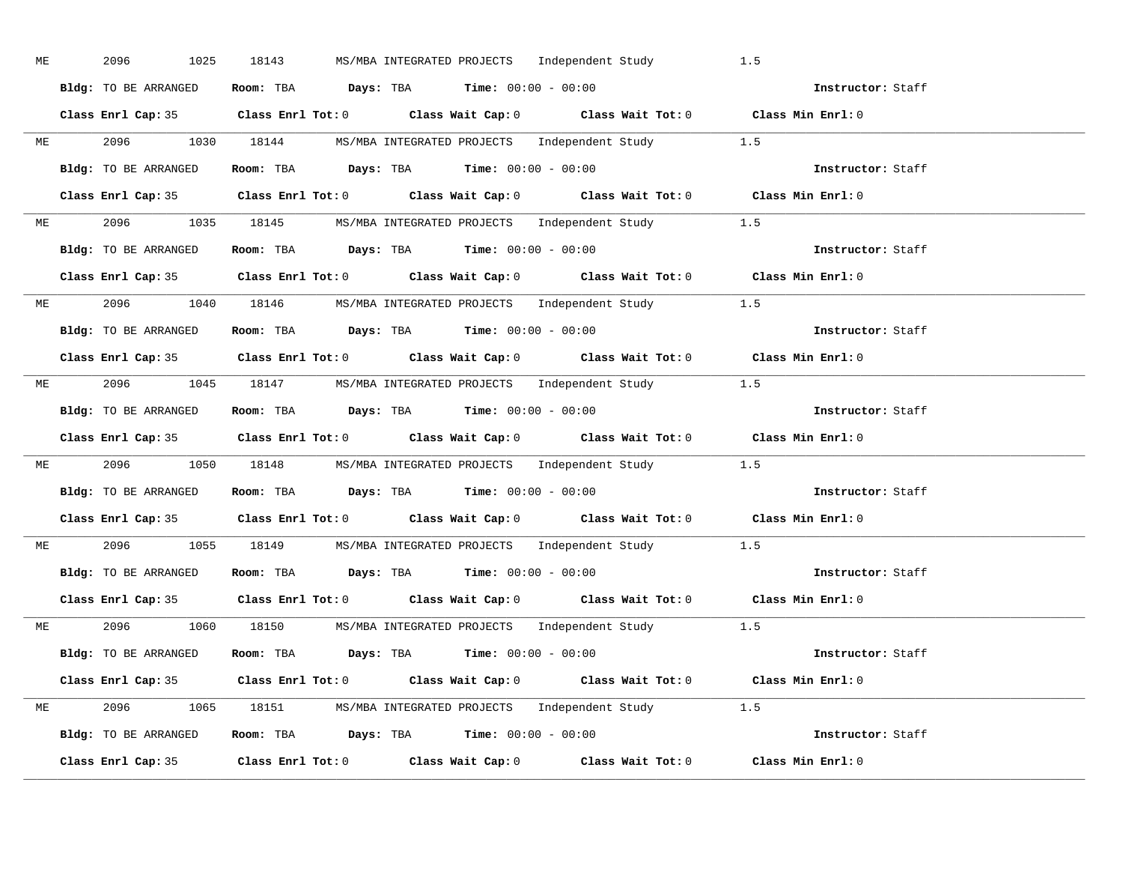| ME | 2096<br>1025         | MS/MBA INTEGRATED PROJECTS    Independent Study<br>18143                                   | 1.5               |
|----|----------------------|--------------------------------------------------------------------------------------------|-------------------|
|    | Bldg: TO BE ARRANGED | Room: TBA $\rule{1em}{0.15mm}$ Days: TBA Time: $00:00 - 00:00$                             | Instructor: Staff |
|    |                      | Class Enrl Cap: 35 Class Enrl Tot: 0 Class Wait Cap: 0 Class Wait Tot: 0 Class Min Enrl: 0 |                   |
|    |                      | ME 2096 1030 18144 MS/MBA INTEGRATED PROJECTS Independent Study 1.5                        |                   |
|    | Bldg: TO BE ARRANGED | Room: TBA $Days:$ TBA Time: $00:00 - 00:00$                                                | Instructor: Staff |
|    |                      | Class Enrl Cap: 35 Class Enrl Tot: 0 Class Wait Cap: 0 Class Wait Tot: 0 Class Min Enrl: 0 |                   |
|    |                      | ME 2096 1035 18145 MS/MBA INTEGRATED PROJECTS Independent Study 1.5                        |                   |
|    |                      | Bldg: TO BE ARRANGED Room: TBA Days: TBA Time: 00:00 - 00:00                               | Instructor: Staff |
|    |                      | Class Enrl Cap: 35 Class Enrl Tot: 0 Class Wait Cap: 0 Class Wait Tot: 0 Class Min Enrl: 0 |                   |
|    |                      | ME 2096 1040 18146 MS/MBA INTEGRATED PROJECTS Independent Study 1.5                        |                   |
|    | Bldg: TO BE ARRANGED | Room: TBA $Days$ : TBA Time: $00:00 - 00:00$                                               | Instructor: Staff |
|    |                      | Class Enrl Cap: 35 Class Enrl Tot: 0 Class Wait Cap: 0 Class Wait Tot: 0 Class Min Enrl: 0 |                   |
|    |                      | ME 2096 1045 18147 MS/MBA INTEGRATED PROJECTS Independent Study 1.5                        |                   |
|    |                      | Bldg: TO BE ARRANGED Room: TBA Days: TBA Time: 00:00 - 00:00                               | Instructor: Staff |
|    |                      | Class Enrl Cap: 35 Class Enrl Tot: 0 Class Wait Cap: 0 Class Wait Tot: 0 Class Min Enrl: 0 |                   |
|    |                      | ME 2096 1050 18148 MS/MBA INTEGRATED PROJECTS Independent Study 1.5                        |                   |
|    |                      | Bldg: TO BE ARRANGED ROOM: TBA Days: TBA Time: 00:00 - 00:00                               | Instructor: Staff |
|    |                      | Class Enrl Cap: 35 Class Enrl Tot: 0 Class Wait Cap: 0 Class Wait Tot: 0 Class Min Enrl: 0 |                   |
|    |                      | ME 2096 1055 18149 MS/MBA INTEGRATED PROJECTS Independent Study 1.5                        |                   |
|    |                      | <b>Bldg:</b> TO BE ARRANGED <b>Room:</b> TBA <b>Days:</b> TBA <b>Time:</b> $00:00 - 00:00$ | Instructor: Staff |
|    |                      | Class Enrl Cap: 35 Class Enrl Tot: 0 Class Wait Cap: 0 Class Wait Tot: 0 Class Min Enrl: 0 |                   |
|    |                      | ME 2096 1060 18150 MS/MBA INTEGRATED PROJECTS Independent Study 1.5                        |                   |
|    |                      | Bldg: TO BE ARRANGED Room: TBA Days: TBA Time: $00:00 - 00:00$                             |                   |
|    |                      | Class Enrl Cap: 35 Class Enrl Tot: 0 Class Wait Cap: 0 Class Wait Tot: 0 Class Min Enrl: 0 |                   |
|    |                      | ME 2096 1065 18151 MS/MBA INTEGRATED PROJECTS Independent Study 1.5                        |                   |
|    |                      | Bldg: TO BE ARRANGED Room: TBA Days: TBA Time: 00:00 - 00:00                               | Instructor: Staff |
|    |                      | Class Enrl Cap: 35 Class Enrl Tot: 0 Class Wait Cap: 0 Class Wait Tot: 0 Class Min Enrl: 0 |                   |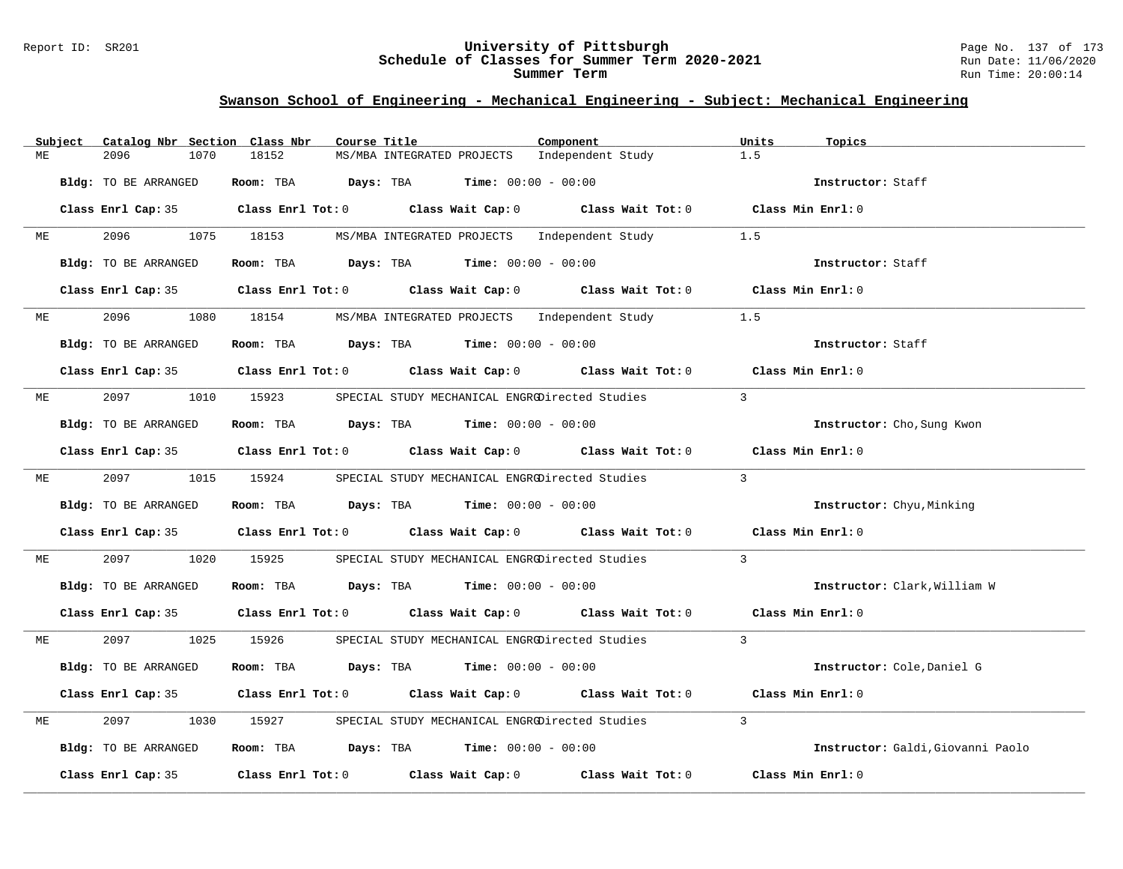### Report ID: SR201 **University of Pittsburgh** Page No. 137 of 173 **Schedule of Classes for Summer Term 2020-2021** Run Date: 11/06/2020 **Summer Term** Run Time: 20:00:14

|    | Subject | Catalog Nbr Section Class Nbr | Course Title                                                                          |                                                | Component                                                                                           | Units<br>Topics                   |
|----|---------|-------------------------------|---------------------------------------------------------------------------------------|------------------------------------------------|-----------------------------------------------------------------------------------------------------|-----------------------------------|
| MЕ |         | 2096<br>1070                  | 18152                                                                                 | MS/MBA INTEGRATED PROJECTS                     | Independent Study                                                                                   | 1.5                               |
|    |         | Bldg: TO BE ARRANGED          | Room: TBA $Days:$ TBA $Time: 00:00 - 00:00$                                           |                                                |                                                                                                     | Instructor: Staff                 |
|    |         |                               |                                                                                       |                                                | Class Enrl Cap: 35 Class Enrl Tot: 0 Class Wait Cap: 0 Class Wait Tot: 0 Class Min Enrl: 0          |                                   |
| МE |         | 2096 70                       | 1075 18153                                                                            | MS/MBA INTEGRATED PROJECTS Independent Study   |                                                                                                     | 1.5                               |
|    |         | Bldg: TO BE ARRANGED          | Room: TBA $Days:$ TBA $Time: 00:00 - 00:00$                                           |                                                |                                                                                                     | Instructor: Staff                 |
|    |         |                               |                                                                                       |                                                | Class Enrl Cap: 35 Class Enrl Tot: 0 Class Wait Cap: 0 Class Wait Tot: 0 Class Min Enrl: 0          |                                   |
| ME |         | 2096                          | 1080 18154                                                                            | MS/MBA INTEGRATED PROJECTS Independent Study   |                                                                                                     | 1.5                               |
|    |         | Bldg: TO BE ARRANGED          | Room: TBA $\rule{1em}{0.15mm}$ Days: TBA $\rule{1.5mm}{0.15mm}$ Time: $00:00 - 00:00$ |                                                |                                                                                                     | Instructor: Staff                 |
|    |         |                               |                                                                                       |                                                | Class Enrl Cap: 35 Class Enrl Tot: 0 Class Wait Cap: 0 Class Wait Tot: 0 Class Min Enrl: 0          |                                   |
| МE |         | 2097 — 2007<br>1010           | 15923                                                                                 | SPECIAL STUDY MECHANICAL ENGRODirected Studies |                                                                                                     | $\mathbf{3}$                      |
|    |         | Bldg: TO BE ARRANGED          | Room: TBA $Days:$ TBA $Time: 00:00 - 00:00$                                           |                                                |                                                                                                     | Instructor: Cho, Sung Kwon        |
|    |         |                               |                                                                                       |                                                | Class Enrl Cap: 35 Class Enrl Tot: 0 Class Wait Cap: 0 Class Wait Tot: 0 Class Min Enrl: 0          |                                   |
| ME |         | 2097                          | 1015 15924                                                                            |                                                | SPECIAL STUDY MECHANICAL ENGRODirected Studies                                                      | $\overline{3}$                    |
|    |         | Bldg: TO BE ARRANGED          | Room: TBA $Days:$ TBA $Time: 00:00 - 00:00$                                           |                                                |                                                                                                     | Instructor: Chyu, Minking         |
|    |         |                               |                                                                                       |                                                | Class Enrl Cap: 35 $\qquad$ Class Enrl Tot: 0 $\qquad$ Class Wait Cap: 0 $\qquad$ Class Wait Tot: 0 | Class Min Enrl: 0                 |
| МE |         | 2097<br>1020                  | 15925                                                                                 | SPECIAL STUDY MECHANICAL ENGRODirected Studies |                                                                                                     | $\overline{3}$                    |
|    |         | Bldg: TO BE ARRANGED          | Room: TBA $Days:$ TBA $Time: 00:00 - 00:00$                                           |                                                |                                                                                                     | Instructor: Clark, William W      |
|    |         |                               |                                                                                       |                                                | Class Enrl Cap: 35 Class Enrl Tot: 0 Class Wait Cap: 0 Class Wait Tot: 0 Class Min Enrl: 0          |                                   |
| ME |         | 2097<br>1025                  | 15926                                                                                 |                                                | SPECIAL STUDY MECHANICAL ENGRODirected Studies                                                      | $\overline{3}$                    |
|    |         | Bldg: TO BE ARRANGED          | Room: TBA $Days:$ TBA $Time: 00:00 - 00:00$                                           |                                                |                                                                                                     | Instructor: Cole, Daniel G        |
|    |         | Class Enrl Cap: 35            |                                                                                       |                                                | Class Enrl Tot: 0 Class Wait Cap: 0 Class Wait Tot: 0                                               | Class Min Enrl: 0                 |
| MЕ |         | 2097<br>1030                  | 15927                                                                                 | SPECIAL STUDY MECHANICAL ENGRODirected Studies |                                                                                                     | $\overline{3}$                    |
|    |         | Bldg: TO BE ARRANGED          | Room: TBA $\rule{1em}{0.15mm}$ Days: TBA Time: $00:00 - 00:00$                        |                                                |                                                                                                     | Instructor: Galdi, Giovanni Paolo |
|    |         | Class Enrl Cap: 35            | Class Enrl Tot: $0$ Class Wait Cap: $0$                                               |                                                | Class Wait Tot: 0                                                                                   | Class Min Enrl: 0                 |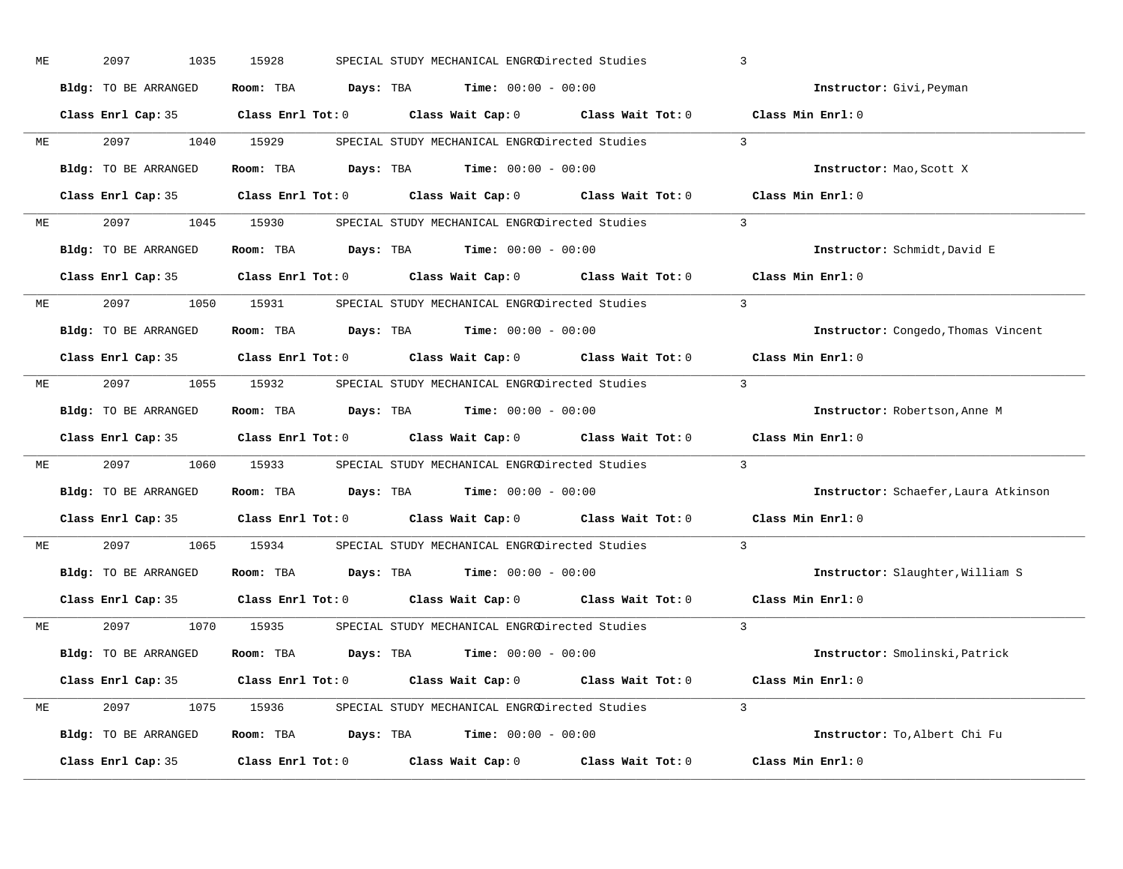| 2097<br>1035 | 15928                                                                                                                                                                                            |                                                                                                  | $\overline{3}$                                                                                                                                                                                                                                                                                                                                                                                                                                                                                                                                                                                                                                                                                                                                                                                                                                                                                                                                                                                                                                                                                                                                                                                                                                                                                                                                                                                                                                                                                                                                                                                                                                                                                                                                                                                                           |
|--------------|--------------------------------------------------------------------------------------------------------------------------------------------------------------------------------------------------|--------------------------------------------------------------------------------------------------|--------------------------------------------------------------------------------------------------------------------------------------------------------------------------------------------------------------------------------------------------------------------------------------------------------------------------------------------------------------------------------------------------------------------------------------------------------------------------------------------------------------------------------------------------------------------------------------------------------------------------------------------------------------------------------------------------------------------------------------------------------------------------------------------------------------------------------------------------------------------------------------------------------------------------------------------------------------------------------------------------------------------------------------------------------------------------------------------------------------------------------------------------------------------------------------------------------------------------------------------------------------------------------------------------------------------------------------------------------------------------------------------------------------------------------------------------------------------------------------------------------------------------------------------------------------------------------------------------------------------------------------------------------------------------------------------------------------------------------------------------------------------------------------------------------------------------|
|              |                                                                                                                                                                                                  |                                                                                                  | Instructor: Givi, Peyman                                                                                                                                                                                                                                                                                                                                                                                                                                                                                                                                                                                                                                                                                                                                                                                                                                                                                                                                                                                                                                                                                                                                                                                                                                                                                                                                                                                                                                                                                                                                                                                                                                                                                                                                                                                                 |
|              |                                                                                                                                                                                                  |                                                                                                  |                                                                                                                                                                                                                                                                                                                                                                                                                                                                                                                                                                                                                                                                                                                                                                                                                                                                                                                                                                                                                                                                                                                                                                                                                                                                                                                                                                                                                                                                                                                                                                                                                                                                                                                                                                                                                          |
| 2097 — 2007  |                                                                                                                                                                                                  |                                                                                                  |                                                                                                                                                                                                                                                                                                                                                                                                                                                                                                                                                                                                                                                                                                                                                                                                                                                                                                                                                                                                                                                                                                                                                                                                                                                                                                                                                                                                                                                                                                                                                                                                                                                                                                                                                                                                                          |
|              |                                                                                                                                                                                                  |                                                                                                  | Instructor: Mao, Scott X                                                                                                                                                                                                                                                                                                                                                                                                                                                                                                                                                                                                                                                                                                                                                                                                                                                                                                                                                                                                                                                                                                                                                                                                                                                                                                                                                                                                                                                                                                                                                                                                                                                                                                                                                                                                 |
|              |                                                                                                                                                                                                  |                                                                                                  |                                                                                                                                                                                                                                                                                                                                                                                                                                                                                                                                                                                                                                                                                                                                                                                                                                                                                                                                                                                                                                                                                                                                                                                                                                                                                                                                                                                                                                                                                                                                                                                                                                                                                                                                                                                                                          |
|              |                                                                                                                                                                                                  |                                                                                                  |                                                                                                                                                                                                                                                                                                                                                                                                                                                                                                                                                                                                                                                                                                                                                                                                                                                                                                                                                                                                                                                                                                                                                                                                                                                                                                                                                                                                                                                                                                                                                                                                                                                                                                                                                                                                                          |
|              |                                                                                                                                                                                                  |                                                                                                  | Instructor: Schmidt, David E                                                                                                                                                                                                                                                                                                                                                                                                                                                                                                                                                                                                                                                                                                                                                                                                                                                                                                                                                                                                                                                                                                                                                                                                                                                                                                                                                                                                                                                                                                                                                                                                                                                                                                                                                                                             |
|              |                                                                                                                                                                                                  |                                                                                                  |                                                                                                                                                                                                                                                                                                                                                                                                                                                                                                                                                                                                                                                                                                                                                                                                                                                                                                                                                                                                                                                                                                                                                                                                                                                                                                                                                                                                                                                                                                                                                                                                                                                                                                                                                                                                                          |
|              |                                                                                                                                                                                                  |                                                                                                  | $\overline{3}$                                                                                                                                                                                                                                                                                                                                                                                                                                                                                                                                                                                                                                                                                                                                                                                                                                                                                                                                                                                                                                                                                                                                                                                                                                                                                                                                                                                                                                                                                                                                                                                                                                                                                                                                                                                                           |
|              |                                                                                                                                                                                                  |                                                                                                  | Instructor: Congedo, Thomas Vincent                                                                                                                                                                                                                                                                                                                                                                                                                                                                                                                                                                                                                                                                                                                                                                                                                                                                                                                                                                                                                                                                                                                                                                                                                                                                                                                                                                                                                                                                                                                                                                                                                                                                                                                                                                                      |
|              |                                                                                                                                                                                                  |                                                                                                  | Class Min Enrl: 0                                                                                                                                                                                                                                                                                                                                                                                                                                                                                                                                                                                                                                                                                                                                                                                                                                                                                                                                                                                                                                                                                                                                                                                                                                                                                                                                                                                                                                                                                                                                                                                                                                                                                                                                                                                                        |
|              |                                                                                                                                                                                                  |                                                                                                  | $\overline{3}$                                                                                                                                                                                                                                                                                                                                                                                                                                                                                                                                                                                                                                                                                                                                                                                                                                                                                                                                                                                                                                                                                                                                                                                                                                                                                                                                                                                                                                                                                                                                                                                                                                                                                                                                                                                                           |
|              |                                                                                                                                                                                                  |                                                                                                  | Instructor: Robertson, Anne M                                                                                                                                                                                                                                                                                                                                                                                                                                                                                                                                                                                                                                                                                                                                                                                                                                                                                                                                                                                                                                                                                                                                                                                                                                                                                                                                                                                                                                                                                                                                                                                                                                                                                                                                                                                            |
|              |                                                                                                                                                                                                  |                                                                                                  |                                                                                                                                                                                                                                                                                                                                                                                                                                                                                                                                                                                                                                                                                                                                                                                                                                                                                                                                                                                                                                                                                                                                                                                                                                                                                                                                                                                                                                                                                                                                                                                                                                                                                                                                                                                                                          |
| 2097 — 2097  |                                                                                                                                                                                                  |                                                                                                  | $\overline{3}$                                                                                                                                                                                                                                                                                                                                                                                                                                                                                                                                                                                                                                                                                                                                                                                                                                                                                                                                                                                                                                                                                                                                                                                                                                                                                                                                                                                                                                                                                                                                                                                                                                                                                                                                                                                                           |
|              |                                                                                                                                                                                                  |                                                                                                  | Instructor: Schaefer, Laura Atkinson                                                                                                                                                                                                                                                                                                                                                                                                                                                                                                                                                                                                                                                                                                                                                                                                                                                                                                                                                                                                                                                                                                                                                                                                                                                                                                                                                                                                                                                                                                                                                                                                                                                                                                                                                                                     |
|              |                                                                                                                                                                                                  |                                                                                                  | Class Min Enrl: 0                                                                                                                                                                                                                                                                                                                                                                                                                                                                                                                                                                                                                                                                                                                                                                                                                                                                                                                                                                                                                                                                                                                                                                                                                                                                                                                                                                                                                                                                                                                                                                                                                                                                                                                                                                                                        |
| 2097 — 2097  |                                                                                                                                                                                                  |                                                                                                  | $\overline{3}$                                                                                                                                                                                                                                                                                                                                                                                                                                                                                                                                                                                                                                                                                                                                                                                                                                                                                                                                                                                                                                                                                                                                                                                                                                                                                                                                                                                                                                                                                                                                                                                                                                                                                                                                                                                                           |
|              |                                                                                                                                                                                                  |                                                                                                  | Instructor: Slaughter, William S                                                                                                                                                                                                                                                                                                                                                                                                                                                                                                                                                                                                                                                                                                                                                                                                                                                                                                                                                                                                                                                                                                                                                                                                                                                                                                                                                                                                                                                                                                                                                                                                                                                                                                                                                                                         |
|              |                                                                                                                                                                                                  |                                                                                                  | Class Min Enrl: 0                                                                                                                                                                                                                                                                                                                                                                                                                                                                                                                                                                                                                                                                                                                                                                                                                                                                                                                                                                                                                                                                                                                                                                                                                                                                                                                                                                                                                                                                                                                                                                                                                                                                                                                                                                                                        |
|              |                                                                                                                                                                                                  |                                                                                                  | $\overline{3}$                                                                                                                                                                                                                                                                                                                                                                                                                                                                                                                                                                                                                                                                                                                                                                                                                                                                                                                                                                                                                                                                                                                                                                                                                                                                                                                                                                                                                                                                                                                                                                                                                                                                                                                                                                                                           |
|              |                                                                                                                                                                                                  |                                                                                                  | Instructor: Smolinski, Patrick                                                                                                                                                                                                                                                                                                                                                                                                                                                                                                                                                                                                                                                                                                                                                                                                                                                                                                                                                                                                                                                                                                                                                                                                                                                                                                                                                                                                                                                                                                                                                                                                                                                                                                                                                                                           |
|              |                                                                                                                                                                                                  |                                                                                                  |                                                                                                                                                                                                                                                                                                                                                                                                                                                                                                                                                                                                                                                                                                                                                                                                                                                                                                                                                                                                                                                                                                                                                                                                                                                                                                                                                                                                                                                                                                                                                                                                                                                                                                                                                                                                                          |
|              |                                                                                                                                                                                                  |                                                                                                  |                                                                                                                                                                                                                                                                                                                                                                                                                                                                                                                                                                                                                                                                                                                                                                                                                                                                                                                                                                                                                                                                                                                                                                                                                                                                                                                                                                                                                                                                                                                                                                                                                                                                                                                                                                                                                          |
|              |                                                                                                                                                                                                  |                                                                                                  | Instructor: To, Albert Chi Fu                                                                                                                                                                                                                                                                                                                                                                                                                                                                                                                                                                                                                                                                                                                                                                                                                                                                                                                                                                                                                                                                                                                                                                                                                                                                                                                                                                                                                                                                                                                                                                                                                                                                                                                                                                                            |
|              |                                                                                                                                                                                                  |                                                                                                  | Class Min Enrl: 0                                                                                                                                                                                                                                                                                                                                                                                                                                                                                                                                                                                                                                                                                                                                                                                                                                                                                                                                                                                                                                                                                                                                                                                                                                                                                                                                                                                                                                                                                                                                                                                                                                                                                                                                                                                                        |
| ME           | Bldg: TO BE ARRANGED<br>Bldg: TO BE ARRANGED<br>Bldg: TO BE ARRANGED<br>Bldg: TO BE ARRANGED<br>Bldg: TO BE ARRANGED<br>Class Enrl Cap: 35<br>2097<br>Bldg: TO BE ARRANGED<br>Class Enrl Cap: 35 | 1040 15929<br>Bldg: TO BE ARRANGED<br>Bldg: TO BE ARRANGED<br>1065 15934<br>Bldg: TO BE ARRANGED | SPECIAL STUDY MECHANICAL ENGRODirected Studies<br>Room: TBA $\rule{1em}{0.15mm}$ Days: TBA Time: $00:00 - 00:00$<br>Class Enrl Cap: 35 Class Enrl Tot: 0 Class Wait Cap: 0 Class Wait Tot: 0 Class Min Enrl: 0<br>SPECIAL STUDY MECHANICAL ENGRODirected Studies 3<br>Room: TBA Days: TBA Time: $00:00 - 00:00$<br>Class Enrl Cap: 35 Class Enrl Tot: 0 Class Wait Cap: 0 Class Wait Tot: 0 Class Min Enrl: 0<br>2097 1045 15930 SPECIAL STUDY MECHANICAL ENGRODirected Studies 3<br><b>Room:</b> TBA $Days: TBA$ <b>Time:</b> $00:00 - 00:00$<br>Class Enrl Cap: 35 Class Enrl Tot: 0 Class Wait Cap: 0 Class Wait Tot: 0 Class Min Enrl: 0<br>2097 1050 15931 SPECIAL STUDY MECHANICAL ENGROUTrected Studies<br>Room: TBA Days: TBA Time: $00:00 - 00:00$<br>Class Enrl Cap: 35 Class Enrl Tot: 0 Class Wait Cap: 0 Class Wait Tot: 0<br>2097 1055 15932 SPECIAL STUDY MECHANICAL ENGRODirected Studies<br>Room: TBA $Days:$ TBA $Time:$ $00:00 - 00:00$<br>Class Enrl Cap: 35 Class Enrl Tot: 0 Class Wait Cap: 0 Class Wait Tot: 0 Class Min Enrl: 0<br>1060 15933 SPECIAL STUDY MECHANICAL ENGROUT ected Studies<br>Room: TBA $Days:$ TBA $Time: 00:00 - 00:00$<br>Class Enrl Cap: 35 Class Enrl Tot: 0 Class Wait Cap: 0 Class Wait Tot: 0<br>SPECIAL STUDY MECHANICAL ENGRODirected Studies<br>Room: TBA $Days:$ TBA $Time: 00:00 - 00:00$<br>Class Enrl Tot: 0 $\qquad$ Class Wait Cap: 0 $\qquad$ Class Wait Tot: 0<br>1070 15935 SPECIAL STUDY MECHANICAL ENGRODirected Studies<br>Room: TBA $Days:$ TBA $Time: 00:00 - 00:00$<br>Class Enrl Cap: 35 Class Enrl Tot: 0 Class Wait Cap: 0 Class Wait Tot: 0 Class Min Enrl: 0<br>2097 1075 15936 SPECIAL STUDY MECHANICAL ENGRODirected Studies 3<br>Room: TBA $Days: TBA$ Time: $00:00 - 00:00$<br>Class Enrl Tot: $0$ Class Wait Cap: $0$ Class Wait Tot: $0$ |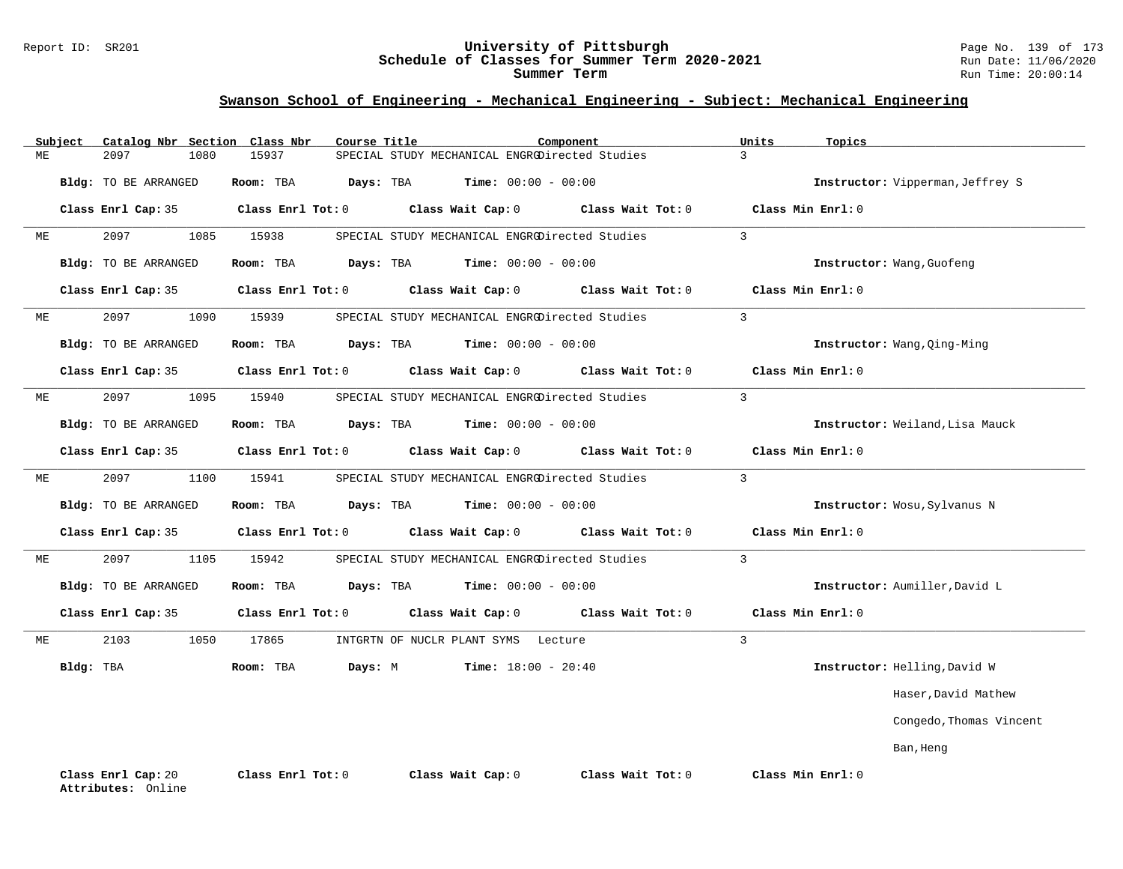### Report ID: SR201 **University of Pittsburgh** Page No. 139 of 173 **Schedule of Classes for Summer Term 2020-2021** Run Date: 11/06/2020 **Summer Term** Run Time: 20:00:14

|    | Subject   | Catalog Nbr Section Class Nbr            |      |                   | Course Title |                   |                                     | Component                                      | Units          | Topics                           |
|----|-----------|------------------------------------------|------|-------------------|--------------|-------------------|-------------------------------------|------------------------------------------------|----------------|----------------------------------|
| ME |           | 2097                                     | 1080 | 15937             |              |                   |                                     | SPECIAL STUDY MECHANICAL ENGRODirected Studies | $\overline{3}$ |                                  |
|    |           | Bldg: TO BE ARRANGED                     |      | Room: TBA         | Days: TBA    |                   | <b>Time:</b> $00:00 - 00:00$        |                                                |                | Instructor: Vipperman, Jeffrey S |
|    |           | Class Enrl Cap: 35                       |      | Class Enrl Tot: 0 |              | Class Wait Cap: 0 |                                     | Class Wait Tot: 0                              |                | Class Min Enrl: 0                |
| МE |           | 2097                                     | 1085 | 15938             |              |                   |                                     | SPECIAL STUDY MECHANICAL ENGRODirected Studies | $\overline{3}$ |                                  |
|    |           | Bldg: TO BE ARRANGED                     |      | Room: TBA         | Days: TBA    |                   | $Time: 00:00 - 00:00$               |                                                |                | Instructor: Wang, Guofeng        |
|    |           | Class Enrl Cap: 35                       |      | Class Enrl Tot: 0 |              | Class Wait Cap: 0 |                                     | Class Wait Tot: 0                              |                | Class Min Enrl: 0                |
| ME |           | 2097                                     | 1090 | 15939             |              |                   |                                     | SPECIAL STUDY MECHANICAL ENGRODirected Studies | $\overline{3}$ |                                  |
|    |           | Bldg: TO BE ARRANGED                     |      | Room: TBA         | Days: TBA    |                   | <b>Time:</b> $00:00 - 00:00$        |                                                |                | Instructor: Wang, Qing-Ming      |
|    |           | Class Enrl Cap: 35                       |      | Class Enrl Tot: 0 |              | Class Wait Cap: 0 |                                     | Class Wait Tot: 0                              |                | Class Min Enrl: 0                |
| ME |           | 2097                                     | 1095 | 15940             |              |                   |                                     | SPECIAL STUDY MECHANICAL ENGRODirected Studies | $\mathbf{3}$   |                                  |
|    |           | Bldg: TO BE ARRANGED                     |      | Room: TBA         | Days: TBA    |                   | <b>Time:</b> $00:00 - 00:00$        |                                                |                | Instructor: Weiland, Lisa Mauck  |
|    |           | Class Enrl Cap: 35                       |      | Class Enrl Tot: 0 |              | Class Wait Cap: 0 |                                     | Class Wait Tot: 0                              |                | Class Min Enrl: 0                |
| ME |           | 2097                                     | 1100 | 15941             |              |                   |                                     | SPECIAL STUDY MECHANICAL ENGRODirected Studies | $\overline{3}$ |                                  |
|    |           | Bldg: TO BE ARRANGED                     |      | Room: TBA         | Days: TBA    |                   | <b>Time:</b> $00:00 - 00:00$        |                                                |                | Instructor: Wosu, Sylvanus N     |
|    |           | Class Enrl Cap: 35                       |      | Class Enrl Tot: 0 |              | Class Wait Cap: 0 |                                     | Class Wait Tot: 0                              |                | Class Min Enrl: 0                |
| МE |           | 2097                                     | 1105 | 15942             |              |                   |                                     | SPECIAL STUDY MECHANICAL ENGRODirected Studies | $\mathbf{3}$   |                                  |
|    |           | Bldg: TO BE ARRANGED                     |      | Room: TBA         | Days: TBA    |                   | <b>Time:</b> $00:00 - 00:00$        |                                                |                | Instructor: Aumiller, David L    |
|    |           | Class Enrl Cap: 35                       |      | Class Enrl Tot: 0 |              | Class Wait Cap: 0 |                                     | Class Wait Tot: 0                              |                | Class Min Enrl: 0                |
| ME |           | 2103                                     | 1050 | 17865             |              |                   | INTGRTN OF NUCLR PLANT SYMS Lecture |                                                | $\overline{3}$ |                                  |
|    | Bldg: TBA |                                          |      | Room: TBA         | Days: M      |                   | Time: $18:00 - 20:40$               |                                                |                | Instructor: Helling, David W     |
|    |           |                                          |      |                   |              |                   |                                     |                                                |                | Haser, David Mathew              |
|    |           |                                          |      |                   |              |                   |                                     |                                                |                | Congedo, Thomas Vincent          |
|    |           |                                          |      |                   |              |                   |                                     |                                                |                | Ban, Heng                        |
|    |           | Class Enrl Cap: 20<br>Attributes: Online |      | Class Enrl Tot: 0 |              | Class Wait Cap: 0 |                                     | Class Wait Tot: 0                              |                | Class Min Enrl: 0                |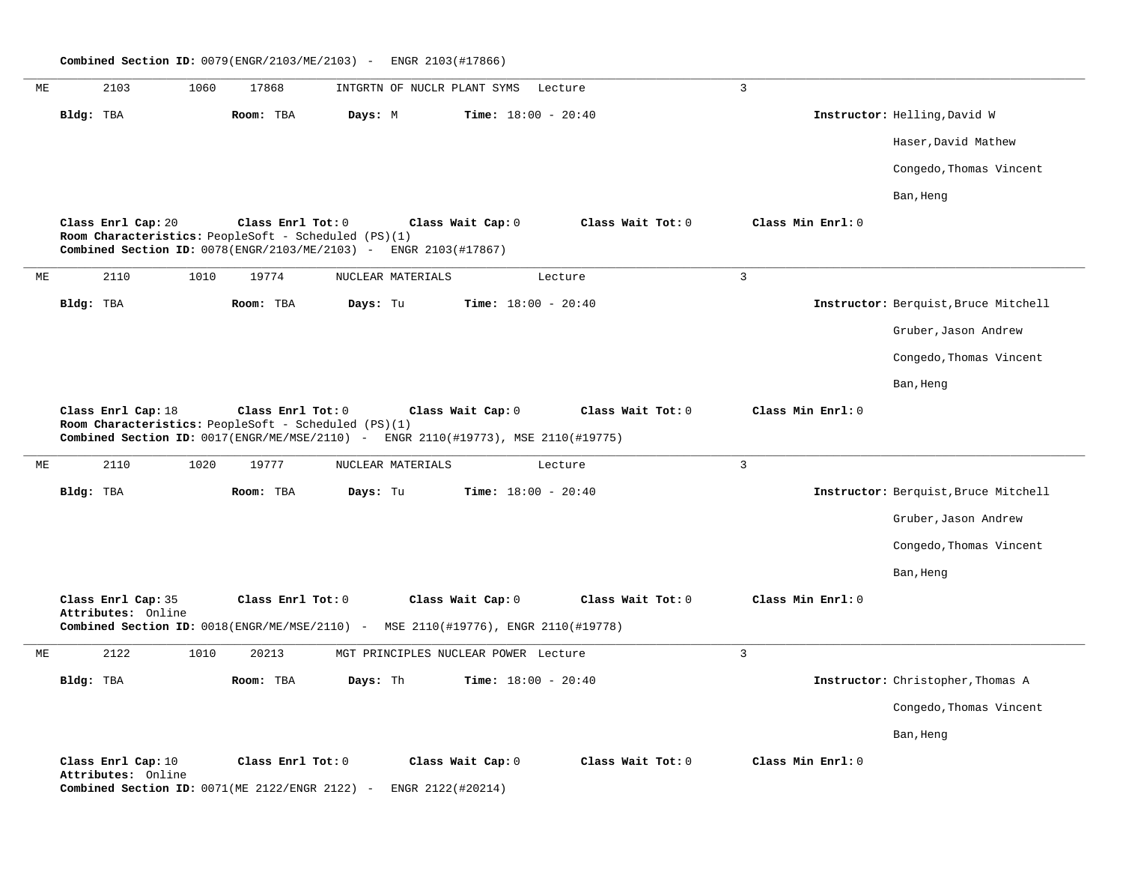**\_\_\_\_\_\_\_\_\_\_\_\_\_\_\_\_\_\_\_\_\_\_\_\_\_\_\_\_\_\_\_\_\_\_\_\_\_\_\_\_\_\_\_\_\_\_\_\_\_\_\_\_\_\_\_\_\_\_\_\_\_\_\_\_\_\_\_\_\_\_\_\_\_\_\_\_\_\_\_\_\_\_\_\_\_\_\_\_\_\_\_\_\_\_\_\_\_\_\_\_\_\_\_\_\_\_\_\_\_\_\_\_\_\_\_\_\_\_\_\_\_\_\_\_\_\_\_\_\_\_\_\_\_\_\_\_\_\_\_\_\_\_\_\_\_\_\_\_\_\_\_\_\_\_\_\_** ME 2103 1060 17868 INTGRTN OF NUCLR PLANT SYMS Lecture 3 **Bldg:** TBA **Room:** TBA **Days:** M **Time:** 18:00 - 20:40 **Instructor:** Helling,David W Haser,David Mathew Congedo,Thomas Vincent Ban, Heng **Class Enrl Cap:** 20 **Class Enrl Tot:** 0 **Class Wait Cap:** 0 **Class Wait Tot:** 0 **Class Min Enrl:** 0 **Room Characteristics:** PeopleSoft - Scheduled (PS)(1) **Combined Section ID:** 0078(ENGR/2103/ME/2103) - ENGR 2103(#17867) **\_\_\_\_\_\_\_\_\_\_\_\_\_\_\_\_\_\_\_\_\_\_\_\_\_\_\_\_\_\_\_\_\_\_\_\_\_\_\_\_\_\_\_\_\_\_\_\_\_\_\_\_\_\_\_\_\_\_\_\_\_\_\_\_\_\_\_\_\_\_\_\_\_\_\_\_\_\_\_\_\_\_\_\_\_\_\_\_\_\_\_\_\_\_\_\_\_\_\_\_\_\_\_\_\_\_\_\_\_\_\_\_\_\_\_\_\_\_\_\_\_\_\_\_\_\_\_\_\_\_\_\_\_\_\_\_\_\_\_\_\_\_\_\_\_\_\_\_\_\_\_\_\_\_\_\_** ME 2110 1010 19774 NUCLEAR MATERIALS Lecture 3 **Bldg:** TBA **Room:** TBA **Days:** Tu **Time:** 18:00 - 20:40 **Instructor:** Berquist,Bruce Mitchell Gruber,Jason Andrew Congedo,Thomas Vincent Ban, Heng **Class Enrl Cap:** 18 **Class Enrl Tot:** 0 **Class Wait Cap:** 0 **Class Wait Tot:** 0 **Class Min Enrl:** 0 **Room Characteristics:** PeopleSoft - Scheduled (PS)(1) **Combined Section ID:** 0017(ENGR/ME/MSE/2110) - ENGR 2110(#19773), MSE 2110(#19775) **\_\_\_\_\_\_\_\_\_\_\_\_\_\_\_\_\_\_\_\_\_\_\_\_\_\_\_\_\_\_\_\_\_\_\_\_\_\_\_\_\_\_\_\_\_\_\_\_\_\_\_\_\_\_\_\_\_\_\_\_\_\_\_\_\_\_\_\_\_\_\_\_\_\_\_\_\_\_\_\_\_\_\_\_\_\_\_\_\_\_\_\_\_\_\_\_\_\_\_\_\_\_\_\_\_\_\_\_\_\_\_\_\_\_\_\_\_\_\_\_\_\_\_\_\_\_\_\_\_\_\_\_\_\_\_\_\_\_\_\_\_\_\_\_\_\_\_\_\_\_\_\_\_\_\_\_** ME 2110 1020 19777 NUCLEAR MATERIALS Lecture 3 **Bldg:** TBA **Room:** TBA **Days:** Tu **Time:** 18:00 - 20:40 **Instructor:** Berquist,Bruce Mitchell Gruber,Jason Andrew Congedo, Thomas Vincent Ban, Heng **Class Enrl Cap:** 35 **Class Enrl Tot:** 0 **Class Wait Cap:** 0 **Class Wait Tot:** 0 **Class Min Enrl:** 0 **Attributes:** Online **Combined Section ID:** 0018(ENGR/ME/MSE/2110) - MSE 2110(#19776), ENGR 2110(#19778) **\_\_\_\_\_\_\_\_\_\_\_\_\_\_\_\_\_\_\_\_\_\_\_\_\_\_\_\_\_\_\_\_\_\_\_\_\_\_\_\_\_\_\_\_\_\_\_\_\_\_\_\_\_\_\_\_\_\_\_\_\_\_\_\_\_\_\_\_\_\_\_\_\_\_\_\_\_\_\_\_\_\_\_\_\_\_\_\_\_\_\_\_\_\_\_\_\_\_\_\_\_\_\_\_\_\_\_\_\_\_\_\_\_\_\_\_\_\_\_\_\_\_\_\_\_\_\_\_\_\_\_\_\_\_\_\_\_\_\_\_\_\_\_\_\_\_\_\_\_\_\_\_\_\_\_\_** ME 2122 1010 20213 MGT PRINCIPLES NUCLEAR POWER Lecture 3 **Bldg:** TBA **Room:** TBA **Days:** Th **Time:** 18:00 - 20:40 **Instructor:** Christopher,Thomas A Congedo, Thomas Vincent Ban, Heng **Class Enrl Cap:** 10 **Class Enrl Tot:** 0 **Class Wait Cap:** 0 **Class Wait Tot:** 0 **Class Min Enrl:** 0 **Attributes:** Online **Combined Section ID:** 0071(ME 2122/ENGR 2122) - ENGR 2122(#20214)

**Combined Section ID:** 0079(ENGR/2103/ME/2103) - ENGR 2103(#17866)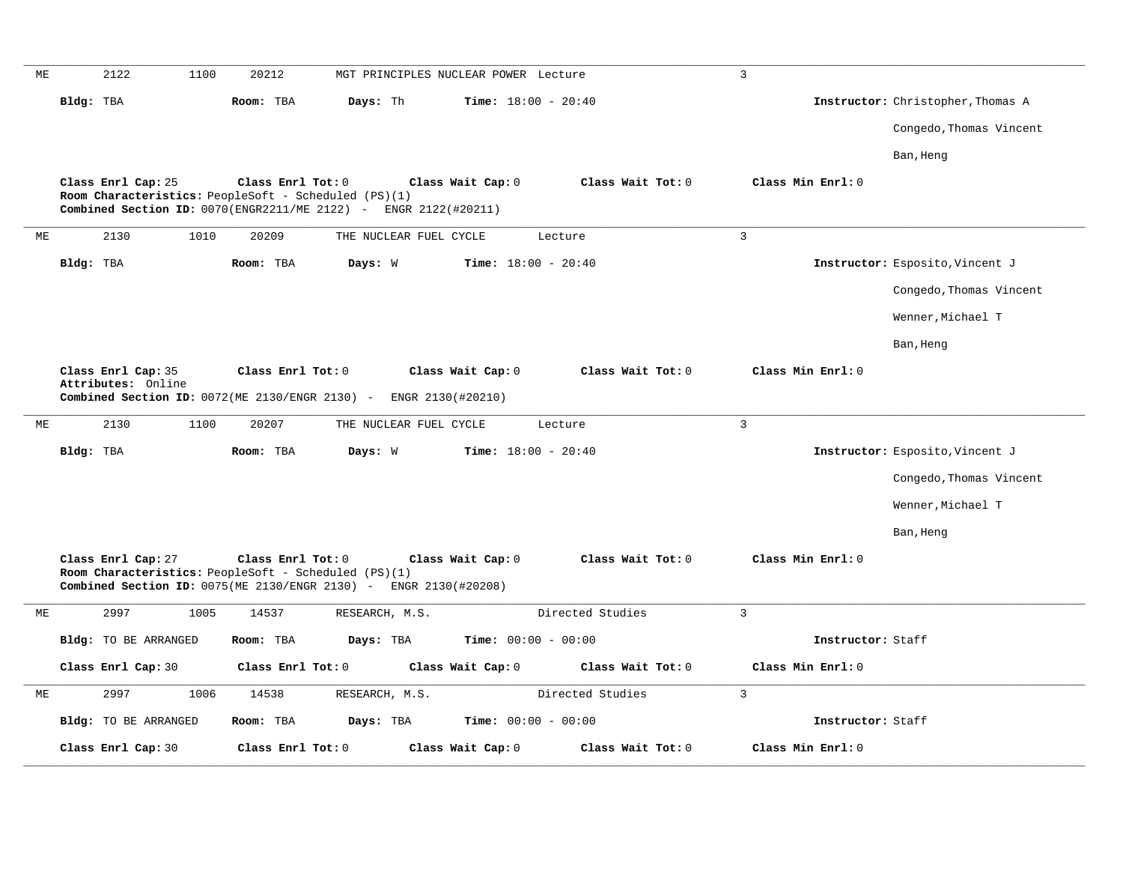| МE |           | 2122                                                     | 1100 | 20212             |                                                      | MGT PRINCIPLES NUCLEAR POWER Lecture                             |                              | 3                 |                                   |
|----|-----------|----------------------------------------------------------|------|-------------------|------------------------------------------------------|------------------------------------------------------------------|------------------------------|-------------------|-----------------------------------|
|    | Bldg: TBA |                                                          |      | Room: TBA         | Days: Th                                             |                                                                  | Time: $18:00 - 20:40$        |                   | Instructor: Christopher, Thomas A |
|    |           |                                                          |      |                   |                                                      |                                                                  |                              |                   | Congedo, Thomas Vincent           |
|    |           |                                                          |      |                   |                                                      |                                                                  |                              |                   | Ban, Heng                         |
|    |           | Class Enrl Cap: 25                                       |      | Class Enrl Tot: 0 |                                                      | Class Wait Cap: 0                                                | Class Wait Tot: 0            | Class Min Enrl: 0 |                                   |
|    |           |                                                          |      |                   | Room Characteristics: PeopleSoft - Scheduled (PS)(1) | Combined Section ID: 0070(ENGR2211/ME 2122) - ENGR 2122(#20211)  |                              |                   |                                   |
| МE |           | 2130                                                     | 1010 | 20209             |                                                      | THE NUCLEAR FUEL CYCLE                                           | Lecture                      | $\overline{3}$    |                                   |
|    | Bldg: TBA |                                                          |      | Room: TBA         | Days: W                                              |                                                                  | Time: $18:00 - 20:40$        |                   | Instructor: Esposito, Vincent J   |
|    |           |                                                          |      |                   |                                                      |                                                                  |                              |                   | Congedo, Thomas Vincent           |
|    |           |                                                          |      |                   |                                                      |                                                                  |                              |                   | Wenner, Michael T                 |
|    |           |                                                          |      |                   |                                                      |                                                                  |                              |                   |                                   |
|    |           |                                                          |      |                   |                                                      |                                                                  |                              |                   | Ban, Heng                         |
|    |           | Class Enrl Cap: 35<br>Attributes: Online                 |      | Class Enrl Tot: 0 |                                                      | Class Wait Cap: 0                                                | Class Wait Tot: 0            | Class Min Enrl: 0 |                                   |
|    |           | Combined Section ID: $0072$ (ME $2130$ / ENGR $2130$ ) - |      |                   |                                                      | ENGR 2130(#20210)                                                |                              |                   |                                   |
| МE |           | 2130                                                     | 1100 | 20207             |                                                      | THE NUCLEAR FUEL CYCLE                                           | Lecture                      | $\overline{3}$    |                                   |
|    | Bldg: TBA |                                                          |      | Room: TBA         | Days: W                                              |                                                                  | <b>Time:</b> $18:00 - 20:40$ |                   | Instructor: Esposito, Vincent J   |
|    |           |                                                          |      |                   |                                                      |                                                                  |                              |                   | Congedo, Thomas Vincent           |
|    |           |                                                          |      |                   |                                                      |                                                                  |                              |                   | Wenner, Michael T                 |
|    |           |                                                          |      |                   |                                                      |                                                                  |                              |                   | Ban, Heng                         |
|    |           | Class Enrl Cap: 27                                       |      | Class Enrl Tot: 0 |                                                      | Class Wait Cap: 0                                                | Class Wait Tot: 0            | Class Min Enrl: 0 |                                   |
|    |           |                                                          |      |                   | Room Characteristics: PeopleSoft - Scheduled (PS)(1) | Combined Section ID: 0075(ME 2130/ENGR 2130) - ENGR 2130(#20208) |                              |                   |                                   |
| МE |           | 2997                                                     | 1005 | 14537             | RESEARCH, M.S.                                       |                                                                  | Directed Studies             | $\overline{3}$    |                                   |
|    |           | <b>Bldg:</b> TO BE ARRANGED                              |      | Room: TBA         | Days: TBA                                            |                                                                  | Time: $00:00 - 00:00$        | Instructor: Staff |                                   |
|    |           | Class Enrl Cap: 30                                       |      | Class Enrl Tot: 0 |                                                      | Class Wait Cap: 0                                                | Class Wait Tot: 0            | Class Min Enrl: 0 |                                   |
| МE |           | 2997                                                     | 1006 | 14538             | RESEARCH, M.S.                                       |                                                                  | Directed Studies             | 3                 |                                   |
|    |           | <b>Bldg:</b> TO BE ARRANGED                              |      | Room: TBA         | Days: TBA                                            |                                                                  | <b>Time:</b> $00:00 - 00:00$ | Instructor: Staff |                                   |
|    |           | Class Enrl Cap: 30                                       |      | Class Enrl Tot: 0 |                                                      | Class Wait Cap: 0                                                | Class Wait Tot: 0            | Class Min Enrl: 0 |                                   |
|    |           |                                                          |      |                   |                                                      |                                                                  |                              |                   |                                   |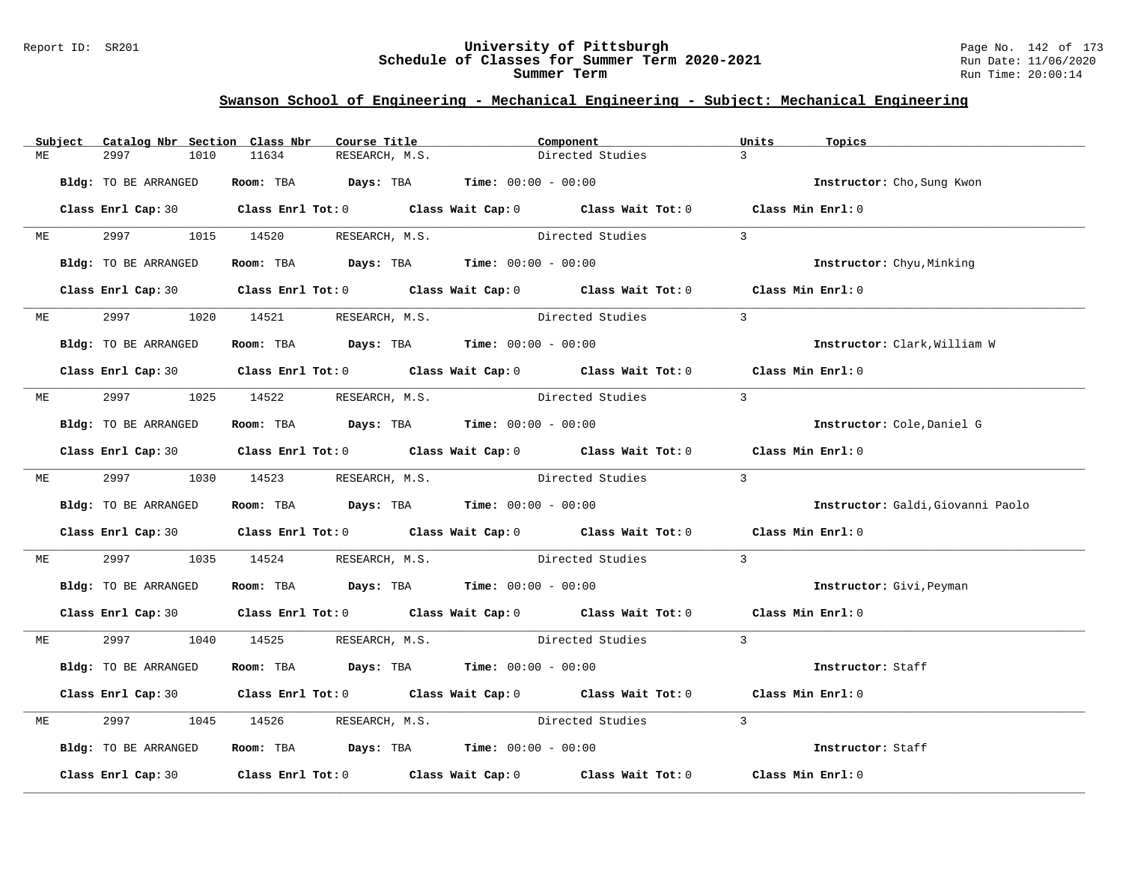### Report ID: SR201 **University of Pittsburgh** Page No. 142 of 173 **Schedule of Classes for Summer Term 2020-2021** Run Date: 11/06/2020 **Summer Term** Run Time: 20:00:14

|    | Subject | Catalog Nbr Section Class Nbr | Course Title                                                   | Component                                                                                  | Units<br>Topics                   |
|----|---------|-------------------------------|----------------------------------------------------------------|--------------------------------------------------------------------------------------------|-----------------------------------|
| МE |         | 2997<br>1010                  | 11634<br>RESEARCH, M.S.                                        | Directed Studies                                                                           | $\overline{3}$                    |
|    |         | Bldg: TO BE ARRANGED          | Room: TBA $Days:$ TBA $Time: 00:00 - 00:00$                    |                                                                                            | Instructor: Cho, Sung Kwon        |
|    |         |                               |                                                                | Class Enrl Cap: 30 Class Enrl Tot: 0 Class Wait Cap: 0 Class Wait Tot: 0 Class Min Enrl: 0 |                                   |
| ME |         | 2997 1015 14520               | RESEARCH, M.S.                                                 | Directed Studies                                                                           | $\overline{3}$                    |
|    |         | Bldg: TO BE ARRANGED          | Room: TBA $Days:$ TBA Time: $00:00 - 00:00$                    |                                                                                            | Instructor: Chyu, Minking         |
|    |         |                               |                                                                | Class Enrl Cap: 30 Class Enrl Tot: 0 Class Wait Cap: 0 Class Wait Tot: 0 Class Min Enrl: 0 |                                   |
|    | ME      |                               | 2997 1020 14521 RESEARCH, M.S.                                 | Directed Studies                                                                           | $\overline{3}$                    |
|    |         | Bldg: TO BE ARRANGED          | Room: TBA $Days: TBA$ Time: $00:00 - 00:00$                    |                                                                                            | Instructor: Clark, William W      |
|    |         |                               |                                                                | Class Enrl Cap: 30 Class Enrl Tot: 0 Class Wait Cap: 0 Class Wait Tot: 0 Class Min Enrl: 0 |                                   |
| МE |         |                               |                                                                | 2997 1025 14522 RESEARCH, M.S. Directed Studies                                            | $\overline{3}$                    |
|    |         | Bldg: TO BE ARRANGED          | Room: TBA $Days:$ TBA $Time: 00:00 - 00:00$                    |                                                                                            | Instructor: Cole, Daniel G        |
|    |         |                               |                                                                | Class Enrl Cap: 30 Class Enrl Tot: 0 Class Wait Cap: 0 Class Wait Tot: 0 Class Min Enrl: 0 |                                   |
|    | ME      |                               |                                                                | 2997 1030 14523 RESEARCH, M.S. Directed Studies                                            | $\mathcal{E}$                     |
|    |         | Bldg: TO BE ARRANGED          | Room: TBA $Days:$ TBA $Time: 00:00 - 00:00$                    |                                                                                            | Instructor: Galdi, Giovanni Paolo |
|    |         |                               |                                                                | Class Enrl Cap: 30 Class Enrl Tot: 0 Class Wait Cap: 0 Class Wait Tot: 0 Class Min Enrl: 0 |                                   |
| МE |         | 2997                          |                                                                | 1035 14524 RESEARCH, M.S. Directed Studies                                                 | $\overline{3}$                    |
|    |         | Bldg: TO BE ARRANGED          | Room: TBA $\rule{1em}{0.15mm}$ Days: TBA Time: $00:00 - 00:00$ |                                                                                            | Instructor: Givi, Peyman          |
|    |         |                               |                                                                | Class Enrl Cap: 30 Class Enrl Tot: 0 Class Wait Cap: 0 Class Wait Tot: 0 Class Min Enrl: 0 |                                   |
| МE |         |                               |                                                                | 2997 1040 14525 RESEARCH, M.S. Directed Studies                                            | $\overline{3}$                    |
|    |         | Bldg: TO BE ARRANGED          | Room: TBA $Days:$ TBA $Time: 00:00 - 00:00$                    |                                                                                            | Instructor: Staff                 |
|    |         |                               |                                                                | Class Enrl Cap: 30 Class Enrl Tot: 0 Class Wait Cap: 0 Class Wait Tot: 0 Class Min Enrl: 0 |                                   |
| МE |         | 2997<br>1045                  |                                                                | 14526 RESEARCH, M.S. Directed Studies                                                      | $\overline{3}$                    |
|    |         | Bldg: TO BE ARRANGED          | Room: TBA $Days:$ TBA $Time:$ 00:00 - 00:00                    |                                                                                            | Instructor: Staff                 |
|    |         |                               |                                                                | Class Enrl Cap: 30 Class Enrl Tot: 0 Class Wait Cap: 0 Class Wait Tot: 0 Class Min Enrl: 0 |                                   |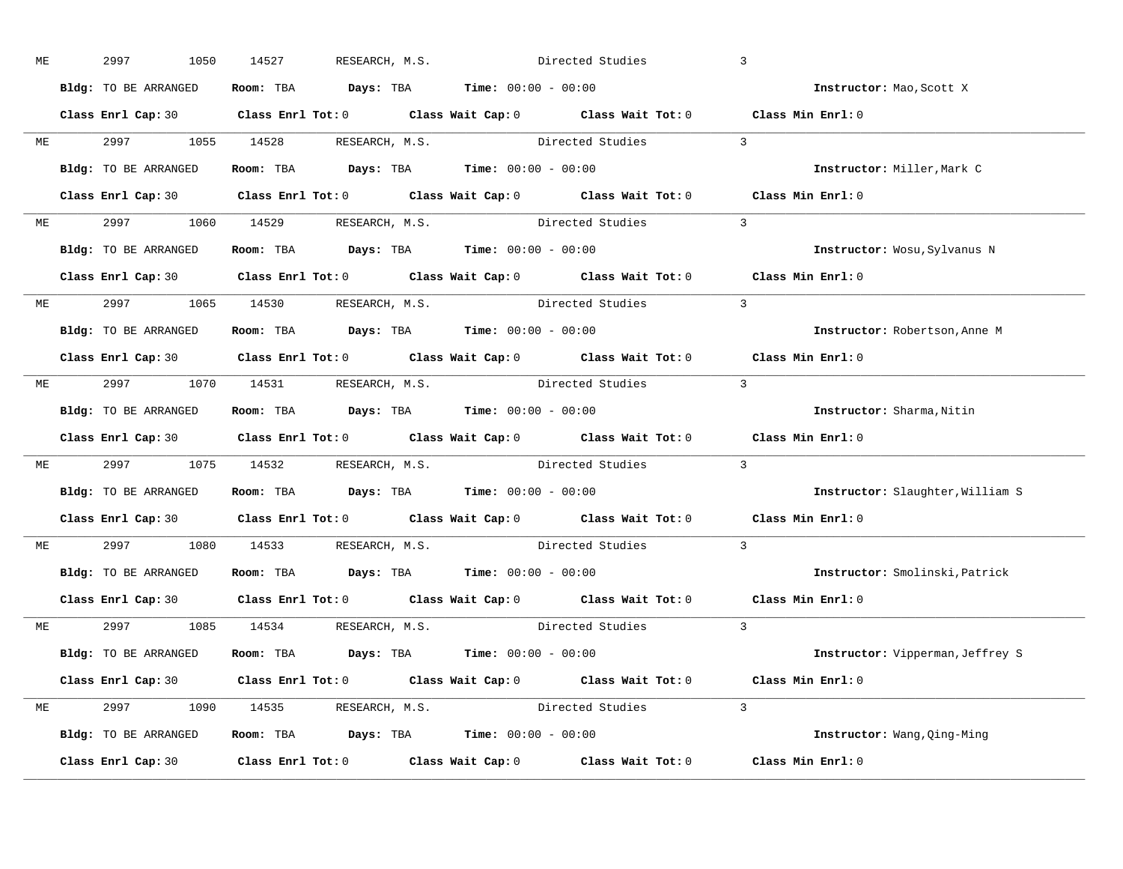| МE |              | 2997<br>1050         | 14527<br>RESEARCH, M.S.                                                                             | Directed Studies                                                        |                    | $\overline{3}$                   |
|----|--------------|----------------------|-----------------------------------------------------------------------------------------------------|-------------------------------------------------------------------------|--------------------|----------------------------------|
|    |              | Bldg: TO BE ARRANGED | Room: TBA $\rule{1em}{0.15mm}$ Days: TBA $\rule{1.5mm}{0.15mm}$ Time: $00:00 - 00:00$               |                                                                         |                    | Instructor: Mao, Scott X         |
|    |              |                      | Class Enrl Cap: 30 Class Enrl Tot: 0 Class Wait Cap: 0 Class Wait Tot: 0 Class Min Enrl: 0          |                                                                         |                    |                                  |
|    |              |                      | ME 2997 1055 14528 RESEARCH, M.S. Directed Studies 3                                                |                                                                         |                    |                                  |
|    |              | Bldg: TO BE ARRANGED | Room: TBA $\rule{1em}{0.15mm}$ Days: TBA $\rule{1.15mm}]{0.15mm}$ Time: $0.000 - 0.0000$            |                                                                         |                    | Instructor: Miller, Mark C       |
|    |              |                      | Class Enrl Cap: 30 Class Enrl Tot: 0 Class Wait Cap: 0 Class Wait Tot: 0 Class Min Enrl: 0          |                                                                         |                    |                                  |
| ME |              |                      | 2997 1060 14529 RESEARCH, M.S. Directed Studies 3                                                   |                                                                         |                    |                                  |
|    |              |                      | <b>Bldg:</b> TO BE ARRANGED <b>Room:</b> TBA <b>Days:</b> TBA <b>Time:</b> $00:00 - 00:00$          |                                                                         |                    | Instructor: Wosu, Sylvanus N     |
|    |              |                      | Class Enrl Cap: 30 Class Enrl Tot: 0 Class Wait Cap: 0 Class Wait Tot: 0 Class Min Enrl: 0          |                                                                         |                    |                                  |
|    |              |                      | ME 2997 1065 14530 RESEARCH, M.S. Directed Studies 3                                                |                                                                         |                    |                                  |
|    |              | Bldg: TO BE ARRANGED | Room: TBA $\rule{1em}{0.15mm}$ Days: TBA Time: $00:00 - 00:00$                                      |                                                                         |                    | Instructor: Robertson, Anne M    |
|    |              |                      | Class Enrl Cap: 30 Class Enrl Tot: 0 Class Wait Cap: 0 Class Wait Tot: 0 Class Min Enrl: 0          |                                                                         |                    |                                  |
|    |              |                      | ME 2997 1070 14531 RESEARCH, M.S.                                                                   |                                                                         | Directed Studies 3 |                                  |
|    |              | Bldg: TO BE ARRANGED | Room: TBA $\rule{1em}{0.15mm}$ Days: TBA Time: $00:00 - 00:00$                                      |                                                                         |                    | Instructor: Sharma, Nitin        |
|    |              |                      | Class Enrl Cap: 30 Class Enrl Tot: 0 Class Wait Cap: 0 Class Wait Tot: 0 Class Min Enrl: 0          |                                                                         |                    |                                  |
| МE |              |                      | 2997 1075 14532 RESEARCH, M.S. Directed Studies                                                     |                                                                         |                    | $\overline{3}$                   |
|    |              | Bldg: TO BE ARRANGED | Room: TBA $\rule{1em}{0.15mm}$ Days: TBA Time: $00:00 - 00:00$                                      |                                                                         |                    | Instructor: Slaughter, William S |
|    |              |                      | Class Enrl Cap: 30 $\qquad$ Class Enrl Tot: 0 $\qquad$ Class Wait Cap: 0 $\qquad$ Class Wait Tot: 0 |                                                                         |                    | Class Min Enrl: 0                |
|    | <b>ME ME</b> |                      | 2997 1080 14533 RESEARCH, M.S. Directed Studies                                                     |                                                                         |                    | $\overline{3}$                   |
|    |              |                      | Bldg: TO BE ARRANGED ROOM: TBA Days: TBA Time: 00:00 - 00:00                                        |                                                                         |                    | Instructor: Smolinski, Patrick   |
|    |              | Class Enrl Cap: 30   | Class Enrl Tot: $0$ Class Wait Cap: $0$ Class Wait Tot: $0$                                         |                                                                         |                    | Class Min Enrl: 0                |
|    |              |                      | ME 2997 1085 14534 RESEARCH, M.S.                                                                   | Directed Studies                                                        | $\sim$ 3           |                                  |
|    |              | Bldg: TO BE ARRANGED | Room: TBA $\rule{1em}{0.15mm}$ Days: TBA $\rule{1.15mm}]{0.15mm}$ Time: $0.000 - 0.000$             |                                                                         |                    | Instructor: Vipperman, Jeffrey S |
|    |              |                      | Class Enrl Cap: 30 Class Enrl Tot: 0 Class Wait Cap: 0 Class Wait Tot: 0 Class Min Enrl: 0          |                                                                         |                    |                                  |
|    |              |                      | ME 2997 1090 14535 RESEARCH, M.S. Directed Studies 3                                                |                                                                         |                    |                                  |
|    |              | Bldg: TO BE ARRANGED | Room: TBA $Days:$ TBA $Time: 00:00 - 00:00$                                                         |                                                                         |                    | Instructor: Wang, Qing-Ming      |
|    |              | Class Enrl Cap: 30   |                                                                                                     | Class Enrl Tot: 0 Class Wait Cap: 0 Class Wait Tot: 0 Class Min Enrl: 0 |                    |                                  |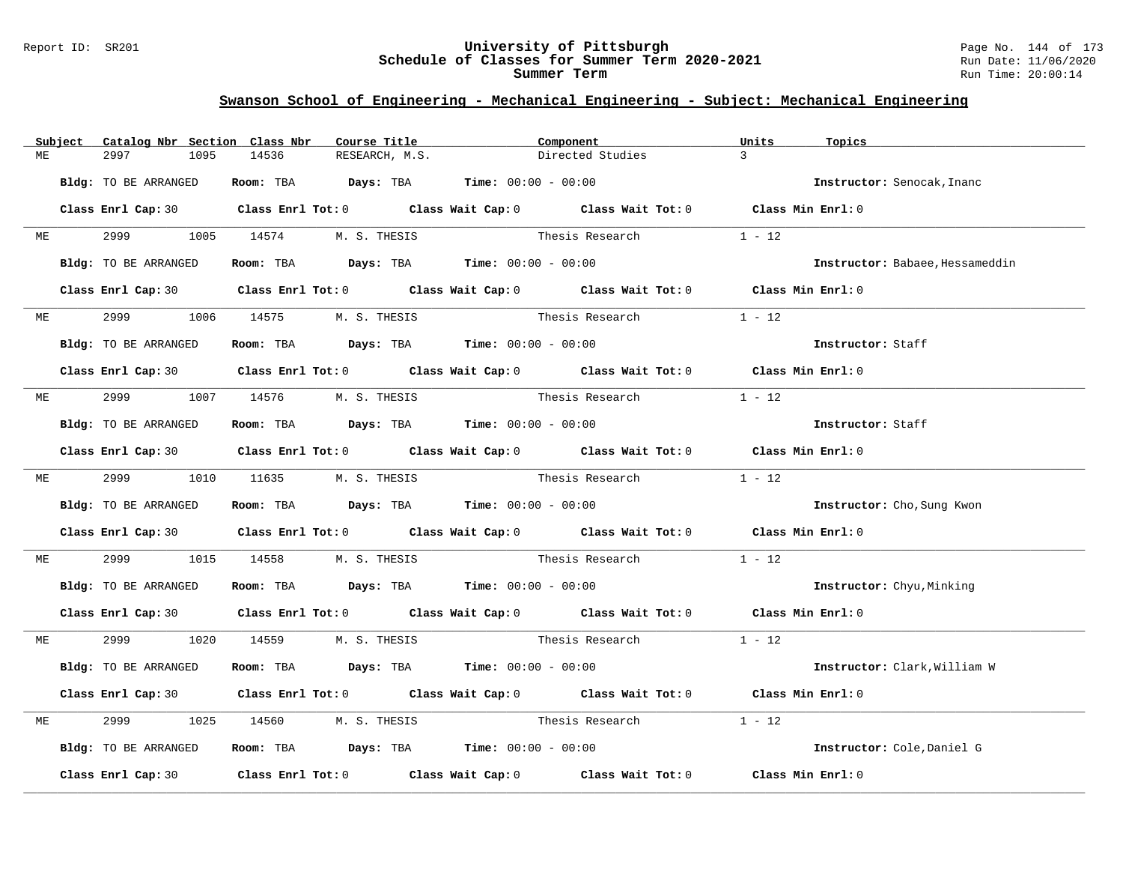### Report ID: SR201 **University of Pittsburgh** Page No. 144 of 173 **Schedule of Classes for Summer Term 2020-2021** Run Date: 11/06/2020 **Summer Term** Run Time: 20:00:14

|    | Subject   | Catalog Nbr Section Class Nbr | Course Title                                                                               | Component |                          | Units<br>Topics   |                                 |
|----|-----------|-------------------------------|--------------------------------------------------------------------------------------------|-----------|--------------------------|-------------------|---------------------------------|
| МE |           | 2997<br>1095                  | 14536<br>RESEARCH, M.S.                                                                    |           | Directed Studies         | $\overline{3}$    |                                 |
|    |           | Bldg: TO BE ARRANGED          | <b>Room:</b> TBA $Days:$ TBA $Time: 00:00 - 00:00$                                         |           |                          |                   | Instructor: Senocak, Inanc      |
|    |           |                               | Class Enrl Cap: 30 Class Enrl Tot: 0 Class Wait Cap: 0 Class Wait Tot: 0 Class Min Enrl: 0 |           |                          |                   |                                 |
| ME |           |                               | 2999 1005 14574 M.S. THESIS                                                                |           | Thesis Research          | $1 - 12$          |                                 |
|    |           | Bldg: TO BE ARRANGED          | Room: TBA $Days:$ TBA Time: $00:00 - 00:00$                                                |           |                          |                   | Instructor: Babaee, Hessameddin |
|    |           |                               | Class Enrl Cap: 30 Class Enrl Tot: 0 Class Wait Cap: 0 Class Wait Tot: 0 Class Min Enrl: 0 |           |                          |                   |                                 |
|    | <b>ME</b> |                               | 2999 1006 14575 M.S. THESIS                                                                |           | Thesis Research          | $1 - 12$          |                                 |
|    |           | Bldg: TO BE ARRANGED          | Room: TBA $Days:$ TBA $Time: 00:00 - 00:00$                                                |           |                          | Instructor: Staff |                                 |
|    |           |                               | Class Enrl Cap: 30 Class Enrl Tot: 0 Class Wait Cap: 0 Class Wait Tot: 0 Class Min Enrl: 0 |           |                          |                   |                                 |
| ME |           |                               | 2999 1007 14576 M.S. THESIS Thesis Research                                                |           |                          | $1 - 12$          |                                 |
|    |           | Bldg: TO BE ARRANGED          | Room: TBA Days: TBA Time: $00:00 - 00:00$                                                  |           |                          | Instructor: Staff |                                 |
|    |           |                               | Class Enrl Cap: 30 Class Enrl Tot: 0 Class Wait Cap: 0 Class Wait Tot: 0 Class Min Enrl: 0 |           |                          |                   |                                 |
|    |           |                               | ME 2999 1010 11635 M.S. THESIS                                                             |           | Thesis Research          | $1 - 12$          |                                 |
|    |           | Bldg: TO BE ARRANGED          | Room: TBA $\rule{1em}{0.15mm}$ Days: TBA $\rule{1.5mm}{0.15mm}$ Time: $00:00 - 00:00$      |           |                          |                   | Instructor: Cho, Sung Kwon      |
|    |           |                               | Class Enrl Cap: 30 Class Enrl Tot: 0 Class Wait Cap: 0 Class Wait Tot: 0 Class Min Enrl: 0 |           |                          |                   |                                 |
| МE |           | 2999 — 200                    | 1015 14558 M.S. THESIS Thesis Research                                                     |           |                          | $1 - 12$          |                                 |
|    |           | Bldg: TO BE ARRANGED          | Room: TBA $\rule{1em}{0.15mm}$ Days: TBA Time: $00:00 - 00:00$                             |           |                          |                   | Instructor: Chyu, Minking       |
|    |           |                               | Class Enrl Cap: 30 Class Enrl Tot: 0 Class Wait Cap: 0 Class Wait Tot: 0 Class Min Enrl: 0 |           |                          |                   |                                 |
| ME |           |                               | 2999 1020 14559 M.S. THESIS                                                                |           | Thesis Research $1 - 12$ |                   |                                 |
|    |           | Bldg: TO BE ARRANGED          | Room: TBA $Days:$ TBA $Time: 00:00 - 00:00$                                                |           |                          |                   | Instructor: Clark, William W    |
|    |           |                               | Class Enrl Cap: 30 Class Enrl Tot: 0 Class Wait Cap: 0 Class Wait Tot: 0 Class Min Enrl: 0 |           |                          |                   |                                 |
| МE |           | 2999                          | 1025 14560 M.S. THESIS Thesis Research                                                     |           |                          | $1 - 12$          |                                 |
|    |           | Bldg: TO BE ARRANGED          | Room: TBA $Days:$ TBA Time: $00:00 - 00:00$                                                |           |                          |                   | Instructor: Cole, Daniel G      |
|    |           |                               | Class Enrl Cap: 30 Class Enrl Tot: 0 Class Wait Cap: 0 Class Wait Tot: 0 Class Min Enrl: 0 |           |                          |                   |                                 |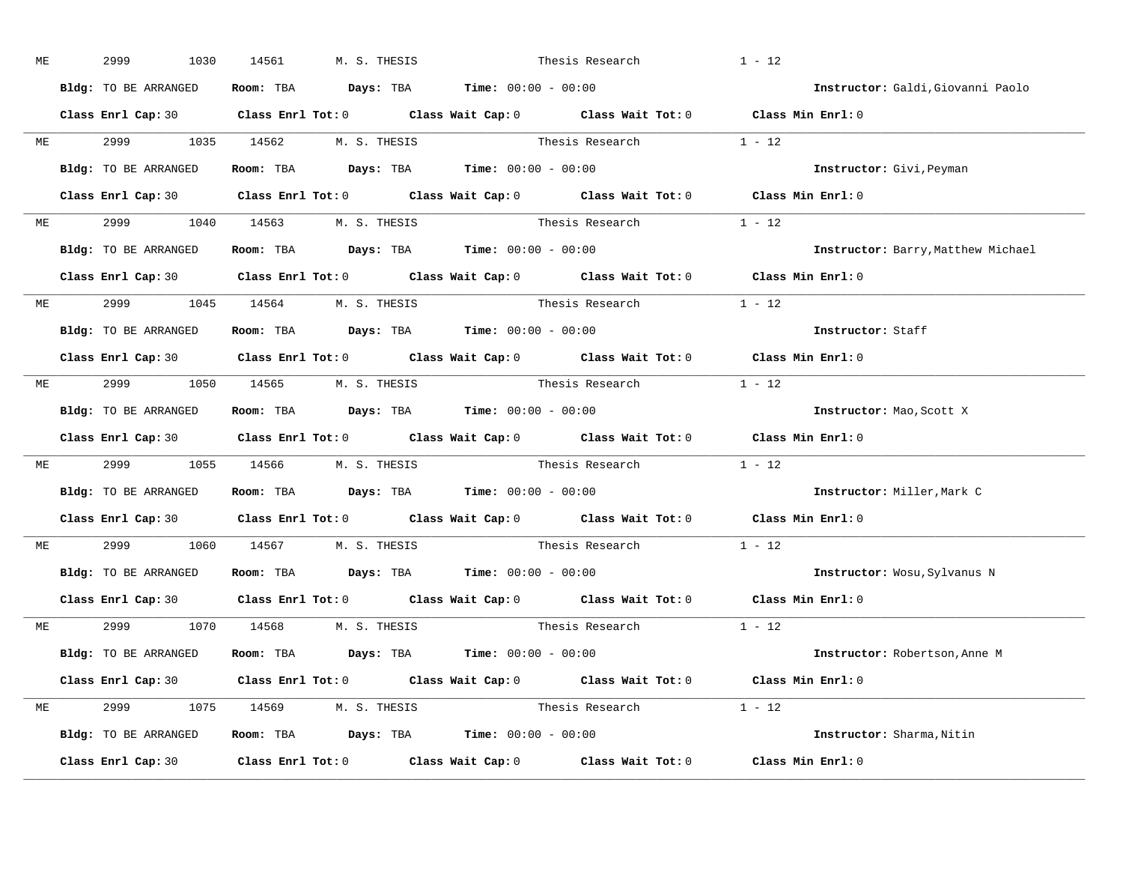| ME |           | 2999<br>1030                   | 14561 | M. S. THESIS |                                                                                       | Thesis Research                                                                                     | $1 - 12$                                                                                   |
|----|-----------|--------------------------------|-------|--------------|---------------------------------------------------------------------------------------|-----------------------------------------------------------------------------------------------------|--------------------------------------------------------------------------------------------|
|    |           | Bldg: TO BE ARRANGED           |       |              | Room: TBA $\rule{1em}{0.15mm}$ Days: TBA Time: $00:00 - 00:00$                        |                                                                                                     | Instructor: Galdi, Giovanni Paolo                                                          |
|    |           |                                |       |              |                                                                                       |                                                                                                     | Class Enrl Cap: 30 Class Enrl Tot: 0 Class Wait Cap: 0 Class Wait Tot: 0 Class Min Enrl: 0 |
|    |           |                                |       |              |                                                                                       | ME 2999 1035 14562 M.S. THESIS Thesis Research 1 - 12                                               |                                                                                            |
|    |           | Bldg: TO BE ARRANGED           |       |              | Room: TBA $\rule{1em}{0.15mm}$ Days: TBA Time: $00:00 - 00:00$                        |                                                                                                     | Instructor: Givi, Peyman                                                                   |
|    |           |                                |       |              |                                                                                       |                                                                                                     | Class Enrl Cap: 30 Class Enrl Tot: 0 Class Wait Cap: 0 Class Wait Tot: 0 Class Min Enrl: 0 |
|    |           | ME 2999 1040 14563 M.S. THESIS |       |              |                                                                                       | Thesis Research $1 - 12$                                                                            |                                                                                            |
|    |           |                                |       |              | Bldg: TO BE ARRANGED Room: TBA Days: TBA Time: 00:00 - 00:00                          |                                                                                                     | Instructor: Barry, Matthew Michael                                                         |
|    |           |                                |       |              |                                                                                       |                                                                                                     | Class Enrl Cap: 30 Class Enrl Tot: 0 Class Wait Cap: 0 Class Wait Tot: 0 Class Min Enrl: 0 |
|    |           | ME 2999 1045 14564 M.S. THESIS |       |              |                                                                                       | Thesis Research 1 - 12                                                                              |                                                                                            |
|    |           | Bldg: TO BE ARRANGED           |       |              | Room: TBA $\rule{1em}{0.15mm}$ Days: TBA $\rule{1.5mm}{0.15mm}$ Time: $00:00 - 00:00$ |                                                                                                     | Instructor: Staff                                                                          |
|    |           |                                |       |              |                                                                                       |                                                                                                     | Class Enrl Cap: 30 Class Enrl Tot: 0 Class Wait Cap: 0 Class Wait Tot: 0 Class Min Enrl: 0 |
|    |           | ME 2999 1050 14565 M.S. THESIS |       |              |                                                                                       | Thesis Research $1 - 12$                                                                            |                                                                                            |
|    |           | Bldg: TO BE ARRANGED           |       |              | Room: TBA $\rule{1em}{0.15mm}$ Days: TBA Time: $00:00 - 00:00$                        |                                                                                                     | Instructor: Mao,Scott X                                                                    |
|    |           |                                |       |              |                                                                                       |                                                                                                     | Class Enrl Cap: 30 Class Enrl Tot: 0 Class Wait Cap: 0 Class Wait Tot: 0 Class Min Enrl: 0 |
| ME |           |                                |       |              |                                                                                       | $2999$ 1055 14566 M.S. THESIS Thesis Research 1 - 12                                                |                                                                                            |
|    |           | Bldg: TO BE ARRANGED           |       |              | Room: TBA $\rule{1em}{0.15mm}$ Days: TBA $\rule{1.5mm}{0.15mm}$ Time: $00:00 - 00:00$ |                                                                                                     | Instructor: Miller, Mark C                                                                 |
|    |           |                                |       |              |                                                                                       | Class Enrl Cap: 30 $\qquad$ Class Enrl Tot: 0 $\qquad$ Class Wait Cap: 0 $\qquad$ Class Wait Tot: 0 | Class Min Enrl: 0                                                                          |
|    | <b>ME</b> | 2999 1060 14567 M.S. THESIS    |       |              |                                                                                       | Thesis Research                                                                                     | $1 - 12$                                                                                   |
|    |           |                                |       |              | Bldg: TO BE ARRANGED Room: TBA Days: TBA Time: 00:00 - 00:00                          |                                                                                                     | Instructor: Wosu, Sylvanus N                                                               |
|    |           | Class Enrl Cap: 30             |       |              |                                                                                       | Class Enrl Tot: $0$ Class Wait Cap: $0$ Class Wait Tot: $0$                                         | Class Min Enrl: 0                                                                          |
|    |           | ME 2999 1070 14568 M.S. THESIS |       |              | Thesis Research                                                                       |                                                                                                     | $1 - 12$                                                                                   |
|    |           | Bldg: TO BE ARRANGED           |       |              | Room: TBA $Days:$ TBA $Time: 00:00 - 00:00$                                           |                                                                                                     | Instructor: Robertson, Anne M                                                              |
|    |           |                                |       |              |                                                                                       |                                                                                                     | Class Enrl Cap: 30 Class Enrl Tot: 0 Class Wait Cap: 0 Class Wait Tot: 0 Class Min Enrl: 0 |
|    |           | ME 2999 1075 14569 M.S. THESIS |       |              |                                                                                       | Thesis Research $1 - 12$                                                                            |                                                                                            |
|    |           |                                |       |              | Bldg: TO BE ARRANGED Room: TBA Days: TBA Time: 00:00 - 00:00                          |                                                                                                     | Instructor: Sharma, Nitin                                                                  |
|    |           |                                |       |              |                                                                                       |                                                                                                     | Class Enrl Cap: 30 Class Enrl Tot: 0 Class Wait Cap: 0 Class Wait Tot: 0 Class Min Enrl: 0 |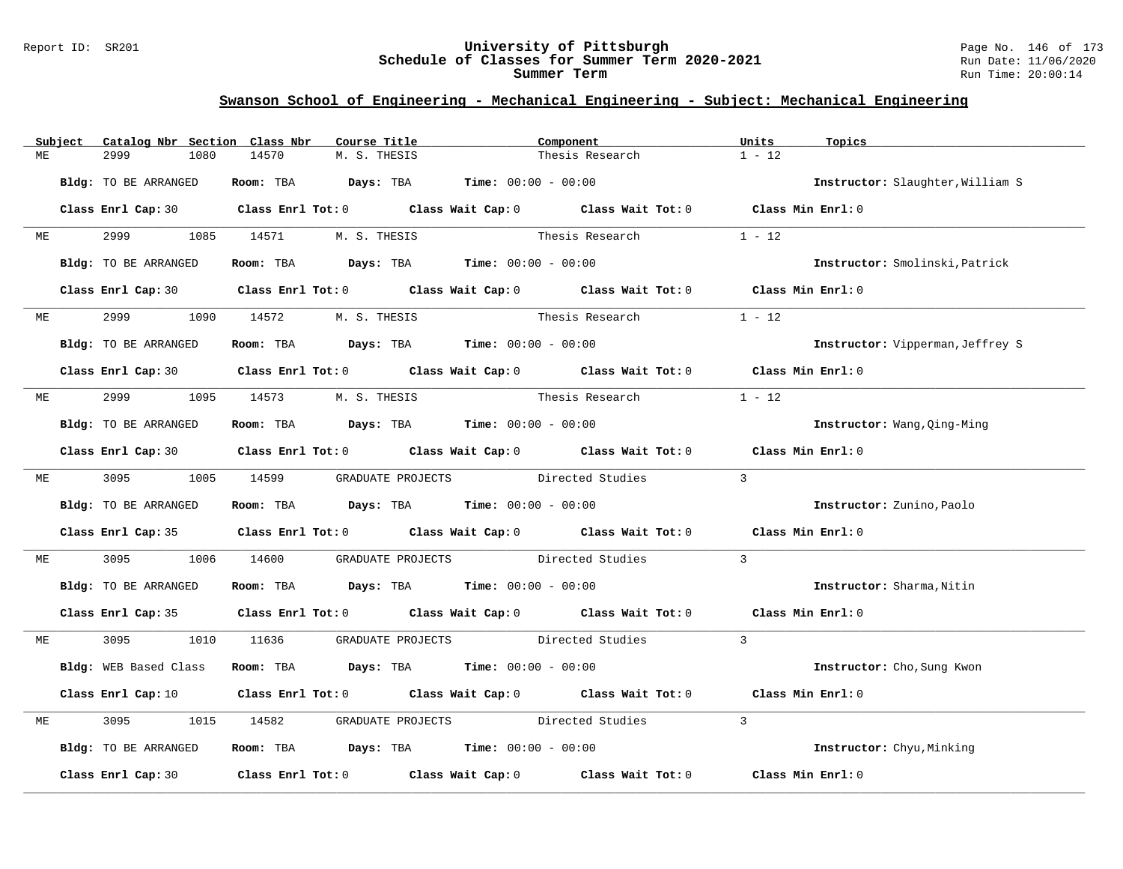#### Report ID: SR201 **University of Pittsburgh** Page No. 146 of 173 **Schedule of Classes for Summer Term 2020-2021** Run Date: 11/06/2020 **Summer Term** Run Time: 20:00:14

|    | Subject   | Catalog Nbr Section Class Nbr | Course Title                                                                                        | Component                          |                 | Units<br>Topics                  |
|----|-----------|-------------------------------|-----------------------------------------------------------------------------------------------------|------------------------------------|-----------------|----------------------------------|
| МE |           | 2999<br>1080                  | 14570<br>M. S. THESIS                                                                               |                                    | Thesis Research | $1 - 12$                         |
|    |           |                               |                                                                                                     |                                    |                 |                                  |
|    |           | Bldg: TO BE ARRANGED          | Room: TBA $Days: TBA$ Time: $00:00 - 00:00$                                                         |                                    |                 | Instructor: Slaughter, William S |
|    |           |                               |                                                                                                     |                                    |                 |                                  |
|    |           |                               | Class Enrl Cap: 30 Class Enrl Tot: 0 Class Wait Cap: 0 Class Wait Tot: 0 Class Min Enrl: 0          |                                    |                 |                                  |
| ME |           |                               | 2999 1085 14571 M.S. THESIS                                                                         |                                    | Thesis Research | $1 - 12$                         |
|    |           |                               |                                                                                                     |                                    |                 |                                  |
|    |           | Bldg: TO BE ARRANGED          | Room: TBA $Days:$ TBA $Time: 00:00 - 00:00$                                                         |                                    |                 | Instructor: Smolinski, Patrick   |
|    |           |                               |                                                                                                     |                                    |                 |                                  |
|    |           |                               | Class Enrl Cap: 30 Class Enrl Tot: 0 Class Wait Cap: 0 Class Wait Tot: 0 Class Min Enrl: 0          |                                    |                 |                                  |
|    |           |                               |                                                                                                     |                                    |                 |                                  |
|    | ME        | 2999<br>1090                  | 14572<br>M. S. THESIS                                                                               |                                    | Thesis Research | $1 - 12$                         |
|    |           | Bldg: TO BE ARRANGED          | <b>Room:</b> TBA <b>Days:</b> TBA <b>Time:</b> 00:00 - 00:00                                        |                                    |                 | Instructor: Vipperman, Jeffrey S |
|    |           |                               |                                                                                                     |                                    |                 |                                  |
|    |           |                               | Class Enrl Cap: 30 Class Enrl Tot: 0 Class Wait Cap: 0 Class Wait Tot: 0 Class Min Enrl: 0          |                                    |                 |                                  |
|    |           |                               |                                                                                                     |                                    |                 |                                  |
| МE |           | 2999 (1988)                   | 1095 14573 M.S. THESIS                                                                              | Thesis Research                    |                 | $1 - 12$                         |
|    |           |                               |                                                                                                     |                                    |                 |                                  |
|    |           | Bldg: TO BE ARRANGED          | Room: TBA $Days:$ TBA $Time: 00:00 - 00:00$                                                         |                                    |                 | Instructor: Wang, Qing-Ming      |
|    |           |                               | Class Enrl Cap: 30 Class Enrl Tot: 0 Class Wait Cap: 0 Class Wait Tot: 0 Class Min Enrl: 0          |                                    |                 |                                  |
|    |           |                               |                                                                                                     |                                    |                 |                                  |
|    | <b>ME</b> | 3095 1005 14599               |                                                                                                     | GRADUATE PROJECTS Directed Studies |                 | $\overline{3}$                   |
|    |           |                               |                                                                                                     |                                    |                 |                                  |
|    |           | Bldg: TO BE ARRANGED          | Room: TBA $\rule{1em}{0.15mm}$ Days: TBA $\rule{1.5mm}{0.15mm}$ Time: $00:00 - 00:00$               |                                    |                 | Instructor: Zunino, Paolo        |
|    |           |                               |                                                                                                     |                                    |                 |                                  |
|    |           |                               | Class Enrl Cap: 35 Class Enrl Tot: 0 Class Wait Cap: 0 Class Wait Tot: 0 Class Min Enrl: 0          |                                    |                 |                                  |
| МE |           | 3095<br>1006                  | 14600                                                                                               | GRADUATE PROJECTS Directed Studies |                 | $\overline{3}$                   |
|    |           |                               |                                                                                                     |                                    |                 |                                  |
|    |           | Bldg: TO BE ARRANGED          | Room: TBA $Days:$ TBA $Time: 00:00 - 00:00$                                                         |                                    |                 | Instructor: Sharma, Nitin        |
|    |           |                               |                                                                                                     |                                    |                 |                                  |
|    |           |                               | Class Enrl Cap: 35 Class Enrl Tot: 0 Class Wait Cap: 0 Class Wait Tot: 0 Class Min Enrl: 0          |                                    |                 |                                  |
|    |           |                               |                                                                                                     |                                    |                 |                                  |
| МE |           | 3095 300                      | 1010 11636 GRADUATE PROJECTS Directed Studies                                                       |                                    |                 | $\overline{3}$                   |
|    |           | Bldg: WEB Based Class         | Room: TBA $Days:$ TBA $Time: 00:00 - 00:00$                                                         |                                    |                 | Instructor: Cho, Sung Kwon       |
|    |           |                               |                                                                                                     |                                    |                 |                                  |
|    |           |                               | Class Enrl Cap: 10 $\qquad$ Class Enrl Tot: 0 $\qquad$ Class Wait Cap: 0 $\qquad$ Class Wait Tot: 0 |                                    |                 | Class Min Enrl: 0                |
|    |           |                               |                                                                                                     |                                    |                 |                                  |
| МE |           | 3095<br>1015                  | 14582                                                                                               | GRADUATE PROJECTS Directed Studies |                 | $\mathcal{L}$                    |
|    |           |                               |                                                                                                     |                                    |                 |                                  |
|    |           | Bldg: TO BE ARRANGED          | Room: TBA $Days:$ TBA $Time: 00:00 - 00:00$                                                         |                                    |                 | Instructor: Chyu, Minking        |
|    |           |                               |                                                                                                     |                                    |                 |                                  |
|    |           |                               | Class Enrl Cap: 30 $\qquad$ Class Enrl Tot: 0 $\qquad$ Class Wait Cap: 0 $\qquad$ Class Wait Tot: 0 |                                    |                 | Class Min Enrl: 0                |
|    |           |                               |                                                                                                     |                                    |                 |                                  |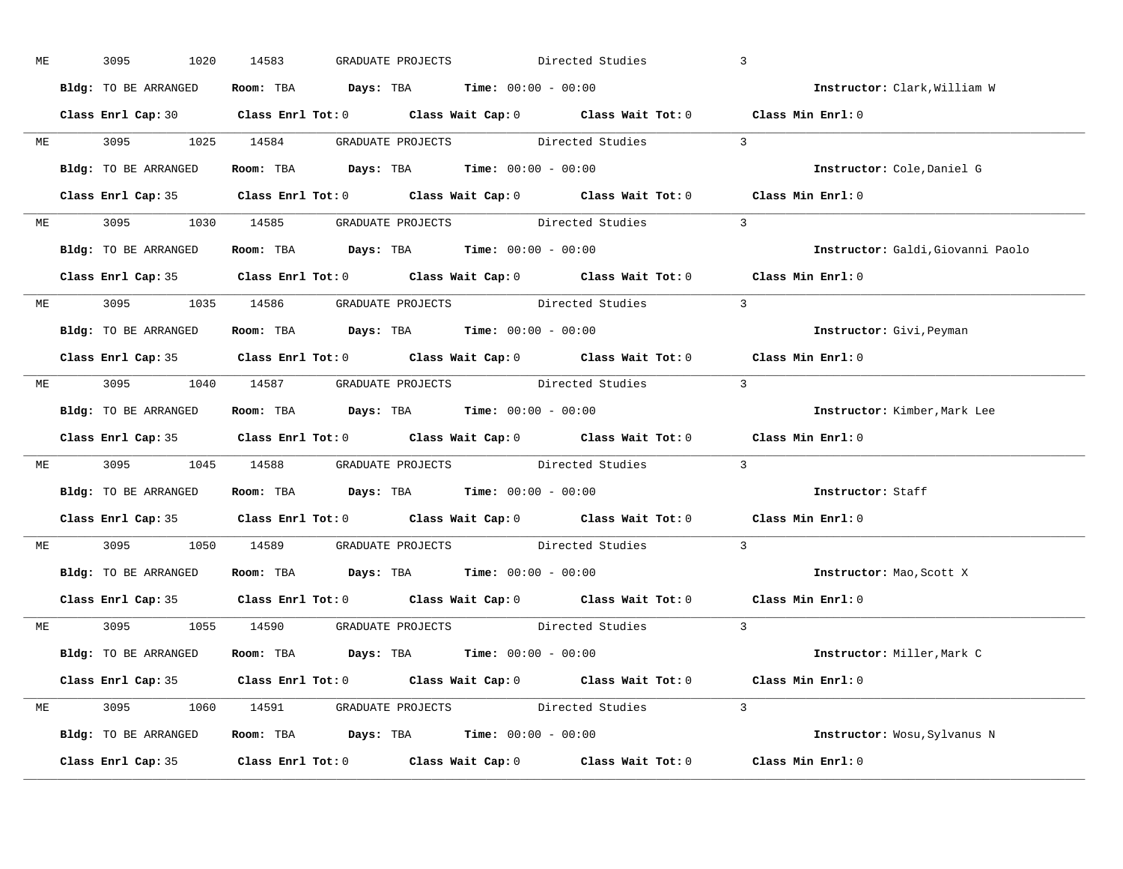| ME | 3095<br>1020         | 14583<br>GRADUATE PROJECTS                                                                 | Directed Studies | $\overline{3}$                    |
|----|----------------------|--------------------------------------------------------------------------------------------|------------------|-----------------------------------|
|    | Bldg: TO BE ARRANGED | Room: TBA $Days: TBA$ Time: $00:00 - 00:00$                                                |                  | Instructor: Clark, William W      |
|    |                      | Class Enrl Cap: 30 Class Enrl Tot: 0 Class Wait Cap: 0 Class Wait Tot: 0 Class Min Enrl: 0 |                  |                                   |
|    |                      | ME 3095 1025 14584 GRADUATE PROJECTS Directed Studies                                      | $\sim$ 3         |                                   |
|    | Bldg: TO BE ARRANGED | Room: TBA $Days:$ TBA Time: $00:00 - 00:00$                                                |                  | Instructor: Cole, Daniel G        |
|    |                      | Class Enrl Cap: 35 Class Enrl Tot: 0 Class Wait Cap: 0 Class Wait Tot: 0 Class Min Enrl: 0 |                  |                                   |
|    |                      | ME 3095 1030 14585 GRADUATE PROJECTS Directed Studies 3                                    |                  |                                   |
|    |                      | Bldg: TO BE ARRANGED Room: TBA Days: TBA Time: 00:00 - 00:00                               |                  | Instructor: Galdi, Giovanni Paolo |
|    |                      | Class Enrl Cap: 35 Class Enrl Tot: 0 Class Wait Cap: 0 Class Wait Tot: 0 Class Min Enrl: 0 |                  |                                   |
|    |                      | ME 3095 1035 14586 GRADUATE PROJECTS Directed Studies                                      | $\sim$ 3         |                                   |
|    | Bldg: TO BE ARRANGED | Room: TBA $Days:$ TBA $Time: 00:00 - 00:00$                                                |                  | Instructor: Givi, Peyman          |
|    |                      | Class Enrl Cap: 35 Class Enrl Tot: 0 Class Wait Cap: 0 Class Wait Tot: 0 Class Min Enrl: 0 |                  |                                   |
|    |                      | ME 3095 1040 14587 GRADUATE PROJECTS Directed Studies 3                                    |                  |                                   |
|    | Bldg: TO BE ARRANGED | Room: TBA $Days:$ TBA $Time: 00:00 - 00:00$                                                |                  | Instructor: Kimber, Mark Lee      |
|    |                      | Class Enrl Cap: 35 Class Enrl Tot: 0 Class Wait Cap: 0 Class Wait Tot: 0 Class Min Enrl: 0 |                  |                                   |
| МE |                      | 3095 1045 14588 GRADUATE PROJECTS Directed Studies                                         |                  | $\mathbf{3}$                      |
|    | Bldg: TO BE ARRANGED | Room: TBA $\rule{1em}{0.15mm}$ Days: TBA $\rule{1.5mm}{0.15mm}$ Time: $00:00 - 00:00$      |                  | Instructor: Staff                 |
|    |                      | Class Enrl Cap: 35 Class Enrl Tot: 0 Class Wait Cap: 0 Class Wait Tot: 0 Class Min Enrl: 0 |                  |                                   |
|    |                      | ME 3095 1050 14589 GRADUATE PROJECTS Directed Studies                                      |                  | $\overline{3}$                    |
|    |                      | Bldg: TO BE ARRANGED Room: TBA Days: TBA Time: 00:00 - 00:00                               |                  | Instructor: Mao, Scott X          |
|    |                      | Class Enrl Cap: 35 Class Enrl Tot: 0 Class Wait Cap: 0 Class Wait Tot: 0 Class Min Enrl: 0 |                  |                                   |
|    |                      | ME 3095 1055 14590 GRADUATE PROJECTS Directed Studies 3                                    |                  |                                   |
|    | Bldg: TO BE ARRANGED | Room: TBA $\rule{1em}{0.15mm}$ Days: TBA $\rule{1.5mm}{0.15mm}$ Time: $00:00 - 00:00$      |                  | Instructor: Miller,Mark C         |
|    |                      | Class Enrl Cap: 35 Class Enrl Tot: 0 Class Wait Cap: 0 Class Wait Tot: 0 Class Min Enrl: 0 |                  |                                   |
|    |                      | ME 3095 1060 14591 GRADUATE PROJECTS Directed Studies 3                                    |                  |                                   |
|    |                      | Bldg: TO BE ARRANGED Room: TBA Days: TBA Time: 00:00 - 00:00                               |                  | Instructor: Wosu, Sylvanus N      |
|    |                      | Class Enrl Cap: 35 Class Enrl Tot: 0 Class Wait Cap: 0 Class Wait Tot: 0 Class Min Enrl: 0 |                  |                                   |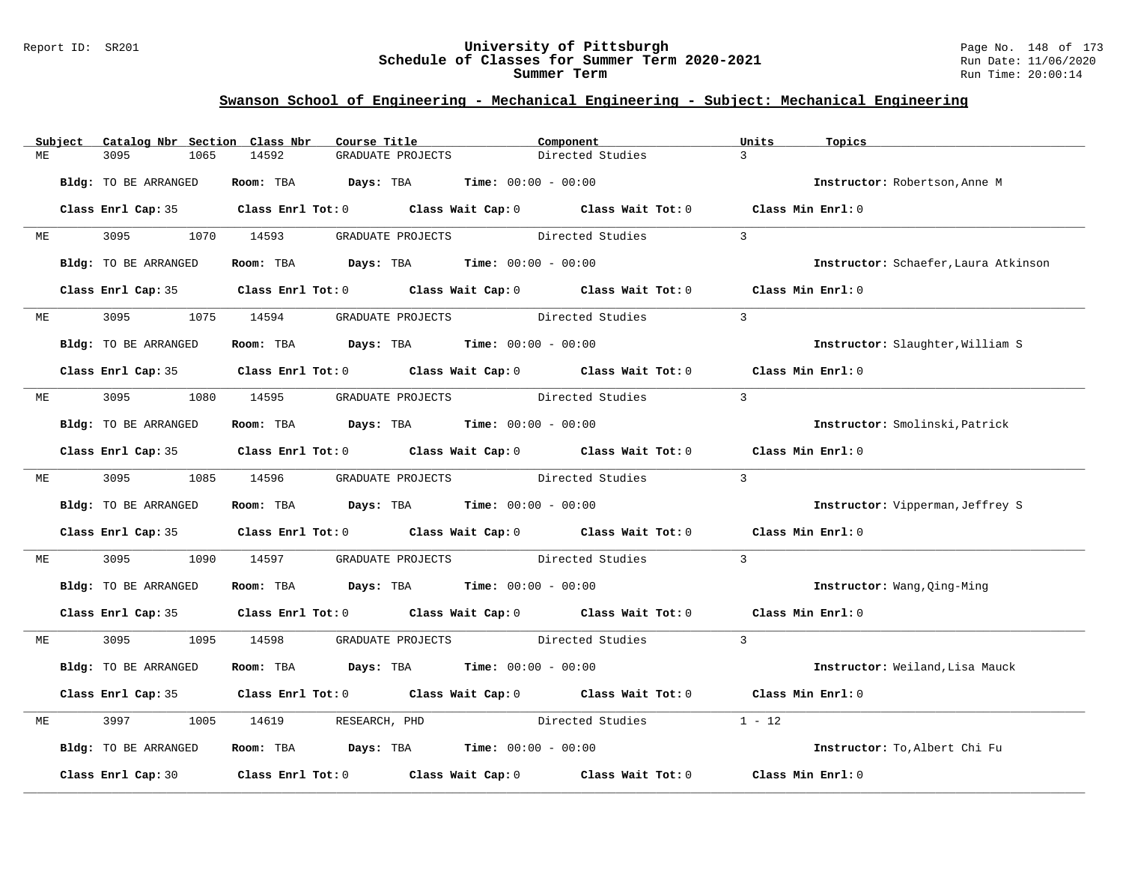#### Report ID: SR201 **University of Pittsburgh** Page No. 148 of 173 **Schedule of Classes for Summer Term 2020-2021** Run Date: 11/06/2020 **Summer Term** Run Time: 20:00:14

|    | Subject | Catalog Nbr Section Class Nbr | Course Title                                                             |                                               | Component                                                                                  | Units<br>Topics                      |  |
|----|---------|-------------------------------|--------------------------------------------------------------------------|-----------------------------------------------|--------------------------------------------------------------------------------------------|--------------------------------------|--|
| MЕ |         | 3095<br>1065                  | 14592                                                                    | GRADUATE PROJECTS                             | Directed Studies                                                                           | $\overline{3}$                       |  |
|    |         | Bldg: TO BE ARRANGED          | Room: TBA                                                                | <b>Days:</b> TBA <b>Time:</b> $00:00 - 00:00$ |                                                                                            | Instructor: Robertson, Anne M        |  |
|    |         |                               |                                                                          |                                               | Class Enrl Cap: 35 Class Enrl Tot: 0 Class Wait Cap: 0 Class Wait Tot: 0 Class Min Enrl: 0 |                                      |  |
| МE |         | 3095                          | 1070 14593                                                               | GRADUATE PROJECTS                             | Directed Studies                                                                           | $\mathbf{3}$                         |  |
|    |         | Bldg: TO BE ARRANGED          | Room: TBA $Days:$ TBA $Time: 00:00 - 00:00$                              |                                               |                                                                                            | Instructor: Schaefer, Laura Atkinson |  |
|    |         |                               | Class Enrl Cap: 35 Class Enrl Tot: 0 Class Wait Cap: 0 Class Wait Tot: 0 |                                               |                                                                                            | Class Min $Enr1:0$                   |  |
| ME |         | 3095                          | 1075 14594                                                               | GRADUATE PROJECTS Directed Studies            |                                                                                            | $\overline{3}$                       |  |
|    |         | Bldg: TO BE ARRANGED          | Room: TBA $Days:$ TBA $Time: 00:00 - 00:00$                              |                                               |                                                                                            | Instructor: Slaughter, William S     |  |
|    |         |                               |                                                                          |                                               | Class Enrl Cap: 35 Class Enrl Tot: 0 Class Wait Cap: 0 Class Wait Tot: 0                   | Class Min Enrl: 0                    |  |
| МE |         | 3095                          | 1080 14595                                                               | GRADUATE PROJECTS Directed Studies            |                                                                                            | $\overline{3}$                       |  |
|    |         | Bldg: TO BE ARRANGED          | Room: TBA $Days:$ TBA $Time: 00:00 - 00:00$                              |                                               |                                                                                            | Instructor: Smolinski, Patrick       |  |
|    |         |                               |                                                                          |                                               | Class Enrl Cap: 35 Class Enrl Tot: 0 Class Wait Cap: 0 Class Wait Tot: 0                   | Class Min Enrl: 0                    |  |
| ME |         | 3095 300                      | 1085 14596                                                               | GRADUATE PROJECTS Directed Studies            |                                                                                            | $\overline{3}$                       |  |
|    |         | Bldg: TO BE ARRANGED          | Room: TBA $\rule{1em}{0.15mm}$ Days: TBA Time: $00:00 - 00:00$           |                                               |                                                                                            | Instructor: Vipperman, Jeffrey S     |  |
|    |         |                               | Class Enrl Cap: 35 Class Enrl Tot: 0 Class Wait Cap: 0 Class Wait Tot: 0 |                                               |                                                                                            | Class Min Enrl: 0                    |  |
| МE |         | 3095<br>1090                  | 14597                                                                    | GRADUATE PROJECTS Directed Studies            |                                                                                            | $\mathbf{3}$                         |  |
|    |         | Bldg: TO BE ARRANGED          | Room: TBA $Days:$ TBA $Time: 00:00 - 00:00$                              |                                               |                                                                                            | Instructor: Wang, Qing-Ming          |  |
|    |         |                               |                                                                          |                                               | Class Enrl Cap: 35 Class Enrl Tot: 0 Class Wait Cap: 0 Class Wait Tot: 0 Class Min Enrl: 0 |                                      |  |
| ME |         | 3095 1095                     | 14598                                                                    | GRADUATE PROJECTS Directed Studies            |                                                                                            | $\overline{3}$                       |  |
|    |         | Bldg: TO BE ARRANGED          | Room: TBA $Days:$ TBA $Time: 00:00 - 00:00$                              |                                               |                                                                                            | Instructor: Weiland, Lisa Mauck      |  |
|    |         |                               | Class Enrl Cap: 35 Class Enrl Tot: 0 Class Wait Cap: 0 Class Wait Tot: 0 |                                               |                                                                                            | Class Min Enrl: 0                    |  |
| MЕ |         | 3997<br>1005                  | 14619<br>RESEARCH, PHD                                                   |                                               | Directed Studies                                                                           | $1 - 12$                             |  |
|    |         | Bldg: TO BE ARRANGED          | Room: TBA $\rule{1em}{0.15mm}$ Days: TBA Time: $00:00 - 00:00$           |                                               |                                                                                            | Instructor: To, Albert Chi Fu        |  |
|    |         | Class Enrl Cap: 30            | Class Enrl Tot: $0$ Class Wait Cap: $0$ Class Wait Tot: $0$              |                                               |                                                                                            | Class Min Enrl: 0                    |  |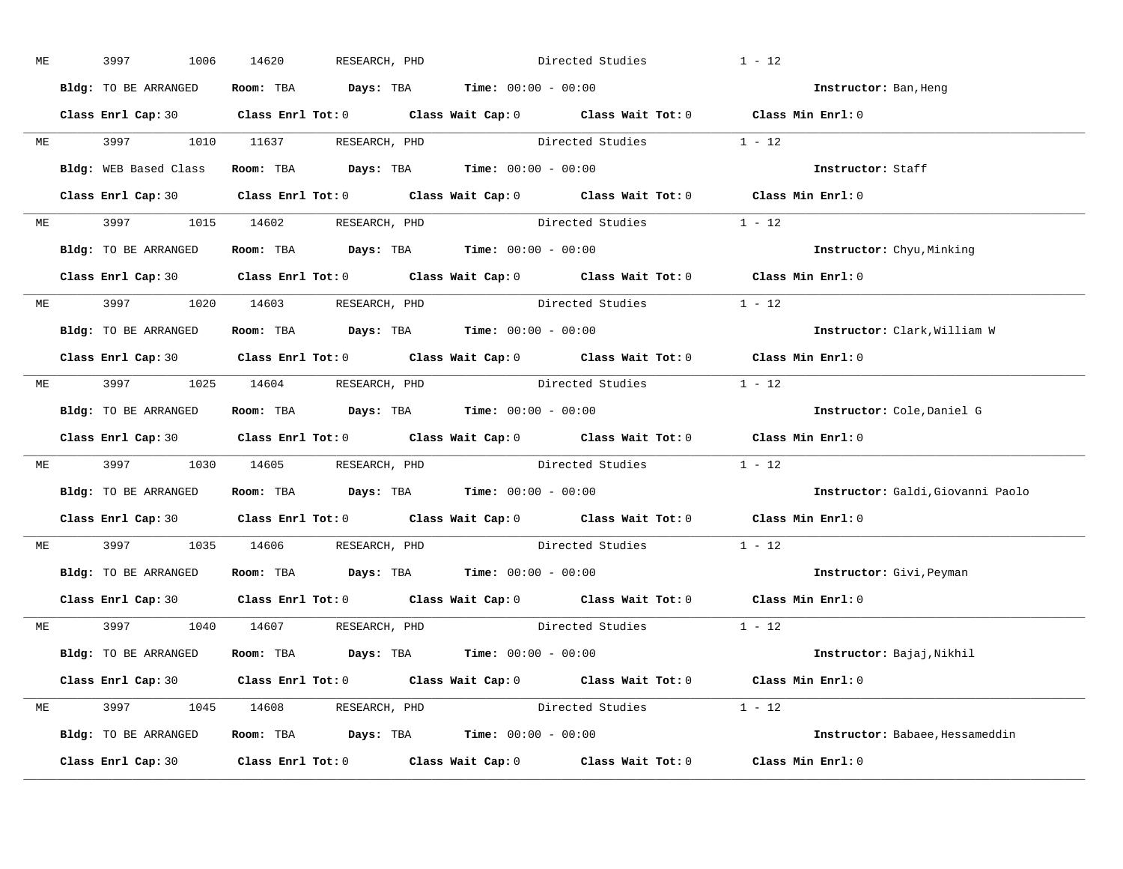| ME | 3997<br>1006         | 14620                                                                                 | RESEARCH, PHD | Directed Studies |                                                                                                    | $1 - 12$                          |
|----|----------------------|---------------------------------------------------------------------------------------|---------------|------------------|----------------------------------------------------------------------------------------------------|-----------------------------------|
|    | Bldg: TO BE ARRANGED | Room: TBA $\rule{1em}{0.15mm}$ Days: TBA $\rule{1.5mm}{0.15mm}$ Time: $00:00 - 00:00$ |               |                  |                                                                                                    | Instructor: Ban, Heng             |
|    |                      |                                                                                       |               |                  | Class Enrl Cap: 30 Class Enrl Tot: 0 Class Wait Cap: 0 Class Wait Tot: 0 Class Min Enrl: 0         |                                   |
|    |                      |                                                                                       |               |                  | ME 3997 1010 11637 RESEARCH, PHD Directed Studies 1 - 12                                           |                                   |
|    |                      | Bldg: WEB Based Class Room: TBA Days: TBA Time: 00:00 - 00:00                         |               |                  |                                                                                                    | Instructor: Staff                 |
|    |                      |                                                                                       |               |                  | Class Enrl Cap: 30 Class Enrl Tot: 0 Class Wait Cap: 0 Class Wait Tot: 0 Class Min Enrl: 0         |                                   |
|    |                      |                                                                                       |               |                  | ME 3997 1015 14602 RESEARCH, PHD Directed Studies 1 - 12                                           |                                   |
|    |                      | Bldg: TO BE ARRANGED Room: TBA Days: TBA Time: 00:00 - 00:00                          |               |                  |                                                                                                    | <b>Instructor:</b> Chyu, Minking  |
|    |                      |                                                                                       |               |                  | Class Enrl Cap: 30 Class Enrl Tot: 0 Class Wait Cap: 0 Class Wait Tot: 0 Class Min Enrl: 0         |                                   |
|    |                      | ME 3997 1020 14603 RESEARCH, PHD                                                      |               |                  | Directed Studies 1 - 12                                                                            |                                   |
|    | Bldg: TO BE ARRANGED | Room: TBA $Days:$ TBA Time: $00:00 - 00:00$                                           |               |                  |                                                                                                    | Instructor: Clark, William W      |
|    |                      |                                                                                       |               |                  | Class Enrl Cap: 30 Class Enrl Tot: 0 Class Wait Cap: 0 Class Wait Tot: 0 Class Min Enrl: 0         |                                   |
|    |                      | ME 3997 1025 14604 RESEARCH, PHD                                                      |               |                  | Directed Studies 1 - 12                                                                            |                                   |
|    | Bldg: TO BE ARRANGED | Room: TBA $\rule{1em}{0.15mm}$ Days: TBA $\rule{1.5mm}{0.15mm}$ Time: $00:00 - 00:00$ |               |                  |                                                                                                    | Instructor: Cole, Daniel G        |
|    |                      |                                                                                       |               |                  | Class Enrl Cap: 30 Class Enrl Tot: 0 Class Wait Cap: 0 Class Wait Tot: 0 Class Min Enrl: 0         |                                   |
|    |                      |                                                                                       |               |                  | ME 3997 1030 14605 RESEARCH, PHD Directed Studies 1 - 12                                           |                                   |
|    |                      | Bldg: TO BE ARRANGED ROOM: TBA Days: TBA Time: 00:00 - 00:00                          |               |                  |                                                                                                    | Instructor: Galdi, Giovanni Paolo |
|    |                      |                                                                                       |               |                  | Class Enrl Cap: 30 Class Enrl Tot: 0 Class Wait Cap: 0 Class Wait Tot: 0 Class Min Enrl: 0         |                                   |
|    |                      | ME 3997 1035 14606 RESEARCH, PHD                                                      |               |                  | Directed Studies                                                                                   | $1 - 12$                          |
|    |                      | Bldg: TO BE ARRANGED Room: TBA Days: TBA Time: 00:00 - 00:00                          |               |                  |                                                                                                    | Instructor: Givi, Peyman          |
|    | Class Enrl Cap: 30   |                                                                                       |               |                  | Class Enrl Tot: 0 $\qquad$ Class Wait Cap: 0 $\qquad$ Class Wait Tot: 0 $\qquad$ Class Min Enrl: 0 |                                   |
|    |                      | ME 3997 1040 14607 RESEARCH, PHD                                                      |               |                  | Directed Studies 1 - 12                                                                            |                                   |
|    |                      | Bldg: TO BE ARRANGED Room: TBA Days: TBA Time: 00:00 - 00:00                          |               |                  |                                                                                                    | Instructor: Bajaj,Nikhil          |
|    |                      |                                                                                       |               |                  | Class Enrl Cap: 30 Class Enrl Tot: 0 Class Wait Cap: 0 Class Wait Tot: 0 Class Min Enrl: 0         |                                   |
|    |                      | ME 3997 1045 14608 RESEARCH, PHD                                                      |               |                  | Directed Studies 1 - 12                                                                            |                                   |
|    |                      | Bldg: TO BE ARRANGED Room: TBA Days: TBA Time: 00:00 - 00:00                          |               |                  |                                                                                                    | Instructor: Babaee, Hessameddin   |
|    |                      |                                                                                       |               |                  | Class Enrl Cap: 30 Class Enrl Tot: 0 Class Wait Cap: 0 Class Wait Tot: 0 Class Min Enrl: 0         |                                   |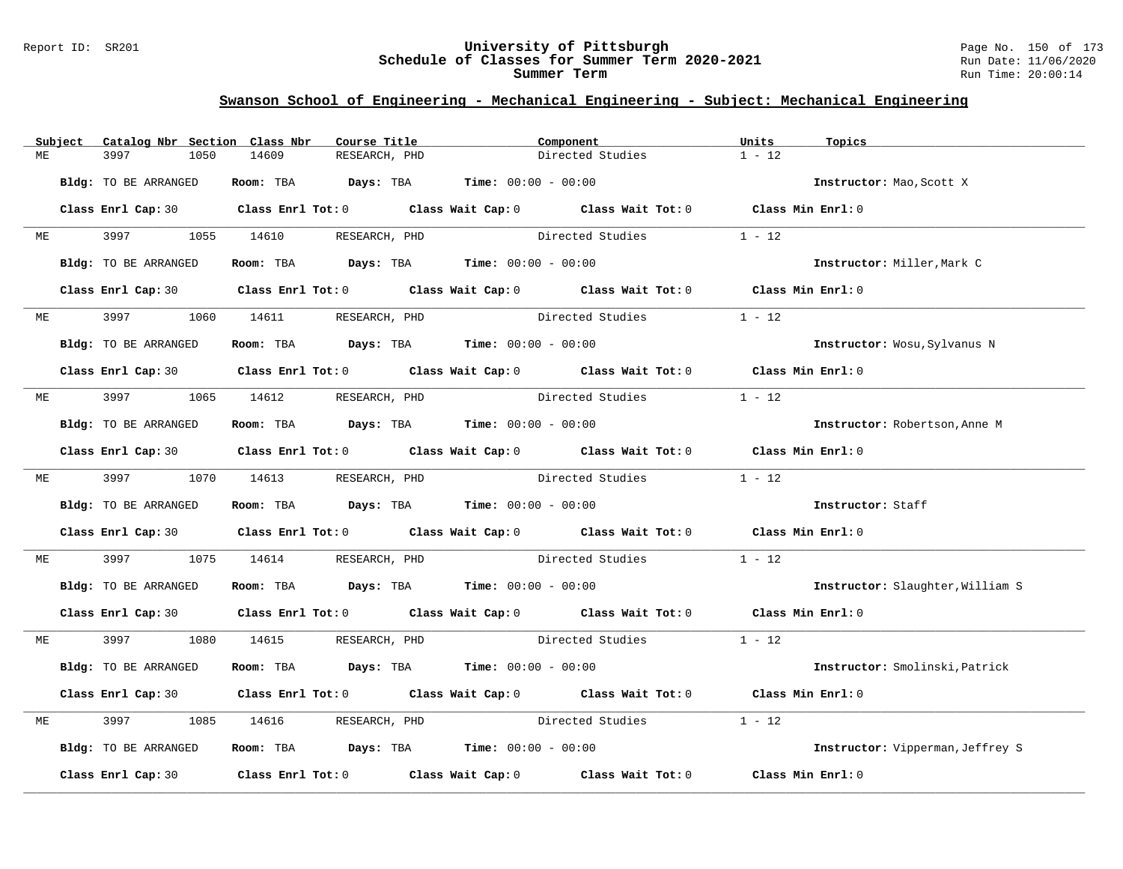#### Report ID: SR201 **University of Pittsburgh** Page No. 150 of 173 **Schedule of Classes for Summer Term 2020-2021** Run Date: 11/06/2020 **Summer Term** Run Time: 20:00:14

|    | Subject | Catalog Nbr Section Class Nbr | Course Title                                                                               |                                | Component               | Units             | Topics                           |
|----|---------|-------------------------------|--------------------------------------------------------------------------------------------|--------------------------------|-------------------------|-------------------|----------------------------------|
| МE |         | 3997<br>1050                  | 14609<br>RESEARCH, PHD                                                                     |                                | Directed Studies        | $1 - 12$          |                                  |
|    |         | Bldg: TO BE ARRANGED          | Room: TBA $Days:$ TBA $Time: 00:00 - 00:00$                                                |                                |                         |                   | Instructor: Mao, Scott X         |
|    |         |                               | Class Enrl Cap: 30 Class Enrl Tot: 0 Class Wait Cap: 0 Class Wait Tot: 0 Class Min Enrl: 0 |                                |                         |                   |                                  |
| ME |         |                               | 3997 1055 14610 RESEARCH, PHD                                                              |                                | Directed Studies        | $1 - 12$          |                                  |
|    |         | Bldg: TO BE ARRANGED          | Room: TBA $Days:$ TBA $Time: 00:00 - 00:00$                                                |                                |                         |                   | Instructor: Miller, Mark C       |
|    |         |                               | Class Enrl Cap: 30 Class Enrl Tot: 0 Class Wait Cap: 0 Class Wait Tot: 0 Class Min Enrl: 0 |                                |                         |                   |                                  |
| ME |         | 3997 — 100                    | 1060 14611 RESEARCH, PHD                                                                   |                                | Directed Studies        | $1 - 12$          |                                  |
|    |         | Bldg: TO BE ARRANGED          | Room: TBA $Days:$ TBA $Time: 00:00 - 00:00$                                                |                                |                         |                   | Instructor: Wosu, Sylvanus N     |
|    |         |                               | Class Enrl Cap: 30 Class Enrl Tot: 0 Class Wait Cap: 0 Class Wait Tot: 0 Class Min Enrl: 0 |                                |                         |                   |                                  |
| ME |         |                               | 3997 1065 14612 RESEARCH, PHD Directed Studies                                             |                                |                         | $1 - 12$          |                                  |
|    |         | Bldg: TO BE ARRANGED          | Room: TBA $Days:$ TBA $Time: 00:00 - 00:00$                                                |                                |                         |                   | Instructor: Robertson, Anne M    |
|    |         |                               | Class Enrl Cap: 30 Class Enrl Tot: 0 Class Wait Cap: 0 Class Wait Tot: 0 Class Min Enrl: 0 |                                |                         |                   |                                  |
|    |         |                               | ME 3997 1070 14613 RESEARCH, PHD                                                           |                                | Directed Studies 1 - 12 |                   |                                  |
|    |         | Bldg: TO BE ARRANGED          | Room: TBA $Days:$ TBA $Time: 00:00 - 00:00$                                                |                                |                         |                   | Instructor: Staff                |
|    |         |                               | Class Enrl Cap: 30 Class Enrl Tot: 0 Class Wait Cap: 0 Class Wait Tot: 0 Class Min Enrl: 0 |                                |                         |                   |                                  |
| МE |         | 3997<br>1075                  | 14614                                                                                      | RESEARCH, PHD Directed Studies |                         | $1 - 12$          |                                  |
|    |         | Bldg: TO BE ARRANGED          | Room: TBA $Days:$ TBA $Time: 00:00 - 00:00$                                                |                                |                         |                   | Instructor: Slaughter, William S |
|    |         |                               | Class Enrl Cap: 30 Class Enrl Tot: 0 Class Wait Cap: 0 Class Wait Tot: 0 Class Min Enrl: 0 |                                |                         |                   |                                  |
| ME |         |                               | 3997 1080 14615 RESEARCH, PHD                                                              |                                | Directed Studies 1 - 12 |                   |                                  |
|    |         | Bldg: TO BE ARRANGED          | Room: TBA $Days:$ TBA $Time: 00:00 - 00:00$                                                |                                |                         |                   | Instructor: Smolinski, Patrick   |
|    |         |                               | Class Enrl Cap: 30 Class Enrl Tot: 0 Class Wait Cap: 0 Class Wait Tot: 0 Class Min Enrl: 0 |                                |                         |                   |                                  |
| MЕ |         | 3997<br>1085                  | 14616 RESEARCH, PHD                                                                        |                                | Directed Studies        | $1 - 12$          |                                  |
|    |         | Bldg: TO BE ARRANGED          | Room: TBA $Days:$ TBA Time: $00:00 - 00:00$                                                |                                |                         |                   | Instructor: Vipperman, Jeffrey S |
|    |         | Class Enrl Cap: 30            | Class Enrl Tot: $0$ Class Wait Cap: $0$ Class Wait Tot: $0$                                |                                |                         | Class Min Enrl: 0 |                                  |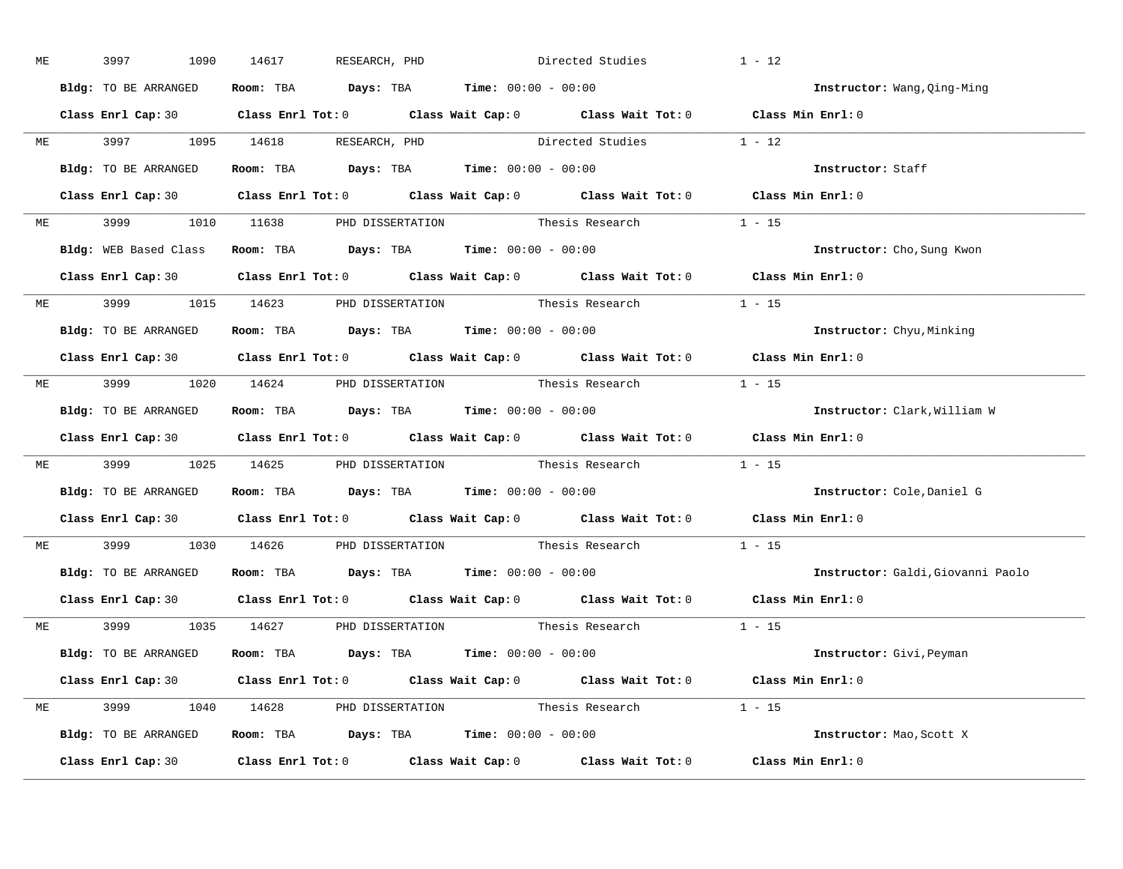| ME | 3997<br>1090         | 14617 RESEARCH, PHD                                                                        | Directed Studies | $1 - 12$                          |
|----|----------------------|--------------------------------------------------------------------------------------------|------------------|-----------------------------------|
|    | Bldg: TO BE ARRANGED | Room: TBA $\rule{1em}{0.15mm}$ Days: TBA Time: $00:00 - 00:00$                             |                  | Instructor: Wang, Qing-Ming       |
|    |                      | Class Enrl Cap: 30 Class Enrl Tot: 0 Class Wait Cap: 0 Class Wait Tot: 0 Class Min Enrl: 0 |                  |                                   |
|    |                      | ME 3997 1095 14618 RESEARCH, PHD Directed Studies 1 - 12                                   |                  |                                   |
|    | Bldg: TO BE ARRANGED | Room: TBA $Days: TBA$ Time: $00:00 - 00:00$                                                |                  | Instructor: Staff                 |
|    |                      | Class Enrl Cap: 30 Class Enrl Tot: 0 Class Wait Cap: 0 Class Wait Tot: 0 Class Min Enrl: 0 |                  |                                   |
|    |                      | ME 3999 1010 11638 PHD DISSERTATION Thesis Research 1 - 15                                 |                  |                                   |
|    |                      | Bldg: WEB Based Class Room: TBA Days: TBA Time: 00:00 - 00:00                              |                  | Instructor: Cho, Sung Kwon        |
|    |                      | Class Enrl Cap: 30 Class Enrl Tot: 0 Class Wait Cap: 0 Class Wait Tot: 0 Class Min Enrl: 0 |                  |                                   |
|    |                      | ME 3999 1015 14623 PHD DISSERTATION Thesis Research 1 - 15                                 |                  |                                   |
|    | Bldg: TO BE ARRANGED | Room: TBA $\rule{1em}{0.15mm}$ Days: TBA $\rule{1.5mm}{0.15mm}$ Time: $00:00 - 00:00$      |                  | Instructor: Chyu, Minking         |
|    |                      | Class Enrl Cap: 30 Class Enrl Tot: 0 Class Wait Cap: 0 Class Wait Tot: 0 Class Min Enrl: 0 |                  |                                   |
|    |                      | ME 3999 1020 14624 PHD DISSERTATION Thesis Research 1 - 15                                 |                  |                                   |
|    | Bldg: TO BE ARRANGED | Room: TBA $\rule{1em}{0.15mm}$ Days: TBA $\rule{1.5mm}{0.15mm}$ Time: $00:00 - 00:00$      |                  | Instructor: Clark, William W      |
|    |                      | Class Enrl Cap: 30 Class Enrl Tot: 0 Class Wait Cap: 0 Class Wait Tot: 0 Class Min Enrl: 0 |                  |                                   |
|    |                      | ME 3999 1025 14625 PHD DISSERTATION Thesis Research 1 - 15                                 |                  |                                   |
|    |                      | Bldg: TO BE ARRANGED ROOM: TBA Days: TBA Time: 00:00 - 00:00                               |                  | Instructor: Cole, Daniel G        |
|    |                      | Class Enrl Cap: 30 Class Enrl Tot: 0 Class Wait Cap: 0 Class Wait Tot: 0 Class Min Enrl: 0 |                  |                                   |
|    |                      | ME 3999 1030 14626 PHD DISSERTATION Thesis Research                                        |                  | $1 - 15$                          |
|    |                      | Bldg: TO BE ARRANGED Room: TBA Days: TBA Time: 00:00 - 00:00                               |                  | Instructor: Galdi, Giovanni Paolo |
|    |                      | Class Enrl Cap: 30 Class Enrl Tot: 0 Class Wait Cap: 0 Class Wait Tot: 0 Class Min Enrl: 0 |                  |                                   |
|    |                      | ME 3999 1035 14627 PHD DISSERTATION Thesis Research 1 - 15                                 |                  |                                   |
|    |                      | Bldg: TO BE ARRANGED Room: TBA Days: TBA Time: 00:00 - 00:00                               |                  | Instructor: Givi, Peyman          |
|    |                      | Class Enrl Cap: 30 Class Enrl Tot: 0 Class Wait Cap: 0 Class Wait Tot: 0 Class Min Enrl: 0 |                  |                                   |
|    |                      | ME 3999 1040 14628 PHD DISSERTATION Thesis Research 1 - 15                                 |                  |                                   |
|    |                      | Bldg: TO BE ARRANGED Room: TBA Days: TBA Time: 00:00 - 00:00                               |                  | Instructor: Mao, Scott X          |
|    |                      | Class Enrl Cap: 30 Class Enrl Tot: 0 Class Wait Cap: 0 Class Wait Tot: 0 Class Min Enrl: 0 |                  |                                   |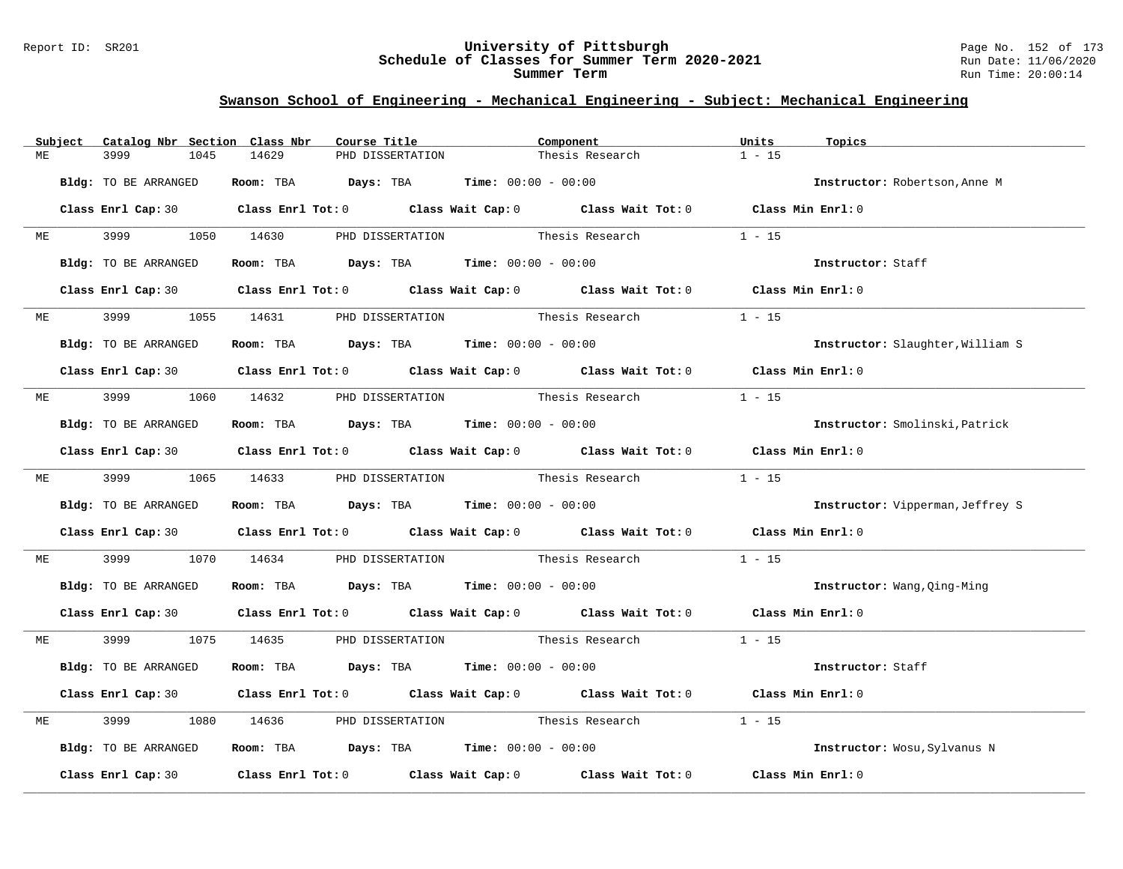#### Report ID: SR201 **University of Pittsburgh** Page No. 152 of 173 **Schedule of Classes for Summer Term 2020-2021** Run Date: 11/06/2020 **Summer Term** Run Time: 20:00:14

|    | Subject | Catalog Nbr Section Class Nbr | Course Title                                                                          |                  | Component                                                                                           | Units<br>Topics              |                                  |
|----|---------|-------------------------------|---------------------------------------------------------------------------------------|------------------|-----------------------------------------------------------------------------------------------------|------------------------------|----------------------------------|
| ME |         | 3999<br>1045                  | 14629                                                                                 | PHD DISSERTATION | Thesis Research                                                                                     | $1 - 15$                     |                                  |
|    |         | Bldg: TO BE ARRANGED          | Room: TBA $Days:$ TBA $Time: 00:00 - 00:00$                                           |                  |                                                                                                     |                              | Instructor: Robertson, Anne M    |
|    |         |                               |                                                                                       |                  | Class Enrl Cap: 30 Class Enrl Tot: 0 Class Wait Cap: 0 Class Wait Tot: 0 Class Min Enrl: 0          |                              |                                  |
| ME |         | 3999 700                      | 1050 14630 PHD DISSERTATION Thesis Research                                           |                  |                                                                                                     | $1 - 15$                     |                                  |
|    |         | Bldg: TO BE ARRANGED          | Room: TBA $Days:$ TBA $Time:$ $00:00 - 00:00$                                         |                  |                                                                                                     | Instructor: Staff            |                                  |
|    |         |                               |                                                                                       |                  | Class Enrl Cap: 30 Class Enrl Tot: 0 Class Wait Cap: 0 Class Wait Tot: 0 Class Min Enrl: 0          |                              |                                  |
|    | ME      | 3999 — 100                    | 1055 14631 PHD DISSERTATION Thesis Research                                           |                  |                                                                                                     | $1 - 15$                     |                                  |
|    |         | Bldg: TO BE ARRANGED          | Room: TBA $\rule{1em}{0.15mm}$ Days: TBA $\rule{1.5mm}{0.15mm}$ Time: $00:00 - 00:00$ |                  |                                                                                                     |                              | Instructor: Slaughter, William S |
|    |         |                               |                                                                                       |                  | Class Enrl Cap: 30 Class Enrl Tot: 0 Class Wait Cap: 0 Class Wait Tot: 0 Class Min Enrl: 0          |                              |                                  |
| МE |         |                               | 3999 1060 14632 PHD DISSERTATION Thesis Research                                      |                  |                                                                                                     | $1 - 15$                     |                                  |
|    |         | Bldg: TO BE ARRANGED          | Room: TBA $Days:$ TBA $Time: 00:00 - 00:00$                                           |                  |                                                                                                     |                              | Instructor: Smolinski, Patrick   |
|    |         |                               |                                                                                       |                  | Class Enrl Cap: 30 Class Enrl Tot: 0 Class Wait Cap: 0 Class Wait Tot: 0 Class Min Enrl: 0          |                              |                                  |
|    |         |                               |                                                                                       |                  | ME 3999 1065 14633 PHD DISSERTATION Thesis Research                                                 | $1 - 15$                     |                                  |
|    |         | Bldg: TO BE ARRANGED          | Room: TBA $Days:$ TBA $Time: 00:00 - 00:00$                                           |                  |                                                                                                     |                              | Instructor: Vipperman, Jeffrey S |
|    |         |                               |                                                                                       |                  | Class Enrl Cap: 30 Class Enrl Tot: 0 Class Wait Cap: 0 Class Wait Tot: 0 Class Min Enrl: 0          |                              |                                  |
| МE |         | 3999                          | 1070 14634                                                                            |                  | PHD DISSERTATION Thesis Research                                                                    | $1 - 15$                     |                                  |
|    |         | Bldg: TO BE ARRANGED          | Room: TBA $Days:$ TBA $Time: 00:00 - 00:00$                                           |                  |                                                                                                     | Instructor: Wang, Qing-Ming  |                                  |
|    |         |                               |                                                                                       |                  | Class Enrl Cap: 30 Class Enrl Tot: 0 Class Wait Cap: 0 Class Wait Tot: 0 Class Min Enrl: 0          |                              |                                  |
| МE |         |                               |                                                                                       |                  | 3999 1075 14635 PHD DISSERTATION Thesis Research 1 - 15                                             |                              |                                  |
|    |         | Bldg: TO BE ARRANGED          | Room: TBA $Days:$ TBA $Time: 00:00 - 00:00$                                           |                  |                                                                                                     | Instructor: Staff            |                                  |
|    |         |                               |                                                                                       |                  | Class Enrl Cap: 30 Class Enrl Tot: 0 Class Wait Cap: 0 Class Wait Tot: 0 Class Min Enrl: 0          |                              |                                  |
| МE |         | 3999<br>1080                  | 14636                                                                                 |                  | PHD DISSERTATION Thesis Research                                                                    | $1 - 15$                     |                                  |
|    |         | Bldg: TO BE ARRANGED          | Room: TBA $\rule{1em}{0.15mm}$ Days: TBA Time: $00:00 - 00:00$                        |                  |                                                                                                     | Instructor: Wosu, Sylvanus N |                                  |
|    |         |                               |                                                                                       |                  | Class Enrl Cap: 30 $\qquad$ Class Enrl Tot: 0 $\qquad$ Class Wait Cap: 0 $\qquad$ Class Wait Tot: 0 | Class Min Enrl: 0            |                                  |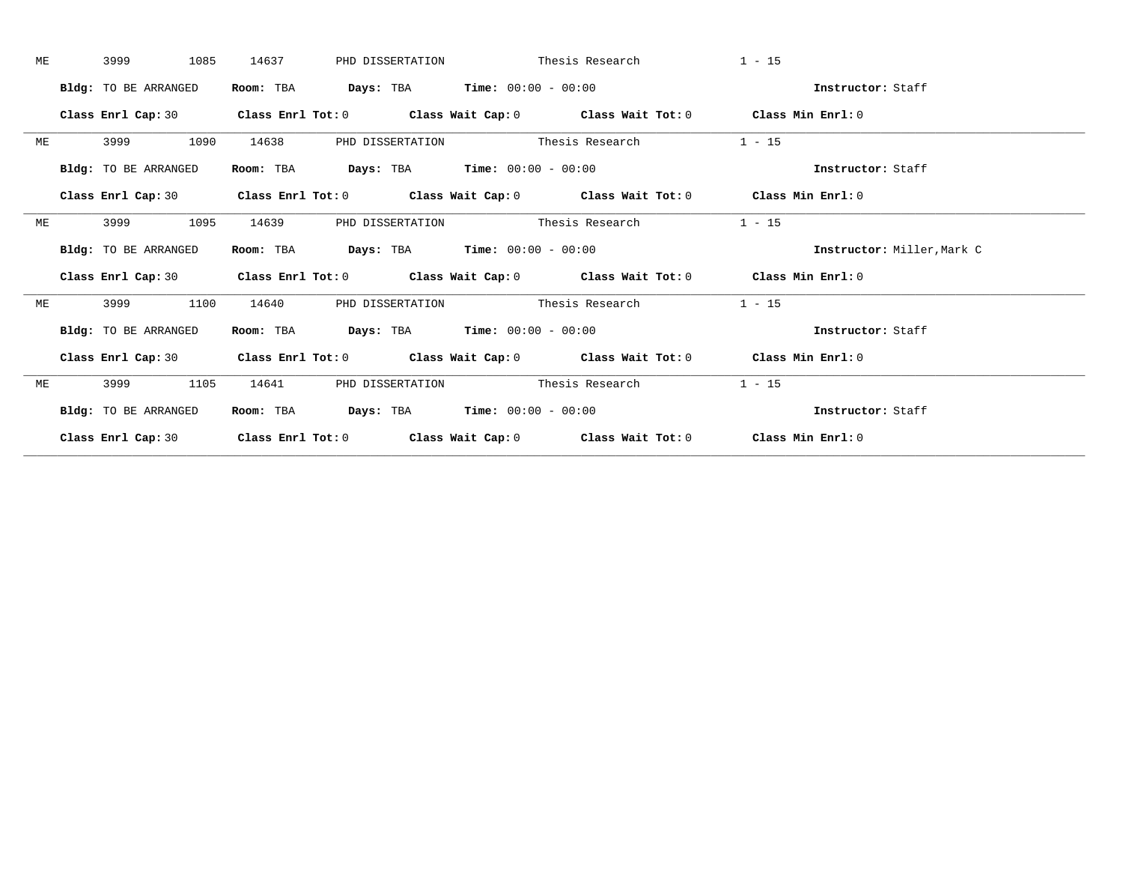| МE | 1085<br>3999                | 14637     | PHD DISSERTATION                                     | Thesis Research                                                                                    | $1 - 15$                   |  |
|----|-----------------------------|-----------|------------------------------------------------------|----------------------------------------------------------------------------------------------------|----------------------------|--|
|    | Bldg: TO BE ARRANGED        | Room: TBA | <b>Days:</b> TBA <b>Time:</b> $00:00 - 00:00$        |                                                                                                    | Instructor: Staff          |  |
|    | Class Enrl Cap: 30          |           |                                                      | Class Enrl Tot: $0$ Class Wait Cap: $0$ Class Wait Tot: $0$ Class Min Enrl: $0$                    |                            |  |
| ME | 1090<br>3999                | 14638     | PHD DISSERTATION Thesis Research                     |                                                                                                    | $1 - 15$                   |  |
|    | Bldg: TO BE ARRANGED        | Room: TBA | <b>Days:</b> TBA <b>Time:</b> $00:00 - 00:00$        |                                                                                                    | Instructor: Staff          |  |
|    |                             |           |                                                      | Class Enrl Cap: 30 Class Enrl Tot: 0 Class Wait Cap: 0 Class Wait Tot: 0 Class Min Enrl: 0         |                            |  |
| МE | 1095<br>3999                | 14639     | PHD DISSERTATION                                     | Thesis Research                                                                                    | $1 - 15$                   |  |
|    | <b>Bldg:</b> TO BE ARRANGED | Room: TBA | $\texttt{Davis:}$ TBA $\texttt{Time:}$ 00:00 - 00:00 |                                                                                                    | Instructor: Miller, Mark C |  |
|    |                             |           |                                                      | Class Enrl Cap: 30 Class Enrl Tot: 0 Class Wait Cap: 0 Class Wait Tot: 0 Class Min Enrl: 0         |                            |  |
| МE | 3999<br>1100                | 14640     | PHD DISSERTATION Thesis Research                     |                                                                                                    | $1 - 15$                   |  |
|    | Bldg: TO BE ARRANGED        | Room: TBA | <b>Days:</b> TBA <b>Time:</b> $00:00 - 00:00$        |                                                                                                    | Instructor: Staff          |  |
|    |                             |           |                                                      | Class Enrl Cap: 30 Class Enrl Tot: 0 Class Wait Cap: 0 Class Wait Tot: 0 Class Min Enrl: 0         |                            |  |
| МE | 3999<br>1105                | 14641     | PHD DISSERTATION                                     | Thesis Research                                                                                    | $1 - 15$                   |  |
|    | <b>Bldg:</b> TO BE ARRANGED | Room: TBA | $\texttt{DayS:}$ TBA $\texttt{Time:}$ 00:00 - 00:00  |                                                                                                    | Instructor: Staff          |  |
|    | Class Enrl Cap: 30          |           |                                                      | Class Enrl Tot: 0 $\qquad$ Class Wait Cap: 0 $\qquad$ Class Wait Tot: 0 $\qquad$ Class Min Enrl: 0 |                            |  |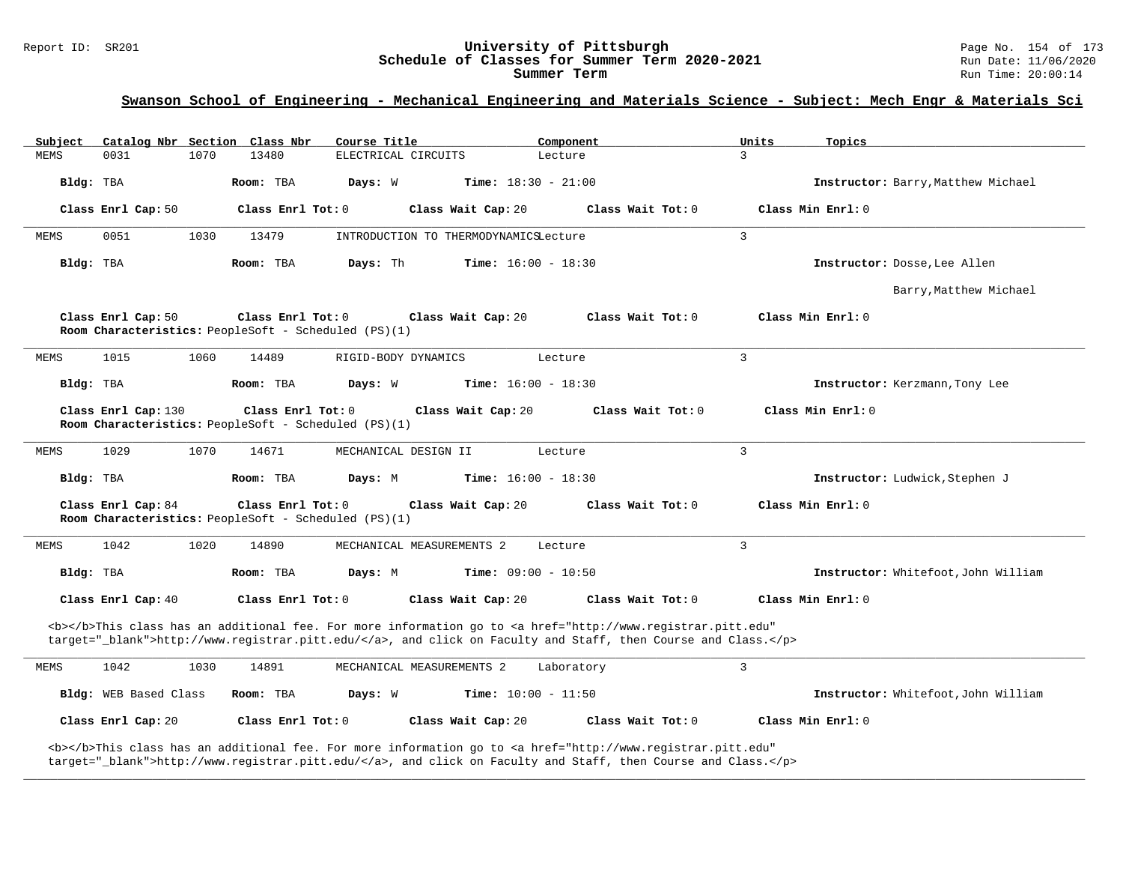# Report ID: SR201 **1988 Chedule of Classes for Summer Term 2020-2021** Page No. 154 of 173<br>**Schedule of Classes for Summer Term 2020-2021** Run Date: 11/06/2020 Schedule of Classes for Summer Term 2020-2021

**Summer Term** Run Time: 20:00:14

# **Swanson School of Engineering - Mechanical Engineering and Materials Science - Subject: Mech Engr & Materials Sci**

| Subject     |                       |      | Catalog Nbr Section Class Nbr                                               | Course Title         |                                       | Component                                                                                                                                                                                                                          | Units         | Topics                              |
|-------------|-----------------------|------|-----------------------------------------------------------------------------|----------------------|---------------------------------------|------------------------------------------------------------------------------------------------------------------------------------------------------------------------------------------------------------------------------------|---------------|-------------------------------------|
| <b>MEMS</b> | 0031                  | 1070 | 13480                                                                       | ELECTRICAL CIRCUITS  |                                       | Lecture                                                                                                                                                                                                                            | $\mathcal{L}$ |                                     |
| Bldg: TBA   |                       |      | Room: TBA                                                                   | Days: W              | <b>Time:</b> $18:30 - 21:00$          |                                                                                                                                                                                                                                    |               | Instructor: Barry, Matthew Michael  |
|             | Class Enrl Cap: 50    |      | Class Enrl Tot: 0                                                           |                      | Class Wait Cap: 20                    | Class Wait Tot: 0                                                                                                                                                                                                                  |               | Class Min $Enr1: 0$                 |
| MEMS        | 0051                  | 1030 | 13479                                                                       |                      | INTRODUCTION TO THERMODYNAMICSLecture |                                                                                                                                                                                                                                    | 3             |                                     |
| Bldg: TBA   |                       |      | Room: TBA                                                                   | Days: Th             | <b>Time:</b> $16:00 - 18:30$          |                                                                                                                                                                                                                                    |               | Instructor: Dosse, Lee Allen        |
|             |                       |      |                                                                             |                      |                                       |                                                                                                                                                                                                                                    |               | Barry, Matthew Michael              |
|             | Class Enrl Cap: 50    |      | Class Enrl Tot: $0$<br>Room Characteristics: PeopleSoft - Scheduled (PS)(1) |                      | Class Wait Cap: 20                    | Class Wait Tot: 0                                                                                                                                                                                                                  |               | Class Min Enrl: 0                   |
| MEMS        | 1015                  | 1060 | 14489                                                                       | RIGID-BODY DYNAMICS  |                                       | Lecture                                                                                                                                                                                                                            | 3             |                                     |
| Bldg: TBA   |                       |      | Room: TBA                                                                   | Days: W              | <b>Time:</b> $16:00 - 18:30$          |                                                                                                                                                                                                                                    |               | Instructor: Kerzmann, Tony Lee      |
|             | Class Enrl Cap: 130   |      | Class Enrl Tot: 0<br>Room Characteristics: PeopleSoft - Scheduled (PS)(1)   |                      | Class Wait Cap: 20                    | Class Wait Tot: 0                                                                                                                                                                                                                  |               | Class Min Enrl: 0                   |
| MEMS        | 1029                  | 1070 | 14671                                                                       | MECHANICAL DESIGN II |                                       | Lecture                                                                                                                                                                                                                            | 3             |                                     |
| Bldg: TBA   |                       |      | Room: TBA                                                                   | Days: M              | <b>Time:</b> $16:00 - 18:30$          |                                                                                                                                                                                                                                    |               | Instructor: Ludwick, Stephen J      |
|             | Class Enrl Cap: 84    |      | Class Enrl Tot: 0<br>Room Characteristics: PeopleSoft - Scheduled (PS)(1)   |                      | Class Wait Cap: 20                    | Class Wait Tot: 0                                                                                                                                                                                                                  |               | Class Min Enrl: 0                   |
| MEMS        | 1042                  | 1020 | 14890                                                                       |                      | MECHANICAL MEASUREMENTS 2             | Lecture                                                                                                                                                                                                                            | 3             |                                     |
| Bldg: TBA   |                       |      | Room: TBA                                                                   | Days: M              | Time: $09:00 - 10:50$                 |                                                                                                                                                                                                                                    |               | Instructor: Whitefoot, John William |
|             | Class Enrl Cap: 40    |      | Class Enrl Tot: 0                                                           |                      | Class Wait Cap: 20                    | Class Wait Tot: 0                                                                                                                                                                                                                  |               | Class Min Enrl: 0                   |
|             |                       |      |                                                                             |                      |                                       | <b></b> This class has an additional fee. For more information go to <a <br="" href="http://www.registrar.pitt.edu">target="_blank"&gt;http://www.registrar.pitt.edu/</a> , and click on Faculty and Staff, then Course and Class. |               |                                     |
| MEMS        | 1042                  | 1030 | 14891                                                                       |                      | MECHANICAL MEASUREMENTS 2             | Laboratory                                                                                                                                                                                                                         | 3             |                                     |
|             | Bldg: WEB Based Class |      | Room: TBA                                                                   | Days: W              | <b>Time:</b> $10:00 - 11:50$          |                                                                                                                                                                                                                                    |               | Instructor: Whitefoot, John William |
|             | Class Enrl Cap: 20    |      | Class Enrl Tot: 0                                                           |                      | Class Wait Cap: 20                    | Class Wait Tot: 0                                                                                                                                                                                                                  |               | Class Min Enrl: 0                   |
|             |                       |      |                                                                             |                      |                                       | <b></b> This class has an additional fee. For more information go to <a <="" href="http://www.registrar.pitt.edu" td=""><td></td><td></td></a>                                                                                     |               |                                     |

**\_\_\_\_\_\_\_\_\_\_\_\_\_\_\_\_\_\_\_\_\_\_\_\_\_\_\_\_\_\_\_\_\_\_\_\_\_\_\_\_\_\_\_\_\_\_\_\_\_\_\_\_\_\_\_\_\_\_\_\_\_\_\_\_\_\_\_\_\_\_\_\_\_\_\_\_\_\_\_\_\_\_\_\_\_\_\_\_\_\_\_\_\_\_\_\_\_\_\_\_\_\_\_\_\_\_\_\_\_\_\_\_\_\_\_\_\_\_\_\_\_\_\_\_\_\_\_\_\_\_\_\_\_\_\_\_\_\_\_\_\_\_\_\_\_\_\_\_\_\_\_\_\_\_\_\_**

target="\_blank">http://www.registrar.pitt.edu/</a>, and click on Faculty and Staff, then Course and Class.</p>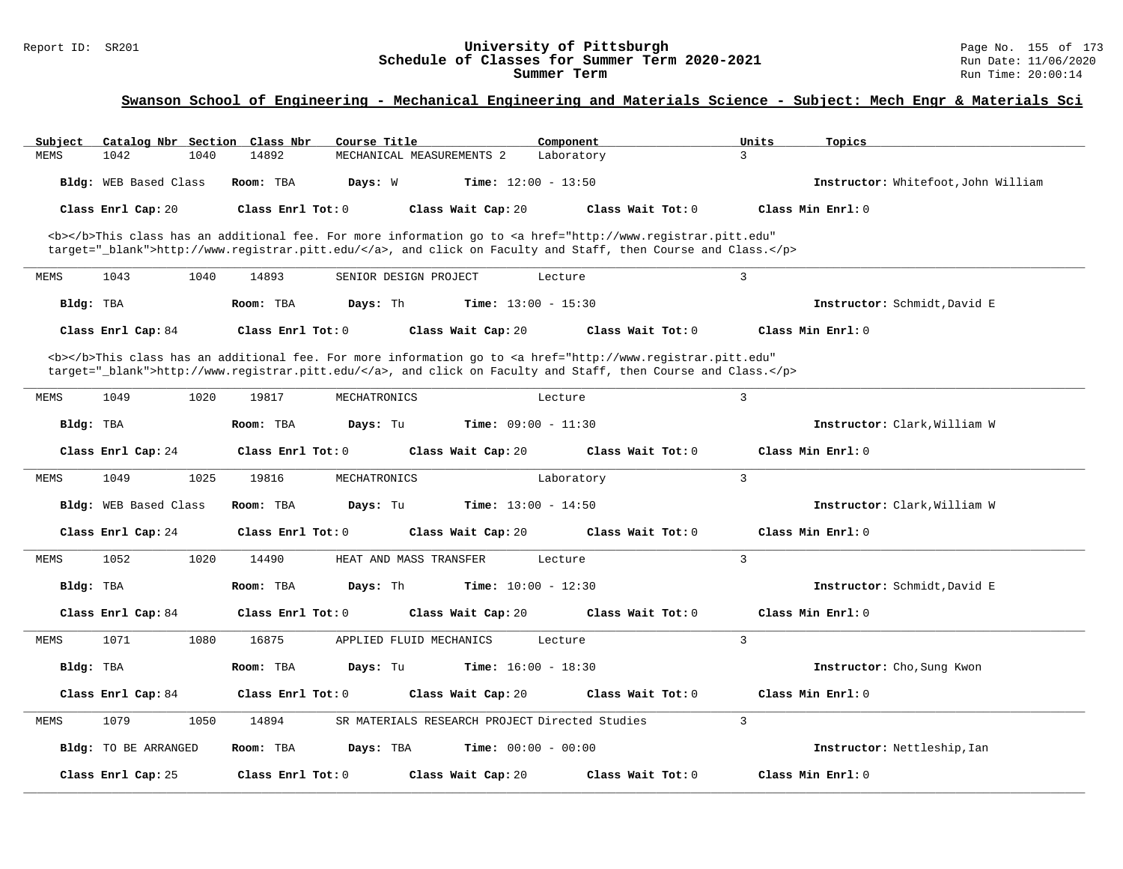# Report ID: SR201 **1988 Manufage 19 Conserversity of Pittsburgh** Page No. 155 of 173<br>**Schedule of Classes for Summer Term 2020-2021** Page 11/06/2020 Run Date: 11/06/2020 Schedule of Classes for Summer Term 2020-2021

# **Swanson School of Engineering - Mechanical Engineering and Materials Science - Subject: Mech Engr & Materials Sci**

| Subject     | Catalog Nbr Section Class Nbr | Course Title                       | Component                                                                                                                                                                                                                          | Units<br>Topics                     |
|-------------|-------------------------------|------------------------------------|------------------------------------------------------------------------------------------------------------------------------------------------------------------------------------------------------------------------------------|-------------------------------------|
| MEMS        | 1042<br>1040                  | 14892<br>MECHANICAL MEASUREMENTS 2 | Laboratory                                                                                                                                                                                                                         | $\mathbf{3}$                        |
|             | Bldg: WEB Based Class         | Room: TBA<br>Days: W               | <b>Time:</b> $12:00 - 13:50$                                                                                                                                                                                                       | Instructor: Whitefoot, John William |
|             | Class Enrl Cap: 20            | Class Enrl Tot: 0                  | Class Wait Cap: 20<br>Class Wait Tot: 0                                                                                                                                                                                            | Class Min Enrl: 0                   |
|             |                               |                                    |                                                                                                                                                                                                                                    |                                     |
|             |                               |                                    | <b></b> This class has an additional fee. For more information go to <a <br="" href="http://www.registrar.pitt.edu">target="_blank"&gt;http://www.registrar.pitt.edu/</a> , and click on Faculty and Staff, then Course and Class. |                                     |
|             |                               |                                    |                                                                                                                                                                                                                                    |                                     |
| <b>MEMS</b> | 1043<br>1040                  | 14893<br>SENIOR DESIGN PROJECT     | Lecture                                                                                                                                                                                                                            | 3                                   |
| Bldg: TBA   |                               | Room: TBA<br>Days: Th              | <b>Time:</b> $13:00 - 15:30$                                                                                                                                                                                                       | Instructor: Schmidt, David E        |
|             | Class Enrl Cap: 84            | Class Enrl Tot: 0                  | Class Wait Cap: 20<br>Class Wait Tot: $0$                                                                                                                                                                                          | Class Min $Err1:0$                  |
|             |                               |                                    | <b></b> This class has an additional fee. For more information go to <a <="" href="http://www.registrar.pitt.edu" td=""><td></td></a>                                                                                              |                                     |
|             |                               |                                    | target="_blank">http://www.registrar.pitt.edu/, and click on Faculty and Staff, then Course and Class.                                                                                                                             |                                     |
|             |                               |                                    |                                                                                                                                                                                                                                    |                                     |
| <b>MEMS</b> | 1049<br>1020                  | 19817<br>MECHATRONICS              | Lecture                                                                                                                                                                                                                            | 3                                   |
| Bldg: TBA   |                               | Room: TBA<br>Days: Tu              | Time: $09:00 - 11:30$                                                                                                                                                                                                              | Instructor: Clark, William W        |
|             | Class Enrl Cap: 24            | Class Enrl Tot: 0                  | Class Wait Cap: 20<br>Class Wait Tot: $0$                                                                                                                                                                                          | Class Min $Err1:0$                  |
| MEMS        | 1025<br>1049                  | 19816<br>MECHATRONICS              | Laboratory                                                                                                                                                                                                                         | 3                                   |
|             | Bldg: WEB Based Class         | Room: TBA<br>Days: Tu              | <b>Time:</b> $13:00 - 14:50$                                                                                                                                                                                                       | Instructor: Clark, William W        |
|             | Class Enrl Cap: 24            | Class Enrl Tot: 0                  | Class Wait Cap: 20<br>Class Wait Tot: 0                                                                                                                                                                                            | Class Min Enrl: 0                   |
| MEMS        | 1052<br>1020                  | 14490<br>HEAT AND MASS TRANSFER    | Lecture                                                                                                                                                                                                                            | $\overline{3}$                      |
| Bldg: TBA   |                               | Room: TBA<br>Days: Th              | <b>Time:</b> $10:00 - 12:30$                                                                                                                                                                                                       | Instructor: Schmidt, David E        |
|             |                               |                                    |                                                                                                                                                                                                                                    |                                     |
|             | Class Enrl Cap: 84            | Class Enrl Tot: 0                  | Class Wait Cap: 20<br>Class Wait Tot: $0$                                                                                                                                                                                          | Class Min Enrl: 0                   |
| MEMS        | 1071<br>1080                  | 16875<br>APPLIED FLUID MECHANICS   | Lecture                                                                                                                                                                                                                            | 3                                   |
| Bldg: TBA   |                               | Room: TBA<br>Days: Tu              | <b>Time:</b> $16:00 - 18:30$                                                                                                                                                                                                       | Instructor: Cho, Sung Kwon          |
|             | Class Enrl Cap: 84            | Class Enrl Tot: 0                  | Class Wait Tot: 0<br>Class Wait Cap: 20                                                                                                                                                                                            | Class Min Enrl: 0                   |
|             |                               |                                    |                                                                                                                                                                                                                                    |                                     |
| MEMS        | 1050<br>1079                  | 14894                              | SR MATERIALS RESEARCH PROJECT Directed Studies                                                                                                                                                                                     | 3                                   |
|             | Bldg: TO BE ARRANGED          | Room: TBA<br>Days: TBA             | <b>Time:</b> $00:00 - 00:00$                                                                                                                                                                                                       | Instructor: Nettleship, Ian         |
|             | Class Enrl Cap: 25            | Class Enrl Tot: 0                  | Class Wait Tot: 0<br>Class Wait Cap: 20                                                                                                                                                                                            | Class Min Enrl: 0                   |
|             |                               |                                    |                                                                                                                                                                                                                                    |                                     |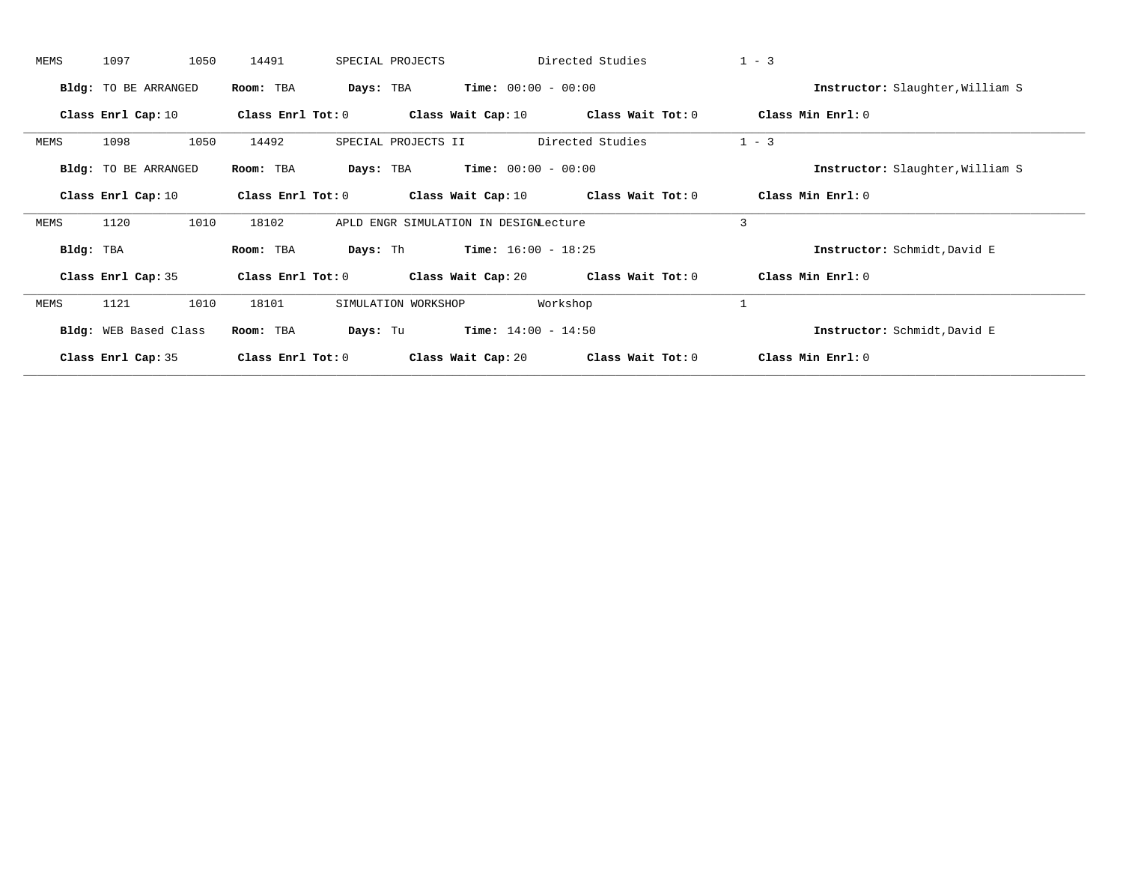| MEMS      | 1097                        | 1050<br>14491 |                         | SPECIAL PROJECTS                      | Directed Studies             |                   | $1 - 3$                          |  |
|-----------|-----------------------------|---------------|-------------------------|---------------------------------------|------------------------------|-------------------|----------------------------------|--|
|           | Bldg: TO BE ARRANGED        | Room: TBA     | Days: TBA               |                                       | <b>Time:</b> $00:00 - 00:00$ |                   | Instructor: Slaughter, William S |  |
|           | Class Enrl Cap: 10          |               | Class Enrl Tot: 0       | Class Wait Cap: 10                    |                              | Class Wait Tot: 0 | Class Min Enrl: 0                |  |
| MEMS      | 1098                        | 1050<br>14492 |                         | SPECIAL PROJECTS II                   | Directed Studies             |                   | $1 - 3$                          |  |
|           | <b>Bldg:</b> TO BE ARRANGED | Room: TBA     | Days: TBA               |                                       | $Time: 00:00 - 00:00$        |                   | Instructor: Slaughter, William S |  |
|           | Class Enrl Cap: 10          |               | Class Enrl Tot: 0       | Class Wait Cap: $10$                  |                              | Class Wait Tot: 0 | Class Min $Enr1:0$               |  |
| MEMS      | 1120                        | 1010<br>18102 |                         | APLD ENGR SIMULATION IN DESIGNLecture |                              |                   | $\overline{3}$                   |  |
| Bldg: TBA |                             | Room: TBA     | Days: Th                |                                       | $Time: 16:00 - 18:25$        |                   | Instructor: Schmidt, David E     |  |
|           | Class Enrl Cap: 35          |               | $Class$ $Enrl$ $Tot: 0$ | Class Wait Cap: 20                    |                              | Class Wait Tot: 0 | Class Min Enrl: 0                |  |
| MEMS      | 1121                        | 1010<br>18101 |                         | SIMULATION WORKSHOP                   | Workshop                     |                   | 1                                |  |
|           | Bldg: WEB Based Class       | Room: TBA     | Days: Tu                |                                       | <b>Time:</b> $14:00 - 14:50$ |                   | Instructor: Schmidt, David E     |  |
|           | Class Enrl Cap: 35          |               | Class Enrl Tot: 0       | Class Wait Cap: 20                    |                              | Class Wait Tot: 0 | Class Min Enrl: 0                |  |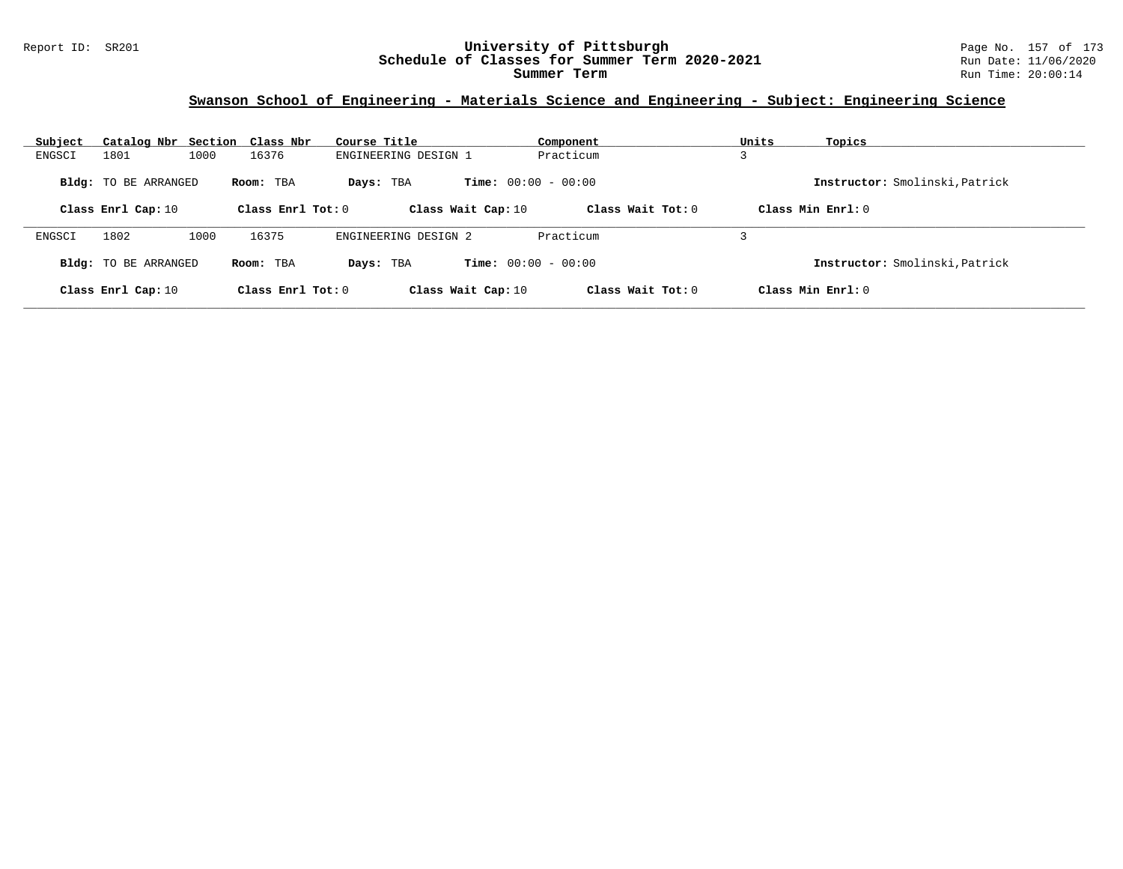#### Report ID: SR201 **University of Pittsburgh** Page No. 157 of 173 **Schedule of Classes for Summer Term 2020-2021** Run Date: 11/06/2020 **Summer Term** Run Time: 20:00:14

# **Swanson School of Engineering - Materials Science and Engineering - Subject: Engineering Science**

| Subject                     | Catalog Nbr Section Class Nbr |                     | Course Title                              | Component           | Units<br>Topics                |
|-----------------------------|-------------------------------|---------------------|-------------------------------------------|---------------------|--------------------------------|
| 1801<br>ENGSCI              | 1000                          | 16376               | ENGINEERING DESIGN 1                      | Practicum           | د                              |
| <b>Bldg:</b> TO BE ARRANGED |                               | Room: TBA           | <b>Time:</b> $00:00 - 00:00$<br>Days: TBA |                     | Instructor: Smolinski, Patrick |
| Class Enrl Cap: 10          |                               | Class Enrl Tot: $0$ | Class Wait Cap: 10                        | Class Wait Tot: $0$ | Class Min Enrl: 0              |
| 1802<br>ENGSCI              | 1000                          | 16375               | ENGINEERING DESIGN 2                      | Practicum           |                                |
| Bldg: TO BE ARRANGED        |                               | Room: TBA           | <b>Time:</b> $00:00 - 00:00$<br>Days: TBA |                     | Instructor: Smolinski, Patrick |
| Class Enrl Cap: 10          |                               | Class Enrl Tot: $0$ | Class Wait Cap: 10                        | Class Wait Tot: $0$ | Class Min $Err1:0$             |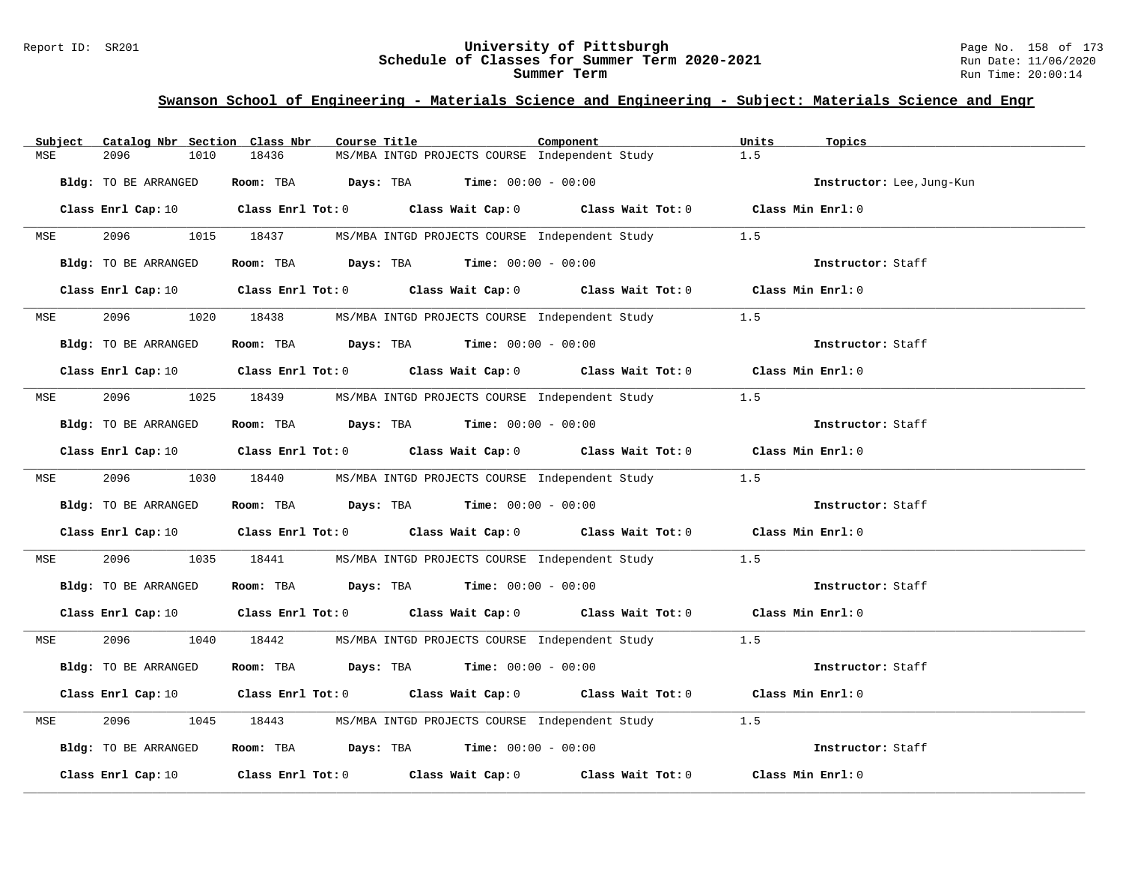#### Report ID: SR201 **University of Pittsburgh** Page No. 158 of 173 **Schedule of Classes for Summer Term 2020-2021** Run Date: 11/06/2020 **Summer Term** Run Time: 20:00:14

| Catalog Nbr Section Class Nbr<br>Subject | Course Title                                                                                                                   | Component | Units<br>Topics           |
|------------------------------------------|--------------------------------------------------------------------------------------------------------------------------------|-----------|---------------------------|
| 2096<br>1010<br>MSE                      | 18436<br>MS/MBA INTGD PROJECTS COURSE Independent Study                                                                        |           | 1.5                       |
| Bldg: TO BE ARRANGED                     | Room: TBA $Days:$ TBA $Time: 00:00 - 00:00$                                                                                    |           | Instructor: Lee, Jung-Kun |
|                                          | Class Enrl Cap: 10 $\qquad$ Class Enrl Tot: 0 $\qquad$ Class Wait Cap: 0 $\qquad$ Class Wait Tot: 0 $\qquad$ Class Min Enrl: 0 |           |                           |
| 2096<br>MSE                              | 1015 18437<br>MS/MBA INTGD PROJECTS COURSE Independent Study                                                                   |           | 1.5                       |
| Bldg: TO BE ARRANGED                     | Room: TBA $Days: TBA$ Time: $00:00 - 00:00$                                                                                    |           | Instructor: Staff         |
|                                          | Class Enrl Cap: 10 Class Enrl Tot: 0 Class Wait Cap: 0 Class Wait Tot: 0 Class Min Enrl: 0                                     |           |                           |
| 2096 — 100<br>MSE                        | 1020 18438 MS/MBA INTGD PROJECTS COURSE Independent Study 1.5                                                                  |           |                           |
| Bldg: TO BE ARRANGED                     | Room: TBA $Days:$ TBA $Time: 00:00 - 00:00$                                                                                    |           | Instructor: Staff         |
|                                          | Class Enrl Cap: 10 $\qquad$ Class Enrl Tot: 0 $\qquad$ Class Wait Cap: 0 $\qquad$ Class Wait Tot: 0 $\qquad$ Class Min Enrl: 0 |           |                           |
| 2096<br>MSE                              | 1025 18439<br>MS/MBA INTGD PROJECTS COURSE Independent Study 1.5                                                               |           |                           |
| Bldg: TO BE ARRANGED                     | Room: TBA $\rule{1em}{0.15mm}$ Days: TBA Time: $00:00 - 00:00$                                                                 |           | Instructor: Staff         |
|                                          | Class Enrl Cap: 10 $\qquad$ Class Enrl Tot: 0 $\qquad$ Class Wait Cap: 0 $\qquad$ Class Wait Tot: 0 $\qquad$ Class Min Enrl: 0 |           |                           |
| 2096<br><b>MSE</b>                       | 1030 18440<br>MS/MBA INTGD PROJECTS COURSE Independent Study 1.5                                                               |           |                           |
| Bldg: TO BE ARRANGED                     | Room: TBA $Days:$ TBA $Time: 00:00 - 00:00$                                                                                    |           | Instructor: Staff         |
|                                          | Class Enrl Cap: 10 $\qquad$ Class Enrl Tot: 0 $\qquad$ Class Wait Cap: 0 $\qquad$ Class Wait Tot: 0 $\qquad$ Class Min Enrl: 0 |           |                           |
| 2096<br>1035<br>MSE                      | 18441<br>MS/MBA INTGD PROJECTS COURSE Independent Study                                                                        |           | 1.5                       |
| Bldg: TO BE ARRANGED                     | Room: TBA $Days:$ TBA $Time: 00:00 - 00:00$                                                                                    |           | Instructor: Staff         |
| Class Enrl Cap: 10                       | Class Enrl Tot: 0 Class Wait Cap: 0 Class Wait Tot: 0 Class Min Enrl: 0                                                        |           |                           |
| 2096 70<br>MSE                           | 1040 18442<br>MS/MBA INTGD PROJECTS COURSE Independent Study 1.5                                                               |           |                           |
| Bldg: TO BE ARRANGED                     | Room: TBA $Days:$ TBA $Time: 00:00 - 00:00$                                                                                    |           | Instructor: Staff         |
|                                          | Class Enrl Cap: 10 $\qquad$ Class Enrl Tot: 0 $\qquad$ Class Wait Cap: 0 $\qquad$ Class Wait Tot: 0 $\qquad$ Class Min Enrl: 0 |           |                           |
| 2096<br>1045<br>MSE                      | 18443<br>MS/MBA INTGD PROJECTS COURSE Independent Study                                                                        |           | 1.5                       |
| Bldg: TO BE ARRANGED                     | Room: TBA $Days:$ TBA $Time: 00:00 - 00:00$                                                                                    |           | Instructor: Staff         |
| Class Enrl Cap: 10                       | Class Enrl Tot: $0$ Class Wait Cap: $0$ Class Wait Tot: $0$                                                                    |           | Class Min Enrl: 0         |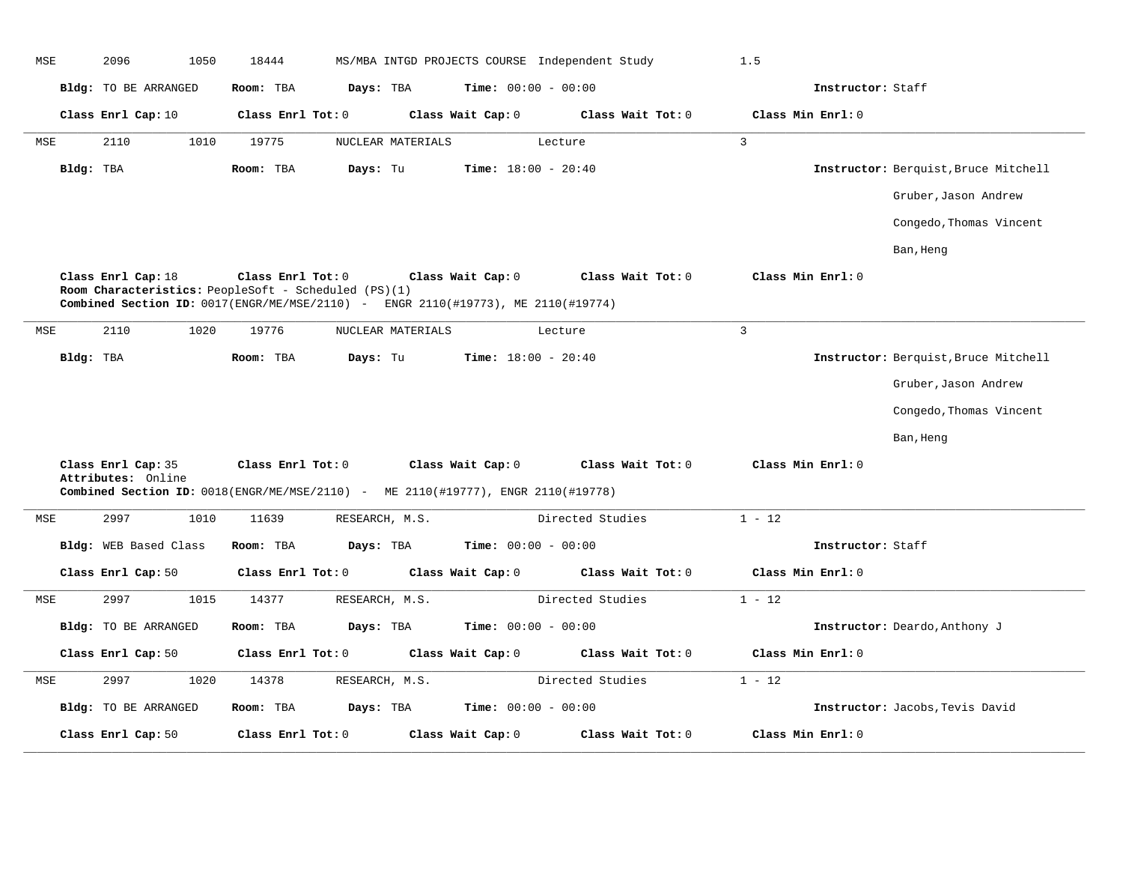| MSE | 2096                                                                                       | 1050 | 18444     |                   |                   |                   | MS/MBA INTGD PROJECTS COURSE Independent Study | 1.5               |                   |                                      |
|-----|--------------------------------------------------------------------------------------------|------|-----------|-------------------|-------------------|-------------------|------------------------------------------------|-------------------|-------------------|--------------------------------------|
|     | Bldg: TO BE ARRANGED                                                                       |      | Room: TBA |                   | Days: TBA         |                   | <b>Time:</b> $00:00 - 00:00$                   |                   | Instructor: Staff |                                      |
|     | Class Enrl Cap: 10                                                                         |      |           | Class Enrl Tot: 0 |                   | Class Wait Cap: 0 | Class Wait Tot: 0                              | Class Min Enrl: 0 |                   |                                      |
| MSE | 2110                                                                                       | 1010 | 19775     |                   | NUCLEAR MATERIALS |                   | Lecture                                        | $\overline{3}$    |                   |                                      |
|     | Bldg: TBA                                                                                  |      | Room: TBA | Days: Tu          |                   |                   | Time: $18:00 - 20:40$                          |                   |                   | Instructor: Berquist, Bruce Mitchell |
|     |                                                                                            |      |           |                   |                   |                   |                                                |                   |                   | Gruber, Jason Andrew                 |
|     |                                                                                            |      |           |                   |                   |                   |                                                |                   |                   | Congedo, Thomas Vincent              |
|     |                                                                                            |      |           |                   |                   |                   |                                                |                   |                   | Ban, Heng                            |
|     | Class Enrl Cap: 18<br>Room Characteristics: PeopleSoft - Scheduled (PS)(1)                 |      |           | Class Enrl Tot: 0 |                   | Class Wait Cap: 0 | Class Wait Tot: 0                              | Class Min Enrl: 0 |                   |                                      |
|     | Combined Section ID: 0017(ENGR/ME/MSE/2110) - ENGR 2110(#19773), ME 2110(#19774)           |      |           |                   |                   |                   |                                                |                   |                   |                                      |
| MSE | 2110                                                                                       | 1020 | 19776     |                   | NUCLEAR MATERIALS |                   | Lecture                                        | $\overline{3}$    |                   |                                      |
|     | Bldg: TBA                                                                                  |      | Room: TBA | Days: Tu          |                   |                   | <b>Time:</b> $18:00 - 20:40$                   |                   |                   | Instructor: Berquist, Bruce Mitchell |
|     |                                                                                            |      |           |                   |                   |                   |                                                |                   |                   | Gruber, Jason Andrew                 |
|     |                                                                                            |      |           |                   |                   |                   |                                                |                   |                   | Congedo, Thomas Vincent              |
|     |                                                                                            |      |           |                   |                   |                   |                                                |                   |                   | Ban, Heng                            |
|     | Class Enrl Cap: 35<br>Attributes: Online                                                   |      |           | Class Enrl Tot: 0 |                   | Class Wait Cap: 0 | Class Wait Tot: 0                              | Class Min Enrl: 0 |                   |                                      |
|     | <b>Combined Section ID:</b> $0018$ (ENGR/ME/MSE/2110) - ME 2110(#19777), ENGR 2110(#19778) |      |           |                   |                   |                   |                                                |                   |                   |                                      |
| MSE | 2997                                                                                       | 1010 | 11639     |                   | RESEARCH, M.S.    |                   | Directed Studies                               | $1 - 12$          |                   |                                      |
|     | Bldg: WEB Based Class                                                                      |      | Room: TBA |                   | Days: TBA         |                   | <b>Time:</b> $00:00 - 00:00$                   |                   | Instructor: Staff |                                      |
|     | Class Enrl Cap: 50                                                                         |      |           | Class Enrl Tot: 0 |                   | Class Wait Cap: 0 | Class Wait Tot: 0                              | Class Min Enrl: 0 |                   |                                      |
| MSE | 2997                                                                                       | 1015 | 14377     |                   | RESEARCH, M.S.    |                   | Directed Studies                               | $1 - 12$          |                   |                                      |
|     | Bldg: TO BE ARRANGED                                                                       |      | Room: TBA |                   | Days: TBA         |                   | <b>Time:</b> $00:00 - 00:00$                   |                   |                   | Instructor: Deardo, Anthony J        |
|     | Class Enrl Cap: 50                                                                         |      |           | Class Enrl Tot: 0 |                   | Class Wait Cap: 0 | Class Wait Tot: 0                              | Class Min Enrl: 0 |                   |                                      |
| MSE | 2997                                                                                       | 1020 | 14378     |                   | RESEARCH, M.S.    |                   | Directed Studies                               | $1 - 12$          |                   |                                      |
|     | Bldg: TO BE ARRANGED                                                                       |      | Room: TBA |                   | Days: TBA         |                   | Time: $00:00 - 00:00$                          |                   |                   | Instructor: Jacobs, Tevis David      |
|     | Class Enrl Cap: 50                                                                         |      |           | Class Enrl Tot: 0 |                   | Class Wait Cap: 0 | Class Wait Tot: 0                              | Class Min Enrl: 0 |                   |                                      |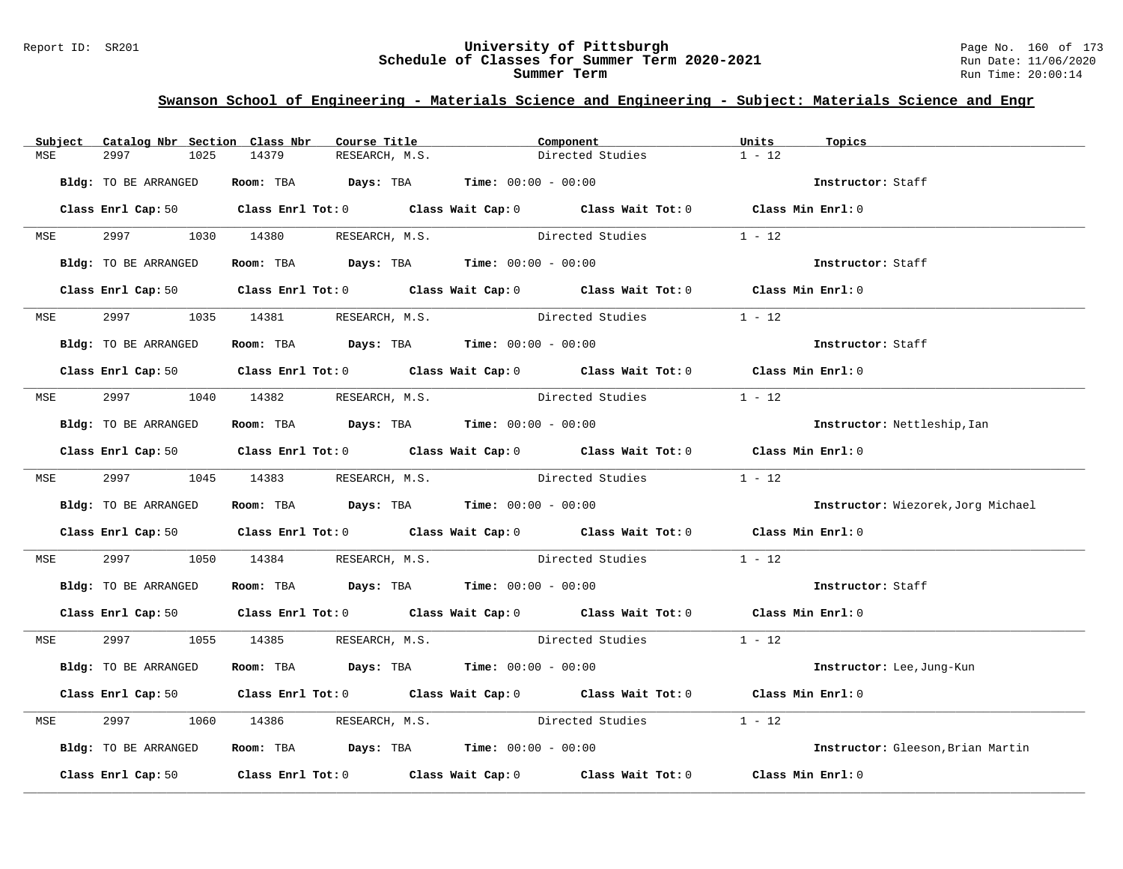#### Report ID: SR201 **University of Pittsburgh** Page No. 160 of 173 **Schedule of Classes for Summer Term 2020-2021** Run Date: 11/06/2020 **Summer Term** Run Time: 20:00:14

| Subject    | Catalog Nbr Section Class Nbr | Course Title                                                   | Component                                                                                                                      | Units<br>Topics                    |
|------------|-------------------------------|----------------------------------------------------------------|--------------------------------------------------------------------------------------------------------------------------------|------------------------------------|
| MSE        | 2997<br>1025                  | 14379<br>RESEARCH, M.S.                                        | Directed Studies                                                                                                               | $1 - 12$                           |
|            | Bldg: TO BE ARRANGED          | Room: TBA $Days:$ TBA $Time: 00:00 - 00:00$                    |                                                                                                                                | Instructor: Staff                  |
|            |                               |                                                                | Class Enrl Cap: 50 Class Enrl Tot: 0 Class Wait Cap: 0 Class Wait Tot: 0 Class Min Enrl: 0                                     |                                    |
|            |                               | MSE 2997 1030 14380 RESEARCH, M.S.                             | Directed Studies                                                                                                               | $1 - 12$                           |
|            | Bldg: TO BE ARRANGED          | Room: TBA $Days:$ TBA $Time: 00:00 - 00:00$                    |                                                                                                                                | Instructor: Staff                  |
|            |                               |                                                                | Class Enrl Cap: 50 $\qquad$ Class Enrl Tot: 0 $\qquad$ Class Wait Cap: 0 $\qquad$ Class Wait Tot: 0 $\qquad$ Class Min Enrl: 0 |                                    |
| <b>MSE</b> |                               | 2997 1035 14381 RESEARCH, M.S.                                 | Directed Studies                                                                                                               | $1 - 12$                           |
|            | Bldg: TO BE ARRANGED          | Room: TBA $Days:$ TBA $Time: 00:00 - 00:00$                    |                                                                                                                                | Instructor: Staff                  |
|            |                               |                                                                | Class Enrl Cap: 50 Class Enrl Tot: 0 Class Wait Cap: 0 Class Wait Tot: 0 Class Min Enrl: 0                                     |                                    |
|            |                               |                                                                | MSE 2997 1040 14382 RESEARCH, M.S. Directed Studies                                                                            | $1 - 12$                           |
|            | Bldg: TO BE ARRANGED          | Room: TBA $Days:$ TBA $Time: 00:00 - 00:00$                    |                                                                                                                                | Instructor: Nettleship, Ian        |
|            |                               |                                                                | Class Enrl Cap: 50 $\qquad$ Class Enrl Tot: 0 $\qquad$ Class Wait Cap: 0 $\qquad$ Class Wait Tot: 0 $\qquad$ Class Min Enrl: 0 |                                    |
|            |                               |                                                                | MSE 2997 1045 14383 RESEARCH, M.S. Directed Studies 1 - 12                                                                     |                                    |
|            | Bldg: TO BE ARRANGED          | Room: TBA $Days:$ TBA Time: $00:00 - 00:00$                    |                                                                                                                                | Instructor: Wiezorek, Jorg Michael |
|            |                               |                                                                | Class Enrl Cap: 50 $\qquad$ Class Enrl Tot: 0 $\qquad$ Class Wait Cap: 0 $\qquad$ Class Wait Tot: 0 $\qquad$ Class Min Enrl: 0 |                                    |
| MSE        | 2997                          |                                                                | 1050 14384 RESEARCH, M.S. Directed Studies 1 - 12                                                                              |                                    |
|            | Bldg: TO BE ARRANGED          | Room: TBA $Days:$ TBA $Time: 00:00 - 00:00$                    |                                                                                                                                | Instructor: Staff                  |
|            |                               |                                                                | Class Enrl Cap: 50 $\qquad$ Class Enrl Tot: 0 $\qquad$ Class Wait Cap: 0 $\qquad$ Class Wait Tot: 0 $\qquad$ Class Min Enrl: 0 |                                    |
|            |                               |                                                                | MSE 2997 1055 14385 RESEARCH, M.S. Directed Studies 1 - 12                                                                     |                                    |
|            | Bldg: TO BE ARRANGED          | Room: TBA $\rule{1em}{0.15mm}$ Days: TBA Time: $00:00 - 00:00$ |                                                                                                                                | Instructor: Lee, Jung-Kun          |
|            |                               |                                                                | Class Enrl Cap: 50 Class Enrl Tot: 0 Class Wait Cap: 0 Class Wait Tot: 0 Class Min Enrl: 0                                     |                                    |
| MSE        | 2997                          |                                                                | 1060 14386 RESEARCH, M.S. Directed Studies                                                                                     | $1 - 12$                           |
|            | Bldg: TO BE ARRANGED          | Room: TBA $Days:$ TBA Time: $00:00 - 00:00$                    |                                                                                                                                | Instructor: Gleeson, Brian Martin  |
|            |                               |                                                                | Class Enrl Cap: 50 Class Enrl Tot: 0 Class Wait Cap: 0 Class Wait Tot: 0 Class Min Enrl: 0                                     |                                    |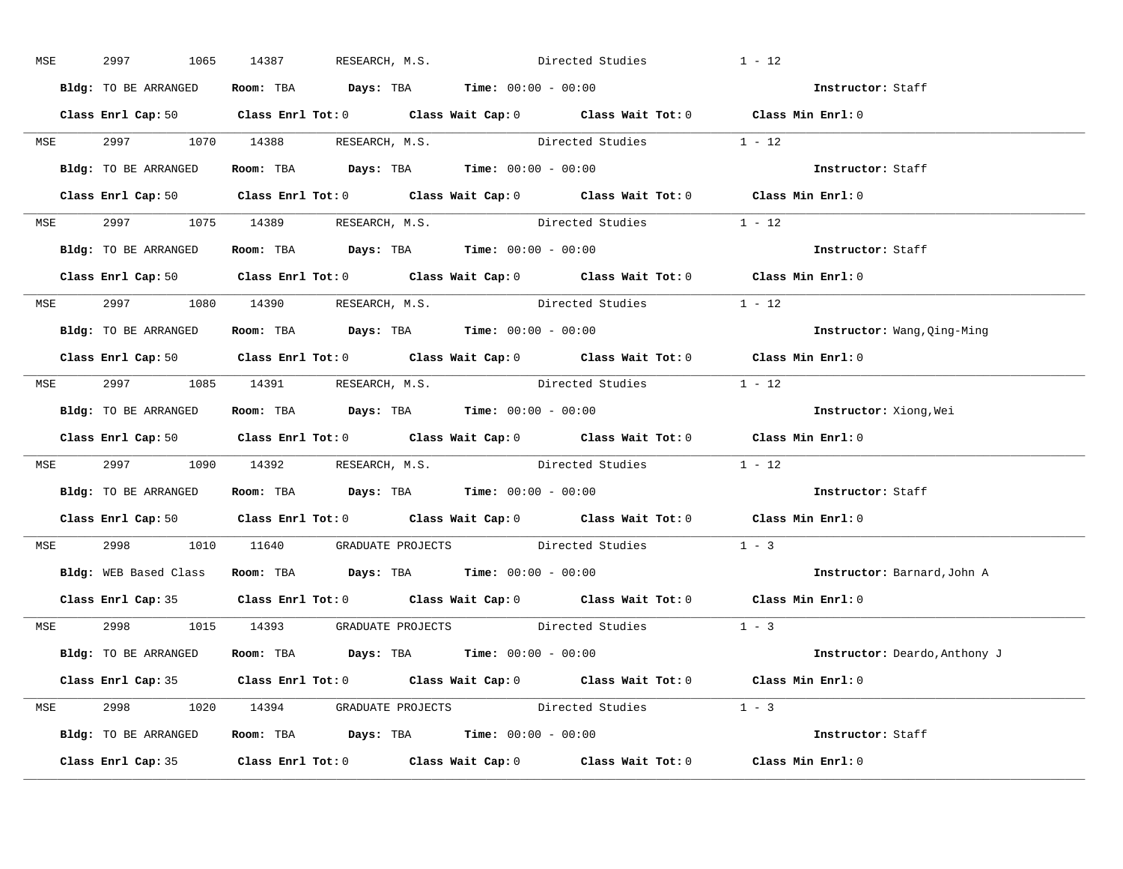| MSE        | 2997<br>1065         | 14387 RESEARCH, M.S.                                           | Directed Studies                                                                                                               | $1 - 12$                             |
|------------|----------------------|----------------------------------------------------------------|--------------------------------------------------------------------------------------------------------------------------------|--------------------------------------|
|            | Bldg: TO BE ARRANGED | Room: TBA $Days:$ TBA Time: $00:00 - 00:00$                    |                                                                                                                                | Instructor: Staff                    |
|            |                      |                                                                | Class Enrl Cap: 50 $\qquad$ Class Enrl Tot: 0 $\qquad$ Class Wait Cap: 0 $\qquad$ Class Wait Tot: 0 $\qquad$ Class Min Enrl: 0 |                                      |
|            |                      |                                                                | MSE 2997 1070 14388 RESEARCH, M.S. Directed Studies 1 - 12                                                                     |                                      |
|            | Bldg: TO BE ARRANGED | Room: TBA $\rule{1em}{0.15mm}$ Days: TBA Time: $00:00 - 00:00$ |                                                                                                                                | Instructor: Staff                    |
|            |                      |                                                                | Class Enrl Cap: 50 $\qquad$ Class Enrl Tot: 0 $\qquad$ Class Wait Cap: 0 $\qquad$ Class Wait Tot: 0 $\qquad$ Class Min Enrl: 0 |                                      |
|            |                      |                                                                | MSE 2997 1075 14389 RESEARCH, M.S. Directed Studies 1 - 12                                                                     |                                      |
|            |                      | Bldg: TO BE ARRANGED ROOM: TBA Days: TBA Time: 00:00 - 00:00   |                                                                                                                                | Instructor: Staff                    |
|            |                      |                                                                | Class Enrl Cap: 50 $\qquad$ Class Enrl Tot: 0 $\qquad$ Class Wait Cap: 0 $\qquad$ Class Wait Tot: 0 $\qquad$ Class Min Enrl: 0 |                                      |
|            |                      |                                                                | MSE 2997 1080 14390 RESEARCH, M.S. Directed Studies 1 - 12                                                                     |                                      |
|            | Bldg: TO BE ARRANGED | Room: TBA $Days:$ TBA Time: $00:00 - 00:00$                    |                                                                                                                                | Instructor: Wang, Qing-Ming          |
|            |                      |                                                                | Class Enrl Cap: 50 Class Enrl Tot: 0 Class Wait Cap: 0 Class Wait Tot: 0 Class Min Enrl: 0                                     |                                      |
|            |                      | MSE 2997 1085 14391 RESEARCH, M.S.                             | Directed Studies 1 - 12                                                                                                        |                                      |
|            |                      | Bldg: TO BE ARRANGED Room: TBA Days: TBA Time: 00:00 - 00:00   |                                                                                                                                | Instructor: Xiong, Wei               |
|            |                      |                                                                | Class Enrl Cap: 50 Class Enrl Tot: 0 Class Wait Cap: 0 Class Wait Tot: 0 Class Min Enrl: 0                                     |                                      |
|            |                      |                                                                | MSE 2997 1090 14392 RESEARCH, M.S. Directed Studies 1 - 12                                                                     |                                      |
|            |                      | Bldg: TO BE ARRANGED Room: TBA Days: TBA Time: 00:00 - 00:00   |                                                                                                                                | Instructor: Staff                    |
|            |                      |                                                                | Class Enrl Cap: 50 Class Enrl Tot: 0 Class Wait Cap: 0 Class Wait Tot: 0 Class Min Enrl: 0                                     |                                      |
| <b>MSE</b> |                      |                                                                | 2998 1010 11640 GRADUATE PROJECTS Directed Studies                                                                             | $1 - 3$                              |
|            |                      | Bldg: WEB Based Class Room: TBA Days: TBA Time: 00:00 - 00:00  |                                                                                                                                | <b>Instructor:</b> Barnard, John A   |
|            |                      |                                                                | Class Enrl Cap: 35 Class Enrl Tot: 0 Class Wait Cap: 0 Class Wait Tot: 0 Class Min Enrl: 0                                     |                                      |
|            |                      |                                                                | MSE 2998 1015 14393 GRADUATE PROJECTS Directed Studies 1 - 3                                                                   |                                      |
|            |                      | Bldg: TO BE ARRANGED ROOM: TBA Days: TBA Time: 00:00 - 00:00   |                                                                                                                                | <b>Instructor:</b> Deardo, Anthony J |
|            |                      |                                                                | Class Enrl Cap: 35 Class Enrl Tot: 0 Class Wait Cap: 0 Class Wait Tot: 0 Class Min Enrl: 0                                     |                                      |
|            |                      |                                                                | MSE 2998 1020 14394 GRADUATE PROJECTS Directed Studies 1 - 3                                                                   |                                      |
|            |                      | Bldg: TO BE ARRANGED Room: TBA Days: TBA Time: 00:00 - 00:00   |                                                                                                                                | Instructor: Staff                    |
|            |                      |                                                                | Class Enrl Cap: 35 Class Enrl Tot: 0 Class Wait Cap: 0 Class Wait Tot: 0 Class Min Enrl: 0                                     |                                      |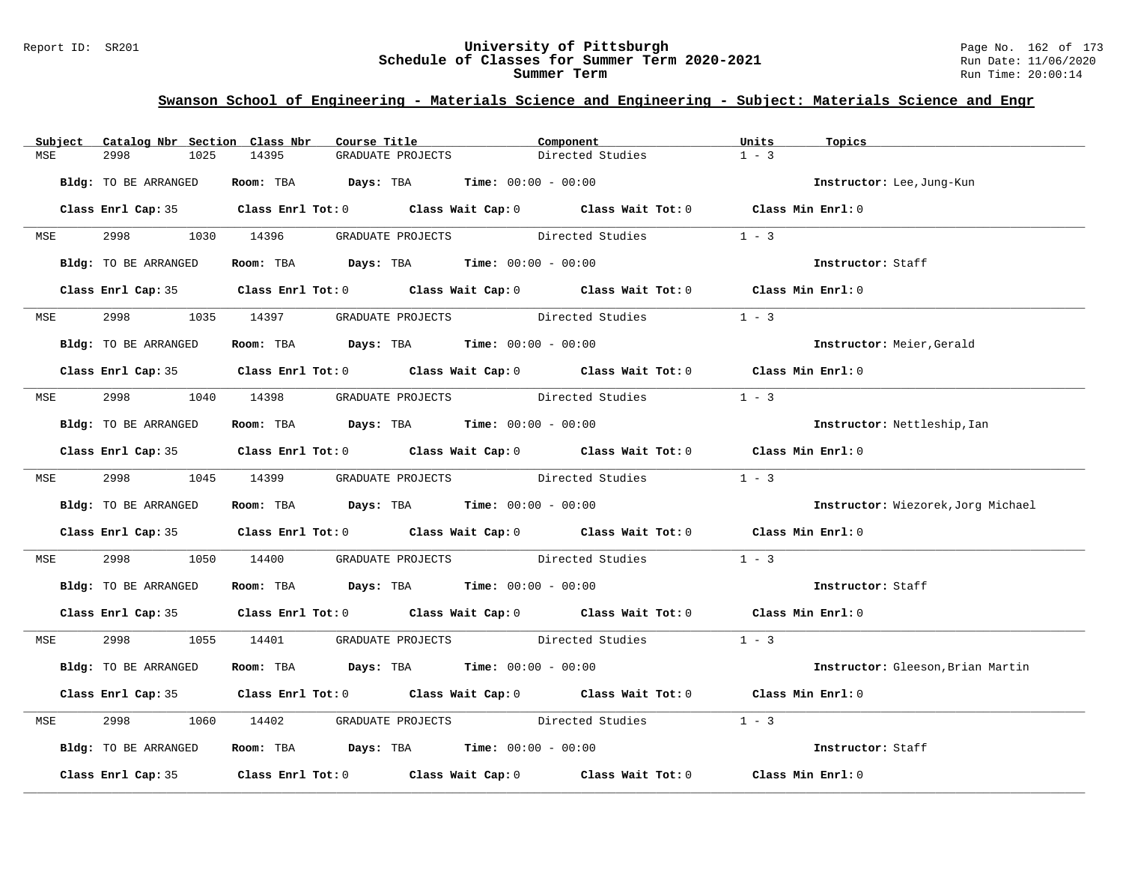#### Report ID: SR201 **University of Pittsburgh** Page No. 162 of 173 **Schedule of Classes for Summer Term 2020-2021** Run Date: 11/06/2020 **Summer Term** Run Time: 20:00:14

| Subject    | Catalog Nbr Section Class Nbr | Course Title                                           | Component                                                                                  | Units<br>Topics                    |
|------------|-------------------------------|--------------------------------------------------------|--------------------------------------------------------------------------------------------|------------------------------------|
| MSE        | 2998<br>1025                  | 14395<br>GRADUATE PROJECTS                             | Directed Studies                                                                           | $1 - 3$                            |
|            | Bldg: TO BE ARRANGED          | Room: TBA $Days:$ TBA $Time: 00:00 - 00:00$            |                                                                                            | Instructor: Lee, Jung-Kun          |
|            |                               |                                                        | Class Enrl Cap: 35 Class Enrl Tot: 0 Class Wait Cap: 0 Class Wait Tot: 0 Class Min Enrl: 0 |                                    |
|            |                               | MSE 2998 1030 14396 GRADUATE PROJECTS Directed Studies |                                                                                            | $1 - 3$                            |
|            | Bldg: TO BE ARRANGED          | Room: TBA $Days:$ TBA $Time:$ 00:00 - 00:00            |                                                                                            | Instructor: Staff                  |
|            |                               |                                                        | Class Enrl Cap: 35 Class Enrl Tot: 0 Class Wait Cap: 0 Class Wait Tot: 0 Class Min Enrl: 0 |                                    |
| <b>MSE</b> |                               | 2998 1035 14397 GRADUATE PROJECTS Directed Studies     |                                                                                            | $1 - 3$                            |
|            | Bldg: TO BE ARRANGED          | Room: TBA $Days:$ TBA $Time: 00:00 - 00:00$            |                                                                                            | Instructor: Meier, Gerald          |
|            |                               |                                                        | Class Enrl Cap: 35 Class Enrl Tot: 0 Class Wait Cap: 0 Class Wait Tot: 0 Class Min Enrl: 0 |                                    |
|            |                               |                                                        | MSE 2998 1040 14398 GRADUATE PROJECTS Directed Studies                                     | $1 - 3$                            |
|            | Bldg: TO BE ARRANGED          | Room: TBA $Days:$ TBA $Time: 00:00 - 00:00$            |                                                                                            | Instructor: Nettleship, Ian        |
|            |                               |                                                        | Class Enrl Cap: 35 Class Enrl Tot: 0 Class Wait Cap: 0 Class Wait Tot: 0 Class Min Enrl: 0 |                                    |
|            | MSE 2998 1045 14399           |                                                        | GRADUATE PROJECTS Directed Studies                                                         | $1 - 3$                            |
|            | Bldg: TO BE ARRANGED          | Room: TBA $Days: TBA$ Time: $00:00 - 00:00$            |                                                                                            | Instructor: Wiezorek, Jorg Michael |
|            |                               |                                                        | Class Enrl Cap: 35 Class Enrl Tot: 0 Class Wait Cap: 0 Class Wait Tot: 0 Class Min Enrl: 0 |                                    |
| MSE        | 2998                          | 1050 14400                                             | GRADUATE PROJECTS Directed Studies                                                         | $1 - 3$                            |
|            | Bldg: TO BE ARRANGED          | Room: TBA $Days$ : TBA Time: $00:00 - 00:00$           |                                                                                            | Instructor: Staff                  |
|            |                               |                                                        | Class Enrl Cap: 35 Class Enrl Tot: 0 Class Wait Cap: 0 Class Wait Tot: 0 Class Min Enrl: 0 |                                    |
|            |                               |                                                        | MSE 2998 1055 14401 GRADUATE PROJECTS Directed Studies 1 - 3                               |                                    |
|            | Bldg: TO BE ARRANGED          | Room: TBA $Days:$ TBA $Time: 00:00 - 00:00$            |                                                                                            | Instructor: Gleeson, Brian Martin  |
|            |                               |                                                        | Class Enrl Cap: 35 Class Enrl Tot: 0 Class Wait Cap: 0 Class Wait Tot: 0 Class Min Enrl: 0 |                                    |
| MSE        | 2998                          |                                                        | 1060 14402 GRADUATE PROJECTS Directed Studies                                              | $1 - 3$                            |
|            | Bldg: TO BE ARRANGED          | Room: TBA $Days: TBA$ Time: $00:00 - 00:00$            |                                                                                            | Instructor: Staff                  |
|            |                               |                                                        | Class Enrl Cap: 35 Class Enrl Tot: 0 Class Wait Cap: 0 Class Wait Tot: 0 Class Min Enrl: 0 |                                    |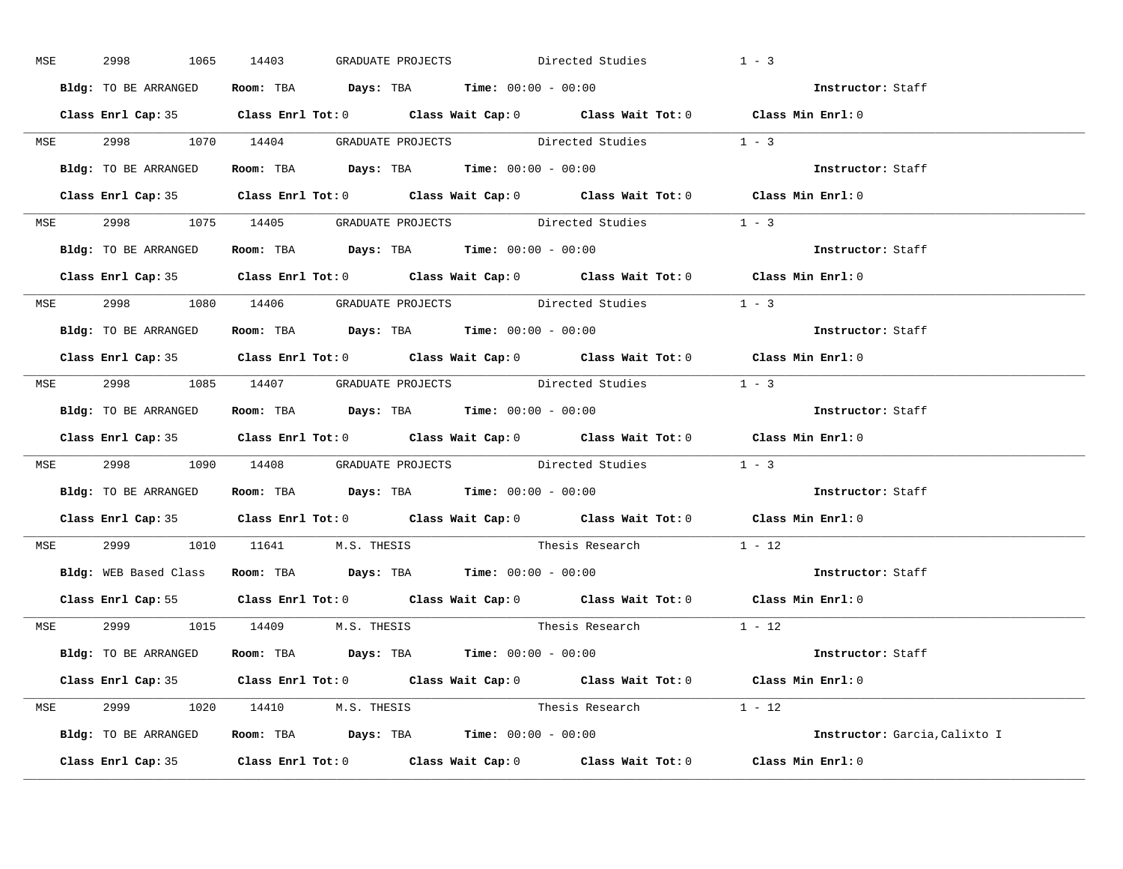| MSE        | 2998                 | 1065 14403<br>GRADUATE PROJECTS                                                            | Directed Studies         | $1 - 3$                       |
|------------|----------------------|--------------------------------------------------------------------------------------------|--------------------------|-------------------------------|
|            | Bldg: TO BE ARRANGED | Room: TBA $\rule{1em}{0.15mm}$ Days: TBA Time: $00:00 - 00:00$                             |                          | Instructor: Staff             |
|            |                      | Class Enrl Cap: 35 Class Enrl Tot: 0 Class Wait Cap: 0 Class Wait Tot: 0 Class Min Enrl: 0 |                          |                               |
|            |                      | MSE 2998 1070 14404 GRADUATE PROJECTS Directed Studies 1 - 3                               |                          |                               |
|            | Bldg: TO BE ARRANGED | Room: TBA Days: TBA Time: $00:00 - 00:00$                                                  |                          | Instructor: Staff             |
|            |                      | Class Enrl Cap: 35 Class Enrl Tot: 0 Class Wait Cap: 0 Class Wait Tot: 0 Class Min Enrl: 0 |                          |                               |
|            |                      | MSE 2998 1075 14405 GRADUATE PROJECTS Directed Studies 1 - 3                               |                          |                               |
|            |                      | Bldg: TO BE ARRANGED Room: TBA Days: TBA Time: 00:00 - 00:00                               |                          | Instructor: Staff             |
|            |                      | Class Enrl Cap: 35 Class Enrl Tot: 0 Class Wait Cap: 0 Class Wait Tot: 0 Class Min Enrl: 0 |                          |                               |
|            |                      | MSE 2998 1080 14406 GRADUATE PROJECTS Directed Studies 1 - 3                               |                          |                               |
|            | Bldg: TO BE ARRANGED | Room: TBA $Days:$ TBA $Time: 00:00 - 00:00$                                                |                          | Instructor: Staff             |
|            |                      | Class Enrl Cap: 35 Class Enrl Tot: 0 Class Wait Cap: 0 Class Wait Tot: 0 Class Min Enrl: 0 |                          |                               |
|            |                      | MSE 2998 1085 14407 GRADUATE PROJECTS Directed Studies 1 - 3                               |                          |                               |
|            |                      | Bldg: TO BE ARRANGED ROOM: TBA Days: TBA Time: 00:00 - 00:00                               |                          | Instructor: Staff             |
|            |                      | Class Enrl Cap: 35 Class Enrl Tot: 0 Class Wait Cap: 0 Class Wait Tot: 0 Class Min Enrl: 0 |                          |                               |
|            |                      | MSE 2998 1090 14408 GRADUATE PROJECTS Directed Studies 1 - 3                               |                          |                               |
|            |                      | Bldg: TO BE ARRANGED Room: TBA Days: TBA Time: 00:00 - 00:00                               |                          | Instructor: Staff             |
|            |                      | Class Enrl Cap: 35 Class Enrl Tot: 0 Class Wait Cap: 0 Class Wait Tot: 0 Class Min Enrl: 0 |                          |                               |
| <b>MSE</b> |                      | 2999 1010 11641 M.S. THESIS Thesis Research 1 - 12                                         |                          |                               |
|            |                      | Bldg: WEB Based Class Room: TBA Days: TBA Time: 00:00 - 00:00                              |                          | Instructor: Staff             |
|            |                      | Class Enrl Cap: 55 Class Enrl Tot: 0 Class Wait Cap: 0 Class Wait Tot: 0 Class Min Enrl: 0 |                          |                               |
|            |                      | MSE 2999 1015 14409 M.S. THESIS                                                            | Thesis Research $1 - 12$ |                               |
|            |                      | Bldg: TO BE ARRANGED ROOM: TBA Days: TBA Time: 00:00 - 00:00                               |                          | Instructor: Staff             |
|            |                      | Class Enrl Cap: 35 Class Enrl Tot: 0 Class Wait Cap: 0 Class Wait Tot: 0 Class Min Enrl: 0 |                          |                               |
|            |                      | MSE 2999 1020 14410 M.S. THESIS                                                            | Thesis Research 1 - 12   |                               |
|            |                      | Bldg: TO BE ARRANGED ROOM: TBA Days: TBA Time: 00:00 - 00:00                               |                          | Instructor: Garcia, Calixto I |
|            |                      | Class Enrl Cap: 35 Class Enrl Tot: 0 Class Wait Cap: 0 Class Wait Tot: 0 Class Min Enrl: 0 |                          |                               |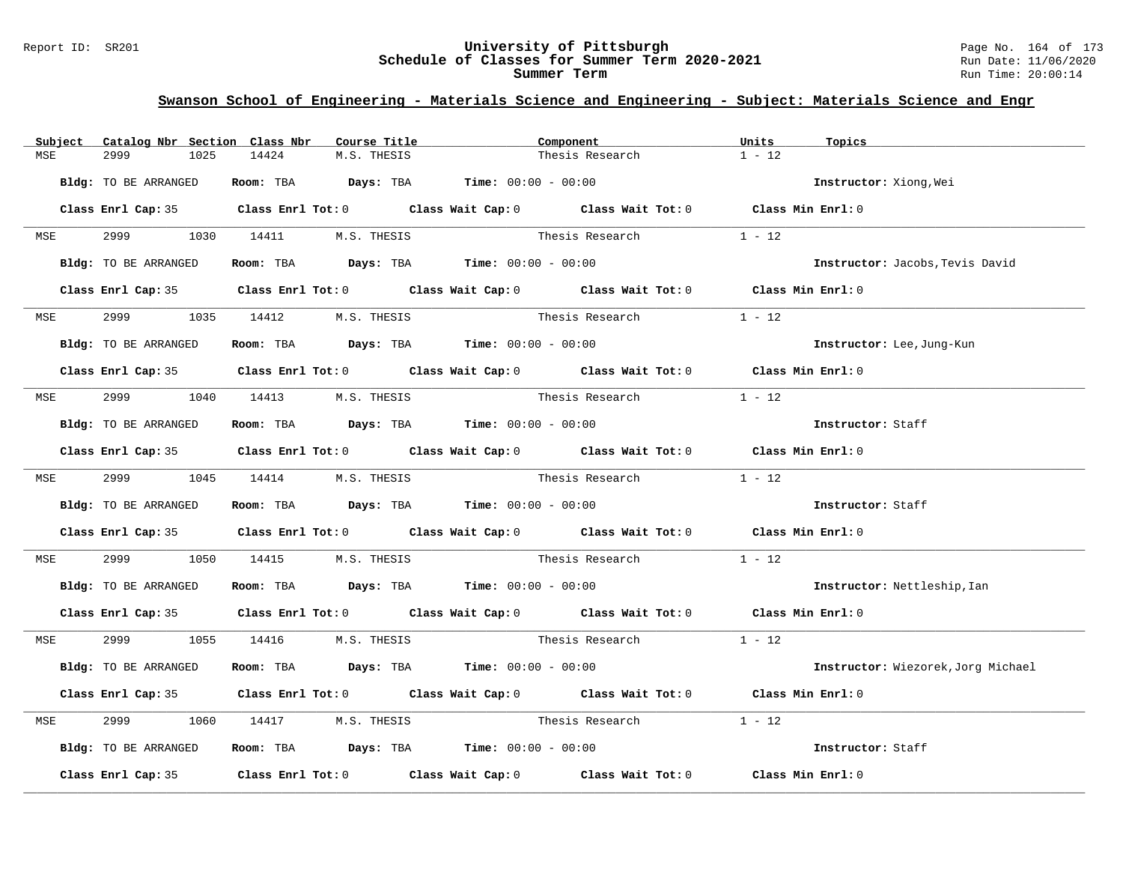#### Report ID: SR201 **University of Pittsburgh** Page No. 164 of 173 **Schedule of Classes for Summer Term 2020-2021** Run Date: 11/06/2020 **Summer Term** Run Time: 20:00:14

|     | Subject Catalog Nbr Section Class Nbr | Course Title                                                   | Component                                                                                  | Units<br>Topics                    |
|-----|---------------------------------------|----------------------------------------------------------------|--------------------------------------------------------------------------------------------|------------------------------------|
| MSE | 2999<br>1025                          | 14424<br>M.S. THESIS                                           | Thesis Research                                                                            | $1 - 12$                           |
|     | Bldg: TO BE ARRANGED                  | Room: TBA $Days: TBA$ Time: $00:00 - 00:00$                    |                                                                                            | Instructor: Xiong, Wei             |
|     |                                       |                                                                | Class Enrl Cap: 35 Class Enrl Tot: 0 Class Wait Cap: 0 Class Wait Tot: 0 Class Min Enrl: 0 |                                    |
|     |                                       | MSE 2999 1030 14411 M.S. THESIS                                | Thesis Research                                                                            | $1 - 12$                           |
|     | Bldg: TO BE ARRANGED                  | Room: TBA $\rule{1em}{0.15mm}$ Days: TBA Time: $00:00 - 00:00$ |                                                                                            | Instructor: Jacobs, Tevis David    |
|     |                                       |                                                                | Class Enrl Cap: 35 Class Enrl Tot: 0 Class Wait Cap: 0 Class Wait Tot: 0 Class Min Enrl: 0 |                                    |
|     | MSE 2999                              | 1035 14412 M.S. THESIS                                         | Thesis Research                                                                            | $1 - 12$                           |
|     | Bldg: TO BE ARRANGED                  | Room: TBA $Days:$ TBA $Time: 00:00 - 00:00$                    |                                                                                            | Instructor: Lee, Jung-Kun          |
|     |                                       |                                                                | Class Enrl Cap: 35 Class Enrl Tot: 0 Class Wait Cap: 0 Class Wait Tot: 0 Class Min Enrl: 0 |                                    |
|     |                                       | MSE 2999 1040 14413 M.S. THESIS                                | Thesis Research                                                                            | $1 - 12$                           |
|     | Bldg: TO BE ARRANGED                  | Room: TBA $Days: TBA$ Time: $00:00 - 00:00$                    |                                                                                            | Instructor: Staff                  |
|     |                                       |                                                                | Class Enrl Cap: 35 Class Enrl Tot: 0 Class Wait Cap: 0 Class Wait Tot: 0 Class Min Enrl: 0 |                                    |
|     |                                       | MSE 2999 1045 14414 M.S. THESIS                                | Thesis Research $1 - 12$                                                                   |                                    |
|     | Bldg: TO BE ARRANGED                  | Room: TBA $Days:$ TBA Time: $00:00 - 00:00$                    |                                                                                            | Instructor: Staff                  |
|     |                                       |                                                                | Class Enrl Cap: 35 Class Enrl Tot: 0 Class Wait Cap: 0 Class Wait Tot: 0 Class Min Enrl: 0 |                                    |
| MSE | 2999 720                              |                                                                | 1050 14415 M.S. THESIS Thesis Research 1 - 12                                              |                                    |
|     | Bldg: TO BE ARRANGED                  | Room: TBA $Days:$ TBA Time: $00:00 - 00:00$                    |                                                                                            | Instructor: Nettleship, Ian        |
|     |                                       |                                                                | Class Enrl Cap: 35 Class Enrl Tot: 0 Class Wait Cap: 0 Class Wait Tot: 0 Class Min Enrl: 0 |                                    |
|     |                                       | MSE 2999 1055 14416 M.S. THESIS                                | Thesis Research $1 - 12$                                                                   |                                    |
|     | Bldg: TO BE ARRANGED                  | Room: TBA $Days:$ TBA $Time: 00:00 - 00:00$                    |                                                                                            | Instructor: Wiezorek, Jorg Michael |
|     |                                       |                                                                | Class Enrl Cap: 35 Class Enrl Tot: 0 Class Wait Cap: 0 Class Wait Tot: 0 Class Min Enrl: 0 |                                    |
| MSE | 2999                                  |                                                                | 1060 14417 M.S. THESIS Thesis Research                                                     | $1 - 12$                           |
|     | Bldg: TO BE ARRANGED                  | Room: TBA $\rule{1em}{0.15mm}$ Days: TBA Time: $00:00 - 00:00$ |                                                                                            | Instructor: Staff                  |
|     |                                       |                                                                | Class Enrl Cap: 35 Class Enrl Tot: 0 Class Wait Cap: 0 Class Wait Tot: 0 Class Min Enrl: 0 |                                    |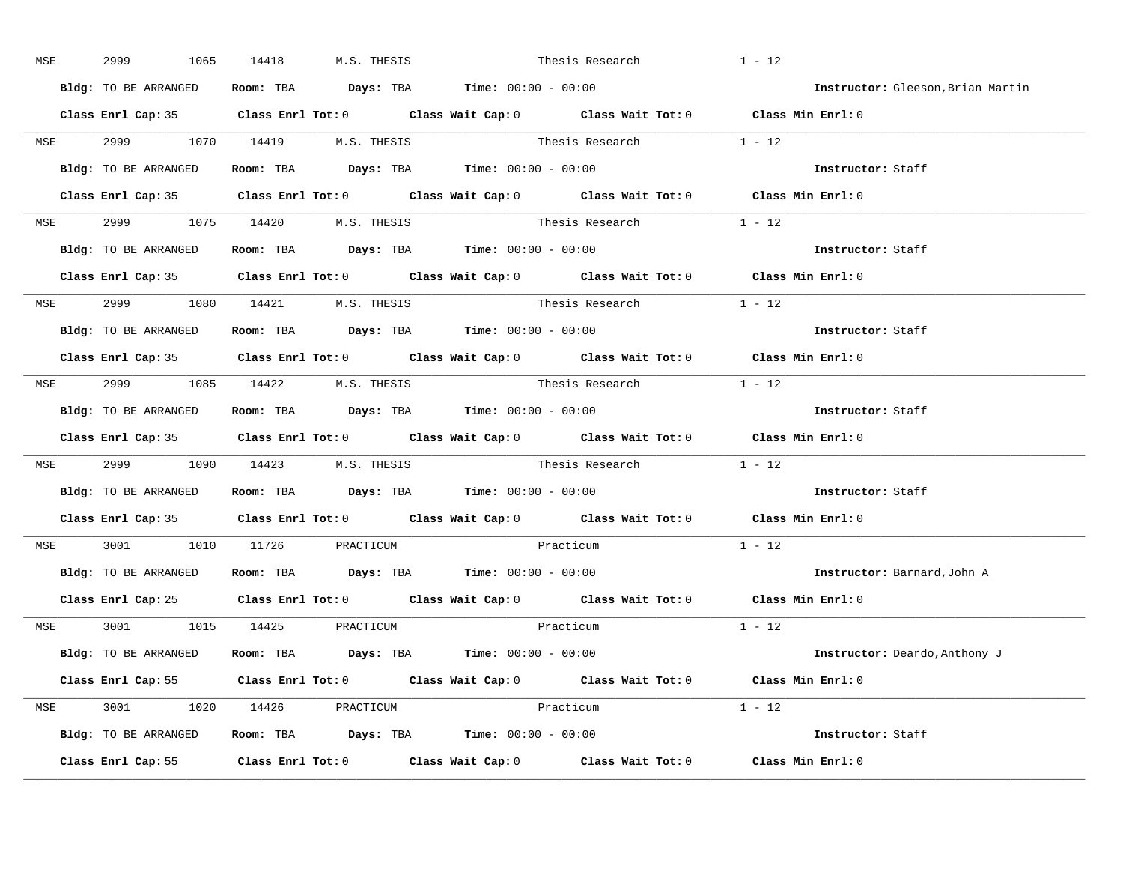| MSE        | 2999<br>1065         | 14418<br>M.S. THESIS                                                                       | Thesis Research                                                                            | $1 - 12$                           |
|------------|----------------------|--------------------------------------------------------------------------------------------|--------------------------------------------------------------------------------------------|------------------------------------|
|            | Bldg: TO BE ARRANGED | Room: TBA $\rule{1em}{0.15mm}$ Days: TBA $\rule{1.5mm}{0.15mm}$ Time: $00:00 - 00:00$      |                                                                                            | Instructor: Gleeson, Brian Martin  |
|            |                      |                                                                                            | Class Enrl Cap: 35 Class Enrl Tot: 0 Class Wait Cap: 0 Class Wait Tot: 0 Class Min Enrl: 0 |                                    |
|            |                      |                                                                                            | MSE 2999 1070 14419 M.S. THESIS Thesis Research 1 - 12                                     |                                    |
|            | Bldg: TO BE ARRANGED | Room: TBA $\rule{1em}{0.15mm}$ Days: TBA $\rule{1.5mm}{0.15mm}$ Time: $00:00 - 00:00$      |                                                                                            | Instructor: Staff                  |
|            |                      |                                                                                            | Class Enrl Cap: 35 Class Enrl Tot: 0 Class Wait Cap: 0 Class Wait Tot: 0 Class Min Enrl: 0 |                                    |
|            |                      | MSE 2999 1075 14420 M.S. THESIS                                                            | Thesis Research 1 - 12                                                                     |                                    |
|            |                      | Bldg: TO BE ARRANGED Room: TBA Days: TBA Time: 00:00 - 00:00                               |                                                                                            | Instructor: Staff                  |
|            |                      |                                                                                            | Class Enrl Cap: 35 Class Enrl Tot: 0 Class Wait Cap: 0 Class Wait Tot: 0 Class Min Enrl: 0 |                                    |
|            |                      | MSE 2999 1080 14421 M.S. THESIS                                                            | Thesis Research 1 - 12                                                                     |                                    |
|            | Bldg: TO BE ARRANGED | Room: TBA $Days:$ TBA Time: $00:00 - 00:00$                                                |                                                                                            | Instructor: Staff                  |
|            |                      |                                                                                            | Class Enrl Cap: 35 Class Enrl Tot: 0 Class Wait Cap: 0 Class Wait Tot: 0 Class Min Enrl: 0 |                                    |
|            |                      | MSE 2999 1085 14422 M.S. THESIS                                                            | Thesis Research 1 - 12                                                                     |                                    |
|            |                      | Bldg: TO BE ARRANGED Room: TBA Days: TBA Time: 00:00 - 00:00                               |                                                                                            | Instructor: Staff                  |
|            |                      |                                                                                            | Class Enrl Cap: 35 Class Enrl Tot: 0 Class Wait Cap: 0 Class Wait Tot: 0 Class Min Enrl: 0 |                                    |
|            |                      |                                                                                            | MSE 2999 1090 14423 M.S. THESIS Thesis Research 1 - 12                                     |                                    |
|            |                      | Bldg: TO BE ARRANGED Room: TBA Days: TBA Time: 00:00 - 00:00                               |                                                                                            | Instructor: Staff                  |
|            |                      |                                                                                            | Class Enrl Cap: 35 Class Enrl Tot: 0 Class Wait Cap: 0 Class Wait Tot: 0 Class Min Enrl: 0 |                                    |
| <b>MSE</b> |                      | 3001 1010 11726 PRACTICUM                                                                  | Practicum                                                                                  | $1 - 12$                           |
|            |                      | Bldg: TO BE ARRANGED Room: TBA Days: TBA Time: 00:00 - 00:00                               |                                                                                            | <b>Instructor:</b> Barnard, John A |
|            |                      |                                                                                            | Class Enrl Cap: 25 Class Enrl Tot: 0 Class Wait Cap: 0 Class Wait Tot: 0 Class Min Enrl: 0 |                                    |
|            |                      | MSE 3001 1015 14425 PRACTICUM                                                              | Practicum                                                                                  | $1 - 12$                           |
|            |                      | Bldg: TO BE ARRANGED Room: TBA Days: TBA Time: 00:00 - 00:00                               |                                                                                            | Instructor: Deardo, Anthony J      |
|            |                      |                                                                                            | Class Enrl Cap: 55 Class Enrl Tot: 0 Class Wait Cap: 0 Class Wait Tot: 0 Class Min Enrl: 0 |                                    |
|            |                      | MSE 3001 1020 14426 PRACTICUM                                                              | Practicum                                                                                  | $1 - 12$                           |
|            |                      | <b>Bldg:</b> TO BE ARRANGED <b>Room:</b> TBA <b>Days:</b> TBA <b>Time:</b> $00:00 - 00:00$ |                                                                                            | Instructor: Staff                  |
|            |                      |                                                                                            | Class Enrl Cap: 55 Class Enrl Tot: 0 Class Wait Cap: 0 Class Wait Tot: 0 Class Min Enrl: 0 |                                    |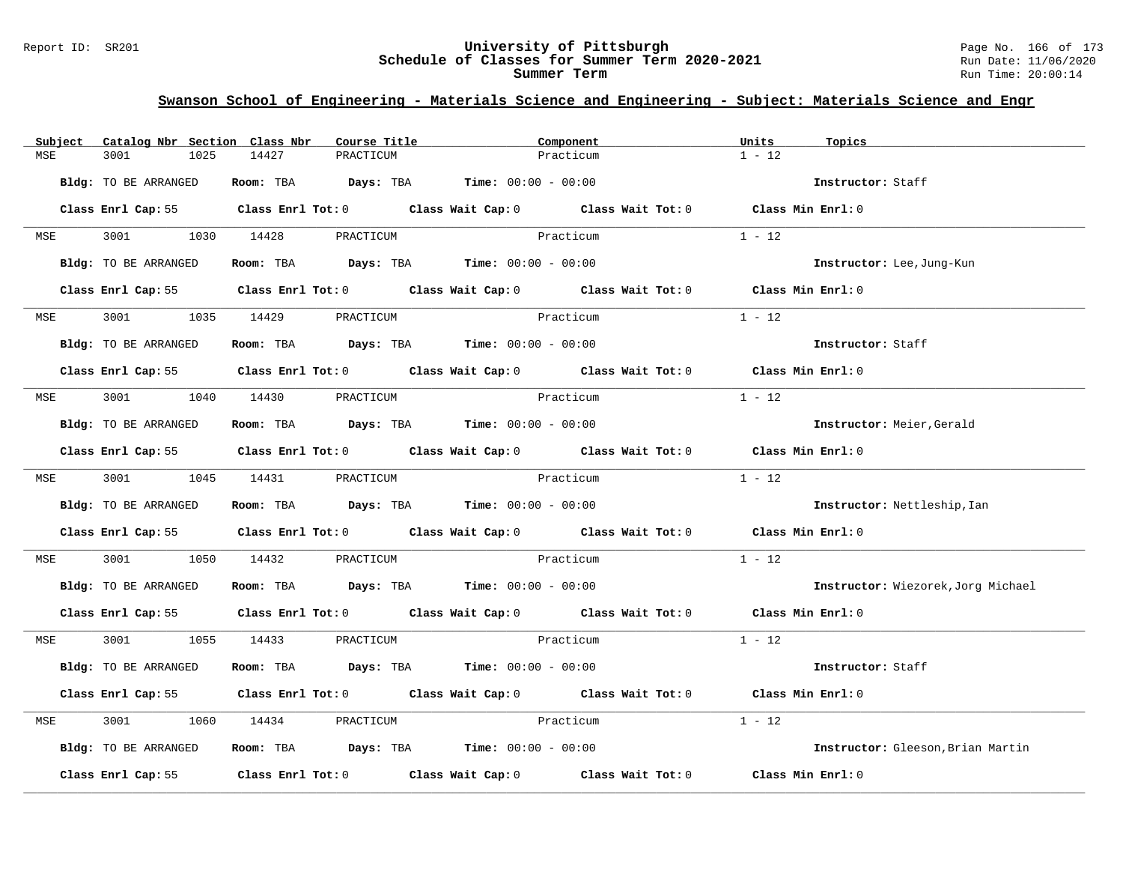#### Report ID: SR201 **University of Pittsburgh** Page No. 166 of 173 **Schedule of Classes for Summer Term 2020-2021** Run Date: 11/06/2020 **Summer Term** Run Time: 20:00:14

| Subject    | Catalog Nbr Section Class Nbr | Course Title                                | Component                                                                                  | Units<br>Topics                    |
|------------|-------------------------------|---------------------------------------------|--------------------------------------------------------------------------------------------|------------------------------------|
| MSE        | 3001<br>1025                  | 14427<br>PRACTICUM                          | Practicum                                                                                  | $1 - 12$                           |
|            | Bldg: TO BE ARRANGED          | Room: TBA $Days: TBA$ Time: $00:00 - 00:00$ |                                                                                            | Instructor: Staff                  |
|            |                               |                                             | Class Enrl Cap: 55 Class Enrl Tot: 0 Class Wait Cap: 0 Class Wait Tot: 0                   | Class Min Enrl: 0                  |
| <b>MSE</b> | 3001 1030 14428               | PRACTICUM                                   | Practicum                                                                                  | $1 - 12$                           |
|            | Bldg: TO BE ARRANGED          | Room: TBA $Days:$ TBA $Time: 00:00 - 00:00$ |                                                                                            | Instructor: Lee, Jung-Kun          |
|            |                               |                                             | Class Enrl Cap: 55 Class Enrl Tot: 0 Class Wait Cap: 0 Class Wait Tot: 0 Class Min Enrl: 0 |                                    |
| <b>MSE</b> |                               | 3001 1035 14429 PRACTICUM                   | Practicum                                                                                  | $1 - 12$                           |
|            | Bldg: TO BE ARRANGED          | Room: TBA Days: TBA Time: $00:00 - 00:00$   |                                                                                            | Instructor: Staff                  |
|            |                               |                                             | Class Enrl Cap: 55 Class Enrl Tot: 0 Class Wait Cap: 0 Class Wait Tot: 0                   | Class Min Enrl: 0                  |
| MSE        | 3001 1040 14430               | PRACTICUM                                   | Practicum                                                                                  | $1 - 12$                           |
|            | Bldg: TO BE ARRANGED          | Room: TBA $Days:$ TBA $Time: 00:00 - 00:00$ |                                                                                            | Instructor: Meier, Gerald          |
|            |                               |                                             | Class Enrl Cap: 55 Class Enrl Tot: 0 Class Wait Cap: 0 Class Wait Tot: 0 Class Min Enrl: 0 |                                    |
|            |                               | MSE 3001 1045 14431 PRACTICUM               | Practicum                                                                                  | $1 - 12$                           |
|            | Bldg: TO BE ARRANGED          | Room: TBA $Days: TBA$ Time: $00:00 - 00:00$ |                                                                                            | Instructor: Nettleship, Ian        |
|            |                               |                                             | Class Enrl Cap: 55 Class Enrl Tot: 0 Class Wait Cap: 0 Class Wait Tot: 0 Class Min Enrl: 0 |                                    |
| MSE        | 3001<br>1050                  | 14432<br>PRACTICUM                          | <b>Practicum</b>                                                                           | $1 - 12$                           |
|            | Bldg: TO BE ARRANGED          | Room: TBA $Days:$ TBA Time: $00:00 - 00:00$ |                                                                                            | Instructor: Wiezorek, Jorg Michael |
|            |                               |                                             | Class Enrl Cap: 55 Class Enrl Tot: 0 Class Wait Cap: 0 Class Wait Tot: 0 Class Min Enrl: 0 |                                    |
|            |                               | MSE 3001 1055 14433 PRACTICUM               | Practicum                                                                                  | $1 - 12$                           |
|            | Bldg: TO BE ARRANGED          | Room: TBA $Days:$ TBA $Time: 00:00 - 00:00$ |                                                                                            | Instructor: Staff                  |
|            |                               |                                             | Class Enrl Cap: 55 Class Enrl Tot: 0 Class Wait Cap: 0 Class Wait Tot: 0                   | Class Min Enrl: 0                  |
| MSE        | 3001                          | 1060 14434 PRACTICUM                        | Practicum                                                                                  | $1 - 12$                           |
|            | Bldg: TO BE ARRANGED          | Room: TBA $Days:$ TBA $Time: 00:00 - 00:00$ |                                                                                            | Instructor: Gleeson, Brian Martin  |
|            |                               |                                             | Class Enrl Cap: 55 Class Enrl Tot: 0 Class Wait Cap: 0 Class Wait Tot: 0                   | Class Min Enrl: 0                  |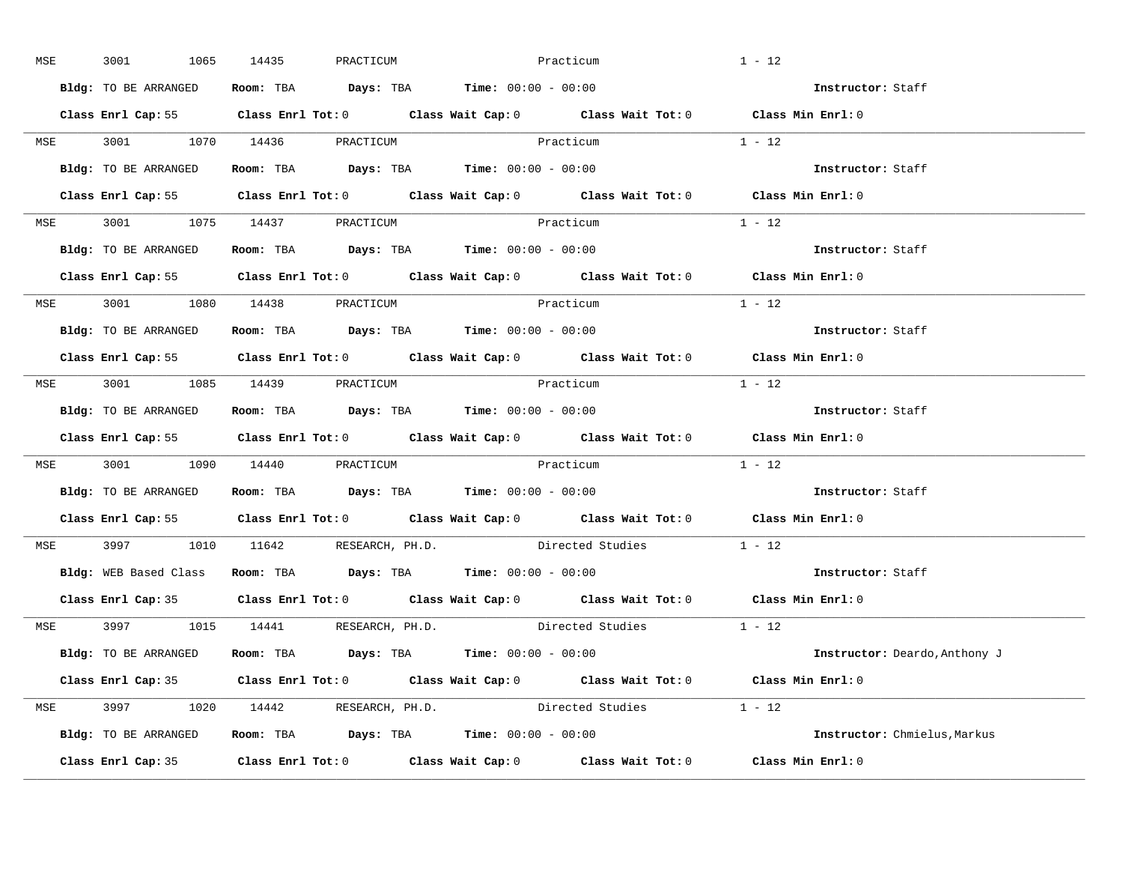| MSE        | 3001                                                          | 1065 14435 | PRACTICUM | Practicum                                   |                                                             | $1 - 12$                                                                                   |  |
|------------|---------------------------------------------------------------|------------|-----------|---------------------------------------------|-------------------------------------------------------------|--------------------------------------------------------------------------------------------|--|
|            | Bldg: TO BE ARRANGED                                          |            |           | Room: TBA $Days:$ TBA Time: $00:00 - 00:00$ |                                                             | Instructor: Staff                                                                          |  |
|            |                                                               |            |           |                                             |                                                             | Class Enrl Cap: 55 Class Enrl Tot: 0 Class Wait Cap: 0 Class Wait Tot: 0 Class Min Enrl: 0 |  |
|            | MSE 3001 1070 14436 PRACTICUM Practicum                       |            |           |                                             |                                                             | $1 - 12$                                                                                   |  |
|            | Bldg: TO BE ARRANGED                                          |            |           | Room: TBA $Days:$ TBA $Time: 00:00 - 00:00$ |                                                             | Instructor: Staff                                                                          |  |
|            |                                                               |            |           |                                             |                                                             | Class Enrl Cap: 55 Class Enrl Tot: 0 Class Wait Cap: 0 Class Wait Tot: 0 Class Min Enrl: 0 |  |
|            | MSE 3001 1075 14437 PRACTICUM                                 |            |           | Practicum                                   |                                                             | $1 - 12$                                                                                   |  |
|            | Bldg: TO BE ARRANGED ROOM: TBA Days: TBA Time: 00:00 - 00:00  |            |           |                                             |                                                             | Instructor: Staff                                                                          |  |
|            |                                                               |            |           |                                             |                                                             | Class Enrl Cap: 55 Class Enrl Tot: 0 Class Wait Cap: 0 Class Wait Tot: 0 Class Min Enrl: 0 |  |
|            | MSE 3001 1080 14438 PRACTICUM                                 |            |           | Practicum                                   |                                                             | $1 - 12$                                                                                   |  |
|            | Bldg: TO BE ARRANGED                                          |            |           | Room: TBA $Days:$ TBA $Time: 00:00 - 00:00$ |                                                             | Instructor: Staff                                                                          |  |
|            |                                                               |            |           |                                             |                                                             | Class Enrl Cap: 55 Class Enrl Tot: 0 Class Wait Cap: 0 Class Wait Tot: 0 Class Min Enrl: 0 |  |
|            | MSE 3001 1085 14439 PRACTICUM                                 |            |           | Practicum                                   |                                                             | $1 - 12$                                                                                   |  |
|            | Bldg: TO BE ARRANGED                                          |            |           | Room: TBA $Days:$ TBA $Time: 00:00 - 00:00$ |                                                             | Instructor: Staff                                                                          |  |
|            |                                                               |            |           |                                             |                                                             | Class Enrl Cap: 55 Class Enrl Tot: 0 Class Wait Cap: 0 Class Wait Tot: 0 Class Min Enrl: 0 |  |
|            | MSE 3001 1090 14440 PRACTICUM Practicum                       |            |           |                                             |                                                             | $1 - 12$                                                                                   |  |
|            | Bldg: TO BE ARRANGED Room: TBA Days: TBA Time: 00:00 - 00:00  |            |           |                                             |                                                             | Instructor: Staff                                                                          |  |
|            |                                                               |            |           |                                             |                                                             | Class Enrl Cap: 55 Class Enrl Tot: 0 Class Wait Cap: 0 Class Wait Tot: 0 Class Min Enrl: 0 |  |
| <b>MSE</b> |                                                               |            |           |                                             | 3997 1010 11642 RESEARCH, PH.D. Directed Studies            | $1 - 12$                                                                                   |  |
|            | Bldg: WEB Based Class Room: TBA Days: TBA Time: 00:00 - 00:00 |            |           |                                             |                                                             | Instructor: Staff                                                                          |  |
|            | Class Enrl Cap: 35                                            |            |           |                                             |                                                             | Class Enrl Tot: $0$ Class Wait Cap: $0$ Class Wait Tot: $0$ Class Min Enrl: $0$            |  |
|            |                                                               |            |           |                                             |                                                             |                                                                                            |  |
|            | MSE 3997 1015 14441 RESEARCH, PH.D.                           |            |           |                                             | Directed Studies 1 - 12                                     |                                                                                            |  |
|            | Bldg: TO BE ARRANGED Room: TBA Days: TBA Time: 00:00 - 00:00  |            |           |                                             |                                                             | <b>Instructor:</b> Deardo,Anthony J                                                        |  |
|            |                                                               |            |           |                                             |                                                             | Class Enrl Cap: 35 Class Enrl Tot: 0 Class Wait Cap: 0 Class Wait Tot: 0 Class Min Enrl: 0 |  |
|            |                                                               |            |           |                                             | MSE 3997 1020 14442 RESEARCH, PH.D. Directed Studies 1 - 12 |                                                                                            |  |
|            | Bldg: TO BE ARRANGED Room: TBA Days: TBA Time: 00:00 - 00:00  |            |           |                                             |                                                             | Instructor: Chmielus, Markus                                                               |  |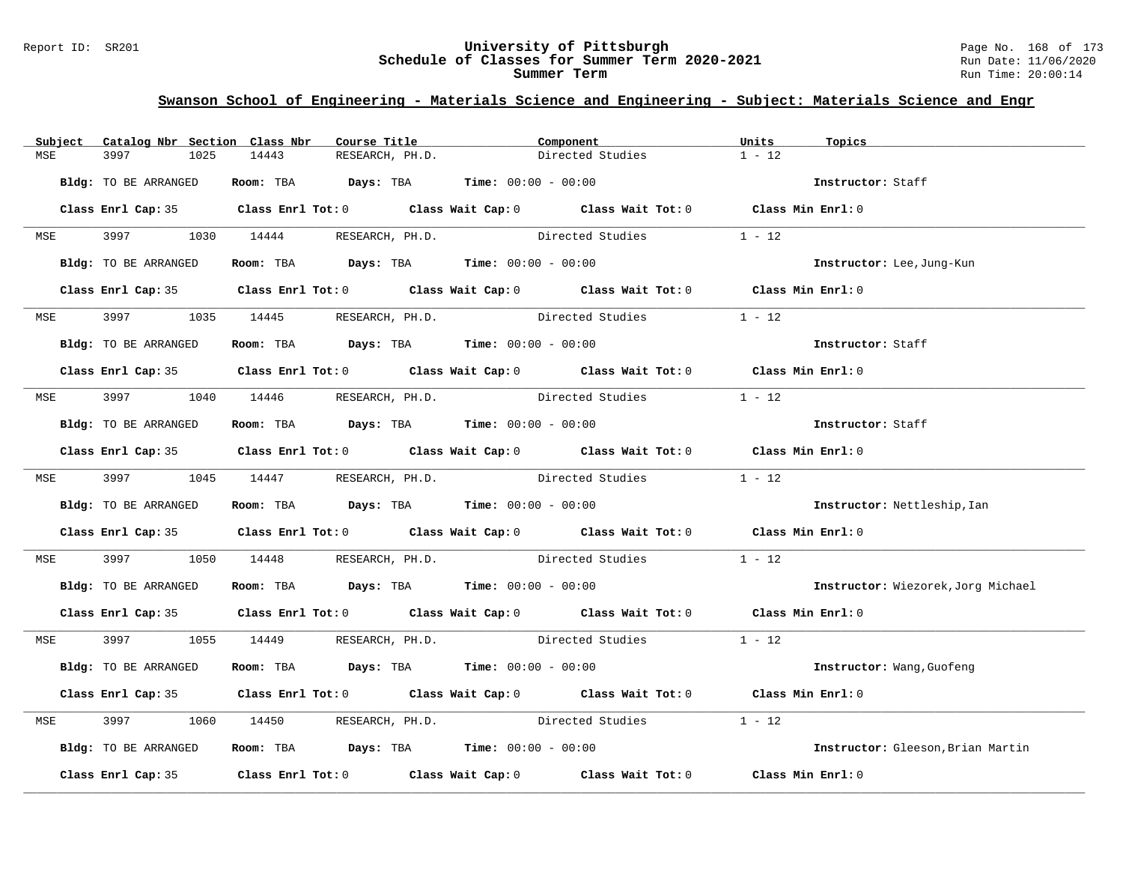#### Report ID: SR201 **University of Pittsburgh** Page No. 168 of 173 **Schedule of Classes for Summer Term 2020-2021** Run Date: 11/06/2020 **Summer Term** Run Time: 20:00:14

| Subject     | Catalog Nbr Section Class Nbr |       | Course Title                        | Component                                                                                  |                                                                                            | Units<br>Topics |                                    |
|-------------|-------------------------------|-------|-------------------------------------|--------------------------------------------------------------------------------------------|--------------------------------------------------------------------------------------------|-----------------|------------------------------------|
| 3997<br>MSE | 1025                          | 14443 | RESEARCH, PH.D.                     | Directed Studies                                                                           |                                                                                            | $1 - 12$        |                                    |
|             | Bldg: TO BE ARRANGED          |       |                                     | Room: TBA $Days:$ TBA $Time: 00:00 - 00:00$                                                |                                                                                            |                 | Instructor: Staff                  |
|             |                               |       |                                     | Class Enrl Cap: 35 Class Enrl Tot: 0 Class Wait Cap: 0 Class Wait Tot: 0 Class Min Enrl: 0 |                                                                                            |                 |                                    |
|             |                               |       | MSE 3997 1030 14444 RESEARCH, PH.D. |                                                                                            | Directed Studies                                                                           | $1 - 12$        |                                    |
|             | Bldg: TO BE ARRANGED          |       |                                     | Room: TBA $Days:$ TBA Time: $00:00 - 00:00$                                                |                                                                                            |                 | Instructor: Lee, Jung-Kun          |
|             |                               |       |                                     |                                                                                            | Class Enrl Cap: 35 Class Enrl Tot: 0 Class Wait Cap: 0 Class Wait Tot: 0 Class Min Enrl: 0 |                 |                                    |
|             |                               |       | MSE 3997 1035 14445 RESEARCH, PH.D. | Directed Studies                                                                           |                                                                                            | $1 - 12$        |                                    |
|             | Bldg: TO BE ARRANGED          |       |                                     | Room: TBA $Days:$ TBA $Time:$ 00:00 - 00:00                                                |                                                                                            |                 | Instructor: Staff                  |
|             |                               |       |                                     |                                                                                            | Class Enrl Cap: 35 Class Enrl Tot: 0 Class Wait Cap: 0 Class Wait Tot: 0 Class Min Enrl: 0 |                 |                                    |
|             |                               |       |                                     |                                                                                            | MSE 3997 1040 14446 RESEARCH, PH.D. Directed Studies                                       | $1 - 12$        |                                    |
|             | Bldg: TO BE ARRANGED          |       |                                     | Room: TBA $Days:$ TBA $Time: 00:00 - 00:00$                                                |                                                                                            |                 | Instructor: Staff                  |
|             |                               |       |                                     |                                                                                            | Class Enrl Cap: 35 Class Enrl Tot: 0 Class Wait Cap: 0 Class Wait Tot: 0 Class Min Enrl: 0 |                 |                                    |
|             |                               |       |                                     |                                                                                            | MSE 3997 1045 14447 RESEARCH, PH.D. Directed Studies 1 - 12                                |                 |                                    |
|             | Bldg: TO BE ARRANGED          |       |                                     | Room: TBA $\rule{1em}{0.15mm}$ Days: TBA Time: $00:00 - 00:00$                             |                                                                                            |                 | Instructor: Nettleship, Ian        |
|             |                               |       |                                     |                                                                                            | Class Enrl Cap: 35 Class Enrl Tot: 0 Class Wait Cap: 0 Class Wait Tot: 0 Class Min Enrl: 0 |                 |                                    |
| MSE         | 3997                          |       |                                     |                                                                                            | 1050 14448 RESEARCH, PH.D. Directed Studies                                                | $1 - 12$        |                                    |
|             | Bldg: TO BE ARRANGED          |       |                                     | Room: TBA $Days:$ TBA $Time: 00:00 - 00:00$                                                |                                                                                            |                 | Instructor: Wiezorek, Jorg Michael |
|             |                               |       |                                     |                                                                                            | Class Enrl Cap: 35 Class Enrl Tot: 0 Class Wait Cap: 0 Class Wait Tot: 0 Class Min Enrl: 0 |                 |                                    |
|             |                               |       |                                     |                                                                                            | MSE 3997 1055 14449 RESEARCH, PH.D. Directed Studies 1 - 12                                |                 |                                    |
|             | Bldg: TO BE ARRANGED          |       |                                     | Room: TBA $Days:$ TBA $Time: 00:00 - 00:00$                                                |                                                                                            |                 | Instructor: Wang, Guofeng          |
|             |                               |       |                                     |                                                                                            | Class Enrl Cap: 35 Class Enrl Tot: 0 Class Wait Cap: 0 Class Wait Tot: 0 Class Min Enrl: 0 |                 |                                    |
| MSE         | 3997 399                      |       |                                     |                                                                                            | 1060 14450 RESEARCH, PH.D. Directed Studies                                                | $1 - 12$        |                                    |
|             | Bldg: TO BE ARRANGED          |       |                                     | Room: TBA $Days:$ TBA Time: $00:00 - 00:00$                                                |                                                                                            |                 | Instructor: Gleeson, Brian Martin  |
|             |                               |       |                                     |                                                                                            | Class Enrl Cap: 35 Class Enrl Tot: 0 Class Wait Cap: 0 Class Wait Tot: 0 Class Min Enrl: 0 |                 |                                    |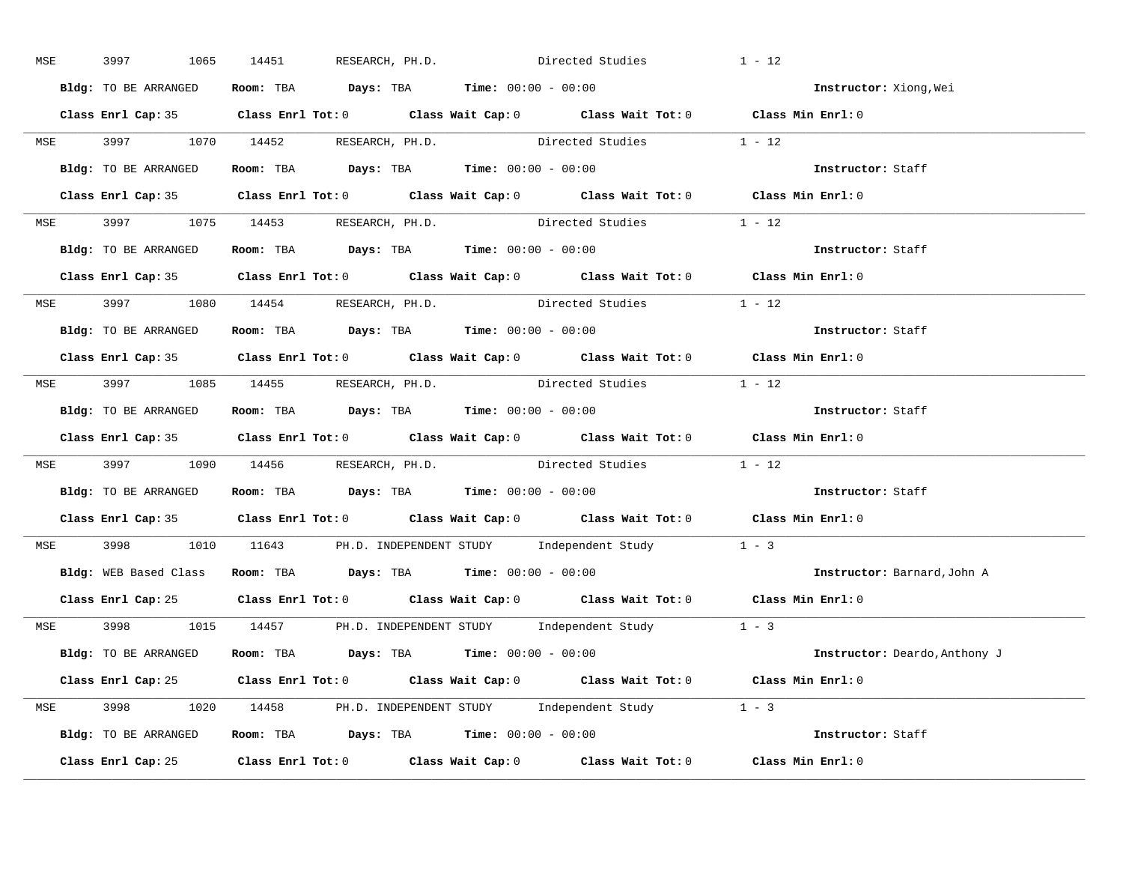| MSE        | 3997<br>1065         | 14451                                                          | RESEARCH, PH.D. Directed Studies                                                           | $1 - 12$                           |
|------------|----------------------|----------------------------------------------------------------|--------------------------------------------------------------------------------------------|------------------------------------|
|            | Bldg: TO BE ARRANGED | Room: TBA $Days:$ TBA $Time: 00:00 - 00:00$                    |                                                                                            | Instructor: Xiong, Wei             |
|            |                      |                                                                | Class Enrl Cap: 35 Class Enrl Tot: 0 Class Wait Cap: 0 Class Wait Tot: 0 Class Min Enrl: 0 |                                    |
|            |                      |                                                                | MSE 3997 1070 14452 RESEARCH, PH.D. Directed Studies 1 - 12                                |                                    |
|            | Bldg: TO BE ARRANGED | Room: TBA Days: TBA Time: $00:00 - 00:00$                      |                                                                                            | Instructor: Staff                  |
|            |                      |                                                                | Class Enrl Cap: 35 Class Enrl Tot: 0 Class Wait Cap: 0 Class Wait Tot: 0 Class Min Enrl: 0 |                                    |
|            |                      |                                                                | MSE 3997 1075 14453 RESEARCH, PH.D. Directed Studies 1 - 12                                |                                    |
|            |                      | Bldg: TO BE ARRANGED Room: TBA Days: TBA Time: 00:00 - 00:00   |                                                                                            | Instructor: Staff                  |
|            |                      |                                                                | Class Enrl Cap: 35 Class Enrl Tot: 0 Class Wait Cap: 0 Class Wait Tot: 0 Class Min Enrl: 0 |                                    |
|            |                      | MSE 3997 1080 14454 RESEARCH, PH.D.                            | Directed Studies 1 - 12                                                                    |                                    |
|            | Bldg: TO BE ARRANGED | Room: TBA $\rule{1em}{0.15mm}$ Days: TBA Time: $00:00 - 00:00$ |                                                                                            | Instructor: Staff                  |
|            |                      |                                                                | Class Enrl Cap: 35 Class Enrl Tot: 0 Class Wait Cap: 0 Class Wait Tot: 0 Class Min Enrl: 0 |                                    |
|            |                      |                                                                | MSE 3997 1085 14455 RESEARCH, PH.D. Directed Studies 1 - 12                                |                                    |
|            | Bldg: TO BE ARRANGED | <b>Room:</b> TBA <b>Days:</b> TBA <b>Time:</b> 00:00 - 00:00   |                                                                                            | Instructor: Staff                  |
|            |                      |                                                                | Class Enrl Cap: 35 Class Enrl Tot: 0 Class Wait Cap: 0 Class Wait Tot: 0 Class Min Enrl: 0 |                                    |
|            |                      |                                                                | MSE 3997 1090 14456 RESEARCH, PH.D. Directed Studies 1 - 12                                |                                    |
|            |                      | Bldg: TO BE ARRANGED Room: TBA Days: TBA Time: 00:00 - 00:00   |                                                                                            | Instructor: Staff                  |
|            |                      |                                                                | Class Enrl Cap: 35 Class Enrl Tot: 0 Class Wait Cap: 0 Class Wait Tot: 0 Class Min Enrl: 0 |                                    |
| <b>MSE</b> |                      |                                                                | 3998 1010 11643 PH.D. INDEPENDENT STUDY Independent Study 1 - 3                            |                                    |
|            |                      | Bldg: WEB Based Class Room: TBA Days: TBA Time: 00:00 - 00:00  |                                                                                            | <b>Instructor:</b> Barnard, John A |
|            |                      |                                                                | Class Enrl Cap: 25 Class Enrl Tot: 0 Class Wait Cap: 0 Class Wait Tot: 0 Class Min Enrl: 0 |                                    |
|            |                      |                                                                | MSE 3998 1015 14457 PH.D. INDEPENDENT STUDY Independent Study 1 - 3                        |                                    |
|            |                      |                                                                | Bldg: TO BE ARRANGED Room: TBA Days: TBA Time: 00:00 - 00:00                               | Instructor: Deardo, Anthony J      |
|            |                      |                                                                | Class Enrl Cap: 25 Class Enrl Tot: 0 Class Wait Cap: 0 Class Wait Tot: 0 Class Min Enrl: 0 |                                    |
|            |                      |                                                                | MSE 3998 1020 14458 PH.D. INDEPENDENT STUDY Independent Study 1 - 3                        |                                    |
|            |                      |                                                                | <b>Bldg:</b> TO BE ARRANGED <b>Room:</b> TBA <b>Days:</b> TBA <b>Time:</b> $00:00 - 00:00$ | Instructor: Staff                  |
|            |                      |                                                                | Class Enrl Cap: 25 Class Enrl Tot: 0 Class Wait Cap: 0 Class Wait Tot: 0 Class Min Enrl: 0 |                                    |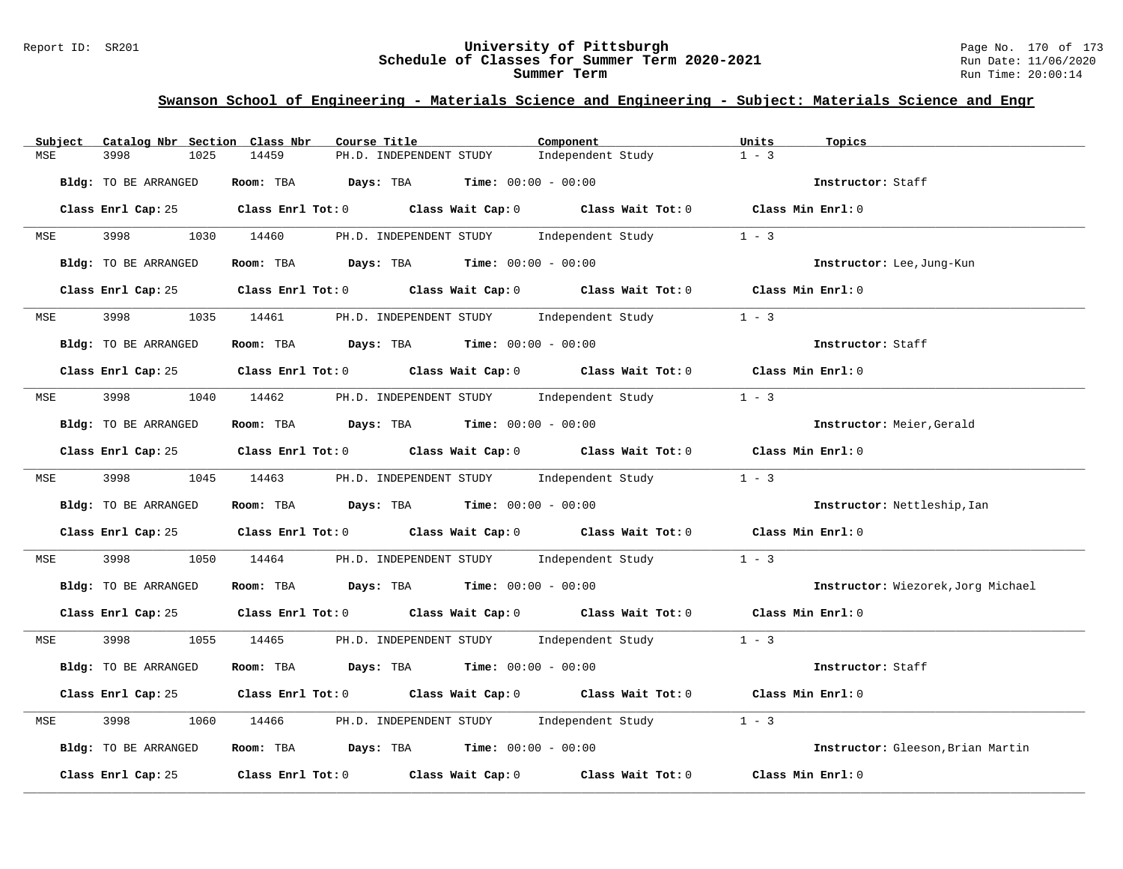#### Report ID: SR201 **University of Pittsburgh** Page No. 170 of 173 **Schedule of Classes for Summer Term 2020-2021** Run Date: 11/06/2020 **Summer Term** Run Time: 20:00:14

| Subject    | Catalog Nbr Section Class Nbr | Course Title                                                                               | Component<br>Units           | Topics                             |
|------------|-------------------------------|--------------------------------------------------------------------------------------------|------------------------------|------------------------------------|
| MSE        | 3998<br>1025                  | 14459<br>PH.D. INDEPENDENT STUDY                                                           | $1 - 3$<br>Independent Study |                                    |
|            | Bldg: TO BE ARRANGED          | Room: TBA $Days:$ TBA $Time: 00:00 - 00:00$                                                |                              | Instructor: Staff                  |
|            |                               | Class Enrl Cap: 25 Class Enrl Tot: 0 Class Wait Cap: 0 Class Wait Tot: 0 Class Min Enrl: 0 |                              |                                    |
| <b>MSE</b> |                               | 3998 1030 14460 PH.D. INDEPENDENT STUDY                                                    | Independent Study<br>$1 - 3$ |                                    |
|            | Bldg: TO BE ARRANGED          | Room: TBA $Days:$ TBA $Time:$ $00:00 - 00:00$                                              |                              | Instructor: Lee, Jung-Kun          |
|            |                               | Class Enrl Cap: 25 Class Enrl Tot: 0 Class Wait Cap: 0 Class Wait Tot: 0 Class Min Enrl: 0 |                              |                                    |
| <b>MSE</b> | 3998 399                      | 1035 14461 PH.D. INDEPENDENT STUDY Independent Study                                       | $1 - 3$                      |                                    |
|            | Bldg: TO BE ARRANGED          | Room: TBA $Days:$ TBA $Time: 00:00 - 00:00$                                                |                              | Instructor: Staff                  |
|            |                               | Class Enrl Cap: 25 Class Enrl Tot: 0 Class Wait Cap: 0 Class Wait Tot: 0 Class Min Enrl: 0 |                              |                                    |
| <b>MSE</b> |                               | 3998 1040 14462 PH.D. INDEPENDENT STUDY Independent Study                                  | $1 - 3$                      |                                    |
|            | Bldg: TO BE ARRANGED          | Room: TBA $Days:$ TBA $Time: 00:00 - 00:00$                                                |                              | Instructor: Meier, Gerald          |
|            |                               | Class Enrl Cap: 25 Class Enrl Tot: 0 Class Wait Cap: 0 Class Wait Tot: 0 Class Min Enrl: 0 |                              |                                    |
|            |                               | MSE 3998 1045 14463 PH.D. INDEPENDENT STUDY Independent Study 1 - 3                        |                              |                                    |
|            | Bldg: TO BE ARRANGED          | Room: TBA $Days: TBA$ Time: $00:00 - 00:00$                                                |                              | Instructor: Nettleship, Ian        |
|            |                               | Class Enrl Cap: 25 Class Enrl Tot: 0 Class Wait Cap: 0 Class Wait Tot: 0 Class Min Enrl: 0 |                              |                                    |
| MSE        | 3998<br>1050                  | 14464 PH.D. INDEPENDENT STUDY Independent Study                                            | $1 - 3$                      |                                    |
|            | Bldg: TO BE ARRANGED          | Room: TBA $Days:$ TBA $Time:$ $00:00 - 00:00$                                              |                              | Instructor: Wiezorek, Jorg Michael |
|            |                               | Class Enrl Cap: 25 Class Enrl Tot: 0 Class Wait Cap: 0 Class Wait Tot: 0 Class Min Enrl: 0 |                              |                                    |
| <b>MSE</b> |                               | 3998 1055 14465 PH.D. INDEPENDENT STUDY Independent Study 1 - 3                            |                              |                                    |
|            | Bldg: TO BE ARRANGED          | Room: TBA $Days:$ TBA $Time: 00:00 - 00:00$                                                |                              | Instructor: Staff                  |
|            |                               | Class Enrl Cap: 25 Class Enrl Tot: 0 Class Wait Cap: 0 Class Wait Tot: 0 Class Min Enrl: 0 |                              |                                    |
| MSE        | 3998<br>1060                  | 14466 PH.D. INDEPENDENT STUDY Independent Study 1 - 3                                      |                              |                                    |
|            | Bldg: TO BE ARRANGED          | Room: TBA $Days: TBA$ Time: $00:00 - 00:00$                                                |                              | Instructor: Gleeson, Brian Martin  |
|            | Class Enrl Cap: 25            | Class Enrl Tot: $0$ Class Wait Cap: $0$ Class Wait Tot: $0$ Class Min Enrl: $0$            |                              |                                    |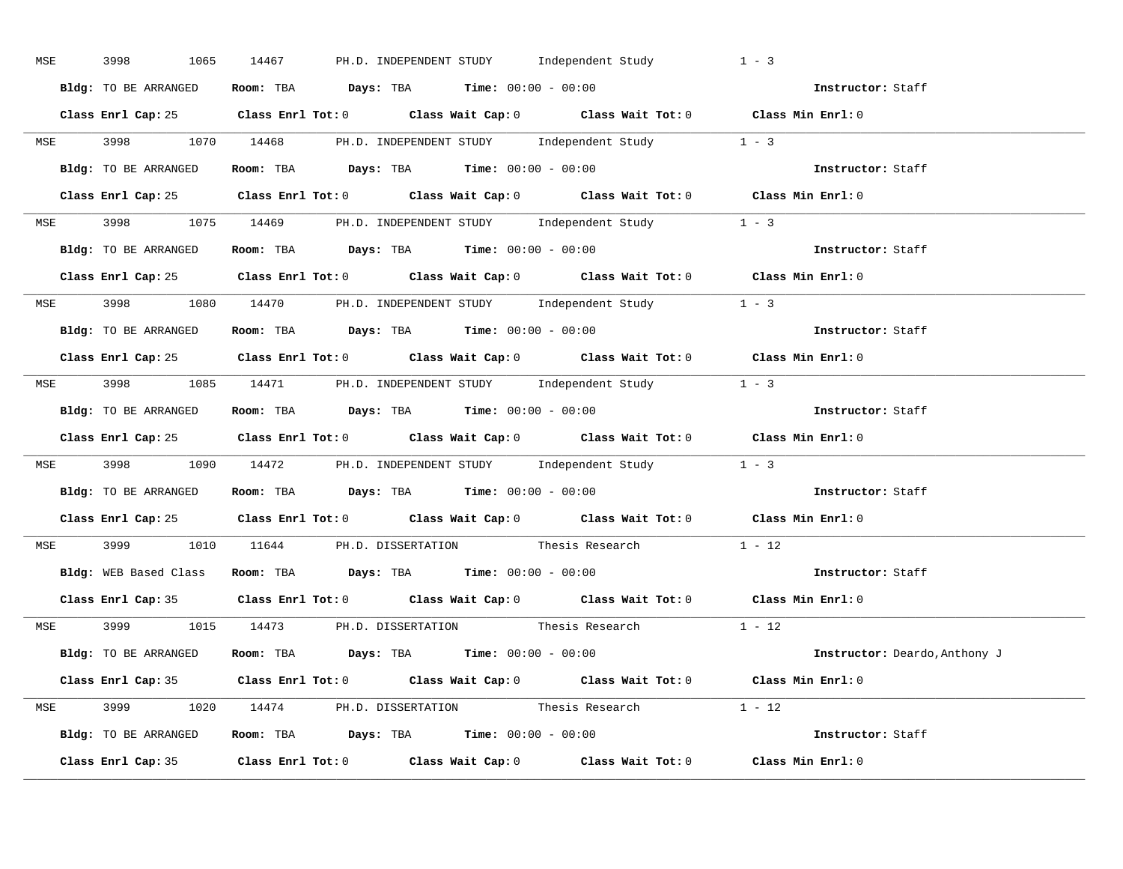| MSE | 3998<br>1065         | 14467<br>PH.D. INDEPENDENT STUDY Independent Study                                         | $1 - 3$                              |
|-----|----------------------|--------------------------------------------------------------------------------------------|--------------------------------------|
|     | Bldg: TO BE ARRANGED | Room: TBA $Days:$ TBA $Time:$ $00:00 - 00:00$                                              | Instructor: Staff                    |
|     |                      | Class Enrl Cap: 25 Class Enrl Tot: 0 Class Wait Cap: 0 Class Wait Tot: 0 Class Min Enrl: 0 |                                      |
|     |                      | MSE 3998 1070 14468 PH.D. INDEPENDENT STUDY Independent Study 1 - 3                        |                                      |
|     | Bldg: TO BE ARRANGED | Room: TBA $Days:$ TBA Time: $00:00 - 00:00$                                                | Instructor: Staff                    |
|     |                      | Class Enrl Cap: 25 Class Enrl Tot: 0 Class Wait Cap: 0 Class Wait Tot: 0 Class Min Enrl: 0 |                                      |
|     |                      | MSE 3998 1075 14469 PH.D. INDEPENDENT STUDY Independent Study 1 - 3                        |                                      |
|     |                      | Bldg: TO BE ARRANGED Room: TBA Days: TBA Time: 00:00 - 00:00                               | Instructor: Staff                    |
|     |                      | Class Enrl Cap: 25 Class Enrl Tot: 0 Class Wait Cap: 0 Class Wait Tot: 0 Class Min Enrl: 0 |                                      |
|     |                      | MSE 3998 1080 14470 PH.D. INDEPENDENT STUDY Independent Study 1 - 3                        |                                      |
|     | Bldg: TO BE ARRANGED | Room: TBA $\rule{1em}{0.15mm}$ Days: TBA $\rule{1.15mm}]{0.15mm}$ Time: $00:00 - 00:00$    | Instructor: Staff                    |
|     |                      | Class Enrl Cap: 25 Class Enrl Tot: 0 Class Wait Cap: 0 Class Wait Tot: 0 Class Min Enrl: 0 |                                      |
|     |                      | MSE 3998 1085 14471 PH.D. INDEPENDENT STUDY Independent Study 1 - 3                        |                                      |
|     |                      | Bldg: TO BE ARRANGED Room: TBA Days: TBA Time: 00:00 - 00:00                               | Instructor: Staff                    |
|     |                      | Class Enrl Cap: 25 Class Enrl Tot: 0 Class Wait Cap: 0 Class Wait Tot: 0 Class Min Enrl: 0 |                                      |
|     |                      | MSE 3998 1090 14472 PH.D. INDEPENDENT STUDY Independent Study 1 - 3                        |                                      |
|     |                      | Bldg: TO BE ARRANGED Room: TBA Days: TBA Time: 00:00 - 00:00                               | Instructor: Staff                    |
|     |                      | Class Enrl Cap: 25 Class Enrl Tot: 0 Class Wait Cap: 0 Class Wait Tot: 0 Class Min Enrl: 0 |                                      |
|     |                      | MSE 3999 1010 11644 PH.D. DISSERTATION Thesis Research 1 - 12                              |                                      |
|     |                      | Bldg: WEB Based Class Room: TBA Days: TBA Time: 00:00 - 00:00                              | Instructor: Staff                    |
|     |                      | Class Enrl Cap: 35 Class Enrl Tot: 0 Class Wait Cap: 0 Class Wait Tot: 0 Class Min Enrl: 0 |                                      |
|     |                      | MSE 3999 1015 14473 PH.D. DISSERTATION Thesis Research 1 - 12                              |                                      |
|     |                      | $Bldg: TO BE ARRANGED$ Room: TBA $Days: TBA$ Time: $00:00 - 00:00$                         | <b>Instructor:</b> Deardo, Anthony J |
|     |                      | Class Enrl Cap: 35 Class Enrl Tot: 0 Class Wait Cap: 0 Class Wait Tot: 0 Class Min Enrl: 0 |                                      |
|     |                      | MSE 3999 1020 14474 PH.D. DISSERTATION Thesis Research 1 - 12                              |                                      |
|     |                      | Bldg: TO BE ARRANGED Room: TBA Days: TBA Time: 00:00 - 00:00                               | Instructor: Staff                    |
|     |                      | Class Enrl Cap: 35 Class Enrl Tot: 0 Class Wait Cap: 0 Class Wait Tot: 0 Class Min Enrl: 0 |                                      |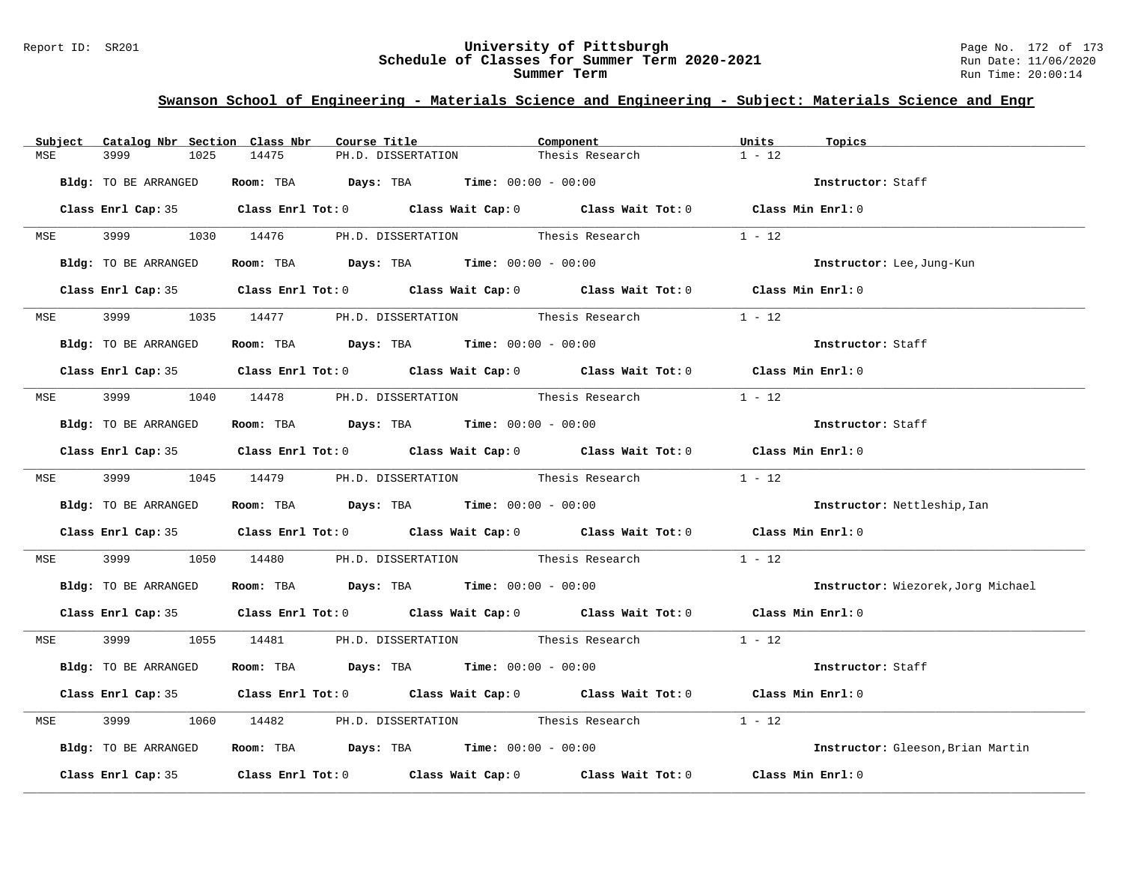#### Report ID: SR201 **University of Pittsburgh** Page No. 172 of 173 **Schedule of Classes for Summer Term 2020-2021** Run Date: 11/06/2020 **Summer Term** Run Time: 20:00:14

| Subject | Catalog Nbr Section Class Nbr | Course Title                                                                               | Component       | Units<br>Topics                    |
|---------|-------------------------------|--------------------------------------------------------------------------------------------|-----------------|------------------------------------|
| MSE     | 3999<br>1025                  | 14475<br>PH.D. DISSERTATION                                                                | Thesis Research | $1 - 12$                           |
|         | Bldg: TO BE ARRANGED          | Room: TBA $Days:$ TBA $Time: 00:00 - 00:00$                                                |                 | Instructor: Staff                  |
|         |                               | Class Enrl Cap: 35 Class Enrl Tot: 0 Class Wait Cap: 0 Class Wait Tot: 0 Class Min Enrl: 0 |                 |                                    |
|         |                               | MSE 3999 1030 14476 PH.D. DISSERTATION Thesis Research                                     |                 | $1 - 12$                           |
|         | Bldg: TO BE ARRANGED          | Room: TBA $Days:$ TBA Time: $00:00 - 00:00$                                                |                 | Instructor: Lee, Jung-Kun          |
|         |                               | Class Enrl Cap: 35 Class Enrl Tot: 0 Class Wait Cap: 0 Class Wait Tot: 0 Class Min Enrl: 0 |                 |                                    |
| MSE     |                               | 1035 14477 PH.D. DISSERTATION Thesis Research                                              |                 | $1 - 12$                           |
|         | Bldg: TO BE ARRANGED          | Room: TBA $Days:$ TBA $Time: 00:00 - 00:00$                                                |                 | Instructor: Staff                  |
|         |                               | Class Enrl Cap: 35 Class Enrl Tot: 0 Class Wait Cap: 0 Class Wait Tot: 0 Class Min Enrl: 0 |                 |                                    |
|         |                               | MSE 3999 1040 14478 PH.D. DISSERTATION Thesis Research                                     |                 | $1 - 12$                           |
|         | Bldg: TO BE ARRANGED          | Room: TBA $Days:$ TBA $Time: 00:00 - 00:00$                                                |                 | Instructor: Staff                  |
|         |                               | Class Enrl Cap: 35 Class Enrl Tot: 0 Class Wait Cap: 0 Class Wait Tot: 0 Class Min Enrl: 0 |                 |                                    |
|         |                               | MSE 3999 1045 14479 PH.D. DISSERTATION Thesis Research 1 - 12                              |                 |                                    |
|         | Bldg: TO BE ARRANGED          | Room: TBA $Days:$ TBA $Time: 00:00 - 00:00$                                                |                 | Instructor: Nettleship, Ian        |
|         |                               | Class Enrl Cap: 35 Class Enrl Tot: 0 Class Wait Cap: 0 Class Wait Tot: 0 Class Min Enrl: 0 |                 |                                    |
| MSE     | 3999 700                      | 1050 14480 PH.D. DISSERTATION Thesis Research                                              |                 | $1 - 12$                           |
|         | Bldg: TO BE ARRANGED          | Room: TBA $Days:$ TBA Time: $00:00 - 00:00$                                                |                 | Instructor: Wiezorek, Jorg Michael |
|         |                               | Class Enrl Cap: 35 Class Enrl Tot: 0 Class Wait Cap: 0 Class Wait Tot: 0 Class Min Enrl: 0 |                 |                                    |
|         |                               | MSE 3999 1055 14481 PH.D. DISSERTATION Thesis Research 1 - 12                              |                 |                                    |
|         | Bldg: TO BE ARRANGED          | Room: TBA $\rule{1em}{0.15mm}$ Days: TBA Time: $00:00 - 00:00$                             |                 | Instructor: Staff                  |
|         |                               | Class Enrl Cap: 35 Class Enrl Tot: 0 Class Wait Cap: 0 Class Wait Tot: 0 Class Min Enrl: 0 |                 |                                    |
| MSE     | 3999                          | 1060 14482 PH.D. DISSERTATION Thesis Research                                              |                 | $1 - 12$                           |
|         | Bldg: TO BE ARRANGED          | Room: TBA $\rule{1em}{0.15mm}$ Days: TBA $\rule{1.15mm}]{0.15mm}$ Time: $0.0100 - 0.0100$  |                 | Instructor: Gleeson, Brian Martin  |
|         |                               | Class Enrl Cap: 35 Class Enrl Tot: 0 Class Wait Cap: 0 Class Wait Tot: 0 Class Min Enrl: 0 |                 |                                    |